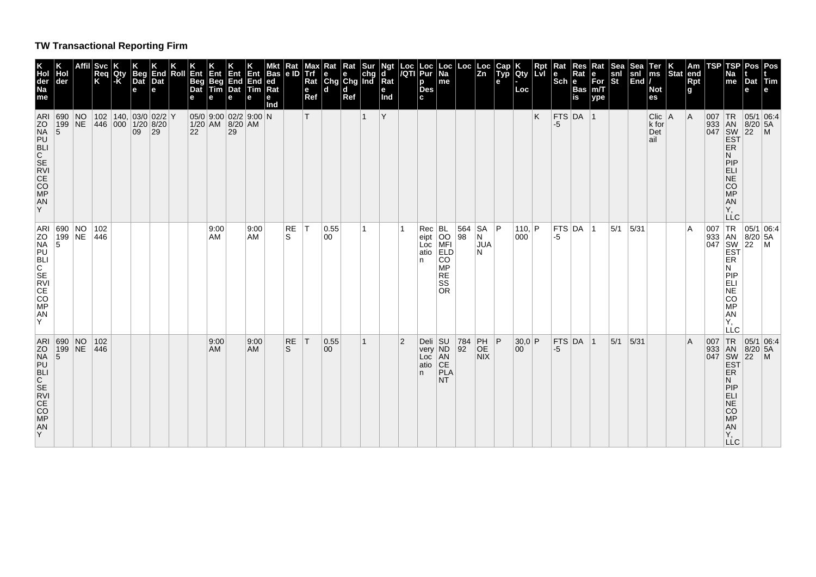## **TW Transactional Reporting Firm**

| Hol<br>der<br>690<br>199 NE<br>$\overline{5}$<br>ARI 690 NO<br> 199 NE<br>5 | NO                      | Affil Svc<br>Req<br>Κ<br>102<br>446 | Qty<br>-K | <b>Beg</b><br>Dat<br>e<br>09 | End<br>Dat<br>e<br> 102 140 03/0 02/2 Y<br> 446 000 1/20 8/20<br> 29 | Roll | Ent<br><b>Beg</b><br>Dat<br>22 | Ent<br>e<br>9:00<br>AM | Ent<br>Beg End<br>Tim Dat<br>e<br>1/20 AM 8/20 AM<br>29 | Ent<br>End<br>Tim Rat<br>е<br>05/0 9:00 02/2 9:00 N<br>9:00<br>AM | ИKt<br>Bas e ID Trf<br>ed<br>nd | <b>Rat</b><br>RE<br>S | Max<br>Rat<br>$\mathbf{e}$<br>Ref<br>T<br>ΙT | Rat<br>۱e<br>$\left \begin{array}{c}\nGng \\ d\n\end{array}\right $ and<br>0.55<br>00 | Rat<br>$\mathbf e$<br>Ref | Sur<br> chg  | Ngt<br>$\mathbf d$<br>Rat<br>e<br>Ind<br>Y |                | Loc  Loc  <br><i> I</i> QTI  Pur  <br>p<br>Des<br>c.<br>$Rec$ $BL$<br>eipt OO<br>Loc MFI<br>atio ELD<br>∣n. | Loc Loc Loc<br>Na<br>me<br><b>CO</b><br>MP<br><b>RE</b>                 | 564 SA<br>98 | Zn<br>N<br><b>JUA</b><br>N                                                                     | Cap <br><b>Typ</b><br>е<br> P | Qty<br>∣Loc ∣<br> 110,  P <br>000 | Rpt<br><b>LvI</b><br>K. | Rat<br>١e<br>$ \mathsf{Sch} \mathsf{e} $<br> FTS DA 1<br>-5<br>$FTS$ DA 1<br>-5 | Res<br>Rat<br><b>Bas</b><br>is | Rat<br>е<br>For<br>m/T<br>ype | Sea<br>snl<br><b>St</b><br>5/1 | <b>Sea</b><br>snl<br> End /<br>5/31 | ∣Ter<br>$\mathsf{ms}$<br><b>Not</b><br>es<br>$Clic$   A<br>k for<br>Det<br>ail | $ \textsf{Stat} $ end | Am<br>Rpt<br>l g<br>  A<br>ΙA | TSP<br>007<br>933<br>007 | <b>TSP</b><br>Na<br>me<br> TR<br> AN<br>047 SW<br><b>EST</b><br>ER<br>N<br><b>PIP</b><br>ELI<br>NE<br>CO<br>MP<br>AN<br>Υ.<br><b>LLC</b><br>TR<br>ER<br>N<br><b>PIP</b> | Pos   Pos<br>Dat<br>е<br> 05/1 06.4<br>$8/20$ 5A<br>$ 22\rangle$<br> 05/1 06:4<br>933 AN 8/20<br>047 SW 22<br>EST<br>$8/20$ 5A | $ T$ im<br>$\mathsf{M}$<br>$\mathsf{M}$ |
|-----------------------------------------------------------------------------|-------------------------|-------------------------------------|-----------|------------------------------|----------------------------------------------------------------------|------|--------------------------------|------------------------|---------------------------------------------------------|-------------------------------------------------------------------|---------------------------------|-----------------------|----------------------------------------------|---------------------------------------------------------------------------------------|---------------------------|--------------|--------------------------------------------|----------------|-------------------------------------------------------------------------------------------------------------|-------------------------------------------------------------------------|--------------|------------------------------------------------------------------------------------------------|-------------------------------|-----------------------------------|-------------------------|---------------------------------------------------------------------------------|--------------------------------|-------------------------------|--------------------------------|-------------------------------------|--------------------------------------------------------------------------------|-----------------------|-------------------------------|--------------------------|-------------------------------------------------------------------------------------------------------------------------------------------------------------------------|--------------------------------------------------------------------------------------------------------------------------------|-----------------------------------------|
| $\overline{5}$                                                              | ARI 690 NO<br>ZO 199 NE | 102<br>446                          |           |                              |                                                                      |      |                                | 9:00<br>AM.            |                                                         | 9:00<br><b>AM</b>                                                 |                                 | RE<br>S               | ΙT                                           | 0.55<br>00                                                                            |                           | $\mathbf{1}$ |                                            | $\overline{2}$ | Loc AN<br>atio CE<br>∣atio<br>In.                                                                           | <b>SS</b><br><b>OR</b><br>Deli SU 784<br>very ND 92<br>PLA<br><b>NT</b> |              | $\left  \begin{matrix} \mathsf{PH} \\ \mathsf{OE} \end{matrix} \right $ <b>P</b><br><b>NIX</b> |                               | 30,0 P<br>00                      |                         | $FTS$ DA $ 1$<br>$-5$                                                           |                                |                               | 5/1                            | 5/31                                |                                                                                |                       | l A                           | 007                      | ELI<br>NE<br>CO<br><b>MP</b><br>AN<br>Υ.<br>LLC<br> TR<br>933 AN<br>047 SW<br><b>EST</b><br>ER<br>N<br>PIP<br>ELI<br>NE<br>CO<br>MP<br>${\sf AN}$<br>Υ.<br><b>LLC</b>   | 05/1 06.4<br>$8/20$ 5A<br>22                                                                                                   | IM.                                     |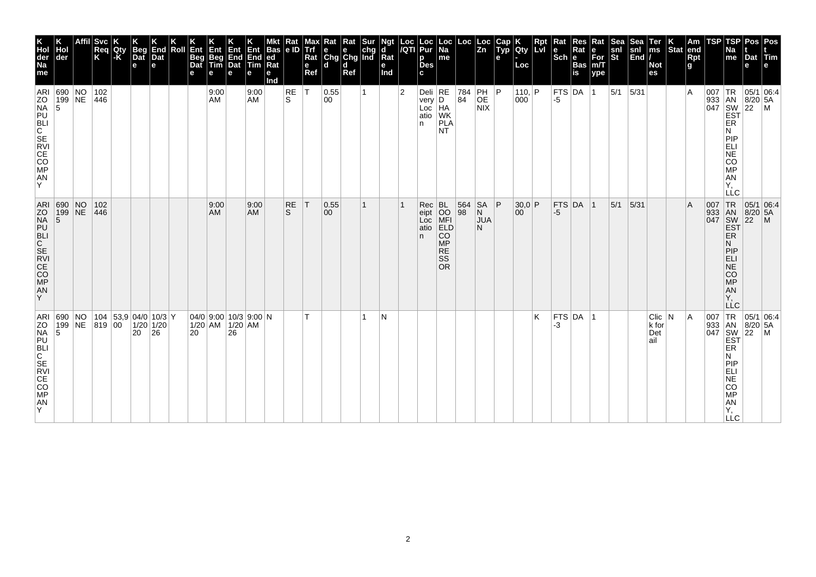| K<br>Hol<br>der<br>Na<br>me                | Hol<br>der                                                                | Svc<br>Req<br>K | Qty<br>$-K$ | <b>Beg</b><br>Dat<br>e | End<br>Dat<br>l el                                      | Roll | Ent<br>Beg<br>Dat<br>е | Ent<br>Beg<br>Tim<br>е | <b>Ent</b><br>End<br>Dat<br>е | Ent<br>End<br><b>Tim</b><br>е | Bas<br>ed<br>Rat<br>е<br>Ind | Rat<br>e ID | мах<br><b>Trf</b><br>Rat<br>e<br>Ref | ĸat<br>e<br>Chg Chg Ind<br>l d | Rat<br>d<br>Ref | Sur | ď<br>$\overline{\mathsf{R}}$ at<br>е<br>Ind | Loc<br>/QTI    | Loc<br>Pur<br>р<br><b>Des</b>          | Loc  <br>Na<br>me                                                                 | Loc                                                     | Loc<br>Zn                         | Cap<br><b>Typ</b><br>е | Qty<br>Loc      | Rpt<br><b>Lvl</b> | Rat<br>le<br>$ \mathsf{Sch} $ e | Res<br>Rat<br><b>Bas</b><br>is | Rat<br>е<br>For<br>m/T<br>ype | Sea<br>snl<br>St | Sea<br>$\left \frac{\mathsf{snl}}{\mathsf{End}}\right $ | Ter<br>$\mathsf{ms}$<br><b>Not</b><br>es | $ \text{Stat} $ | Am<br>∣end<br><b>Rpt</b><br>g | TSP                               | TSP<br>Na<br>me                                                                  | Pos Pos<br>Dat Tim<br>e                                                                                                                 |              |
|--------------------------------------------|---------------------------------------------------------------------------|-----------------|-------------|------------------------|---------------------------------------------------------|------|------------------------|------------------------|-------------------------------|-------------------------------|------------------------------|-------------|--------------------------------------|--------------------------------|-----------------|-----|---------------------------------------------|----------------|----------------------------------------|-----------------------------------------------------------------------------------|---------------------------------------------------------|-----------------------------------|------------------------|-----------------|-------------------|---------------------------------|--------------------------------|-------------------------------|------------------|---------------------------------------------------------|------------------------------------------|-----------------|-------------------------------|-----------------------------------|----------------------------------------------------------------------------------|-----------------------------------------------------------------------------------------------------------------------------------------|--------------|
| ARI<br><b>ZNAULIC SEVIEOPRAY</b>           | 690 NO<br>199 NE<br>15                                                    | 102<br>446      |             |                        |                                                         |      |                        | 9:00<br>AM             |                               | 9:00<br>AM                    |                              | RE<br>ls.   | $\mathsf{T}$                         | 0.55<br>00                     |                 |     |                                             | $\overline{2}$ | Deli $RE$<br>very<br>Loc<br>atio<br>n. | D<br>HA<br>WK<br><b>PLA</b><br><b>NT</b>                                          | $\begin{array}{ c} \hline 784 \\ \hline 84 \end{array}$ | PH<br>OE<br><b>NIX</b>            | P                      | 110,  P <br>000 |                   | $ $ FTS $ $ DA<br>-5            |                                | $\vert$ 1                     | 5/1              | $5/31$                                                  |                                          |                 | $\overline{A}$                |                                   | ER<br>N<br>PIP<br>ELI<br>SORE:<br>AN<br>Υ,<br>LLC                                |                                                                                                                                         |              |
| AN<br>Y                                    | ARI 690 NO<br>ZO 199 NE<br>NA 5<br>PU<br>SE CE<br>CE<br>CE<br>CO PP<br>MA | 102<br> 446     |             |                        |                                                         |      |                        | 9:00<br>AM             |                               | 9:00<br><b>AM</b>             |                              | RE<br>S.    | $\top$                               | 0.55<br>$ 00\rangle$           |                 |     |                                             |                | Rec<br>eipt<br>Loc<br>atio<br>n.       | BL<br>OO<br>MFI<br>ELD<br>ELD<br>CO.<br><b>MP</b><br><b>RE</b><br>SS<br><b>OR</b> | 564<br>98                                               | <b>SA</b><br>N<br><b>JUA</b><br>N | P                      | 30,0 P<br>00    |                   | $-5$                            | $FTS$ DA 1                     |                               | $ 5/1 $ 5/31     |                                                         |                                          |                 | $\overline{A}$                | 007 TR<br>933 AN<br>047 SW<br>EST | <b>ER</b><br>N<br>PIP<br>ELI<br>$N\bar{E}$<br>CO<br>MP<br>AN<br>Υ.<br><b>LLC</b> | 05/1 06.4<br>$8/20$ 5A<br>$\overline{22}$                                                                                               | $\mathsf{M}$ |
| ZO<br>NP BLI<br>C SE VIE CO<br>M AN<br>A Y | ARI 690 NO<br>5                                                           | 199 NE 819 00   |             | 20                     | 104  53,9   04/0   10/3   Y<br>$1/20$ 1/20<br><b>26</b> |      | 20                     | $1/20$ AM $1/20$ AM    | 26                            | $04/0$ 9:00 10/3 9:00 N       |                              |             | т                                    |                                |                 |     | N                                           |                |                                        |                                                                                   |                                                         |                                   |                        |                 | K                 | -3                              | $FTS$ DA 1                     |                               |                  |                                                         | $C$ lic $ N $<br>k for<br>Det<br>ail     |                 | ۱A                            |                                   | ER<br>N<br>PIP<br>ELI<br>AN<br>AN<br>AN<br>Υ,<br><b>LLC</b>                      | $\begin{array}{c c}\n 33 & 1R & 05/1 & 0. \\  33 & 18N & 8/20 & 5A \\  047 & 18N & 22 & M \\  \hline\n 155 & 18 & 16 & 16\n\end{array}$ |              |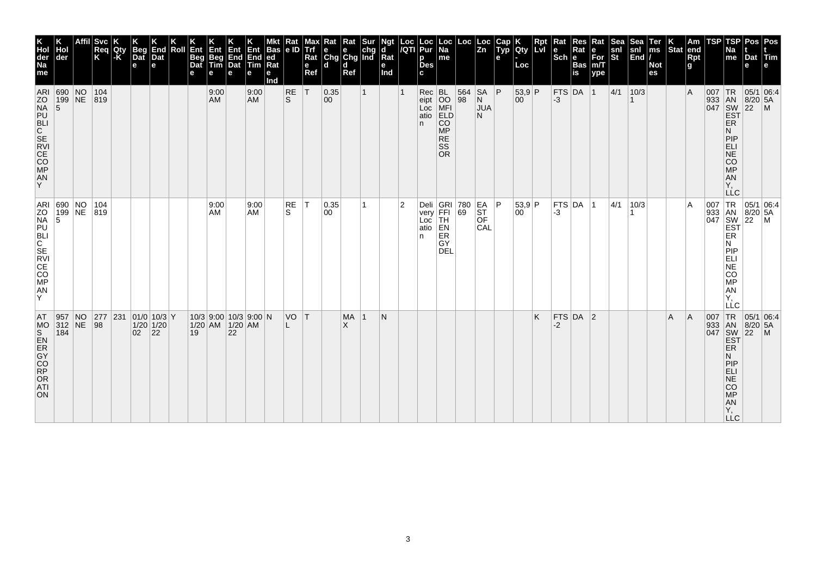| Hol<br>der<br>ARI 690 NO<br>199 NE 819 |                        |    | <b>Svc</b><br> Req<br> K<br> 104 | Qty<br>$ \cdot \mathsf{K} $ | <b>Beg</b><br>Dat<br>е | End<br>Dat<br>e            | Roll | Ent<br><b>Beg</b><br>Dat | . Entr<br>Beg<br>Tim<br>е<br>9:00<br>AM | Ent<br>End<br>Dat<br>е | End<br><b>Tim</b><br>е<br>9:00<br><b>AM</b> | <b>Bas</b><br> ed<br>Rat<br>е<br>Ind | Rat<br>le ID<br>RE<br>ls. | мах<br>e<br>Ref<br> T | Rat<br>Trf e e chg<br>Rat Chg Chg Ind<br>l d<br> 0.35<br>$ 00\rangle$ | Rat<br>d<br>Ref | Sur<br>1 | Ngt<br>d<br>Rat<br>е<br>Ind |                | Loc  Loc<br><i> I</i> QTI  Pur<br>р<br><b>Des</b><br>$Rec$ BL      | Loc<br>  Na<br>me                               | Loc<br>564<br> 98 | ∣Loc<br>$\overline{z}$ <sub>n</sub><br><b>SA</b><br>N | Cap<br>$\tilde{$ , T}<br> P | <b>Qty</b><br>Loc<br> 53,9 P<br>00 | Rpt<br><b>LvI</b> | Rat<br>$ \mathsf{Sch} $ e<br>$-3$ | Res<br>Rat<br><b>Bas</b><br>is<br>$FTS$ DA 1 | Rat<br>е<br>$For$ <sub>m/T</sub><br>ype | Sea<br>snl<br>$ \tilde{\mathbf{s}}$ t<br> 4/1 | snl<br> End /<br>10/3 | <b>Ter</b><br>ms<br><b>Not</b><br>es | Stat end | Am<br>Rpt<br>g<br>$\overline{A}$ | TSP | TSP<br>Na<br>me<br>933 AN 8/20                                                                                                 | Pos   Pos<br>$ $ Dat $ $ Tim<br>e<br>007 TR 05/1 06:4<br>$8/20$ 5A                                                                                                                                      |                |
|----------------------------------------|------------------------|----|----------------------------------|-----------------------------|------------------------|----------------------------|------|--------------------------|-----------------------------------------|------------------------|---------------------------------------------|--------------------------------------|---------------------------|-----------------------|-----------------------------------------------------------------------|-----------------|----------|-----------------------------|----------------|--------------------------------------------------------------------|-------------------------------------------------|-------------------|-------------------------------------------------------|-----------------------------|------------------------------------|-------------------|-----------------------------------|----------------------------------------------|-----------------------------------------|-----------------------------------------------|-----------------------|--------------------------------------|----------|----------------------------------|-----|--------------------------------------------------------------------------------------------------------------------------------|---------------------------------------------------------------------------------------------------------------------------------------------------------------------------------------------------------|----------------|
| $\vert 5 \vert$                        |                        |    |                                  |                             |                        |                            |      |                          |                                         |                        |                                             |                                      |                           |                       |                                                                       |                 |          |                             |                | eipt<br>Loc MFI<br>atio ELD<br>n.                                  | CO<br><b>MP</b><br><b>RE</b><br>SS<br><b>OR</b> |                   | <b>JUA</b><br>N.                                      |                             |                                    |                   |                                   |                                              |                                         |                                               |                       |                                      |          |                                  |     | <b>EST</b><br>ER<br>N<br>PIP<br>ELI<br>NE<br>CO<br><b>MP</b><br>AN<br>Υ.<br><b>LLC</b>                                         |                                                                                                                                                                                                         | $\overline{M}$ |
|                                        |                        |    | ARI 690 NO 104<br>ZO 199 NE 819  |                             |                        |                            |      |                          | 9:00<br>  AM                            |                        | 9:00<br>AM                                  |                                      | RE<br>S                   | $\top$                | 0.35<br>00                                                            |                 |          |                             | $\overline{2}$ | Deli GRI 780 EA<br>very FFI 69 ST<br>Loc TH OF<br>atio $ EN$<br>n. | ${\sf ER}$<br>GY<br><b>DEL</b>                  |                   | CAL                                                   | ∣P.                         | 53,9 P<br>00                       |                   | $-3$                              | FTS DA 1                                     |                                         | 4/1                                           | 10/3                  |                                      |          | $\overline{A}$                   |     | ER<br>N<br>PIP<br>ELI<br>NE<br>CO<br>MP<br>AN<br>Υ,<br>LLC                                                                     | $\begin{array}{r} \n 1 \text{ R} \\  333 \text{ and } 8/20 \text{,} \\  047 \text{ } \frac{\text{SN}}{\text{EST}} \begin{bmatrix} 05/1 & 0. \\ 8/20 & 5A \\  \text{EST} & \end{bmatrix} \n \end{array}$ |                |
|                                        | 957<br>$312$ NE<br>184 | NO | 277<br> 98                       | 231                         | $\overline{02}$ 22     | 01/0 10/3 Y<br>$1/20$ 1/20 |      | 19                       | $1/20$ AM $1/20$ AM                     | 22                     | 10/3 9:00 10/3 9:00 N                       |                                      | VO T<br>L                 |                       |                                                                       | <b>MA</b><br>X  |          | IN.                         |                |                                                                    |                                                 |                   |                                                       |                             |                                    | Κ                 | $-2$                              | $FTS$ DA 2                                   |                                         |                                               |                       |                                      | A        | A                                | 007 | TR<br>933 AN<br>047 SW<br>EST<br><b>ER</b><br>N<br>PIP<br><b>ELI</b><br><b>NE</b><br><b>CO</b><br><b>MP</b><br>AN<br>Υ,<br>LLC | 05/1 06:4<br>$8/20$ 5A<br>22                                                                                                                                                                            | $\overline{M}$ |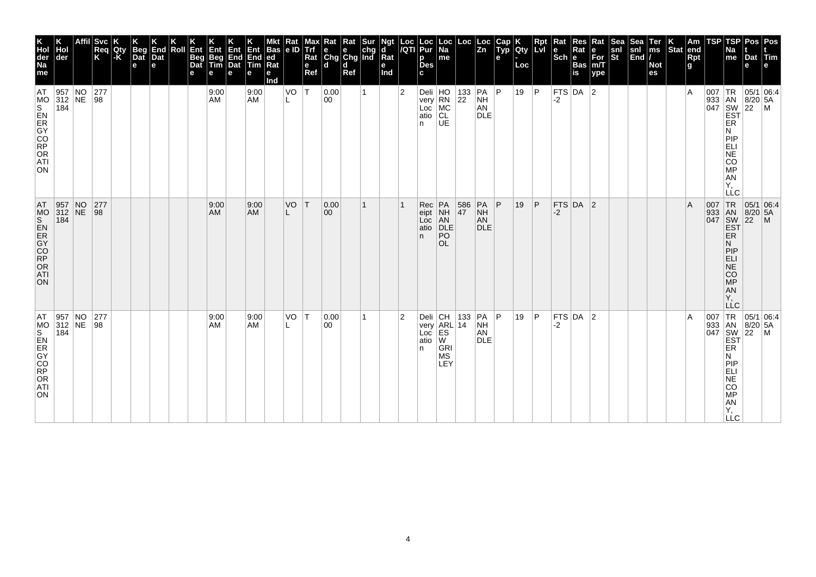| <b>Svc</b><br>End<br>Beg<br>Dat<br>Ent<br>Hol<br>Roll<br>Req<br>K<br>Qty<br> -K<br>Dat<br>der<br>Beg<br>Dat<br>e<br>e<br>е<br>957 NO<br>277<br>$312$ NE<br> 98 <br>184 |  |  |  |  | Ent<br>Beg<br>Tim<br>e<br>9:00<br>AM | Ent<br>End<br>Dat<br>е | Ent<br>End<br>Tim<br>е<br>9:00<br><b>AM</b> | <b>Bas</b><br> ed<br>Rat<br>е<br>Ind | Rat<br> e D<br>VO | <b>Max</b><br><b>Altri</b><br>Rat<br>$\mathbf e$<br>Ref<br> T | $\begin{array}{ l l }\n\hline\n\text{Rat} & \text{Rat} & \text{Sur} \\ \hline\n\text{e} & \text{e} & \text{chg} \\ \text{Chg} & \text{Chg} & \text{Ind}\n\end{array}$<br>l d<br> 0.00<br>00 | d<br>Ref | 1 | Ngt<br>d<br>Rat<br>е<br>Ind | Loc<br>/QTI<br>$\overline{2}$ | Loc<br>Pur<br>p<br><b>Des</b><br>C.<br>Deli HO<br>very RN<br>Loc<br>atio<br>n | Loc<br>  Na<br>me<br>MC<br>CL<br>UE                                              | Loc<br>$\begin{array}{ c c c }\n 133 & PA & P \\  22 & NH & \end{array}$ | Loc<br>$\overline{z}$ <sub>n</sub><br>AN<br><b>DLE</b> | Cap<br>Typ<br>e | Qty<br>Loc<br>19 | Ret<br> P | Rat<br>$\left \begin{array}{c}\n\mathbf{e} \\ \mathbf{Sch}\n\end{array}\right $ R<br>-2 | Res<br>Rat<br><b>Bas</b><br>is<br>$FTS$ DA 2 | Rat<br>e<br>For<br>m/T<br>ype | Sea<br>snl<br>St | Sea<br>snl<br>End | Ter<br>ms<br><b>Not</b><br>es | $\left \begin{array}{c} K \\ \text{Stat} \end{array}\right $ am | Rpt<br>g<br>ΙA | TSP<br>007 | TSP<br><b>Na</b><br>me<br>TR<br>933 AN 8/20<br>047 SW 22<br>EST<br>ER<br>N<br>PIP                                                          | Dat<br>е<br>$8/20$ 5A        | Pos Pos<br><b>Tim</b><br> 05/1 06:4<br> M |
|------------------------------------------------------------------------------------------------------------------------------------------------------------------------|--|--|--|--|--------------------------------------|------------------------|---------------------------------------------|--------------------------------------|-------------------|---------------------------------------------------------------|---------------------------------------------------------------------------------------------------------------------------------------------------------------------------------------------|----------|---|-----------------------------|-------------------------------|-------------------------------------------------------------------------------|----------------------------------------------------------------------------------|--------------------------------------------------------------------------|--------------------------------------------------------|-----------------|------------------|-----------|-----------------------------------------------------------------------------------------|----------------------------------------------|-------------------------------|------------------|-------------------|-------------------------------|-----------------------------------------------------------------|----------------|------------|--------------------------------------------------------------------------------------------------------------------------------------------|------------------------------|-------------------------------------------|
| $\begin{array}{ l l }\n957 & NO \\ 312 & NE\n\end{array}$<br>277<br> 98<br>184                                                                                         |  |  |  |  | 9:00<br><b>AM</b>                    |                        | 9:00<br><b>AM</b>                           |                                      | VO                | İΤ                                                            | 0.00 <br>00                                                                                                                                                                                 |          | 1 |                             |                               | Rec<br>eipt<br>Loc<br>atio<br>n.                                              | PA<br>NH<br>AN<br>DLE<br>PO<br><b>OL</b>                                         | 586<br>47                                                                | PA<br><b>NH</b><br>AN<br><b>DLE</b>                    | P               | 19               | ∣P.       | $-2$                                                                                    | $FTS$ DA 2                                   |                               |                  |                   |                               |                                                                 | ΙA             | 007        | ELI<br>NE<br>CO<br>MP<br>AN<br>Υ.<br><b>LLC</b><br>TR <sub></sub><br>933 AN<br>047 SW<br>EST<br>ER<br>N<br><b>MONES</b><br>AN<br>Y,<br>LLC | $8/20$ 5A<br>$\overline{22}$ | 05/1 06:4<br>$\mathsf{M}$                 |
| 957 NO<br>312 NE<br>277<br> 98<br>184                                                                                                                                  |  |  |  |  | 9:00<br>AM                           |                        | 9:00<br>AM                                  |                                      | VO<br>L           | ١T                                                            | 0.00<br>00                                                                                                                                                                                  |          | 1 |                             | $\overline{2}$                | n.                                                                            | Deli CH 133<br>very ARL 14<br>Loc ES<br>atio W<br><b>GRI</b><br><b>MS</b><br>LEY | 133                                                                      | PA<br><b>NH</b><br>AN<br><b>DLE</b>                    | P               | 19               | ∣P.       | FTS DA<br>-2                                                                            |                                              | $\overline{2}$                |                  |                   |                               |                                                                 | ١A             | 007        | <b>TR</b><br>933 AN<br>047 SW<br>EST<br>ER<br>N<br>PIP<br>ELI<br>NE<br>CO<br><b>MP</b><br>${\sf AN}$<br>Υ,<br><b>LLC</b>                   | 05/1 06:4<br>8/20 5A<br>22   | l M                                       |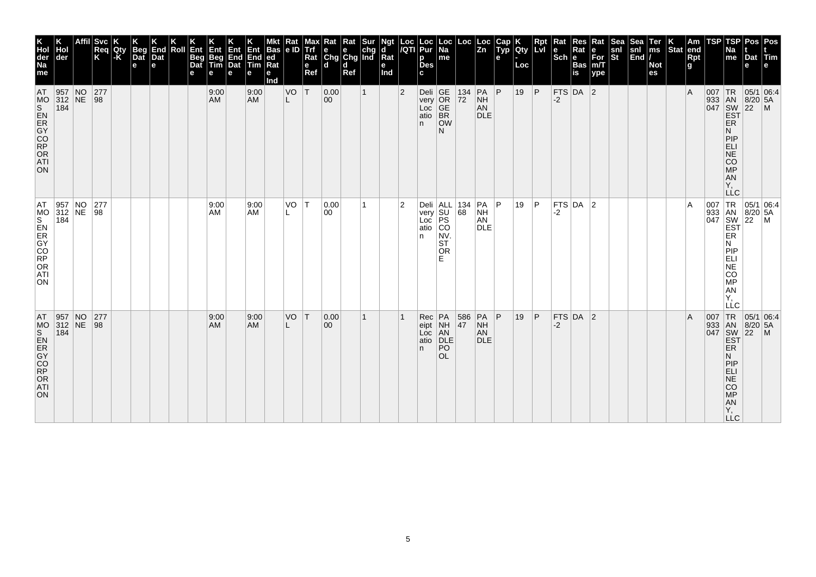| K<br>Hol<br>der<br>Na<br>me<br>AT<br>MO                                            | Hol<br>der<br>$\begin{array}{ c c c }\n 957 & \text{NO} \\  312 & \text{NE} \\  184 & \end{array}$ | <b>Svc</b><br>Req<br>K<br>$\begin{array}{ c c }\n 277 \\  98\n\end{array}$ | Qty<br>l-K | <b>Beg</b><br>Dat<br>e | End<br>Dat<br>e | Roll | Ent<br>Beg<br>Dat<br>е | Ent<br>Beg<br>Tim<br>e<br>9:00<br><b>AM</b> | Ent<br>End<br>Dat<br>е | Ent<br>End<br><b>Tim</b><br>е<br>9:00<br><b>AM</b> | <b>Bas</b><br>ed<br>$\overline{\text{Rat}}$<br>е<br>Ind | Rat<br> e D<br>VO<br>L | Max<br><b>Trf</b><br>Rat<br>e<br>Ref<br> T | Rat Rat Sur<br>e e chg<br>Chg Chg Ind<br>l d<br> 0.00<br>$ 00\rangle$ | d<br>Ref | $\mathbf{1}$ | Ngt<br>d<br>Rat<br>е<br>Ind | Loc<br>/QTI<br>$\overline{2}$ | Loc<br>Pur<br>р<br><b>Des</b><br>c<br>Deli GE<br>very OR<br>Loc GE<br>atio BR | Loc<br> Na<br>me                                                                 | Loc<br>$\begin{array}{ c c }\n 134 \\  \hline\n 72\n \end{array}$ | Loc<br>Zn<br>$PA$ $P$<br>$\frac{NH}{AN}$  | Cap<br>Typ<br>е | Qty<br>Loc<br>19 | Rpt<br> P | Rat<br>$\left \frac{e}{Sch}\right $ R<br>$-2$ | Res<br>Rat<br><b>Bas</b><br>$\overline{\mathsf{is}}$<br>$FTS$ DA 2 | Rat<br>e<br>For<br>m/T<br>ype | Sea<br>snl<br>St | Sea<br>snl<br>End | Ter<br>ms<br><b>Not</b><br>es | $\left \begin{array}{c} K \\ \end{array}\right $ Stat end | Rpt<br>g<br>l A | TSP | TSP<br>Na<br>me                                                           | Dat<br>е<br>933 AN 8/20 5.<br>047 SW 22 M<br>EST P | Pos Pos<br>Tim<br> 05/1 06:4                                                                                                                                                                                                                                                                                                                                                  |
|------------------------------------------------------------------------------------|----------------------------------------------------------------------------------------------------|----------------------------------------------------------------------------|------------|------------------------|-----------------|------|------------------------|---------------------------------------------|------------------------|----------------------------------------------------|---------------------------------------------------------|------------------------|--------------------------------------------|-----------------------------------------------------------------------|----------|--------------|-----------------------------|-------------------------------|-------------------------------------------------------------------------------|----------------------------------------------------------------------------------|-------------------------------------------------------------------|-------------------------------------------|-----------------|------------------|-----------|-----------------------------------------------|--------------------------------------------------------------------|-------------------------------|------------------|-------------------|-------------------------------|-----------------------------------------------------------|-----------------|-----|---------------------------------------------------------------------------|----------------------------------------------------|-------------------------------------------------------------------------------------------------------------------------------------------------------------------------------------------------------------------------------------------------------------------------------------------------------------------------------------------------------------------------------|
| ON                                                                                 |                                                                                                    |                                                                            |            |                        |                 |      |                        |                                             |                        |                                                    |                                                         |                        |                                            |                                                                       |          |              |                             |                               | n.                                                                            | <b>OW</b><br>N                                                                   |                                                                   | <b>DLE</b>                                |                 |                  |           |                                               |                                                                    |                               |                  |                   |                               |                                                           |                 |     | ER<br>И<br>PIP<br>EL<br>SARGE:<br>Υ,                                      |                                                    |                                                                                                                                                                                                                                                                                                                                                                               |
| AT.<br>MS<br>S<br>R<br>C<br>C<br>C<br>C<br>C<br>C<br>C<br>R<br>C<br>R<br>ATI<br>ON | $\begin{array}{ l l }\n 957 & \text{NO} \\  312 & \text{NE} \\  184 & \end{array}$                 | 277<br>$\sqrt{98}$                                                         |            |                        |                 |      |                        | 9:00<br>AM                                  |                        | 9:00<br><b>AM</b>                                  |                                                         | VO                     | $\top$                                     | 0.00<br>00                                                            |          | 1            |                             | 2                             | n                                                                             | Deli ALL 134<br>very SU 68<br>Loc PS<br>atio CO<br>NV.<br> ST<br><b>OR</b><br>F. |                                                                   | PA<br><b>NH</b><br>AN<br><b>DLE</b>       | P               | 19               | ∣P        | -2                                            | $FTS$ DA $ 2$                                                      |                               |                  |                   |                               |                                                           | ۱A              |     | Ν<br><b>MONES</b><br>AN<br>Υ,<br>LĹC                                      |                                                    | $\begin{array}{c c}\n & -C & \\ \hline\n & \sqrt{1} & \sqrt{100} \\  & 933 & \sqrt{100} \\  & 1047 & \sqrt{100} \\  & 1047 & \sqrt{100} \\  & 1047 & \sqrt{100} \\  & 1047 & \sqrt{100} \\  & 1047 & \sqrt{100} \\  & 1047 & \sqrt{100} \\  & 1047 & \sqrt{100} \\  & 1047 & \sqrt{100} \\  & 1047 & \sqrt{100} \\  & 1047 & \sqrt{100} \\  & 1047 & \sqrt{100} \\  & 1047 &$ |
| AT<br>ON                                                                           | $\begin{array}{ l l }\n957 & NO \\ 312 & NE\n\end{array}$<br>184                                   | 277<br> 98                                                                 |            |                        |                 |      |                        | 9:00<br><b>AM</b>                           |                        | 9:00<br><b>AM</b>                                  |                                                         | VO                     | T                                          | 0.00<br>$ 00\rangle$                                                  |          | 1            |                             |                               | Rec<br>eipt<br>Loc<br>atio<br>n.                                              | PA<br>NH<br>AN<br>DLE<br>PO<br><b>OL</b>                                         | 586<br>47                                                         | $PA$ $P$<br><b>NH</b><br>AN<br><b>DLE</b> |                 | 19               | P         | $-2$                                          | $FTS$ DA 2                                                         |                               |                  |                   |                               |                                                           | l A             | 007 | 933 AN<br>047 SW<br>EST<br><b>ER</b><br>N<br>PIEL<br>APSORT<br><b>LLC</b> | TR 05/1 06:4<br>$8/20$ 5A<br>$\overline{22}$       | $\mathsf{M}$                                                                                                                                                                                                                                                                                                                                                                  |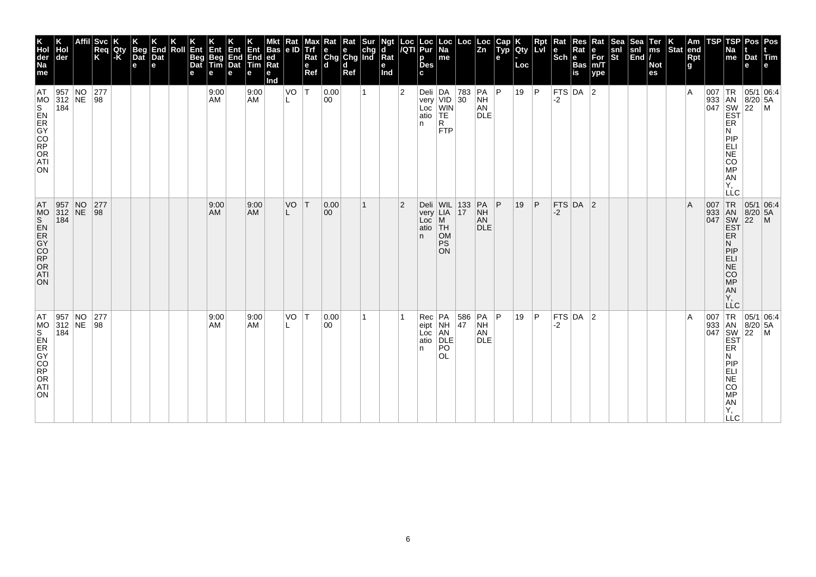|                                                                  | Hol<br>der<br>184 | $\begin{array}{ l l }\n957 & NO \\ 312 & NE\n\end{array}$ | <b>Svc</b><br>Req<br>K<br>$\begin{array}{c} 277 \\ 98 \end{array}$ | Qty<br>-K | <b>Beg</b><br>Dat<br>e | End<br>Dat<br>e | Roll | Ent<br>Beg<br>Dat<br>е | Ent<br>Beg<br>Tim<br>e<br>9:00<br>AM | Ent<br>End<br>Dat<br>е | Ent<br>End<br><b>Tim</b><br>е<br>9:00<br><b>AM</b> | <b>Bas</b><br>ed<br>$\overline{\text{Rat}}$<br>е<br>Ind | Rat<br> e D<br>VO | Max<br>Trf<br>Rat<br>e<br>Ref<br>$\top$ | $\begin{array}{ l l }\n\hline\n\text{Rat} & \text{Rat} & \text{Sur} \\ \hline\n\text{e} & \text{e} & \text{chg} \\ \text{Chg} & \text{Chg} & \text{Ind}\n\end{array}$<br>l d<br> 0.00<br>00 | d<br>Ref | 1 | Ngt<br>d<br>Rat<br>е<br>Ind | Loc<br>/QTI<br>$\overline{2}$ | Loc<br>Pur<br>р<br><b>Des</b><br>c<br>n. | $\vert$ Loc $\vert$ Na<br>me<br>Deli DA<br>very VID<br>Loc WIN<br>atio TE<br>R | Loc<br>$\begin{vmatrix} 783 & PA & P \\ 30 & NH \end{vmatrix}$ | Loc<br>Zn<br>AN<br><b>DLE</b>         | Cap<br>Typ<br>e | <b>Qty</b><br>Loc<br>19 | Rpt<br> P    | $\vert$ Rat<br>$\left \frac{e}{Sch}\right $ R<br>-2 | Res<br>Rat<br><b>Bas</b><br>$\overline{\mathsf{is}}$<br> FTS DA 2 | Rat<br>e<br>For<br>m/T<br>ype | Sea<br>snl<br>St | Sea<br>snl<br>End | Ter<br>ms<br><b>Not</b><br>es | $\left \begin{array}{c} K \\ \end{array}\right $ Stat end | Rpt<br>g<br>ΙA | TSP | TSP<br>Na<br>me<br>ER                                                                                   | Dat<br>е                                                                   | Pos Pos<br>Tim<br>$\begin{array}{c}\n 1R \\  \n 33 \\  047 \\  \n 18N \\  \n 18/20 \\  \n 16N \\  \n 16N \\  \n 16N \\  \n 16N \\  \n 16N \\  \n 16N \\  \n 16N \\  \n 16N \\  \n 16N \\  \n 16N \\  \n 16N \\  \n 16N \\  \n 16N \\  \n 16N \\  \n 16N \\  \n 16N \\  \n 16N \\  \n 16N \\  \n 16N \\  \n 16N \\  \n 16N \\  \n 16N \\  \n 16N \\  \n 16N \\  \n 16N \\  \n 16N$ |
|------------------------------------------------------------------|-------------------|-----------------------------------------------------------|--------------------------------------------------------------------|-----------|------------------------|-----------------|------|------------------------|--------------------------------------|------------------------|----------------------------------------------------|---------------------------------------------------------|-------------------|-----------------------------------------|---------------------------------------------------------------------------------------------------------------------------------------------------------------------------------------------|----------|---|-----------------------------|-------------------------------|------------------------------------------|--------------------------------------------------------------------------------|----------------------------------------------------------------|---------------------------------------|-----------------|-------------------------|--------------|-----------------------------------------------------|-------------------------------------------------------------------|-------------------------------|------------------|-------------------|-------------------------------|-----------------------------------------------------------|----------------|-----|---------------------------------------------------------------------------------------------------------|----------------------------------------------------------------------------|-----------------------------------------------------------------------------------------------------------------------------------------------------------------------------------------------------------------------------------------------------------------------------------------------------------------------------------------------------------------------------------|
|                                                                  |                   |                                                           |                                                                    |           |                        |                 |      |                        |                                      |                        |                                                    |                                                         |                   |                                         |                                                                                                                                                                                             |          |   |                             |                               |                                          | FTP                                                                            |                                                                |                                       |                 |                         |              |                                                     |                                                                   |                               |                  |                   |                               |                                                           |                |     | N<br>PIP<br>EL<br>ANGO<br>Υ,<br><b>LLC</b>                                                              |                                                                            |                                                                                                                                                                                                                                                                                                                                                                                   |
| 957 NO<br>312 NE<br>184                                          |                   |                                                           | 277<br> 98                                                         |           |                        |                 |      |                        | 9:00<br>AM                           |                        | 9:00<br><b>AM</b>                                  |                                                         | VO                | ΙT                                      | 0.00 <br>$ 00\rangle$                                                                                                                                                                       |          | 1 |                             | $\overline{2}$                | Deli<br>very<br>Loc<br>atio<br>n.        | WIL 133<br>M<br>∣TH<br><b>OM</b><br><b>PS</b><br><b>ON</b>                     |                                                                | PA<br><b>NH</b><br>AN<br><b>DLE</b>   | P               | 19                      | $\mathsf{P}$ | -2                                                  | FTS DA 2                                                          |                               |                  |                   |                               |                                                           | ΙA             |     | 007 TR<br>933 AN<br>047 SW<br>EST<br>ER<br>N<br>PIP<br>ELI<br>NE<br>CO <sub>MP</sub><br>AN<br>Y,<br>LĹC | 05/1 06.4<br>$8/20$ 5A<br>22                                               | $\mathsf{M}$                                                                                                                                                                                                                                                                                                                                                                      |
| $\begin{array}{ l l }\n957 & NO \\ 312 & NE\n\end{array}$<br>184 |                   |                                                           | 277<br> 98                                                         |           |                        |                 |      |                        | 9:00<br>AM                           |                        | 9:00<br><b>AM</b>                                  |                                                         | VO                | T                                       | 0.00<br>$ 00\rangle$                                                                                                                                                                        |          | 1 |                             |                               | Rec<br>eipt<br>Loc<br>atio<br>n.         | PA<br>NH<br>AN<br>DLE<br>PO<br>OL.                                             | 586<br>47                                                      | PA P<br><b>NH</b><br>AN<br><b>DLE</b> |                 | 19                      | P            | -2                                                  | $FTS$ DA $ 2$                                                     |                               |                  |                   |                               |                                                           | ΙA             | 007 | 933 AN<br>047 SW<br>EST<br>ER<br>N<br>PIP<br>ELI<br>COMPORTY,<br><b>LLC</b>                             | TR 05/1 06:4<br>$\begin{array}{ c c }\n 8/20 & 5A \\  22 & M\n\end{array}$ |                                                                                                                                                                                                                                                                                                                                                                                   |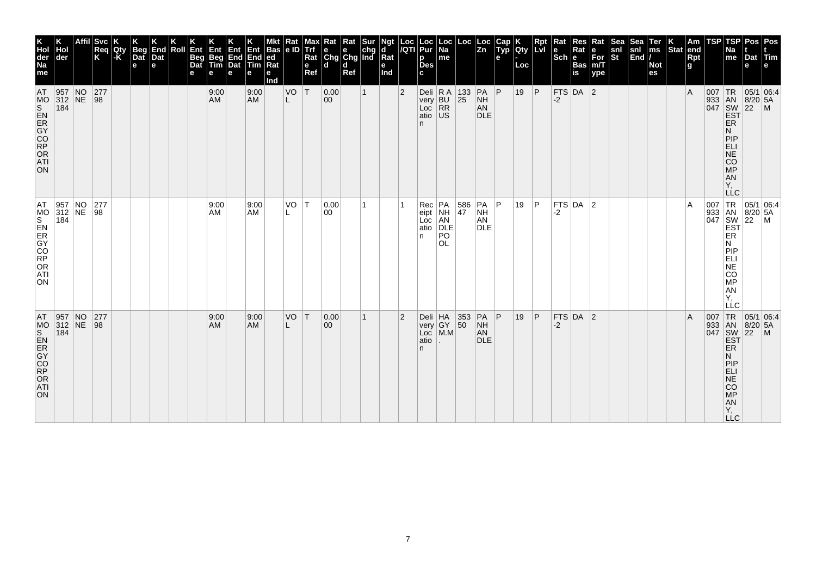| K<br>Hol<br>der<br>Na<br>me<br>AT                                                  | Hol<br>der<br>$\begin{array}{ c c c }\n 957 & \text{NO} \\  312 & \text{NE} \\  184 & \end{array}$ | Svc<br>Req<br>K<br>$\begin{array}{c} 277 \\ 98 \end{array}$ | Qty<br>l-K | <b>Beg</b><br>Dat<br>e | End<br>Dat<br>e | Roll | Ent<br>Beg<br>Dat<br>е | Ent<br>Beg<br>Tim<br>e<br>9:00<br><b>AM</b> | Ent<br>End<br>Dat<br>е | Ent<br>End<br><b>Tim</b><br>е<br>9:00<br><b>AM</b> | <b>Bas</b><br>ed<br>Ra<br>е<br>Ind | Rat<br> e D<br>VO<br>L | Max<br>Trf<br>Rat<br>e<br>Ref<br> T | Rat<br>$\begin{array}{ c c c }\n\hline\ne & e & chg \\ \hline\nChg & Chg & Ind\n\end{array}$<br>l d<br> 0.00<br>$ 00\rangle$ | Rat<br>d<br>Ref | <b>Sur</b><br>$\mathbf{1}$ | Ngt<br>d<br>Rat<br>е<br>Ind | Loc<br>/QTI<br>$\overline{2}$ | Loc<br>Pur<br>р<br><b>Des</b><br>c                 | Loc<br> Na<br>me                                     | Loc<br>Deli R A 133 PA P<br>very BU 25 NH         | Loc<br>$\overline{z_n}$<br>$\frac{NH}{AN}$ | Cap<br>Typ<br>е | Qty<br>Loc<br>19 | Rpt<br> P | Rat<br>$\left \frac{e}{Sch}\right $ R<br>-2 | Res<br>Rat<br><b>Bas</b><br>$\overline{\mathsf{is}}$<br>$FTS$ DA 2 | Rat<br>e<br>For<br>m/T<br>ype | Sea<br>snl<br>St | Sea<br>snl<br>End | Ter<br>ms<br><b>Not</b><br>es | $\left \begin{array}{c} K \\ \end{array}\right $ Stat end | Rpt<br>g<br>l A | TSP | TSP<br>Na<br>me                                                           | Dat<br>е<br>933 AN 8/20 5.<br>047 SW 22 M<br>EST P | Pos Pos<br><b>ITim</b><br>$05/1$ 06:4                                                                                                                                                                                                                                                                                                                                         |
|------------------------------------------------------------------------------------|----------------------------------------------------------------------------------------------------|-------------------------------------------------------------|------------|------------------------|-----------------|------|------------------------|---------------------------------------------|------------------------|----------------------------------------------------|------------------------------------|------------------------|-------------------------------------|------------------------------------------------------------------------------------------------------------------------------|-----------------|----------------------------|-----------------------------|-------------------------------|----------------------------------------------------|------------------------------------------------------|---------------------------------------------------|--------------------------------------------|-----------------|------------------|-----------|---------------------------------------------|--------------------------------------------------------------------|-------------------------------|------------------|-------------------|-------------------------------|-----------------------------------------------------------|-----------------|-----|---------------------------------------------------------------------------|----------------------------------------------------|-------------------------------------------------------------------------------------------------------------------------------------------------------------------------------------------------------------------------------------------------------------------------------------------------------------------------------------------------------------------------------|
| ON                                                                                 |                                                                                                    |                                                             |            |                        |                 |      |                        |                                             |                        |                                                    |                                    |                        |                                     |                                                                                                                              |                 |                            |                             |                               | very BU<br>Loc RR<br>atio US<br>n.                 |                                                      |                                                   | <b>DLE</b>                                 |                 |                  |           |                                             |                                                                    |                               |                  |                   |                               |                                                           |                 |     | ER<br>И<br>PIP<br>EL<br>SARGE:<br>Υ,                                      |                                                    |                                                                                                                                                                                                                                                                                                                                                                               |
| AT.<br>MS<br>S<br>R<br>O<br>R<br>O<br>R<br>O<br>R<br>O<br>R<br>O<br>R<br>ATI<br>ON | $\begin{array}{ l l }\n 957 & \text{NO} \\  312 & \text{NE} \\  184 & \end{array}$                 | 277<br>$\sqrt{98}$                                          |            |                        |                 |      |                        | 9:00<br>AM                                  |                        | 9:00<br>AM                                         |                                    | VO                     | IТ.                                 | 0.00<br>00                                                                                                                   |                 |                            |                             |                               | Rec<br>eipt<br>Loc<br>atio<br>n.                   | PA<br>NH<br>AN<br>DLE<br>P <sub>O</sub><br><b>OL</b> | $\begin{array}{ c } \hline 586 \\ 47 \end{array}$ | PA<br><b>NH</b><br>AN<br><b>DLE</b>        | P               | 19               | ∣P.       | -2                                          | $FTS$ DA $ 2$                                                      |                               |                  |                   |                               |                                                           | ۱A              |     | Ν<br><b>MONES</b><br>AN<br>Υ,<br>LĹC                                      |                                                    | $\begin{array}{c c}\n & -C & \\ \hline\n & \sqrt{1} & \sqrt{100} \\  & 933 & \sqrt{100} \\  & 1047 & \sqrt{100} \\  & 1047 & \sqrt{100} \\  & 1047 & \sqrt{100} \\  & 1047 & \sqrt{100} \\  & 1047 & \sqrt{100} \\  & 1047 & \sqrt{100} \\  & 1047 & \sqrt{100} \\  & 1047 & \sqrt{100} \\  & 1047 & \sqrt{100} \\  & 1047 & \sqrt{100} \\  & 1047 & \sqrt{100} \\  & 1047 &$ |
| AT<br>ON                                                                           | $\begin{array}{ l l }\n957 & NO \\ 312 & NE\n\end{array}$<br>184                                   | 277<br> 98                                                  |            |                        |                 |      |                        | 9:00<br><b>AM</b>                           |                        | 9:00<br><b>AM</b>                                  |                                    | VO                     | T                                   | 0.00<br>$ 00\rangle$                                                                                                         |                 | $\mathbf{1}$               |                             | $\overline{2}$                | Deli HA 353<br>very GY 50<br>Loc M.M<br>atio<br>n. |                                                      |                                                   | $PA$ $P$<br><b>NH</b><br>AN<br><b>DLE</b>  |                 | 19               | P         | $-2$                                        | $FTS$ DA 2                                                         |                               |                  |                   |                               |                                                           | l A             | 007 | 933 AN<br>047 SW<br>EST<br><b>ER</b><br>N<br>PIEL<br>APSORT<br><b>LLC</b> | $8/20$ 5A<br>$\overline{22}$                       | TR 05/1 06:4<br>$\mathsf{M}$                                                                                                                                                                                                                                                                                                                                                  |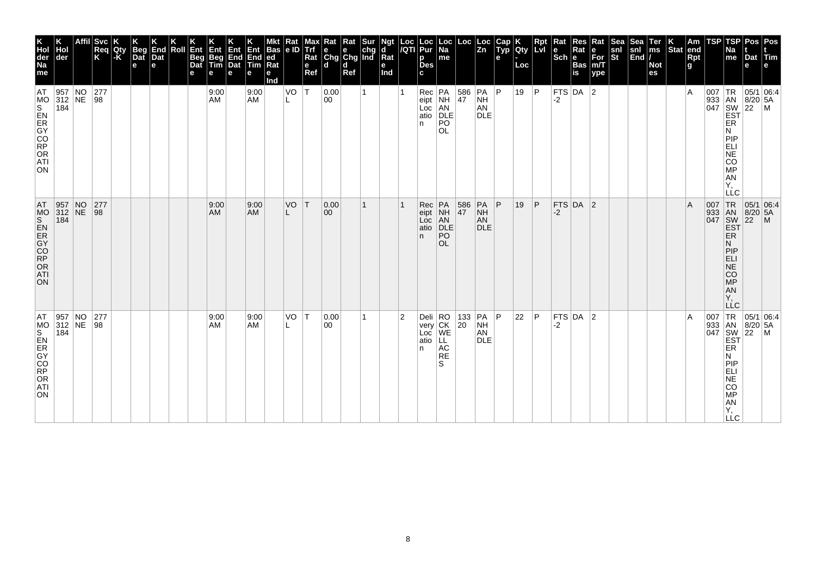| ГSР<br>Pos l<br>Pos<br>Na<br>me<br>Dat Tim<br>e<br>e                                                   | $007$ TR<br> 05/1 06:4<br>933 AN<br>047 SW<br>EST<br>$8/20$ 5A<br>$22$ M<br>ER<br>Ν<br>PIP<br>ELI<br>NE<br>CO<br>MP<br>AN<br>AN<br>Y,<br>LLC | TR<br>AN<br>SW<br>EST<br>$\begin{array}{ c c }\n 05/1 & 06.4 \\  8/20 & 5A\n\end{array}$<br>22<br>$\mathsf{M}$<br>ER<br>Ν<br>PIP<br>ELI<br>NE<br>CO<br>MP<br>AN<br>AN<br>Ÿ,<br>LĹC | TR<br> 05/1 06:4<br>933 AN<br>047 SW<br>EST<br>$8/20$ 5A<br>$ 22\rangle$<br>$\mathsf{M}$<br><b>ER</b><br>N<br>PIP<br>ELI<br>NE<br>CO<br>MP<br>Y, |
|--------------------------------------------------------------------------------------------------------|----------------------------------------------------------------------------------------------------------------------------------------------|------------------------------------------------------------------------------------------------------------------------------------------------------------------------------------|--------------------------------------------------------------------------------------------------------------------------------------------------|
| <b>TSP</b>                                                                                             |                                                                                                                                              | 007<br>933<br>047                                                                                                                                                                  | 007                                                                                                                                              |
| $\vert$ Am<br>end<br>Rpt<br>g                                                                          | ١A                                                                                                                                           | A                                                                                                                                                                                  | ΙA                                                                                                                                               |
| Stat                                                                                                   |                                                                                                                                              |                                                                                                                                                                                    |                                                                                                                                                  |
| Ter<br>ms<br><b>Not</b><br>es                                                                          |                                                                                                                                              |                                                                                                                                                                                    |                                                                                                                                                  |
| Sea<br>snl<br> End /                                                                                   |                                                                                                                                              |                                                                                                                                                                                    |                                                                                                                                                  |
| $\frac{\mathsf{snl}}{\mathsf{St}}$                                                                     |                                                                                                                                              |                                                                                                                                                                                    |                                                                                                                                                  |
| Rat<br>$\left  \begin{array}{l} \mathsf{e} \\ \mathsf{For} \\ \mathsf{m/T} \end{array} \right $<br>ype |                                                                                                                                              |                                                                                                                                                                                    |                                                                                                                                                  |
| Res<br>Rat<br><b>Bas</b><br>is                                                                         |                                                                                                                                              |                                                                                                                                                                                    |                                                                                                                                                  |
| Rat<br>$ \mathsf{Sch} $ e                                                                              | FTS $DA$ 2<br>$-2$                                                                                                                           | $FTS$ DA 2<br>-2                                                                                                                                                                   | $FTS$ DA 2<br>$-2$                                                                                                                               |
| <b>Rpt</b><br>LVI                                                                                      | P                                                                                                                                            | ∣P                                                                                                                                                                                 | P                                                                                                                                                |
| <b>ICity</b><br>Loc                                                                                    | 19                                                                                                                                           | 19                                                                                                                                                                                 | 22                                                                                                                                               |
| Cap<br>Typ<br>е                                                                                        | P                                                                                                                                            | P                                                                                                                                                                                  | P                                                                                                                                                |
|                                                                                                        | PA<br>NH<br>AN <sup>1</sup><br>DLE                                                                                                           | PA<br>NH<br>AN<br><b>DLE</b>                                                                                                                                                       | AN<br><b>DLE</b>                                                                                                                                 |
| $\left \begin{array}{c} \text{Loc} \\ \text{Zn} \end{array}\right $                                    | $\begin{array}{ c c }\n 586 \\  47\n\end{array}$                                                                                             | 586<br>47                                                                                                                                                                          | 133 PA<br>20 NH                                                                                                                                  |
| Loc<br>Na<br>me                                                                                        | PO<br><b>OL</b>                                                                                                                              | PA<br>NH<br>AN<br>DLE<br>PO<br><b>OL</b>                                                                                                                                           | LL.<br>AC<br><b>RE</b><br>S                                                                                                                      |
| Loc Loc<br>/QTI Pur<br>р<br><b>Des</b><br>c                                                            | Rec PA<br>eipt NH<br>Loc AN<br>atio DLE<br>n.                                                                                                | Rec<br>$ $ eipt<br>Loc<br>atio<br>n.                                                                                                                                               | Deli RO<br>very CK<br>Loc WE<br>atio<br>n.                                                                                                       |
|                                                                                                        |                                                                                                                                              |                                                                                                                                                                                    | $ 2\rangle$                                                                                                                                      |
| Ngt<br>ď<br>$Ra$ t<br>е<br>Ind                                                                         |                                                                                                                                              |                                                                                                                                                                                    |                                                                                                                                                  |
| <b>x</b> Rat Rat Sur<br>e e chg<br>Chg Chg Ind                                                         | 1                                                                                                                                            | 1                                                                                                                                                                                  | 1                                                                                                                                                |
| d<br>Ref                                                                                               |                                                                                                                                              |                                                                                                                                                                                    |                                                                                                                                                  |
| <b>d</b>                                                                                               | 0.00<br>00                                                                                                                                   | 0.00<br>$ 00\rangle$                                                                                                                                                               | 0.00<br>$ 00\rangle$                                                                                                                             |
| мах<br>Trf<br>Rat<br>$\mathbf e$<br>Ref                                                                | T                                                                                                                                            | T                                                                                                                                                                                  |                                                                                                                                                  |
| Rat<br> e ID                                                                                           | VO<br>L                                                                                                                                      | VO                                                                                                                                                                                 | VO T                                                                                                                                             |
| <b>Bas</b><br> ed<br> Rat<br>е<br>Ind                                                                  |                                                                                                                                              |                                                                                                                                                                                    |                                                                                                                                                  |
| Ent<br>End<br>Tim<br>е                                                                                 | 9:00<br>AM                                                                                                                                   | 9:00<br>AM                                                                                                                                                                         | 9:00<br>AM                                                                                                                                       |
| Ent<br>End<br>Dat<br>е                                                                                 |                                                                                                                                              |                                                                                                                                                                                    |                                                                                                                                                  |
| Ent<br>Beg<br>Tim<br>е                                                                                 | 9:00<br>AM                                                                                                                                   | 9:00<br>AM                                                                                                                                                                         | 9:00<br>AM                                                                                                                                       |
| Ent<br>Beg<br>Dat<br>е                                                                                 |                                                                                                                                              |                                                                                                                                                                                    |                                                                                                                                                  |
| Roll                                                                                                   |                                                                                                                                              |                                                                                                                                                                                    |                                                                                                                                                  |
| End<br>Dat<br>e                                                                                        |                                                                                                                                              |                                                                                                                                                                                    |                                                                                                                                                  |
| <b>Beg</b><br>Dat<br>e                                                                                 |                                                                                                                                              |                                                                                                                                                                                    |                                                                                                                                                  |
| Qty<br>l-K                                                                                             |                                                                                                                                              |                                                                                                                                                                                    |                                                                                                                                                  |
| <b>Svc</b><br>Req<br>K                                                                                 | $\begin{vmatrix} 277 \\ 98 \end{vmatrix}$                                                                                                    | 277<br> 98                                                                                                                                                                         | 277<br> 98                                                                                                                                       |
|                                                                                                        |                                                                                                                                              |                                                                                                                                                                                    |                                                                                                                                                  |
| Hol<br>der                                                                                             | $\begin{array}{ l l }\n957 & NO \\ 312 & NE\n\end{array}$<br>184                                                                             | AT 957 NO<br>MO 312 NE<br>184                                                                                                                                                      | 957 NO<br>312 NE<br>184                                                                                                                          |
| K<br>Hol<br>der<br>Na<br>me                                                                            | AT<br>ON                                                                                                                                     | 02009250<br>02002<br><b>ATI</b><br>ON                                                                                                                                              | AT                                                                                                                                               |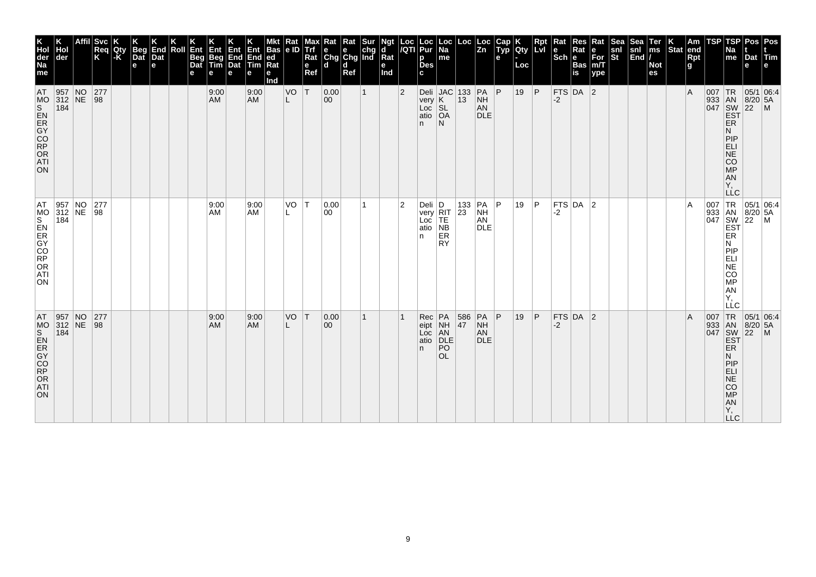| K<br>Hol<br>der<br>Na<br>me<br>AT                                                         | Hol<br>der<br>957 NO<br>312 NE<br>184                                              | <b>Svc</b><br>Req<br>K<br>$\begin{array}{ c c }\n 277 \\  98\n\end{array}$ | Qty<br>l-K | <b>Beg</b><br>Dat<br>e | End<br>Dat<br>e | Roll | Ent<br>Beg<br>Dat<br>е | Ent<br>Beg<br>Tim<br>e<br>9:00<br><b>AM</b> | Ent<br>End<br>Dat<br>е | Ent<br>End<br><b>Tim</b><br>е<br>9:00<br><b>AM</b> | <b>Bas</b><br>ed<br>$\overline{\text{Rat}}$<br>е<br>Ind | Rat<br> e D<br>VO<br>L | Max<br>Trf<br>Rat<br>e<br>Ref<br> T | Rat Rat Sur<br>e e chg<br>Chg Chg Ind<br>l d<br> 0.00<br>$ 00\rangle$ | d<br>Ref | $\mathbf{1}$ | Ngt<br>d<br>Rat<br>e<br>Ind | Loc<br>/QTI<br>$\overline{2}$ | Loc<br>Pur<br>р<br><b>Des</b><br>c<br>very <b>K</b>                                                                                           | Loc<br> Na<br>me                   | Loc                                      | Loc<br>Zn<br>Deli JAC 133 PA P<br>very K 13 NH<br><b>NH</b> | Cap<br>Typ<br>е | Qty<br>Loc<br>19 | Rpt<br> P | Rat<br>$\left \frac{e}{Sch}\right $ R<br>-2 | Res<br>Rat<br><b>Bas</b><br>$\overline{\mathsf{is}}$<br>$FTS$ DA 2 | Rat<br>e<br>For<br>m/T<br>ype | Sea<br>snl<br>St | Sea<br>snl<br>End | Ter<br>ms<br><b>Not</b><br>es | $\left \begin{array}{c} K \\ \end{array}\right $ Stat end | Rpt<br>g<br>l A | TSP | TSP<br>Na<br>me                                                           | Dat<br>е                               | Pos Pos<br><b><i>littm</i></b><br> 05/1 06:4                                                                                                                                                                                                                                                                                                                                  |
|-------------------------------------------------------------------------------------------|------------------------------------------------------------------------------------|----------------------------------------------------------------------------|------------|------------------------|-----------------|------|------------------------|---------------------------------------------|------------------------|----------------------------------------------------|---------------------------------------------------------|------------------------|-------------------------------------|-----------------------------------------------------------------------|----------|--------------|-----------------------------|-------------------------------|-----------------------------------------------------------------------------------------------------------------------------------------------|------------------------------------|------------------------------------------|-------------------------------------------------------------|-----------------|------------------|-----------|---------------------------------------------|--------------------------------------------------------------------|-------------------------------|------------------|-------------------|-------------------------------|-----------------------------------------------------------|-----------------|-----|---------------------------------------------------------------------------|----------------------------------------|-------------------------------------------------------------------------------------------------------------------------------------------------------------------------------------------------------------------------------------------------------------------------------------------------------------------------------------------------------------------------------|
| MS<br>ADR<br>ATI<br>ON                                                                    |                                                                                    |                                                                            |            |                        |                 |      |                        |                                             |                        |                                                    |                                                         |                        |                                     |                                                                       |          |              |                             |                               | Loc SL<br>atio OA<br>n.                                                                                                                       | N                                  |                                          | AN<br><b>DLE</b>                                            |                 |                  |           |                                             |                                                                    |                               |                  |                   |                               |                                                           |                 |     | ER<br>И<br>PIP<br>EL<br>SARGE:<br>Υ,                                      | 933 AN 8/20 5.<br>047 SW 22 M<br>EST P |                                                                                                                                                                                                                                                                                                                                                                               |
| AT.<br>MS<br>S<br>R<br>O<br>R<br>O<br>R<br>O<br>R<br>O<br>R<br>O<br>R<br>ATI<br><b>ON</b> | $\begin{array}{ l l }\n 957 & \text{NO} \\  312 & \text{NE} \\  184 & \end{array}$ | 277<br>$\sqrt{98}$                                                         |            |                        |                 |      |                        | 9:00<br>AM                                  |                        | 9:00<br><b>AM</b>                                  |                                                         | VO                     | IТ.                                 | 0.00<br>00                                                            |          | 1            |                             | 2                             | Deli $ D $<br>$\begin{bmatrix} \text{very} \\ \text{Leur} \end{bmatrix}$ $\begin{bmatrix} \text{RIT} \\ \text{IE} \end{bmatrix}$<br>atio<br>n | $N\bar{B}$<br>ER<br><b>RY</b>      | $\begin{array}{c} 133 \\ 23 \end{array}$ | PA P<br><b>NH</b><br>AN<br><b>DLE</b>                       |                 | 19               | ∣P.       | -2                                          | $FTS$ DA 2                                                         |                               |                  |                   |                               |                                                           | ۱A              |     | Ν<br>PIP<br>ELI<br>NE<br>CO <sub>MP</sub><br>AN<br>Υ,<br>LĹC              |                                        | $\begin{array}{c c}\n & -C & \\ \hline\n & \sqrt{1} & \sqrt{100} \\  & 933 & \sqrt{100} \\  & 1047 & \sqrt{100} \\  & 1047 & \sqrt{100} \\  & 1047 & \sqrt{100} \\  & 1047 & \sqrt{100} \\  & 1047 & \sqrt{100} \\  & 1047 & \sqrt{100} \\  & 1047 & \sqrt{100} \\  & 1047 & \sqrt{100} \\  & 1047 & \sqrt{100} \\  & 1047 & \sqrt{100} \\  & 1047 & \sqrt{100} \\  & 1047 &$ |
| AT<br>ON                                                                                  | $\begin{array}{ l l }\n957 & NO \\ 312 & NE\n\end{array}$<br>184                   | 277<br> 98                                                                 |            |                        |                 |      |                        | 9:00<br><b>AM</b>                           |                        | 9:00<br><b>AM</b>                                  |                                                         | VO                     | T                                   | 0.00<br>$ 00\rangle$                                                  |          | 1            |                             |                               | Rec<br>eipt<br>Loc<br>atio<br>n.                                                                                                              | PA<br>NH<br>AN<br>DLE<br>PO<br>OL. | 586<br>47                                | $PA$ $P$<br><b>NH</b><br>AN<br><b>DLE</b>                   |                 | 19               | P         | $-2$                                        | $FTS$ DA 2                                                         |                               |                  |                   |                               |                                                           | l A             | 007 | 933 AN<br>047 SW<br>EST<br><b>ER</b><br>N<br>PIEL<br>APSORT<br><b>LLC</b> | $8/20$ 5A<br>$\overline{22}$           | TR 05/1 06:4<br>$\mathsf{M}$                                                                                                                                                                                                                                                                                                                                                  |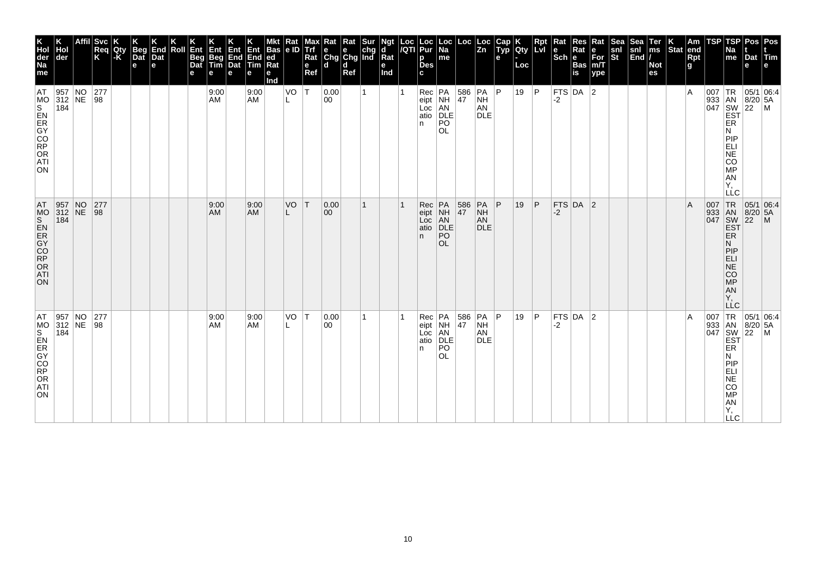|                                                                  | Hol<br>der<br>184 | $\begin{array}{ l l }\n957 & NO \\ 312 & NE\n\end{array}$ | <b>Svc</b><br>Req<br>K<br>$\begin{array}{c} 277 \\ 98 \end{array}$ | Qty<br>-K | Beg<br>Dat<br>e | K<br>End<br>Dat<br>e | Roll | Ent<br>Beg<br>Dat<br>е | Ent<br>Beg<br>Tim<br>e<br>9:00<br>AM | Ent<br>End<br>Dat<br>е | Ent<br>End<br>Tim<br>е<br>9:00<br><b>AM</b> | <b>Bas</b><br>ed<br>$\overline{\mathsf{Rat}}$<br>е<br>Ind | Rat<br> e D<br>VO | <b>Alaxy</b><br>Rat<br>e<br>Ref<br>$\top$ | Rat Rat Sur<br>e e chg<br>Chg Chg Ind<br>l d<br> 0.00<br>00 | d<br>Ref | 1 | Ngt<br>d<br>Rat<br>е<br>Ind | Loc<br>/QTI | Loc<br>Pur<br>р<br><b>Des</b><br>c<br>Rec PA<br>eipt NH<br>Loc AN<br>atio DLE<br>n. | $\vert$ Loc $\vert$ Na<br>me<br>PO       | Loc<br>386 | Loc<br>Zn<br>$ PA $ $ P $<br><b>NH</b><br>AN<br><b>DLE</b> | Cap<br>Typ<br>e | <b>Qty</b><br>Loc<br>19 | Rpt<br> P    | $\vert$ Rat<br>$ \textbf{e} $ R <sub>i</sub><br>Sch $ \textbf{e} $<br> FTS DA 2<br>-2 | <b>Res</b><br>Rat<br><b>Bas</b><br>$\overline{\mathsf{is}}$ | Rat<br>e<br>For<br>m/T<br>ype | Sea<br>snl<br>St | Sea<br>snl<br>End | Ter<br>ms<br><b>Not</b><br>es | $\vert_{\text{Stat}}^{\mathsf{K}}\vert$ | $\vert$ Am<br>end<br>Rpt<br>g<br>ΙA | TSP | TSP<br>Na<br>me<br>ER                                                                            | Dat<br>е                     | Pos   Pos<br>Tim<br>е<br>$\begin{array}{c}\n 1R \\  \n 33 \\  047 \\  \n 18N \\  \n 18/20 \\  \n 16N \\  \n 16N \\  \n 16N \\  \n 16N \\  \n 16N \\  \n 16N \\  \n 16N \\  \n 16N \\  \n 16N \\  \n 16N \\  \n 16N \\  \n 16N \\  \n 16N \\  \n 16N \\  \n 16N \\  \n 16N \\  \n 16N \\  \n 16N \\  \n 16N \\  \n 16N \\  \n 16N \\  \n 16N \\  \n 16N \\  \n 16N \\  \n 16N \\  \n 16N$ |
|------------------------------------------------------------------|-------------------|-----------------------------------------------------------|--------------------------------------------------------------------|-----------|-----------------|----------------------|------|------------------------|--------------------------------------|------------------------|---------------------------------------------|-----------------------------------------------------------|-------------------|-------------------------------------------|-------------------------------------------------------------|----------|---|-----------------------------|-------------|-------------------------------------------------------------------------------------|------------------------------------------|------------|------------------------------------------------------------|-----------------|-------------------------|--------------|---------------------------------------------------------------------------------------|-------------------------------------------------------------|-------------------------------|------------------|-------------------|-------------------------------|-----------------------------------------|-------------------------------------|-----|--------------------------------------------------------------------------------------------------|------------------------------|------------------------------------------------------------------------------------------------------------------------------------------------------------------------------------------------------------------------------------------------------------------------------------------------------------------------------------------------------------------------------------------|
|                                                                  |                   |                                                           |                                                                    |           |                 |                      |      |                        |                                      |                        |                                             |                                                           |                   |                                           |                                                             |          |   |                             |             |                                                                                     | OL.                                      |            |                                                            |                 |                         |              |                                                                                       |                                                             |                               |                  |                   |                               |                                         |                                     |     | N<br>PIP<br>EL<br>ANGO<br>Υ,<br><b>LLC</b>                                                       |                              |                                                                                                                                                                                                                                                                                                                                                                                          |
| 957 NO<br>312 NE<br>184                                          |                   |                                                           | 277<br> 98                                                         |           |                 |                      |      |                        | 9:00<br>AM                           |                        | 9:00<br><b>AM</b>                           |                                                           | VO                | ΙT                                        | 0.00 <br>$ 00\rangle$                                       |          | 1 |                             |             | Rec<br>eipt<br>Loc<br>atio<br>n.                                                    | PA<br>NH<br>AN<br>DLE<br>PO<br><b>OL</b> | 586<br>47  | PA<br><b>NH</b><br>AN<br><b>DLE</b>                        | P               | 19                      | $\mathsf{P}$ | -2                                                                                    | FTS DA 2                                                    |                               |                  |                   |                               |                                         | A                                   |     | 007 TR<br>933 AN<br>047 SW<br>EST<br>ER<br>N<br>PIP<br>ELI<br>NE<br>CO <sub>MP</sub><br>AN<br>Y, | 05/1 06:4<br>$8/20$ 5A<br>22 | $\mathsf{M}$                                                                                                                                                                                                                                                                                                                                                                             |
| $\begin{array}{ l l }\n957 & NO \\ 312 & NE\n\end{array}$<br>184 |                   |                                                           | 277<br> 98                                                         |           |                 |                      |      |                        | 9:00<br>AM                           |                        | 9:00<br><b>AM</b>                           |                                                           | VO                | $\top$                                    | 0.00<br>00                                                  |          | 1 |                             |             | Rec<br>eipt<br>Loc<br>atio<br>n.                                                    | PA<br>NH<br>AN<br>DLE<br>PO<br><b>OL</b> | 586<br>47  | PA P<br><b>NH</b><br>AN<br><b>DLE</b>                      |                 | 19                      | P            | -2                                                                                    | $FTS$ DA $ 2$                                               |                               |                  |                   |                               |                                         | ΙA                                  |     | ER<br>Ν<br>PIP<br>ELI<br>COMPORTY,<br><b>LLC</b>                                                 |                              | $\begin{array}{c c}\n & C \\ \hline\n\text{1 TR} & 05/1 & 06.4 \\ 933 & AN & 8/20 & F \\ 047 & SN & 22 \\ \hline\n & EST & EF \\  & FP & \n\end{array}$                                                                                                                                                                                                                                  |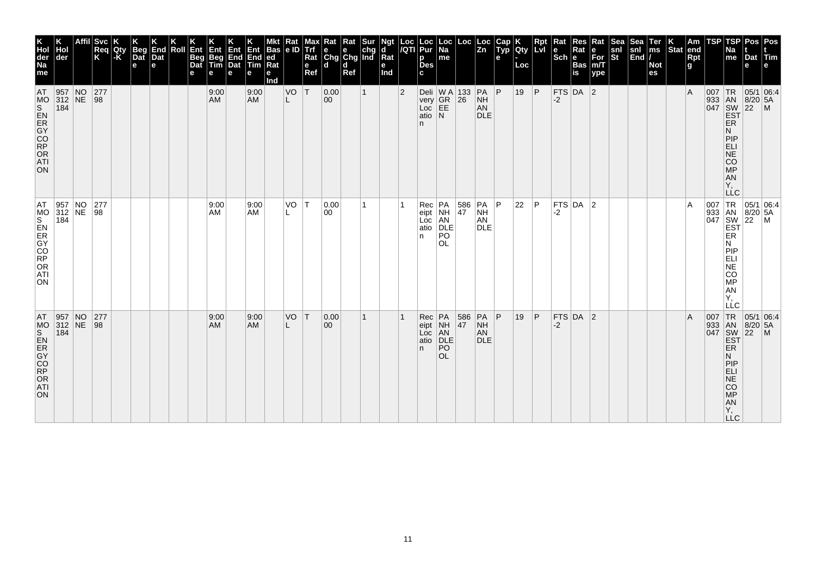| K<br>Hol<br>der<br>Na<br>me<br>AT                                                         | Hol<br>der<br>$\begin{array}{ c c c }\n 957 & \text{NO} \\  312 & \text{NE} \\  184 & \end{array}$ | <b>Svc</b><br>Req<br>K<br>$\begin{array}{ c c }\n 277 \\  98\n\end{array}$ | Qty<br>l-K | <b>Beg</b><br>Dat<br>e | End<br>Dat<br>e | Roll | Ent<br>Beg<br>Dat<br>е | Ent<br>Beg<br>Tim<br>e<br>9:00<br><b>AM</b> | Ent<br>End<br>Dat<br>е | Ent<br>End<br><b>Tim</b><br>е<br>9:00<br><b>AM</b> | <b>Bas</b><br>ed<br>$\overline{\text{Rat}}$<br>е<br>Ind | Rat<br> e D<br>VO<br>L | Max<br><b>Trf</b><br>Rat<br>e<br>Ref<br> T | Rat Rat Sur<br>e e chg<br>Chg Chg Ind<br>l d<br> 0.00<br>$ 00\rangle$ | d<br>Ref | $\mathbf{1}$ | Ngt<br>d<br>Rat<br>е<br>Ind | Loc<br>/QTI<br>$\overline{2}$ | Loc<br>Pur<br>р<br><b>Des</b><br>c | Loc<br> Na<br>me                                            | Loc<br>Deli W A 133<br>very GR 26                 | Loc<br>Zn<br>$PA$ $P$                           | Cap<br>Typ<br>е | Qty<br>Loc<br>19 | Rpt<br> P | Rat<br>$\left \frac{e}{Sch}\right $ R<br>-2 | Res<br>Rat<br><b>Bas</b><br>$\overline{\mathsf{is}}$<br>$FTS$ DA 2 | Rat<br>e<br>For<br>m/T<br>ype | Sea<br>snl<br>St | Sea<br>snl<br>End | Ter<br>ms<br><b>Not</b><br>es | $\left \begin{array}{c} K \\ \end{array}\right $ Stat end | Rpt<br>g<br>l A | TSP | TSP<br>Na<br>me                                                           | Dat<br>е                               | Pos   Pos<br>Tim<br> 05/1 06:4                                                                                                                                                                                                                                                                                                                                                |
|-------------------------------------------------------------------------------------------|----------------------------------------------------------------------------------------------------|----------------------------------------------------------------------------|------------|------------------------|-----------------|------|------------------------|---------------------------------------------|------------------------|----------------------------------------------------|---------------------------------------------------------|------------------------|--------------------------------------------|-----------------------------------------------------------------------|----------|--------------|-----------------------------|-------------------------------|------------------------------------|-------------------------------------------------------------|---------------------------------------------------|-------------------------------------------------|-----------------|------------------|-----------|---------------------------------------------|--------------------------------------------------------------------|-------------------------------|------------------|-------------------|-------------------------------|-----------------------------------------------------------|-----------------|-----|---------------------------------------------------------------------------|----------------------------------------|-------------------------------------------------------------------------------------------------------------------------------------------------------------------------------------------------------------------------------------------------------------------------------------------------------------------------------------------------------------------------------|
| ON                                                                                        |                                                                                                    |                                                                            |            |                        |                 |      |                        |                                             |                        |                                                    |                                                         |                        |                                            |                                                                       |          |              |                             |                               | n.                                 | very GR<br>Loc EE<br>atio N                                 |                                                   | $\frac{\textsf{NH}}{\textsf{AN}}$<br><b>DLE</b> |                 |                  |           |                                             |                                                                    |                               |                  |                   |                               |                                                           |                 |     | ER<br>И<br>PIP<br>EL<br>SARGE:<br>Υ,                                      | 933 AN 8/20 5.<br>047 SW 22 M<br>EST P |                                                                                                                                                                                                                                                                                                                                                                               |
| AT.<br>MS<br>S<br>R<br>O<br>R<br>O<br>R<br>O<br>R<br>O<br>R<br>O<br>R<br>ATI<br><b>ON</b> | $\begin{array}{ l l }\n 957 & \text{NO} \\  312 & \text{NE} \\  184 & \end{array}$                 | 277<br>$\sqrt{98}$                                                         |            |                        |                 |      |                        | 9:00<br>AM                                  |                        | 9:00<br><b>AM</b>                                  |                                                         | VO                     | $\top$                                     | 0.00<br>00                                                            |          |              |                             |                               | Rec<br>eipt<br>Loc<br>atio<br>n.   | PA<br>NH<br>AN<br>DLE<br>DLE<br>P <sub>O</sub><br><b>OL</b> | $\begin{array}{ c } \hline 586 \\ 47 \end{array}$ | <b>PA</b><br><b>NH</b><br>AN<br><b>DLE</b>      | ∣P              | 22               | l P       | -2                                          | $FTS$ DA 2                                                         |                               |                  |                   |                               |                                                           | ۱A              |     | Ν<br><b>MONES</b><br>AN<br>Υ,<br>LĹC                                      |                                        | $\begin{array}{c c}\n & -C & \\ \hline\n & \sqrt{1} & \sqrt{100} \\  & 933 & \sqrt{100} \\  & 1047 & \sqrt{100} \\  & 1047 & \sqrt{100} \\  & 1047 & \sqrt{100} \\  & 1047 & \sqrt{100} \\  & 1047 & \sqrt{100} \\  & 1047 & \sqrt{100} \\  & 1047 & \sqrt{100} \\  & 1047 & \sqrt{100} \\  & 1047 & \sqrt{100} \\  & 1047 & \sqrt{100} \\  & 1047 & \sqrt{100} \\  & 1047 &$ |
| AT<br>ON                                                                                  | $\begin{array}{ l l }\n957 & NO \\ 312 & NE\n\end{array}$<br>184                                   | 277<br> 98                                                                 |            |                        |                 |      |                        | 9:00<br><b>AM</b>                           |                        | 9:00<br><b>AM</b>                                  |                                                         | VO                     | T                                          | 0.00<br>$ 00\rangle$                                                  |          | 1            |                             |                               | Rec<br>eipt<br>Loc<br>atio<br>n.   | PA<br>NH<br>AN<br>DLE<br>PO<br>OL.                          | 586<br>47                                         | $PA$ $P$<br><b>NH</b><br>AN<br><b>DLE</b>       |                 | 19               | P         | $-2$                                        | $FTS$ DA 2                                                         |                               |                  |                   |                               |                                                           | l A             | 007 | 933 AN<br>047 SW<br>EST<br><b>ER</b><br>N<br>PIEL<br>APSORT<br><b>LLC</b> | $8/20$ 5A<br>$\overline{22}$           | TR 05/1 06:4<br>$\mathsf{M}$                                                                                                                                                                                                                                                                                                                                                  |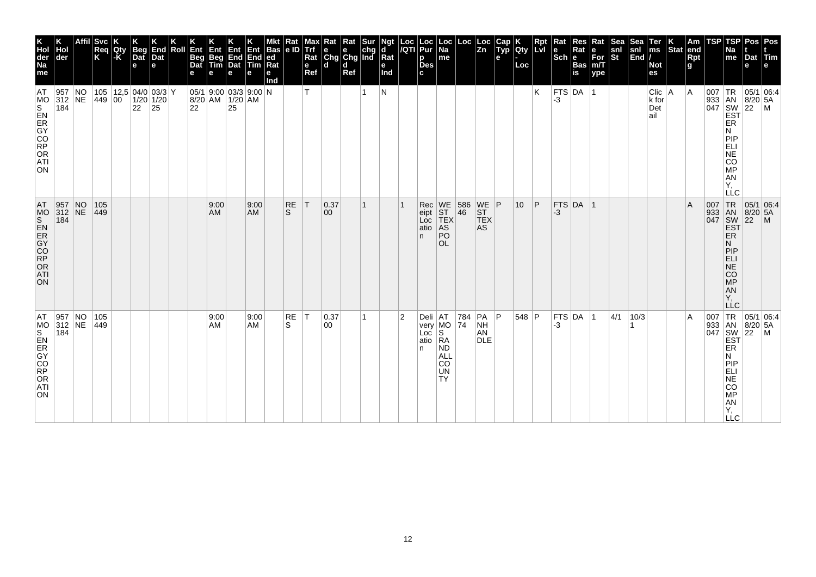| 0R005mmg<br><b>ATI</b><br>ON.                                                                  |
|------------------------------------------------------------------------------------------------|
| 105<br>$ 449\rangle$                                                                           |
| 9:00<br>AM                                                                                     |
| 9:00<br>AM                                                                                     |
| RE<br><sub>S</sub>                                                                             |
| IТ.                                                                                            |
| 0.37<br>00                                                                                     |
| 1                                                                                              |
|                                                                                                |
|                                                                                                |
| WE<br>ST<br>TEX<br>Rec<br>eipt<br>Loc<br>AS<br>atio<br>PO<br>n.                                |
| 586<br>46                                                                                      |
| $WE$ $P$<br><b>ST</b><br>TEX<br>AS                                                             |
| 10 <sup>°</sup>                                                                                |
| P                                                                                              |
| -3                                                                                             |
| FTS DA 1                                                                                       |
|                                                                                                |
|                                                                                                |
|                                                                                                |
|                                                                                                |
|                                                                                                |
| ΙA                                                                                             |
| 007 TR 05/1<br>933 AN 8/20<br>047 SW 22                                                        |
| ELI<br>$\overline{\text{NE}}$<br>CO<br><b>MP</b><br>AN<br>Υ,<br>LLC<br><b>EST</b><br><b>ER</b> |
| 05/1 06:4<br>$8/20$ 5A                                                                         |
| $\mathsf{M}$                                                                                   |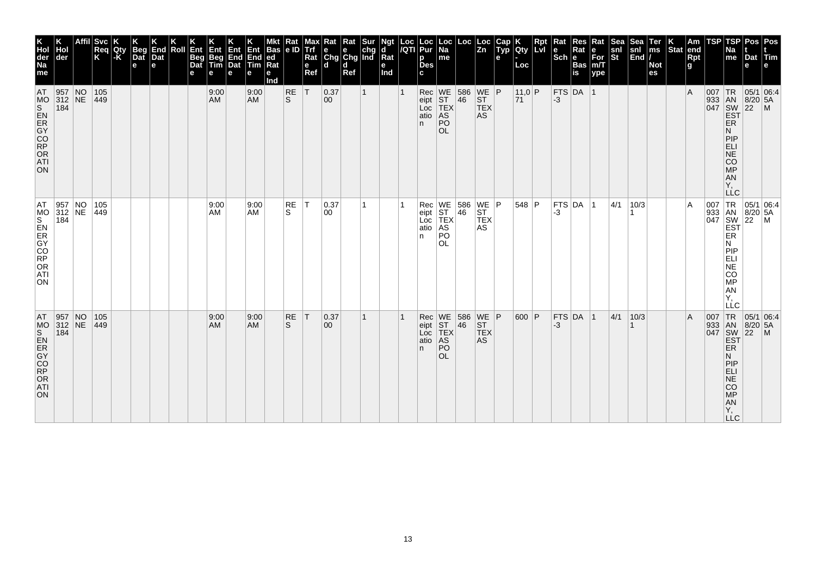| K<br>Hol<br>der<br>Na<br>me                                                     | der                                                                | <b>Svc</b><br>Req<br>K | <b>IQty</b> | <b>Beg</b><br>Dat<br>e | End<br>Dat<br>$\mathbf e$ | Roll | Ent<br>Beg<br>Dat | Ent<br>Beg<br>Tim<br>е | Ent<br>End<br>Dat<br>е | Ent<br>End<br><b>Tim</b><br>е | <b>Bas</b><br>ed<br>Rat<br>е<br>Ind | Rat<br>e ID    | мах<br><b>Trf</b><br>Rat<br>e<br>Ref | ĸat<br>$\begin{array}{ c c c }\n\hline\n\mathbf{e} & \mathbf{e} & \mathsf{chg} \\ \hline\n\mathsf{Chg} & \mathsf{Chg} & \mathsf{Ind}\n\end{array}$<br>l d | Rat<br>d<br>Ref | Sur | d<br>$\overline{\mathsf{R}}$ at<br>е<br>Ind | Loc<br>/QTI | Loc<br>Pur<br>р<br><b>Des</b>    | Loc  <br>Na<br>me                                                    | Loc                                                        | Loc<br>Zn                                                                             | Cap<br>Typ<br>е | Qty<br>Loc    | l Lvl | Rat<br>$ \mathsf{Sch} $ e | Res<br>Rat<br><b>Bas</b><br>is | Rat<br>е<br>For<br>m/T<br>ype | Sea<br>snl<br>St | Sea<br>$\left \frac{\text{snl}}{\text{End}}\right $ | Ter<br>ms<br><b>Not</b><br>es | $ \text{Stat} $ | Am<br>end<br><b>Rpt</b><br>g | TSP      | TSP<br>Na<br>me                                                                                              | Pos <sup>'</sup><br>Dat<br>e                      | Pos<br>$ $ Tim                                                                                                                                                                                                                                                       |
|---------------------------------------------------------------------------------|--------------------------------------------------------------------|------------------------|-------------|------------------------|---------------------------|------|-------------------|------------------------|------------------------|-------------------------------|-------------------------------------|----------------|--------------------------------------|-----------------------------------------------------------------------------------------------------------------------------------------------------------|-----------------|-----|---------------------------------------------|-------------|----------------------------------|----------------------------------------------------------------------|------------------------------------------------------------|---------------------------------------------------------------------------------------|-----------------|---------------|-------|---------------------------|--------------------------------|-------------------------------|------------------|-----------------------------------------------------|-------------------------------|-----------------|------------------------------|----------|--------------------------------------------------------------------------------------------------------------|---------------------------------------------------|----------------------------------------------------------------------------------------------------------------------------------------------------------------------------------------------------------------------------------------------------------------------|
| AT<br>MO<br>ON                                                                  | 957 NO<br>312 NE<br>184                                            | 105<br>$ 449\rangle$   |             |                        |                           |      |                   | 9:00<br>AM             |                        | 9:00<br>AM                    |                                     | $\frac{RE}{S}$ | lΤ                                   | 0.37<br>00                                                                                                                                                |                 |     |                                             |             | Rec<br>eipt<br>Loc<br>atio<br>n. | $\sqrt{\frac{\text{WE}}{\text{ST}}}$<br>TEX<br>AS<br>PO<br><b>OL</b> | $\begin{array}{ c c }\n 586 \\  \hline\n 46\n \end{array}$ | $\begin{array}{c} \n\text{WE} \\ \text{ST}\n\end{array}$ P<br><b>TEX</b><br><b>AS</b> |                 | 11,0 P<br> 71 |       | $-3$                      | FTS DA 1                       |                               |                  |                                                     |                               |                 | $\overline{A}$               | $007$ TR | ER<br>N<br>PIP<br>ELI<br>NE<br>CO<br>MP<br>AN<br>Υ,<br><b>LLC</b>                                            | 05/1 06:4<br>933 AN 8/20 5A<br>047 SW 22 M<br>EST |                                                                                                                                                                                                                                                                      |
| AT.<br>MS<br>S<br>R<br>O<br>R<br>O<br>R<br>O<br>R<br>O<br>R<br>ATI<br><b>ON</b> | $\begin{array}{ l l }\n957 & NO \\ 312 & NE \\ 184 & \end{array}$  | 105<br>449             |             |                        |                           |      |                   | 9:00<br>AM             |                        | 9:00<br>AM                    |                                     | RE<br>S        | $\top$                               | 0.37<br>00                                                                                                                                                |                 |     |                                             |             | Rec<br>eipt<br>Loc<br>atio<br>n. | WE<br>ST<br>TEX<br>AS<br>PO<br><b>OL</b>                             | 586<br>46                                                  | $\begin{array}{c} \n\text{WE} \\ \text{ST}\n\end{array}$ P<br><b>TEX</b><br>AS        |                 | $548$ P       |       | -3                        | $ $ FTS $ $ DA $ $ 1           |                               | 4/1              | 10/3                                                |                               |                 | $\overline{A}$               |          | <b>ER</b><br>N<br>PIP<br>ELI<br>$ \overline{\sf NE} $<br>$\overline{c}\overline{o}$<br>MP<br>AN<br>Υ.<br>LLC |                                                   | 007 TR 05/1 06:4<br>933 AN 8/20 5A<br>047 SW 22 M<br>EST                                                                                                                                                                                                             |
| AT<br>ORDOCK<br>ORDOCK<br><b>ATI</b><br>ON                                      | $\begin{array}{ c c c }\n957 & NO \\ 312 & NE\n\end{array}$<br>184 | 105<br>$ 449\rangle$   |             |                        |                           |      |                   | 9:00<br>AM             |                        | 9:00<br><b>AM</b>             |                                     | RE<br>S        | $\top$                               | 0.37<br>00                                                                                                                                                |                 |     |                                             |             | Rec<br>eipt<br>Loc<br>atio<br>n. | PO<br><b>OL</b>                                                      | WE 586 WE P<br>ST 46 ST<br>TEX TEX<br>AS AS                |                                                                                       |                 | 600 P         |       | $-3$                      | $FTS$ DA $ 1$                  |                               | 4/1              | 10/3                                                |                               |                 | $\overline{A}$               |          | ER<br>Ν<br>PIP<br>ELI<br><b>NE</b><br>CO<br>MP<br>AN<br>Y,<br><b>LLC</b>                                     |                                                   | $\begin{array}{r} \n 1R \n 05/1 \n 16. \n 18/20 \n 5A \n 18/20 \n 5A \n 22 \n 14. \n 16/21 \n 16/22 \n 16/21 \n 17/21 \n 18/22 \n 19/21 \n 10/22 \n 10/21 \n 10/22 \n 10/21 \n 11/21 \n 12/22 \n 13/21 \n 14/22 \n 15/21 \n 16/22 \n 17/23 \n 18/24 \n 18/23 \n 19/$ |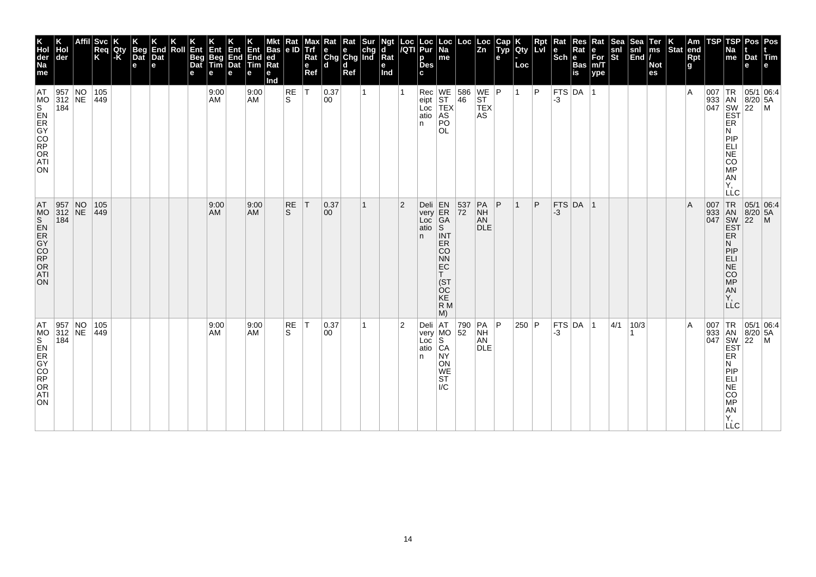| Affil<br>Hol<br> der<br>$\begin{array}{ l l }\n957 & NO \\ 312 & NE\n\end{array}$<br>184 |  | Svc <br>Req<br>K<br>105<br>449 | <b>IQty</b><br>$-K$ | <b>Beg</b><br>Dat<br>e | K<br>End<br>Dat<br>$\mathbf{e}$ | Roll | Ent<br><b>Beg</b><br>Dat | Ent<br><b>Beg</b> End<br>Tim Dat<br>e<br>9:00<br>AM | Ent<br>e | Ent<br>End End ed<br>$\mathsf{Tim}$<br>9:00<br>AM | Mkt Rat Max<br>Bas e ID Trf<br>Rat<br>е<br>Ind | RE<br>S         | e<br>Ref<br> T | Max Rat Rat Sur<br>Trf e e chg<br>Rat Chg Chg Ind<br>l d<br>0.37<br>00 | $\mathbf d$<br>Ref | Ngt<br>d<br>Rat<br>е<br>Ind |   | Loc  Loc  Loc<br><i> I</i> QTI  Pur  Na<br>р<br><b>Des</b><br>Rec<br>eipt<br>Loc<br>atio<br>n. | ∣Loc<br>me<br>AS<br>PO<br><b>OL</b>                                                                     | Loc<br>$\begin{array}{ l l }\n\hline\n\text{WE} & 586 \\ \text{ST} & 46 \\ \hline\n\text{TEX}\n\end{array}$ | ∣Loc<br>$\overline{z}$ <sub>n</sub><br>$WE$ $P$<br>$\texttt{ST}$<br><b>TEX</b><br><b>AS</b> | $\begin{array}{ c } \hline \text{Cap} \\ \hline \text{Typ} \end{array}$<br>е | Qty<br>Loc<br>$\vert$ 1 | Rpt<br>P | Rat<br>le.<br>$ \mathsf{Sch} $ e<br>-3 | <b>Res</b><br>Rat<br><b>Bas</b><br>is<br> FTS DA | Rat<br>e<br>$For$<br>m/T<br>ype<br>∣ 1 | Sea<br>snl<br>$ \tilde{\mathbf{s}}$ t | Sea<br> snl<br> End / | ∣Ter<br>∣ms<br><b>Not</b><br>es | $\left \begin{array}{c} K \\ \end{array}\right $ Stat end | Rpt<br>g<br>ΙA | TSP<br>007<br>933 AN 8/20<br>047 SW 22<br>EST                                                  | TSP<br>Na<br>$\mathsf{m}\mathsf{e}$<br>$ {\sf TR} $<br>ER<br>N                  | Dat Tim<br>e<br> 05/1 06:4<br>8/20 5A                                      | Pos Pos<br>$\mathsf{M}$ |
|------------------------------------------------------------------------------------------|--|--------------------------------|---------------------|------------------------|---------------------------------|------|--------------------------|-----------------------------------------------------|----------|---------------------------------------------------|------------------------------------------------|-----------------|----------------|------------------------------------------------------------------------|--------------------|-----------------------------|---|------------------------------------------------------------------------------------------------|---------------------------------------------------------------------------------------------------------|-------------------------------------------------------------------------------------------------------------|---------------------------------------------------------------------------------------------|------------------------------------------------------------------------------|-------------------------|----------|----------------------------------------|--------------------------------------------------|----------------------------------------|---------------------------------------|-----------------------|---------------------------------|-----------------------------------------------------------|----------------|------------------------------------------------------------------------------------------------|---------------------------------------------------------------------------------|----------------------------------------------------------------------------|-------------------------|
|                                                                                          |  |                                |                     |                        |                                 |      |                          |                                                     |          |                                                   |                                                |                 |                |                                                                        |                    |                             |   |                                                                                                |                                                                                                         |                                                                                                             |                                                                                             |                                                                              |                         |          |                                        |                                                  |                                        |                                       |                       |                                 |                                                           |                |                                                                                                | PIP<br>ELI<br>NE<br>NO<br>MP<br>AN<br>Υ,<br>LLC                                 |                                                                            |                         |
| $\begin{array}{ c c c }\n 957 & NO \\  312 & NE \\  184 & \end{array}$                   |  | 105<br>$ 449\rangle$           |                     |                        |                                 |      |                          | 9:00<br>AM.                                         |          | 9:00<br>AM                                        |                                                | <b>RE</b><br>S. | T              | 0.37<br>00                                                             |                    |                             | 2 | Deli<br>very ER<br>Loc GA<br>atio<br>n.                                                        | lS.<br><b>INT</b><br>ER<br>CO<br><b>NN</b><br>EC<br>(ST<br>ÒC<br>KE<br>R M<br>M)                        | $\begin{array}{ c c }\n 537 \\  72\n\end{array}$                                                            | PA<br><b>NH</b><br>AN<br><b>DLE</b>                                                         | P                                                                            |                         | P        | $-3$                                   | FTS DA 1                                         |                                        |                                       |                       |                                 |                                                           | ΙA             | 007<br>933 AN<br>047 SW<br>EST<br>ER                                                           | <b>TR</b><br>N<br>PIP<br>ELI<br>NE<br>CO<br>MP<br>AN<br>Y,<br>LLC               | 05/1 06.4<br>$8/20$ 5A<br>22                                               | $\mathsf{M}$            |
| $\left  \begin{array}{c} 957 \\ 312 \end{array} \right $ NO<br>184                       |  | 105<br> 449                    |                     |                        |                                 |      |                          | 9:00<br>AM                                          |          | 9:00<br>AM                                        |                                                | <b>RE</b><br>S  | $\top$         | 0.37<br> 00                                                            |                    |                             | 2 | Deli AT<br>Loc<br>atio $ CA$<br>n.                                                             | Deli AT 790<br>very MO 52<br> S<br><b>NY</b><br>ON<br><b>WE</b><br><b>ST</b><br>$\mathsf{I}/\mathsf{C}$ |                                                                                                             | PA<br><b>NH</b><br>AN<br><b>DLE</b>                                                         | P                                                                            | 250 P                   |          | -3                                     | $FTS$ DA $ 1$                                    |                                        | 4/1                                   | 10/3                  |                                 |                                                           | ١A             | 007<br>$\begin{array}{c c} 933 & \overrightarrow{AN} \\ 047 & \overrightarrow{SW} \end{array}$ | <b>EST</b><br>ER<br>И<br>PIP<br>ELI<br>NE<br>CO<br>MP<br>AN<br>Υ,<br><b>LLC</b> | TR 05/1 06:4<br>$\begin{array}{ c c }\n 8/20 & 5A \\  22 & M\n\end{array}$ |                         |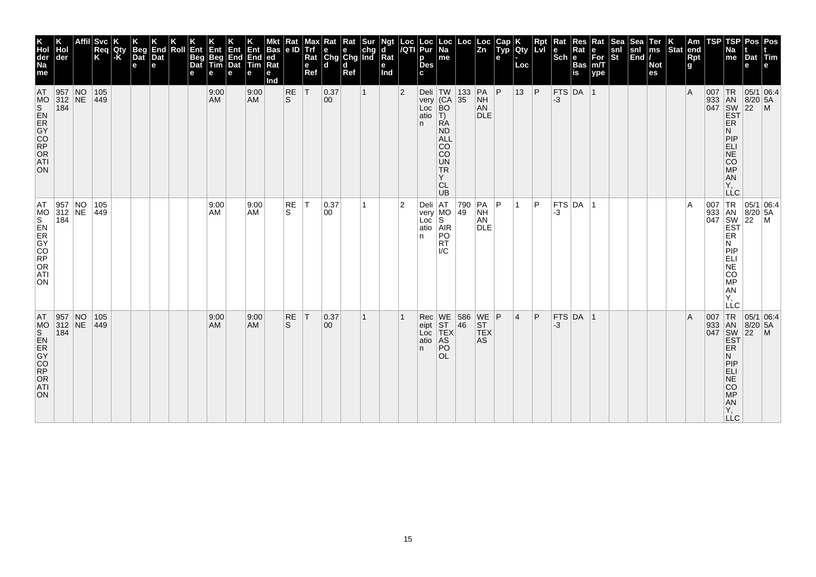| K<br>Hol<br>der<br>Na<br>me                                                    | der                                                               | <b>Svc</b><br>Req<br>K | Qty<br>$\mathsf{K}$ | <b>Beg</b><br>Dat<br>e | K<br>End<br>Dat<br>e | Roll | Ent<br>Beg<br>Dat<br>е | Ent<br>Beg<br>Tim<br>e | <b>Ent</b><br><b>End</b><br>Dat<br>е | Ent<br>End<br><b>f</b> lim<br>е | <b>Bas</b><br>ed<br>Rat<br>е<br>Ind | Rat<br> e D         | Max<br><b>Trf</b><br>Rat<br>e<br>Ref | Kat<br>e e chg<br>Chg Chg Ind<br>d d | Rat<br>Ref | Sur          | Ngt<br>d<br>$\bar{R}$ at<br>е<br>Ind | Loc<br>/QTI    | Loc<br>Pur<br>p<br><b>Des</b><br>C. | Loc  <br>Na<br>me                                                                                                                                            | Loc                                                        | Loc<br>Zn                                               | Cap<br>Typ<br>e | Qty<br>Loc | Rpt<br><b>LvI</b> | Rat<br>$\left \begin{array}{c}\n\mathbf{e} \\ \text{Sch}\n\end{array}\right $ R | Res<br>Rat<br>Bas<br>is | Rat<br>e<br>For<br>m/T<br>ype | Sea<br>snl<br>St | Sea<br>snl<br>End | Ter<br>ms<br><b>Not</b><br>es | $\left \begin{array}{c} K \\ \hline \end{array}\right $ am $\left \begin{array}{c} R \\ \hline \end{array}\right $ | Rpt<br>g | TSP | TSP<br>Na<br>$\vert$ me                                            | Pos<br>Dat<br>e              | Pos<br><b>Tim</b><br>l e l                                                                                                                                                                                                                                                  |
|--------------------------------------------------------------------------------|-------------------------------------------------------------------|------------------------|---------------------|------------------------|----------------------|------|------------------------|------------------------|--------------------------------------|---------------------------------|-------------------------------------|---------------------|--------------------------------------|--------------------------------------|------------|--------------|--------------------------------------|----------------|-------------------------------------|--------------------------------------------------------------------------------------------------------------------------------------------------------------|------------------------------------------------------------|---------------------------------------------------------|-----------------|------------|-------------------|---------------------------------------------------------------------------------|-------------------------|-------------------------------|------------------|-------------------|-------------------------------|--------------------------------------------------------------------------------------------------------------------|----------|-----|--------------------------------------------------------------------|------------------------------|-----------------------------------------------------------------------------------------------------------------------------------------------------------------------------------------------------------------------------------------------------------------------------|
| <b>AT</b><br>ON                                                                | 957 NO<br>312 NE<br>184                                           | $105$<br>$ 449\rangle$ |                     |                        |                      |      |                        | 9:00<br>AM             |                                      | 9:00<br>AM                      |                                     | $_{\rm S}^{\rm RE}$ | İΤ                                   | 0.37<br>00                           |            | $\mathbf{1}$ |                                      | $\overline{2}$ | n.                                  | Deli TW<br>very (CA<br>Loc BO<br>atio T)<br><b>RA</b><br><b>ND</b><br><b>ALL</b><br><b>CO</b><br><b>CO</b><br><b>UN</b><br><b>TR</b><br>Y<br><b>CL</b><br>UB | $\begin{array}{ c c }\n 133 \\  \hline\n 35\n \end{array}$ | PA<br><b>NH</b><br>AN<br><b>DLE</b>                     | P               | $13$ P     |                   | -3                                                                              | FTS DA 1                |                               |                  |                   |                               |                                                                                                                    | l A      |     | ER<br>N<br>PIP<br>EL<br>SARGE:<br>Ÿ,<br><b>LLC</b>                 |                              | $\begin{array}{r} \n 1R \n 05/1 \n 0.4 \n 0.4 \n 0.4 \n 0.4 \n 0.4 \n 0.4 \n 0.4 \n 0.4 \n 0.4 \n 0.4 \n 0.4 \n 0.4 \n 0.4 \n 0.4 \n 0.4 \n 0.4 \n 0.4 \n 0.4 \n 0.4 \n 0.4 \n 0.4 \n 0.4 \n 0.4 \n 0.4 \n 0.4 \n 0.4 \n 0.4 \n 0.4 \n 0.4 \n 0.4 \n 0.4 \n 0.4 \n 0.4 \n $ |
| AT<br>MS<br>S<br>O<br>R<br>O<br>O<br>R<br>O<br>R<br>O<br>R<br>ATI<br><b>ON</b> | $\begin{array}{ l l }\n957 & NO \\ 312 & NE \\ 184 & \end{array}$ | 105<br>$ 449\rangle$   |                     |                        |                      |      |                        | 9:00<br>AM.            |                                      | 9:00<br>AM                      |                                     | RE<br>S.            | $\top$                               | 0.37<br>00                           |            | 1            |                                      | 2              | atio<br>n                           | Deli AT 790<br>very MO 49<br>Loc S<br>AR<br>PO<br><b>RT</b><br>$\mathsf{IC}$                                                                                 |                                                            | PA<br><b>NH</b><br>AN<br><b>DLE</b>                     | l P             |            | P                 | -3                                                                              | $FTS$ DA $ 1$           |                               |                  |                   |                               |                                                                                                                    | ΙA       |     | N<br>PIP<br>ELI<br>NE<br>CO <sub>MP</sub><br>AN<br>Υ.<br>LĹC       |                              | 007 TR 05/1 06:4<br>933 AN 8/20 5A<br>047 SW 22 M<br>EST ER                                                                                                                                                                                                                 |
| AT<br>ON                                                                       | $\begin{array}{ l l }\n957 & NO \\ 312 & NE\n\end{array}$<br>184  | 105<br>449             |                     |                        |                      |      |                        | 9:00<br>AM             |                                      | 9:00<br><b>AM</b>               |                                     | RE<br>S             | T                                    | 0.37<br>$ 00\rangle$                 |            | 1            |                                      |                | Rec<br>eipt<br>Loc<br>atio<br>n.    | WE 586<br>ST 46<br>TEX<br>AS<br>PO<br>OL.                                                                                                                    |                                                            | $\begin{array}{c} \nWE \\ ST \\ TEX\n\end{array}$<br>AS |                 | 14         | P                 | -3                                                                              | $FTS$ DA 1              |                               |                  |                   |                               |                                                                                                                    | A        | 007 | 933 AN<br>047 SW<br>EST<br>ER<br>N<br>PIEL<br>APSORT<br><b>LLC</b> | $8/20$ 5A<br>$\overline{22}$ | TR 05/1 06:4<br>$\mathsf{M}$                                                                                                                                                                                                                                                |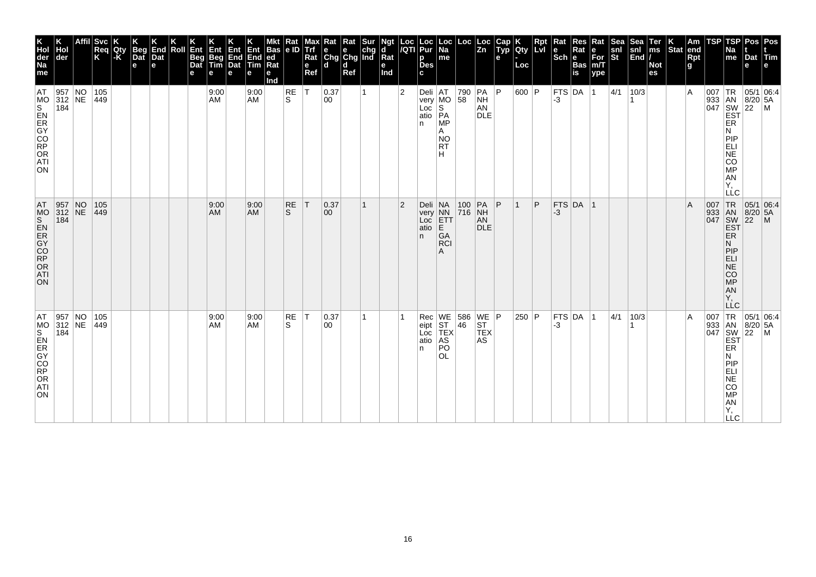| K<br>Hol<br>der<br>Na<br>me<br>AT | Hol<br>der<br>$\begin{array}{ l l }\n957 & NO \\ 312 & NE\n\end{array}$ | <b>Svc</b><br>Req<br>K<br>105<br>$ 449\rangle$ | Qty<br>-K | <b>Beg</b><br>Dat<br>e | End<br>Dat<br>e | Roll | Ent<br>Beg<br>Dat<br>е | Ent<br>Beg<br>Tim<br>e<br>9:00<br>AM | Ent<br>End<br>Dat<br>е | Ent<br>End<br><b>Tim</b><br>е<br>9:00<br><b>AM</b> | <b>Bas</b><br>ed<br>Rat<br>е<br>Ind | Rat<br> e D<br>RE<br>S | Max<br>Trf<br>Rat<br>e<br>Ref<br>İΤ | $\begin{array}{ l l }\n\hline\n\text{Rat} & \text{Rat} & \text{Sur} \\ \hline\n\text{e} & \text{e} & \text{chg} \\ \text{Chg} & \text{Chg} & \text{Ind}\n\end{array}$<br>l d<br> 0.37<br>00 | d<br>Ref | 1 | Ngt<br>d<br>Rat<br>е<br>Ind | Loc<br>/QTI<br>$\overline{2}$ | Loc<br>Pur<br>p<br><b>Des</b><br>c<br>$\begin{array}{ c c c }\n\hline\nDeli & AT & 790 \\ \hline\nvery & MO & 58\n\end{array}$ | Loc<br> Na<br>me                              | Loc                                                                         | $\frac{\text{Loc}}{\text{Zn}}$<br>$ PA $ $ P $<br><b>NH</b> | Cap<br>Typ<br>е | Qty<br>Loc<br>600 P | Rpt | $\vert$ Rat<br>$\left \frac{e}{Sch}\right $ R<br>-3 | Res<br>Rat<br><b>Bas</b><br>$\overline{\mathsf{is}}$<br> FTS DA 1 | Rat<br>e<br>For<br>m/T<br>ype | Sea<br>snl<br>St<br> 4/1 | Sea<br>snl<br>End<br>10/3 | Ter<br>ms<br><b>Not</b><br>es | Stat | $\vert$ Am<br>end<br>$Rpt$ g<br>١A | TSP | TSP<br>Na<br>me                                                                                  | Dat<br>е                     | Pos Pos<br>Tim<br>$\begin{array}{c}\n 1R \\  \n 33 \\  047 \\  \n 18N \\  \n 18/20 \\  \n 16N \\  \n 16N \\  \n 16N \\  \n 16N \\  \n 16N \\  \n 16N \\  \n 16N \\  \n 16N \\  \n 16N \\  \n 16N \\  \n 16N \\  \n 16N \\  \n 16N \\  \n 16N \\  \n 16N \\  \n 16N \\  \n 16N \\  \n 16N \\  \n 16N \\  \n 16N \\  \n 16N \\  \n 16N \\  \n 16N \\  \n 16N \\  \n 16N \\  \n 16N$ |
|-----------------------------------|-------------------------------------------------------------------------|------------------------------------------------|-----------|------------------------|-----------------|------|------------------------|--------------------------------------|------------------------|----------------------------------------------------|-------------------------------------|------------------------|-------------------------------------|---------------------------------------------------------------------------------------------------------------------------------------------------------------------------------------------|----------|---|-----------------------------|-------------------------------|--------------------------------------------------------------------------------------------------------------------------------|-----------------------------------------------|-----------------------------------------------------------------------------|-------------------------------------------------------------|-----------------|---------------------|-----|-----------------------------------------------------|-------------------------------------------------------------------|-------------------------------|--------------------------|---------------------------|-------------------------------|------|------------------------------------|-----|--------------------------------------------------------------------------------------------------|------------------------------|-----------------------------------------------------------------------------------------------------------------------------------------------------------------------------------------------------------------------------------------------------------------------------------------------------------------------------------------------------------------------------------|
| ON                                | 184                                                                     |                                                |           |                        |                 |      |                        |                                      |                        |                                                    |                                     |                        |                                     |                                                                                                                                                                                             |          |   |                             |                               | Loc S<br>atio PA<br>n                                                                                                          | <b>MP</b><br>Α<br><b>NO</b><br><b>RT</b><br>н |                                                                             | AN<br><b>DLE</b>                                            |                 |                     |     |                                                     |                                                                   |                               |                          |                           |                               |      |                                    |     | ER<br>И<br>PIP<br>E-SOME:<br>Υ,<br><b>LLC</b>                                                    |                              |                                                                                                                                                                                                                                                                                                                                                                                   |
| AT.<br>MO<br>0200950<br>ATI<br>ON | 957 NO<br>312 NE<br>184                                                 | 105<br>$ 449\rangle$                           |           |                        |                 |      |                        | 9:00<br>AM                           |                        | 9:00<br><b>AM</b>                                  |                                     | <b>RE</b><br>S.        | ΙT                                  | 0.37<br>$ 00\rangle$                                                                                                                                                                        |          | 1 |                             | $\overline{2}$                | Deli<br>very<br>Loc<br>atio<br>n.                                                                                              | NA<br>NN<br>ETT<br>E<br>GA<br><b>RCI</b><br>A | $\begin{array}{ c c c }\n\hline\n100 & PA \\ \hline\n716 & NH\n\end{array}$ | AN<br><b>DLE</b>                                            | $\mathsf{P}$    |                     | P   | -3                                                  | FTS DA 1                                                          |                               |                          |                           |                               |      | A                                  |     | 007 TR<br>933 AN<br>047 SW<br>EST<br>ER<br>N<br>PIP<br>ELI<br>NE<br>CO <sub>MP</sub><br>AN<br>Y, | 05/1 06:4<br>$8/20$ 5A<br>22 | $\mathsf{M}$                                                                                                                                                                                                                                                                                                                                                                      |
| AT<br>ON                          | 957 NO<br>312 NE<br>184                                                 | 105<br>449                                     |           |                        |                 |      |                        | 9:00<br>AM                           |                        | 9:00<br><b>AM</b>                                  |                                     | RE<br>S                | T                                   | 0.37<br>00                                                                                                                                                                                  |          | 1 |                             |                               | Rec<br>eipt<br>Loc<br>atio<br>n                                                                                                | PO<br><b>OL</b>                               | WE 586 WE P<br>ST 46 ST<br>TEX TEX<br>AS AS                                 |                                                             |                 | $250$ P             |     | -3                                                  | FTS DA 1                                                          |                               | 4/1                      | 10/3                      |                               |      | ΙA                                 |     | ER<br>N<br>PIP<br>ELI<br>NE<br>CO<br>MP<br>AN<br>Y,<br><b>LLC</b>                                |                              | $\begin{array}{c c}\n & C \\ \hline\n\text{1 TR} & 05/1 & 06.4 \\ 933 & AN & 8/20 & F \\ 047 & SN & 22 \\ \hline\n & EST & EF \\  & FP & \n\end{array}$                                                                                                                                                                                                                           |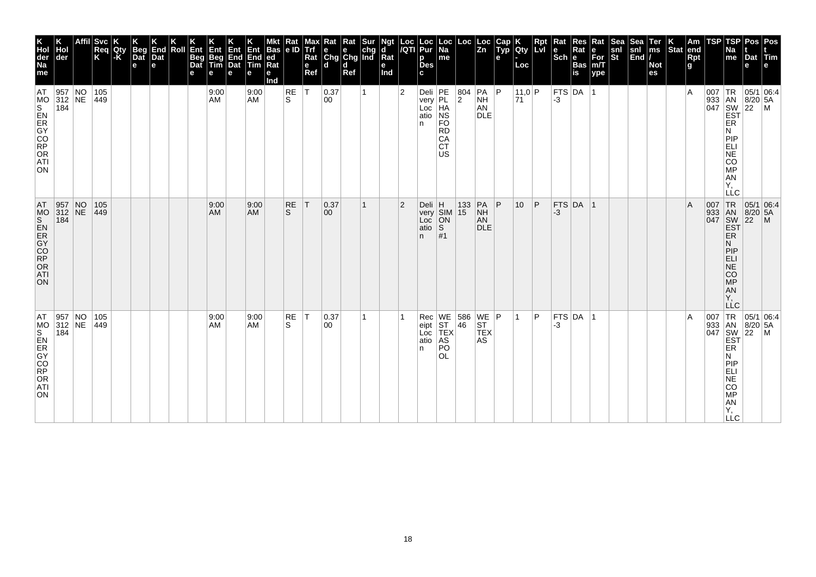| <b>Svc</b><br>End<br>Dat<br>Beg<br>Dat<br>Roll<br>Req<br>K<br>Qty<br> -K<br>e<br>e<br>е<br>$\begin{array}{ l l }\n957 & NO \\ 312 & NE\n\end{array}$<br>105<br>$ 449\rangle$<br>$\begin{array}{ c c c }\n957 & NO \\ 312 & NE\n\end{array}$<br>105<br>$ 449\rangle$<br>957 NO<br>312 NE<br>105<br>449 |  |  |  | Ent<br>Beg<br>Dat | Ent<br>Beg<br>Tim<br>e<br>9:00<br>AM<br>9:00<br>AM<br>9:00<br>AM | Ent<br>End<br>Dat<br>е | Ent<br>End<br>Tim<br>е<br>9:00<br><b>AM</b><br>9:00<br><b>AM</b><br>9:00<br><b>AM</b> | <b>Bas</b><br>ed<br>Ra<br>е<br>Ind | Rat<br> e D<br>RE<br>S<br><b>RE</b><br>S<br>RE<br>S | Max<br>Trí<br>Rat<br>e<br>Ref<br>İΤ<br>ΙT<br> T | $\begin{array}{ l l }\n\hline\n\text{Rat} & \text{Rat} & \text{Sur} \\ \hline\n\text{e} & \text{e} & \text{chg} \\ \text{Chg} & \text{Chg} & \text{Ind}\n\end{array}$<br>l d<br> 0.37<br>00<br> 0.37<br>$ 00\rangle$<br> 0.37<br>00 | d<br>Ref | 1<br>1<br>1 | Ngt<br>d<br>$\overline{\mathsf{R}}$ at<br>е<br>Ind | Loc<br>/QTI<br>$\overline{2}$<br>$\overline{2}$ | Loc<br>Pur<br>р<br><b>Des</b><br>c<br>Deli<br>very<br>Loc<br>HA<br>atio<br>NS<br>n.<br>atio<br>n.<br>Rec<br>eipt | $\vert$ Loc $\vert$ Na<br>me<br>FO<br><b>RD</b><br>CA<br><b>CT</b><br><b>US</b><br>s<br>#1 | Loc<br>804<br>$\overline{2}$<br>$\begin{array}{c c}\n\hline\n\downarrow\nu$ or $\begin{array}{c c}\n\hline\n\downarrow\nu\nu\n\end{array}$ SIM 15 N. | Loc<br>Zn<br>$ PA $ $ P $<br><b>NH</b><br>AN<br><b>DLE</b><br>PA<br><b>NH</b><br>AN<br><b>DLE</b> | Cap<br>Typ<br>e<br> P | <b>Qty</b><br>Loc<br> 11,0 P<br>71<br>10 <sup>°</sup> | Rpt<br>∣P<br>P | $\vert$ Rat<br>$\left \frac{e}{Sch}\right $ R<br>$-3$<br>-3<br>-3 | Res<br>Rat<br><b>Bas</b><br>$\overline{\mathsf{is}}$<br> FTS DA 1<br>FTS DA 1<br> FTS DA 1 | Rat<br>e<br>For<br>m/T<br>ype | Sea<br>snl<br>St | Sea<br>snl<br>End | Ter<br>ms<br><b>Not</b><br>es | $\left \begin{array}{c} K \\ \end{array}\right $ Stat end | Rpt<br>g<br>ΙA<br>A<br>ΙA | TSP | TSP<br>Na<br>$\mathsf{m}\mathsf{e}$<br>ER<br>N<br>PIP<br>EL<br>ANGO<br>Υ,<br><b>LLC</b><br>007 TR<br>933 AN<br>047 SW<br>EST<br>ER<br>N<br>PIP<br>ELI<br>NE<br>CO <sub>MP</sub><br>AN<br>Y, | Dat<br>е<br>$\overline{22}$ | Pos   Pos<br>Tim<br>е<br>$\begin{array}{c}\n 1R \\  \n 33 \\  047 \\  \n 18N \\  \n 18/20 \\  \n 16N \\  \n 16N \\  \n 16N \\  \n 16N \\  \n 16N \\  \n 16N \\  \n 16N \\  \n 16N \\  \n 16N \\  \n 16N \\  \n 16N \\  \n 16N \\  \n 16N \\  \n 16N \\  \n 16N \\  \n 16N \\  \n 16N \\  \n 16N \\  \n 16N \\  \n 16N \\  \n 16N \\  \n 16N \\  \n 16N \\  \n 16N \\  \n 16N \\  \n 16N$<br>05/1 06:4<br>8/20 5A<br>$\mathsf{M}$ |
|-------------------------------------------------------------------------------------------------------------------------------------------------------------------------------------------------------------------------------------------------------------------------------------------------------|--|--|--|-------------------|------------------------------------------------------------------|------------------------|---------------------------------------------------------------------------------------|------------------------------------|-----------------------------------------------------|-------------------------------------------------|-------------------------------------------------------------------------------------------------------------------------------------------------------------------------------------------------------------------------------------|----------|-------------|----------------------------------------------------|-------------------------------------------------|------------------------------------------------------------------------------------------------------------------|--------------------------------------------------------------------------------------------|------------------------------------------------------------------------------------------------------------------------------------------------------|---------------------------------------------------------------------------------------------------|-----------------------|-------------------------------------------------------|----------------|-------------------------------------------------------------------|--------------------------------------------------------------------------------------------|-------------------------------|------------------|-------------------|-------------------------------|-----------------------------------------------------------|---------------------------|-----|---------------------------------------------------------------------------------------------------------------------------------------------------------------------------------------------|-----------------------------|----------------------------------------------------------------------------------------------------------------------------------------------------------------------------------------------------------------------------------------------------------------------------------------------------------------------------------------------------------------------------------------------------------------------------------|
|                                                                                                                                                                                                                                                                                                       |  |  |  |                   |                                                                  |                        |                                                                                       |                                    |                                                     |                                                 |                                                                                                                                                                                                                                     |          |             |                                                    |                                                 | Loc<br>atio<br>n.                                                                                                | PO<br><b>OL</b>                                                                            | WE 586 WE P<br>ST 46 ST<br>TEX TEX<br>AS AS                                                                                                          |                                                                                                   |                       |                                                       |                |                                                                   |                                                                                            |                               |                  |                   |                               |                                                           |                           |     | ER<br>N<br>PIP<br>ELI<br>COMPORTY,<br><b>LLC</b>                                                                                                                                            |                             | $\begin{array}{c c}\n & C \\ \hline\n\text{1 TR} & 05/1 & 06.4 \\ 933 & AN & 8/20 & F \\ 047 & SN & 22 \\ \hline\n & EST & EF \\  & FP & \n\end{array}$                                                                                                                                                                                                                                                                          |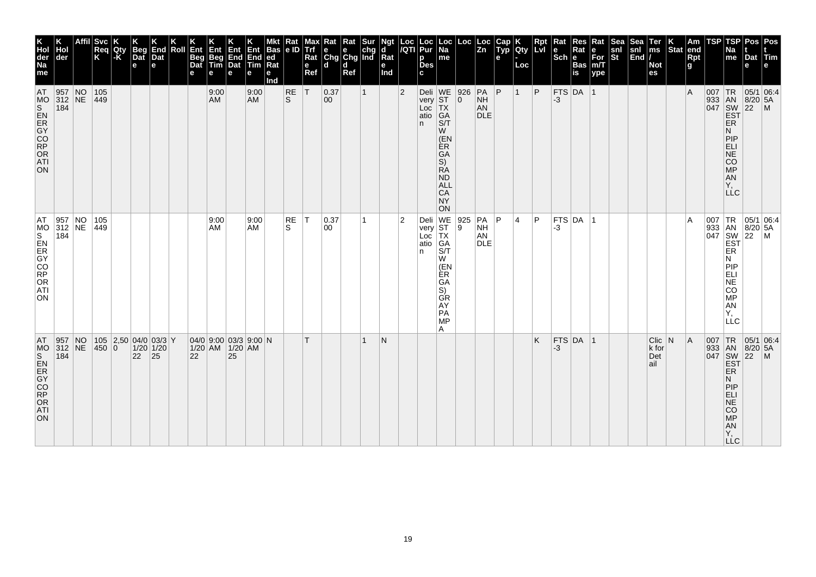| <b>AT</b><br>ORDOCK<br>ORDOCK<br>184<br><b>ATI</b><br>ON                              | AT<br>184<br>CO<br>RP<br>OR<br>ATI<br>ON.                                                                    | AT<br>ON                                                                                                                                  | K<br>Hol<br>der<br>Na<br>Hol<br>der<br>me                       |
|---------------------------------------------------------------------------------------|--------------------------------------------------------------------------------------------------------------|-------------------------------------------------------------------------------------------------------------------------------------------|-----------------------------------------------------------------|
| 957 NO<br>$312$ NE                                                                    | 957 NO<br>312 NE                                                                                             | 957 NO<br>312 NE<br>184                                                                                                                   |                                                                 |
|                                                                                       |                                                                                                              |                                                                                                                                           |                                                                 |
| 450 0                                                                                 | 105<br>$ 449\rangle$                                                                                         | 105<br>$ 449\rangle$                                                                                                                      | Svc <br>Req<br>K                                                |
|                                                                                       |                                                                                                              |                                                                                                                                           | Qty<br>-K                                                       |
| 22                                                                                    |                                                                                                              |                                                                                                                                           | <b>Beg</b><br>$\vert$ Dat<br>e                                  |
| $105$ 2,50 04/0 03/3 Y<br>$1/20$ 1/20<br> 25                                          |                                                                                                              |                                                                                                                                           | End<br>Dat<br>l e                                               |
|                                                                                       |                                                                                                              |                                                                                                                                           | Roll                                                            |
| 22                                                                                    |                                                                                                              |                                                                                                                                           | Ent<br>Beg<br>Dat<br>e                                          |
| 04/0 9:00 03/3 9:00 N<br>1/20 AM 1/20 AM                                              | 9:00<br>AM                                                                                                   | 9:00<br>AM                                                                                                                                | <b>Ent</b><br>Beg<br>Tim<br>$\mathbf e$                         |
| 25                                                                                    |                                                                                                              |                                                                                                                                           | Ent<br>Dat<br>е                                                 |
|                                                                                       | 9:00<br>AM                                                                                                   | 9:00<br>AM                                                                                                                                | Ent<br>$ End $ End<br><b>Tim</b><br>e                           |
|                                                                                       |                                                                                                              |                                                                                                                                           | Mkt Rat Mar<br>Bas e ID Trf<br> ed<br>Rat<br>$\mathbf e$<br>Ind |
|                                                                                       | RE<br>S                                                                                                      | <b>RE</b><br>S                                                                                                                            |                                                                 |
| $\mathsf{T}$                                                                          | $\top$                                                                                                       | T                                                                                                                                         | e<br>Ref                                                        |
|                                                                                       | 0.37<br>00                                                                                                   | 0.37<br>00                                                                                                                                | Max Rat Rat Sur<br>Trf e e chg<br>Rat Chg Chg Ind<br>l d        |
|                                                                                       |                                                                                                              |                                                                                                                                           | <b>d</b><br>Ref                                                 |
| 1                                                                                     |                                                                                                              | $\mathbf{1}$                                                                                                                              |                                                                 |
| IN.                                                                                   |                                                                                                              |                                                                                                                                           | Ngt<br> d<br>Rat<br>e<br>Ind                                    |
|                                                                                       | 2                                                                                                            | $\overline{2}$                                                                                                                            |                                                                 |
|                                                                                       | atio GA<br>n.                                                                                                | atio GA<br>n.                                                                                                                             | Loc   Loc   Loc<br> /QTI   Pur   Na<br>p<br><b>Des</b><br>c.    |
|                                                                                       | Deli WE 925<br>very ST 9<br>Loc TX<br>S/T<br>W<br>(EN<br>ÈR.<br>GA<br>S)<br><b>GR</b><br>AY<br>PA<br>MP<br>A | Deli WE<br>very ST<br>Loc TX<br>S/T<br>W<br>(EN<br>ÈR<br>GА<br>S)<br><b>RA</b><br>ND<br><b>ALL</b><br><b>CA</b><br><b>NY</b><br><b>ON</b> | Loc <br>$\vert$ me                                              |
|                                                                                       |                                                                                                              | 926<br>$ 0\rangle$                                                                                                                        | Loc  Loc                                                        |
|                                                                                       | PA<br><b>NH</b><br>AN<br><b>DLE</b>                                                                          | PA<br>NH<br>AN<br><b>DLE</b>                                                                                                              |                                                                 |
|                                                                                       | P                                                                                                            | P                                                                                                                                         | Cap K<br>$\overline{z}$ n   Typ   Qty   LvI<br>e                |
|                                                                                       | 4                                                                                                            | $\vert$ 1                                                                                                                                 | Loc                                                             |
| K.                                                                                    | P                                                                                                            | P                                                                                                                                         | Rpt                                                             |
| FTS DA 1<br>$-3$                                                                      | -3                                                                                                           | $-3$                                                                                                                                      | Rat<br>l e<br>∣Sch ∣e                                           |
|                                                                                       | $ $ FTS $ $ DA $ $ 1                                                                                         | $FTS$ DA $ 1$                                                                                                                             | <b>Res</b><br>Rat<br><b>Bas</b><br>is                           |
|                                                                                       |                                                                                                              |                                                                                                                                           | Rat<br>le<br>For<br>m/T<br>ype                                  |
|                                                                                       |                                                                                                              |                                                                                                                                           | ∣Sea<br>snl<br>$ \tilde{s}$ t                                   |
|                                                                                       |                                                                                                              |                                                                                                                                           | Sea<br>snl<br> End /                                            |
| $C$ lic $ N $<br>k for<br>Det<br>ail                                                  |                                                                                                              |                                                                                                                                           | Ter<br> ms<br><b>Not</b><br>es                                  |
|                                                                                       |                                                                                                              |                                                                                                                                           | $ \textsf{Stat} $ end                                           |
| A                                                                                     | A                                                                                                            | $\overline{A}$                                                                                                                            | Am<br><b>Rpt</b><br>g                                           |
|                                                                                       |                                                                                                              | 007 TR                                                                                                                                    | TSP                                                             |
| ER<br>N<br>PIP<br>ELI<br>NE <sup>T</sup><br>CO<br>MP<br><b>AN</b><br>Y,<br><b>LLC</b> | ER<br>N<br> P P<br>ELI<br>NE<br>CO<br><b>MP</b><br>AN<br>Υ.<br>LLC                                           | <b>EST</b><br>ER<br>N.<br>PIP<br><b>ELI</b><br>NE<br>CO<br>MP<br>AN<br>Υ,<br><b>LLC</b>                                                   | <b>TSP</b><br>Na<br>me                                          |
| 007 TR 05/1 06:4<br>933 AN 8/20 5A<br>047 SW 22 M<br>EST                              | 007 TR 05/1 06:4<br>933 AN 8/20 5A<br>047 SW 22 M<br>EST                                                     | 05/1 06:4<br>933 AN 8/20 5A                                                                                                               | Pos Pos<br>Dat Tim<br>е                                         |
|                                                                                       |                                                                                                              |                                                                                                                                           | le.                                                             |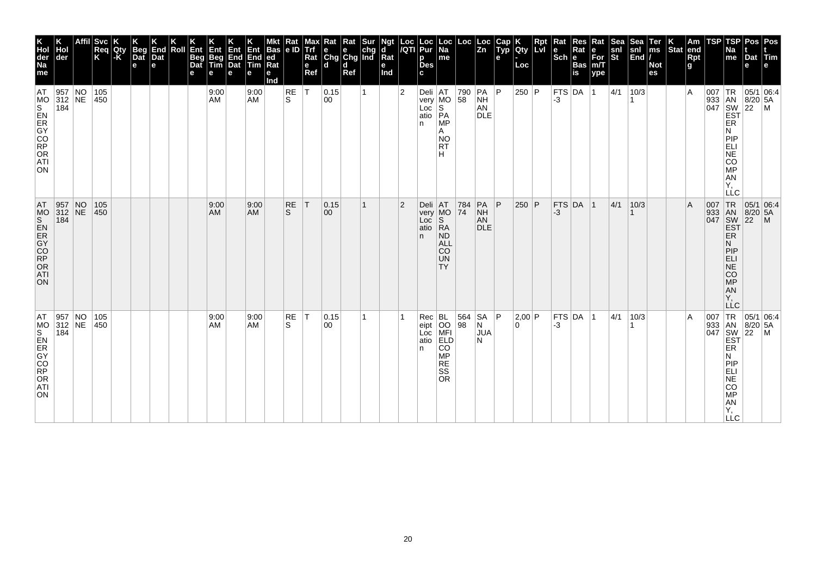| Hol<br>der<br>184 | 957 NO<br>312 NE | <b>Svc</b><br>Req<br>K<br>105<br>450 | Qty<br>-K | <b>Beg</b><br>Dat<br>e | End<br>Dat<br>e | Roll | Ent<br>Beg<br>Dat<br>е | Ent<br>Beg<br>Tim<br>e<br>9:00<br>AM | Ent<br>End<br>Dat<br>е | Ent<br>End<br><b>Tim</b><br>е<br>9:00<br><b>AM</b> | Bas<br>ed<br>Rat<br>е<br>Ind | Rat<br> e D<br>RE<br>S | Max<br><b>Trf</b><br>Rat<br>$\mathbf{e}$<br>Ref<br>İΤ | $\begin{array}{ l l }\n\hline\n\text{Rat} & \text{Rat} & \text{Sur} \\ \hline\n\text{e} & \text{e} & \text{chg} \\ \text{Chg} & \text{Chg} & \text{Ind}\n\end{array}$<br>l d<br> 0.15<br>00 | d<br>Ref | 1 | Ngt<br>d<br>Rat<br>е<br>Ind | Loc<br>/QTI<br>$\overline{2}$ | Loc<br>Pur<br>p<br><b>Des</b><br>c<br>Loc S<br>atio PA | Loc<br> Na<br>me<br>$\begin{array}{ c c c }\n\hline\nDeli & AT & 790 \\ \hline\nvery & MO & 58\n\end{array}$<br><b>MP</b>                                                                                                                | Loc       | Loc<br>$\overline{z_n}$<br>$ PA $ $ P $<br><b>NH</b><br>AN<br><b>DLE</b> | Cap<br>Typ<br>е | <b>Qty</b><br>Loc<br>$250$ P | Rpt | $\vert$ Rat<br>$ \textbf{e} $ R <sub>i</sub><br>Sch $ \textbf{e} $<br>-3 | Res<br>Rat<br><b>Bas</b><br>is<br> FTS DA 1 | Rat<br>e<br>For<br>m/T<br>ype | <b>Sea</b><br>snl<br>St<br> 4/1 | Sea<br>snl<br>End<br>10/3 | Ter<br>ms<br><b>Not</b><br>es | $\left \begin{array}{c} K \\ \end{array}\right $ Stat end | Rpt<br>g<br>١A | TSP | TSP<br>Na<br>me<br>ER                                                                            | Dat<br>е                     | Pos Pos<br><b>dTim</b><br>$\begin{array}{c}\n 1R \\  \n 33 \\  047 \\  \n 18N \\  \n 18/20 \\  \n 16N \\  \n 16N \\  \n 16N \\  \n 16N \\  \n 16N \\  \n 16N \\  \n 16N \\  \n 16N \\  \n 16N \\  \n 16N \\  \n 16N \\  \n 16N \\  \n 16N \\  \n 16N \\  \n 16N \\  \n 16N \\  \n 16N \\  \n 16N \\  \n 16N \\  \n 16N \\  \n 16N \\  \n 16N \\  \n 16N \\  \n 16N \\  \n 16N \\  \n 16N$ |
|-------------------|------------------|--------------------------------------|-----------|------------------------|-----------------|------|------------------------|--------------------------------------|------------------------|----------------------------------------------------|------------------------------|------------------------|-------------------------------------------------------|---------------------------------------------------------------------------------------------------------------------------------------------------------------------------------------------|----------|---|-----------------------------|-------------------------------|--------------------------------------------------------|------------------------------------------------------------------------------------------------------------------------------------------------------------------------------------------------------------------------------------------|-----------|--------------------------------------------------------------------------|-----------------|------------------------------|-----|--------------------------------------------------------------------------|---------------------------------------------|-------------------------------|---------------------------------|---------------------------|-------------------------------|-----------------------------------------------------------|----------------|-----|--------------------------------------------------------------------------------------------------|------------------------------|-------------------------------------------------------------------------------------------------------------------------------------------------------------------------------------------------------------------------------------------------------------------------------------------------------------------------------------------------------------------------------------------|
|                   |                  |                                      |           |                        |                 |      |                        |                                      |                        |                                                    |                              |                        |                                                       |                                                                                                                                                                                             |          |   |                             |                               | n.                                                     | Α<br><b>NO</b><br><b>RT</b><br>н                                                                                                                                                                                                         |           |                                                                          |                 |                              |     |                                                                          |                                             |                               |                                 |                           |                               |                                                           |                |     | И<br>PIP<br>E-SOME:<br>Υ,<br><b>LLC</b>                                                          |                              |                                                                                                                                                                                                                                                                                                                                                                                           |
| 184               | 957 NO<br>312 NE | 105<br>$ 450\rangle$                 |           |                        |                 |      |                        | 9:00<br>AM                           |                        | 9:00<br><b>AM</b>                                  |                              | <b>RE</b><br>S.        | T                                                     | 0.15<br>$ 00\rangle$                                                                                                                                                                        |          | 1 |                             | $\overline{2}$                | atio<br>n.                                             | $\begin{array}{c c c}\n\text{ceil} & \text{AT} & \text{784} \\ \text{very MO} & \text{74} & \text{N} \\ \hline\n\text{2C} & \text{S} & \text{P} \\ \end{array}$<br> RA<br><b>ND</b><br><b>ALL</b><br><b>CO</b><br><b>UN</b><br><b>TY</b> |           | $PA$ $ P$<br><b>NH</b><br>AN<br><b>DLE</b>                               |                 | $250$ P                      |     | -3                                                                       | FTS DA 1                                    |                               | 4/1                             | 10/3                      |                               |                                                           | A              |     | 007 TR<br>933 AN<br>047 SW<br>EST<br>EŘ<br>N<br>PIP<br>ELI<br>NE<br>CO <sub>MP</sub><br>AN<br>Y, | 05/1 06:4<br>$8/20$ 5A<br>22 | $\mathsf{M}$                                                                                                                                                                                                                                                                                                                                                                              |
| 184               | 957 NO<br>312 NE | 105<br>450                           |           |                        |                 |      |                        | 9:00<br>AM                           |                        | 9:00<br><b>AM</b>                                  |                              | RE<br>S                | T                                                     | 0.15<br>$ 00\rangle$                                                                                                                                                                        |          | 1 |                             |                               | Rec<br>eipt<br>Loc<br>atio<br>n.                       | BL<br>OO<br>MFI<br>ELD<br>ELD<br>CO<br><b>MP</b><br><b>RE</b><br><b>SS</b><br><b>OR</b>                                                                                                                                                  | 564<br>98 | $\begin{array}{c}  SA \\ N \end{array}$ $P$<br><b>JUA</b><br>N           |                 | 2,00 P<br>0                  |     | $-3$                                                                     | FTS DA 1                                    |                               | 4/1                             | 10/3                      |                               |                                                           | ΙA             |     | ER<br>N<br>PIP<br>ELI<br>NE<br>CO<br>$MP$<br>AN<br>Y,<br><b>LLC</b>                              |                              | $\begin{array}{c c}\n & C \\ \hline\n\text{1 TR} & 05/1 & 06.4 \\ 933 & AN & 8/20 & F \\ 047 & SN & 22 \\ \hline\n & EST & EF \\  & FP & \n\end{array}$                                                                                                                                                                                                                                   |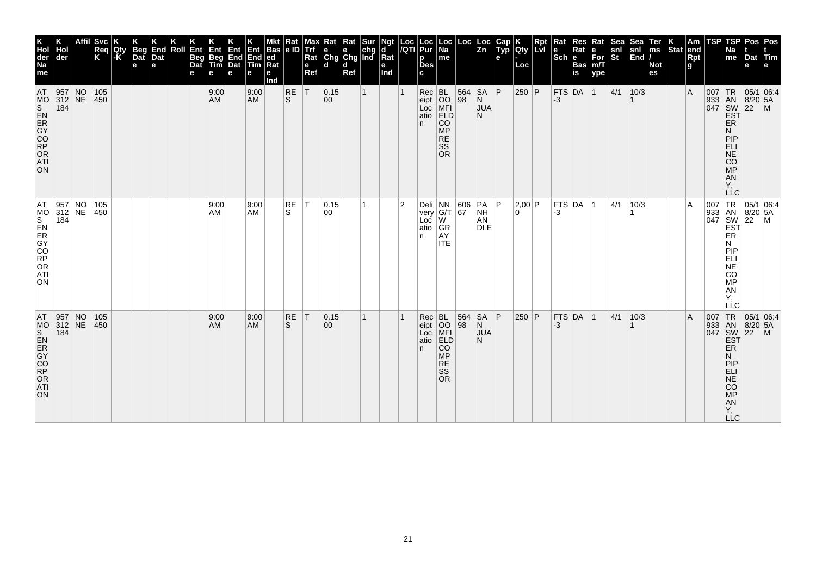| <b>Svc</b><br>End<br>Beg<br>Dat<br>Roll<br>Ent<br> Req<br> K<br>Qty<br>l-K<br>Dat<br>Beg<br>Dat<br>$\mathbf e$<br>e<br>105<br>450<br>105<br> 450<br>105<br>450     |  |  |  |  | 4∃ny<br>Beg<br>Tim<br>е<br>9:00<br><b>AM</b><br>9:00<br>AM | Ent<br>End<br>Dat<br>е | End<br><b>Tim</b><br>е<br>9:00<br><b>AM</b><br>9:00<br><b>AM</b><br><b>AM</b> | Bas<br> ed<br>Rat<br>е<br>Ind | Rat<br>le ID<br>RE<br>ls.<br><b>RE</b><br>S.<br>RE<br>S | Max<br>e<br>Ref<br> T<br>$\top$ | ĸat<br>Trf e e chg<br>Rat Chg Chg Ind<br>l d<br> 0.15<br>$ 00\rangle$<br> 0.15 <br>00 | Rat<br>d<br>Ref | Sur<br>1 | Ngt<br>d<br>Rat<br>e<br>Ind | Loc<br><b>IQTI</b><br>2 | Loc<br>Pur<br>р<br><b>Des</b><br>$Rec$ BL<br>n.<br>atio<br>n | <b>Loc</b><br>Na<br>me<br>eipt<br>Loc MFI<br>atio ELD<br><b>CO</b><br><b>MP</b><br><b>RE</b><br>SS<br><b>OR</b><br>Deli NN 606<br>very G/T 67<br>Loc W<br> GR<br>AY<br><b>ITE</b> | Loc<br>564<br>98 | Loc<br>$\overline{z}$ <sub>n</sub><br><b>SA</b><br>N<br><b>JUA</b><br>N<br> PA <br><b>NH</b><br>AN<br><b>DLE</b> | Cap<br>$\tilde{$ , Typ}<br>e<br>∣P.<br>l P<br>∣P. | Qty<br>Loc<br>$250$ P<br> 2,00 P<br>$\Omega$<br>250 P | Rpt<br><b>LvI</b> | Rat<br>$ \overline{\text{Sch}} e$<br>FTS DA 1<br>$-3$<br> FTS DA 1<br>-3<br>FTS DA 1<br>$ -3 $ | Res<br>Rat<br><b>Bas</b><br>is | Rat<br>е<br>$\overline{\text{For}}$ <sub>m/T</sub><br>ype | Sea<br>snl<br>St<br> 4/1<br>4/1<br> 4/1 | snl<br>$\left \overline{\text{End}}\right $<br>10/3<br>10/3<br>10/3 | <b>Ter</b><br>ms<br><b>Not</b><br>es | Stat end | Am<br>Rpt<br>g<br>$\overline{A}$<br>A<br>$\overline{A}$ | TSP | TSP<br>Na<br>me<br><b>ER</b><br>N<br>PIP<br>ELI<br>NE<br>CO<br>$\overline{MP}$<br>AN<br>Υ,<br><b>LLC</b><br>ER<br>N<br> P P<br>ELI<br>$N\bar{E}$<br><b>CO</b><br>MP<br>AN<br>Υ.<br>LLC | Dat Tim<br>e<br>007 TR 05/1 06:4<br>933 AN 8/20 5A<br>047 SW 22 M<br>EST<br>007 TR 05/1 06:4<br>933 AN 8/20 5A<br>047 SW 22 M<br>EST                                                                                                                                 | Pos   Pos |  |
|--------------------------------------------------------------------------------------------------------------------------------------------------------------------|--|--|--|--|------------------------------------------------------------|------------------------|-------------------------------------------------------------------------------|-------------------------------|---------------------------------------------------------|---------------------------------|---------------------------------------------------------------------------------------|-----------------|----------|-----------------------------|-------------------------|--------------------------------------------------------------|-----------------------------------------------------------------------------------------------------------------------------------------------------------------------------------|------------------|------------------------------------------------------------------------------------------------------------------|---------------------------------------------------|-------------------------------------------------------|-------------------|------------------------------------------------------------------------------------------------|--------------------------------|-----------------------------------------------------------|-----------------------------------------|---------------------------------------------------------------------|--------------------------------------|----------|---------------------------------------------------------|-----|----------------------------------------------------------------------------------------------------------------------------------------------------------------------------------------|----------------------------------------------------------------------------------------------------------------------------------------------------------------------------------------------------------------------------------------------------------------------|-----------|--|
| 9:00<br> T<br> 0.15<br>$Rec$ BL<br>9:00<br>eipt 00<br>Loc MFI<br>AM<br>$ 00\rangle$<br>ELD<br>atio<br><b>CO</b><br>n.<br><b>MP</b><br><b>RE</b><br>SS<br><b>OR</b> |  |  |  |  |                                                            |                        |                                                                               |                               |                                                         |                                 |                                                                                       |                 |          |                             |                         |                                                              |                                                                                                                                                                                   | 564<br>98        | $\frac{SA}{N}$<br><b>JUA</b><br>N                                                                                |                                                   |                                                       |                   |                                                                                                |                                |                                                           |                                         |                                                                     |                                      |          |                                                         |     | ER<br>N<br>PIP<br>ELI<br>NE<br>CO<br>MP<br>AN<br>Y,                                                                                                                                    | $\begin{array}{r} \n 1R \n 05/1 \n 16 \n 18/20 \n 5A \n 18/20 \n 5A \n 22 \n 14 \n 16/12 \n 16/12 \n 17/12 \n 18/12 \n 19/12 \n 10/12 \n 10/12 \n 10/12 \n 10/12 \n 10/12 \n 11/12 \n 12/12 \n 13/12 \n 14/12 \n 15/12 \n 16/12 \n 17/12 \n 18/12 \n 19/12 \n 10/12$ |           |  |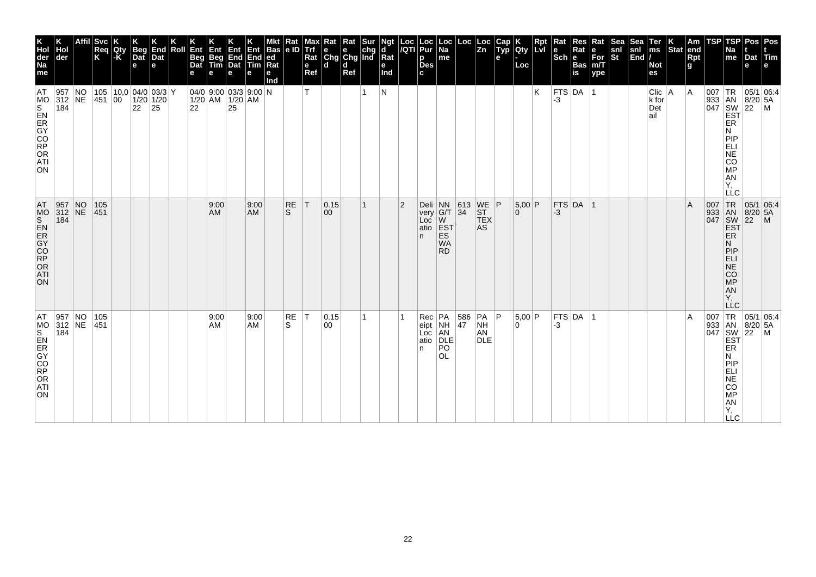| K<br>Hol<br>der<br>Na<br>me                                                 | der                                                              | <b>Svc</b><br>Req<br>K | Qty<br>$ \text{-}\mathsf{K} $ | <b>Beg</b><br>Dat<br>$\mathbf e$            | End<br>Dat<br>le. | Roll | Ent<br><b>Beg</b><br>Dat | Ent<br>Beg<br>Tim | <b>Ent</b><br>End End<br>Dat Tim<br>e              | Ent<br>е          | <b>Bas</b><br> ed <br>Ra<br>е<br>Ind | Rat<br> e D        | мах<br><b>Trf</b><br>Rat<br>e<br>Ref | Rat<br>$\left \begin{array}{c}\n\mathbf{e} \\ \mathbf{C} \mathbf{h} \mathbf{g}\n\end{array}\right $ $\mathbf{C} \mathbf{h} \mathbf{g}$ and<br>ld. | Rat<br>d<br>Ref | Sur | Ngt<br>ď<br>Rat<br>e<br>Ind | Loc<br>/QTI    | Loc<br>Pur<br>p<br><b>Des</b><br>c.    | ∣Loc<br>$\overline{Na}$<br>me                             | Loc           | ∣Loc<br>$\overline{z_n}$                  | Cap<br>$\tilde{$ , Typ}<br>е | Qty<br>Loc    | Rpt<br><b>Lvi</b> | Rat<br>le<br>$ \mathsf{Sch} $ e | Res<br>Rat<br><b>Bas</b><br>is | Rat<br>е<br>$\overline{\text{For}}$ <sub>m/T</sub><br>ype | Sea<br>snl<br>St | <b>Sea</b><br>snl<br>$\left \overline{\text{End}}\right $ | Ter<br>$\mathsf{ms}$<br><b>Not</b><br>es | Stat end | Am<br>Rpt<br>g | TSP | TSP<br>Na<br>me                                                                                | Pos   Pos<br>Dat Tim<br>e                                       |                                                                                                                                                                                                          |
|-----------------------------------------------------------------------------|------------------------------------------------------------------|------------------------|-------------------------------|---------------------------------------------|-------------------|------|--------------------------|-------------------|----------------------------------------------------|-------------------|--------------------------------------|--------------------|--------------------------------------|---------------------------------------------------------------------------------------------------------------------------------------------------|-----------------|-----|-----------------------------|----------------|----------------------------------------|-----------------------------------------------------------|---------------|-------------------------------------------|------------------------------|---------------|-------------------|---------------------------------|--------------------------------|-----------------------------------------------------------|------------------|-----------------------------------------------------------|------------------------------------------|----------|----------------|-----|------------------------------------------------------------------------------------------------|-----------------------------------------------------------------|----------------------------------------------------------------------------------------------------------------------------------------------------------------------------------------------------------|
| <b>AT</b><br>MO<br>iorg<br>CR<br>CR<br>CO<br>RP<br>OR<br>ATI<br>ON.         | 957 NO<br>312 NE<br>184                                          | 451 00                 |                               | 105   10,0   04/0   03/3   Y<br>$1/20$ 1/20 | $22 \mid 25$      |      | 22                       |                   | 04/0 9:00 03/3 9:00 N<br>$1/20$ AM $1/20$ AM<br>25 |                   |                                      |                    | т                                    |                                                                                                                                                   |                 | 1   | N                           |                |                                        |                                                           |               |                                           |                              |               | K                 | FTS DA 1<br>-3                  |                                |                                                           |                  |                                                           | $Clic$   A<br>k for<br>Det<br>ail        |          | $\overline{A}$ |     | ER<br>N<br><b>PIP</b><br>ELI<br><b>NE</b><br><b>CO</b><br><b>MP</b><br>AN<br>Υ,<br><b>LLC</b>  | 007   TR   05/1   06:4<br>933 AN 8/20 5A<br>047 SW 22 M<br>EST  |                                                                                                                                                                                                          |
| AT<br>MO<br>S<br>ER<br>GY<br>C<br>CO<br>RP<br>OR<br><b>ATI</b><br><b>ON</b> | $\begin{array}{ l l }\n957 & NO \\ 312 & NE\n\end{array}$<br>184 | 105<br> 451            |                               |                                             |                   |      |                          | 9:00<br>AM        |                                                    | 9:00<br><b>AM</b> |                                      | RE<br><sub>S</sub> | T                                    | 0.15<br>00                                                                                                                                        |                 | 1   |                             | $\overline{2}$ | $Deli$ NN<br>atio<br>n.                | very G/T 34<br><b>EST</b><br>ES<br><b>WA</b><br><b>RD</b> | $ 613\rangle$ | $WE$ $P$<br><b>ST</b><br><b>TEX</b><br>AS |                              | 5,00 P<br>0   |                   | $-3$                            | $FTS$ DA $ 1$                  |                                                           |                  |                                                           |                                          |          | $\overline{A}$ |     | <b>EST</b><br>ER<br>N.<br>PIP<br><b>ELI</b><br>NE<br><b>CO</b><br>MP<br>AN<br>Υ.<br><b>LLC</b> | 007 TR 05/1 06:4<br>933 AN 8/20 5A<br>047 SW 22 M<br> 05/1 06:4 |                                                                                                                                                                                                          |
| AT<br>MO<br>S<br>ER<br>GY<br>CO<br>RP<br>OR<br>ATI<br>ON.                   | 957 NO<br>312 NE<br>184                                          | 105<br>451             |                               |                                             |                   |      |                          | 9:00<br>AM        |                                                    | 9:00<br><b>AM</b> |                                      | RE<br>S.           | T                                    | 0.15 <br>00                                                                                                                                       |                 | 1   |                             |                | $Rec$ $PA$<br>eipt<br>Loc<br>atio<br>n | NH<br>A <sub>N</sub><br>DLE<br>PO<br><b>OL</b>            | 586<br>47     | PA P<br><b>NH</b><br>AN<br><b>DLE</b>     |                              | 5,00 P<br>l O |                   | -3                              | FTS DA 1                       |                                                           |                  |                                                           |                                          |          | $\overline{A}$ |     | ER<br>N<br>PIP<br>ELI<br><b>NE</b><br><b>CO</b><br><b>MP</b><br><b>AN</b><br>Υ,<br><b>LLC</b>  |                                                                 | $\begin{array}{r} \n 1 \text{ R} \\  333 \text{ and } 8/20 \text{,} \\  047 \text{ } \frac{\text{SN}}{\text{EST}} \begin{bmatrix} 05/1 \\ 8/20 \\ 22 \text{ } \text{M} \end{bmatrix} \\  \n \end{array}$ |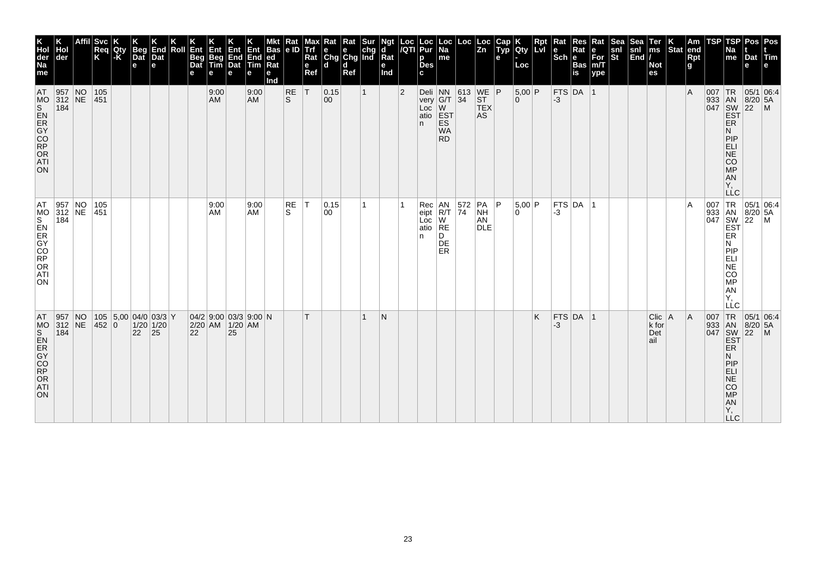| K<br>Hol<br>der<br>Na<br>me                 | der                       |    | <b>Svc</b><br>Req<br>K | Qty<br>-K | <b>Beg</b><br>Dat<br>e | End<br>Dat<br>l el                                      | Roll | Ent<br>Beg<br>Dat<br>е | Ent<br>Beg<br>Tim<br>e | <b>Ent</b><br><b>End</b><br>Dat<br>е | Ent<br>End<br>Tim<br>е  | <b>Bas</b><br>ed<br>Rat<br>е<br>Ind | Rat<br> e D    | Max<br>Trf<br>Rat<br>$\mathbf{e}$<br>Ref | Kat<br>$\begin{array}{ c c c }\n\hline\ne & e & chg \\ Chg & Chg & Ind\n\end{array}$<br>l d | Rat<br>d<br>Ref | Sur          | Ngt<br>d<br>$\overline{\mathsf{R}}$ at<br>е<br>Ind | Loc<br>/QTI    | Loc<br>Pur<br>p<br><b>Des</b><br>C.                                                                                                              | ∣Loc<br>Na<br>me                           | Loc | Loc<br> Zn                                    | Cap<br><b>TEP</b><br>e | Qty<br>Loc                 | Rpt<br><b>LvI</b> | Rat<br>$\left \begin{array}{c}\n\mathbf{e} \\ \text{Sch}\n\end{array}\right $ R | Res<br>Rat<br>Bas<br>is | Rat<br>∣е<br>For<br>m/T<br>ype | <b>Sea</b><br>$\frac{\mathsf{snl}}{\mathsf{St}}$ | Sea<br>snl<br>End | Ter<br>ms<br><b>Not</b><br>es      | $\left \frac{\mathsf{K}}{\mathsf{Stat}}\right $ am | Am<br><b>Rpt</b><br>g | TSP | TSP<br>Na<br>me                                                                                                  | Pos<br>Dat<br>e                        | Pos<br>Tim                                                                                                                                                                                                                                                |
|---------------------------------------------|---------------------------|----|------------------------|-----------|------------------------|---------------------------------------------------------|------|------------------------|------------------------|--------------------------------------|-------------------------|-------------------------------------|----------------|------------------------------------------|---------------------------------------------------------------------------------------------|-----------------|--------------|----------------------------------------------------|----------------|--------------------------------------------------------------------------------------------------------------------------------------------------|--------------------------------------------|-----|-----------------------------------------------|------------------------|----------------------------|-------------------|---------------------------------------------------------------------------------|-------------------------|--------------------------------|--------------------------------------------------|-------------------|------------------------------------|----------------------------------------------------|-----------------------|-----|------------------------------------------------------------------------------------------------------------------|----------------------------------------|-----------------------------------------------------------------------------------------------------------------------------------------------------------------------------------------------------------------------------------------------------------|
| AT<br>ON                                    | 957 NO<br>312 NE<br>184   |    | 105<br> 451            |           |                        |                                                         |      |                        | 9:00<br>AM             |                                      | 9:00<br><b>AM</b>       |                                     | $\frac{RE}{S}$ | T                                        | 0.15<br>00                                                                                  |                 | $\mathbf{1}$ |                                                    | $\overline{2}$ | Deli NN 613 WE P<br>very G/T 34 ST<br>Loc W_ TEX<br>atio<br>n.                                                                                   | <b>EST</b><br>ES<br><b>WA</b><br><b>RD</b> |     | AS                                            |                        | $5,00$ P<br>$\overline{0}$ |                   | $-3$                                                                            | FTS DA 1                |                                |                                                  |                   |                                    |                                                    | l A                   |     | ER<br>N<br>PIP<br>ELI<br>NE<br>CO<br>MP<br>AN<br>Y,<br><b>LLC</b>                                                | 933 AN 8/20 5,<br>047 SW 22 M<br>EST P | 05/1 06:4                                                                                                                                                                                                                                                 |
| AT<br><b>SORDOCK</b><br>ORDOCK<br>ATI<br>ON | 957 NO<br>$312$ NE<br>184 |    | 105<br>451             |           |                        |                                                         |      |                        | 9:00<br>AM.            |                                      | 9:00<br><b>AM</b>       |                                     | RE<br>S        | T                                        | 0.15 <br>00                                                                                 |                 |              |                                                    |                | $\begin{array}{c c}\n\text{vec} & \text{AN} \\ \text{eipt} & \text{R/T} \\ \hline\n\text{oc} & \text{W} \\ \text{P}^T\n\end{array}$<br>atio<br>n | RE<br>D<br>DE<br>ER                        |     | $ PA $ $ P $<br><b>NH</b><br>AN<br><b>DLE</b> |                        | $5.00$ P<br>۱O.            |                   | -3                                                                              | $FTS$ DA $ 1$           |                                |                                                  |                   |                                    |                                                    | ΙA                    |     | N<br><b>MONEY</b><br>AN<br>Y,<br>LLC                                                                             |                                        | $\begin{array}{c c}\n & \text{TR} & 05/1 & 0\n\end{array}$ $\begin{array}{c c}\n & \text{TR} & 05/1 & 0\n\end{array}$ $\begin{array}{c c}\n & \text{SIN} & 8/20 & 5A \\  & \text{SIV} & 22 & \text{M} \\  & \text{EST} & \\  & \text{R} & \\ \end{array}$ |
| AT<br>ORDOCK<br>ORDOCK<br><b>ATI</b><br>ON  | 957<br>312 NE<br>184      | NO | 452 0                  |           | 22                     | $105$ 5,00 04/0 03/3 Y<br>$1/20$ 1/20<br>$\frac{1}{25}$ |      | 22                     | 2/20 AM 1/20 AM        | 25                                   | $04/2$ 9:00 03/3 9:00 N |                                     |                | T.                                       |                                                                                             |                 |              | N                                                  |                |                                                                                                                                                  |                                            |     |                                               |                        |                            | Κ                 | -3                                                                              | $FTS$ DA 1              |                                |                                                  |                   | $Clic$   A<br>k for<br>Det<br>lail |                                                    | A                     | 007 | TR<br>933 AN<br>047 SW<br>EST<br>ER<br>N<br>PIP<br>ELI<br>NE<br>CO<br><b>MP</b><br><b>AN</b><br>Υ,<br><b>LLC</b> | $8/20$ 5A<br>$\overline{22}$           | 05/1 06.4<br>$\blacksquare$                                                                                                                                                                                                                               |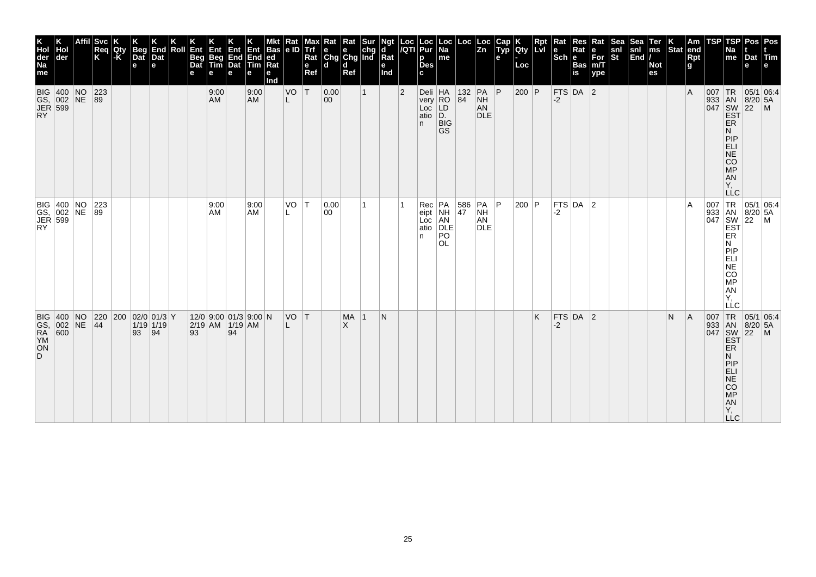| K<br>Hol<br>der<br>Na<br><b>Svc</b><br>Length of the che che che che a<br>$\left \frac{\text{Loc}}{\text{Zn}}\right $<br>Cap<br>Typ<br><b>Rpt</b><br>LVI<br>$\begin{array}{c} \n\text{Sea} \\ \text{snl} \\ \text{End}\n\end{array}$<br>Ter<br>ms<br>Loc Loc<br>/QTI Pur<br>Loc<br>Na<br>Rat<br>Rat<br>Rat<br> e ID<br>мах<br>K<br>Qty<br>Res<br>K<br>End<br>Dat<br>Beg<br>Dat<br>Hol<br>Roll<br>Ent<br>Req<br>K<br> Qty<br> -K<br>Ent<br>Beg<br>Tim<br>Ent<br>Trf<br>$\frac{\mathsf{snl}}{\mathsf{St}}$<br>Ent<br>End<br>Dat<br><b>Bas</b><br>Rat<br>e<br>For<br>m/T<br>End<br>der<br>Beg<br>Dat<br>$ ed$ Rat<br>Rat<br>$ \textsf{Sch} e$<br>me<br>р<br>е<br>Tim<br>Des<br>Bas<br>is<br><b>Not</b><br>e<br>e<br>$\mathbf e$<br>Loc<br>Ref<br>me<br>Ref<br>Ind<br>c<br>ype<br>es<br>е<br>е<br>e<br>e<br>е<br>Ind<br> T <br> P <br>FTS DA 2<br>BIG 400 NO<br>GS, 002 NE<br>JER 599<br>RY<br>223<br>89<br>VO<br> 0.00<br>Deli<br>very<br>RO<br>Loc<br>atio<br>D.<br>$\begin{array}{ c c c }\n\hline\n132 & PA \\ 84 & NH\n\end{array}$<br>$200$ P<br>9:00<br>9:00<br>$ 2\rangle$<br>$\mathbf{1}$<br>AM<br><b>AM</b><br>00<br>NH<br>$-2$<br>L<br>AN<br><b>DLE</b><br><b>BIG</b><br>n<br><b>GS</b><br>BIG 400 NO 223<br>GS, 002 NE 89<br>JER 599<br>RY<br> T <br>Rec PA<br>eipt NH<br>Loc AN<br>atio DLE<br>VO<br> 0.00<br>$\begin{array}{ c c }\n 586 \\  47\n\end{array}$<br> PA P<br>200 P<br>FTS $DA$ 2<br>9:00<br>9:00<br>1<br>NH<br>AM<br>AM<br>00<br>-2<br>AN<br><b>DLE</b><br>PO<br>n.<br><b>OL</b><br>$12/0$ 9:00 01/3 9:00 N<br> FTS DA 2<br><b>BIG 400 NO</b><br> 220 200 02/0 01/3 Y<br>VO T<br><b>MA</b><br>N<br>K<br>-1<br>GS, 002 NE<br>RA 600<br>YM<br>$1/19$ 1/19<br>$2/19$ AM $1/19$ AM<br> 44<br>$\times$<br>-2<br> 94<br>94<br>93<br>93<br>ON<br>D. | <b>TSP</b><br>TSP<br>Pos Pos<br>$\vert$ Am<br>end<br>$\vert_{\text{Stat}}^{\text{K}}$<br>Na<br>Dat Tim<br>Rpt<br>g<br>me<br>e<br>e | 05/1 06:4<br>ΙA<br>933 AN 8/20 5.<br>047 SW 22 M<br>EST 22 M<br>ER<br>Ν<br>PIP<br>ELI<br>NE<br>CO<br>MP<br>AN<br>Y,<br><b>LLC</b> | 007 TR<br>933 AN<br>047 SW<br>EST<br>ER<br>ER<br>$\begin{array}{ c c }\n\hline\n05/1 & 06:4 \\ 8/20 & 5A \\ 22 & M\n\end{array}$<br>۱A<br>N<br>PIP<br>ELI<br>NE<br>CO<br>MP<br>AN<br>Y,<br>LLC | TR<br> A<br> 007<br> 05/1 06:4<br>933 AN<br>047 SW<br>EST<br>$8/20$ 5A<br>$ 22 $ M<br>ER<br>N.<br>PIP<br>ELI<br>NE<br>NA<br>NA<br>NA<br>NA<br>NA |
|---------------------------------------------------------------------------------------------------------------------------------------------------------------------------------------------------------------------------------------------------------------------------------------------------------------------------------------------------------------------------------------------------------------------------------------------------------------------------------------------------------------------------------------------------------------------------------------------------------------------------------------------------------------------------------------------------------------------------------------------------------------------------------------------------------------------------------------------------------------------------------------------------------------------------------------------------------------------------------------------------------------------------------------------------------------------------------------------------------------------------------------------------------------------------------------------------------------------------------------------------------------------------------------------------------------------------------------------------------------------------------------------------------------------------------------------------------------------------------------------------------------------------------------------------------------------------------------------------------------------------------------------------------------------------------------------------------------------------------------------------------------------|------------------------------------------------------------------------------------------------------------------------------------|-----------------------------------------------------------------------------------------------------------------------------------|------------------------------------------------------------------------------------------------------------------------------------------------------------------------------------------------|--------------------------------------------------------------------------------------------------------------------------------------------------|
| N                                                                                                                                                                                                                                                                                                                                                                                                                                                                                                                                                                                                                                                                                                                                                                                                                                                                                                                                                                                                                                                                                                                                                                                                                                                                                                                                                                                                                                                                                                                                                                                                                                                                                                                                                                   |                                                                                                                                    |                                                                                                                                   |                                                                                                                                                                                                |                                                                                                                                                  |
|                                                                                                                                                                                                                                                                                                                                                                                                                                                                                                                                                                                                                                                                                                                                                                                                                                                                                                                                                                                                                                                                                                                                                                                                                                                                                                                                                                                                                                                                                                                                                                                                                                                                                                                                                                     |                                                                                                                                    |                                                                                                                                   |                                                                                                                                                                                                |                                                                                                                                                  |
|                                                                                                                                                                                                                                                                                                                                                                                                                                                                                                                                                                                                                                                                                                                                                                                                                                                                                                                                                                                                                                                                                                                                                                                                                                                                                                                                                                                                                                                                                                                                                                                                                                                                                                                                                                     |                                                                                                                                    |                                                                                                                                   |                                                                                                                                                                                                |                                                                                                                                                  |
|                                                                                                                                                                                                                                                                                                                                                                                                                                                                                                                                                                                                                                                                                                                                                                                                                                                                                                                                                                                                                                                                                                                                                                                                                                                                                                                                                                                                                                                                                                                                                                                                                                                                                                                                                                     |                                                                                                                                    |                                                                                                                                   |                                                                                                                                                                                                |                                                                                                                                                  |
|                                                                                                                                                                                                                                                                                                                                                                                                                                                                                                                                                                                                                                                                                                                                                                                                                                                                                                                                                                                                                                                                                                                                                                                                                                                                                                                                                                                                                                                                                                                                                                                                                                                                                                                                                                     |                                                                                                                                    |                                                                                                                                   |                                                                                                                                                                                                |                                                                                                                                                  |
|                                                                                                                                                                                                                                                                                                                                                                                                                                                                                                                                                                                                                                                                                                                                                                                                                                                                                                                                                                                                                                                                                                                                                                                                                                                                                                                                                                                                                                                                                                                                                                                                                                                                                                                                                                     |                                                                                                                                    |                                                                                                                                   |                                                                                                                                                                                                |                                                                                                                                                  |
|                                                                                                                                                                                                                                                                                                                                                                                                                                                                                                                                                                                                                                                                                                                                                                                                                                                                                                                                                                                                                                                                                                                                                                                                                                                                                                                                                                                                                                                                                                                                                                                                                                                                                                                                                                     |                                                                                                                                    |                                                                                                                                   |                                                                                                                                                                                                |                                                                                                                                                  |
|                                                                                                                                                                                                                                                                                                                                                                                                                                                                                                                                                                                                                                                                                                                                                                                                                                                                                                                                                                                                                                                                                                                                                                                                                                                                                                                                                                                                                                                                                                                                                                                                                                                                                                                                                                     |                                                                                                                                    |                                                                                                                                   |                                                                                                                                                                                                |                                                                                                                                                  |
|                                                                                                                                                                                                                                                                                                                                                                                                                                                                                                                                                                                                                                                                                                                                                                                                                                                                                                                                                                                                                                                                                                                                                                                                                                                                                                                                                                                                                                                                                                                                                                                                                                                                                                                                                                     |                                                                                                                                    |                                                                                                                                   |                                                                                                                                                                                                |                                                                                                                                                  |
|                                                                                                                                                                                                                                                                                                                                                                                                                                                                                                                                                                                                                                                                                                                                                                                                                                                                                                                                                                                                                                                                                                                                                                                                                                                                                                                                                                                                                                                                                                                                                                                                                                                                                                                                                                     |                                                                                                                                    |                                                                                                                                   |                                                                                                                                                                                                |                                                                                                                                                  |
|                                                                                                                                                                                                                                                                                                                                                                                                                                                                                                                                                                                                                                                                                                                                                                                                                                                                                                                                                                                                                                                                                                                                                                                                                                                                                                                                                                                                                                                                                                                                                                                                                                                                                                                                                                     |                                                                                                                                    |                                                                                                                                   |                                                                                                                                                                                                |                                                                                                                                                  |
|                                                                                                                                                                                                                                                                                                                                                                                                                                                                                                                                                                                                                                                                                                                                                                                                                                                                                                                                                                                                                                                                                                                                                                                                                                                                                                                                                                                                                                                                                                                                                                                                                                                                                                                                                                     |                                                                                                                                    |                                                                                                                                   |                                                                                                                                                                                                |                                                                                                                                                  |
|                                                                                                                                                                                                                                                                                                                                                                                                                                                                                                                                                                                                                                                                                                                                                                                                                                                                                                                                                                                                                                                                                                                                                                                                                                                                                                                                                                                                                                                                                                                                                                                                                                                                                                                                                                     |                                                                                                                                    |                                                                                                                                   |                                                                                                                                                                                                |                                                                                                                                                  |
|                                                                                                                                                                                                                                                                                                                                                                                                                                                                                                                                                                                                                                                                                                                                                                                                                                                                                                                                                                                                                                                                                                                                                                                                                                                                                                                                                                                                                                                                                                                                                                                                                                                                                                                                                                     |                                                                                                                                    |                                                                                                                                   |                                                                                                                                                                                                |                                                                                                                                                  |
|                                                                                                                                                                                                                                                                                                                                                                                                                                                                                                                                                                                                                                                                                                                                                                                                                                                                                                                                                                                                                                                                                                                                                                                                                                                                                                                                                                                                                                                                                                                                                                                                                                                                                                                                                                     |                                                                                                                                    |                                                                                                                                   |                                                                                                                                                                                                |                                                                                                                                                  |
|                                                                                                                                                                                                                                                                                                                                                                                                                                                                                                                                                                                                                                                                                                                                                                                                                                                                                                                                                                                                                                                                                                                                                                                                                                                                                                                                                                                                                                                                                                                                                                                                                                                                                                                                                                     |                                                                                                                                    |                                                                                                                                   |                                                                                                                                                                                                |                                                                                                                                                  |
|                                                                                                                                                                                                                                                                                                                                                                                                                                                                                                                                                                                                                                                                                                                                                                                                                                                                                                                                                                                                                                                                                                                                                                                                                                                                                                                                                                                                                                                                                                                                                                                                                                                                                                                                                                     |                                                                                                                                    |                                                                                                                                   |                                                                                                                                                                                                |                                                                                                                                                  |
|                                                                                                                                                                                                                                                                                                                                                                                                                                                                                                                                                                                                                                                                                                                                                                                                                                                                                                                                                                                                                                                                                                                                                                                                                                                                                                                                                                                                                                                                                                                                                                                                                                                                                                                                                                     |                                                                                                                                    |                                                                                                                                   |                                                                                                                                                                                                |                                                                                                                                                  |
|                                                                                                                                                                                                                                                                                                                                                                                                                                                                                                                                                                                                                                                                                                                                                                                                                                                                                                                                                                                                                                                                                                                                                                                                                                                                                                                                                                                                                                                                                                                                                                                                                                                                                                                                                                     |                                                                                                                                    |                                                                                                                                   |                                                                                                                                                                                                |                                                                                                                                                  |
|                                                                                                                                                                                                                                                                                                                                                                                                                                                                                                                                                                                                                                                                                                                                                                                                                                                                                                                                                                                                                                                                                                                                                                                                                                                                                                                                                                                                                                                                                                                                                                                                                                                                                                                                                                     |                                                                                                                                    |                                                                                                                                   |                                                                                                                                                                                                |                                                                                                                                                  |
|                                                                                                                                                                                                                                                                                                                                                                                                                                                                                                                                                                                                                                                                                                                                                                                                                                                                                                                                                                                                                                                                                                                                                                                                                                                                                                                                                                                                                                                                                                                                                                                                                                                                                                                                                                     |                                                                                                                                    |                                                                                                                                   |                                                                                                                                                                                                |                                                                                                                                                  |
|                                                                                                                                                                                                                                                                                                                                                                                                                                                                                                                                                                                                                                                                                                                                                                                                                                                                                                                                                                                                                                                                                                                                                                                                                                                                                                                                                                                                                                                                                                                                                                                                                                                                                                                                                                     |                                                                                                                                    |                                                                                                                                   |                                                                                                                                                                                                |                                                                                                                                                  |
|                                                                                                                                                                                                                                                                                                                                                                                                                                                                                                                                                                                                                                                                                                                                                                                                                                                                                                                                                                                                                                                                                                                                                                                                                                                                                                                                                                                                                                                                                                                                                                                                                                                                                                                                                                     |                                                                                                                                    |                                                                                                                                   |                                                                                                                                                                                                |                                                                                                                                                  |
|                                                                                                                                                                                                                                                                                                                                                                                                                                                                                                                                                                                                                                                                                                                                                                                                                                                                                                                                                                                                                                                                                                                                                                                                                                                                                                                                                                                                                                                                                                                                                                                                                                                                                                                                                                     |                                                                                                                                    |                                                                                                                                   |                                                                                                                                                                                                |                                                                                                                                                  |
|                                                                                                                                                                                                                                                                                                                                                                                                                                                                                                                                                                                                                                                                                                                                                                                                                                                                                                                                                                                                                                                                                                                                                                                                                                                                                                                                                                                                                                                                                                                                                                                                                                                                                                                                                                     |                                                                                                                                    |                                                                                                                                   |                                                                                                                                                                                                |                                                                                                                                                  |
|                                                                                                                                                                                                                                                                                                                                                                                                                                                                                                                                                                                                                                                                                                                                                                                                                                                                                                                                                                                                                                                                                                                                                                                                                                                                                                                                                                                                                                                                                                                                                                                                                                                                                                                                                                     |                                                                                                                                    |                                                                                                                                   |                                                                                                                                                                                                |                                                                                                                                                  |
|                                                                                                                                                                                                                                                                                                                                                                                                                                                                                                                                                                                                                                                                                                                                                                                                                                                                                                                                                                                                                                                                                                                                                                                                                                                                                                                                                                                                                                                                                                                                                                                                                                                                                                                                                                     |                                                                                                                                    |                                                                                                                                   |                                                                                                                                                                                                |                                                                                                                                                  |
|                                                                                                                                                                                                                                                                                                                                                                                                                                                                                                                                                                                                                                                                                                                                                                                                                                                                                                                                                                                                                                                                                                                                                                                                                                                                                                                                                                                                                                                                                                                                                                                                                                                                                                                                                                     |                                                                                                                                    |                                                                                                                                   |                                                                                                                                                                                                |                                                                                                                                                  |
|                                                                                                                                                                                                                                                                                                                                                                                                                                                                                                                                                                                                                                                                                                                                                                                                                                                                                                                                                                                                                                                                                                                                                                                                                                                                                                                                                                                                                                                                                                                                                                                                                                                                                                                                                                     |                                                                                                                                    |                                                                                                                                   |                                                                                                                                                                                                |                                                                                                                                                  |
|                                                                                                                                                                                                                                                                                                                                                                                                                                                                                                                                                                                                                                                                                                                                                                                                                                                                                                                                                                                                                                                                                                                                                                                                                                                                                                                                                                                                                                                                                                                                                                                                                                                                                                                                                                     |                                                                                                                                    |                                                                                                                                   |                                                                                                                                                                                                |                                                                                                                                                  |
|                                                                                                                                                                                                                                                                                                                                                                                                                                                                                                                                                                                                                                                                                                                                                                                                                                                                                                                                                                                                                                                                                                                                                                                                                                                                                                                                                                                                                                                                                                                                                                                                                                                                                                                                                                     |                                                                                                                                    |                                                                                                                                   |                                                                                                                                                                                                |                                                                                                                                                  |
|                                                                                                                                                                                                                                                                                                                                                                                                                                                                                                                                                                                                                                                                                                                                                                                                                                                                                                                                                                                                                                                                                                                                                                                                                                                                                                                                                                                                                                                                                                                                                                                                                                                                                                                                                                     |                                                                                                                                    |                                                                                                                                   |                                                                                                                                                                                                |                                                                                                                                                  |
|                                                                                                                                                                                                                                                                                                                                                                                                                                                                                                                                                                                                                                                                                                                                                                                                                                                                                                                                                                                                                                                                                                                                                                                                                                                                                                                                                                                                                                                                                                                                                                                                                                                                                                                                                                     |                                                                                                                                    |                                                                                                                                   |                                                                                                                                                                                                |                                                                                                                                                  |
|                                                                                                                                                                                                                                                                                                                                                                                                                                                                                                                                                                                                                                                                                                                                                                                                                                                                                                                                                                                                                                                                                                                                                                                                                                                                                                                                                                                                                                                                                                                                                                                                                                                                                                                                                                     |                                                                                                                                    |                                                                                                                                   |                                                                                                                                                                                                |                                                                                                                                                  |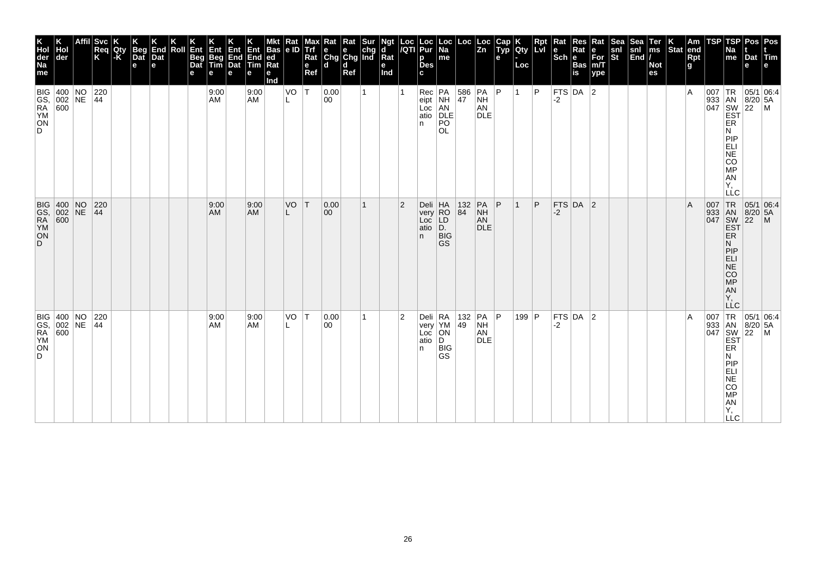| K<br>Hol<br>der<br>Na<br>me | Hol<br>der                               | <b>Svc</b><br>Req<br>K                                     | Qty<br> -K | K<br>Beg<br>Dat<br>e | K<br>End<br>Dat<br>e | Roll | Ent<br>Beg<br>Dat<br>е | Ent<br>Beg<br>Tim<br>e | Ent<br>End<br>Dat<br>е | Ent<br>End<br>Tim<br>е | <b>Bas</b><br> ed<br>Rat<br>е<br>Ind | Rat<br>e ID | <b>Maxy</b><br>Altri<br>Rat<br>e<br>Ref | $\begin{array}{ l l }\n\hline\n\text{Rat} & \text{Rat} & \text{Sur} \\ \hline\n\text{e} & \text{e} & \text{chg} \\ \text{Chg} & \text{Chg} & \text{Ind}\n\end{array}$<br>l d | d<br>Ref |   | Ngt<br>d<br>$\overline{\mathsf{R}}$ at<br>e<br>Ind |                | Loc Loc<br> /QTI Pur<br>p<br>Des<br>c        | $\vert$ Loc $\vert$ Na<br>me              | Loc                                                                               | Loc<br>Zn                                     | Cap<br>Typ<br>$\mathbf{e}$ | Qty<br>Loc | Rpt | <b>PRat</b><br>Sch e Bas<br>Is Bas<br>Is is b. |               | Rat<br>∣е<br>For<br>m/T<br>ype | Sea<br>snl<br>St | Sea<br>snl<br>End | Ter<br>ms<br><b>Not</b><br>es | $\left \begin{array}{c} K \\ \end{array}\right $ Stat end | Rpt<br>g | TSP | TSP<br><b>Na</b><br>$\mathsf{m}\mathsf{e}$                                      | Dat<br>е | Pos   Pos<br>Tim<br>e                                                                                                        |
|-----------------------------|------------------------------------------|------------------------------------------------------------|------------|----------------------|----------------------|------|------------------------|------------------------|------------------------|------------------------|--------------------------------------|-------------|-----------------------------------------|------------------------------------------------------------------------------------------------------------------------------------------------------------------------------|----------|---|----------------------------------------------------|----------------|----------------------------------------------|-------------------------------------------|-----------------------------------------------------------------------------------|-----------------------------------------------|----------------------------|------------|-----|------------------------------------------------|---------------|--------------------------------|------------------|-------------------|-------------------------------|-----------------------------------------------------------|----------|-----|---------------------------------------------------------------------------------|----------|------------------------------------------------------------------------------------------------------------------------------|
| ON<br>D.                    | BIG 400 NO<br>GS, 002 NE<br>RA 600<br>YM | $\begin{array}{ c c }\n 220 \\  \hline\n 44\n \end{array}$ |            |                      |                      |      |                        | 9:00<br>AM             |                        | 9:00<br><b>AM</b>      |                                      | VO<br>L     | $\top$                                  | 0.00<br>00                                                                                                                                                                   |          | 1 |                                                    |                | Rec PA<br>eipt NH<br>Loc AN<br>atio DLE<br>n | PO<br>OL.                                 | $\frac{586}{47}$                                                                  | $ PA $ $ P $<br><b>NH</b><br>AN<br><b>DLE</b> |                            | $\vert$ 1  | Þ   | -2                                             | $FTS$ DA 2    |                                |                  |                   |                               |                                                           | ΙA       |     | ER<br>N<br>PIP<br>EL<br>ANGO<br>Υ,<br><b>LLC</b>                                |          | $\begin{array}{c c}\n & R & 05/1 & 0.1 \\  & AB & 8/20 & 5A \\ \hline\n047 & 8W & 22 & M \\ \hline\nEBT & & & \n\end{array}$ |
| ON<br>D                     | BIG 400 NO<br>GS, 002 NE<br>RA 600<br>YM | 220<br>$\overline{44}$                                     |            |                      |                      |      |                        | 9:00<br>AM             |                        | 9:00<br><b>AM</b>      |                                      | VO          | İΤ                                      | 0.00 <br>$ 00\rangle$                                                                                                                                                        |          | 1 |                                                    | $\overline{2}$ | Deli<br>very<br>Loc<br>atio<br>n.            | HA<br>RO<br>LD<br>D.<br><b>BIG</b><br>GS  | $ ^{132}_{84} $                                                                   | PA<br><b>NH</b><br>AN<br><b>DLE</b>           | $\mathsf{P}$               |            | P   | $-2$                                           | FTS DA 2      |                                |                  |                   |                               |                                                           | A        |     | 007 TR<br>933 AN<br>047 SW<br>EST<br>EŘ<br>N<br><b>MONES</b><br>AN<br>Y,<br>LĹC |          | 05/1 06:4<br>8/20 5A<br>22 M                                                                                                 |
| ON<br>D.                    | BIG 400 NO<br>GS, 002 NE<br>RA 600<br>YM | 220<br> 44                                                 |            |                      |                      |      |                        | 9:00<br>AM             |                        | 9:00<br><b>AM</b>      |                                      | VO          | T                                       | 0.00 <br>00                                                                                                                                                                  |          | 1 |                                                    | $\overline{2}$ | Deli RA<br>n.                                | very YM<br>Loc ON<br>atio D<br> B G<br>GS | $\begin{array}{ c c c c }\n\hline\n132 & PA & P \\ 49 & NH & \hline\n\end{array}$ | AN<br><b>DLE</b>                              |                            | 199   $P$  |     | $-2$                                           | $FTS$ DA $ 2$ |                                |                  |                   |                               |                                                           | ΙA       |     | ER<br>Ν<br><b>LLC</b>                                                           |          | 007 TR 05/1 06:4<br>933 AN 8/20 5A<br>047 SW 22 M<br>EST                                                                     |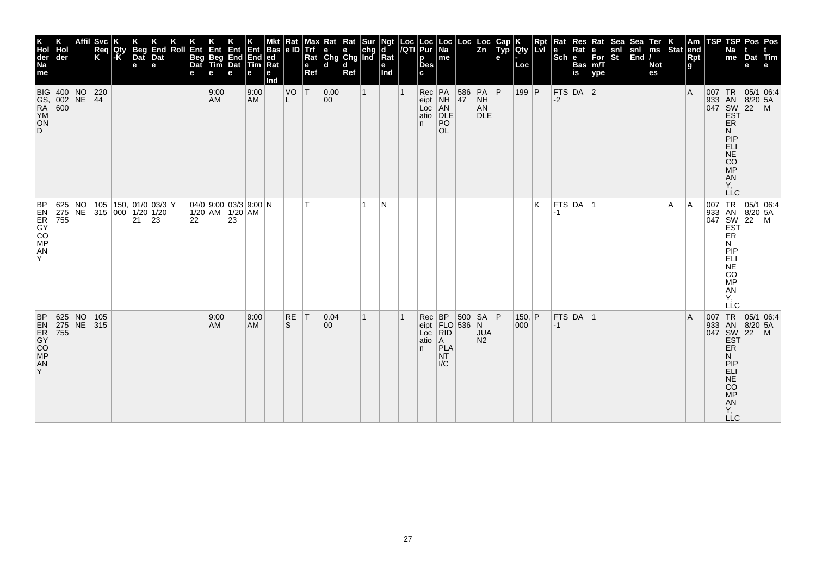|                                          | Hol<br>der<br><b>BIG 400 NO</b> | Affil Svc<br>Req<br>Κ<br>$\begin{array}{ c c }\n 220 \\  \hline\n 44\n \end{array}$ | Qty<br>-K | <b>Beg</b><br>Dat<br>e | End<br>Dat<br>e | Roll | Ent<br><b>Beg</b><br>Dat<br>е | Ent<br>Beg<br>Tim<br>е<br>9:00 | Ent Ent Bas<br>End End ed<br>Dat Tim Rat<br>е                 | е<br>9:00         | <b>Bas</b><br>е<br>Ind | $\begin{array}{ c c }\n\hline\n\text{Rat} \\ \text{e ID}\n\end{array}$<br>VO | Max∥<br><b>Trf</b><br>Rat<br>$\mathbf e$<br>Ref<br> T | $\kappa$ Rat Rat Sur Ngt<br>e chg d<br>Chg Chg Ind Rat<br>ld.<br> 0.00 | $\mathbf d$<br>Ref | $\mathbf{1}$ | е<br>Ind | Loc  Loc<br><i> I</i> QTI  Pur<br>p<br><b>Des</b><br>C.<br>$Rec$ $PA$ | Loc<br>  Na<br>$\sf m$ e                                                                           | $\begin{array}{ c c }\n 586 \\  \hline\n 47\n \end{array}$ | $\begin{array}{ c c } \text{Loc} & \text{Loc} \\ \hline \text{Zn} & \end{array}$<br>$PA$ $P$ | Cap<br>Typ<br>е | Qty<br>Loc<br>199 P | <b>Rpt</b><br><b>Lvi</b> | Rat<br>le.<br>$ \overline{\text{Sch}} $ e | <b>Res</b><br>Rat<br><b>Bas</b><br>is<br>$FTS$ DA 2 | Rat<br>e<br>For<br>m/T<br>ype | Sea<br>snl<br>St | Sea<br>snl<br>End | Ter<br>ms<br><b>Not</b><br>es | $\left \begin{array}{c} K \\ \text{Stat} \end{array}\right $ am | Rpt<br>g<br>l A | TSP<br>007 | TSP<br>Na<br>me                                                                | Dat<br>е                                          | Pos Pos<br> Tim<br>$TR$ 05/1 06:4                                                                                                                                                                                                    |
|------------------------------------------|---------------------------------|-------------------------------------------------------------------------------------|-----------|------------------------|-----------------|------|-------------------------------|--------------------------------|---------------------------------------------------------------|-------------------|------------------------|------------------------------------------------------------------------------|-------------------------------------------------------|------------------------------------------------------------------------|--------------------|--------------|----------|-----------------------------------------------------------------------|----------------------------------------------------------------------------------------------------|------------------------------------------------------------|----------------------------------------------------------------------------------------------|-----------------|---------------------|--------------------------|-------------------------------------------|-----------------------------------------------------|-------------------------------|------------------|-------------------|-------------------------------|-----------------------------------------------------------------|-----------------|------------|--------------------------------------------------------------------------------|---------------------------------------------------|--------------------------------------------------------------------------------------------------------------------------------------------------------------------------------------------------------------------------------------|
| <b>ON</b><br>D.                          | GS, 002 NE<br>RA 600<br>YM      |                                                                                     |           |                        |                 |      |                               | <b>AM</b>                      |                                                               | AM                |                        | L                                                                            |                                                       | $ 00\rangle$                                                           |                    |              |          | eipt NH<br>Loc<br>atio<br>n.                                          | AN<br>DLE<br>PO<br><b>OL</b>                                                                       |                                                            | <b>NH</b><br>AN<br><b>DLE</b>                                                                |                 |                     |                          | $-2$                                      |                                                     |                               |                  |                   |                               |                                                                 |                 |            | ER<br>N<br>PIP<br>ELI<br>NE<br>CO<br>MP<br>AN<br>Υ.                            | 933 AN 8/20 5A<br>047 SW 22 M<br>EST              |                                                                                                                                                                                                                                      |
| <b>BP</b><br>ESCONDI<br>${\sf AN}$<br>Y. | 755                             | 625 NO 105 150, 01/0 03/3 Y<br>275 NE 315 000 1/20 1/20                             |           | 21 23                  |                 |      | 22                            |                                | $ 04/0 $ 9:00 $ 03/3 $ 9:00 $ N$<br>$1/20$ AM $1/20$ AM<br>23 |                   |                        |                                                                              | T.                                                    |                                                                        |                    | 1            | IN.      |                                                                       |                                                                                                    |                                                            |                                                                                              |                 |                     | K                        | $-1$                                      | $FTS$ DA  1                                         |                               |                  |                   |                               | l A                                                             | ١A              |            | N<br><b>MONES</b><br><b>AN</b><br>Ÿ,<br>LLC                                    |                                                   | $\begin{array}{c c}\nC & \phantom{0}\text{1} & \text{1} & \text{1} \\ \hline\n047 & 8 & 1 & 1 \\ 047 & 8 & 1 & 1 \\ \hline\n047 & 8 & 1 & 1 \\ \hline\n1 & 1 & 1 & 1 \\ \hline\n1 & 1 & 1 & 1 \\ \hline\n1 & 1 & 1 & 1\n\end{array}$ |
| <b>EXECUTE</b><br>AN<br>Y.               | 625 NO<br>275 NE<br>755         | 105<br>315                                                                          |           |                        |                 |      |                               | 9:00<br>AM                     |                                                               | 9:00<br><b>AM</b> |                        | RE<br>S                                                                      | T                                                     | 0.04<br>00                                                             |                    | 1            |          | Rec<br>Loc<br>atio<br>n.                                              | <b>BP</b><br>eipt $FLO$ 536 N<br>$\overline{RID}$<br>$\overline{A}$<br>PLA<br>NT.<br>$\mathsf{IC}$ |                                                            | 500 SA P<br><b>JUA</b><br>N <sub>2</sub>                                                     |                 | 150, $ P $<br>000   |                          | $ -1 $                                    | $FTS$ DA 1                                          |                               |                  |                   |                               |                                                                 | ΙA              | 007        | TR<br>ER<br>N<br>PIP<br>ELI<br>NE<br>CO<br><b>MP</b><br>AN<br>Υ,<br><b>LLC</b> | 933 AN 8/20 5A<br>047 SW 22 M<br>EST<br>$8/20$ 5A | 05/1 06:4                                                                                                                                                                                                                            |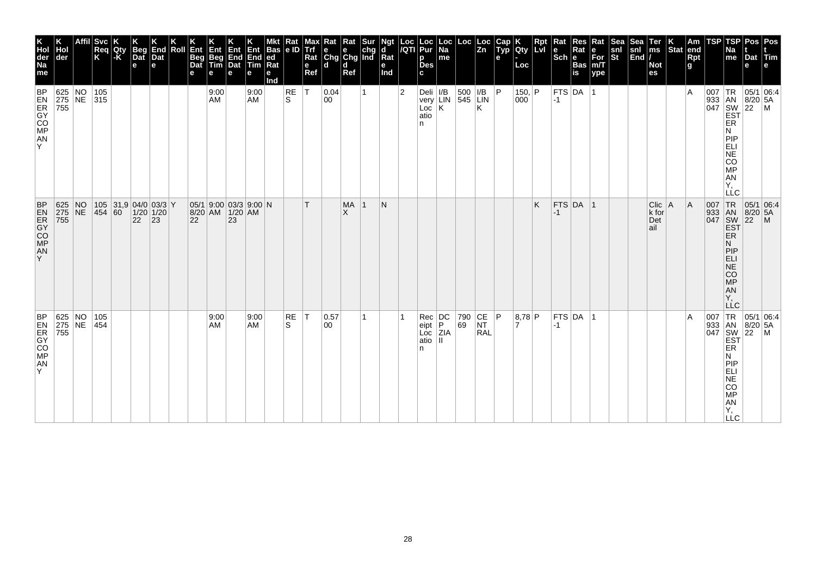| K<br>Hol<br>der<br>Na<br>me              | der                                                                            | Affil Svc<br>Req<br>K           | Qty<br>-K | Beg<br>Dat<br>$\mathbf e$                   | End<br>Dat<br>е | Roll | Ent<br>Beg<br>Dat<br>е | Ent<br>Beg<br>Tim<br>е | <b>Env</b><br>End<br>Dat<br>e                  | Ent<br>End<br>Tim<br>е | <b>Bas</b><br> ed <br>Rat<br>е<br>Ind | Rat<br>le ID | Max<br>Trf<br>Rat<br>$\mathbf e$<br>Ref | <b>Rat</b> Rat Sur<br>e e chg<br>Chg Chg Ind<br>ld. | d<br>Ref              |              | Ngt<br>d<br>Rat<br>е<br>Ind | $\frac{\log  V }{\log  V }$ | Loc<br>Pur<br>p<br><b>Des</b><br>C. | Loc<br>Na<br>me                                   | Loc <sub>1</sub> | Loc<br>Zn                                                               | Cap<br>Typ<br>e | Qty<br>Loc      | <b>Rpt</b><br>LvI | Rat    | Res<br>Sch Bas | Rat<br>e<br>For<br>m/T<br>ype | Sea<br>snl<br>St | Sea<br>snl<br>End | Ter<br>ms<br><b>Not</b><br>es      | $\left \begin{array}{c} K \\ \text{Stat} \end{array}\right $ am | Rpt<br>g | <b>TSP</b> | TSP<br>Na<br>me                                                                                                 | Pos<br>Dat<br>e | Pos<br><b>Film</b><br>e                                                                                                                              |
|------------------------------------------|--------------------------------------------------------------------------------|---------------------------------|-----------|---------------------------------------------|-----------------|------|------------------------|------------------------|------------------------------------------------|------------------------|---------------------------------------|--------------|-----------------------------------------|-----------------------------------------------------|-----------------------|--------------|-----------------------------|-----------------------------|-------------------------------------|---------------------------------------------------|------------------|-------------------------------------------------------------------------|-----------------|-----------------|-------------------|--------|----------------|-------------------------------|------------------|-------------------|------------------------------------|-----------------------------------------------------------------|----------|------------|-----------------------------------------------------------------------------------------------------------------|-----------------|------------------------------------------------------------------------------------------------------------------------------------------------------|
| <b>ANSOCRES</b><br>Y                     |                                                                                | 625 NO 105<br>275 NE 315<br>755 |           |                                             |                 |      |                        | 9:00<br>AM             |                                                | 9:00<br>AM             |                                       | RE<br>ls.    | İΤ                                      | 0.04<br>00                                          |                       | $\mathbf{1}$ |                             | $\overline{2}$              | Deli $ I/B $<br>Loc<br>atio<br>n    | very $\overline{LIN}$ 545 $\overline{LIN}$<br>ΙK. |                  | Κ                                                                       |                 | 150,  P <br>000 |                   | $ -1 $ | $FTS$ DA $ 1$  |                               |                  |                   |                                    |                                                                 | ΙA       | 007        | TR<br>933 AN 8/20<br>047 SW 22<br>EST<br>ER<br>N<br>PIP<br>ELI<br>NE<br>CO<br><b>MP</b><br>AN<br>Y,<br>LLC      | 8/20 5A         | 05/1 06:4<br>$\mathsf{M}$                                                                                                                            |
| <b>BP</b><br><b>EXPERIES</b><br>AN<br>Y. | 625 NO<br>275 NE<br>755                                                        | 454 60                          |           | $105$ 31,9 04/0 03/3 Y<br>$1/20$ 1/20<br>22 | $ 23\rangle$    |      | 22                     |                        | 05/1 9:00 03/3 9:00 N<br>8/20 AM 1/20 AM<br>23 |                        |                                       |              | T.                                      |                                                     | <b>MA</b><br>$\times$ | $\mathbf 1$  | N                           |                             |                                     |                                                   |                  |                                                                         |                 |                 | K                 | $-1$   | $FTS$ DA $ 1$  |                               |                  |                   | $Clic$ $A$<br>k for<br>Det<br>lail |                                                                 | ΙA       | 007        | TR<br>933 AN 8/20 5A<br><b>EST</b><br><b>ER</b><br>N<br>PIP<br>ELI<br>NE<br>CO <sub>MP</sub><br>AN<br>Y,<br>LLC | 05/1 06:4       |                                                                                                                                                      |
| <b>ELECCE</b><br>AN<br>Y.                | $\begin{array}{ l l }\n 625 & NO \\  275 & NE \\  \hline\n 755 &\n\end{array}$ | 105<br>454                      |           |                                             |                 |      |                        | 9:00<br><b>AM</b>      |                                                | 9:00<br>AM             |                                       | RE<br>S      | T                                       | 0.57<br>$ 00\rangle$                                |                       | 1            |                             |                             | Rec DC<br>eipt<br>Loc<br>atio<br>n  | P.<br><b>ZIA</b><br>$\mathbf{H}$                  | 790<br>69        | $\begin{array}{ c c }\n\text{CE} & \text{P}\n\end{array}$<br><b>RAL</b> |                 | 8,78 P          |                   | $-1$   | $ $ FTS DA $ $ | $\overline{1}$                |                  |                   |                                    |                                                                 | ١A       |            | ER<br>N<br>PIP<br>ELI<br>NE<br>CO<br><b>MP</b><br>AN<br>Υ,<br><b>LLC</b>                                        |                 | $\begin{array}{c c}\n & -C & \\  & \sqrt{07} & TR & 05/1 & 0. \\  & 933 & AN & 8/20 & 5A \\  & SN & 22 & M & \\  & EST & & \\  & EF & & \end{array}$ |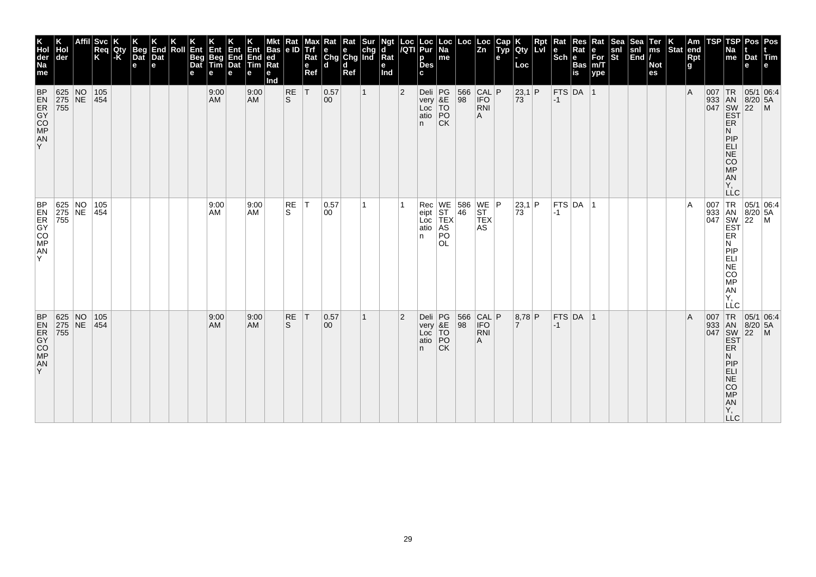| TSP<br>Pos   Pos<br>Cap<br>Typ<br>TSP<br>Res<br><b>Sea</b><br>Sea<br>Loc<br>Loc<br>Rat<br>Ter<br>Am<br>Rpt<br>Rat<br>$\overline{z}$ <sub>n</sub><br>Lvi<br>Stat end<br><b>IQty</b><br>Rat<br>$\begin{vmatrix} \text{snl} \\ \text{End} \end{vmatrix}$<br>ms<br>snl<br>St<br>le<br>Na<br>е<br>$ \overline{\text{Sch}} $ e<br>$\bar{F}$ or<br>m/T<br>Rpt<br>Dat Tim<br>me<br>e<br><b>Bas</b><br><b>Not</b><br>g<br>e<br>Loc<br>is<br>es<br>ype | $\begin{array}{ c c c }\n 566 & CAL & P \\  98 & IFO & \n\end{array}$<br>933 AN 8/20 5A<br>047 SW 22 M<br>EST<br>73<br>$-1$<br><b>RNI</b><br>A<br><b>ER</b><br>N<br>PIP<br>ELI<br>NE<br>CO<br>MP<br>AN<br>Υ.<br><b>LLC</b> | WE 586 WE P<br>ST 46 ST<br>TEX TEX<br>$\overline{A}$<br>73<br>$ -1 $<br><b>AS</b><br>ER<br>N<br><b>COMED</b> :<br>MP<br>AN<br>Y,<br>LLC | TR<br>FTS DA 1<br>566<br>98<br> CAL P<br> 8,78 P<br> 05/1 06:4<br>$\overline{A}$<br>007<br>933 AN 8/20 5A<br>047 SW 22 M<br>EST<br><b>IFO</b><br>$\overline{7}$<br>$-1$<br><b>RNI</b><br>Α<br>ER<br>N |
|----------------------------------------------------------------------------------------------------------------------------------------------------------------------------------------------------------------------------------------------------------------------------------------------------------------------------------------------------------------------------------------------------------------------------------------------|----------------------------------------------------------------------------------------------------------------------------------------------------------------------------------------------------------------------------|-----------------------------------------------------------------------------------------------------------------------------------------|-------------------------------------------------------------------------------------------------------------------------------------------------------------------------------------------------------|
| 23,1 P<br>FTS DA 1<br>$\overline{A}$<br>007 TR 05/1 06:4<br> 23,1 P<br>$ $ FTS $ $ DA $ $ 1<br>007 TR 05/1 06:4<br>933 AN 8/20 5A<br>047 SW 22 M<br>EST                                                                                                                                                                                                                                                                                      |                                                                                                                                                                                                                            |                                                                                                                                         | PIP<br><b>ELI</b><br><b>NE</b><br>CO<br><b>MP</b><br>AN<br>Υ,<br>LLC                                                                                                                                  |
|                                                                                                                                                                                                                                                                                                                                                                                                                                              |                                                                                                                                                                                                                            |                                                                                                                                         |                                                                                                                                                                                                       |
| Loc<br>Pur<br>  Loc<br>  Na<br>me<br><b>Des</b>                                                                                                                                                                                                                                                                                                                                                                                              | Deli PG<br>very &E<br>Loc TO<br>atio PO<br><b>CK</b>                                                                                                                                                                       | Rec<br>eipt<br>Loc<br>AS<br>PO<br><b>OL</b>                                                                                             | Deli PG<br>very &E<br>Loc TO<br>atio PO<br><b>CK</b>                                                                                                                                                  |
| Loc<br>/QTI<br>p<br>C.                                                                                                                                                                                                                                                                                                                                                                                                                       | $\overline{2}$<br>n.                                                                                                                                                                                                       | atio<br>n.                                                                                                                              | $\overline{2}$<br>n.                                                                                                                                                                                  |
| Ngt<br>d<br>Rat<br>е<br>Ind                                                                                                                                                                                                                                                                                                                                                                                                                  |                                                                                                                                                                                                                            |                                                                                                                                         |                                                                                                                                                                                                       |
|                                                                                                                                                                                                                                                                                                                                                                                                                                              | $\mathbf{1}$                                                                                                                                                                                                               | 1                                                                                                                                       | 1                                                                                                                                                                                                     |
| d<br>Ref                                                                                                                                                                                                                                                                                                                                                                                                                                     |                                                                                                                                                                                                                            |                                                                                                                                         |                                                                                                                                                                                                       |
| $\begin{array}{ l l }\n\hline\n\text{Rat} & \text{Rat} & \text{Sur} \\ \hline\n\text{e} & \text{e} & \text{chg} \\ \text{Chg} & \text{Chg} & \text{Ind}\n\end{array}$<br>ld.                                                                                                                                                                                                                                                                 | 0.57<br>$ 00\rangle$                                                                                                                                                                                                       | 0.57<br>00                                                                                                                              | 0.57<br>00                                                                                                                                                                                            |
| Max<br><b>Trf</b><br>Rat<br>$\mathbf e$<br>Ref                                                                                                                                                                                                                                                                                                                                                                                               | T                                                                                                                                                                                                                          | IT.                                                                                                                                     | T                                                                                                                                                                                                     |
| $\frac{Rat}{e}$                                                                                                                                                                                                                                                                                                                                                                                                                              | RE<br>ls.                                                                                                                                                                                                                  | RE<br>S.                                                                                                                                | <b>RE</b><br>S                                                                                                                                                                                        |
| <b>Bas</b><br> ed<br>Ra<br>е<br>Ind                                                                                                                                                                                                                                                                                                                                                                                                          |                                                                                                                                                                                                                            |                                                                                                                                         |                                                                                                                                                                                                       |
| Ent<br>End<br>$\overline{\mathsf{Tim}}$<br>е                                                                                                                                                                                                                                                                                                                                                                                                 | 9:00<br><b>AM</b>                                                                                                                                                                                                          | 9:00<br>AM                                                                                                                              | 9:00<br><b>AM</b>                                                                                                                                                                                     |
| Ent<br>End<br>Dat<br>е                                                                                                                                                                                                                                                                                                                                                                                                                       |                                                                                                                                                                                                                            |                                                                                                                                         |                                                                                                                                                                                                       |
| Ent<br>Beg<br>Tim<br>е                                                                                                                                                                                                                                                                                                                                                                                                                       | 9:00<br>AM                                                                                                                                                                                                                 | 9:00<br>AM                                                                                                                              | 9:00<br>AM                                                                                                                                                                                            |
| Ent<br>Beg<br>Dat<br>е                                                                                                                                                                                                                                                                                                                                                                                                                       |                                                                                                                                                                                                                            |                                                                                                                                         |                                                                                                                                                                                                       |
| Roll                                                                                                                                                                                                                                                                                                                                                                                                                                         |                                                                                                                                                                                                                            |                                                                                                                                         |                                                                                                                                                                                                       |
| End<br>Dat<br>e                                                                                                                                                                                                                                                                                                                                                                                                                              |                                                                                                                                                                                                                            |                                                                                                                                         |                                                                                                                                                                                                       |
| <b>Beg</b><br>Dat<br>e                                                                                                                                                                                                                                                                                                                                                                                                                       |                                                                                                                                                                                                                            |                                                                                                                                         |                                                                                                                                                                                                       |
| <b>Qty</b><br>l-K                                                                                                                                                                                                                                                                                                                                                                                                                            |                                                                                                                                                                                                                            |                                                                                                                                         |                                                                                                                                                                                                       |
| <b>Svc</b><br>Req<br>Κ                                                                                                                                                                                                                                                                                                                                                                                                                       | 105<br> 454                                                                                                                                                                                                                | 105<br>454                                                                                                                              | 105<br>454                                                                                                                                                                                            |
|                                                                                                                                                                                                                                                                                                                                                                                                                                              |                                                                                                                                                                                                                            |                                                                                                                                         |                                                                                                                                                                                                       |
| der                                                                                                                                                                                                                                                                                                                                                                                                                                          | 625 NO<br>275 NE<br>$\overline{755}$                                                                                                                                                                                       | $\begin{array}{ l l }\n 625 & NO \\  275 & NE \\  \hline\n 755 &\n\end{array}$                                                          | 625 NO<br>275 NE<br>755                                                                                                                                                                               |
| K<br>Hol<br>der<br>Na<br>me                                                                                                                                                                                                                                                                                                                                                                                                                  | <b>BP</b><br><b>EXPOSE</b><br>AN<br>Y                                                                                                                                                                                      | <b>BP</b><br><b>MOCRES</b><br>${\sf AN}$<br>Y                                                                                           | <b>BEAS</b><br><b>BEAS</b><br>AN<br>Y.                                                                                                                                                                |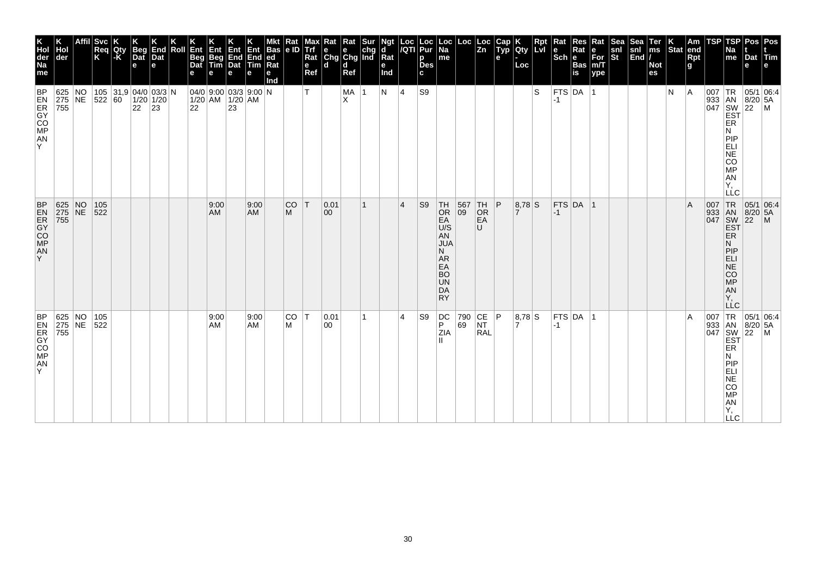| K<br>Hol<br>der<br>Na<br>me                                                        | Hol<br>der                                                                         | Affil Svc<br>Req<br>K | Qty<br>-K | <b>Beg</b><br>Dat<br>$\mathbf e$ | End<br>Dat<br>е | Roll | Ent<br><b>Beg</b><br>Dat<br>е | Ent<br>Beg<br>Tim | Ent Ent Bas<br>End End ed<br>Dat Tim Rat<br>е                                                       | е                 | <b>Bas</b><br>е<br>Ind | $\frac{Rat}{e}$ | Max<br>Trf<br>Rat<br>$\mathbf e$<br>Ref | $\begin{array}{c c c} \textbf{R} \textbf{at} & \textbf{R} \textbf{at} & \textbf{S} \textbf{ur} \\ \hline \textbf{e} & \textbf{e} & \textbf{chg} \\ \textbf{Chg} & \textbf{Chg} & \textbf{Ind} \end{array}$<br>ld. | d<br>Ref  |   | Ngt<br>d<br>$Ra$ t<br>е<br>Ind |                | Loc  Loc<br><i> I</i> QTI  Pur<br>р<br><b>Des</b><br>c | Loc<br>  Na<br>$\sf m$ e                                                                                                                        |                                                 | $\left  \begin{array}{c} \text{Loc} \\ \text{Zn} \end{array} \right $ | Cap<br>Typ<br>e | <b>Qty</b><br>Loc | <b>Rpt</b><br><b>Lvi</b> | Rat<br>$\left \frac{e}{Sch}\right $ R | Res<br>Rat<br><b>Bas</b><br>is | Rat<br>e<br>For<br>m/T<br>ype | Sea<br>snl<br>St | Sea<br>snl<br>End | Ter<br>ms<br><b>Not</b><br>es | $\left \begin{array}{c} K \\ \end{array}\right $ Stat end | <b>Rpt</b><br>g | TSP | TSP<br>Na<br>me                                                                 | Dat<br>е                                                                                                                        | Pos Pos<br><b><i><u>ITim</u></i></b><br>e                                                                             |
|------------------------------------------------------------------------------------|------------------------------------------------------------------------------------|-----------------------|-----------|----------------------------------|-----------------|------|-------------------------------|-------------------|-----------------------------------------------------------------------------------------------------|-------------------|------------------------|-----------------|-----------------------------------------|-------------------------------------------------------------------------------------------------------------------------------------------------------------------------------------------------------------------|-----------|---|--------------------------------|----------------|--------------------------------------------------------|-------------------------------------------------------------------------------------------------------------------------------------------------|-------------------------------------------------|-----------------------------------------------------------------------|-----------------|-------------------|--------------------------|---------------------------------------|--------------------------------|-------------------------------|------------------|-------------------|-------------------------------|-----------------------------------------------------------|-----------------|-----|---------------------------------------------------------------------------------|---------------------------------------------------------------------------------------------------------------------------------|-----------------------------------------------------------------------------------------------------------------------|
| <b>BP</b><br>$\begin{array}{c}\n\mathbf{25.5}\n\\ \mathbf{5.4}\n\end{array}$<br>Y. | 625 NO<br>275 NE 522 60<br>755                                                     |                       |           | 105 31,9 04/0 03/3 N<br>22 23    | $1/20$ 1/20     |      |                               |                   | 04/0 9:00 03/3 9:00 N<br>$\begin{array}{ c c c }\n 1/20 & AM & 1/20 & AM \\  22 & 23 & \end{array}$ |                   |                        |                 | T.                                      |                                                                                                                                                                                                                   | MA 1<br>X |   | N                              | 4              | S9                                                     |                                                                                                                                                 |                                                 |                                                                       |                 |                   | S                        | $-1$                                  | $FTS$ DA 1                     |                               |                  |                   |                               | N                                                         | A               |     | ER<br>N<br>PIP<br>ELI<br>NE<br>CO<br><b>MP</b><br><b>AN</b><br>Υ,<br><b>LLC</b> | $\begin{array}{c c}\n & 1R & 05/1 & 0.28 \\  & 1 & 8/20 & 5A \\  & 8 & 8/20 & 5A \\  & 1 & 8 & 22 \\  & 1 & 1 & 1\n\end{array}$ |                                                                                                                       |
| BP<br><b>EXPOSE</b><br>AN<br>Y                                                     | $\begin{array}{ l l }\n 625 & \text{NO} \\  275 & \text{NE} \\  755 & \end{array}$ | 105<br>522            |           |                                  |                 |      |                               | 9:00<br>AM        |                                                                                                     | 9:00<br><b>AM</b> |                        | <b>CO</b><br>M  | T                                       | 0.01<br>$ 00\rangle$                                                                                                                                                                                              |           | 1 |                                | $\overline{4}$ | S <sub>9</sub>                                         | $\overline{\begin{matrix} \nOR \n\end{matrix}}$<br>EA<br>U/S<br>AN<br><b>JUA</b><br>N.<br>AR<br>EA<br><b>BO</b><br><b>UN</b><br>DA<br><b>RY</b> | $\begin{array}{ c} 567 \\[-4pt] 09 \end{array}$ | TH<br>OR<br>EA<br>U                                                   | P               | $8,78$ S          |                          | $-1$                                  | $FTS$ DA  1                    |                               |                  |                   |                               |                                                           | ΙA              |     | ER<br>N<br>PIP<br>ELI<br>$\overline{\text{NE}}$<br>CO<br>MP<br>AN<br>Y,         | 007 TR 05/1 06:4<br>933 AN 8/20 5A<br>047 SW 22 M<br>EST                                                                        |                                                                                                                       |
| <b>BP</b><br><b>MOCRES</b><br>AN<br>Y                                              | 625 NO 105<br>275 NE 522<br>755                                                    |                       |           |                                  |                 |      |                               | 9:00<br>AM        |                                                                                                     | 9:00<br>AM        |                        | CO T<br>M       |                                         | 0.01<br>$ 00\rangle$                                                                                                                                                                                              |           | 1 |                                | $\overline{4}$ | S9                                                     | DC<br>P<br><b>ZIA</b>                                                                                                                           |                                                 | 790 CE P<br>69 NT<br><b>RAL</b>                                       |                 | 8,78 S            |                          | $-1$                                  | $FTS$ DA 1                     |                               |                  |                   |                               |                                                           | ΙA              |     | ER<br>Ν<br>PIP<br>ELI<br>NE<br>CO<br>MP<br>AN<br>Y,<br><b>LLC</b>               |                                                                                                                                 | $\begin{array}{c c}\n & -6 \\ \hline\n907 & TR & 05/1 & 06 \\ 933 & AN & 8/20 & 5A \\ 047 & SM & 22 & 1\n\end{array}$ |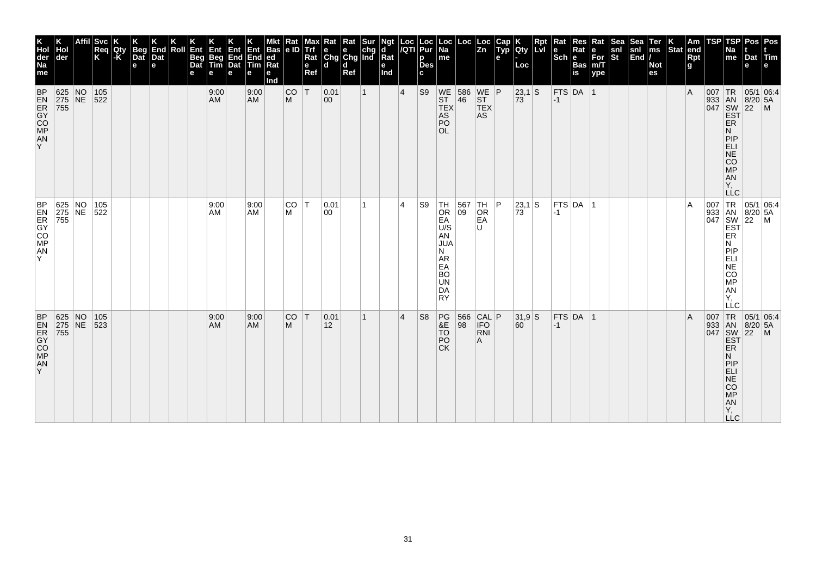| K<br>Hol<br>der<br>Na<br>me<br><b>BP</b>   | Hol<br> der                                                                        | Svc <br>Req<br>K | Qty<br>-K | <b>Beg</b><br>Dat<br>$\mathbf e$ | End<br>Dat<br>e | Roll | Ent<br>Beg<br>Dat<br>е | Ent<br>Beg<br>Tim<br>е<br>9:00 | Ent<br>End<br>Dat<br>e | Ent<br>End<br>Tim<br>е<br>9:00 | <b>Bas</b><br> ed<br> Rat<br>е<br>Ind | Rat<br> e D <br>CO | Max<br><b>Trf</b><br>Rat<br>e<br>Ref<br>İΤ | $\begin{array}{ l l }\n\hline\n\text{Rat} & \text{Rat} & \text{Sur} \\ \hline\n\text{e} & \text{e} & \text{chg} \\ \text{Chg} & \text{Chg} & \text{Ind}\n\end{array}$<br>ld.<br> 0.01 | d<br>Ref | $\mathbf{1}$ | Ngt<br>d<br>Rat<br>е<br>Ind | Loc<br>/QTI<br>$\vert 4 \vert$ | Loc<br>Pur<br>p<br><b>Des</b><br>c<br>S <sub>9</sub> | Loc<br> Na<br>me                                                                                          | Loc                                            | Loc<br>Zn             | Cap<br>Typ<br>e | Qty<br>Loc<br> 23,1 S | Rpt<br>Lvl | Rat<br>le<br>$ \overline{\text{Sch}} e $ | <b>Res</b><br>Rat<br><b>Bas</b><br>$\overline{\mathsf{is}}$<br>$FTS$ DA 1 | Rat<br>е<br>$\bar{F}$ or<br>m/T<br>ype | Sea<br>snl<br>St | Sea<br>$\begin{vmatrix} \text{snl} \\ \text{End} \end{vmatrix}$ | Ter<br>ms<br><b>Not</b><br>es | Stat end | Am<br>Rpt<br>g<br>$\overline{A}$ | TSP | TSP<br>Na<br>me                                                          | Dat Tim<br>e                                             | Pos   Pos |
|--------------------------------------------|------------------------------------------------------------------------------------|------------------|-----------|----------------------------------|-----------------|------|------------------------|--------------------------------|------------------------|--------------------------------|---------------------------------------|--------------------|--------------------------------------------|---------------------------------------------------------------------------------------------------------------------------------------------------------------------------------------|----------|--------------|-----------------------------|--------------------------------|------------------------------------------------------|-----------------------------------------------------------------------------------------------------------|------------------------------------------------|-----------------------|-----------------|-----------------------|------------|------------------------------------------|---------------------------------------------------------------------------|----------------------------------------|------------------|-----------------------------------------------------------------|-------------------------------|----------|----------------------------------|-----|--------------------------------------------------------------------------|----------------------------------------------------------|-----------|
| <b>ANDRESS</b><br>Y.                       | 625 NO<br>275 NE<br>755                                                            | $105$<br>522     |           |                                  |                 |      |                        | <b>AM</b>                      |                        | <b>AM</b>                      |                                       | M                  |                                            | $ 00\rangle$                                                                                                                                                                          |          |              |                             |                                |                                                      | WE<br>ST<br><b>TEX</b><br>AS<br>PO<br>OL.                                                                 | 586 WE P<br>46 ST                              | <b>TEX</b><br>AS      |                 | $73^{\degree}$        |            | $-1$                                     |                                                                           |                                        |                  |                                                                 |                               |          |                                  |     | ER<br>N<br>PIP<br>ELI<br>NE<br>CO<br>MP<br><b>AN</b><br>Υ,<br><b>LLC</b> | 007 TR 05/1 06:4<br>933 AN 8/20 5A<br>047 SW 22 M<br>EST |           |
| <b>BEACA</b><br><b>EXPOSE:</b><br>AN<br>Y  | 625 NO 105<br>275 NE 522<br>755                                                    |                  |           |                                  |                 |      |                        | 9:00<br>AM                     |                        | 9:00<br>AM                     |                                       | lco<br>M           | IТ.                                        | 0.01<br>00                                                                                                                                                                            |          | 1            |                             | 4                              | S9                                                   | $TH$<br>Or<br>EÄ<br>U/S<br>AN<br><b>JUA</b><br>N<br>AR<br>EA<br><b>BO</b><br><b>UN</b><br>DA<br><b>RY</b> | $\begin{array}{ c c }\n567 \\ 09\n\end{array}$ | $TH$<br>Or<br>EA<br>U | P               | 23,1 S<br>73          |            | $-1$                                     | $FTS$ DA $ 1$                                                             |                                        |                  |                                                                 |                               |          | A                                |     | ER<br>N<br>PIP<br>ELI<br>NE<br>CO<br>MP<br>AN<br>Υ.<br>LLC               | 007 TR 05/1 06:4<br>933 AN 8/20 5A<br>047 SW 22 M<br>EST |           |
| BP<br><b>EXPOSE</b><br>A <sub>N</sub><br>Y | $\begin{array}{ l l }\n 625 & \text{NO} \\  275 & \text{NE} \\  755 & \end{array}$ | 105<br>523       |           |                                  |                 |      |                        | 9:00<br><b>AM</b>              |                        | 9:00<br><b>AM</b>              |                                       | CO<br>M            | T                                          | 0.01<br>12                                                                                                                                                                            |          | $\mathbf{1}$ |                             | $\overline{4}$                 | S <sub>8</sub>                                       | $RE$<br>$\frac{PG}{8E}$<br>TŌ<br>PO<br><b>CK</b>                                                          | 566 CAL P<br>98 IFO                            | <b>RNI</b><br>A       |                 | $31,9$ S<br>60        |            | $-1$                                     | $FTS$ DA 1                                                                |                                        |                  |                                                                 |                               |          | $\overline{A}$                   |     | ER<br>N<br>PIP<br>ELI<br><b>NE</b><br>CO<br>MP<br>AN<br>Y,<br>LLC.       | 007 TR 05/1 06:4<br>933 AN 8/20 5A<br>047 SW 22 M<br>EST |           |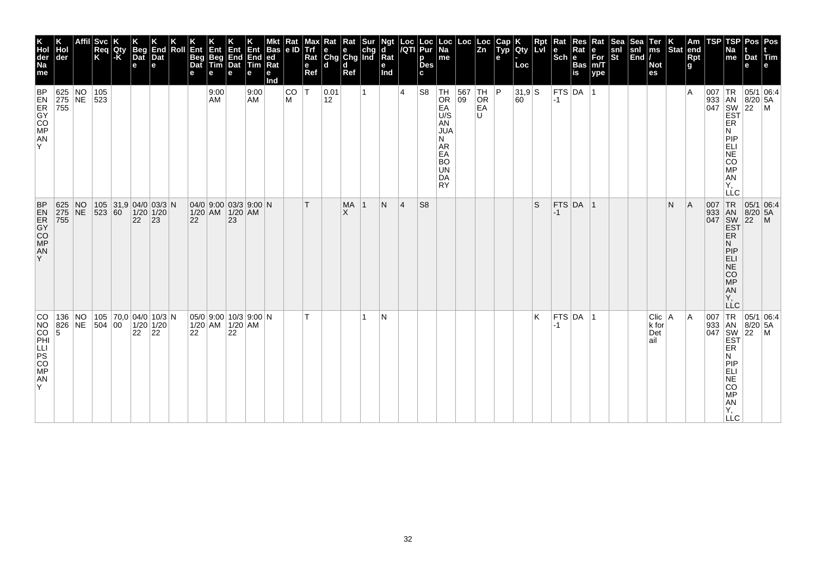| K<br>Hol<br>der<br>Na<br>me                                | der                             |    | Affil Svc<br>Req<br>K | Qty<br>-K | Beg<br>Dat<br>e                           | End<br>Dat<br>е    | Roll | Ent<br>Beg<br>Dat<br>е | Ent<br>Beg<br>Tim<br>е | <b>自動</b><br>End<br>Dat<br>e                         | Ent<br>End<br>Tim<br>е | <b>Bas</b><br>led<br>Rat<br>е<br>Ind | Rat<br>le ID   | мах<br>Trf<br>Rat<br>$\mathbf e$<br>Ref | Rat Rat Sur<br>e e chg<br>Chg Chg Ind<br>ld. | d<br>Ref              |              | Ngt<br>d<br>Rat<br>е<br>Ind | $\frac{\text{Loc}}{\text{A}}$ | <b>Loc</b><br>Pur<br>p<br><b>Des</b><br>C. | Loc<br>Na<br>me                                                                                                | $Loc \mid$ | Loc<br>Zn                                                                  | Cap<br>Typ<br>e | Qty<br>Loc     | <b>Rpt</b><br>LvI | Rat<br>$\left \begin{array}{c}\n\mathbf{e} \\ \mathbf{Sch}\n\end{array}\right $ R | Res<br>Rat<br>Bas<br>İs | Rat<br>e<br>For<br>m/T<br>ype | Sea<br>$\frac{\mathsf{snl}}{\mathsf{St}}$ | Sea<br>snl<br>End | Ter<br>ms<br><b>Not</b><br>es   | $\left \begin{array}{c} K \\ \text{Stat} \end{array}\right $ am | <b>Rpt</b><br>g | <b>TSP</b> | TSP<br>Na<br>me                                                                                                              | Pos<br>Dat<br>е             | Pos<br><b>Tim</b><br>e    |
|------------------------------------------------------------|---------------------------------|----|-----------------------|-----------|-------------------------------------------|--------------------|------|------------------------|------------------------|------------------------------------------------------|------------------------|--------------------------------------|----------------|-----------------------------------------|----------------------------------------------|-----------------------|--------------|-----------------------------|-------------------------------|--------------------------------------------|----------------------------------------------------------------------------------------------------------------|------------|----------------------------------------------------------------------------|-----------------|----------------|-------------------|-----------------------------------------------------------------------------------|-------------------------|-------------------------------|-------------------------------------------|-------------------|---------------------------------|-----------------------------------------------------------------|-----------------|------------|------------------------------------------------------------------------------------------------------------------------------|-----------------------------|---------------------------|
| <b>EZOCHER</b><br>A <sub>N</sub><br>Y                      | 625 NO 105<br>275 NE 523<br>755 |    |                       |           |                                           |                    |      |                        | 9:00<br>AM             |                                                      | 9:00<br>AM             |                                      | <b>CO</b><br>M | İΤ                                      | 0.01<br>12                                   |                       | $\mathbf{1}$ |                             | $\overline{4}$                | S <sub>8</sub>                             | TH<br><b>OR</b><br>EA<br>U/S<br>AN<br><b>JUA</b><br>N<br>AR<br>EA<br><b>BO</b><br><b>UN</b><br>DA<br><b>RY</b> |            | $\begin{array}{ c c c }\n567 & TH & P \\ 09 & OR & \end{array}$<br>EA<br>U |                 | $31,9$ S<br>60 |                   | $-1$                                                                              | $FTS$ DA $ 1$           |                               |                                           |                   |                                 |                                                                 | ΙA              | 007        | TR<br>933 AN 8/20<br>047 SW 22<br>EST<br>ER<br>N<br>PIP<br>ELI<br>NE <sup>T</sup><br>CO<br><b>MP</b><br>AN<br>Y,<br>LLC      | $8/20$ 5A                   | 05/1 06:4<br>$\mathsf{M}$ |
| <b>BP</b><br><b>EXPERIES</b><br>AN<br>Y.                   | 625 NO<br>$ 275 $ NE<br>755     |    | $ 523 60\rangle$      |           | 105 31,9 04/0 03/3 N<br>$1/20$ 1/20<br>22 | $ 23\rangle$       |      | 22                     |                        | 04/0 9:00 03/3 9:00 N<br>1/20 AM 1/20 AM<br>23       |                        |                                      |                | T.                                      |                                              | <b>MA</b><br>$\times$ | $\mathbf{1}$ | N                           | 4                             | S <sub>8</sub>                             |                                                                                                                |            |                                                                            |                 |                | S                 | $-1$                                                                              | $FTS$ DA 1              |                               |                                           |                   |                                 | N                                                               | A               | 007        | TR <sub></sub><br><b>EST</b><br><b>ER</b><br>N<br>PIP<br><b>ELI</b><br>NE <sup>T</sup><br>CO<br>MP<br>AN<br>Y,<br><b>LLC</b> | 05/1 06:4<br>933 AN 8/20 5A |                           |
| CO<br>NO<br>CO<br>PHI<br>LLI<br>PS<br>CO<br>MP<br>AN<br>Y. | 136<br>826 NE<br>5              | NO | 504 00                |           | 105 70,0 04/0 10/3 N<br>22                | $1/20$ 1/20<br> 22 |      | 22                     |                        | $05/0$ 9:00 10/3 9:00 N<br>$1/20$ AM $1/20$ AM<br>22 |                        |                                      |                | T                                       |                                              |                       | 1            | N                           |                               |                                            |                                                                                                                |            |                                                                            |                 |                | Κ                 | -1                                                                                | $FTS$ DA 1              |                               |                                           |                   | Clic   A<br>k for<br>Det<br>ail |                                                                 | ١A              |            | 007 TR 05/1<br>933 AN 8/20<br>047 SW 22<br>EST<br>ER<br>N<br>PIP<br>ELI<br>NE<br>CO<br><b>MP</b><br>AN<br>Υ,<br><b>LLC</b>   | $8/20$ 5A                   | 05/1 06:4<br>$\mathsf{M}$ |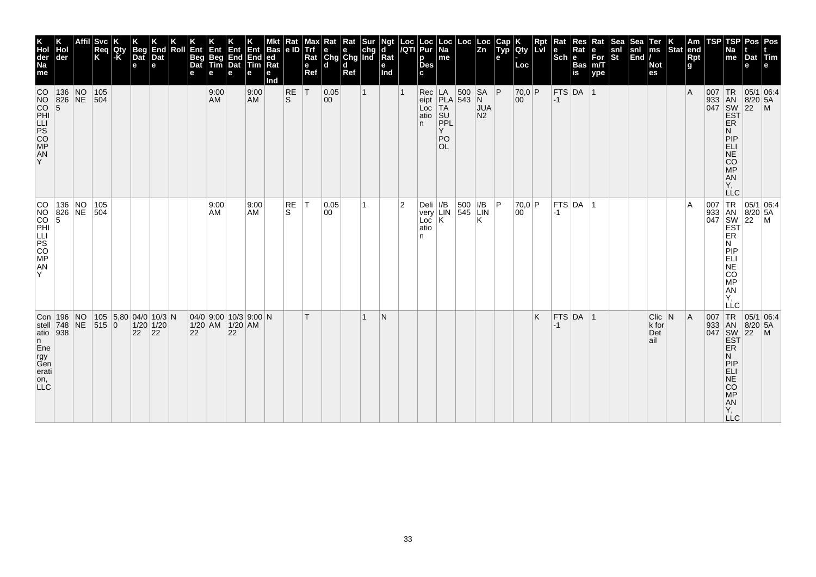| <b>Svc</b><br>Req<br>Qty<br>Κ<br>der<br>$-K$<br>$CO$ 136 NO<br>105<br>NO 826 NE 504 |  |  | <b>Beg</b><br>Dat<br>е                                 | End<br>Dat<br>e                             | Roll | Ent<br>Beg<br>Dat<br>e | Ent<br>Beg<br>Tim<br>9:00<br><b>AM</b> |    | $\begin{array}{ c c c }\n\hline\nEnd & End & ed \\ Data & Time & Rat\n\end{array}$<br>е<br>9:00<br><b>AM</b> | Bas<br>$Ra$ t<br>е<br>nd | $\frac{Rat}{e}$<br><b>RE</b><br><sub>S</sub> | мах<br>Trf<br>Rat<br>$\mathbf e$<br>Ref<br> T | Rat<br>ld.<br> 0.05<br>$ 00\rangle$ | Rat<br>d<br>Ref | <b>Sur</b><br>$\mathbf{1}$ | Ngt<br>ď<br>Rat<br>е<br>Ind |                | Loc  Loc  <br><i> I</i> QTI  Pur  <br>р<br><b>Des</b><br>$Rec$ $LA$<br>Loc                  | $\vert$ Loc $\vert$ Loc $\vert$<br>me<br>eipt $ PLA $ 543 N | 500 SA P | $\sqrt{\frac{L}{2n}}$<br><b>JUA</b> | Cap<br>$ $ Typ | $ Q$ ty<br>∣Loc<br>70,0 P<br>00 | Rpt<br>Lvl | Rat<br>le<br>$ \overline{\text{Sch}} e\rangle$<br>$-1$ | Res<br>Rat<br>Bas<br>is<br>FTS DA 1 | Rat<br>$\begin{bmatrix} \bar{\mathsf{F}} \mathsf{or} \\ \mathsf{m}/\mathsf{T} \\ \mathsf{ype} \end{bmatrix}$ | <b>Sea</b><br>snl<br>$\overline{\mathbf{s}}$ t | Sea<br>snl<br> End | ∣Ter<br>∣ms<br><b>Not</b><br>es            | Stat end | Am<br>Rpt<br>g<br>A. | <b>TSP</b><br>007 TR | TSP<br><b>Na</b><br>me<br>933 AN 8/20 5A                                                                                                    | Pos <sup>-</sup><br>Dat<br>l e<br> 05/1 06:4 | <b>Pos</b><br>Tim<br>e |
|-------------------------------------------------------------------------------------|--|--|--------------------------------------------------------|---------------------------------------------|------|------------------------|----------------------------------------|----|--------------------------------------------------------------------------------------------------------------|--------------------------|----------------------------------------------|-----------------------------------------------|-------------------------------------|-----------------|----------------------------|-----------------------------|----------------|---------------------------------------------------------------------------------------------|-------------------------------------------------------------|----------|-------------------------------------|----------------|---------------------------------|------------|--------------------------------------------------------|-------------------------------------|--------------------------------------------------------------------------------------------------------------|------------------------------------------------|--------------------|--------------------------------------------|----------|----------------------|----------------------|---------------------------------------------------------------------------------------------------------------------------------------------|----------------------------------------------|------------------------|
|                                                                                     |  |  |                                                        |                                             |      |                        |                                        |    |                                                                                                              |                          |                                              |                                               |                                     |                 |                            |                             |                | atio<br>n.                                                                                  | TA<br>SU<br>PPL<br>Y<br>PO<br>OL.                           |          | N <sub>2</sub>                      |                |                                 |            |                                                        |                                     |                                                                                                              |                                                |                    |                                            |          |                      |                      | <b>EST</b><br>ER<br>N.<br>PIP<br>ELI<br>NE<br>CO<br>MP<br>AN<br>Υ,<br><b>LLC</b>                                                            |                                              |                        |
|                                                                                     |  |  |                                                        |                                             |      |                        | 9:00<br>AM                             |    | 9:00<br><b>AM</b>                                                                                            |                          | <b>RE</b><br>S                               | $ \top$                                       | 0.05<br>00                          |                 | 1.                         |                             | $\overline{2}$ | Deli   I/B   500   I/B   P<br>  very   LIN   545   LIN<br>  Loc   K   K   K  <br>atio<br>n. |                                                             |          |                                     |                | 70.0 P<br>00                    |            | $-1$                                                   | FTS DA 1                            |                                                                                                              |                                                |                    |                                            |          | l A                  |                      | 007 TR 05/1 06:4<br>933 AN 8/20 5A<br>047 SW 22 M<br>EST<br>ER <sup>1</sup><br>N<br>PIP<br>ELI<br><b>NE</b><br>CO<br>MP<br>AN<br>Υ,<br> LĹC |                                              |                        |
| Con 196 NO<br>stell 748 NE 515 0<br>atio 938                                        |  |  | $\begin{array}{ c c c }\n\hline\n22 & 22\n\end{array}$ | 105   5,80   04/0   10/3   N<br>$1/20$ 1/20 |      | 22                     | $1/20$ AM $1/20$ AM                    | 22 | 04/0 9:00 10/3 9:00 N                                                                                        |                          |                                              | $\mathsf{T}$                                  |                                     |                 |                            | N                           |                |                                                                                             |                                                             |          |                                     |                |                                 | K          | $-1$                                                   | $FTS$ DA 1                          |                                                                                                              |                                                |                    | $ C $ ic $ N $<br>$ k $ for<br>Det<br>lail |          | A                    | 007 TR               | 933 AN 8/20<br><b>EST</b><br>ER<br>N.<br>PIP<br>ELI<br>$N\mathsf{E}$<br>CO<br>MP<br>AN<br>Y,<br>LLC                                         | 05/1 06:4<br>8/20 5A                         | $\blacksquare$         |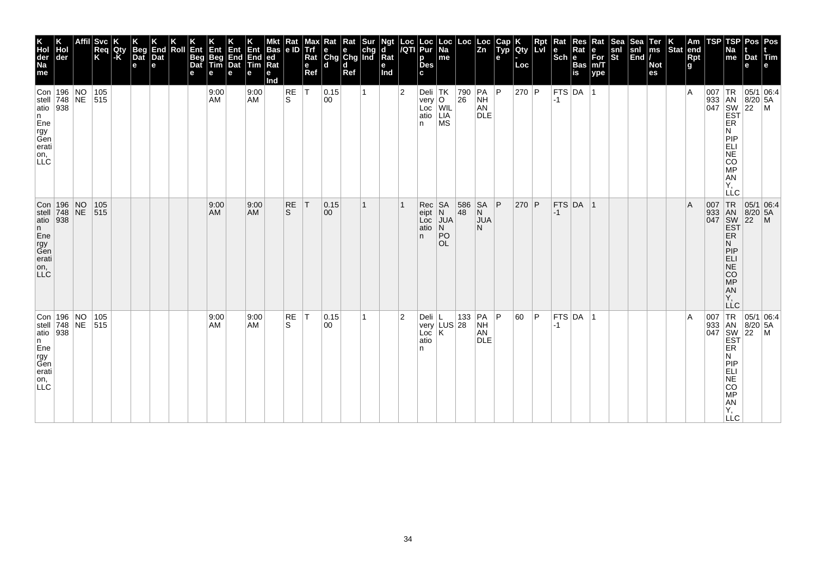| K<br>Hol<br>der<br>Na<br>me                                                                       | der                                  | ∣Svc<br>Req<br>K | Qty<br>-K | <b>Beg</b><br>Dat<br>$\mathbf e$ | End<br>Dat<br>e | Roll | Ent<br>Beg<br>Dat<br>е | Ent<br>Beg<br>Tim<br>е | Ent<br>End<br>Dat<br>e | Ent<br>End<br>Tim<br>е | <b>Bas</b><br> ed<br>Ra<br>е<br>Ind | $\frac{Rat}{e}$ | мах<br><b>Trf</b><br>Rat<br>e<br>Ref | $\begin{array}{ l l }\n\hline\n\text{Rat} & \text{Rat} & \text{Sur} \\ \hline\n\text{e} & \text{e} & \text{chg} \\ \text{Chg} & \text{Chg} & \text{Ind}\n\end{array}$<br>ld. | d<br>Ref |              | Ngt<br>d<br>Rat<br>е<br>Ind | Loc<br>/QTI    | Loc<br>Pur<br>p<br><b>Des</b><br>C.                                            | $\vert$ Loc $\vert$ Na<br>me                                          | Loc       | Loc<br> Zn                                     | Cap<br>Typ<br>e | Qty<br>Loc | Ret | Rat<br>le<br>$ \overline{\text{Sch}} e $ | Res<br>Rat<br>Bas<br>is | Rat<br>е<br>$\bar{F}$ or<br>m/T<br>ype | <b>Sea</b><br>snl<br>St | Sea<br>$\begin{vmatrix} \text{snl} \\ \text{End} \end{vmatrix}$ | Ter<br>ms<br><b>Not</b><br>es | Stat end | Am<br>Rpt<br>g | <b>TSP</b> | TSPI<br>Na<br>me                                                                                                        | Pos   Pos<br>Dat Tim<br>e                            |                                                                                                                                                                                                                                                                                                                                                            |
|---------------------------------------------------------------------------------------------------|--------------------------------------|------------------|-----------|----------------------------------|-----------------|------|------------------------|------------------------|------------------------|------------------------|-------------------------------------|-----------------|--------------------------------------|------------------------------------------------------------------------------------------------------------------------------------------------------------------------------|----------|--------------|-----------------------------|----------------|--------------------------------------------------------------------------------|-----------------------------------------------------------------------|-----------|------------------------------------------------|-----------------|------------|-----|------------------------------------------|-------------------------|----------------------------------------|-------------------------|-----------------------------------------------------------------|-------------------------------|----------|----------------|------------|-------------------------------------------------------------------------------------------------------------------------|------------------------------------------------------|------------------------------------------------------------------------------------------------------------------------------------------------------------------------------------------------------------------------------------------------------------------------------------------------------------------------------------------------------------|
| Con 196 NO 105<br>stell 748 NE 515<br>atio 938<br> n <br>Ene<br>rgy<br>Gen<br>erati<br>on,<br>LLC |                                      |                  |           |                                  |                 |      |                        | 9:00<br>AM             |                        | 9:00<br><b>AM</b>      |                                     | RE<br>S.        | IТ.                                  | 0.15 <br>00                                                                                                                                                                  |          | $\mathbf{1}$ |                             | $\overline{2}$ | Deli TK<br>very $ O $<br>Loc<br>atio<br>n.                                     | WIL<br>LIA<br>MS                                                      | 790<br>26 | $ PA $ $ P $<br><b>NH</b><br>AN<br><b>DLE</b>  |                 | 270 P      |     | $-1$                                     | FTS DA 1                |                                        |                         |                                                                 |                               |          | $\overline{A}$ |            | ER<br>N<br>PIP<br>ELI<br>NE<br>CO<br><b>MP</b><br>AN<br>Υ.<br><b>LLC</b>                                                |                                                      | $\begin{array}{c}\n 1 \text{R} \\  33 \\  1 \text{AN} \\  8/20 \\  54 \\  1047 \\  1047 \\  1047 \\  1047 \\  1047 \\  1047 \\  1047 \\  1047 \\  1047 \\  1047 \\  1047 \\  1047 \\  1047 \\  1047 \\  1047 \\  1047 \\  1047 \\  1047 \\  1047 \\  1047 \\  1047 \\  1047 \\  1047 \\  1047 \\  1047 \\  1047 \\  1047 \\  1047 \\  1047 \\  1047 \\  1$ |
| atio $938$<br>n<br>Ene<br>rgy<br>Gen<br>erati<br>on,<br><b>LLC</b>                                | Con   196   NO<br>  stell   748   NE | 105<br>515       |           |                                  |                 |      |                        | 9:00<br>AM             |                        | 9:00<br><b>AM</b>      |                                     | RE<br>S.        | T                                    | 0.15 <br>$ 00\rangle$                                                                                                                                                        |          | 1            |                             |                | Rec<br>eipt<br>Loc<br>atio<br>n.                                               | $\begin{array}{c} SA \\ N \end{array}$<br><b>JUA</b><br>N<br>PO<br>OL | 586<br>48 | <b>SA</b><br>$\overline{N}$<br><b>JUA</b><br>N | P               | 270 P      |     | $-1$                                     | $FTS$ DA 1              |                                        |                         |                                                                 |                               |          | $\overline{A}$ |            | 007 TR<br>933 AN<br>047 SW<br>EST<br>ER.<br>N<br> P P<br><b>ELI</b><br>$N\bar{E}$<br><b>CO</b><br>MP<br>AN<br>Υ,<br>LLC | 05/1 06:4<br>$\overline{22}$                         | $\mathsf{M}$                                                                                                                                                                                                                                                                                                                                               |
| atio 938<br>n<br>Ene<br>rgy<br>Gen<br>erati<br>on,<br>LLC                                         | Con 196 NO<br>stell 748 NE 515       | 105              |           |                                  |                 |      |                        | 9:00<br>AM             |                        | 9:00<br><b>AM</b>      |                                     | RE<br>S         | T                                    | 0.15<br>$ 00\rangle$                                                                                                                                                         |          | 1            |                             | $\overline{2}$ | Deli $ L$<br>$\overline{\textsf{Loc}} \mid \overline{\textsf{K}}$<br>atio<br>n | very LUS 28                                                           |           | 133 PA P<br><b>NH</b><br>AN<br><b>DLE</b>      |                 | 60         | P   | $-1$                                     | FTS DA 1                |                                        |                         |                                                                 |                               |          | $\overline{A}$ | 007        | ER<br>N<br>PIP<br>ELI<br>$N\bar{E}$<br><b>CO</b><br>MP<br>AN<br>Υ,<br><b>LLC</b>                                        | TR 05/1 06:4<br>933 AN 8/20 5A<br>047 SW 22 M<br>EST |                                                                                                                                                                                                                                                                                                                                                            |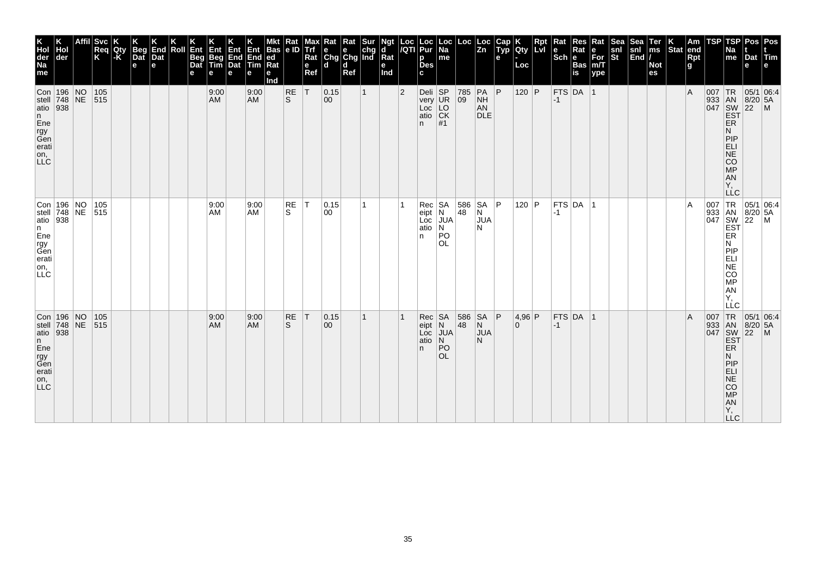| <b>Svc</b><br>Reg<br>Qty<br>Κ<br>l-K<br>der<br> Con 196 NO<br> 105<br>stell $748$ NE<br>515<br>atio $938$ |  |            | <b>Beg</b><br>Dat<br>e | Dat<br>e | End | Roll | Ent<br><b>Beg</b><br>Dat<br>е | Ent<br>Beg<br>Tim<br>е<br>9:00<br>AM | Ent<br>End<br>Dat<br>е | Ent<br>End<br>Tim<br>е<br>9:00<br><b>AM</b> | <b>Bas</b><br> ed<br>Ra<br>е<br>Ind | Rat<br> e D <br>RE<br>ls. | Max<br><b>Trf</b><br>Rat<br>$\mathbf e$<br>Ref<br> T | <b>x</b> Rat Rat Sur<br>e e chg<br>Chg Chg Ind<br>ld.<br>$ 0.15\rangle$<br>$ 00\rangle$ | d<br>Ref | $\mathbf{1}$ | Ngt<br>d<br>Rat<br>е<br>Ind | Loc<br>/QTI<br>$\overline{2}$ | Loc<br>Pur<br>p<br><b>Des</b><br>C.<br>Deli SP<br>very UR<br>Loc<br>atio | Loc<br>  Na<br>me<br>LO<br>CK                              | Loc<br>785<br>09 | Loc<br>$\overline{z}$ <sub>n</sub><br>$PA$ $P$<br><b>NH</b><br>AN<br><b>DLE</b> | Cap<br>Typ<br>e | <b>IQty</b><br>Loc<br>120 P | Rpt<br><b>Lvi</b> | Rat<br>$ \overline{\text{Sch}} e $<br>$-1$ | Res<br>Rat<br><b>Bas</b><br>is<br>$FTS$ DA 1 | Rat<br>е<br>$\bar{F}$ or<br>m/T<br>ype | <b>Sea</b><br>snl<br>St | Sea<br>snl<br>$\left \overline{\text{End}}\right $ | Ter<br>ms<br><b>Not</b><br>es | Stat end | Am<br>Rpt<br>g<br>$\overline{A}$ | TSP | TSP<br>Na<br>me                                                                       | Pos   Pos<br>Dat Tim<br>e<br>007 TR 05/1 06:4<br>933 AN 8/20 5A<br>047 SW 22 M<br>EST |  |
|-----------------------------------------------------------------------------------------------------------|--|------------|------------------------|----------|-----|------|-------------------------------|--------------------------------------|------------------------|---------------------------------------------|-------------------------------------|---------------------------|------------------------------------------------------|-----------------------------------------------------------------------------------------|----------|--------------|-----------------------------|-------------------------------|--------------------------------------------------------------------------|------------------------------------------------------------|------------------|---------------------------------------------------------------------------------|-----------------|-----------------------------|-------------------|--------------------------------------------|----------------------------------------------|----------------------------------------|-------------------------|----------------------------------------------------|-------------------------------|----------|----------------------------------|-----|---------------------------------------------------------------------------------------|---------------------------------------------------------------------------------------|--|
|                                                                                                           |  |            |                        |          |     |      |                               |                                      |                        |                                             |                                     |                           |                                                      |                                                                                         |          |              |                             |                               | n.                                                                       | #1                                                         |                  |                                                                                 |                 |                             |                   |                                            |                                              |                                        |                         |                                                    |                               |          |                                  |     | ER<br>N<br>PIP<br>ELI<br>NE<br>CO <sub>MP</sub><br>AN<br>Υ.<br><b>LLC</b>             |                                                                                       |  |
| Con 196 NO<br>stell 748 NE 515<br>atio 938                                                                |  | 105        |                        |          |     |      |                               | 9:00<br>AM                           |                        | 9:00<br>AM                                  |                                     | RE<br>S                   | T                                                    | 0.15<br>00                                                                              |          | 1            |                             |                               | Rec<br>$eipt$ $N$<br>Loc<br>atio<br>n.                                   | SA<br><b>JUA</b><br>N<br> PO<br><b>OL</b>                  | 586 SA P<br>48   | N<br><b>JUA</b><br>N                                                            |                 | 120   $P$                   |                   | $ -1$                                      | $ $ FTS $ $ DA $ $ 1                         |                                        |                         |                                                    |                               |          | $\overline{A}$                   |     | ER<br>N<br>PIP<br>ELI<br>CO<br>MP<br>AN<br>Y,<br>LLC                                  | 007 TR 05/1 06:4<br>933 AN 8/20 5A<br>047 SW 22 M<br>EST                              |  |
| 196 NO<br>stell $\begin{array}{ c c } \hline 748 & \hline 116 & \hline 938 & \hline \end{array}$          |  | 105<br>515 |                        |          |     |      |                               | 9:00<br>AM                           |                        | 9:00<br><b>AM</b>                           |                                     | RE<br>S                   | T                                                    | 0.15<br>00                                                                              |          | 1            |                             |                               | Rec<br>eipt<br>Loc<br>atio<br>n.                                         | <b>SA</b><br>$\overline{N}$<br>JUA<br>N<br>PO<br><b>OL</b> | 586<br>48        | <b>SA</b><br>N<br><b>JUA</b><br>N                                               | P               | 4,96 P<br>$\overline{0}$    |                   | $-1$                                       | FTS DA 1                                     |                                        |                         |                                                    |                               |          | $\overline{A}$                   | 007 | TR<br>ER<br>N<br>PIP<br><b>ELI</b><br><b>NE</b><br>CO<br><b>MP</b><br>AN<br>Υ,<br>LLC | 05/1 06:4<br>933 AN 8/20 5A<br>047 SW 22 M<br>EST                                     |  |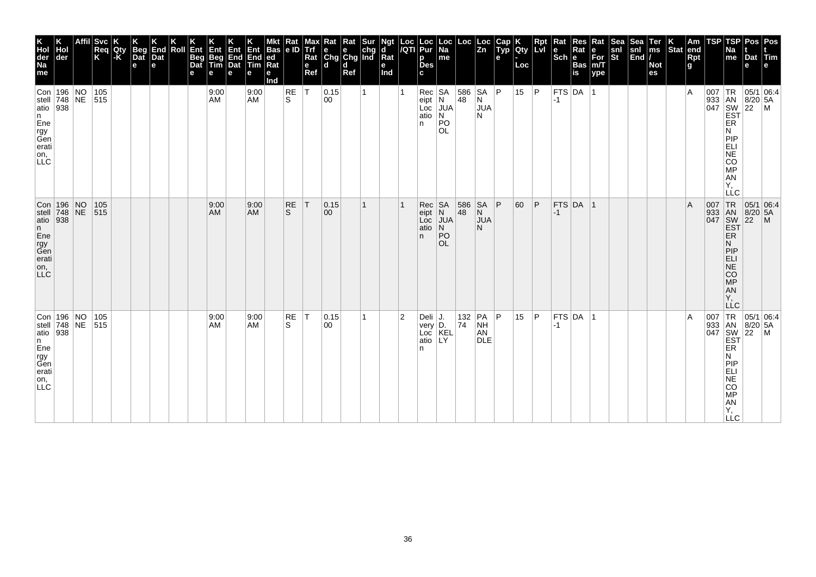| K<br>Hol<br>der<br>Na<br>me                                      | der                                                      | Affil Svc<br>Req<br>K | Qty<br>-K | <b>Beg</b><br>$\overline{$ }_{\text{Det}}<br>$\mathbf e$ | End<br>Dat<br>e | Roll | Ent<br>Beg<br>Dat<br>е | Ent<br>Beg<br>Tim<br>е | Ent<br>End<br>Dat<br>e | Ent<br>End<br>Tim<br>е | <b>Bas</b><br> ed<br>Ra<br>е<br>Ind | $\frac{Rat}{e}$ | Max<br><b>Trf</b><br>Rat<br>e<br>Ref | $\begin{array}{ l l }\n\hline\n\text{Rat} & \text{Rat} & \text{Sur} \\ \hline\n\text{e} & \text{e} & \text{chg} \\ \text{Chg} & \text{Chg} & \text{Ind}\n\end{array}$<br>ld. | d<br>Ref |              | Ngt<br>d<br>Rat<br>е<br>Ind | Loc<br>/QTI    | Loc<br>Pur<br>p<br><b>Des</b><br>C.              | $\vert$ Loc $\vert$ Na<br>me                                          | Loc                      | Loc<br> Zn                                     | Cap<br>Typ<br>e | Qty<br>Loc | Ret | Rat<br>$\left \begin{smallmatrix} \mathbf{e} \ \mathbf{Sch} \ \mathbf{e} \end{smallmatrix}\right $ $\mathbf{e}$ | Res<br>Rat<br>Bas<br>is | Rat<br>е<br>$\overline{\text{For}}$ <sub>m/T</sub><br>ype | Sea<br>snl<br>St | Sea<br>$\begin{vmatrix} \text{snl} \\ \text{End} \end{vmatrix}$ | Ter<br>ms<br><b>Not</b><br>es | Stat end | Am<br>Rpt<br>g | <b>TSP</b> | TSPI<br>Na<br>me                                                                                                               | Pos   Pos<br>Dat Tim<br>e                            |              |
|------------------------------------------------------------------|----------------------------------------------------------|-----------------------|-----------|----------------------------------------------------------|-----------------|------|------------------------|------------------------|------------------------|------------------------|-------------------------------------|-----------------|--------------------------------------|------------------------------------------------------------------------------------------------------------------------------------------------------------------------------|----------|--------------|-----------------------------|----------------|--------------------------------------------------|-----------------------------------------------------------------------|--------------------------|------------------------------------------------|-----------------|------------|-----|-----------------------------------------------------------------------------------------------------------------|-------------------------|-----------------------------------------------------------|------------------|-----------------------------------------------------------------|-------------------------------|----------|----------------|------------|--------------------------------------------------------------------------------------------------------------------------------|------------------------------------------------------|--------------|
| atio 938<br>n<br>Ene<br>rgy<br>Gen<br>erati<br>on,<br>LLC        | Con 196 NO 105<br>stell 748 NE 515                       |                       |           |                                                          |                 |      |                        | 9:00<br>AM             |                        | 9:00<br><b>AM</b>      |                                     | RE<br>S.        | IТ.                                  | 0.15 <br>00                                                                                                                                                                  |          | $\mathbf{1}$ |                             |                | $Rec$ SA<br>$ $ eipt $ N $<br>Loc<br>atio<br>n.  | JUA<br>N<br><b>PO</b><br><b>OL</b>                                    | 586 SA P<br>$ 48\rangle$ | N<br><b>JUA</b><br>N                           |                 | 15         | P   | $-1$                                                                                                            | FTS DA 1                |                                                           |                  |                                                                 |                               |          | $\overline{A}$ |            | ER<br>N<br>PIP<br>ELI<br>NE<br>CO<br><b>MP</b><br>AN<br>Υ,<br><b>LLC</b>                                                       |                                                      |              |
| atio 938<br>n<br>Ene<br>rgy<br>Gen<br>erati<br>on,<br><b>LLC</b> | Con   196   NO<br>  stell   748   NE                     | 105<br>515            |           |                                                          |                 |      |                        | 9:00<br>AM             |                        | 9:00<br>AM             |                                     | RE<br>S.        | T                                    | 0.15 <br>$ 00\rangle$                                                                                                                                                        |          | 1            |                             |                | Rec<br>eipt<br>Loc<br>atio<br>n.                 | $\begin{array}{c} SA \\ N \end{array}$<br><b>JUA</b><br>N<br>PO<br>OL | 586<br>48                | <b>SA</b><br>$\overline{N}$<br><b>JUA</b><br>N | ΙP              | 60         | P   | $-1$                                                                                                            | $FTS$ DA 1              |                                                           |                  |                                                                 |                               |          | $\overline{A}$ |            | 007 TR<br>933 AN<br>047 SW<br>EST<br>ER.<br>N<br> P P<br><b>ELI</b><br>$N\bar{E}$<br><b>CO</b><br>MP<br>AN<br>Υ,<br><b>LLC</b> | 05/1 06:4<br>8/20 5A<br>$\overline{22}$              | $\mathsf{M}$ |
| atio 938<br>n<br>Ene<br>rgy<br>Gen<br>erati<br>on,<br>LLC        | Con 196 NO<br>stell $\overline{748}$ NE $\overline{515}$ | 105                   |           |                                                          |                 |      |                        | 9:00<br>AM             |                        | 9:00<br><b>AM</b>      |                                     | RE<br>S         | T                                    | 0.15 <br>00                                                                                                                                                                  |          | 1            |                             | $\overline{2}$ | Deli $J.$<br>very D.<br>Loc KEL<br>atio LY<br>n. |                                                                       | 74                       | 132 PA P<br><b>NH</b><br>AN<br><b>DLE</b>      |                 | 15         | P   | $-1$                                                                                                            | FTS DA 1                |                                                           |                  |                                                                 |                               |          | $\overline{A}$ | 007        | ER<br>N<br>PIP<br>ELI<br>$N\bar{E}$<br><b>CO</b><br>MP<br>AN<br>Υ,<br><b>LLC</b>                                               | TR 05/1 06:4<br>933 AN 8/20 5A<br>047 SW 22 M<br>EST |              |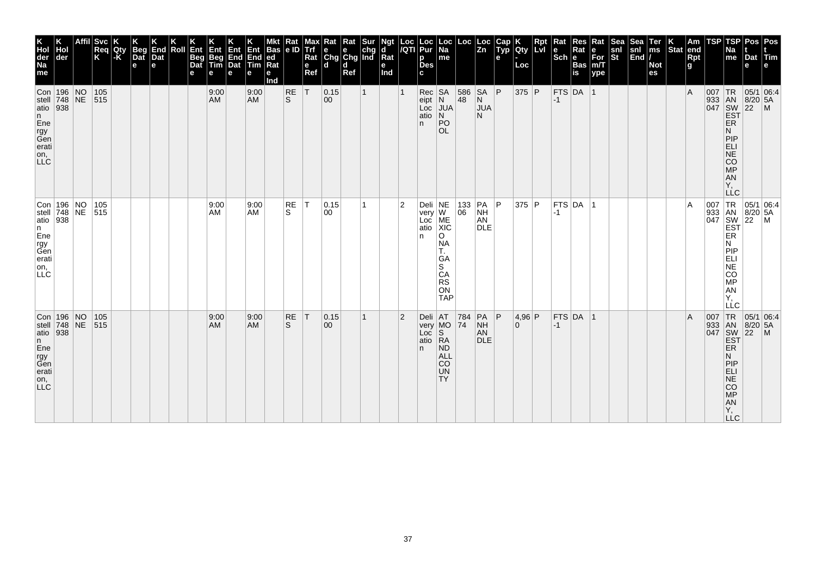| Svc <br>Req<br>Qty<br> -K<br>K<br> der<br>Con 196 NO<br>stell 748 NE<br> 105<br>515<br>atio $938$ |  |  | <b>Beg</b><br>Dat<br>$\mathbf e$ | End<br>Dat<br>e | Roll | Ent<br>Beg<br>Dat<br>е | Ent<br>Beg<br>Tim<br>е<br>9:00<br><b>AM</b> | Ent<br>End<br>Dat<br>e | Ent<br>End<br>Tim<br>е<br>9:00<br><b>AM</b> | <b>Bas</b><br> ed<br>Ra<br>е<br>Ind | Rat<br> e D<br><b>RE</b><br>ls. | Max<br><b>Trf</b><br>Rat<br>e<br>Ref<br> T | $\begin{array}{ l l }\n\hline\n\text{Rat} & \text{Rat} & \text{Sur} \\ \hline\n\text{e} & \text{e} & \text{chg} \\ \text{Chg} & \text{Chg} & \text{Ind}\n\end{array}$<br>ld.<br> 0.15<br>$ 00\rangle$ | d<br>Ref | $\mathbf{1}$ | Ngt<br>d<br>Rat<br>е<br>Ind | Loc<br>/QTI    | Loc<br>Pur<br>p<br><b>Des</b><br>C.<br>$Rec$ SA<br>eipt N<br>Loc<br>atio<br>n. | Loc<br>  Na<br>me<br>JUA<br>$\overline{\mathsf{N}}$<br>PO                                 | Loc<br>586<br>$ 48\rangle$                | Loc<br>$\overline{z_n}$<br> SA P<br>N<br><b>JUA</b><br>N. | Cap<br>Typ<br>e | Qty<br>Loc<br>375 P      | Rpt<br>Lvi | Rat<br>$ \overline{\text{Sch}} e $<br>$-1$ | <b>Res</b><br>Rat<br><b>Bas</b><br><b>is</b><br>$FTS$ DA 1 | Rat<br>е<br>$\bar{F}$ or<br>m/T<br>ype | Sea<br>snl<br>St | Sea<br>$\begin{vmatrix} \text{snl} \\ \text{End} \end{vmatrix}$ | Ter<br>ms<br><b>Not</b><br>es | Stat end | Am<br>Rpt<br>g<br>$\overline{A}$ | TSP | TSP<br>Na<br>me<br>ER                                                     | Pos   Pos<br>Dat Tim<br>e<br>007 TR 05/1 06:4<br>933 AN 8/20 5A<br>047 SW 22 M<br>EST |                                                                                                                           |
|---------------------------------------------------------------------------------------------------|--|--|----------------------------------|-----------------|------|------------------------|---------------------------------------------|------------------------|---------------------------------------------|-------------------------------------|---------------------------------|--------------------------------------------|-------------------------------------------------------------------------------------------------------------------------------------------------------------------------------------------------------|----------|--------------|-----------------------------|----------------|--------------------------------------------------------------------------------|-------------------------------------------------------------------------------------------|-------------------------------------------|-----------------------------------------------------------|-----------------|--------------------------|------------|--------------------------------------------|------------------------------------------------------------|----------------------------------------|------------------|-----------------------------------------------------------------|-------------------------------|----------|----------------------------------|-----|---------------------------------------------------------------------------|---------------------------------------------------------------------------------------|---------------------------------------------------------------------------------------------------------------------------|
|                                                                                                   |  |  |                                  |                 |      |                        |                                             |                        |                                             |                                     |                                 |                                            |                                                                                                                                                                                                       |          |              |                             |                |                                                                                | <b>OL</b>                                                                                 |                                           |                                                           |                 |                          |            |                                            |                                                            |                                        |                  |                                                                 |                               |          |                                  |     | N<br>PIP<br>$ELI$<br>NE<br>CO<br>MP<br>AN<br>Υ,                           |                                                                                       |                                                                                                                           |
| Con 196 NO 105<br>stell 748 NE 515<br>atio 938                                                    |  |  |                                  |                 |      |                        | 9:00<br>AM                                  |                        | 9:00<br>AM                                  |                                     | RE<br>S.                        | IТ.                                        | 0.15<br>00                                                                                                                                                                                            |          | 1            |                             | 2              | Deli NE<br>very W<br>Loc<br>atio<br>n                                          | ME<br>XIC<br>$\circ$<br><b>NA</b><br>Т.<br>GA<br>S<br>CA<br><b>RS</b><br>ON<br><b>TAP</b> | $\begin{array}{ c} 133 \\ 06 \end{array}$ | $PA$ $ P$<br><b>NH</b><br>AN<br><b>DLE</b>                |                 | 375 P                    |            | $-1$                                       | FTS DA 1                                                   |                                        |                  |                                                                 |                               |          | A                                |     | ER<br>N<br> P P<br>ELI<br>NE<br>CO<br>MP<br>AN<br>Υ.<br>LLC               |                                                                                       | $\begin{array}{c c}\n & -C & \n\hline\n007 & TR & 05/1 & 06.4, \\ 933 & AN & 8/20 & 5A \\ 047 & SW & 22 & M\n\end{array}$ |
| Con 196 NO<br> 105<br>stell $ 748 NE$<br>515<br>atio $938$                                        |  |  |                                  |                 |      |                        | 9:00<br><b>AM</b>                           |                        | 9:00<br><b>AM</b>                           |                                     | RE<br>S.                        | T                                          | 0.15<br>$ 00\rangle$                                                                                                                                                                                  |          | $\mathbf{1}$ |                             | $\overline{2}$ | very MO 74<br>n.                                                               | Deli $AT$ 784<br><b>ND</b><br><b>ALL</b><br>CO<br><b>UN</b><br>TY <sub></sub>             |                                           | $PA$ $ P$<br><b>NH</b><br>AN<br><b>DLE</b>                |                 | 4,96 P<br>$\overline{0}$ |            | $-1$                                       | $FTS$ DA 1                                                 |                                        |                  |                                                                 |                               |          | $\overline{A}$                   | 007 | ER<br>N<br>PIP<br>ELI<br>$N\bar{E}$<br>CO<br>MP<br>AN<br>Y,<br><b>LLC</b> | TR 05/1 06:4<br>933 AN 8/20 5A<br>047 SW 22 M<br>EST                                  |                                                                                                                           |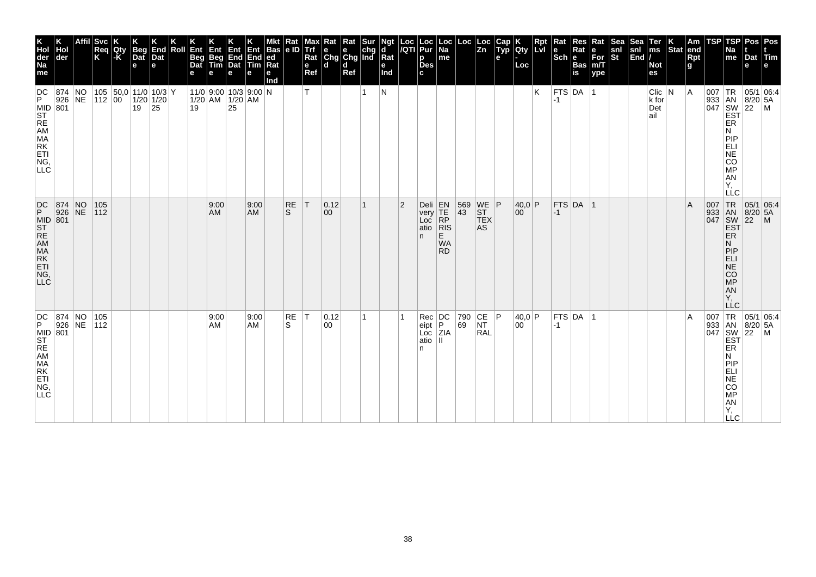| K<br>Hol<br>der<br>Na<br>me                                                                                                                                | der                  | <b>Svc</b><br>Req<br>K | Qty<br>-K | <b>Beg</b><br>Dat<br>$\mathbf e$         | End<br>Dat<br>le. | Roll | Ent<br><b>Beg</b><br>Dat | Ent<br>Beg<br>Tim | Ent<br>End<br>Dat<br>e                               | Ent<br>End<br>Tim<br>е | <b>Bas</b><br> ed<br>Ra<br>е<br>Ind | Rat<br> e D               | Max<br><b>Trf</b><br>Rat<br>e<br>Ref | $\begin{array}{ l l }\n\hline\n\text{Rat} & \text{Rat} & \text{Sur} \\ \hline\n\text{e} & \text{e} & \text{chg} \\ \text{Chg} & \text{Chg} & \text{Ind}\n\end{array}$<br>ld. | d<br>Ref |   | Ngt<br>d<br>Rat<br>е<br>Ind | $\frac{Loc}{/QTl}$ | Loc<br>Pur<br>р<br><b>Des</b><br>C.                                 | Loc<br>  Na<br>me                                                                            | Loc                                                                        | ∣ Loc<br>$\overline{z_n}$                                          | Cap<br>Typ<br>е | <b>IQty</b><br>Loc | Rpt<br>Lvi | Rat<br>le<br>$ \overline{\text{Sch}} e $ | <b>Res</b><br>Rat<br><b>Bas</b><br>is | Rat<br>e<br>$\overline{\text{For}}$ <sub>m/T</sub><br>ype | Sea<br>snl<br>St | Sea<br>snl<br>$\left \overline{\text{End}}\right $ | Ter<br>ms<br><b>Not</b><br>es      | Stat end | Am<br>Rpt<br>g | TSP | TSP<br>Na<br>me                                                                        | Pos   Pos<br>Dat Tim<br>e                                      |  |
|------------------------------------------------------------------------------------------------------------------------------------------------------------|----------------------|------------------------|-----------|------------------------------------------|-------------------|------|--------------------------|-------------------|------------------------------------------------------|------------------------|-------------------------------------|---------------------------|--------------------------------------|------------------------------------------------------------------------------------------------------------------------------------------------------------------------------|----------|---|-----------------------------|--------------------|---------------------------------------------------------------------|----------------------------------------------------------------------------------------------|----------------------------------------------------------------------------|--------------------------------------------------------------------|-----------------|--------------------|------------|------------------------------------------|---------------------------------------|-----------------------------------------------------------|------------------|----------------------------------------------------|------------------------------------|----------|----------------|-----|----------------------------------------------------------------------------------------|----------------------------------------------------------------|--|
| DC<br>P.<br>MID<br>ST<br>RE<br>AM<br>MA<br>RK<br>ET<br>C<br>NG,<br>LLC                                                                                     | 874 NO<br>926 NE     | 112 00                 |           | 105 $ 50,0 $ 11/0 10/3 Y<br>$19 \mid 25$ | $1/20$ 1/20       |      | 19                       |                   | $11/0$ 9:00 10/3 9:00 N<br>$1/20$ AM $1/20$ AM<br>25 |                        |                                     |                           | т                                    |                                                                                                                                                                              |          | 1 | N                           |                    |                                                                     |                                                                                              |                                                                            |                                                                    |                 |                    | Κ          | FTS DA 1<br>-1                           |                                       |                                                           |                  |                                                    | $Clic$ $ N$<br>k for<br>Det<br>ail |          | ΙA             |     | ER<br>N<br>PIP<br>ELI<br><b>NE</b><br>CO<br><b>MP</b><br>AN<br>Υ.<br>LLC               | 007   TR   05/1   06:4<br>933 AN 8/20 5A<br>047 SW 22 M<br>EST |  |
| $\left  \begin{smallmatrix} \textrm{DC} \ \textrm{P} \end{smallmatrix} \right $<br>MID 801<br>ST<br>RE<br>AM<br>MA<br>RK<br>ETI<br>NG,<br>LLC <sup>1</sup> | 874 NO<br>926 NE     | 105<br> 112            |           |                                          |                   |      |                          | 9:00<br>AM        |                                                      | 9:00<br><b>AM</b>      |                                     | <b>RE</b><br><sub>S</sub> | T                                    | 0.12 <br>$ 00\rangle$                                                                                                                                                        |          | 1 |                             | $\overline{2}$     | Deli<br>very<br>Loc<br>atio<br>n.                                   | $\begin{array}{c} \nEN \\ \nTE \\ \nRP \n\end{array}$<br> R S<br>E<br><b>WA</b><br><b>RD</b> | 569<br>43                                                                  | $\begin{array}{c} \n\text{WE} \n\end{array}$ P<br><b>TEX</b><br>AS |                 | 40,0 P<br>00       |            | $-1$                                     | $FTS$ DA 1                            |                                                           |                  |                                                    |                                    |          | $\overline{A}$ |     | ER.<br>N<br> P P<br><b>ELI</b><br>NE<br><b>CO</b><br>MP<br>AN<br>Υ.<br>LLC             | 007 TR 05/1 06:4<br>933 AN 8/20 5A<br>047 SW 22 M<br>EST       |  |
| DC<br> P <br>MID<br>ST<br>RE<br>AM<br>MA<br>RK<br>ET<br>C<br>NG,<br><b>LLC</b>                                                                             | 874 NO<br>926 NE 112 | 105                    |           |                                          |                   |      |                          | 9:00<br>AM        |                                                      | 9:00<br><b>AM</b>      |                                     | RE<br>S                   | T                                    | 0.12<br>$ 00\rangle$                                                                                                                                                         |          | 1 |                             |                    | $\mathsf{Rec} \,   \, \mathsf{DC} \,  $<br>eipt<br>Loc<br>atio<br>n | IP.<br>ZIA<br>Ш                                                                              | $\begin{array}{ c c c c }\n 790 & CE & P \\ \hline\n69 & NT & \end{array}$ | <b>RAL</b>                                                         |                 | 40,0 P<br>00       |            | $ -1$                                    | FTS DA 1                              |                                                           |                  |                                                    |                                    |          | $\overline{A}$ | 007 | ER<br>N<br>PIP<br>ELI<br><b>NE</b><br><b>CO</b><br><b>MP</b><br>AN<br>Υ,<br><b>LLC</b> | TR 05/1 06:4<br>933 AN 8/20 5A<br>047 SW 22 M<br>EST           |  |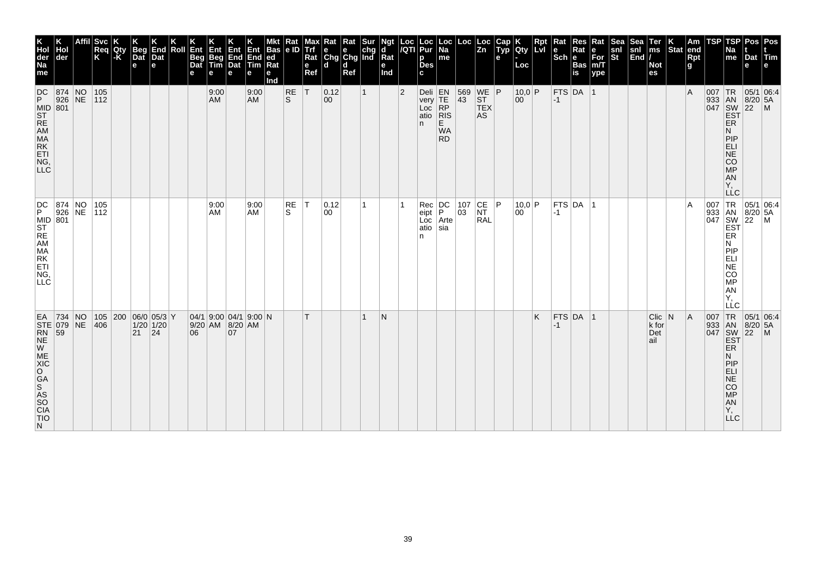| EA 734<br>$\begin{array}{lcl} \text{STF} & & & \text{NUC} \\ \text{STF} & & & \text{O79} \\ \text{RN} & & \text{59} \\ \text{W} & & \text{NEC} \\ \text{NUC} & & & \end{array}$<br><b>GA<br/>SAS<br/>SO<br/>CIA<br/>TIO</b> | DC 874 NO 105<br>P 926 NE 112<br>MID 801<br>ST REM<br>MA<br>MA<br>RK<br>ETL<br>ING<br>NG,<br>LLC <sup>.</sup>   | $\frac{\mathsf{DC}}{\mathsf{P}}$<br>MID<br>ST<br>RE<br>AM<br>MA<br>RK<br>ETI<br>NG<br>C<br><b>LLC</b> | K<br>Hol<br>der<br>Na<br>Ma<br>me                                                                    |
|-----------------------------------------------------------------------------------------------------------------------------------------------------------------------------------------------------------------------------|-----------------------------------------------------------------------------------------------------------------|-------------------------------------------------------------------------------------------------------|------------------------------------------------------------------------------------------------------|
|                                                                                                                                                                                                                             |                                                                                                                 | 874 NO<br>926 NE                                                                                      | Hol<br> der                                                                                          |
| $\overline{N}$                                                                                                                                                                                                              |                                                                                                                 |                                                                                                       | Affil                                                                                                |
| 406                                                                                                                                                                                                                         |                                                                                                                 | 105<br> 112                                                                                           | Svc <br>Req<br>K                                                                                     |
|                                                                                                                                                                                                                             |                                                                                                                 |                                                                                                       | <b>IQty</b><br>$-K$                                                                                  |
| $21 \quad  24$                                                                                                                                                                                                              |                                                                                                                 |                                                                                                       | <b>Beg</b><br>Dat<br>е                                                                               |
| 105 200 06/0 05/3 Y<br>$1/20$ 1/20                                                                                                                                                                                          |                                                                                                                 |                                                                                                       | K<br>End<br>Dat<br>$\mathbf{e}$                                                                      |
|                                                                                                                                                                                                                             |                                                                                                                 |                                                                                                       | Roll                                                                                                 |
| 06                                                                                                                                                                                                                          |                                                                                                                 |                                                                                                       | l Ent<br><b>Beg</b><br>Dat                                                                           |
| $9/20$ AM $8/20$ AM                                                                                                                                                                                                         | 9:00<br>AM                                                                                                      | 9:00<br><b>AM</b>                                                                                     | Ent<br>Beg End<br>Tim Dat                                                                            |
| 07                                                                                                                                                                                                                          |                                                                                                                 |                                                                                                       | Ent<br>e                                                                                             |
| 04/1 9:00 04/1 9:00 N                                                                                                                                                                                                       | 9:00<br>AM                                                                                                      | 9:00<br>AM                                                                                            | Ent<br>End End ed<br>$\mathsf{Tim}$                                                                  |
|                                                                                                                                                                                                                             |                                                                                                                 |                                                                                                       | ∣Mkt ∣Rat ∣Maː<br>∣Bas ∣e ID ∣Trf<br>Rat<br>е<br>Ind                                                 |
|                                                                                                                                                                                                                             | RE<br>S                                                                                                         | <b>RE</b><br><sub>S</sub>                                                                             |                                                                                                      |
| T                                                                                                                                                                                                                           | $\top$                                                                                                          | T                                                                                                     | e<br>Ref                                                                                             |
|                                                                                                                                                                                                                             | 0.12<br>00                                                                                                      | 0.12<br>00                                                                                            | Max Rat Rat Sur<br>Trf e e chg<br>Rat Chg Chg Ind<br>l d                                             |
|                                                                                                                                                                                                                             |                                                                                                                 |                                                                                                       | $\mathbf d$<br>Ref                                                                                   |
|                                                                                                                                                                                                                             |                                                                                                                 | $\mathbf{1}$                                                                                          |                                                                                                      |
| N                                                                                                                                                                                                                           |                                                                                                                 |                                                                                                       | Ngt<br> d<br>$\overline{\mathsf{R}}$ at<br>е<br>Ind                                                  |
|                                                                                                                                                                                                                             |                                                                                                                 | $ 2\rangle$                                                                                           |                                                                                                      |
|                                                                                                                                                                                                                             | $\begin{array}{ c c }\n\hline\n\text{Rec} & \text{DC} \\ \text{eipt} & \text{P}\n\end{array}$<br>atio sia<br>n. | Deli EN<br>very TE<br>Loc RP<br>atio RIS<br>n.                                                        | Loc  Loc  Loc  <br><i> I</i> QTI  Pur  Na  <br>р<br><b>Des</b><br>C.                                 |
|                                                                                                                                                                                                                             | $Loc$ Arte                                                                                                      | E<br><b>WA</b><br><b>RD</b>                                                                           | me                                                                                                   |
|                                                                                                                                                                                                                             | $\begin{array}{ c} 107 \\ 03 \end{array}$                                                                       | $\frac{569}{43}$                                                                                      | Loc                                                                                                  |
|                                                                                                                                                                                                                             | $\overline{\begin{matrix} \mathsf{CE} \ \mathsf{NT} \end{matrix}}$<br><b>RAL</b>                                | $\begin{array}{c} \n\text{WE} \\ \text{ST} \\ \text{TEX}\n\end{array}$ P<br><b>AS</b>                 | ∣Loc<br>$\overline{z}$ <sub>n</sub>                                                                  |
|                                                                                                                                                                                                                             | P                                                                                                               |                                                                                                       | е                                                                                                    |
|                                                                                                                                                                                                                             | 10,0 P<br>00                                                                                                    | 10,0 P<br>00                                                                                          | $\begin{array}{ c c }\n\hline\n\text{Gap} & \text{K} \\ \text{Typ} & \text{Qty}\n\end{array}$<br>Loc |
| K.                                                                                                                                                                                                                          |                                                                                                                 |                                                                                                       | <b>Rpt</b><br>LM                                                                                     |
| $-1$                                                                                                                                                                                                                        | $-1$                                                                                                            | $-1$                                                                                                  | Rat<br>le.<br>$ \mathsf{Sch} $ e                                                                     |
| $FTS$ DA 1                                                                                                                                                                                                                  | $FTS$ DA $\vert$                                                                                                | $FTS$ DA $ 1$                                                                                         | Res<br>Rat<br><b>Bas</b><br>is                                                                       |
|                                                                                                                                                                                                                             | ∣ 1                                                                                                             |                                                                                                       | Rat<br>e<br>$\bar{F}$ or<br>m/T<br>ype                                                               |
|                                                                                                                                                                                                                             |                                                                                                                 |                                                                                                       | snl<br>$\overline{\mathbf{s}}$ t                                                                     |
|                                                                                                                                                                                                                             |                                                                                                                 |                                                                                                       | Sea<br> snl<br> End /                                                                                |
| $Clic$ $N$<br>k for<br>Det<br>ail                                                                                                                                                                                           |                                                                                                                 |                                                                                                       | Ter<br> ms<br><b>Not</b><br>es                                                                       |
|                                                                                                                                                                                                                             |                                                                                                                 |                                                                                                       | $\left \begin{array}{c} K \\ \end{array}\right $ Stat end                                            |
| $\overline{A}$                                                                                                                                                                                                              | ١A                                                                                                              | <sup>A</sup>                                                                                          | Rpt<br>g                                                                                             |
|                                                                                                                                                                                                                             | 007<br>933 AN 8/20<br>047 SW 22<br>EST ER                                                                       |                                                                                                       | TSP                                                                                                  |
| LĹC<br>N<br>PIP<br>NE<br>CO<br>MP<br>AN<br>Y,                                                                                                                                                                               | <b>TR</b><br>N<br>PIP<br>NE<br>NE<br>OOP<br>AN<br>Υ,                                                            | ER<br>N<br><b>PIP</b><br>ANCORLI<br>Y,<br>LLC                                                         | TSP<br>Na<br>me                                                                                      |
|                                                                                                                                                                                                                             | $8/20$ 5A                                                                                                       |                                                                                                       | Dat Tim<br>е                                                                                         |
| $\begin{array}{c c}\n & \text{TR} & 05/1 & 0\n\end{array}$ 13 AN 8/20 5A<br>047 SW 22 M<br>EST<br>ER<br>1                                                                                                                   | 05/1 06:4<br>$\mathsf{M}$                                                                                       | 007 TR 05/1 06:4<br>933 AN 8/20 5A<br>047 SW 22 M<br>EST                                              | Pos   Pos                                                                                            |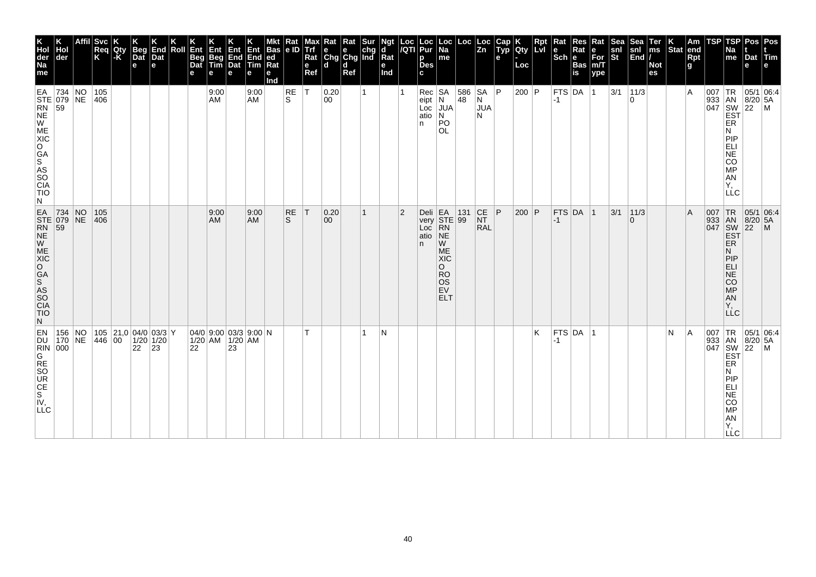| Pos   Pos<br>$ $ Tim<br>l el                  | 05/1 06:4                                                                                          |                                                                                                             | $\mathsf{M}$                                                                                                                                         |
|-----------------------------------------------|----------------------------------------------------------------------------------------------------|-------------------------------------------------------------------------------------------------------------|------------------------------------------------------------------------------------------------------------------------------------------------------|
| Dat<br>e                                      |                                                                                                    |                                                                                                             | $8/20$ 5A                                                                                                                                            |
| TSP<br>Na<br>me                               | TR<br>ER<br>N<br>PIP<br>ELI<br>CO<br>MP<br>AN<br>Υ.<br>LLC                                         | 007 TR 05/1 06:4<br>ER.<br>N<br>PIP<br><b>ELI</b><br><b>NE</b><br>CO<br><b>MP</b><br>AN<br>Y.<br><b>LLC</b> | 007 TR 05/1 06:4<br>ER<br>N<br> P P<br>ELI<br>NE<br>CO<br>MP<br><b>AN</b><br>Υ,<br>LĹC                                                               |
| <b>TSP</b>                                    | 007<br>933 AN 8/20 5A<br>047 SW 22 M<br>EST                                                        | 933 AN 8/20 5A<br>047 SW 22 M<br>EST                                                                        | $\begin{array}{c c} 307 & \text{Tr} & & & \\ [0.33 & \text{AN} & \text{B/2} \\ [0.47 & \text{SW} & \text{22} \\ \text{EST} & \text{EST} \end{array}$ |
| Am<br><b>Rpt</b><br>$\mathbf{g}$              | Α                                                                                                  | $\overline{A}$                                                                                              | ΙA                                                                                                                                                   |
| Stat end                                      |                                                                                                    |                                                                                                             | N                                                                                                                                                    |
| Ter<br>$\mathsf{ms}$<br><b>Not</b><br>es      |                                                                                                    |                                                                                                             |                                                                                                                                                      |
| Sea<br>İsni<br> End /                         | 11/3<br>$\Omega$                                                                                   | 11/3<br>$\Omega$                                                                                            |                                                                                                                                                      |
| Sea<br>snl<br>$ \dot{\mathbf{s}}$ t           | 3/1                                                                                                | 3/1                                                                                                         |                                                                                                                                                      |
| Rat<br>e<br>$For$ <sub>m/T</sub><br>ype       | $\vert$ 1                                                                                          |                                                                                                             |                                                                                                                                                      |
| Res<br>Rat<br><b>Bas</b><br>is                |                                                                                                    |                                                                                                             |                                                                                                                                                      |
| Rat<br>le.<br>$ \mathsf{Sch} $ e              | <b>FTS DA</b><br>$-1$                                                                              | FTS DA 1<br>$ -1$                                                                                           | FTS DA 1<br>-1                                                                                                                                       |
| <b>Rpt</b><br>Lvi                             |                                                                                                    |                                                                                                             | K                                                                                                                                                    |
| Loc                                           | 200 P                                                                                              | 200 P                                                                                                       |                                                                                                                                                      |
| Cap K<br>Typ Qty<br>$\mathbf{e}$              |                                                                                                    |                                                                                                             |                                                                                                                                                      |
| Loc Loc<br>Zn                                 | SA   P<br>$\overline{\mathsf{N}}$<br><b>JUA</b><br>N                                               | CE P<br><b>NT</b><br><b>RAL</b>                                                                             |                                                                                                                                                      |
|                                               | 586<br>48                                                                                          |                                                                                                             |                                                                                                                                                      |
| Loc <br> Na<br>me                             | eipt N<br>Loc JUA<br>$\overline{\mathsf{N}}$<br>PO<br><b>OL</b>                                    | W<br>ME<br><b>XIC</b><br>$\circ$<br><b>RO</b><br><b>OS</b><br>EV<br><b>ELT</b>                              |                                                                                                                                                      |
| Loc   Loc<br>/QTI Pur<br>p<br><b>Des</b>      | $Rec$ SA<br>atio<br>n.                                                                             | Deli EA 131<br>very STE 99<br>Loc RN<br>atio NE<br>n.                                                       |                                                                                                                                                      |
|                                               |                                                                                                    | 2                                                                                                           |                                                                                                                                                      |
| Ngt<br>Id<br>е<br>Ind                         |                                                                                                    |                                                                                                             | N                                                                                                                                                    |
| Sur<br>chg                                    |                                                                                                    |                                                                                                             |                                                                                                                                                      |
| Rat<br>le.<br>d<br>Ref                        |                                                                                                    |                                                                                                             |                                                                                                                                                      |
| Rat<br>Rat Chg Chg Ind Rat                    | 0.20<br>00                                                                                         | 0.20<br>00                                                                                                  |                                                                                                                                                      |
| Max<br>$\mathbf{e}$<br>Ref                    | ١T                                                                                                 | $\mathsf{T}$                                                                                                |                                                                                                                                                      |
| Kat<br>$ e$ ID Trf                            | RE<br>S                                                                                            | <b>RE</b><br>S.                                                                                             |                                                                                                                                                      |
| <b>Bas</b><br>Rat<br>е<br>Ind                 |                                                                                                    |                                                                                                             |                                                                                                                                                      |
| Ent<br>Beg End End ed<br>Tim Dat Tim Rat<br>е | 9:00<br><b>AM</b>                                                                                  | 9:00<br>AM                                                                                                  |                                                                                                                                                      |
| Ent<br>e                                      |                                                                                                    |                                                                                                             | 23                                                                                                                                                   |
| Ent<br>е                                      | 9:00<br><b>AM</b>                                                                                  | 9:00<br><b>AM</b>                                                                                           | $ 04/0 $ 9:00 $ 03/3 $ 9:00 $ N$<br>1/20 AM 1/20 AM                                                                                                  |
| Ent<br>Beg<br>Dat<br>e                        |                                                                                                    |                                                                                                             | 22                                                                                                                                                   |
| Roll                                          |                                                                                                    |                                                                                                             |                                                                                                                                                      |
| End<br>Dat<br>$\mathbf e$                     |                                                                                                    |                                                                                                             | 23                                                                                                                                                   |
| <b>Beg</b><br>Dat<br>e                        |                                                                                                    |                                                                                                             | $105$ 21,0 04/0 03/3 Y<br>$1/20$ 1/20<br>22                                                                                                          |
| ∣Qty                                          |                                                                                                    |                                                                                                             |                                                                                                                                                      |
| Svc<br>Reg<br>K                               | 105<br>406                                                                                         | 105<br> 406                                                                                                 |                                                                                                                                                      |
|                                               |                                                                                                    |                                                                                                             | 170 NE 446 00                                                                                                                                        |
| Hol<br>der                                    | 734 NO<br>$STE$ 079 NE<br>59                                                                       | $EA$ 734 NO                                                                                                 | 156 NO                                                                                                                                               |
| Hol<br>der<br>Na<br>me                        | EA<br>$\overline{R}$<br>NE<br>W<br>ME<br>XIC<br>O<br>GA<br>S<br>AS<br>SO<br>CIA<br><b>TIO</b><br>N | $STE$ 079 NE<br>RN 59<br>NE<br>W<br>ME<br>$\overline{O}$<br>GA<br>S<br>AS<br>SO<br>CIA<br>TIO<br>N.         | EN<br>DU<br>$\begin{array}{c c}\n\hline\n\text{RIN} & 000 \\ \hline\n\end{array}$<br><b>RE</b><br>SO<br>UR<br>US<br>S <sub>N</sub><br><b>LLC</b>     |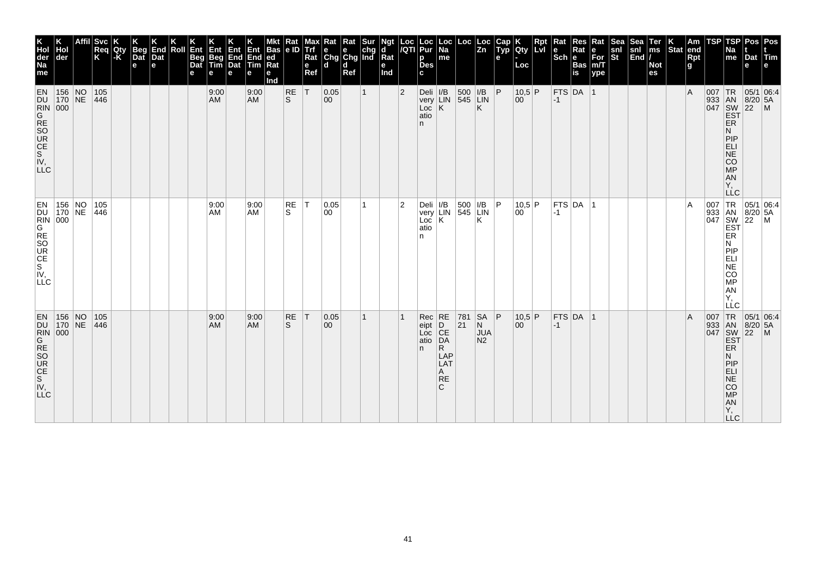| K<br>Hol<br>der<br>Na<br>me                                                                                                                                                                                                | der                                                                       | <b>Svc</b><br>Req<br>K | Qty<br>$\mathsf{K}$ | <b>Beg</b><br>Dat<br>e | End<br>Dat<br>l el | Roll | Ent<br>Beg<br>Dat | Ent<br>Beg<br>Tim<br>е | Ent<br>End<br>Dat<br>е | Ent<br>End<br><b>Tim</b><br>е | <b>Bas</b><br>ed<br>Rat<br>е<br>Ind | Rat<br>e ID    | мах<br><b>Trf</b><br>Rat<br>e<br>Ref | ĸat<br>e e chg<br>Chg Chg Ind<br>d d | Rat<br>Ref | Sur | d<br>$\bar{R}$ at<br>е<br>Ind | Loc<br>/QTI    | Loc<br>Pur<br>р<br><b>Des</b>               | $ \mathsf{Loc} $<br>Na<br>me             | $\left \frac{\text{Loc}}{\text{Zn}}\right $           |                                                | Cap<br><b>ADD</b><br>е | Qty<br>Loc     | Rpt<br>l LvI | Rat<br>$ \mathsf{Sch} $ e | Res<br>Rat<br><b>Bas</b><br>is | Rat<br>е<br>For<br>m/T<br>ype | Sea<br>snl<br>St | <b>Sea</b><br>$\begin{vmatrix} \text{snl} \\ \text{End} \end{vmatrix}$ | Ter<br>ms<br><b>Not</b><br>es | Stat end | Am<br><b>Rpt</b><br>g | TSP      | TSP<br>Na<br>me                                                   | Pos Pos<br>Dat Tim<br>e                              |                                                          |
|----------------------------------------------------------------------------------------------------------------------------------------------------------------------------------------------------------------------------|---------------------------------------------------------------------------|------------------------|---------------------|------------------------|--------------------|------|-------------------|------------------------|------------------------|-------------------------------|-------------------------------------|----------------|--------------------------------------|--------------------------------------|------------|-----|-------------------------------|----------------|---------------------------------------------|------------------------------------------|-------------------------------------------------------|------------------------------------------------|------------------------|----------------|--------------|---------------------------|--------------------------------|-------------------------------|------------------|------------------------------------------------------------------------|-------------------------------|----------|-----------------------|----------|-------------------------------------------------------------------|------------------------------------------------------|----------------------------------------------------------|
| EN 156 NO<br>DU 170 NE<br>RIN 000<br>GRE SO<br>SOUR<br>CE<br>SN <sub>.</sub> V,<br>LLC                                                                                                                                     |                                                                           | 105<br>$ 446\rangle$   |                     |                        |                    |      |                   | 9:00<br>AM             |                        | 9:00<br>AM                    |                                     | $\frac{RE}{S}$ | İΤ                                   | 0.05<br>00                           |            |     |                               | $\overline{2}$ | Deli $ I/B $<br>$Loc$ $K$<br>atio<br>n.     |                                          | 500<br>very LIN 545 LIN                               | I/B <br>Κ                                      | $\overline{P}$         | $10,5$ P<br>00 |              | $-1$                      | FTS DA 1                       |                               |                  |                                                                        |                               |          | $\overline{A}$        | $007$ TR | ER<br>N<br>PIP<br>ELI<br>NE<br>CO<br>MP<br>AN<br>Υ,<br><b>LLC</b> | 05/1 06:4<br>933 AN 8/20 5A<br>047 SW 22 M<br>EST    |                                                          |
| EN 156<br>DU 170<br>GRE<br>GRE<br>SORE<br>CE<br>S <sub>M</sub><br>ΙV,<br>LLC <sub>1</sub>                                                                                                                                  | $\begin{array}{ c c c }\n156 & \text{NO} \\ 170 & \text{NE}\n\end{array}$ | 105<br>446             |                     |                        |                    |      |                   | 9:00<br>AM             |                        | 9:00<br><b>AM</b>             |                                     | $\sf RE$<br>S. | $\top$                               | 0.05<br>00                           |            |     |                               | $\overline{2}$ | atio<br>n                                   |                                          | Deli I/B 500   I/B<br>very LIN 545   LIN<br>Loc K   K |                                                | l P                    | 10,5 P<br>00   |              | $-1$                      | $ $ FTS $ $ DA $ $ 1           |                               |                  |                                                                        |                               |          | $\overline{A}$        |          | <b>ER</b><br>N<br>PIP<br>EËI<br>NE<br>CO<br>MP<br>AN<br>Υ.<br>LLC |                                                      | 007 TR 05/1 06:4<br>933 AN 8/20 5A<br>047 SW 22 M<br>EST |
| $^{212}_{N}$<br>$^{213}_{N}$<br>$^{213}_{N}$<br>$^{213}_{N}$<br>$^{213}_{N}$<br>$^{213}_{N}$<br>$^{213}_{N}$<br>$^{213}_{N}$<br>$^{213}_{N}$<br>$^{213}_{N}$<br>$^{213}_{N}$<br>$^{213}_{N}$<br>$^{213}_{N}$<br><b>LLC</b> | EN 156 NO                                                                 | 105<br>$ 446\rangle$   |                     |                        |                    |      |                   | 9:00<br>AM             |                        | 9:00<br><b>AM</b>             |                                     | RE<br>S        | $\top$                               | 0.05<br>00                           |            |     |                               |                | $Rec$ RE<br>eipt<br>Loc CE<br>atio DA<br>n. | R.<br>LAP<br>LAT<br>A<br><b>RE</b><br>C. | 781<br> 21                                            | <b>SA</b><br>N<br><b>JUA</b><br>N <sub>2</sub> | ∣P.                    | 10,5 P<br>00   |              | $-1$                      | $FTS$ DA 1                     |                               |                  |                                                                        |                               |          | $\overline{A}$        | 007      | ER<br>Ν<br>PIP<br>ELI<br>NE<br>CO<br>MP<br>AN<br>Y,<br>LLC.       | TR 05/1 06:4<br>933 AN 8/20 5A<br>047 SW 22 M<br>EST |                                                          |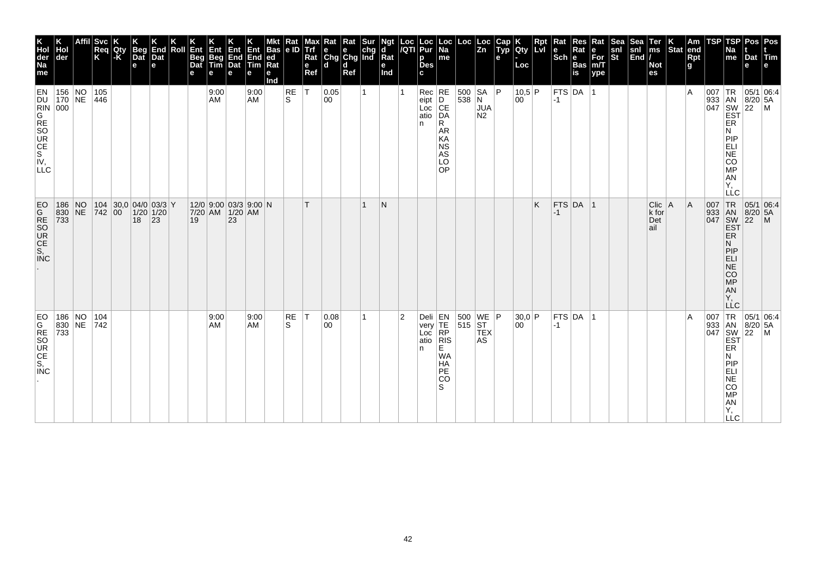| K<br>Hol<br>der<br>Na<br>me           | der                                                                                    | Affil | Svc<br>Req<br>K                                                                                                       | <b>Qty</b><br> -K | <b>Beg</b><br>Dat<br>e | End<br>Dat<br>е | Roll | Ent<br>Beg<br>Dat<br>е | Ent<br>Beg<br>Tim<br>е                   | 心<br>End<br>Dat<br>e | Ent<br><b>End</b><br>Tim<br>е | <b>Bas</b><br>$ ed$ Rat<br>е<br>Ind | Kat<br> e D    | vax<br>Trf<br>Rat<br>e<br>Ref | Rat<br>$\begin{array}{ c c c }\n\hline\ne & e & chg \\ \hline\nChg & Chg & Ind\n\end{array}$<br>d | Rat<br><b>d</b><br>Ref |              | Ngt<br>d<br>$\overline{\mathsf{R}}$ at<br>е<br>Ind |                | Loc  Loc<br><i> I</i> QTI  Pur<br>p<br>Des<br>c                                                                            | Loc<br>Na<br>me                                                                       | Loc                                                                                  | Loc<br> Zn                   | <b>AUD</b><br>е | K<br>Qty<br>Loc | <b>Rpt</b><br>LVI | Rat<br>$ \mathsf{Sch} $ e | Res<br>Rat<br>Bas<br>is | Rat<br>e<br>For<br>m/T<br>ype | snl<br>St | $\begin{array}{c} \n\text{sea} \\ \text{snl} \\ \text{End}\n\end{array}$ | Ter<br>ms<br><b>Not</b><br>es   | $\vert_{\text{Stat}}^{\text{K}}$ | $\vert$ Am<br>end<br><b>Rpt</b><br>$\mathbf{g}$ | TSP                               | <b>TSP</b><br>Na<br>me                                                                                                          | <b>Pos</b><br>Dat Tim<br>e                                                                                                                                     | Pos<br>le.     |
|---------------------------------------|----------------------------------------------------------------------------------------|-------|-----------------------------------------------------------------------------------------------------------------------|-------------------|------------------------|-----------------|------|------------------------|------------------------------------------|----------------------|-------------------------------|-------------------------------------|----------------|-------------------------------|---------------------------------------------------------------------------------------------------|------------------------|--------------|----------------------------------------------------|----------------|----------------------------------------------------------------------------------------------------------------------------|---------------------------------------------------------------------------------------|--------------------------------------------------------------------------------------|------------------------------|-----------------|-----------------|-------------------|---------------------------|-------------------------|-------------------------------|-----------|--------------------------------------------------------------------------|---------------------------------|----------------------------------|-------------------------------------------------|-----------------------------------|---------------------------------------------------------------------------------------------------------------------------------|----------------------------------------------------------------------------------------------------------------------------------------------------------------|----------------|
| EN                                    | 156 NO<br>170 NE<br><b>DURING RESORGES</b><br>NG RESORGES<br>NG RESORGES<br>NG LLC     |       | 105<br>446                                                                                                            |                   |                        |                 |      |                        | 9:00<br>AM                               |                      | 9:00<br><b>AM</b>             |                                     | $\sf RE$<br>S  | İΤ                            | 0.05<br>00                                                                                        |                        | $\mathbf{1}$ |                                                    |                | $\begin{array}{ c c }\n\hline\n\text{Rec} & \text{RE} \\ \text{eipt} & \text{D}\n\end{array}$<br>eipt<br>Loc<br>atio<br>n. | CE<br>DA<br>R.<br>AR<br>KA<br><b>NS</b><br>AS<br>LO<br><b>OP</b>                      | $\begin{array}{ c c c }\n500 & SA & P \\ 538 & N & \n\end{array}$                    | <b>JUA</b><br>N <sub>2</sub> |                 | 10,5 P<br>00    |                   | $-1$                      | $FTS$ DA $ 1$           |                               |           |                                                                          |                                 |                                  | ١A                                              |                                   | ER<br>Ν<br>PIP<br>ELI<br><b>NE</b><br>CO<br>MP<br>ÄÑ<br>Ÿ,<br>LLC                                                               | 05/1 06:4<br>$\begin{array}{r} \n 165/1 \\  933 \\  047 \\  5W \\  22 \\  165\n\end{array}$<br>$\begin{array}{r} \n 165/1 \\  8/20 \\  5 \\  165\n\end{array}$ |                |
| EO<br>GRESORE<br>S, CE<br>S, C        | 186 NO<br>$\begin{array}{ c c c c }\n\hline\n830 & \text{NE} \\ 733 & & \n\end{array}$ |       | $\begin{array}{ c c c c c c c }\n\hline\n104 & 30,0 & 04/0 & 03/3 & \n\hline\n742 & 00 & 1/20 & 1/20 & \n\end{array}$ |                   | 18                     | 23              |      | 19                     | 12/0 9:00 03/3 9:00 N<br>7/20 AM 1/20 AM | 23                   |                               |                                     |                | T                             |                                                                                                   |                        | $\mathbf{1}$ | N                                                  |                |                                                                                                                            |                                                                                       |                                                                                      |                              |                 |                 | K                 | $-1$                      | $FTS$ DA 1              |                               |           |                                                                          | Clic   A<br>k for<br>Det<br>ail |                                  | A                                               | 007<br>933<br>047                 | TR<br>AN<br>SW<br>EST<br>ER<br>Ν<br>PIP<br>ELI<br>$\overline{\text{NE}}$<br>$\overline{c}\overline{o}$<br>MP<br>AN<br>Y,<br>LLC | $\begin{array}{ c c c }\n 05/1 & 06.4 \\  8/20 & 5A\n\end{array}$<br>$\left  \frac{5}{22} \right $                                                             | $\overline{M}$ |
| EO<br>GRESO<br>CE<br>S,<br><b>INC</b> | 186 NO<br>830 NE 742<br>733                                                            |       | 104                                                                                                                   |                   |                        |                 |      |                        | 9:00<br>AM                               |                      | 9:00<br><b>AM</b>             |                                     | <b>RE</b><br>S | T                             | 0.08<br>00                                                                                        |                        | $\mathbf{1}$ |                                                    | $\overline{2}$ | n.                                                                                                                         | Deli<br>very<br>Loc<br>atio<br>RIS<br>E.<br><b>WA</b><br><b>HA</b><br>PE<br><b>CO</b> | $\begin{array}{ c c c }\n500 & \text{WE} & \text{P} \\ 515 & \text{ST}\n\end{array}$ | <b>TEX</b><br><b>AS</b>      |                 | 30.0 P<br>00    |                   | $-1$                      | $FTS$ DA $ 1$           |                               |           |                                                                          |                                 |                                  | ΙA                                              | 007 TR<br>933 AN<br>047 SW<br>EST | ER<br>N<br>PIP<br>ELI<br>NE<br>COMP<br>AN<br>Y,<br>$\sqcup$ C                                                                   | 05/1 06:4<br>8/20 5A<br>$\overline{22}$                                                                                                                        |                |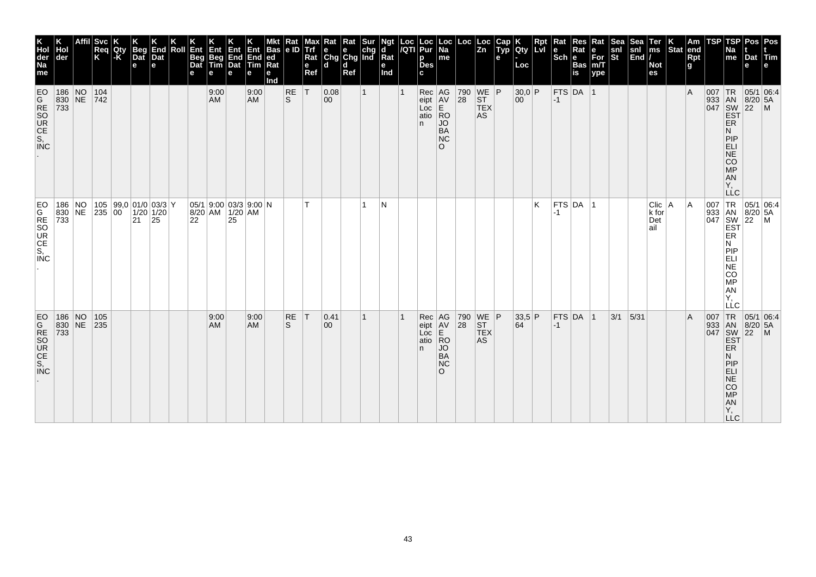| K<br>Hol<br>der<br>Na<br>me                                                                                                                                                                                            | der                                                                             | <b>Svc</b><br>Req<br>K                    | Qty<br> -K | <b>Beg</b><br>$\overline{a}$<br>e | End<br>Dat<br>е | Roll | Ent<br>Beg<br>Dat<br>е | Ent<br>Beg<br>Tim<br>е | 何<br>End<br>Dat<br>е                             | Ent<br>End<br>Tim<br>е | <b>Bas</b><br>led.<br>Rat<br>е<br>mol | Rat<br>e ID     | max<br>Trf<br>Rat<br>$\mathbf e$<br>Ref | Rat Rat Sur<br>e e chg<br>Chg Chg Ind<br>ld. | d<br>Ref |              | Ngt<br>d<br>Rat<br>е<br>Ind | $\frac{\text{Loc}}{\sqrt{\text{QT}}}$ | <b>Loc</b><br>Pur<br>p<br><b>Des</b><br>C. | ∣ Loc<br>Na<br>me                                                               | $Loc \mid$ | Loc<br> Zn                                                                                                         | Cap<br>Typ<br>е | Qty<br>Loc     | <b>Rpt</b><br>LvI | Rat    | Res<br>Sch Bas | Rat<br>e<br>For<br>m/T<br>ype | Sea<br>snl<br>St | Sea<br>snl<br>End | Ter<br>ms<br><b>Not</b><br>es      | $\left \begin{array}{c} K \\ \text{Stat} \end{array}\right $ am | Rpt<br>g | TSP | <b>TSP</b><br>Na<br>me                                                                                                     | Pos<br>Dat<br>е | Pos<br><b>Tim</b>                                    |
|------------------------------------------------------------------------------------------------------------------------------------------------------------------------------------------------------------------------|---------------------------------------------------------------------------------|-------------------------------------------|------------|-----------------------------------|-----------------|------|------------------------|------------------------|--------------------------------------------------|------------------------|---------------------------------------|-----------------|-----------------------------------------|----------------------------------------------|----------|--------------|-----------------------------|---------------------------------------|--------------------------------------------|---------------------------------------------------------------------------------|------------|--------------------------------------------------------------------------------------------------------------------|-----------------|----------------|-------------------|--------|----------------|-------------------------------|------------------|-------------------|------------------------------------|-----------------------------------------------------------------|----------|-----|----------------------------------------------------------------------------------------------------------------------------|-----------------|------------------------------------------------------|
| EO                                                                                                                                                                                                                     | 186 NO 104<br>830 NE 742<br>733                                                 |                                           |            |                                   |                 |      |                        | 9:00<br>AM             |                                                  | 9:00<br>AM             |                                       | RE<br>ls.       | T                                       | 0.08<br>$ 00\rangle$                         |          | $\mathbf{1}$ |                             |                                       | Rec AG<br>eipt AV<br>Loc<br>atio<br>n      | E<br> RO<br><b>JO</b><br><b>BA</b><br>NC<br>$\Omega$                            |            | $\begin{array}{ c c c }\n 790 & \text{WE} & \text{P} \\  28 & \text{ST} & \n\end{array}$<br><b>TEX</b><br>AS       |                 | $30,0$ P<br>00 |                   | $ -1 $ | $FTS$ DA 1     |                               |                  |                   |                                    |                                                                 | l A      |     | 007 TR 05/1<br>933 AN 8/20<br>047 SW 22<br>EST<br>ER<br>N<br>PIP<br>ELI<br>NE<br>CO<br><b>MP</b><br>AN<br>Υ,<br><b>LLC</b> | $8/20$ 5A       | 05/1 06:4<br>$\mathsf{M}$                            |
| EO                                                                                                                                                                                                                     | 186 NO 105 99,0 01/0 03/3 Y<br>830 NE 235 00 1/20 1/20<br>733                   |                                           |            | 21                                | 25              |      | 22                     |                        | $05/1$ 9:00 03/3 9:00 N<br>8/20 AM 1/20 AM<br>25 |                        |                                       |                 | T                                       |                                              |          | 1            | N                           |                                       |                                            |                                                                                 |            |                                                                                                                    |                 |                | K                 | -1     | $FTS$ DA $ 1$  |                               |                  |                   | $Clic$ $A$<br>k for<br>Det<br>lail |                                                                 | ΙA       |     | 007 TR 05/1 06:4<br>933 AN 8/20 5A<br>047 SW 22 M<br><b>EST</b><br>ER<br>Ν<br>PIP<br>NE<br>CO<br>MP<br>AN<br>Y,<br>LLC     |                 | 05/1 06:4                                            |
| EO<br>RSOR<br>S.<br>S.<br>CC<br>S.<br>CC<br>S.<br>CC<br>S.<br>CC<br>S.<br>CC<br>S.<br>CC<br>S.<br>CC<br>S.<br>CC<br>S.<br>CC<br>S.<br>CC<br>S.<br>CC<br>S.<br>CC<br>S.<br>CC<br>S.<br>CC<br>S.<br><br><br><br><br><br> | $\begin{array}{ c c c }\n 186 & NO \\  830 & NE \\  \hline\n 733 & \end{array}$ | $\begin{array}{c} 105 \\ 235 \end{array}$ |            |                                   |                 |      |                        | 9:00<br><b>AM</b>      |                                                  | 9:00<br><b>AM</b>      |                                       | <b>RE</b><br>S. | T                                       | 0.41<br>$ 00\rangle$                         |          | 1            |                             |                                       | Rec<br>eipt<br>Loc<br>atio<br>n.           | AG<br>$\overline{AV}$<br> RO<br><b>JO</b><br><b>BA</b><br><b>NC</b><br>$\Omega$ |            | $\begin{array}{ c c c }\n 790 & \text{WE} & \text{P} \\  28 & \text{ST} & \n\end{array}$<br>ST<br>TEX<br><b>AS</b> |                 | $33,5$ P<br>64 |                   | $-1$   | $FTS$ DA $ 1$  |                               | 3/1              | 5/31              |                                    |                                                                 | ΙA       |     | N<br>PIP<br>ELI<br>NE<br>$\overline{c}\overline{o}$<br><b>MP</b><br>AN<br>Υ,<br><b>LLC</b>                                 |                 | JUT TR 05/<br>933 AN 8/20 5<br>947 SW 22 M<br>EST ER |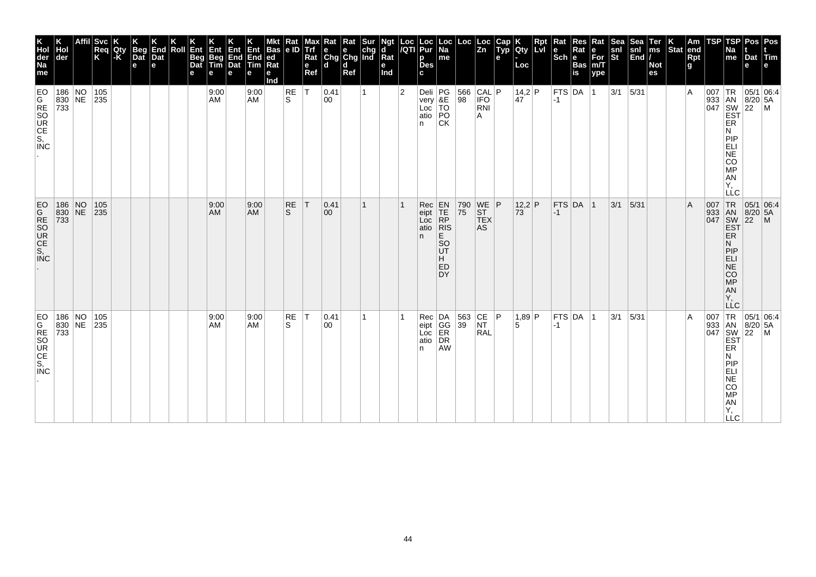| K<br>Hol<br>der<br>Na<br>me                     | Hol<br> der                             | <b>Svc</b><br>Req<br>K          | Qty<br>-K | <b>Beg</b><br>Dat<br>$\mathbf e$ | End<br>Dat<br>e | Roll | Ent<br>Beg<br>Dat<br>е | Ent<br>Beg<br>Tim<br>е | Ent<br>End<br>Dat<br>e | Ent<br>End<br>Tim<br>е | <b>Bas</b><br> ed<br>Ra<br>е<br>Ind | Rat<br> e D     | Max<br><b>Trf</b><br>Rat<br>e<br>Ref | $\begin{array}{ l l }\n\hline\n\text{Rat} & \text{Rat} & \text{Sur} \\ \hline\n\text{e} & \text{e} & \text{chg} \\ \text{Chg} & \text{Chg} & \text{Ind}\n\end{array}$<br>ld. | d<br>Ref |              | Ngt<br>d<br>Rat<br>е<br>Ind | Loc<br>/QTI    | Loc<br>Pur<br>p<br><b>Des</b><br>c             | Loc<br> Na<br>me                                                                                                              | Loc                                                                   | Loc<br>Zn                                                                      | Cap<br>Typ<br>e | <b>IQty</b><br>Loc     | Rpt<br>Lvi | Rat<br>le<br>$ \breve{\mathsf{Sch}} $ e | Res<br>Rat<br><b>Bas</b><br>$\overline{\mathbf{is}}$ | Rat<br>е<br>For<br>m/T<br>ype | Sea<br>snl<br>St | Sea<br>$\begin{vmatrix} \text{snl} \\ \text{End} \end{vmatrix}$ | Ter<br>ms<br><b>Not</b><br>es | <b>Stat</b> | Am<br>end<br>Rpt<br>g | TSP                               | <b>TSP</b><br>Na<br>me                                                          | Pos   Pos<br>Dat Tim<br>e                            |                                                                                                                                           |
|-------------------------------------------------|-----------------------------------------|---------------------------------|-----------|----------------------------------|-----------------|------|------------------------|------------------------|------------------------|------------------------|-------------------------------------|-----------------|--------------------------------------|------------------------------------------------------------------------------------------------------------------------------------------------------------------------------|----------|--------------|-----------------------------|----------------|------------------------------------------------|-------------------------------------------------------------------------------------------------------------------------------|-----------------------------------------------------------------------|--------------------------------------------------------------------------------|-----------------|------------------------|------------|-----------------------------------------|------------------------------------------------------|-------------------------------|------------------|-----------------------------------------------------------------|-------------------------------|-------------|-----------------------|-----------------------------------|---------------------------------------------------------------------------------|------------------------------------------------------|-------------------------------------------------------------------------------------------------------------------------------------------|
| EO<br><b>MONG</b><br>MONG<br>CS, CC             | 186 NO 105<br>830 NE 235<br>733         |                                 |           |                                  |                 |      |                        | 9:00<br>AM             |                        | 9:00<br><b>AM</b>      |                                     | RE<br>S.        | lT.                                  | 0.41<br>00                                                                                                                                                                   |          | $\mathbf{1}$ |                             | $\overline{2}$ | Deli<br>very<br>Loc<br>Loc<br>atio<br>PO<br>n. | CK                                                                                                                            | $\begin{array}{ c c c }\n 566 & CAL & P \\  98 & IFO & \end{array}$   | RNI<br>A                                                                       |                 | 14,2 P<br>$ 47\rangle$ |            | $ -1$                                   | FTS DA 1                                             |                               | $3/1$ 5/31       |                                                                 |                               |             | $\overline{A}$        |                                   | ER<br>N<br>PIP<br>ELI<br>NE<br>CO<br><b>MP</b><br>AN<br>Υ,<br>LLC               |                                                      | $\begin{array}{c}\n 1 \text{R} \\  33 \\  1 \text{AN} \\  8/20 \\  54 \\  1047 \\  1047 \\  1057 \\  1047 \\  1047 \\  1057\n\end{array}$ |
| <b>EO</b><br><b>ZOCE</b><br>SOCE<br>SOCE<br>COC |                                         | 186 NO 105<br>830 NE 235<br>733 |           |                                  |                 |      |                        | 9:00<br>AM             |                        | 9:00<br><b>AM</b>      |                                     | <b>RE</b><br>S. | T                                    | 0.41 <br>$ 00\rangle$                                                                                                                                                        |          | 1            |                             |                | Rec<br>eipt<br>Loc<br>atio<br>n.               | $\begin{array}{c} \mathsf{EN} \\ \mathsf{TE} \\ \mathsf{RP} \end{array}$<br> R<br>E<br><sub>SO</sub><br>UT<br>H.<br>ED<br>DY. | 790<br>75                                                             | $\begin{array}{c} \n\text{WE} \\ \text{ST}\n\end{array}$ P<br><b>TEX</b><br>AS |                 | $12.2$ P<br>73         |            | $-1$                                    | $FTS$ DA 1                                           |                               | 3/1              | 5/31                                                            |                               |             | $\mathsf{A}$          | 007 TR<br>933 AN<br>047 SW<br>EST | ER<br>N<br> P P<br><b>ELI</b><br>$N\bar{E}$<br>CO<br>MP<br>AN<br>Υ,<br>LLC      |                                                      | $\begin{array}{ c c } \hline 05/1 & 06:4 \\ 8/20 & 5A \\ 22 & M \\ \hline \end{array}$                                                    |
| EO<br>GRESO<br>CE<br>S,<br><b>INC</b>           | 186 NO 105<br>830 NE 235<br>$\vert 733$ |                                 |           |                                  |                 |      |                        | 9:00<br>AM             |                        | 9:00<br><b>AM</b>      |                                     | RE<br>S         | T                                    | $ 0.41\rangle$<br>00                                                                                                                                                         |          | 1            |                             |                | n.                                             | Rec<br>eipt<br>Loc<br>ER<br>atio<br>DR<br><b>AW</b>                                                                           | $\begin{array}{ c c c c }\n 563 & CE & P \\  39 & NT & \n\end{array}$ | <b>RAL</b>                                                                     |                 | 1,89 P<br>5            |            | $-1$                                    | $FTS$ DA  1                                          |                               | 3/1              | 5/31                                                            |                               |             | $\overline{A}$        | 007                               | ER<br>N<br>PIP<br>ELI<br><b>NE</b><br><b>CO</b><br>MP<br>AN<br>Υ,<br><b>LLC</b> | TR 05/1 06:4<br>933 AN 8/20 5A<br>047 SW 22 M<br>EST |                                                                                                                                           |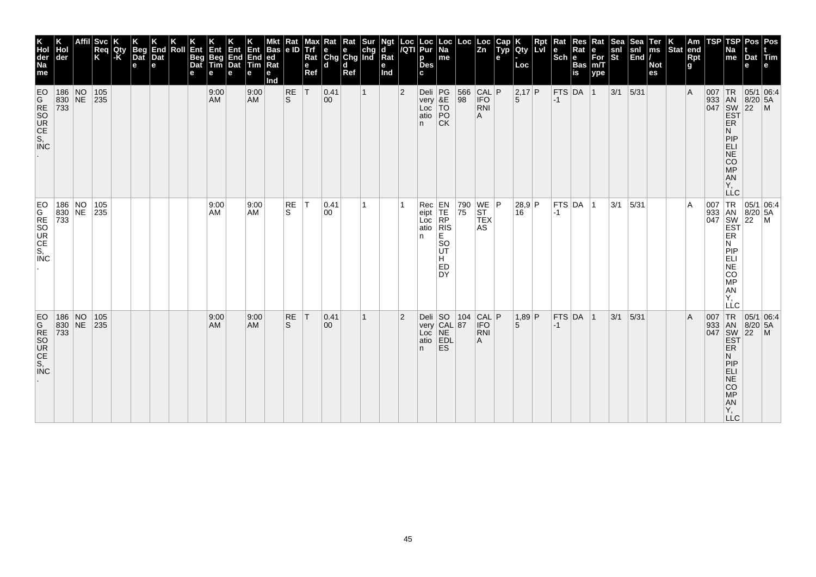| K<br>Hol<br>der<br>Na<br>me                                                                                                                                 | der                             | <b>Svc</b><br>Req<br>K          | Qty<br> -K | <b>Beg</b><br>Dat<br>$\mathbf e$ | End<br>Dat<br>e | Roll | Ent<br>Beg<br>Dat<br>е | Ent<br>Beg<br>Tim<br>е | Ent<br>End<br>Dat<br>e | Ent<br>End<br>Tim<br>е | <b>Bas</b><br> ed<br>Ra<br>е<br>Ind | Rat<br>e ID | Max<br>Trf<br>Rat<br>e<br>Ref | Rat<br>$\begin{array}{ c c c }\n\hline\ne & e & chg \\ \hline\nChg & Chg & Ind\n\end{array}$<br>ld. | Rat<br>d<br>Ref | Sur          | Ngt<br>d<br>Rat<br>е<br>Ind | Loc<br>/QTI    | Loc<br>Pur<br>p<br><b>Des</b><br>C.           | Loc<br> Na<br>me                                                                                                           | Loc                                                                   | Loc<br>$\overline{z_n}$                                            | Cap<br>Typ<br>e | <b>IQty</b><br>Loc | Rpt<br><b>Lvi</b> | $ \overline{\text{Sch}} $ e | Rat<br><b>Bas</b><br>$\overline{\mathbf{is}}$ | Rat<br>е<br>For<br>m/T<br>ype | अक्ट<br>snl<br>St | Sea<br>$\begin{vmatrix} \text{snl} \\ \text{End} \end{vmatrix}$ | Ter<br>ms<br><b>Not</b><br>es | Stat end | Am<br>Rpt<br>g | TSP | TSP<br>Na<br>me                                                                  | Dat Tim<br>e                                             | Pos   Pos                                                                                                                 |
|-------------------------------------------------------------------------------------------------------------------------------------------------------------|---------------------------------|---------------------------------|------------|----------------------------------|-----------------|------|------------------------|------------------------|------------------------|------------------------|-------------------------------------|-------------|-------------------------------|-----------------------------------------------------------------------------------------------------|-----------------|--------------|-----------------------------|----------------|-----------------------------------------------|----------------------------------------------------------------------------------------------------------------------------|-----------------------------------------------------------------------|--------------------------------------------------------------------|-----------------|--------------------|-------------------|-----------------------------|-----------------------------------------------|-------------------------------|-------------------|-----------------------------------------------------------------|-------------------------------|----------|----------------|-----|----------------------------------------------------------------------------------|----------------------------------------------------------|---------------------------------------------------------------------------------------------------------------------------|
| EO                                                                                                                                                          | 186 NO 105<br>830 NE 235<br>733 |                                 |            |                                  |                 |      |                        | 9:00<br><b>AM</b>      |                        | 9:00<br><b>AM</b>      |                                     | RE<br>ls.   | T                             | 0.41<br>$ 00\rangle$                                                                                |                 | $\mathbf{1}$ |                             | $\overline{2}$ | Deli PG<br>very &E<br>Loc TO<br>atio PO<br>n. | <b>CK</b>                                                                                                                  | $\begin{array}{ c c c }\n 566 & CAL & P \\  98 & IFO & \n\end{array}$ | <b>RNI</b><br>A                                                    |                 | 2,17 P<br>5        |                   | $ -1$                       | FTS DA 1                                      |                               | $3/1$ 5/31        |                                                                 |                               |          | $\overline{A}$ |     | ER<br>N<br>PIP<br>ELI<br>NE<br>CO<br>$\overline{MP}$<br>AN<br>Υ,                 | 007 TR 05/1 06:4<br>933 AN 8/20 5A<br>047 SW 22 M<br>EST |                                                                                                                           |
| <b>INC</b>                                                                                                                                                  |                                 | 186 NO 105<br>830 NE 235<br>733 |            |                                  |                 |      |                        | 9:00<br>AM             |                        | 9:00<br>AM             |                                     | RE<br>S.    | İΤ                            | 0.41<br>00                                                                                          |                 | 1            |                             |                | Rec<br>eipt<br>Loc<br>atio<br>n               | $\begin{array}{c} \mathsf{EN} \\ \mathsf{TE} \\ \mathsf{RP} \end{array}$<br> R<br>E.<br><b>SO</b><br>UT<br>H.<br>ED<br>DY. | 790<br>75                                                             | $\begin{array}{c} \n\text{WE} \n\end{array}$ P<br><b>TEX</b><br>AS |                 | 28,9 P<br>16       |                   | $-1$                        | FTS DA 1                                      |                               | $ 3/1 $ $ 5/31 $  |                                                                 |                               |          | A              |     | ER<br>N<br>PIP<br><b>ELI</b><br>$N\bar{E}$<br>CO<br>MP<br>AN<br>Υ.<br>LLC        |                                                          | $\begin{array}{c c}\n & -C & \n\hline\n007 & TR & 05/1 & 06.4, \\ 933 & AN & 8/20 & 5A \\ 047 & SW & 22 & M\n\end{array}$ |
| EO<br>G<br>R<br>S<br>C<br>S<br>C<br>C<br>C<br>C<br>C<br>S<br>C<br>C<br>C<br>S<br>C<br>C<br>S<br>C<br>C<br>C<br>C<br>C<br>C<br>C<br><br><br><br><br><br><br> |                                 | 186 NO 105<br>830 NE 235<br>733 |            |                                  |                 |      |                        | 9:00<br><b>AM</b>      |                        | 9:00<br><b>AM</b>      |                                     | RE<br>S     | T                             | 0.41<br>$ 00\rangle$                                                                                |                 | $\mathbf{1}$ |                             | $\overline{2}$ | Deli $ SO$<br>n.                              | very CAL 87<br>Loc NE<br>atio EDL<br><b>ES</b>                                                                             | 104                                                                   | CAL P <br>RNI<br>Α                                                 |                 | 1,89 P<br>5        |                   | $-1$                        | $FTS$ DA 1                                    |                               | 3/1               | 5/31                                                            |                               |          | $\overline{A}$ |     | ER<br>N<br>PIP<br><b>ELI</b><br><b>NE</b><br><b>CO</b><br>MP<br>AN<br>Y,<br>LLC. | 007 TR 05/1 06:4<br>933 AN 8/20 5A<br>047 SW 22 M<br>EST |                                                                                                                           |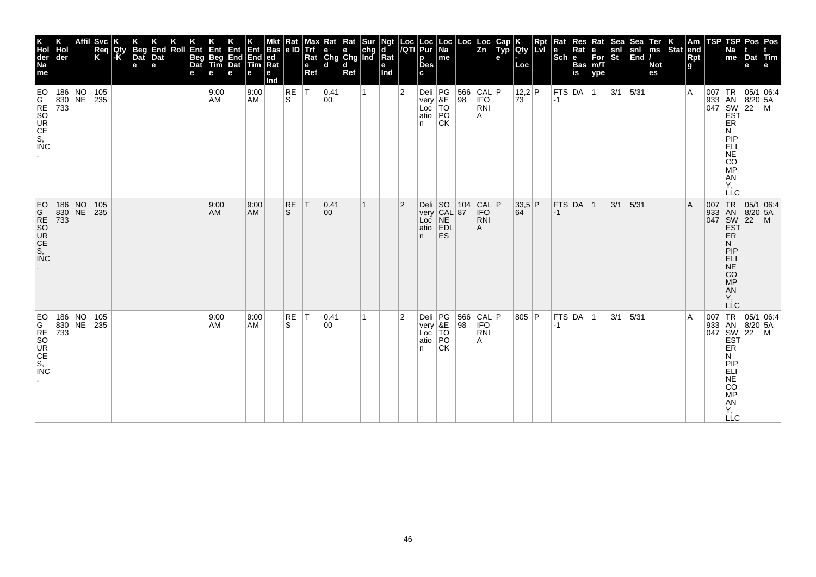| K<br>Hol<br>der<br>Na<br>me          | der                             | <b>Svc</b><br>Req<br>K | Qty<br>-K | Beg<br>Dat<br>$\mathbf e$ | End<br>Dat<br>e | Roll | Ent<br>Beg<br>Dat<br>е | Ent<br>Beg<br>Tim<br>е | Ent<br>End<br>Dat<br>e | Ent<br>End<br>Tim<br>е | <b>Bas</b><br>ed<br>Rat<br>е<br>Ind | Rat<br>le ID       | мах<br>Trf<br>Rat<br>$\mathbf{e}$<br>Ref | Kat<br>$\begin{array}{ c c c }\n\hline\ne & e & chg \\ \hline\nChg & Chg & Ind\n\end{array}$<br>ld. | Rat<br>d<br>Ref | Sur | Ngt<br>d<br>$\bar{R}$ at<br>е<br>Ind | Loc<br>/QTI    | Loc<br>Pur<br>р<br><b>Des</b><br>C.                      | ∣Loc<br>Na<br>me | Loc                                                                            | Loc<br> Zn                      | Cap<br>Typ<br>$\mathbf{e}$ | Qty<br>Loc                                               | <b>Lvi</b> | Rat<br>$\left \begin{smallmatrix} \mathbf{e} \ \mathbf{Sch} \ \mathbf{e} \end{smallmatrix}\right $ $\mathbf{e}$ | Res<br>Rat<br>Bas<br>is | Rat<br>е<br>For<br>m/T<br>ype | <b>Sea</b><br>snl<br>St | <b>Sea</b><br>$\frac{\text{snl}}{\text{End}}$ | Ter<br>ms<br><b>Not</b><br>es | $ \text{Stat} $ | Am<br>end<br>Rpt<br>g | TSP                               | TSP<br>Na<br>me                                                          | Pos Pos<br>Dat<br>e          | $ T$ im                                                                                                                                   |
|--------------------------------------|---------------------------------|------------------------|-----------|---------------------------|-----------------|------|------------------------|------------------------|------------------------|------------------------|-------------------------------------|--------------------|------------------------------------------|-----------------------------------------------------------------------------------------------------|-----------------|-----|--------------------------------------|----------------|----------------------------------------------------------|------------------|--------------------------------------------------------------------------------|---------------------------------|----------------------------|----------------------------------------------------------|------------|-----------------------------------------------------------------------------------------------------------------|-------------------------|-------------------------------|-------------------------|-----------------------------------------------|-------------------------------|-----------------|-----------------------|-----------------------------------|--------------------------------------------------------------------------|------------------------------|-------------------------------------------------------------------------------------------------------------------------------------------|
|                                      | 186 NO 105<br>830 NE 235<br>733 |                        |           |                           |                 |      |                        | 9:00<br>AM             |                        | 9:00<br>AM             |                                     | RE<br>S            | T                                        | 0.41<br>00                                                                                          |                 | 1   |                                      | $\overline{2}$ | Deli<br>very<br>Loc<br>TO<br>atio<br>PO<br>n.            | <b>CK</b>        | 566<br>98                                                                      | CAL P<br><b>IFO</b><br>RNI<br>A |                            | 12,2 P<br>73                                             |            | $-1$                                                                                                            | <b>FTS DA</b>           | $\vert$ 1                     | 3/1                     | $5/31$                                        |                               |                 | $\overline{A}$        |                                   | ER<br>N<br>PIP<br>ELI<br>NE<br>CO <sub>MP</sub><br>AN<br>Υ,<br>LLC       |                              | $\begin{array}{c c}\n 33 & 18 & 05/1 & 0. \\  33 & 18 & 8/20 & 5A \\  047 & 8W & 22 & M \\  \hline\n 55 & 1 & 0. \\  \hline\n\end{array}$ |
|                                      | 186 NO 105<br>830 NE 235<br>733 |                        |           |                           |                 |      |                        | 9:00<br>AM             |                        | 9:00<br><b>AM</b>      |                                     | RE<br><sub>S</sub> | T                                        | 0.41<br>$ 00\rangle$                                                                                |                 | 1   |                                      | $\overline{2}$ | Oeli SO 104<br>very CAL 87<br>Loc NE<br>atio EDL<br>n ES |                  |                                                                                | CAL P <br><b>RNI</b><br>Α       |                            | $\begin{array}{ c c }\n 33.5 & P \\  64 & \n\end{array}$ |            | $-1$                                                                                                            | FTS DA 1                |                               | $3/1$ 5/31              |                                               |                               |                 | $\overline{A}$        | 007 TR<br>933 AN<br>047 SW<br>EST | ER<br>N<br>PIP<br><b>ELI</b><br><b>NE</b><br>CO<br>MP<br>AN<br>Υ.        | 05/1 06:4<br>8/20 5A<br>22 M |                                                                                                                                           |
| EO<br>GRSO<br>CE<br>S,<br><b>INC</b> | 186 NO 105<br>830 NE 235<br>733 |                        |           |                           |                 |      |                        | 9:00<br>AM             |                        | 9:00<br><b>AM</b>      |                                     | RE<br>S            | T                                        | 0.41<br>00                                                                                          |                 | 1.  |                                      | $\overline{2}$ | Deli<br>very<br>Loc<br>TO<br>atio<br>PO<br>n             | <b>CK</b>        | $\begin{array}{ c c c }\n 566 & CAL & P \\  \hline\n 98 & IFO & \n\end{array}$ | RNI<br>Α                        |                            | 805 P                                                    |            | $-1$                                                                                                            | FTS DA 1                |                               | 3/1                     | 5/31                                          |                               |                 | $\overline{A}$        |                                   | ER<br>N<br>PIP<br>ELI<br><b>NE</b><br>CO<br>MP<br>AN<br>Y,<br><b>LLC</b> |                              | $\begin{array}{c c}\n & -6 \\ \hline\n907 & TR & 05/1 & 06.4, \\ 933 & AN & 8/20 & 5A \\ \hline\n047 & = ST & F\n\end{array}$             |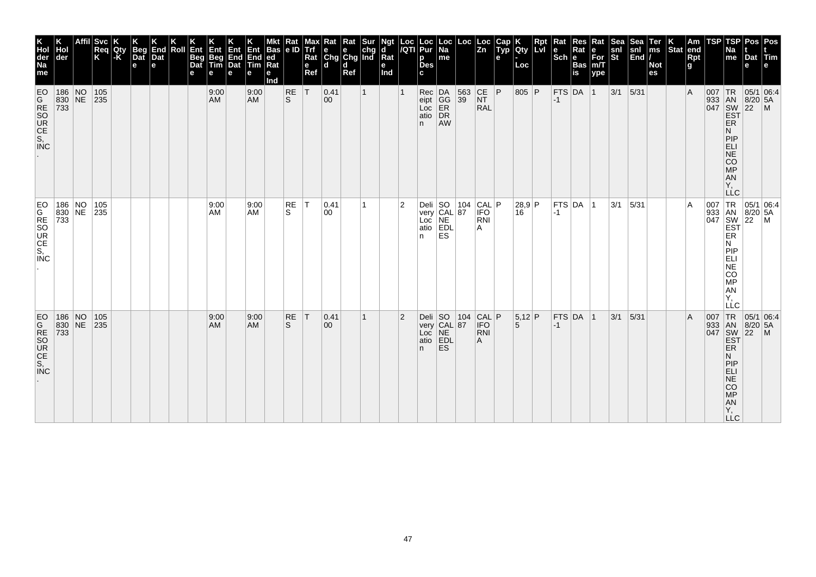| K<br>Hol<br>der<br>Na<br>me | der | <b>Svc</b><br>Req<br>K          | Qty<br> -K | <b>Beg</b><br>Dat<br>$\mathbf e$ | End<br>Dat<br>e | Roll | Ent<br>Beg<br>Dat<br>е | Ent<br>Beg<br>Tim<br>е | Ent<br>End<br>Dat<br>e | Ent<br>End<br>Tim<br>е | <b>Bas</b><br> ed<br>Ra<br>е<br>Ind | Rat<br>e ID | Max<br><b>Trf</b><br>Rat<br>e<br>Ref | Rat<br>$\begin{array}{ c c c }\n\hline\ne & e & chg \\ \hline\nChg & Chg & Ind\n\end{array}$<br>ld. | Rat<br>d<br>Ref | Sur          | Ngt<br>d<br>Rat<br>е<br>Ind | Loc<br>/QTI    | Loc<br>Pur<br>р<br><b>Des</b><br>C. | Loc<br> Na<br>me                               | Loc                                              | Loc<br>$\overline{z_n}$         | Cap<br>Typ<br>е | <b>IQty</b><br>Loc | Rpt<br><b>Lvi</b> | Sch e<br>Bas | Rat<br>$\overline{\mathbf{is}}$ | Rat<br>е<br>$\bar{F}$ or<br>m/T<br>ype | अक्ट<br>snl<br>St | Sea <sup>-</sup><br>$\begin{vmatrix} \text{snl} \\ \text{End} \end{vmatrix}$ | Ter<br>ms<br><b>Not</b><br>es | Stat end | Am<br>Rpt<br>g | TSP | TSP<br>Na<br>me                                                                  | Dat Tim<br>e | Pos   Pos                                                                                                                 |
|-----------------------------|-----|---------------------------------|------------|----------------------------------|-----------------|------|------------------------|------------------------|------------------------|------------------------|-------------------------------------|-------------|--------------------------------------|-----------------------------------------------------------------------------------------------------|-----------------|--------------|-----------------------------|----------------|-------------------------------------|------------------------------------------------|--------------------------------------------------|---------------------------------|-----------------|--------------------|-------------------|--------------|---------------------------------|----------------------------------------|-------------------|------------------------------------------------------------------------------|-------------------------------|----------|----------------|-----|----------------------------------------------------------------------------------|--------------|---------------------------------------------------------------------------------------------------------------------------|
| EO                          |     | 186 NO 105<br>830 NE 235<br>733 |            |                                  |                 |      |                        | 9:00<br><b>AM</b>      |                        | 9:00<br><b>AM</b>      |                                     | $R_S$       | T                                    | 0.41<br>$ 00\rangle$                                                                                |                 | $\mathbf{1}$ |                             |                | n.                                  | Rec DA<br>eipt GG<br>Loc ER<br>atio DR<br>AW   | 563<br>39                                        | CE P<br><b>NT</b><br><b>RAL</b> |                 | 805 P              |                   | $ -1$        | $FTS$ DA 1                      |                                        | $3/1$ 5/31        |                                                                              |                               |          | $\overline{A}$ |     | ER<br>N<br>PIP<br>ELI<br>NE<br>CO<br>MP<br><b>AN</b><br>Υ,                       |              | 007 TR 05/1 06:4<br>933 AN 8/20 5A<br>047 SW 22 M<br>EST                                                                  |
| <b>INC</b>                  |     | 186 NO 105<br>830 NE 235<br>733 |            |                                  |                 |      |                        | 9:00<br>AM             |                        | 9:00<br>AM             |                                     | RE<br>S.    | IТ.                                  | 0.41<br>00                                                                                          |                 | 1            |                             | 2              | n                                   | ES <sup>1</sup>                                | Deli SO 104<br>very CAL 87<br>Loc NE<br>atio EDL | CAL P<br><b>IFO</b><br>RNI<br>Α |                 | 28,9 P<br>16       |                   | $-1$         | FTS DA 1                        |                                        | $ 3/1 $ $ 5/31 $  |                                                                              |                               |          | A              |     | ER<br>N<br>PIP<br>ELI<br>$N\bar{E}$<br>CO<br>MP<br>AN<br>Υ.<br>LLC               |              | $\begin{array}{c c}\n & -C & \n\hline\n007 & TR & 05/1 & 06.4, \\ 933 & AN & 8/20 & 5A \\ 047 & SW & 22 & M\n\end{array}$ |
|                             |     | 186 NO 105<br>830 NE 235<br>733 |            |                                  |                 |      |                        | 9:00<br><b>AM</b>      |                        | 9:00<br><b>AM</b>      |                                     | RE<br>S     | T                                    | 0.41<br>$ 00\rangle$                                                                                |                 | $\mathbf{1}$ |                             | $\overline{2}$ | Deli $ SO$<br>n.                    | very CAL 87<br>Loc NE<br>atio EDL<br><b>ES</b> | 104                                              | CAL P <br>RNI<br>Α              |                 | $5,12$ P<br>5      |                   | $-1$         | $FTS$ DA 1                      |                                        | 3/1               | 5/31                                                                         |                               |          | $\overline{A}$ |     | ER<br>N<br>PIP<br><b>ELI</b><br><b>NE</b><br><b>CO</b><br>MP<br>AN<br>Y,<br>LLC. |              | 007 TR 05/1 06:4<br>933 AN 8/20 5A<br>047 SW 22 M<br>EST                                                                  |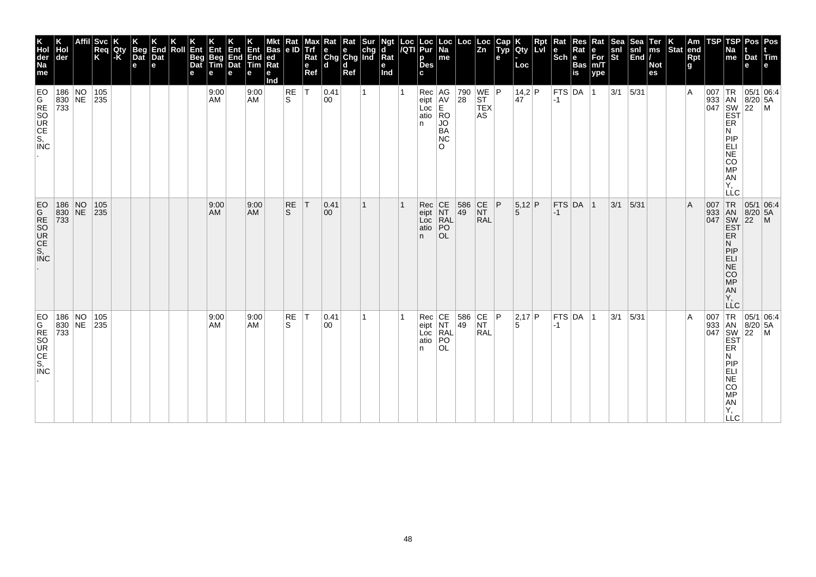| K<br>Hol<br>der<br>Na<br>me                     | Hol<br> der                             | <b>Svc</b><br>Req<br>K          | Qty<br>-K | <b>Beg</b><br>$\overline{$ }_{\text{Det}}<br>$\mathbf e$ | End<br>Dat<br>e | Roll | Ent<br>Beg<br>Dat<br>е | Ent<br>Beg<br>Tim<br>е | Ent<br>End<br>Dat<br>e | Ent<br>End<br>Tim<br>е | <b>Bas</b><br> ed<br> Rat<br>е<br>Ind | Rat<br> e D     | Max<br><b>Trf</b><br>Rat<br>e<br>Ref | $\begin{array}{ l l }\n\hline\n\text{Rat} & \text{Rat} & \text{Sur} \\ \hline\n\text{e} & \text{e} & \text{chg} \\ \text{Chg} & \text{Chg} & \text{Ind}\n\end{array}$<br>ld. | d<br>Ref |   | Ngt<br>d<br>Rat<br>е<br>Ind | Loc<br>/QTI | Loc<br>Pur<br>р<br><b>Des</b><br>c         | Loc<br> Na<br>me                    | Loc                                                                                    | Loc<br>Zn                                 | Cap<br>Typ<br>e | Qty<br>Loc    | Rpt<br>Lvi | Rat<br><b>Sch Bas</b> | Res         | Rat<br>$\overline{\text{For}}$ <sub>m/T</sub><br>ype | Sea<br>snl<br>St | Sea<br>$\begin{vmatrix} \text{snl} \\ \text{End} \end{vmatrix}$ | Ter<br>ms<br><b>Not</b><br>es | Stat end | Am<br>Rpt<br>g | TSP | <b>TSP</b><br>Na<br>me                                                                                          | Pos   Pos<br>Dat Tim<br>e                                                                                                                 |  |
|-------------------------------------------------|-----------------------------------------|---------------------------------|-----------|----------------------------------------------------------|-----------------|------|------------------------|------------------------|------------------------|------------------------|---------------------------------------|-----------------|--------------------------------------|------------------------------------------------------------------------------------------------------------------------------------------------------------------------------|----------|---|-----------------------------|-------------|--------------------------------------------|-------------------------------------|----------------------------------------------------------------------------------------|-------------------------------------------|-----------------|---------------|------------|-----------------------|-------------|------------------------------------------------------|------------------|-----------------------------------------------------------------|-------------------------------|----------|----------------|-----|-----------------------------------------------------------------------------------------------------------------|-------------------------------------------------------------------------------------------------------------------------------------------|--|
| <b>ES-SORGO</b><br>MOROCO                       | 186 NO 105<br>830 NE 235<br>733         |                                 |           |                                                          |                 |      |                        | 9:00<br>AM             |                        | 9:00<br><b>AM</b>      |                                       | RE<br>S.        | lT.                                  | 0.41<br>00                                                                                                                                                                   |          | 1 |                             |             | Rec AG<br>eipt AV<br>Loc E<br>atio RO<br>n | JO<br>BA<br><b>NC</b><br>$\Omega$   | $\begin{array}{ c c c }\n 790 & \text{WE} & \text{P} \\  28 & \text{ST} & \end{array}$ | <b>TEX</b><br>AS                          |                 | 14,2 P<br>47  |            | $ -1$                 | FTS DA 1    |                                                      | $3/1$ 5/31       |                                                                 |                               |          | $\overline{A}$ |     | ER<br>Ν<br>PIP<br>ELI<br>NE<br>CO<br><b>MP</b><br>AN<br>Υ,<br>LLC                                               | $\begin{array}{c}\n 1 \text{R} \\  33 \\  1 \text{AN} \\  8/20 \\  54 \\  1047 \\  1047 \\  1057 \\  1047 \\  1047 \\  1057\n\end{array}$ |  |
| <b>EO</b><br><b>ZOCE</b><br>SOCE<br>SOCE<br>COC |                                         | 186 NO 105<br>830 NE 235<br>733 |           |                                                          |                 |      |                        | 9:00<br>AM             |                        | 9:00<br><b>AM</b>      |                                       | <b>RE</b><br>S. | T                                    | 0.41 <br>$ 00\rangle$                                                                                                                                                        |          | 1 |                             |             | Rec<br>eipt<br>Loc<br>atio<br>n.           | CE<br>NT<br>RAL<br>PO<br><b>OL</b>  | 586<br>49                                                                              | $\overline{\text{C}}$<br>NT<br><b>RAL</b> | P               | $5,12$ P<br>5 |            | $-1$                  | FTS DA 1    |                                                      | 3/1              | 5/31                                                            |                               |          | $\mathsf{A}$   |     | 007 TR<br>933 AN<br>047 SW<br>EST<br>ER<br>N<br> P P<br><b>ELI</b><br>$N\bar{E}$<br>CO<br>MP<br>AN<br>Υ,<br>LLC | $\begin{array}{ c c c } \hline 05/1 & 06.4 \\ \hline 8/20 & 5A \\ 22 & M \\ \hline \end{array}$                                           |  |
| EO<br>GRESO<br>CE<br>S,<br><b>INC</b>           | 186 NO 105<br>830 NE 235<br>$\vert 733$ |                                 |           |                                                          |                 |      |                        | 9:00<br>AM             |                        | 9:00<br><b>AM</b>      |                                       | RE<br>S         | T                                    | $ 0.41\rangle$<br>00                                                                                                                                                         |          | 1 |                             |             | Rec<br>eipt<br>Loc<br>atio<br>n            | CE<br>NT<br>RAL<br> PO<br><b>OL</b> | $\begin{array}{ c c c c }\n 586 & CE & P \\  49 & NT & \n\end{array}$                  | <b>RAL</b>                                |                 | 2,17 P<br>5   |            | $-1$                  | $FTS$ DA  1 |                                                      | 3/1              | 5/31                                                            |                               |          | $\overline{A}$ | 007 | ER<br>N<br>PIP<br>ELI<br><b>NE</b><br><b>CO</b><br>MP<br>AN<br>Υ,<br><b>LLC</b>                                 | TR 05/1 06:4<br>933 AN 8/20 5A<br>047 SW 22 M<br>EST                                                                                      |  |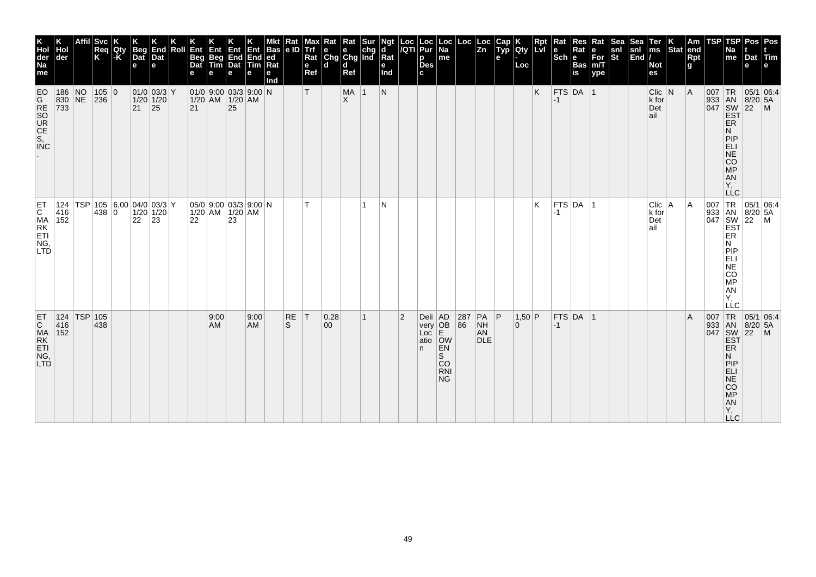| K<br>Hol<br>der<br>Na<br>me                                     | der                     | Affil       | Svc<br>Req<br>K                                   | Qty<br>l-K` | <b>Beg</b><br>Dat<br>e | End<br>Dat<br>e              | Roll | Ent<br>Beg<br>Dat<br>е | Ent<br>Beg<br>Tim                            | 4∃ny<br>End End<br>Dat Tim<br>e | Ent<br>е   | Bas<br> ed <br> Rat<br>е<br>nd | Kat<br> e D | viax<br>Trf<br>Rat<br>e<br>Ref | Rat<br>$\begin{array}{ c c c }\n\hline\ne & e & chg \\ \hline\nChg & Chg & Ind\n\end{array}$<br>$\mathbf d$ | Rat<br>ld.<br>Ref |              | <b>Ngt</b><br>$\overline{\mathsf{R}}$ at<br>е<br>Ind |                | Loc  Loc<br><i> I</i> QTI  Pur<br>p<br>Des<br>c | Loc<br>Na<br>me                                                                     | Loc       | Loc<br> Zn                         | <b>AUD</b><br>е | <b>lety</b><br>Loc | <b>Rpt</b><br>Lvl | Rat<br>$ \mathsf{Sch} $ e | Res<br>Rat<br>Bas<br>is | Rat<br>$\begin{array}{c} e \\ \text{For} \\ \text{m/T} \end{array}$<br> ype | snl<br>St | Sea<br>snl<br>$\left  \tilde{\mathsf{End}} \right $ | Ter<br>ms<br><b>Not</b><br>es      | $\vert_{\text{Stat}}^{\text{K}}$ | Am<br>end<br><b>Rpt</b><br>g | <b>TSP</b> | <b>TSP</b><br>Na<br>me                                                                                                  | <b>Pos</b><br>Dat Tim<br>e                             | Pos<br>le.                                                                             |
|-----------------------------------------------------------------|-------------------------|-------------|---------------------------------------------------|-------------|------------------------|------------------------------|------|------------------------|----------------------------------------------|---------------------------------|------------|--------------------------------|-------------|--------------------------------|-------------------------------------------------------------------------------------------------------------|-------------------|--------------|------------------------------------------------------|----------------|-------------------------------------------------|-------------------------------------------------------------------------------------|-----------|------------------------------------|-----------------|--------------------|-------------------|---------------------------|-------------------------|-----------------------------------------------------------------------------|-----------|-----------------------------------------------------|------------------------------------|----------------------------------|------------------------------|------------|-------------------------------------------------------------------------------------------------------------------------|--------------------------------------------------------|----------------------------------------------------------------------------------------|
| EO<br>G<br>RSO<br>UC<br>S,<br>NC<br>S,<br>NC                    | 186 NO<br>830 NE<br>733 |             | 105 0<br>236                                      |             | $\vert$ 21 $\vert$ 25  | $01/0$ 03/3 Y<br>$1/20$ 1/20 |      | 21                     | 01/0 9.00 03/3 9.00 N<br>$1/20$ AM $1/20$ AM | 25                              |            |                                |             | Т                              |                                                                                                             | MA<br>ΙX.         | 1            | N                                                    |                |                                                 |                                                                                     |           |                                    |                 |                    | K                 | $-1$                      | FTS DA 1                |                                                                             |           |                                                     | $Clic$ N<br>$k$ for<br>Det<br>∣ail |                                  | A                            |            | <b>ER</b><br>N<br>PIP<br><b>ELI</b><br><b>NE</b><br>cō<br><b>MP</b><br>AN<br>Y,<br><b>LLC</b>                           | 05/1 06:4<br>933 AN 8/20 5.<br>047 SW 22 M<br>EST 22 M |                                                                                        |
| ET<br>C<br>MA<br>RK<br>ET<br>L<br>NG,<br><b>LTD</b>             | 416<br>152              |             | 124   TSP   105   6,00   04/0   03/3   Y<br>438 0 |             | 22                     | $1/20$ 1/20<br>$ 23\rangle$  |      | 22                     | $05/0$ 9:00 03/3 9:00 N<br>1/20 AM 1/20 AM   | 23                              |            |                                |             |                                |                                                                                                             |                   | 1            | N                                                    |                |                                                 |                                                                                     |           |                                    |                 |                    | Κ                 | -1                        | $FTS$ DA $ 1$           |                                                                             |           |                                                     | Clic   A<br>k for<br>Det<br>ail    |                                  | A                            |            | 007 TR<br>933 AN<br>047 SW<br>EST<br>ER<br>N<br>PIP<br>ELI<br><b>NE</b><br>CO<br>МP<br>AN<br>Υ.<br>LLC                  |                                                        | $\begin{array}{ l l } \hline 05/1 & 06:4 \\ 8/20 & 5A \\ 22 & M \\ \hline \end{array}$ |
| ET<br>$\mathsf{C}$<br>MA<br>RK<br>ETI<br>NG,<br>LTD <sub></sub> | 416<br>152              | 124 TSP 105 | 438                                               |             |                        |                              |      |                        | 9:00<br>AM                                   |                                 | 9:00<br>AM |                                | RE<br>S     | $\mathsf{I}$                   | 0.28<br>00 <sup>°</sup>                                                                                     |                   | $\mathbf{1}$ |                                                      | $\overline{2}$ | n                                               | Deli AD<br>very OB<br>Loc E<br>atio OW<br>EN<br>S<br><b>CO</b><br><b>RNI</b><br>NG. | 287<br>86 | $PA$ $P$<br>NH<br>AN<br><b>DLE</b> |                 | 1,50 P<br>0        |                   | $-1$                      | FTS DA 1                |                                                                             |           |                                                     |                                    |                                  | ΙA                           | 007        | TR<br>933 AN<br>047 SW<br>EST<br><b>ER</b><br>N<br>PIP<br>ELI<br><b>NE</b><br>CO<br><b>MP</b><br>AN<br>Y,<br>$\sqcup$ C | $8/20$ 5A<br>$22$ M                                    | 05/1 06:4                                                                              |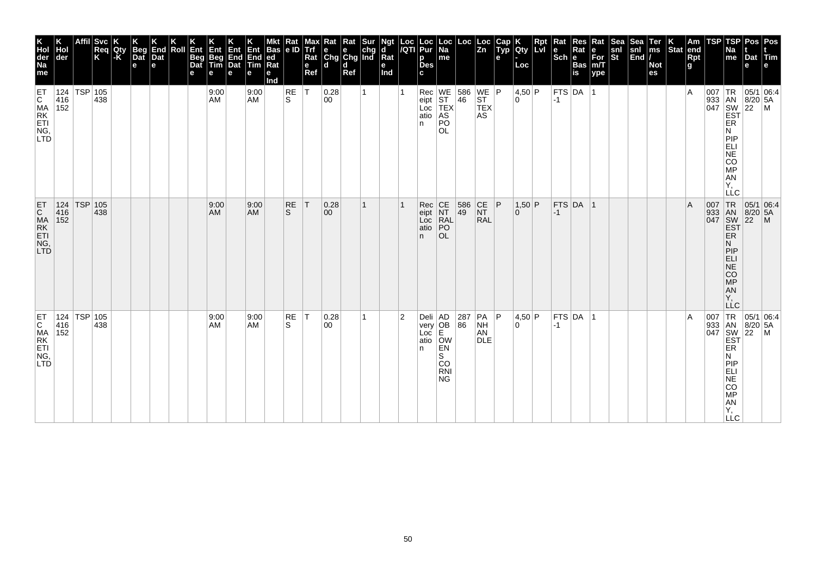| K<br>Hol<br>der<br>Na<br>me                               | der                           | <b>Svc</b><br>Req<br>K | Qty<br>-K | Beg<br>Dat<br>$\mathbf e$ | K<br>End<br>Dat<br>e | Roll | Ent<br>Beg<br>Dat<br>е | Ent<br>Beg<br>Tim<br>е | Ent<br>End<br>Dat<br>e | Ent<br>End<br>Tim<br>е | <b>Bas</b><br>ed<br>Rat<br>е<br>Ind | Rat<br> e D        | Max<br>Trf<br>Rat<br>$\mathbf{e}$<br>Ref | Rat Rat Sur<br>e e chg<br>Chg Chg Ind<br>ld. | d<br>Ref |    | Ngt<br>d<br>$\bar{R}$ at<br>е<br>Ind | Loc<br>/QTI    | Loc<br>Pur<br>p<br><b>Des</b><br>C.                 | Loc  <br>Na<br>me                        | Loc                                              | Loc<br> Zn                                                               | Cap<br>Typ<br>e | Qty<br>Loc           | Rpt<br>Lvl | Rat<br>$\left \begin{smallmatrix} \mathbf{e} \ \mathbf{Sch} \ \mathbf{e} \end{smallmatrix}\right $ $\mathbf{e}$ | $\sf Res$<br>Rat<br>Bas<br>is  | Rat<br>e<br>For<br>m/T<br>ype | Sea<br>$\frac{\mathsf{snl}}{\mathsf{St}}$ | Sea<br>$\left \frac{\text{snl}}{\text{End}}\right $ | Ter<br>ms<br><b>Not</b><br>es | $ \text{Stat} $ | Am<br>end<br>Rpt<br>g | <b>TSP</b> | TSP<br>Na<br>me                                                                                                 | Pos   Pos<br>Dat Tim<br>e                                                                  |                                                          |
|-----------------------------------------------------------|-------------------------------|------------------------|-----------|---------------------------|----------------------|------|------------------------|------------------------|------------------------|------------------------|-------------------------------------|--------------------|------------------------------------------|----------------------------------------------|----------|----|--------------------------------------|----------------|-----------------------------------------------------|------------------------------------------|--------------------------------------------------|--------------------------------------------------------------------------|-----------------|----------------------|------------|-----------------------------------------------------------------------------------------------------------------|--------------------------------|-------------------------------|-------------------------------------------|-----------------------------------------------------|-------------------------------|-----------------|-----------------------|------------|-----------------------------------------------------------------------------------------------------------------|--------------------------------------------------------------------------------------------|----------------------------------------------------------|
| ET<br>C MA<br>ET<br>I NG,<br>LTD                          | 124 TSP 105<br>416<br>152     | 438                    |           |                           |                      |      |                        | 9:00<br>AM             |                        | 9:00<br>AM             |                                     | RE<br>S            | ΙT                                       | 0.28<br>00                                   |          | 1  |                                      |                | Rec<br>eipt<br>Loc<br>atio<br>n.                    | PO<br><b>OL</b>                          | WE 586<br>ST 46<br>TEX<br>AS                     | $\begin{array}{c} \n\text{WE} \n\end{array}$ P<br><b>TEX</b><br>AS       |                 | 4,50 P<br>0 I        |            | $-1$                                                                                                            | $ \mathsf{FTS} \mathsf{DA}^- $ |                               |                                           |                                                     |                               |                 | $\overline{A}$        |            | ER<br>N<br>PIP<br>ELI<br>NE<br>CO <sub>MP</sub><br>AN<br>Υ,<br>LLC                                              |                                                                                            |                                                          |
| ET<br>CMA<br>RK<br>ET<br>NG,<br>LTD                       | 124   TSP   105<br>416<br>152 | 438                    |           |                           |                      |      |                        | 9:00<br>AM             |                        | 9:00<br><b>AM</b>      |                                     | RE<br><sub>S</sub> | T                                        | 0.28<br>$ 00\rangle$                         |          | 1  |                                      |                | Rec<br>eipt<br>Loc<br>atio<br>n.                    | CE<br>NT<br>RAL<br>PO<br><b>OL</b>       | 586<br>49                                        | $\begin{array}{c} \n\text{CE} \\ \text{NT}\n\end{array}$ P<br><b>RAL</b> |                 | $1,50$ P<br>$\Omega$ |            | $-1$                                                                                                            | FTS DA 1                       |                               |                                           |                                                     |                               |                 | $\overline{A}$        |            | 007 TR<br>933 AN<br>047 SW<br>EST<br>ER<br>Ν<br> P P<br>ELI<br>$N\bar{E}$<br>CO<br>MP<br>AN<br>Υ.<br><b>LLC</b> | $\begin{array}{ c c c }\n\hline\n95/1 & 06:4 \\ 8/20 & 5A\n\end{array}$<br>$\overline{22}$ | $\overline{M}$                                           |
| ET<br>C<br>MA<br>ET<br>NG<br>N <sub>J</sub><br><b>LTD</b> | 124   TSP   105<br>416<br>152 | 438                    |           |                           |                      |      |                        | 9:00<br>AM             |                        | 9:00<br><b>AM</b>      |                                     | RE<br>S            | T                                        | 0.28 <br>00                                  |          | 1. |                                      | $\overline{2}$ | Deli AD<br>very OB<br>Loc E<br>Loc<br>atio OW<br>n. | EN<br>S<br>CO<br><b>RNI</b><br><b>NG</b> | $\begin{array}{ c c }\n 287 \\  86\n\end{array}$ | $PA$ $ P $<br><b>NH</b><br>AN<br><b>DLE</b>                              |                 | 4,50 P<br>0 I        |            | $-1$                                                                                                            | $FTS$ DA  1                    |                               |                                           |                                                     |                               |                 | $\overline{A}$        |            | ER<br>Ν<br><b>PIP</b><br>ELI<br>NE<br>CO<br>MP<br>AN<br>Y,<br><b>LLC</b>                                        |                                                                                            | 007 TR 05/1 06:4<br>933 AN 8/20 5A<br>047 SW 22 M<br>EST |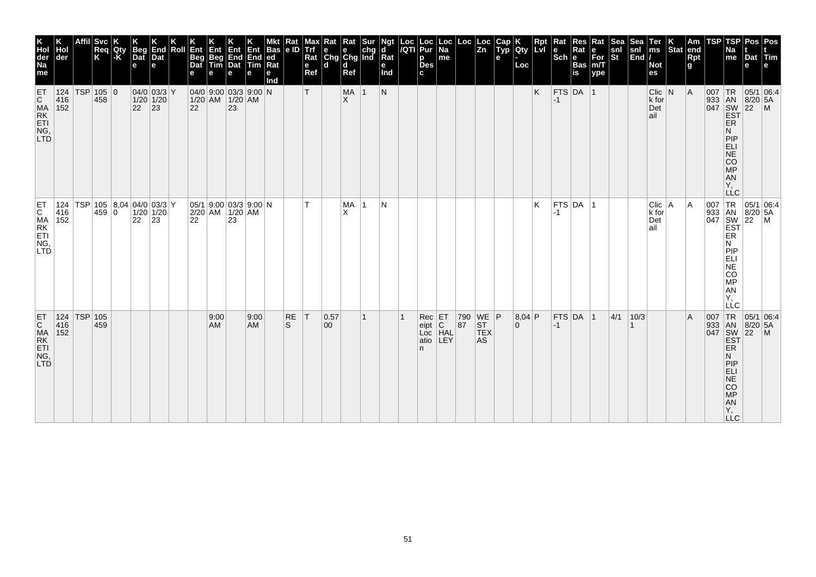| K<br>Hol<br>der<br>Na<br>me                                     | der        | Affil       | <b>Svc</b><br>Req<br>K                            | Qty<br>l-K | <b>Beg</b><br>Dat<br>e | End<br>Dat<br>е                                                                 | Roll | Ent<br>Beg<br>Dat<br>e | Ent<br>Beg<br>Tim                                                                                     | 4∃ny<br>End End<br>Dat Tim<br>e | Ent<br>е   | Bas<br> ed <br>Ra<br>е<br>Ind | Kat<br> e D | мах<br>Trf<br>Rat<br>e<br>Ref | Rat<br>$\begin{array}{ c c c }\n\hline\ne & e & chg \\ \hline\nChg & Chg & Ind\n\end{array}$<br>$\mathbf d$ | Rat<br>ld.<br>Ref |              | ď<br>Rat<br>е<br>Ind | Loc  Loc<br><i> I</i> QTI  Pur<br>p<br>Des<br>c | Loc<br>Na<br>me | Loc                                                                                      | Loc<br> Zn                     | <b>ALLY</b><br>е | K<br>Qty<br>Loc | <b>Rpt</b><br>LVI | Rat<br>$ \mathsf{Sch} $ e | Res<br>Rat<br>Bas<br>İs | Rat<br>$\begin{array}{c} e \\ \text{For} \\ \text{m/T} \end{array}$<br>ype | snl<br>St | Sea<br>snl<br>$\left  \tilde{\mathsf{End}} \right $ | Ter<br>ms<br><b>Not</b><br>es      | $\vert_{\text{Stat}}^{\text{K}}$ | Am<br>end<br><b>Rpt</b><br>g | <b>TSP</b>                        | <b>TSP</b><br>Na<br>me                                                                       | Pos<br>Dat Tim<br>e                                    | Pos<br>le.                                                                             |
|-----------------------------------------------------------------|------------|-------------|---------------------------------------------------|------------|------------------------|---------------------------------------------------------------------------------|------|------------------------|-------------------------------------------------------------------------------------------------------|---------------------------------|------------|-------------------------------|-------------|-------------------------------|-------------------------------------------------------------------------------------------------------------|-------------------|--------------|----------------------|-------------------------------------------------|-----------------|------------------------------------------------------------------------------------------|--------------------------------|------------------|-----------------|-------------------|---------------------------|-------------------------|----------------------------------------------------------------------------|-----------|-----------------------------------------------------|------------------------------------|----------------------------------|------------------------------|-----------------------------------|----------------------------------------------------------------------------------------------|--------------------------------------------------------|----------------------------------------------------------------------------------------|
| ET<br>CMA<br>ET<br>ING,<br>LTD                                  | 416<br>152 |             | 124 TSP 105 0<br>458                              |            |                        | $04/0$ 03/3 Y<br>$\begin{array}{ c c }\n 1/20 & 1/20 \\  22 & 23\n \end{array}$ |      |                        | $04/0$ 9:00 03/3 9:00 N<br>$\begin{array}{ c c c }\n 1/20 & AM & 1/20 & AM \\  22 & 23 & \end{array}$ |                                 |            |                               |             | Т                             |                                                                                                             | MA<br>ΙX.         | 1            | N                    |                                                 |                 |                                                                                          |                                |                  |                 | K                 | $-1$                      | FTS DA 1                |                                                                            |           |                                                     | $Clic$ N<br>$k$ for<br>Det<br>∣ail |                                  | A                            |                                   | <b>ER</b><br>N<br>PIP<br><b>ELI</b><br>NE<br>CO<br>MP<br><b>AN</b><br>Ÿ,<br><b>LLC</b>       | 05/1 06:4<br>933 AN 8/20 5,<br>047 SW 22 M<br>EST 22 M |                                                                                        |
| ET<br>C<br>MA<br>ET<br>ET<br>NG<br>C<br>LTD                     | 416<br>152 |             | 124   TSP   105   8,04   04/0   03/3   Y<br>459 0 |            | 22                     | $1/20$ 1/20<br>$ 23\rangle$                                                     |      | 22                     | $ 05/1 $ 9:00 $ 03/3 $ 9:00 N<br>2/20 AM 1/20 AM                                                      | 23                              |            |                               |             |                               |                                                                                                             | MA<br>X           | $\vert$ 1    | N                    |                                                 |                 |                                                                                          |                                |                  |                 | Κ                 | -1                        | $FTS$ DA $ 1$           |                                                                            |           |                                                     | Clic   A<br>k for<br>Det<br>ail    |                                  | A                            | 007 TR<br>933 AN<br>047 SW<br>EST | ER<br>N<br>PIP<br>ELI<br>$\overline{\sf NE}$<br>CO<br>МP<br><b>AN</b><br>Υ,<br>LLC           |                                                        | $\begin{array}{ l l } \hline 05/1 & 06:4 \\ 8/20 & 5A \\ 22 & M \\ \hline \end{array}$ |
| ET<br>$\mathsf{C}$<br>MA<br>RK<br>ETI<br>NG,<br>LTD <sub></sub> | 416<br>152 | 124 TSP 105 | 459                                               |            |                        |                                                                                 |      |                        | 9:00<br>AM                                                                                            |                                 | 9:00<br>AM |                               | RE<br>S     | T                             | 0.57<br>00                                                                                                  |                   | $\mathbf{1}$ |                      | $Rec$ $ET$<br>eipt<br>Loc<br>atio<br>n.         | C<br>HAL<br>LEY | $\begin{array}{ c c c }\n 790 & \text{WE} & \text{P} \\  87 & \text{ST} & \n\end{array}$ | ST <br><b>TEX</b><br><b>AS</b> |                  | 8,04 P<br>0     |                   | $-1$                      | FTS DA 1                |                                                                            | 4/1       | 10/3                                                |                                    |                                  | ΙA                           | 007<br>933 AN<br>047 SW<br>EST    | TR<br><b>ER</b><br>N<br>PIP<br>ELI<br><b>NE</b><br>CO<br><b>MP</b><br>AN<br>Y,<br>$\sqcup$ C | 05/1 06:4<br>$8/20$ 5A<br>$22$ M                       |                                                                                        |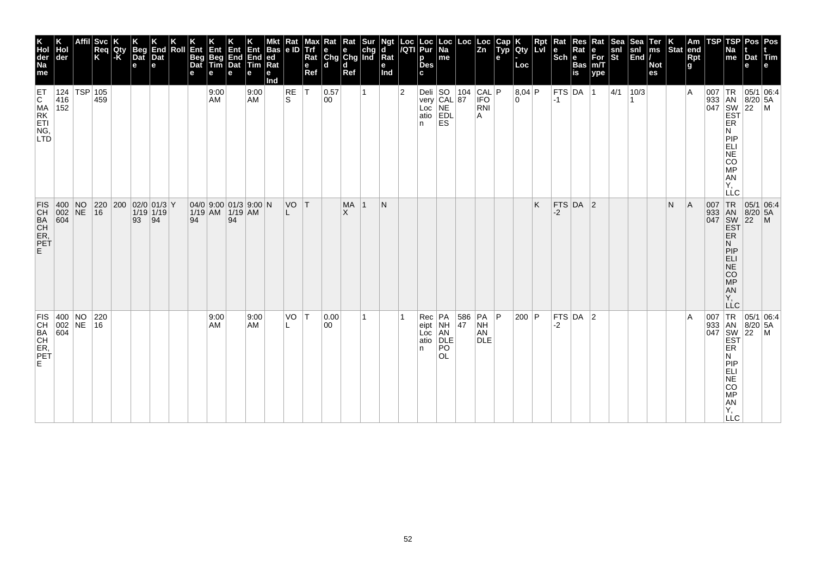| ГSР<br>Pos<br>Pos<br>Na<br>Dat Tim<br>me<br>e<br>e                   | 007 TR<br> 05/1 06:4<br>933 AN<br>047 SW<br>EST<br> 8/20 5A<br>$ 22 \degree$ M<br>ER<br>N<br>PIP<br>ELI<br><b>NE</b><br>CO<br>MP<br><b>AN</b><br>Υ,<br><b>LLC</b> | 007 TR<br>933 AN<br>047 SW<br>EST<br>$\begin{array}{ c c c }\n 05/1 & 06.4 \\  8/20 & 5A\n\end{array}$<br>$ 22\rangle$<br>$\blacksquare$<br>ER<br>N<br>PIP<br>ELI<br><b>NE</b><br>$\overline{c}\overline{o}$<br>MP<br><b>AN</b><br>Y,<br>LĹC | $TR$ 05/1 06:4<br>933 AN<br>047 SW<br>EST<br>$8/20$ 5A<br>$\overline{22}$<br>$\mathsf{M}$<br><b>ER</b><br>N<br>PIP<br>ELI<br>NE<br>CO<br>$MP$<br>AN<br>Y, |
|----------------------------------------------------------------------|-------------------------------------------------------------------------------------------------------------------------------------------------------------------|----------------------------------------------------------------------------------------------------------------------------------------------------------------------------------------------------------------------------------------------|-----------------------------------------------------------------------------------------------------------------------------------------------------------|
| <b>TSP</b>                                                           |                                                                                                                                                                   |                                                                                                                                                                                                                                              | 007                                                                                                                                                       |
| Am<br>end<br>Rpt<br>g                                                | ١A                                                                                                                                                                | A                                                                                                                                                                                                                                            | ΙA                                                                                                                                                        |
| $\vert_{\text{Stat}}^{\text{K}}$                                     |                                                                                                                                                                   | N                                                                                                                                                                                                                                            |                                                                                                                                                           |
| Ter<br>ms<br><b>Not</b><br>es                                        |                                                                                                                                                                   |                                                                                                                                                                                                                                              |                                                                                                                                                           |
| Sea<br>snl<br>End                                                    | 10/3                                                                                                                                                              |                                                                                                                                                                                                                                              |                                                                                                                                                           |
| snl<br>St                                                            | 4/1                                                                                                                                                               |                                                                                                                                                                                                                                              |                                                                                                                                                           |
| Rat<br>$\begin{bmatrix} e \\ For \\ for \\ m/T \end{bmatrix}$<br>ype | $\overline{1}$                                                                                                                                                    |                                                                                                                                                                                                                                              |                                                                                                                                                           |
| Res<br>Rat<br>Bas<br>is                                              |                                                                                                                                                                   | FTS $DA$ 2                                                                                                                                                                                                                                   | $FTS$ DA 2                                                                                                                                                |
| Rat<br> Sch ∣e                                                       | FTS DA<br>$-1$                                                                                                                                                    | $-2$                                                                                                                                                                                                                                         | $-2$                                                                                                                                                      |
| <b>Rpt</b><br>LVI                                                    |                                                                                                                                                                   | Κ                                                                                                                                                                                                                                            |                                                                                                                                                           |
| K<br>Qty<br>Loc                                                      | 8,04 P<br>l O                                                                                                                                                     |                                                                                                                                                                                                                                              | 200 P                                                                                                                                                     |
| Cap<br>Typ<br>е                                                      |                                                                                                                                                                   |                                                                                                                                                                                                                                              |                                                                                                                                                           |
|                                                                      | CAL P<br><b>IFO</b><br>RNI<br>A                                                                                                                                   |                                                                                                                                                                                                                                              | 586 PA P<br>NH<br>AN<br><b>DLE</b>                                                                                                                        |
| $\begin{vmatrix} \text{Loc} \\ \text{Zn} \end{vmatrix}$              |                                                                                                                                                                   |                                                                                                                                                                                                                                              | 47                                                                                                                                                        |
| Loc<br>Na<br>me                                                      | Deli SO 104<br>very CAL 87<br>Loc NE<br>atio EDL<br><b>ES</b>                                                                                                     |                                                                                                                                                                                                                                              | NH<br>AN<br>DLE<br>PO<br><b>OL</b>                                                                                                                        |
| Loc  Loc<br><i> I</i> QTI  Pur<br>p<br><b>Des</b><br>c               | In.                                                                                                                                                               |                                                                                                                                                                                                                                              | $Rec$ $PA$<br>$ $ eipt<br>Loc<br>atio<br>In.                                                                                                              |
|                                                                      | $\overline{2}$                                                                                                                                                    |                                                                                                                                                                                                                                              |                                                                                                                                                           |
| Ngt<br>ď<br>Rat<br>е<br>Ind                                          |                                                                                                                                                                   | N                                                                                                                                                                                                                                            |                                                                                                                                                           |
|                                                                      |                                                                                                                                                                   | -1                                                                                                                                                                                                                                           |                                                                                                                                                           |
| Rat Rat Sur<br>e e chg<br>Chg Chg Ind<br>l d<br>Ref                  |                                                                                                                                                                   | <b>MA</b><br>X                                                                                                                                                                                                                               |                                                                                                                                                           |
| ld.                                                                  | 0.57<br>00                                                                                                                                                        |                                                                                                                                                                                                                                              | 0.00<br>00                                                                                                                                                |
| Max<br>Trf<br>Rat<br>$\mathbf e$<br>Ref                              | $\mathsf{T}$                                                                                                                                                      |                                                                                                                                                                                                                                              | ١T                                                                                                                                                        |
| Rat<br> e D                                                          | <b>RE</b><br>S                                                                                                                                                    | VO T                                                                                                                                                                                                                                         | VO                                                                                                                                                        |
| Bas<br>$ ed$<br>Rat<br>е<br>nd                                       |                                                                                                                                                                   |                                                                                                                                                                                                                                              |                                                                                                                                                           |
| Ent<br>End<br>Tim<br>е                                               | 9:00<br>AM                                                                                                                                                        |                                                                                                                                                                                                                                              | 9:00<br>AM                                                                                                                                                |
| Ent<br>End<br>Dat<br>е                                               |                                                                                                                                                                   | 94                                                                                                                                                                                                                                           |                                                                                                                                                           |
| ι⊟ηt∙<br>Beg<br>Tim<br>е                                             | 9:00<br>AM                                                                                                                                                        |                                                                                                                                                                                                                                              | 9:00<br>AM                                                                                                                                                |
| Ent<br>Beg<br>Dat<br>е                                               |                                                                                                                                                                   | 94                                                                                                                                                                                                                                           |                                                                                                                                                           |
| Roll                                                                 |                                                                                                                                                                   |                                                                                                                                                                                                                                              |                                                                                                                                                           |
| End<br>Dat<br>е                                                      |                                                                                                                                                                   | $\vert$ 94                                                                                                                                                                                                                                   |                                                                                                                                                           |
| <b>Beg</b><br>Dat<br>$\mathbf e$                                     |                                                                                                                                                                   | 220 200 02/0 01/3 Y<br>$1/19$ 1/19<br>93                                                                                                                                                                                                     |                                                                                                                                                           |
| Qty<br> -K                                                           |                                                                                                                                                                   |                                                                                                                                                                                                                                              |                                                                                                                                                           |
| Affil Svc<br>Req<br>K                                                | 459                                                                                                                                                               | 16                                                                                                                                                                                                                                           | 220<br> 16                                                                                                                                                |
|                                                                      | 124   TSP   105                                                                                                                                                   |                                                                                                                                                                                                                                              |                                                                                                                                                           |
| Hol<br> der                                                          | 416<br>152                                                                                                                                                        | $ 400 $ NO<br>002 NE<br>604                                                                                                                                                                                                                  | $\begin{array}{ c c c }\n 400 & \text{NO} \\  002 & \text{NE} \\  604 & \end{array}$                                                                      |
| K<br>Hol<br>der<br>Na<br>me                                          | ET<br>C MA<br>ET<br>ING,<br>LTD                                                                                                                                   | FIS.<br>CH<br>CH<br>CH<br>CH<br>PET<br>PET<br>F.                                                                                                                                                                                             | FIS  <br>CH<br>BA<br>CH<br>ER,<br>PET<br>E.                                                                                                               |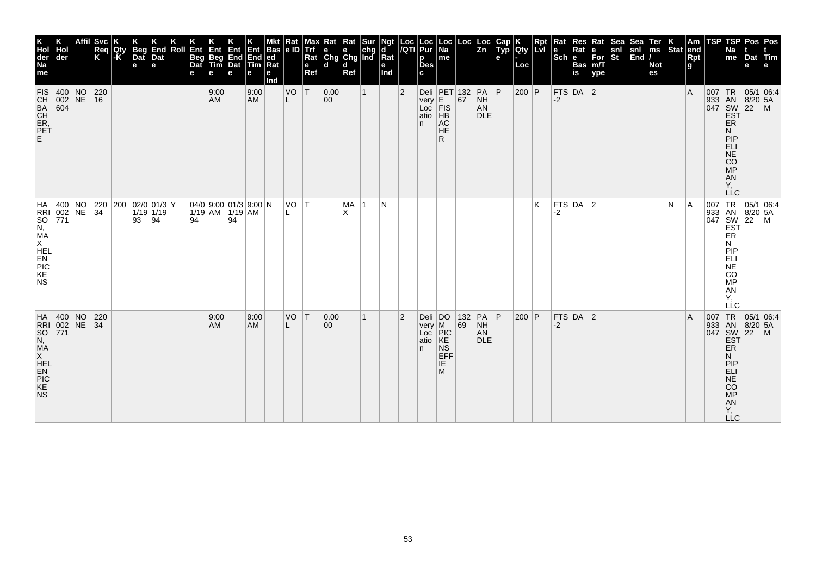| Affil Svc<br><b>Beg</b><br>End<br>Ent<br>Roll<br>Hol<br>Req<br>Qty<br> -K<br>Ent<br>K<br>Dat<br>Dat<br>Beg<br>Dat<br>Beg<br>Tim<br> der<br>e<br>е<br>е<br>е<br>$ 400 $ NO<br>$\begin{array}{ c c }\n 220 \\  \hline\n 16\n \end{array}$<br>9:00<br>002 NE<br><b>AM</b><br>604 |  |  |    |    |  |    |            | Ent<br>End<br>Dat<br>е | Ent<br><b>End</b><br>Tim<br>e<br>9:00<br><b>AM</b>                                                                             | Bas<br> ed<br>  <b>Rat</b><br>е<br>nd | Kat<br>le ID<br>VO<br>L | Trf<br>Rat<br>e<br>Ref<br>١T | Rat<br>$\begin{array}{ c c c }\n\hline\ne & e & chg \\ \hline\nChg & Chg & Ind\n\end{array}$<br>ld.<br>0.00<br>00 | Rat<br>l d<br>Ref | Sur | ď<br>Rat<br>е<br>Ind | $\overline{2}$ | Loc  Loc<br><i> I</i> QTI  Pur<br>p<br><b>Des</b><br>c<br>n. | Loc<br>Na<br>me<br>Deli PET 132<br>very E. 67<br>Loc $\overline{F}$ IS<br>atio HB<br>AC<br><b>HE</b><br>R. | $\begin{vmatrix} \text{Loc} & \text{Loc} \\ \text{Zn} & \end{vmatrix}$ | PA<br>NH<br>AN<br><b>DLE</b> | Typ<br>е<br> P | K<br>Qty<br>Loc<br>$200$ P | <b>Rpt</b><br>Lvi | Rat<br> Sch ∣e<br>$-2$ | Res<br>Rat<br>Bas<br>is<br>FTS DA $ 2$ | Rat<br>$\begin{bmatrix} e \\ For \\ for \\ m/T \end{bmatrix}$<br> ype | snl<br>St | Sea<br>snl<br>End | Ter<br>ms<br><b>Not</b><br>es | $ \ddot{\text{Stat}} $ | Am<br>end<br>Rpt<br>g<br>ΙA | <b>TSP</b>                                    | <b>TSP</b><br>Na<br>me<br><b>ER</b><br>N<br>PIP<br><b>ELI</b>                                                                                       | <b>Pos</b><br>Dat Tim<br>e<br> 05/1 06:4<br>933 AN 8/20 5.<br>047 SW 22 M<br>EST P                 | Pos<br>le.      |
|-------------------------------------------------------------------------------------------------------------------------------------------------------------------------------------------------------------------------------------------------------------------------------|--|--|----|----|--|----|------------|------------------------|--------------------------------------------------------------------------------------------------------------------------------|---------------------------------------|-------------------------|------------------------------|-------------------------------------------------------------------------------------------------------------------|-------------------|-----|----------------------|----------------|--------------------------------------------------------------|------------------------------------------------------------------------------------------------------------|------------------------------------------------------------------------|------------------------------|----------------|----------------------------|-------------------|------------------------|----------------------------------------|-----------------------------------------------------------------------|-----------|-------------------|-------------------------------|------------------------|-----------------------------|-----------------------------------------------|-----------------------------------------------------------------------------------------------------------------------------------------------------|----------------------------------------------------------------------------------------------------|-----------------|
| 400 NO 220 200 02/0 01/3 Y<br>002 NE 34 1/19 1/19<br>$\vert 771 \vert$                                                                                                                                                                                                        |  |  | 93 | 94 |  | 94 |            | 94                     | $\begin{array}{ c c c c c c c c c } \hline 04/0 & 9:00 & 01/3 & 9:00 & N \\ \hline 1/19 & AM & 1/19 & AM & \hline \end{array}$ |                                       | VO T                    |                              |                                                                                                                   | MA<br>X           |     | N                    |                |                                                              |                                                                                                            |                                                                        |                              |                |                            | K                 | -2                     | FTS DA $ 2$                            |                                                                       |           |                   |                               | N                      | ΙA                          | 007 TR<br>933 AN<br>047 SW<br>EST<br>ER<br>ER | <b>NE</b><br>CO<br>MP<br>ÄN<br>Ϋ,<br><b>LLC</b><br>N<br>PIP<br>ELI<br>$\overline{\text{NE}}$<br>$\overline{c}\overline{o}$<br>МP<br>AN<br>Υ,<br>LLC | $\begin{array}{ c c c }\n 05/1 & 06.4 \\  8/20 & 5A\n\end{array}$<br>$\left  \frac{5}{22} \right $ | $\frac{1}{2}$ M |
| HA 400 NO<br>RRI 002 NE<br>SO 771<br>N, MA<br>X HEL<br>EN PIC<br>PIC<br>RE<br>RE<br>RE<br>RE<br>RE<br> 220<br> 34                                                                                                                                                             |  |  |    |    |  |    | 9:00<br>AM |                        | 9:00<br>AM                                                                                                                     |                                       | VO                      | IΤ                           | 0.00<br>00                                                                                                        |                   |     |                      | $\overline{2}$ | n                                                            | $ \text{Deli} $ $ \text{DO} $<br>very M<br>Loc PIC<br>atio KE<br>$_{\rm NS}$<br>EFF<br>IE<br>M             | 132 <br>69                                                             | PA<br>NH<br>AN<br><b>DLE</b> | $\overline{P}$ | 200 P                      |                   | $-2$                   | $FTS$ DA 2                             |                                                                       |           |                   |                               |                        | ΙA                          | 007<br>933 AN<br>047 SW<br>EST                | TR<br><b>ER</b><br>N<br>PIP<br>ELI<br>NE<br>CO<br>MP<br>A<br>Y,<br>$\sqcup$ C                                                                       | 05/1 06:4<br>$8/20$ 5A<br>$\left  \frac{5}{22} \right $                                            | $\blacksquare$  |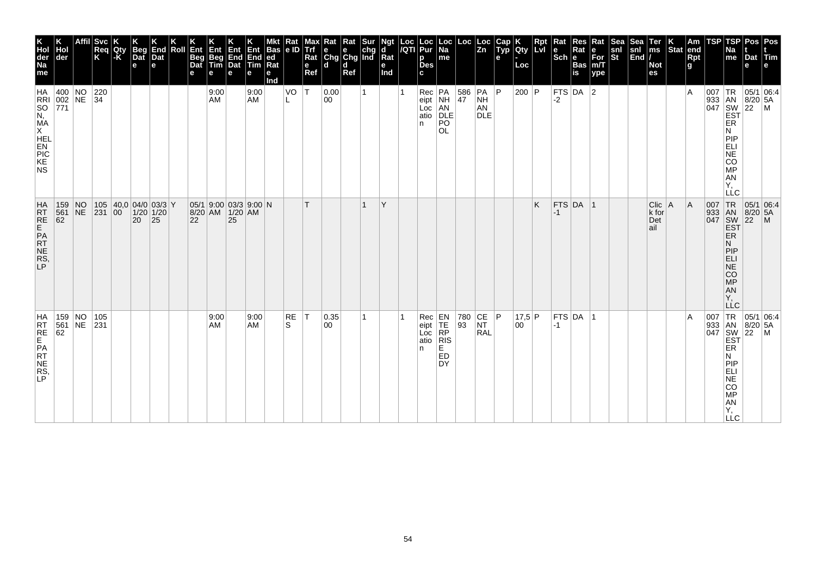| K<br>Hol<br>der<br>Na<br>me            | der                                                                                            |          | Svc<br>Req<br>K                          | Qty<br>$ \text{-}\mathsf{K} $ | Beg<br>Dat<br>$\mathbf e$ | End<br>Dat<br>е | Roll | Ent<br>Beg<br>Dat<br>е                            | Ent<br>Beg<br>Tim<br>е | Ent<br>End<br>Dat<br>е | Ent<br>End<br>Tim<br>е | Bas<br> ed<br>Rat<br>е<br>nd | Kat<br>e ID | Trf<br>Rat<br>$\mathbf e$<br>Ref | ₹at<br>$\begin{array}{ c c c }\n\hline\ne & e & chg \\ \hline\nChg & Chg & Ind\n\end{array}$<br>ld. | Kat<br>d<br>Ref | ď<br>Rat<br>е<br>Ind |   | Loc Loc<br> /QTI Pur<br>p<br><b>Des</b><br>c | Loc<br>Na<br>me                                                |                  | $\left\lfloor \begin{array}{c} \text{Loc} \\ \text{Zn} \end{array} \right\rfloor$ | Cap<br>Typ<br>e | K<br> Qty<br>Loc | $\vert$ Rpt<br>LvI | Rat<br>Sch <sub>e</sub> | Res<br>Rat<br>Bas<br>is | Rat<br>e<br>For<br>m/T<br>$ $ ype | Sea<br>snl<br>St | Sea<br>$\begin{vmatrix} \text{snl} \\ \text{End} \end{vmatrix}$ | Ter<br>ms<br><b>Not</b><br>es            | K.<br>Stat | Am<br>end<br><b>Rpt</b><br>g | <b>TSP</b>               | TSP<br>Na<br>me                                                                                                                              | Pos<br>Dat Tim<br>e                                                                                                                                                                                                                                                                                                                                            | Pos<br>e      |
|----------------------------------------|------------------------------------------------------------------------------------------------|----------|------------------------------------------|-------------------------------|---------------------------|-----------------|------|---------------------------------------------------|------------------------|------------------------|------------------------|------------------------------|-------------|----------------------------------|-----------------------------------------------------------------------------------------------------|-----------------|----------------------|---|----------------------------------------------|----------------------------------------------------------------|------------------|-----------------------------------------------------------------------------------|-----------------|------------------|--------------------|-------------------------|-------------------------|-----------------------------------|------------------|-----------------------------------------------------------------|------------------------------------------|------------|------------------------------|--------------------------|----------------------------------------------------------------------------------------------------------------------------------------------|----------------------------------------------------------------------------------------------------------------------------------------------------------------------------------------------------------------------------------------------------------------------------------------------------------------------------------------------------------------|---------------|
|                                        | HA 400 NO 220<br>RRI 002 NE 34<br>SO 771<br>N,<br>MA<br>X<br>HEL<br>PIC<br>FRI PIC<br>KE<br>NS |          |                                          |                               |                           |                 |      |                                                   | 9:00<br>AM             |                        | 9:00<br>AM             |                              | VO          | $\mathsf{T}$                     | 0.00<br>00                                                                                          |                 |                      |   | In.                                          | Rec PA<br>eipt NH<br>Loc AN<br>atio DLE<br>PO<br><b>OL</b>     | $\frac{586}{47}$ | PA<br>NH<br>AN<br><b>DLE</b>                                                      | P               | 200   $P$        |                    | -2                      | FTS DA $ 2$             |                                   |                  |                                                                 |                                          |            | ١A                           |                          | ER<br>N<br>PIP<br>ELI<br>NE<br>CO<br>$\frac{\text{MP}}{\text{AN}}$<br>$\left  \begin{matrix} 1 \\ 1 \\ 2 \end{matrix} \right $<br><b>LLC</b> | 05/1 06:4<br>$\begin{array}{c} \n 1.67 \\  1.67 \\  0.47 \\  0.47 \\  0.47 \\  0.47 \\  0.47 \\  0.47 \\  0.47 \\  0.47 \\  0.47 \\  0.47 \\  0.47 \\  0.47 \\  0.47 \\  0.47 \\  0.47 \\  0.47 \\  0.47 \\  0.47 \\  0.47 \\  0.47 \\  0.47 \\  0.47 \\  0.47 \\  0.47 \\  0.47 \\  0.47 \\  0.47 \\  0.47 \\  0.47 \\  0.47 \\  0.47 \\  0.47 \\  0.47 \\  $ |               |
| HRT<br>RE<br>PAT<br>NE<br>RS<br>P      | 159<br>561<br>62                                                                               | NO<br>NE | 105 40,0 04/0 03/3 Y<br>231 00 1/20 1/20 |                               | 20                        | 25              |      | 05/1 9:00 03/3 9:00 N<br>8/20 AM 1/20 AM<br>22 25 |                        |                        |                        |                              |             |                                  |                                                                                                     |                 | Y                    |   |                                              |                                                                |                  |                                                                                   |                 |                  | K                  | $-1$                    | $FTS$ DA  1             |                                   |                  |                                                                 | Clic<br>$k$ for<br>$ \text{Det} $<br>ail | ΙA         | A                            | 007<br>$\frac{933}{047}$ | TR<br>AN<br>SW<br>EST<br>ER<br>Ν<br>PIP<br>ELI<br>$\overline{\text{NE}}$<br>$\overline{c}\overline{o}$<br>MP<br>AN<br>Y,<br>LLC              | 05/1 06:4<br>$\left  \frac{5}{22} \right $                                                                                                                                                                                                                                                                                                                     | $\frac{1}{2}$ |
| HA<br>RRE<br>RE<br>PR<br>NE<br>RS<br>P | 159 NO<br>561 NE 231<br>62                                                                     |          | 105                                      |                               |                           |                 |      |                                                   | 9:00<br>AM             |                        | 9:00<br>AM             |                              | RE<br>S     | ∣٦                               | 0.35<br>00                                                                                          |                 |                      | 1 |                                              | Rec<br>eipt<br>Loc<br>Loc<br>atio<br>RIS<br>n<br>E<br>ED<br>DY |                  | 780 CE P<br>93 NT<br>RAL                                                          |                 | 17,5 P<br>00     |                    | $-1$                    | FTS DA                  | ∣1                                |                  |                                                                 |                                          |            | ١A                           | 007                      | TR<br>933 AN<br>047 SW<br>EST<br><b>ER</b><br>N<br>PIP<br>ELI<br>NE<br>CO<br>$MP$<br>AN<br>Y,<br><b>LLC</b>                                  | 05/1 06:4<br>$8/20$ 5A<br>$\left  \frac{5}{22} \right $                                                                                                                                                                                                                                                                                                        | $\mathsf{M}$  |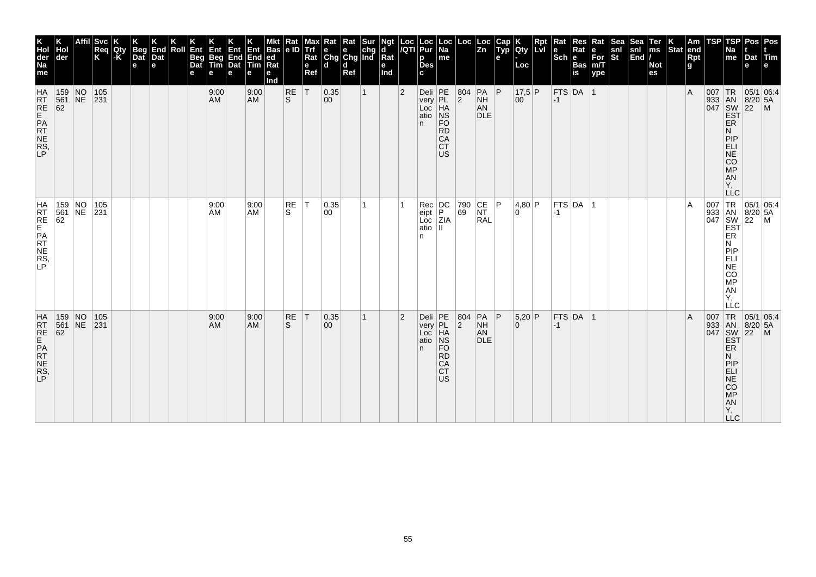| K<br>Hol<br>der<br>Na<br>me             | der                                                                        |          | <b>Svc</b><br>Req<br>K                            | Qty<br> -K | Beg<br>Dat<br>$\mathbf e$ | End<br>Dat<br>e | Roll | Ent<br><b>Beg</b><br>Dat<br>е | Ent<br>Beg<br>Tim<br>е | <b>Ent</b><br>End<br>Dat<br>e | Ent<br>End<br>Tim<br>е | <b>Bas</b><br>ed<br>Rat<br>е<br>Ind | Rat<br>le ID              | Max<br>Trf<br>Rat<br>e<br>Ref | Kat<br>$\begin{array}{ c c c }\n\hline\ne & e & chg \\ \hline\nChg & Chg & Ind\n\end{array}$<br>ld. | Rat<br>d<br>Ref | Sur          | Ngt<br>d<br>$\overline{\mathsf{R}}$ at<br>е<br>Ind | Loc<br>/QTI    | Loc<br>Pur<br>p<br><b>Des</b><br>C.                                                                                       | Loc  <br>Na<br>me                                                       | Loc                                              | Loc<br> Zn                                  | Cap<br>Typ<br>e | Qty<br>Loc     | Lvl | Rat<br><b>Sch Bas</b> | Res        | Rat<br>For<br>m/T<br>ype | <b>Sea</b><br>snl<br>St | <b>Sea</b><br>$\begin{vmatrix} \text{snl} \\ \text{End} \end{vmatrix}$ | Ter<br>ms<br><b>Not</b><br>es | $ \text{Stat} $ | Am<br>end<br>Rpt<br>g | TSP | TSP<br>Na<br>me                                                                       | Pos   Pos<br>Dat Tim<br>e                                |  |
|-----------------------------------------|----------------------------------------------------------------------------|----------|---------------------------------------------------|------------|---------------------------|-----------------|------|-------------------------------|------------------------|-------------------------------|------------------------|-------------------------------------|---------------------------|-------------------------------|-----------------------------------------------------------------------------------------------------|-----------------|--------------|----------------------------------------------------|----------------|---------------------------------------------------------------------------------------------------------------------------|-------------------------------------------------------------------------|--------------------------------------------------|---------------------------------------------|-----------------|----------------|-----|-----------------------|------------|--------------------------|-------------------------|------------------------------------------------------------------------|-------------------------------|-----------------|-----------------------|-----|---------------------------------------------------------------------------------------|----------------------------------------------------------|--|
| HRT<br>RE<br>PRT<br>NE<br>RS<br>LP      | $\begin{array}{ c c c }\n159 & NO \\ 561 & NE \\ 62 & \end{array}$         |          | $\begin{array}{ c c }\n 105 \\  231\n\end{array}$ |            |                           |                 |      |                               | 9:00<br>AM             |                               | 9:00<br><b>AM</b>      |                                     | $R_S$                     | T                             | 0.35<br>00                                                                                          |                 | $\mathbf{1}$ |                                                    | $\overline{2}$ | Deli<br>very<br>Loc<br>HA<br>atio<br>NS<br>n.                                                                             | <b>FO</b><br><b>RD</b><br>CA<br><b>CT</b><br>US                         | $\begin{array}{ c c }\n 804 \\  2\n \end{array}$ | $PA$ $P$<br><b>NH</b><br>AN<br><b>DLE</b>   |                 | $17,5$ P<br>00 |     | $-1$                  | $FTS$ DA 1 |                          |                         |                                                                        |                               |                 | $\overline{A}$        |     | ER<br>N<br>PIP<br>ELI<br>NE<br>CO<br><b>MP</b><br>AN<br>Υ.<br><b>LLC</b>              | 007 TR 05/1 06:4<br>933 AN 8/20 5A<br>047 SW 22 M<br>EST |  |
| HRT<br>RE<br>PRT<br>NE<br>NE<br>NE<br>P | 159 NO<br>561<br>62                                                        | $NE$ 231 | 105                                               |            |                           |                 |      |                               | 9:00<br>AM             |                               | 9:00<br><b>AM</b>      |                                     | RE<br>S                   | IТ.                           | 0.35 <br> 00                                                                                        |                 | 1            |                                                    |                | $\begin{array}{ c c }\n\hline\n\text{Rec} & \text{DC} \\ \text{eipt} & \text{P}\n\end{array}$<br>eipt<br>Loc<br>atio<br>n | ZIA<br>$\mathbf{H}$                                                     | 790 CE P                                         | <b>RAL</b>                                  |                 | 4,80 P<br>0 I  |     | $ -1 $                | FTS DA     | -1                       |                         |                                                                        |                               |                 | $\overline{A}$        |     | <b>EST</b><br>ER<br>N.<br>PIP<br>ELI<br>SORE:<br>AN<br>Y,<br>LLC                      | 007 TR 05/1 06:4<br>933 AN 8/20 5A<br>047 SW 22 M        |  |
| HATRE<br>RTE<br>PATRE<br>RS,            | 159 NO<br>561 NE<br>$\begin{vmatrix} 1 & 6 & 6 \\ 6 & 2 & 6 \end{vmatrix}$ |          | 105<br>$\overline{231}$                           |            |                           |                 |      |                               | 9:00<br>AM             |                               | 9:00<br><b>AM</b>      |                                     | <b>RE</b><br><sub>S</sub> | T                             | 0.35 <br>$ 00\rangle$                                                                               |                 | 1            |                                                    | $\overline{2}$ | Deli<br>very<br>Loc<br>atio<br>n.                                                                                         | PE<br>PL<br>HA<br>NS<br><b>FO</b><br><b>RD</b><br>CA<br><b>CT</b><br>US | 804<br> 2                                        | $PA$ $ P $<br><b>NH</b><br>AN<br><b>DLE</b> |                 | $5,20$ P<br>0  |     | $-1$                  | FTS DA 1   |                          |                         |                                                                        |                               |                 | $\overline{A}$        | 007 | TR<br>ER<br>N<br>PIP<br>ELI<br><b>NE</b><br>CO<br><b>MP</b><br><b>AN</b><br>Υ,<br>LLC | 05/1 06:4<br>933 AN 8/20 5A<br>047 SW 22 M<br>EST        |  |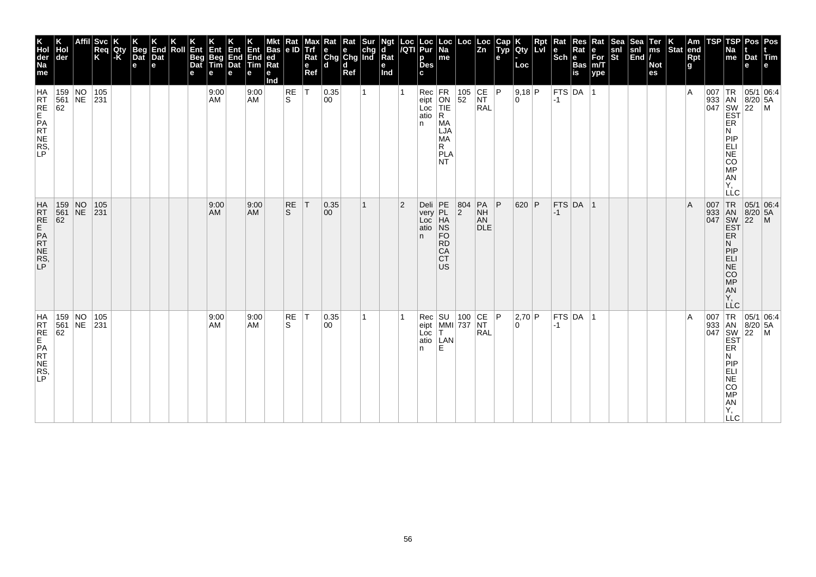| K<br>Hol<br>der<br>Na<br>me        | der                            | <b>Svc</b><br>Req<br>K | Qty<br> -K | Beg<br>Dat<br>$\mathbf e$ | End<br>Dat<br>e | Roll | Ent<br>Beg<br>Dat<br>е | Ent<br>Beg<br>Tim<br>е | Ent<br>End<br>Dat<br>e | Ent<br>End<br>Tim<br>е | <b>Bas</b><br>ed<br>Rat<br>е<br>Ind | Rat<br> e D        | Max<br>Trf<br>Rat<br>$\mathbf{e}$<br>Ref | Rat Rat Sur<br>e e chg<br>Chg Chg Ind<br>ld. | d<br>Ref |    | Ngt<br>d<br>$\bar{R}$ at<br>е<br>Ind | Loc<br>/QTI    | Loc<br>Pur<br>p<br><b>Des</b><br>C. | ∣Loc<br>Na<br>me                                                            | Loc                                              | Loc<br> Zn                                                                                        | Cap<br>Typ<br>$\mathbf{e}$ | Qty<br>Loc  | Rpt<br>Lvl | Rat<br>$\left \begin{smallmatrix} \mathbf{e} \ \mathbf{Sch} \ \mathbf{e} \end{smallmatrix}\right $ $\mathbf{e}$ | $\sf Res$<br>Rat<br>Bas<br>is  | Rat<br>е<br>For<br>m/T<br>ype | Sea<br>$\frac{\mathsf{snl}}{\mathsf{St}}$ | Sea<br>$\begin{bmatrix} \sin \theta \\ \sin \theta \end{bmatrix}$ | Ter<br>ms<br><b>Not</b><br>es | Stat end | Am<br>Rpt<br>g | TSP | TSP<br>Na<br>me                                                                                                         | Pos   Pos<br>Dat Tim<br>e                                                                  |                                                          |
|------------------------------------|--------------------------------|------------------------|------------|---------------------------|-----------------|------|------------------------|------------------------|------------------------|------------------------|-------------------------------------|--------------------|------------------------------------------|----------------------------------------------|----------|----|--------------------------------------|----------------|-------------------------------------|-----------------------------------------------------------------------------|--------------------------------------------------|---------------------------------------------------------------------------------------------------|----------------------------|-------------|------------|-----------------------------------------------------------------------------------------------------------------|--------------------------------|-------------------------------|-------------------------------------------|-------------------------------------------------------------------|-------------------------------|----------|----------------|-----|-------------------------------------------------------------------------------------------------------------------------|--------------------------------------------------------------------------------------------|----------------------------------------------------------|
| HRT<br>RE<br>PRT<br>NE<br>RS<br>P  | 159 NO 105<br>561 NE 231<br>62 |                        |            |                           |                 |      |                        | 9:00<br>AM             |                        | 9:00<br>AM             |                                     | RE<br>S            | ΙT                                       | 0.35<br>00                                   |          | 1  |                                      |                | atio<br>n.                          | Rec FR<br>eipt ON<br>Loc TIE<br>R<br>MA<br>LJA<br>MA<br>R.<br>PLA<br>NT.    | $\begin{array}{ c c }\n105 \\ 52\n\end{array}$   | CE<br><b>NT</b><br><b>RAL</b>                                                                     | P                          | 9,18 P<br>0 |            | $-1$                                                                                                            | $ \mathsf{FTS} \mathsf{DA}^- $ |                               |                                           |                                                                   |                               |          | $\overline{A}$ |     | ER<br>N<br><b>PIP</b><br>ELI<br>NE<br>CO <sub>MP</sub><br>AN<br>Υ,<br>LLC                                               |                                                                                            |                                                          |
| HAT<br>RE<br>PAT<br>NE<br>RS,<br>P | 159 NO 105<br>561 NE 231<br>62 |                        |            |                           |                 |      |                        | 9:00<br>AM             |                        | 9:00<br><b>AM</b>      |                                     | RE<br><sub>S</sub> | T                                        | 0.35 <br>$ 00\rangle$                        |          | 1  |                                      | $\overline{2}$ | Deli<br>very<br>Loc<br>atio<br>n.   | PE<br>PL<br>HA<br>$ $ NS<br><b>FO</b><br><b>RD</b><br>CA<br><b>CT</b><br>US | $\begin{array}{ c c }\n 804 \\  2\n \end{array}$ | $\begin{array}{ c c } \hline \text{PA} & \text{P} \\ \text{NH} & \end{array}$<br>AN<br><b>DLE</b> |                            | 620 P       |            | $ -1 $                                                                                                          | $FTS$ DA 1                     |                               |                                           |                                                                   |                               |          | $\overline{A}$ |     | 007 TR<br>933 AN<br>047 SW<br><u>ES</u> T<br>ER<br>N<br> P P<br>ELI<br>$N\bar{E}$<br>CO<br>MP<br>AN<br>Υ.<br><b>LLC</b> | $\begin{array}{ c c c }\n\hline\n95/1 & 06:4 \\ 8/20 & 5A\n\end{array}$<br>$\overline{22}$ | $\mathsf{M}$                                             |
| HRTE<br>FREPATTES,                 | 159 NO<br>561 NE 231<br>62     | 105                    |            |                           |                 |      |                        | 9:00<br>AM             |                        | 9:00<br><b>AM</b>      |                                     | RE<br>S            | T                                        | 0.35 <br>00                                  |          | 1. |                                      |                | Loc<br>n.                           | T.<br>atio   LAN<br>E                                                       | Rec SU 100 CE P<br>eipt MMI 737 NT               | <b>RAL</b>                                                                                        |                            | 2,70 P<br>0 |            | $ -1$                                                                                                           | $FTS$ DA  1                    |                               |                                           |                                                                   |                               |          | $\overline{A}$ |     | ER<br>Ν<br><b>PIP</b><br>ELI<br>NE<br>CO<br>MP<br>AN<br>Y,<br><b>LLC</b>                                                |                                                                                            | 007 TR 05/1 06:4<br>933 AN 8/20 5A<br>047 SW 22 M<br>EST |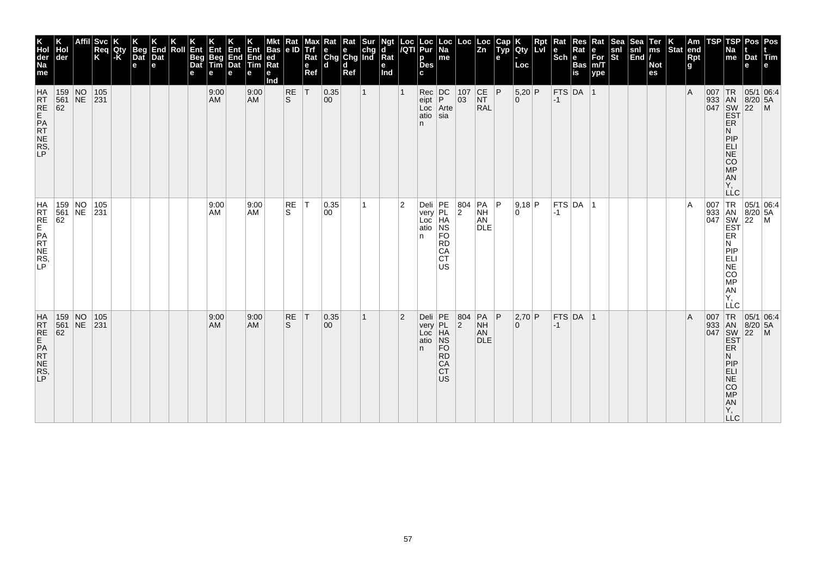| K<br>Hol<br>der<br>Na<br>me                                      | der                                                                                     |    | <b>Svc</b><br>Req<br>K                            | Qty<br>-K | <b>Beg</b><br>Dat<br>$\mathbf e$ | End<br>Dat<br>e | Roll | Ent<br>Beg<br>Dat<br>е | Ent<br>Beg<br>Tim<br>е | Ent<br>End<br>Dat<br>e | Ent<br>End<br>Tim<br>е | <b>Bas</b><br> ed<br>Ra<br>е<br>Ind | $\frac{Rat}{e}$  | Max<br>Trf<br>Rat<br>e<br>Ref | $\begin{array}{ l l }\n\hline\n\text{Rat} & \text{Rat} & \text{Sur} \\ \hline\n\text{e} & \text{e} & \text{chg} \\ \text{Chg} & \text{Chg} & \text{Ind}\n\end{array}$<br>ld. | d<br>Ref |              | Ngt<br>d<br>Rat<br>е<br>Ind | Loc<br>/QTI    | Loc<br>Pur<br>р<br><b>Des</b><br>C.        | Loc<br>  Na<br>me                                                                          | Loc                                              | $\frac{\text{Loc}}{\text{Zn}}$            | Cap<br>Typ<br>e | Qty<br>Loc                 | Rpt<br>Lvi | Rat<br>Scheeser | Res<br>Rat | Rat<br>$\overline{\text{For}}$ <sub>m/T</sub><br>ype | Sea<br>snl<br>St | Sea<br>$\begin{vmatrix} \text{snl} \\ \text{End} \end{vmatrix}$ | Ter<br>ms<br><b>Not</b><br>es | Stat end | Am<br>Rpt<br>g | TSP | TSP<br>Na<br>me                                                           | Pos   Pos<br>Dat Tim<br>e |                                                                                                                           |
|------------------------------------------------------------------|-----------------------------------------------------------------------------------------|----|---------------------------------------------------|-----------|----------------------------------|-----------------|------|------------------------|------------------------|------------------------|------------------------|-------------------------------------|------------------|-------------------------------|------------------------------------------------------------------------------------------------------------------------------------------------------------------------------|----------|--------------|-----------------------------|----------------|--------------------------------------------|--------------------------------------------------------------------------------------------|--------------------------------------------------|-------------------------------------------|-----------------|----------------------------|------------|-----------------|------------|------------------------------------------------------|------------------|-----------------------------------------------------------------|-------------------------------|----------|----------------|-----|---------------------------------------------------------------------------|---------------------------|---------------------------------------------------------------------------------------------------------------------------|
| <b>HA</b><br>RT<br>RE<br>ATE<br>NE<br>RS<br>LP<br>NE<br>RS<br>LP | $\begin{array}{ c c c }\n\hline\n159 & \text{NO} \\ 561 & \text{NE}\n\end{array}$<br>62 |    | $\begin{array}{ c c }\n 105 \\  231\n\end{array}$ |           |                                  |                 |      |                        | 9:00<br>AM             |                        | 9:00<br><b>AM</b>      |                                     | <b>RE</b><br>ls. | T                             | 0.35 <br>$ 00\rangle$                                                                                                                                                        |          | $\mathbf{1}$ |                             |                | Loc<br>atio<br>n.                          | $\left  \begin{array}{c} \text{Rec} \\ \text{epit} \end{array} \right $<br>Arte<br>$ $ sia | $\begin{array}{ c} 107 \\ 03 \end{array}$        | CE P<br><b>NT</b><br><b>RAL</b>           |                 | $5,20$ P<br>$\overline{0}$ |            | $-1$            | FTS DA 1   |                                                      |                  |                                                                 |                               |          | $\overline{A}$ |     | ER<br>N<br>PIP<br>ELI<br>NE<br>CO<br>MP<br><b>AN</b><br>Υ,                |                           | 007 TR 05/1 06:4<br>933 AN 8/20 5A<br>047 SW 22 M<br>EST                                                                  |
| HRTE<br>FREPRT<br>NES,                                           | $\begin{vmatrix} 561 \\ 62 \end{vmatrix}$                                               |    | 159 NO 105<br>561 NE 231                          |           |                                  |                 |      |                        | 9:00<br>AM             |                        | 9:00<br>AM             |                                     | RE<br>S.         | İΤ                            | 0.35 <br>00                                                                                                                                                                  |          | 1            |                             | 2              | Deli PE<br>very PL<br>Loc HA<br>atio<br>n. | NS<br><b>FO</b><br><b>RD</b><br>CA<br><b>CT</b><br>US                                      | $\begin{array}{ c c }\n 804 \\  2\n \end{array}$ | PA<br><b>NH</b><br>AN<br><b>DLE</b>       | P               | 9,18 P<br>l O              |            | $-1$            | FTS DA 1   |                                                      |                  |                                                                 |                               |          | A              |     | ER<br>N<br>PIP<br>ELI<br>$N\bar{E}$<br><b>CO</b><br>MP<br>AN<br>Υ.<br>LLC |                           | $\begin{array}{c c}\n & -C & \n\hline\n007 & TR & 05/1 & 06.4, \\ 933 & AN & 8/20 & 5A \\ 047 & SW & 22 & M\n\end{array}$ |
| HATRE<br>REPATTERS,<br>RS,                                       | 159 NO<br>$\frac{561}{62}$                                                              | NE | 105<br>231                                        |           |                                  |                 |      |                        | 9:00<br><b>AM</b>      |                        | 9:00<br><b>AM</b>      |                                     | RE<br>S.         | T                             | 0.35 <br>$ 00\rangle$                                                                                                                                                        |          | $\mathbf{1}$ |                             | $\overline{2}$ | n.                                         | Deli<br>very<br>Loc<br>HA<br>atio<br>NS<br><b>FO</b><br><b>RD</b><br>CA<br><b>CT</b><br>US | 804<br>$\overline{2}$                            | $PA$ $P$<br><b>NH</b><br>AN<br><b>DLE</b> |                 | 2,70 P<br>$\overline{0}$   |            | $-1$            | $FTS$ DA 1 |                                                      |                  |                                                                 |                               |          | $\overline{A}$ |     | ER<br>N<br>PIP<br>ELI<br><b>NE</b><br>CO<br>MP<br>AN<br>Y,<br><b>LLC</b>  |                           | 007 TR 05/1 06:4<br>933 AN 8/20 5A<br>047 SW 22 M<br>EST                                                                  |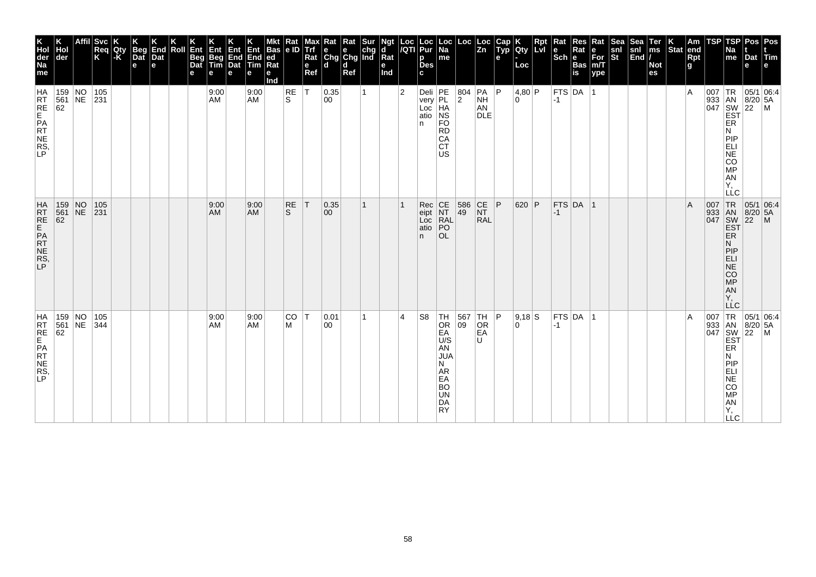| K<br>Hol<br>der<br>Na<br>me            | Hol<br>der                                                                                                         |    | <b>Svc</b><br>Req<br>K | Qty<br>-K | K<br>Beg<br>Dat<br>e | K<br>End<br>Dat<br>e | Roll | K<br>Ent<br>Beg<br>Dat<br>е | Ent<br>Beg<br>Tim<br>l e | Ent<br>End<br>Dat<br>e | Ent<br>End<br>Tim<br>е | <b>Bas</b><br>ed<br>Rat<br>e<br>Ind | Rat<br> e D     | Max<br>Trf<br>Rat<br>$\mathbf e$<br>Ref | The light sure of the chg chg lind R | Ref |   | Ngt<br>d<br>Rat<br>Ind | Loc<br>/QTI    | Loc<br>Pur<br>p<br>Des<br>C.                  | Loc<br>Na<br>me                                                                                    | Loc                                                                        | Loc<br>Zn                                                                | Cap<br>Typ<br>e | Qty<br>Loc    | Rpt<br><b>Lvi</b> | $\vert$ Rat<br>$\left \frac{e}{Sch}\right $ R | Res<br>Rat<br>Bas<br>is | Rat<br>∣е<br>For<br>m/T<br>ype | <b>Sea</b><br>$\frac{\mathsf{snl}}{\mathsf{St}}$ | Sea<br>snl<br>End | Ter<br>ms<br><b>Not</b><br>es | $\left \begin{array}{c} K \\ \text{Stat} \end{array}\right $ am | Rpt<br>g | <b>TSP</b> | TSP<br>Na<br>$\vert$ me                                                                                                                  | Pos<br>Dat<br>e                                            | Pos<br>Tim<br>l e l       |
|----------------------------------------|--------------------------------------------------------------------------------------------------------------------|----|------------------------|-----------|----------------------|----------------------|------|-----------------------------|--------------------------|------------------------|------------------------|-------------------------------------|-----------------|-----------------------------------------|--------------------------------------|-----|---|------------------------|----------------|-----------------------------------------------|----------------------------------------------------------------------------------------------------|----------------------------------------------------------------------------|--------------------------------------------------------------------------|-----------------|---------------|-------------------|-----------------------------------------------|-------------------------|--------------------------------|--------------------------------------------------|-------------------|-------------------------------|-----------------------------------------------------------------|----------|------------|------------------------------------------------------------------------------------------------------------------------------------------|------------------------------------------------------------|---------------------------|
| HRT<br>REPRT<br>RNE<br>RS<br>LP        | $\begin{array}{ c c c }\n 159 & NO \\  561 & NE \\  62 & \end{array}$                                              |    | 105<br> 231            |           |                      |                      |      |                             | 9:00<br>AM.              |                        | 9:00<br><b>AM</b>      |                                     | $\frac{RE}{S}$  | ΙT                                      | 0.35<br>00                           |     |   |                        | $\overline{2}$ | Deli PE<br>very PL<br>Loc HA<br>atio NS<br>n. | <b>FO</b><br><b>RD</b><br>CA<br><b>CT</b><br><b>US</b>                                             | $\left  \frac{804}{2} \right $                                             | $ PA $ $ P $<br><b>NH</b><br>AN<br><b>DLE</b>                            |                 | 4,80 P<br>۱O. |                   | $-1$                                          | $ $ FTS $ $ DA $ $      |                                |                                                  |                   |                               |                                                                 | ΙA       |            | ER<br>N<br><b>ANSISS</b><br>LLC                                                                                                          |                                                            |                           |
| HRTE<br>REPATES,                       | $\begin{array}{ c c c }\n 159 & NO \\  \hline\n 561 & NE\n\end{array}$<br>$\begin{array}{r} 561 \\ 62 \end{array}$ |    | 105<br>231             |           |                      |                      |      |                             | 9:00<br>AM               |                        | 9:00<br><b>AM</b>      |                                     | <b>RE</b><br>S. | T                                       | 0.35<br>$ 00\rangle$                 |     | 1 |                        |                | Rec<br>eipt<br>Loc<br>atio<br>n.              | CE<br>NT<br>RAL<br>PO<br><b>OL</b>                                                                 | 586<br>49                                                                  | $\begin{array}{c} \n\text{CE} \\ \text{NT}\n\end{array}$ P<br><b>RAL</b> |                 | 620 P         |                   | -1                                            | FTS DA 1                |                                |                                                  |                   |                               |                                                                 | ΙA       |            | 007 TR<br>933 AN<br>047 SW<br>EST<br>ER<br>N<br>MONE <sub>1</sub><br>AN<br>Y,<br>LĹC                                                     | $\begin{array}{ c c }\n 8/20 & 5A \\  22 & M\n\end{array}$ | 05/1 06:4                 |
| HA<br>RT<br>RE<br>PRT<br>NE<br>RS<br>P | 159 NO<br>561<br>62                                                                                                | NE | 105<br> 344            |           |                      |                      |      |                             | 9:00<br>AM               |                        | 9:00<br><b>AM</b>      |                                     | CO ∣T<br>м      |                                         | 0.01<br>00                           |     | 1 |                        | 4              | S <sub>8</sub>                                | $TH$<br>Or<br>EA<br>U/S<br>AN<br>JUA<br>N<br>AR<br>EA<br><b>BO</b><br><b>UN</b><br>DA<br><b>RY</b> | $\begin{array}{ c c c }\n 567 & TH & P \\  \hline\n 09 & OR & \end{array}$ | OR<br>EA<br>U                                                            |                 | $9.18$ S<br>0 |                   | $-1$                                          | FTS DA 1                |                                |                                                  |                   |                               |                                                                 | ΙA       | 007        | <b>TR</b><br>933 AN<br>047 SW<br>EST<br>ER<br>Ν<br> P P<br>ELI<br>$\overline{\text{NE}}$<br>CO<br><b>MP</b><br>ÄÑ<br>Y,<br>$\Box$ $\Box$ | $ 8/20 $ 5A<br>$\overline{22}$                             | 05/1 06:4<br>$\mathsf{M}$ |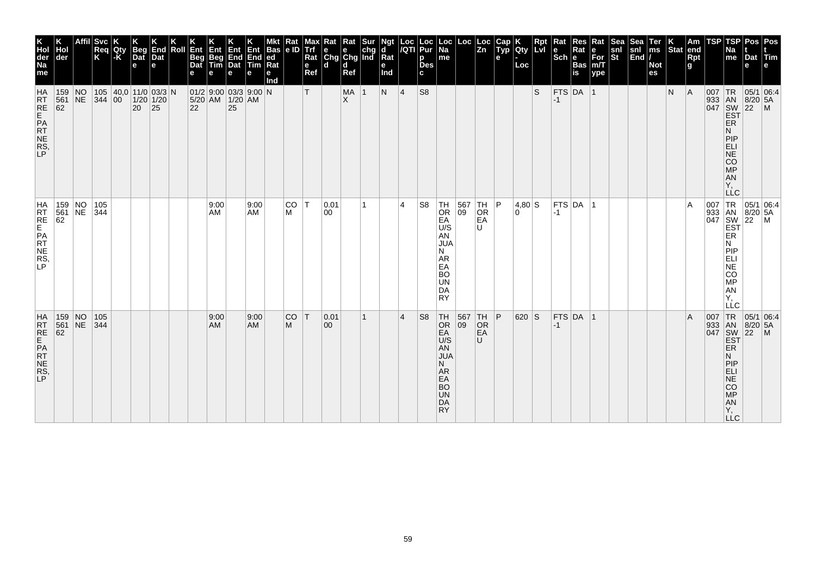| K<br>Hol<br>der<br>Na<br>me                    | der                                                                                     |                | <b>Svc</b><br>Req<br>K | Qty<br>$ \text{-}\mathsf{K} $ | <b>Beg</b><br>Dat<br>e                        | End<br>Dat<br>e | Roll | Ent<br><b>Beg</b><br>Dat<br>е | Ent<br>Beg<br>Tim | Ent<br>$\begin{array}{ c c c }\n\hline\nEnd & End & ed \\ Data & Tim & Rat\n\end{array}$<br>е | е          | <b>Bas</b><br>Ra<br>е<br>Ind | $\frac{Rat}{e}$ | мах<br>Trf<br>Rat<br>$\mathbf e$<br>Ref | <b>x</b> Rat Rat Sur<br>e e chg<br>Chg Chg Ind<br>ld. | d<br>Ref         |   | Ngt<br>ď<br>$Ra$ t<br>е<br>Ind |                | Loc Loc<br><i>  </i> QTI Pur<br>p<br><b>Des</b><br>C. | Loc<br>  Na<br>me                                                                                                     | Loc <sub>1</sub>                               | Loc<br>$\overline{z}$ <sub>n</sub>                                                    | Cap<br>Typ<br>е | <b>Qty</b><br>Loc | Rpt<br>LvI | Rat<br>l e<br>$Sch$ $e$ | Res<br>Rat<br><b>Bas</b><br>is | Rat<br>e<br>For<br>m/T<br>ype | Sea<br>snl<br>St | Sea<br>snl<br>End | Ter<br>ms<br><b>Not</b><br>es | $\left \begin{array}{c} K \\ \text{Stat} \end{array}\right $ am | Rpt<br>g | TSP | TSP<br>Na<br>me                                                                                     | Dat<br>е                                                                                                                                                    | Pos Pos<br> Tim                                                                                                                                                                                      |
|------------------------------------------------|-----------------------------------------------------------------------------------------|----------------|------------------------|-------------------------------|-----------------------------------------------|-----------------|------|-------------------------------|-------------------|-----------------------------------------------------------------------------------------------|------------|------------------------------|-----------------|-----------------------------------------|-------------------------------------------------------|------------------|---|--------------------------------|----------------|-------------------------------------------------------|-----------------------------------------------------------------------------------------------------------------------|------------------------------------------------|---------------------------------------------------------------------------------------|-----------------|-------------------|------------|-------------------------|--------------------------------|-------------------------------|------------------|-------------------|-------------------------------|-----------------------------------------------------------------|----------|-----|-----------------------------------------------------------------------------------------------------|-------------------------------------------------------------------------------------------------------------------------------------------------------------|------------------------------------------------------------------------------------------------------------------------------------------------------------------------------------------------------|
| <b>HA</b><br>RT<br>RE<br>PRT<br>NE<br>RS<br>LP | 159<br>561 NE<br>62                                                                     | $\overline{N}$ | 344 00                 |                               | 105  40,0 11/0 03/3 N<br>$1/20$ 1/20<br>20 25 |                 |      | 22                            |                   | 01/2 9.00 03/3 9.00 N<br>5/20 AM 1/20 AM<br>25                                                |            |                              |                 | т                                       |                                                       | MA 1<br>$\times$ |   | N                              | 4              | S <sub>8</sub>                                        |                                                                                                                       |                                                |                                                                                       |                 |                   | S          | $-1$                    | $FTS$ DA 1                     |                               |                  |                   |                               | N                                                               | A        | 007 | TR <sub></sub><br>ER<br>N<br>PIP<br>ELI<br>$\overline{\text{NE}}$<br>CO<br><b>MP</b><br>AN<br>Υ.    | $\begin{array}{c c}\n 33 & AN & 8/2 \\  1047 & SW & 22\n\end{array}$<br>$8/20$ 5A                                                                           | 05/1 06:4<br>$\mathsf{M}$                                                                                                                                                                            |
| HRTE<br>FREPATTES,                             | 159 NO<br>561 NE 344<br>62                                                              |                | 105                    |                               |                                               |                 |      |                               | 9:00<br>AM        |                                                                                               | 9:00<br>AM |                              | CO T<br>м       |                                         | 0.01<br>00                                            |                  | 1 |                                | $\overline{4}$ | S <sub>8</sub>                                        | $\frac{TH}{OR}$<br>EA<br>U/S<br>AN<br><b>JUA</b><br>N<br><b>AR</b><br>EA<br><b>BO</b><br><b>UN</b><br>DA<br><b>RY</b> |                                                | $\begin{array}{ c c c }\n 567 & TH & P \\  \hline\n 09 & OR & \end{array}$<br>EA<br>U |                 | 4,80 S<br>۱O.     |            | $ -1 $                  | $FTS$ DA $ 1$                  |                               |                  |                   |                               |                                                                 | ΙA       |     | Ν<br>PIP<br>ELI<br>$\overline{\text{NE}}$<br>CO<br>MP<br><b>AN</b><br>Ÿ,<br>LLC                     |                                                                                                                                                             | $\begin{array}{c c}\nC & \n\hline\n1 & \n\end{array}\n\begin{array}{c}\n1 & 05/1 & 06:4 \\ \hline\n8 & 8/20 & 5\n\end{array}$ $\begin{array}{c}\n047 & 80/1 & 06:4 \\ \hline\n180 & 22\n\end{array}$ |
| HATRE<br>REPATE<br>RNERS,                      | $\begin{array}{c c} 159 & \text{NO} \\ 561 & \text{NE} \end{array}$<br>$\frac{561}{62}$ |                | 105<br>344             |                               |                                               |                 |      |                               | 9:00<br>AM        |                                                                                               | 9:00<br>AM |                              | <b>CO</b><br>M  | T                                       | 0.01<br>$ 00\rangle$                                  |                  | 1 |                                | $\overline{4}$ | S <sub>8</sub>                                        | TH<br><b>OR</b><br>EA<br>U/S<br>AN<br><b>JUA</b><br>N<br>A <sub>R</sub><br>EA<br><b>BO</b><br>UN<br>DA<br><b>RY</b>   | $\begin{array}{ c c }\n567 \\ 09\n\end{array}$ | TH <br>OR<br>EA<br>U                                                                  | P               | 620 S             |            | $-1$                    | FTS DA 1                       |                               |                  |                   |                               |                                                                 | ΙA       |     | ER<br>N<br>PIP<br><b>ELI</b><br>$\overline{\text{NE}}$<br>CO<br><b>MP</b><br>AN<br>Υ,<br><b>LLC</b> | 05/1 06.4<br>$\begin{array}{c c}\n 307 & \text{Tr} \\  933 & \text{AN} & 8/2 \\  047 & \text{SW} & 22 \\  \text{EST} & \text{ER}\n\end{array}$<br>$8/20$ 5A | $\mathsf{M}$                                                                                                                                                                                         |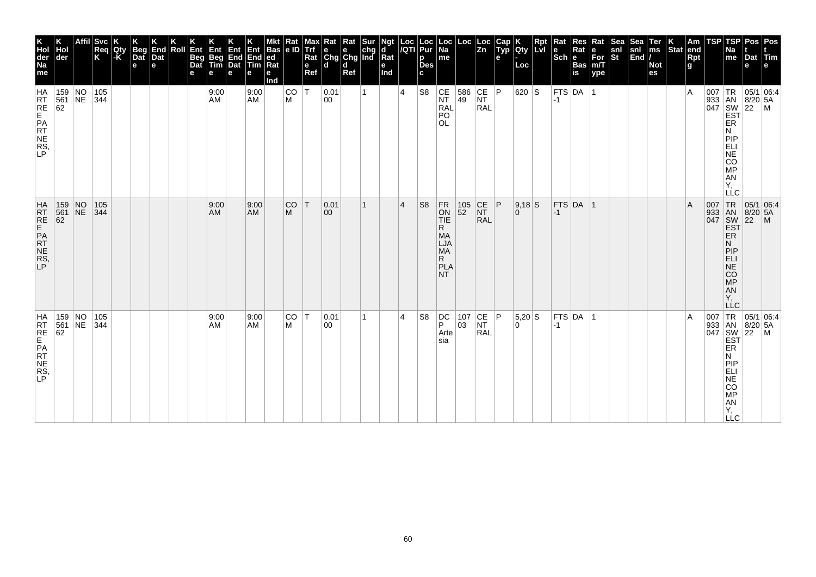| K<br>Hol<br>der<br>Na<br>me             | Hol<br>der                                                                             | Affil Svc<br>Req<br>K | Qty<br> -K | <b>Beg</b><br>Dat<br>$\mathbf e$ | End<br>Dat<br>е | Roll | Ent<br>Beg<br>Dat<br>е | Ent<br>Beg<br>Tim<br>е | Ent<br>End<br>Dat<br>е | Ent<br>End ed<br>Tim Rat<br>е | <b>Bas</b><br>е<br>Ind | $\frac{Rat}{e}$ | Max<br><b>Trf</b><br>Rat<br>$\mathbf e$<br>Ref | $\begin{array}{c c}\n\textbf{R} & \textbf{R} \textbf{at} & \textbf{S} \textbf{ur} \\ \textbf{e} & \textbf{e} & \textbf{chg} \\ \textbf{Chg} & \textbf{Chg} & \textbf{Ind}\n\end{array}$<br>ld. | d<br>Ref |              | Ngt<br>d<br>Rat<br>e<br>Ind |                | Loc  Loc<br><i> I</i> QTI  Pur<br>p<br><b>Des</b><br>c | Loc<br>  Na<br>me                                                                                   |                                           | $\left  \begin{array}{c} \text{Loc} \\ \text{Zn} \end{array} \right $                         | Cap<br>Typ<br>е | <b>IQty</b><br>Loc | Rpt | $\vert$ Rat | Res<br><b>Sch Bas</b> | Rat<br>e<br>For<br>m/T<br>ype | Sea<br>snl<br>St | Sea<br> snl<br> End | Ter<br>ms<br><b>Not</b><br>es | $\left \begin{array}{c} K \\ \end{array}\right $ Stat end | $\frac{Rpt}{g}$ | TSP | TSP<br>Na<br>$\mathsf{m}\mathsf{e}$                                                              | Dat<br>е | Pos   Pos<br>Tim<br>е                                                                                                                                                                                                                                                                                                                                                                                                                    |
|-----------------------------------------|----------------------------------------------------------------------------------------|-----------------------|------------|----------------------------------|-----------------|------|------------------------|------------------------|------------------------|-------------------------------|------------------------|-----------------|------------------------------------------------|------------------------------------------------------------------------------------------------------------------------------------------------------------------------------------------------|----------|--------------|-----------------------------|----------------|--------------------------------------------------------|-----------------------------------------------------------------------------------------------------|-------------------------------------------|-----------------------------------------------------------------------------------------------|-----------------|--------------------|-----|-------------|-----------------------|-------------------------------|------------------|---------------------|-------------------------------|-----------------------------------------------------------|-----------------|-----|--------------------------------------------------------------------------------------------------|----------|------------------------------------------------------------------------------------------------------------------------------------------------------------------------------------------------------------------------------------------------------------------------------------------------------------------------------------------------------------------------------------------------------------------------------------------|
| HA<br>RRE<br>RE<br>PR<br>NE<br>RS<br>P  | $\begin{array}{ c c c }\n\hline\n159 & NO \\ 561 & NE\n\end{array}$<br>$\overline{62}$ | 105<br> 344           |            |                                  |                 |      |                        | 9:00<br>AM             |                        | 9:00<br>AM                    |                        | CO<br>M         | ΙT                                             | 0.01<br>$ 00\rangle$                                                                                                                                                                           |          | $\mathbf{1}$ |                             | $\overline{4}$ | S <sub>8</sub>                                         | $\overline{\begin{matrix} \mathsf{CE} \ \mathsf{NT} \end{matrix}}$<br><b>RAL</b><br>PO<br><b>OL</b> |                                           | $\begin{array}{ c c c }\n 586 & CE & P \\  49 & NT & \n\end{array}$<br><b>RAL</b>             |                 | 620 S              |     | $-1$        | FTS DA 1              |                               |                  |                     |                               |                                                           | ΙA              |     | ER<br>Ν<br>PIP<br>E-SOME:<br>Υ,<br><b>LLC</b>                                                    |          | $\begin{array}{c}\n 33 \\  \hline\n 047 \\  \hline\n 047 \\  \hline\n 057\n \end{array}\n \begin{array}{c}\n 1R \\  \hline\n 8N \\  8/20 \\  22\n \end{array}\n \begin{array}{c}\n 05/1 \\  \hline\n 6A \\  \hline\n 7D \\  \hline\n 1D\n \end{array}$                                                                                                                                                                                   |
| HATRE<br>EPATE<br>NERS,<br>P            | $\begin{array}{ c c c }\n159 & \text{NO} \\ 561 & \text{NE} \\ 62 & & \n\end{array}$   | 105<br>344            |            |                                  |                 |      |                        | 9:00<br>AM             |                        | 9:00<br>AM                    |                        | <b>CO</b><br>M  | $\mathsf{T}$                                   | 0.01<br>00                                                                                                                                                                                     |          | 1            |                             | $\overline{4}$ | S <sub>8</sub>                                         | FR<br>ON<br>TIE<br>R<br><b>MA</b><br>LJA<br><b>MA</b><br>R.<br>PLA<br>NT.                           | $\begin{array}{ c} 105 \\ 52 \end{array}$ | $\overline{\text{NF}}$<br><b>RAL</b>                                                          | P               | $9,18$ S<br>0      |     | $-1$        | $FTS$ DA 1            |                               |                  |                     |                               |                                                           | ΙA              |     | 007 TR<br>933 AN<br>047 SW<br>EST<br>ER<br>N<br>PIP<br>ELI<br>NE<br>CO <sub>MP</sub><br>AN<br>Y, |          | 05/1 06:4<br>8/20 5A<br>22 M                                                                                                                                                                                                                                                                                                                                                                                                             |
| HA<br>RRE<br>RE<br>PRT<br>RS<br>RS<br>P |                                                                                        |                       |            |                                  |                 |      |                        | 9:00<br>AM             |                        | 9:00<br>AM                    |                        | lco<br>M        | IT.                                            | 0.01<br>$ 00\rangle$                                                                                                                                                                           |          | 1            |                             | $\overline{4}$ | S <sub>8</sub>                                         | DC<br>P<br>Arte<br>sia                                                                              |                                           | $\begin{array}{ c c c }\n\hline\n107 & CE & P \\ 03 & NT & \hline\n\end{array}$<br><b>RAL</b> |                 | $5,20$ S<br>0      |     | $-1$        | $FTS$ DA $ 1$         |                               |                  |                     |                               |                                                           | ΙA              |     | ER<br>И<br>PIP<br>ELI<br>NE<br>CO<br>MP<br>AN<br>Y,<br><b>LLC</b>                                |          | $\begin{array}{r} \n\text{L} & \text{L} \\ \text{L} & \text{L} \\ \text{L} & \text{L} \\ \text{L} & \text{L} \\ \text{L} & \text{L} \\ \text{L} & \text{L} \\ \text{L} & \text{L} \\ \text{L} & \text{L} \\ \text{L} & \text{L} \\ \text{L} & \text{L} \\ \text{L} & \text{L} \\ \text{L} & \text{L} \\ \text{L} & \text{L} \\ \text{L} & \text{L} \\ \text{L} & \text{L} \\ \text{L} & \text{L} \\ \text{L} & \text{L} \\ \text{L} & \$ |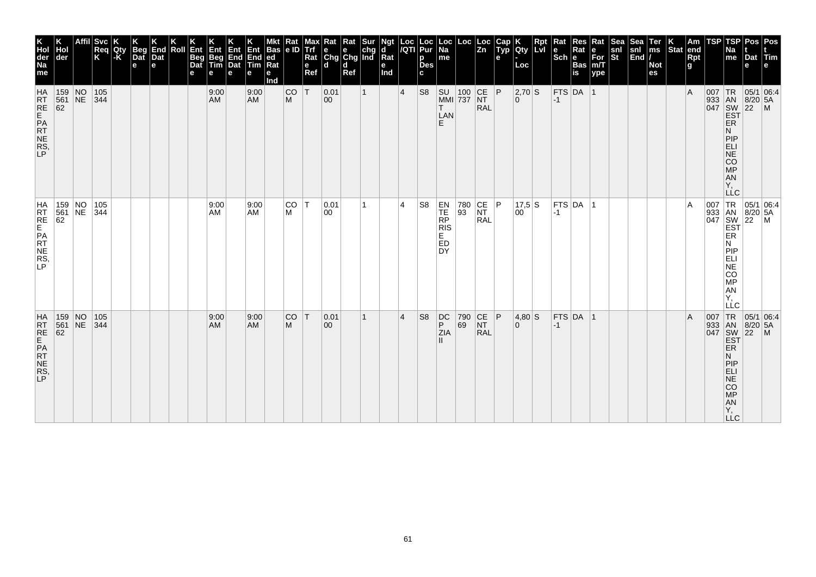| K<br>Hol<br>der<br>Na<br>me                    | Hol<br>der                                                                                                      | Svc <br>Req<br>Κ | Qty<br>l-K | <b>Beg</b><br>Dat<br>e | End<br>Dat<br>e | Roll | Ent<br><b>Beg</b><br>Dat<br>е | Ent<br>Beg<br>Tim<br>е | Ent Ent Bas<br>End End ed<br>Dat Tim Rat<br>e | е          | <b>Bas</b><br>$\overline{\text{Rat}}$<br>е<br>Ind | $\frac{Rat}{e}$ | Max<br><b>Trf</b><br>Rat<br>$\mathbf e$<br>Ref | $\begin{array}{c c}\n\textbf{R} & \textbf{R} \textbf{at} & \textbf{S} \textbf{ur} \\ \textbf{e} & \textbf{e} & \textbf{chg} \\ \textbf{Chg} & \textbf{Chg} & \textbf{Ind}\n\end{array}$<br>ld. | d<br>Ref |              | Ngt<br>d<br>$Ra$ t<br>е<br>Ind |                | Loc  Loc<br><i> I</i> QTI  Pur<br>p<br><b>Des</b><br>C. | Loc<br>  Na<br>me                              |           | $\begin{array}{ c c } \text{Loc} & \text{Loc} \\ \hline & \text{Zn} \end{array}$ | Cap<br>Typ<br>е | <b>Qty</b><br>Loc  | <b>Rpt</b><br><b>Lvi</b> | Rat<br>l e<br>$ \overline{\text{Sch}} $ e | <b>Res</b><br>Rat<br><b>Bas</b><br><b>is</b> | Rat<br>e<br>For<br>m/T<br>ype | Sea<br>snl<br>St | Sea<br>snl<br>End | Ter<br>ms<br><b>Not</b><br>es | $\left \begin{array}{c} K \\ \text{Stat} \end{array}\right $ am | Rpt<br>g | TSP | TSP<br>Na<br>me                                                                                          | Dat<br>е                                                                                                                                                                       | Pos Pos<br><b>Tim</b>                                                                                                    |
|------------------------------------------------|-----------------------------------------------------------------------------------------------------------------|------------------|------------|------------------------|-----------------|------|-------------------------------|------------------------|-----------------------------------------------|------------|---------------------------------------------------|-----------------|------------------------------------------------|------------------------------------------------------------------------------------------------------------------------------------------------------------------------------------------------|----------|--------------|--------------------------------|----------------|---------------------------------------------------------|------------------------------------------------|-----------|----------------------------------------------------------------------------------|-----------------|--------------------|--------------------------|-------------------------------------------|----------------------------------------------|-------------------------------|------------------|-------------------|-------------------------------|-----------------------------------------------------------------|----------|-----|----------------------------------------------------------------------------------------------------------|--------------------------------------------------------------------------------------------------------------------------------------------------------------------------------|--------------------------------------------------------------------------------------------------------------------------|
| <b>HA</b><br>RT<br>RE<br>PRT<br>NE<br>RS<br>LP | 159 NO<br>561 NE 344<br>62                                                                                      | 105              |            |                        |                 |      |                               | 9:00<br><b>AM</b>      |                                               | 9:00<br>AM |                                                   | <b>CO</b><br>M  | $\mathsf{T}$                                   | 0.01<br>$ 00\rangle$                                                                                                                                                                           |          | $\mathbf{1}$ |                                | $\vert 4$      | S <sub>8</sub>                                          | SU 100 CE P<br>MMI 737 NT<br>T<br>LAN<br>F.    |           | <b>RAL</b>                                                                       |                 | 2,70 S<br>$\Omega$ |                          | $-1$                                      | $FTS$ DA 1                                   |                               |                  |                   |                               |                                                                 | l A      | 007 | TR <sub></sub><br>933 AN 8/20<br>047 SW 22<br>EST<br>ER<br>N<br>PIP<br>ELI<br>NE<br>CO<br>MP<br>AN<br>Υ. | $8/20$ 5A                                                                                                                                                                      | 05/1 06:4<br>$\mathsf{M}$                                                                                                |
| HRTE<br>FREPATTES,                             | 159 NO 105<br>561 NE 344<br>62                                                                                  |                  |            |                        |                 |      |                               | 9:00<br>AM             |                                               | 9:00<br>AM |                                                   | CO T<br>м       |                                                | 0.01<br>00                                                                                                                                                                                     |          | 1            |                                | $\overline{4}$ | S <sub>8</sub>                                          | EN<br>TE<br>RP<br>RIS<br>E.<br>ED<br><b>DY</b> |           | 780 CE P<br>93 NT<br><b>RAL</b>                                                  |                 | 17,5 S<br>00       |                          | $ -1 $                                    | $FTS$ DA $ 1$                                |                               |                  |                   |                               |                                                                 | ١A       |     | N<br><b>MONES</b><br>AN<br>Y,<br>LLC                                                                     |                                                                                                                                                                                | $\begin{array}{c c}\nC & -C & -C \\ \hline\n933 & AN & 8/20 & 5/2 \\ 047 & SW & 22 & 5/2 \\ \hline\nER & 1\n\end{array}$ |
| HATRE<br>REPATE<br>RNERS,                      | $\begin{array}{c c} 159 & \text{NO} \\ 561 & \text{NE} \end{array}$<br>$\begin{array}{r} 561 \\ 62 \end{array}$ | 105<br>344       |            |                        |                 |      |                               | 9:00<br>AM             |                                               | 9:00<br>AM |                                                   | <b>CO</b><br>M  | IТ.                                            | 0.01<br>$ 00\rangle$                                                                                                                                                                           |          | 1            |                                | $\overline{4}$ | S <sub>8</sub>                                          | DC<br>P<br>ZIA<br>H.                           | 790<br>69 | $\begin{array}{ c c }\n\text{CE} & \text{P}\n\end{array}$<br><b>RAL</b>          |                 | $4,80$ S<br>0      |                          | $-1$                                      | $FTS$ DA $ 1$                                |                               |                  |                   |                               |                                                                 | ΙA       |     | ER<br>N<br>PIP<br>ELI<br>NE<br>CO<br><b>MP</b><br>AN<br>Υ,<br><b>LLC</b>                                 | 05/1 06:4<br>$\begin{array}{c c}\n\text{J07} & \text{Tr} \\ 933 & \text{AN} & 8/\text{21} \\ 047 & \text{SW} & 22 \\ \hline\n\text{EST} & \text{ER}\n\end{array}$<br>$8/20$ 5A | $\mathsf{M}$                                                                                                             |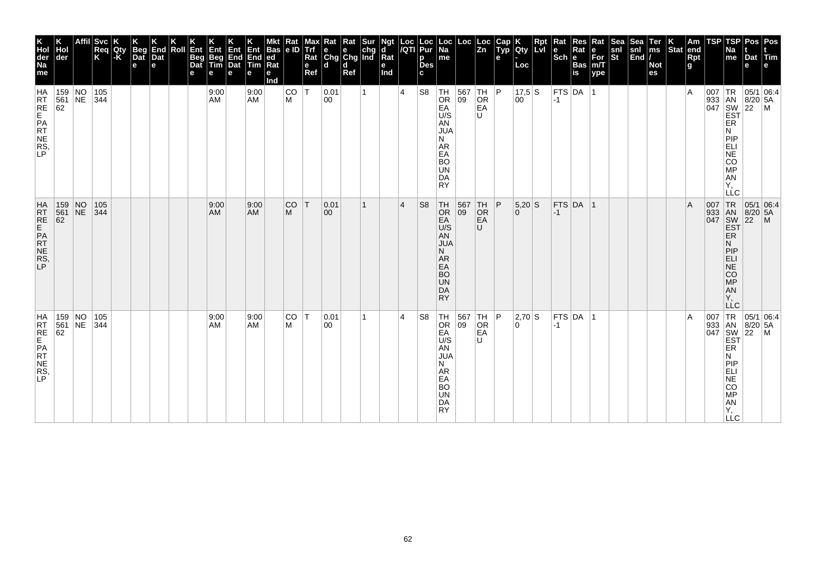| K<br>Hol<br>der<br>Na<br>me            | der                 |             | Affil  Svc<br>Req<br>K   | Qty<br>-K | Beg<br>Dat<br>$\mathbf e$ | End<br>Dat<br>е | Roll | Ent<br>Beg<br>Dat<br>е | Ent<br>Beg<br>Tim<br>е | (hiv<br>End<br>Dat<br>е | Ent<br>End<br>Tim<br>е | <b>Bas</b><br> ed<br>Ra<br>е<br>Ind | Rat<br>e ID    | мах<br>Trf<br>Rat<br>$\mathbf{e}$<br>Ref | <b>Rat</b> Rat Sur<br>e e chg<br>Chg Chg Ind<br>۱d | d<br>Ref |   | Ngt<br>d<br>Rat<br>e<br>Ind | $\frac{\text{Loc}}{\text{/QTI}}$ | Loc<br>Pur<br>p<br>Des<br>c | Loc<br>Na<br>me                                                                                                             | Loc                                            | Loc<br>Zn                                                                                     | Cap<br>Typ<br>e | Qty<br>Loc           | <b>Rpt</b><br>LvI | Rat<br>$\left \frac{e}{Sch}\right _e^{R}$ | Res<br>Rat<br>Bas<br>is | Rat<br>e<br>For<br>m/T<br>ype | <b>Sea</b><br>snl<br>St | Sea<br>snl<br>End | Ter<br>ms<br><b>Not</b><br>es | $\left \begin{array}{c} K \\ \text{Stat} \end{array}\right $ am | Rpt<br>g | <b>TSP</b> | TSP<br>Na<br>$\vert$ me                                                                                              | Pos<br>Dat<br>е | Pos<br>Tim<br>l e l                                                                                                                                                                                                                                                                                                                                                                    |
|----------------------------------------|---------------------|-------------|--------------------------|-----------|---------------------------|-----------------|------|------------------------|------------------------|-------------------------|------------------------|-------------------------------------|----------------|------------------------------------------|----------------------------------------------------|----------|---|-----------------------------|----------------------------------|-----------------------------|-----------------------------------------------------------------------------------------------------------------------------|------------------------------------------------|-----------------------------------------------------------------------------------------------|-----------------|----------------------|-------------------|-------------------------------------------|-------------------------|-------------------------------|-------------------------|-------------------|-------------------------------|-----------------------------------------------------------------|----------|------------|----------------------------------------------------------------------------------------------------------------------|-----------------|----------------------------------------------------------------------------------------------------------------------------------------------------------------------------------------------------------------------------------------------------------------------------------------------------------------------------------------------------------------------------------------|
| HRT<br>RE<br>PRT<br>NE<br>RS<br>P      | 62                  |             | 159 NO 105<br>561 NE 344 |           |                           |                 |      |                        | 9:00<br>AM             |                         | 9:00<br>AM             |                                     | CO<br>M        | ΙT                                       | 0.01<br>00                                         |          | 1 |                             | $\overline{4}$                   | S <sub>8</sub>              | TH<br>OR<br>EA<br>U/S<br>AN<br><b>JUA</b><br>N<br>AR<br>EA<br><b>BO</b><br>UN<br>DA<br><b>RY</b>                            | $\begin{array}{ c c }\n567 \\ 09\n\end{array}$ | TH<br>$\rm_{EA}^{OR}$<br>U                                                                    | P               | 17,5 S<br>00         |                   | $-1$                                      | $ $ FTS $ $ DA $ $      | 1                             |                         |                   |                               |                                                                 | ΙA       |            | ER<br>И<br>PIP<br>ELI<br>NE<br>CO<br>MP<br>AN<br>Y,<br>LLC                                                           |                 |                                                                                                                                                                                                                                                                                                                                                                                        |
| HRT<br>RE<br>PAT NE<br>RS,             | 159<br>561<br>62    | $N$ O<br>NE | 105<br> 344              |           |                           |                 |      |                        | 9:00<br>AM             |                         | 9:00<br>AM             |                                     | <b>CO</b><br>M | IТ.                                      | 0.01<br>00                                         |          | 1 |                             | $\overline{4}$                   | S <sub>8</sub>              | TH<br>OR<br>EA <sup></sup><br>U/S<br><b>AN</b><br><b>JUA</b><br>N.<br>AR<br>EA<br><b>BO</b><br><b>UN</b><br>DA<br><b>RY</b> | $\begin{array}{ c c }\n567 \\ 09\n\end{array}$ | TH<br>OR<br>EA<br>U                                                                           | P               | $5,20$ S<br>$\Omega$ |                   | $-1$                                      | $FTS$ DA 1              |                               |                         |                   |                               |                                                                 | ΙA       |            | 007 TR<br>933 AN<br>047 SW<br>EST<br>EŘ<br>Ν<br>PIP<br>ELI<br>$\overline{\text{NE}}$<br>CO <sub>MP</sub><br>AN<br>Υ. |                 | 05/1 06:4<br>8/20 5A<br>22 M                                                                                                                                                                                                                                                                                                                                                           |
| HA<br>RRE<br>RE<br>PR<br>NE<br>RS<br>P | 159 NO<br>561<br>62 |             | 105<br>$NE$ 344          |           |                           |                 |      |                        | 9:00<br>AM             |                         | 9:00<br>AM             |                                     | CO<br>M        | İΤ                                       | 0.01<br>$ 00\rangle$                               |          | 1 |                             | $\overline{4}$                   | S <sub>8</sub>              | TH<br>OR<br>EA<br>U/S<br>AN<br><b>JUA</b><br>N<br>AR<br>EA<br><b>BO</b><br><b>UN</b><br>DA<br><b>RY</b>                     |                                                | $\begin{array}{ c c c c }\n 567 & TH & P \\  \hline\n 09 & OR & \end{array}$<br>OR<br>EA<br>U |                 | 2,70 S<br>۱O.        |                   | $-1$                                      | $FTS$ DA  1             |                               |                         |                   |                               |                                                                 | ١A       |            | ER<br>Ν<br>PIP<br>ELI<br>NE<br>CO<br>MP<br>AN<br>Y,<br><b>LLC</b>                                                    |                 | $\begin{array}{c c}\n & C \\ \hline\n\end{array}$<br>$\begin{array}{c c}\n & 1 & 1 & 0 & 0 & 0 \\ \hline\n & 1 & 1 & 0 & 0 \\ \hline\n & 1 & 1 & 0 & 0 \\ \hline\n & 1 & 1 & 0 & 0 \\ \hline\n & 1 & 1 & 0 & 0 \\ \hline\n & 1 & 1 & 0 & 0 \\ \hline\n & 1 & 1 & 0 & 0 \\ \hline\n & 1 & 1 & 0 & 0 \\ \hline\n & 1 & 1 & 0 & 0 \\ \hline\n & 1 & 1 & 0 & 0 \\ \hline\n & 1 & 1 & 0 & $ |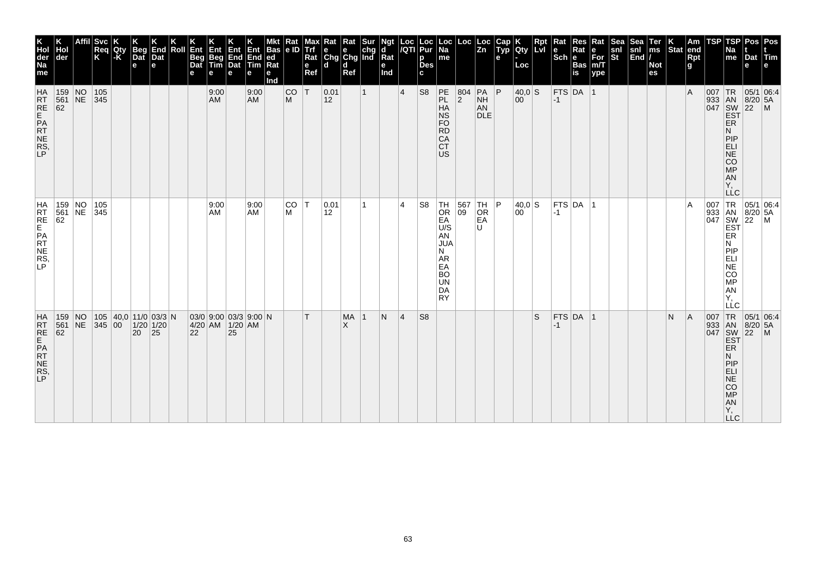| <b>Svc</b><br>Req<br>Κ<br> der<br>159 NO<br> 105<br>561 NE 345<br>62 |  |        | Qty<br>l-K | <b>Beg</b><br>Dat<br>e         | End<br>Dat<br>e    | Roll | Ent<br><b>Beg</b><br>Dat<br>е | Ent<br>Beg<br>Tim<br>е<br>9:00<br>AM.      | Ent<br>End<br>Dat<br>e | Ent<br>End<br>$\overline{\mathsf{Tim}}$<br>е<br>9:00<br><b>AM</b> | Bas<br> ed<br>Ra<br>е<br>Ind | Rat<br> e D <br><b>CO</b><br>M | мах<br><b>Trf</b><br>Rat<br>$\mathbf e$<br>Ref<br> T | <b>x</b> Rat Rat Sur<br>e e chg<br>Chg Chg Ind<br>ld.<br> 0.01<br>$ 12\rangle$ | d<br>Ref              | $\mathbf{1}$ | Ngt<br>d<br>Rat<br>е<br>Ind | $\frac{Loc}{/QTI}$<br>$\vert 4 \vert$ | Loc<br>Pur<br>p<br><b>Des</b><br>C.<br>S <sub>8</sub> | Loc<br>  Na<br>me<br>PE<br>PL<br>HA<br><b>NS</b>                                                                 | Loc<br>804<br>$ 2\rangle$ | Loc<br>$\overline{z}$ <sub>n</sub><br>$PA$ $P$<br><b>NH</b><br>AN<br><b>DLE</b> | Cap<br>Typ<br>e | <b>IQty</b><br>Loc<br> 40,0 S<br>00 | Rpt<br><b>Lvi</b> | Rat<br>le<br>$ \overline{\text{Sch}} e $<br>$-1$ | Res<br>Rat<br><b>Bas</b><br>is<br>$FTS$ DA 1 | Rat<br>е<br>$\bar{F}$ or<br>m/T<br>ype | <b>Sea</b><br>snl<br>$ \tilde{\mathbf{s}}$ t | Sea<br>snl<br>$\vert$ End $\vert$ / | Ter<br>ms<br><b>Not</b><br>es | Stat end | Am<br>Rpt<br>g<br>$\overline{A}$ | TSP | TSP<br>Na<br>me                                                                              | Pos   Pos<br>Dat Tim<br>e<br>$\begin{array}{c c}\n & R & 05/1 & 0. \\  & AB & 8/20 & 5A \\ \hline\n047 & SW & 22 & M \\ \hline\nEF & F^{\text{P}}\n\end{array}$ |  |
|----------------------------------------------------------------------|--|--------|------------|--------------------------------|--------------------|------|-------------------------------|--------------------------------------------|------------------------|-------------------------------------------------------------------|------------------------------|--------------------------------|------------------------------------------------------|--------------------------------------------------------------------------------|-----------------------|--------------|-----------------------------|---------------------------------------|-------------------------------------------------------|------------------------------------------------------------------------------------------------------------------|---------------------------|---------------------------------------------------------------------------------|-----------------|-------------------------------------|-------------------|--------------------------------------------------|----------------------------------------------|----------------------------------------|----------------------------------------------|-------------------------------------|-------------------------------|----------|----------------------------------|-----|----------------------------------------------------------------------------------------------|-----------------------------------------------------------------------------------------------------------------------------------------------------------------|--|
|                                                                      |  |        |            |                                |                    |      |                               |                                            |                        |                                                                   |                              |                                |                                                      |                                                                                |                       |              |                             |                                       |                                                       | <b>FO</b><br><b>RD</b><br>CA<br><b>CT</b><br>US                                                                  |                           |                                                                                 |                 |                                     |                   |                                                  |                                              |                                        |                                              |                                     |                               |          |                                  |     | ER<br>N<br>PIP<br>ELI<br>NE<br>CO<br><b>MP</b><br>AN<br>Υ.<br><b>LLC</b>                     |                                                                                                                                                                 |  |
| 159 NO<br>561 NE 345<br>62                                           |  | 105    |            |                                |                    |      |                               | 9:00<br>AM                                 |                        | 9:00<br>AM                                                        |                              | CO T<br>M                      |                                                      | 0.01<br>12                                                                     |                       | 1.           |                             | 4                                     | S <sub>8</sub>                                        | $TH$<br>OR<br>EA<br>U/S<br>AN<br><b>JUA</b><br>N<br><b>AR</b><br>EA<br><b>BO</b><br><b>UN</b><br>DA<br><b>RY</b> | 567 TH<br>09 OR           | EA<br>U                                                                         | P               | 40.0 S<br>00                        |                   | $ -1 $                                           | $ $ FTS $ $ DA $ $ 1                         |                                        |                                              |                                     |                               |          | $\overline{A}$                   |     | ER<br>N<br>PIP<br>ELI<br>NE<br>CO<br>MP<br>AN<br>Υ,<br>LLC                                   | 007 TR 05/1 06:4<br>933 AN 8/20 5A<br>047 SW 22 M<br>EST                                                                                                        |  |
| $\overline{N}$<br>159<br>NE<br>561<br>62                             |  | 345 00 |            | 105 $ 40,0 $ 11/0 03/3 N<br>20 | $1/20$ 1/20<br> 25 |      | 22                            | $03/0$ 9:00 03/3 9:00 N<br>4/20 AM 1/20 AM | 25                     |                                                                   |                              |                                | T                                                    |                                                                                | <b>MA</b><br>$\times$ | $\mathbf 1$  | N                           | <sup>4</sup>                          | S <sub>8</sub>                                        |                                                                                                                  |                           |                                                                                 |                 |                                     | S                 | $ -1 $                                           | $FTS$ DA 1                                   |                                        |                                              |                                     |                               | N        | A                                | 007 | TR<br>ER<br>N<br>PIP<br><b>ELI</b><br><b>NE</b><br><b>CO</b><br><b>MP</b><br>AN<br>Υ,<br>LLC | 05/1 06:4<br>933 AN 8/20 5A<br>047 SW 22 M<br>EST                                                                                                               |  |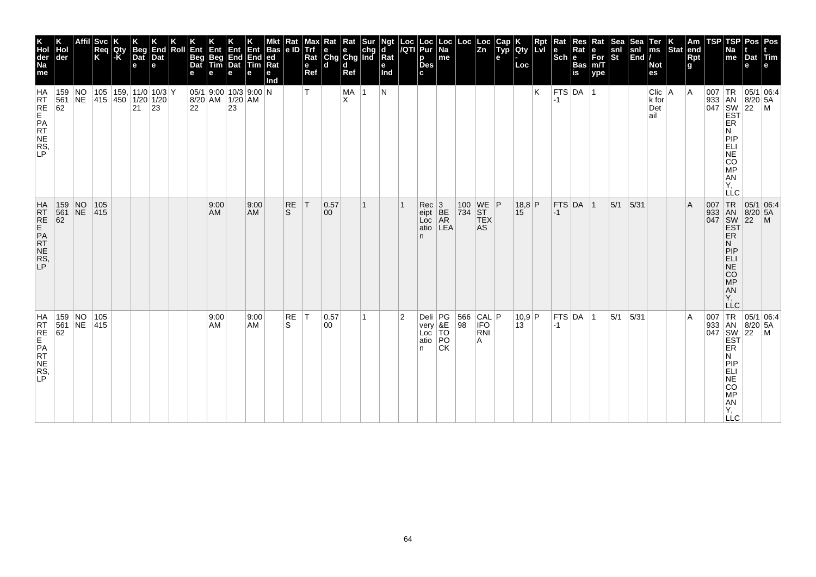| K<br>Hol<br>der<br>Na<br>me            | Hol<br>der                     | Affil Svc<br>Req<br>K | Qty<br>-K | <b>Beg</b><br>Dat<br>$\mathbf e$      | End<br>Dat<br>е | Roll | Ent<br><b>Beg</b><br>Dat<br>е | Ent<br>Beg<br>Tim | Ent<br>End<br>Dat<br>е                                                                                  | Ent<br>End ed<br>Tim<br>е | <b>Bas</b><br>Rat<br>е<br>Ind | $\frac{Rat}{e}$    | Max<br>Trf<br>Rat<br>$\mathbf e$<br>Ref | $\begin{array}{c c}\n\textbf{R} & \textbf{R} \textbf{at} & \textbf{S} \textbf{ur} \\ \textbf{e} & \textbf{e} & \textbf{chg} \\ \textbf{Chg} & \textbf{Chg} & \textbf{Ind}\n\end{array}$<br>ld. | d<br>Ref   |   | Ngt<br>d<br>Rat<br>е<br>Ind |                | Loc  Loc<br><i> I</i> QTI  Pur<br>p<br><b>Des</b><br>C. | Loc<br>  Na<br>$\sf m$ e | $\left  \begin{array}{c} \text{Loc} \\ \text{Zn} \end{array} \right $                                                   | Cap<br>Typ<br>e | <b>Qty</b><br>Loc | <b>Rpt</b><br><b>Lvi</b> | Rat<br>$\left \frac{e}{Sch}\right $ R | <b>Res</b><br>Rat<br>Bas<br>is | Rat<br>e<br>For<br>m/T<br>ype | Sea<br>snl<br>St | Sea<br>snl<br>End | Ter<br>ms<br><b>Not</b><br>es         | $\left \begin{array}{c} K \\ \end{array}\right $ Stat end | <b>Rpt</b><br>g | TSP | TSP<br>Na<br>me                                                   | Dat<br>е | Pos Pos<br>Tim<br>e                                                                                                                                                                                                                                                                                                                                             |
|----------------------------------------|--------------------------------|-----------------------|-----------|---------------------------------------|-----------------|------|-------------------------------|-------------------|---------------------------------------------------------------------------------------------------------|---------------------------|-------------------------------|--------------------|-----------------------------------------|------------------------------------------------------------------------------------------------------------------------------------------------------------------------------------------------|------------|---|-----------------------------|----------------|---------------------------------------------------------|--------------------------|-------------------------------------------------------------------------------------------------------------------------|-----------------|-------------------|--------------------------|---------------------------------------|--------------------------------|-------------------------------|------------------|-------------------|---------------------------------------|-----------------------------------------------------------|-----------------|-----|-------------------------------------------------------------------|----------|-----------------------------------------------------------------------------------------------------------------------------------------------------------------------------------------------------------------------------------------------------------------------------------------------------------------------------------------------------------------|
| HA<br>RRE<br>RE<br>PR<br>NE<br>RS<br>P | $159$ NO<br>561 NE<br>62       | 415 450 1/20 1/20     |           | 105   159,   11/0   10/3   Y<br>21 23 |                 |      |                               |                   | $05/1$ 9:00 10/3 9:00 N<br>$\begin{array}{ c c c c }\n 8/20 & AM & 1/20 & AM \\  22 & 23 & \end{array}$ |                           |                               |                    | T.                                      |                                                                                                                                                                                                | MA  1<br>X |   | N                           |                |                                                         |                          |                                                                                                                         |                 |                   | K                        | $-1$                                  | $FTS$ DA 1                     |                               |                  |                   | $C$ lic $ A$<br>$k$ for<br>Det<br>ail |                                                           | l A             |     | ER<br>Ν<br>PIP<br>EL<br>SOMP<br><b>AN</b><br>Υ,<br><b>LLC</b>     |          | $\begin{array}{c}\n 1R \\  \n 33 \\  047 \\  \n 18N \\  \n 18/20 \\  \n 16N \\  \n 16N \\  \n 16N \\  \n 16N \\  \n 16N \\  \n 16N \\  \n 16N \\  \n 16N \\  \n 16N \\  \n 16N \\  \n 16N \\  \n 16N \\  \n 16N \\  \n 16N \\  \n 16N \\  \n 16N \\  \n 16N \\  \n 16N \\  \n 16N \\  \n 16N \\  \n 16N \\  \n 16N \\  \n 16N \\  \n 16N \\  \n 16N \\  \n 16N$ |
| HRT RE<br>PAT NE RS,<br>P              | 159 NO 105<br>561 NE 415<br>62 |                       |           |                                       |                 |      |                               | 9:00<br>AM        |                                                                                                         | 9:00<br>AM                |                               | RE<br><sub>S</sub> | T                                       | 0.57<br>00                                                                                                                                                                                     |            | 1 |                             |                | Rec 3<br>eipt BE<br>Loc AR<br>atio<br>n                 | LEA                      | $\begin{array}{ c c c }\n\hline\n100 & \text{WE} & \text{P} \\ \hline\n734 & \text{ST} & \text{TEX}\n\end{array}$<br>AS |                 | $18,8$ P<br>15    |                          | $ -1 $                                | FTS DA 1                       |                               | $ 5/1 $ $ 5/31 $ |                   |                                       |                                                           | ΙA              |     | N<br>PIP<br>ELI<br>NE <sup></sup><br>CO<br>MP<br>AN<br>Y,         |          | $\begin{array}{c c}\n & \text{LC} & \text{OS/1 U} \\  & \text{J33} & \text{AN} & \text{8/20} & \text{5A} \\ \hline\n & \text{334} & \text{SW} & \text{22} & \text{M} \\  & \text{EST} & \text{ER}\n\end{array}$                                                                                                                                                 |
| HA<br>RRE<br>RE<br>PR<br>NE<br>RS<br>P | 159 NO<br>561 NE 415<br>62     | 105                   |           |                                       |                 |      |                               | 9:00<br>AM        |                                                                                                         | 9:00<br>AM                |                               | RE<br>S            | T                                       | 0.57<br>$ 00\rangle$                                                                                                                                                                           |            | 1 |                             | $\overline{2}$ | Deli $PG$<br>very &E<br>Loc TO<br>Loc<br>atio<br>n      | PO<br><b>CK</b>          | $\begin{array}{ c c c }\n 566 & CAL & P \\  98 & IFO & \n\end{array}$<br>RNI<br>A                                       |                 | 10,9 P<br>13      |                          | $-1$                                  | $FTS$ DA $ 1$                  |                               | 5/1              | 5/31              |                                       |                                                           | ΙA              |     | ER<br>N<br>PIP<br>ELI<br>NE<br>CO<br>MP<br>AN<br>Y,<br><b>LLC</b> |          | $\begin{array}{c c}\n & C \\ \hline\n & \downarrow \text{TR} & 05/1 & 06:4 \\ \hline\n & 933 & \text{AN} & 8/20 & 5/106 \\  & 047 & \text{SW} & 22 & 5/106 \\  & \text{EST} & \text{ER} & & \end{array}$                                                                                                                                                        |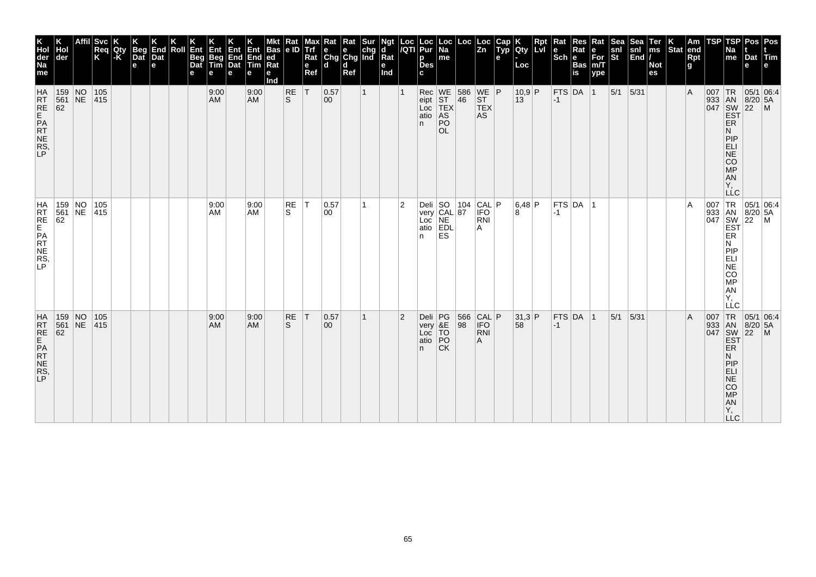| K<br>Hol<br>der<br>Na<br>me                    | der                                                                                                             | <b>Svc</b><br>Req<br>Κ | <b>Qty</b><br>l-K | <b>Beg</b><br>Dat<br>e | End<br>Dat<br>e | Roll | Ent<br><b>Beg</b><br>Dat<br>е | Ent<br>Beg<br>Tim<br>е | Ent<br>End<br>Dat<br>е | Ent<br>End<br>Tim<br>е | <b>Bas</b><br> ed<br>Ra<br>е<br>Ind | Rat<br> e D    | Max<br><b>Trf</b><br>Rat<br>$\mathbf e$<br>Ref | $\begin{array}{ l l }\n\hline\n\text{Rat} & \text{Rat} & \text{Sur} \\ \hline\n\text{e} & \text{e} & \text{chg} \\ \text{Chg} & \text{Chg} & \text{Ind}\n\end{array}$<br>ld. | d<br>Ref |              | Ngt<br>d<br>Rat<br>е<br>Ind | Loc<br>/QTI    | Loc<br>Pur<br>p<br><b>Des</b><br>C. | Loc<br>  Na<br>me                 | Loc                                                           | Loc<br>$\overline{z}$ <sub>n</sub> | Cap<br>Typ<br>e | Qty<br>Loc     | Rpt<br>Lvi | Rat<br>le<br>$ \overline{\text{Sch}} $ e | Res<br>Rat<br><b>Bas</b><br>is | Rat<br>е<br>$\bar{F}$ or<br>m/T<br>ype | Sea<br>snl<br>St | $S_{\mathbb{F}}$<br>snl<br>$\vert$ End $\vert$ / | Ter<br>ms<br><b>Not</b><br>es | Stat end | Am<br>Rpt<br>g | TSP | TSP<br>Na<br>me                                                                                                                | Pos   Pos<br>Dat Tim<br>e                                               |                                                                                                                                    |
|------------------------------------------------|-----------------------------------------------------------------------------------------------------------------|------------------------|-------------------|------------------------|-----------------|------|-------------------------------|------------------------|------------------------|------------------------|-------------------------------------|----------------|------------------------------------------------|------------------------------------------------------------------------------------------------------------------------------------------------------------------------------|----------|--------------|-----------------------------|----------------|-------------------------------------|-----------------------------------|---------------------------------------------------------------|------------------------------------|-----------------|----------------|------------|------------------------------------------|--------------------------------|----------------------------------------|------------------|--------------------------------------------------|-------------------------------|----------|----------------|-----|--------------------------------------------------------------------------------------------------------------------------------|-------------------------------------------------------------------------|------------------------------------------------------------------------------------------------------------------------------------|
| <b>HA</b><br>RT<br>RE<br>PRT<br>NE<br>RS<br>LP | 159 NO<br>561 NE<br>62                                                                                          | 105<br> 415            |                   |                        |                 |      |                               | 9:00<br><b>AM</b>      |                        | 9:00<br><b>AM</b>      |                                     | RE<br>ls.      | T                                              | 0.57<br>$ 00\rangle$                                                                                                                                                         |          | $\mathbf{1}$ |                             |                | n.                                  | PO<br><b>OL</b>                   | Rec WE 586 WE P<br>eipt ST 46 ST<br>Loc TEX TEX<br>atio AS AS |                                    |                 | $10,9$ P<br>13 |            | $-1$                                     | $FTS$ DA $ 1$                  |                                        | $5/1$ 5/31       |                                                  |                               |          | $\overline{A}$ |     | <b>ER</b><br>N<br>PIP<br>ELI<br>NE<br>CO <sub>MP</sub><br>AN<br>Υ.<br><b>LLC</b>                                               |                                                                         | $\begin{array}{c c}\n & R & 05/1 & 0. \\  & AB & 8/20 & 5A \\ \hline\n047 & SW & 22 & M \\ \hline\nEF & F^{\text{P}}\n\end{array}$ |
| HRTE<br>FREPRTES,                              | 159 NO<br>561 NE 415<br>62                                                                                      | 105                    |                   |                        |                 |      |                               | 9:00<br>AM             |                        | 9:00<br>AM             |                                     | RE<br>S        | IT.                                            | 0.57<br>00                                                                                                                                                                   |          | 1.           |                             | $\overline{2}$ | n.                                  | ES                                | Deli SO 104<br>very CAL 87<br>Loc NE<br>atio EDL<br>PEDL      | CAL P <br>RNI<br>A                 |                 | 6,48 P<br>8    |            | $ -1 $                                   | $FTS$ DA $ 1$                  |                                        |                  |                                                  |                               |          | $\overline{A}$ |     | ER<br>N<br>PIP<br>ELI<br>NE<br>CO<br>MP<br>AN<br>Υ,<br>LLC                                                                     |                                                                         | 007 TR 05/1 06:4<br>933 AN 8/20 5A<br>047 SW 22 M<br>EST                                                                           |
| HATRE<br>RTE<br>PATRE<br>RS,                   | $\begin{array}{c c} 159 & \text{NO} \\ 561 & \text{NE} \end{array}$<br>$\begin{array}{r} 561 \\ 62 \end{array}$ | 105<br>415             |                   |                        |                 |      |                               | 9:00<br>AM             |                        | 9:00<br><b>AM</b>      |                                     | <b>RE</b><br>S | T                                              | 0.57<br>00                                                                                                                                                                   |          | 1            |                             | $\overline{2}$ | Deli<br>very<br>Loc<br>atio<br>n.   | PG<br>&E<br>TO<br>PO<br><b>CK</b> | 566<br>98                                                     | CAL P<br><b>IFO</b><br>RNI<br>Α    |                 | 31,3 P<br>58   |            | $-1$                                     | FTS DA 1                       |                                        | 5/1              | 5/31                                             |                               |          | $\overline{A}$ | 007 | TR<br>933 AN<br>047 SW<br>EST<br><b>ER</b><br>N<br>PIP<br><b>ELI</b><br><b>NE</b><br><b>CO</b><br><b>MP</b><br>AN<br>Υ,<br>LLC | 05/1 06:4<br>$\begin{array}{ c c }\n 8/20 & 5A \\  22 & M\n\end{array}$ |                                                                                                                                    |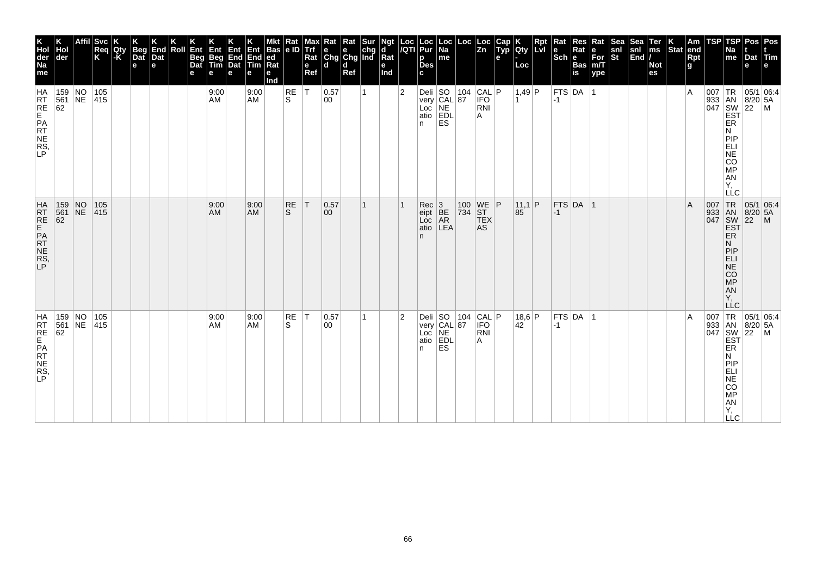| K<br>Hol<br>der<br>Na<br>me             | der                                                                          | <b>Svc</b><br>Req<br>K | Qty<br>-K | <b>Beg</b><br>$\overline{$ }_{\text{Det}}<br>$\mathbf e$ | End<br>Dat<br>e | Roll | Ent<br>Beg<br>Dat<br>е | Ent<br>Beg<br>Tim<br>е | Ent<br>End<br>Dat<br>e | Ent<br>End<br>Tim<br>е | <b>Bas</b><br> ed<br>Ra<br>е<br>Ind | $\frac{Rat}{e}$           | Max<br>Trí<br>Rat<br>e<br>Ref | $\begin{array}{ l l }\n\hline\n\text{Rat} & \text{Rat} & \text{Sur} \\ \hline\n\text{e} & \text{e} & \text{chg} \\ \text{Chg} & \text{Chg} & \text{Ind}\n\end{array}$<br>ld. | d<br>Ref |   | Ngt<br>d<br>Rat<br>е<br>Ind | Loc<br>/QTI    | Loc<br>Pur<br>р<br><b>Des</b><br>c            | Loc<br>  Na<br>me                                                             | Loc                                                                                                               | Loc<br> Zn | Cap<br>Typ<br>$\mathbf{e}$ | <b>IQty</b><br>Loc     | Rpt<br>Lvl | Rat<br><b>TECH BASE</b> | Res<br>Rat           | Rat<br> е<br> For<br> m/Т<br>ype | Sea<br>snl<br>St | Sea<br>$\begin{vmatrix} \text{snl} \\ \text{End} \end{vmatrix}$ | Ter<br><b>THE</b><br><b>Not</b><br>es | Stat end | Am<br>Rpt<br>g | TSP | <b>TSP</b><br>Na<br>me                                                                                                  | Pos   Pos<br>Dat Tim<br>e                                                                       |                                                                                                                                           |
|-----------------------------------------|------------------------------------------------------------------------------|------------------------|-----------|----------------------------------------------------------|-----------------|------|------------------------|------------------------|------------------------|------------------------|-------------------------------------|---------------------------|-------------------------------|------------------------------------------------------------------------------------------------------------------------------------------------------------------------------|----------|---|-----------------------------|----------------|-----------------------------------------------|-------------------------------------------------------------------------------|-------------------------------------------------------------------------------------------------------------------|------------|----------------------------|------------------------|------------|-------------------------|----------------------|----------------------------------|------------------|-----------------------------------------------------------------|---------------------------------------|----------|----------------|-----|-------------------------------------------------------------------------------------------------------------------------|-------------------------------------------------------------------------------------------------|-------------------------------------------------------------------------------------------------------------------------------------------|
| HA<br>RRE<br>RE<br>PR<br>NE<br>RS<br>P  | $\begin{array}{ c c c }\n 159 & NO \\  \hline\n 561 & NE\n\end{array}$<br>62 | 105<br> 415            |           |                                                          |                 |      |                        | 9:00<br>AM             |                        | 9:00<br><b>AM</b>      |                                     | RE<br>S.                  | lT.                           | 0.57<br>00                                                                                                                                                                   |          | 1 |                             | $\overline{2}$ | n.                                            | Deli SO 104 CAL P<br>very CAL 87 IFO<br>Loc NE RNI<br>atio EDL A<br>ES.       |                                                                                                                   |            |                            | $1,49$ P<br>∣1         |            | $ -1 $                  | $ $ FTS $ $ DA $ $ 1 |                                  |                  |                                                                 |                                       |          | $\overline{A}$ |     | ER<br>N<br>PIP<br>ELI<br>NE<br>CO<br>MP<br><b>AN</b><br>Υ,<br>LLC                                                       |                                                                                                 | $\begin{array}{c}\n 1 \text{R} \\  33 \\  1 \text{AN} \\  8/20 \\  54 \\  1047 \\  1047 \\  1057 \\  1047 \\  1047 \\  1057\n\end{array}$ |
| HATRE<br>EPATE<br>NERS,<br>P            | 159 NO 105<br>561 NE 415<br>62                                               |                        |           |                                                          |                 |      |                        | 9:00<br>AM             |                        | 9:00<br><b>AM</b>      |                                     | <b>RE</b><br><sub>S</sub> | T                             | 0.57<br>$ 00\rangle$                                                                                                                                                         |          | 1 |                             |                | Rec<br>eipt<br>Loc<br>AR<br>atio<br>LEA<br>n. |                                                                               | $\begin{array}{ c c c }\n\hline\n100 & \text{WE} & \text{P} \\ \hline\n734 & \text{ST} & \text{TEX}\n\end{array}$ | AS         |                            | 11,1 P<br>$ 85\rangle$ |            | $-1$                    | FTS DA 1             |                                  |                  |                                                                 |                                       |          | $\mathsf{A}$   |     | 007 TR<br>933 AN<br>047 SW<br>EST<br>ER.<br>N<br> P P<br><b>ELI</b><br>$N\bar{E}$<br><b>CO</b><br>MP<br>AN<br>Υ,<br>LLC | $\begin{array}{ c c c } \hline 05/1 & 06.4 \\ \hline 8/20 & 5A \\ 22 & M \\ \hline \end{array}$ |                                                                                                                                           |
| HA<br>RRE<br>RE<br>PRT<br>RS<br>RS<br>P | 159 NO<br>561 NE 415<br>62                                                   | 105                    |           |                                                          |                 |      |                        | 9:00<br>AM             |                        | 9:00<br><b>AM</b>      |                                     | RE<br>S                   | T                             | 0.57<br>00                                                                                                                                                                   |          | 1 |                             | $\overline{2}$ | n.                                            | Deli SO 104 CAL P<br>very CAL 87 IFO<br>Loc NE RNI<br>atio EDL A<br><b>ES</b> |                                                                                                                   |            |                            | 18,6 P<br>42           |            | $ -1$                   | $FTS$ DA  1          |                                  |                  |                                                                 |                                       |          | $\overline{A}$ | 007 | ER<br>N<br>PIP<br>ELI<br><b>NE</b><br>CO<br>MP<br>AN<br>Y,<br><b>LLC</b>                                                | TR 05/1 06:4<br>933 AN 8/20 5A<br>047 SW 22 M<br>EST                                            |                                                                                                                                           |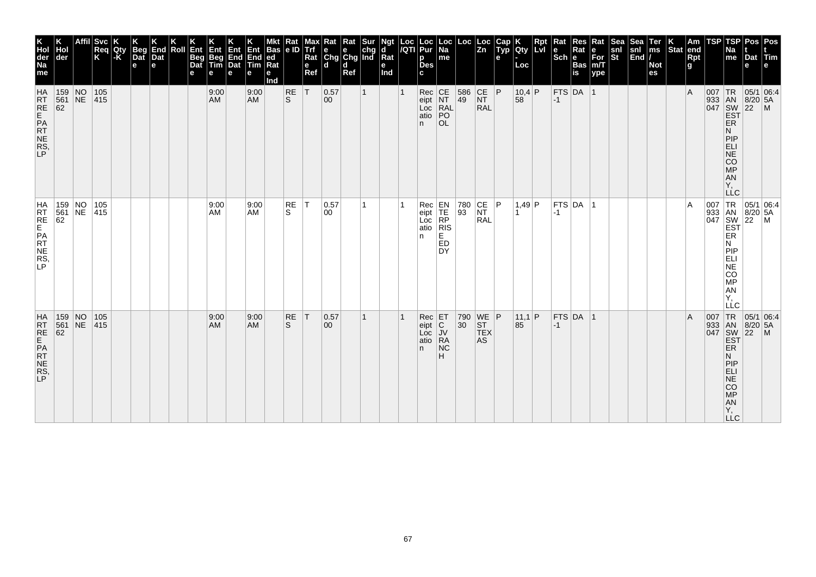| K<br>Hol<br>der<br>Na<br>me        | der                                                                               | <b>Svc</b><br>Req<br>K | Qty<br>-K | Beg<br>Dat<br>$\mathbf e$ | End<br>Dat<br>e | Roll | Ent<br>Beg<br>Dat<br>е | Ent<br>Beg<br>Tim<br>е | Ent<br>End<br>Dat<br>e | Ent<br>End<br>$\overline{\mathsf{Tim}}$<br>е | <b>Bas</b><br>ed<br>Rat<br>е<br>Ind | Rat<br>le ID | Max<br>Trf<br>Rat<br>$\mathbf{e}$<br>Ref | Rat<br>$\begin{array}{ c c c }\n\hline\ne & e & chg \\ \hline\nChg & Chg & Ind\n\end{array}$<br>ld. | Rat<br>d<br>Ref | Sur          | Ngt<br>d<br>$\bar{R}$ at<br>е<br>Ind | Loc<br>/QTI | Loc<br>Pur<br>p<br><b>Des</b><br>C.           | Loc  <br>Na<br>me                                        | Loc                                                     | Loc<br> Zn                                                                     | Cap<br>Typ<br>$\mathbf{e}$ | Qty<br>Loc     | Rpt<br><b>LvI</b> | Rat<br>$\left \begin{smallmatrix} \mathbf{e} \ \mathbf{Sch} \ \mathbf{e} \end{smallmatrix}\right $ $\mathbf{e}$ | $\sf Res$<br>Rat<br>Bas<br>is | Rat<br>е<br>For<br>m/T<br>ype | Sea<br>$\frac{\mathsf{snl}}{\mathsf{St}}$ | Sea<br>$\begin{vmatrix} \sin \theta \\ \sin \theta \end{vmatrix}$ | Ter<br>ms<br><b>Not</b><br>es | Stat end | Am<br>Rpt<br>g | TSP      | TSP<br>Na<br>me                                                           | Pos Pos<br>Dat<br>e                               | $ T$ im                                                  |
|------------------------------------|-----------------------------------------------------------------------------------|------------------------|-----------|---------------------------|-----------------|------|------------------------|------------------------|------------------------|----------------------------------------------|-------------------------------------|--------------|------------------------------------------|-----------------------------------------------------------------------------------------------------|-----------------|--------------|--------------------------------------|-------------|-----------------------------------------------|----------------------------------------------------------|---------------------------------------------------------|--------------------------------------------------------------------------------|----------------------------|----------------|-------------------|-----------------------------------------------------------------------------------------------------------------|-------------------------------|-------------------------------|-------------------------------------------|-------------------------------------------------------------------|-------------------------------|----------|----------------|----------|---------------------------------------------------------------------------|---------------------------------------------------|----------------------------------------------------------|
| HRT<br>RE<br>PATT<br>NE<br>RS<br>P | 159 NO 105<br>561 NE 415<br>62                                                    |                        |           |                           |                 |      |                        | 9:00<br>AM             |                        | 9:00<br><b>AM</b>                            |                                     | $R_S$        | İΤ                                       | 0.57<br>00                                                                                          |                 | $\mathbf{1}$ |                                      |             | Rec<br>eipt<br>Loc<br>RAL<br>atio<br>PO<br>n. | OL.                                                      | 586<br>49                                               | CE <br><b>NT</b><br><b>RAL</b>                                                 | P                          | $10,4$ P<br>58 |                   | $-1$                                                                                                            | FTS DA 1                      |                               |                                           |                                                                   |                               |          | $\overline{A}$ | $007$ TR | ER<br>N<br>PIP<br>ELI<br>NE<br>CO <sub>MP</sub><br>AN<br>Υ,<br><b>LLC</b> | 05/1 06:4<br>933 AN 8/20 5A<br>047 SW 22 M<br>EST |                                                          |
| HRTE<br>FREPATTES,                 |                                                                                   |                        |           |                           |                 |      |                        | 9:00<br>AM             |                        | 9:00<br>AM                                   |                                     | RE<br>S.     | ΙT                                       | 0.57<br>00                                                                                          |                 | 1            |                                      |             | Rec<br>eipt<br>Loc<br>atio<br>n.              | EN<br>TE<br>RP<br>RIS<br>E<br><b>ED</b><br><b>DY</b>     | 780<br>93                                               | $\begin{array}{ c c }\n\text{CE} & \text{P}\n\end{array}$<br>RAL               |                            | 1,49 P         |                   | $-1$                                                                                                            | FTS DA 1                      |                               |                                           |                                                                   |                               |          | A              |          | <b>ER</b><br>N<br>PIP<br>EËI<br>NE<br>CO<br>MP<br>AN<br>Υ.<br>LLC         |                                                   | 007 TR 05/1 06:4<br>933 AN 8/20 5A<br>047 SW 22 M<br>EST |
| HRT<br>RE<br>PATE<br>NE<br>RS<br>P | $\begin{array}{ c c }\n 159 & \text{NO} \\  561 & \text{NE} \\  62 & \end{array}$ | 105<br> 415            |           |                           |                 |      |                        | 9:00<br>AM             |                        | 9:00<br><b>AM</b>                            |                                     | RE<br>S.     | T                                        | 0.57<br>$ 00\rangle$                                                                                |                 | 1            |                                      |             | $Rec$ $ET$<br>eipt<br>Loc<br>atio<br>n.       | $\overline{C}$<br>$\overline{V}$<br>RA<br><b>NC</b><br>н | $\begin{array}{ c} \hline 790 \\ 30 \hline \end{array}$ | $\begin{array}{c} \n\text{WE} \\ \text{ST}\n\end{array}$ P<br><b>TEX</b><br>AS |                            | 11,1 P<br>85   |                   | $-1$                                                                                                            | $FTS$ DA 1                    |                               |                                           |                                                                   |                               |          | $\overline{A}$ |          | ER<br>Ν<br>PIP<br>ELI<br><b>NE</b><br>CO<br>MP<br>Y,<br>LLC.              |                                                   | 007 TR 05/1 06:4<br>933 AN 8/20 5A<br>047 SW 22 M<br>EST |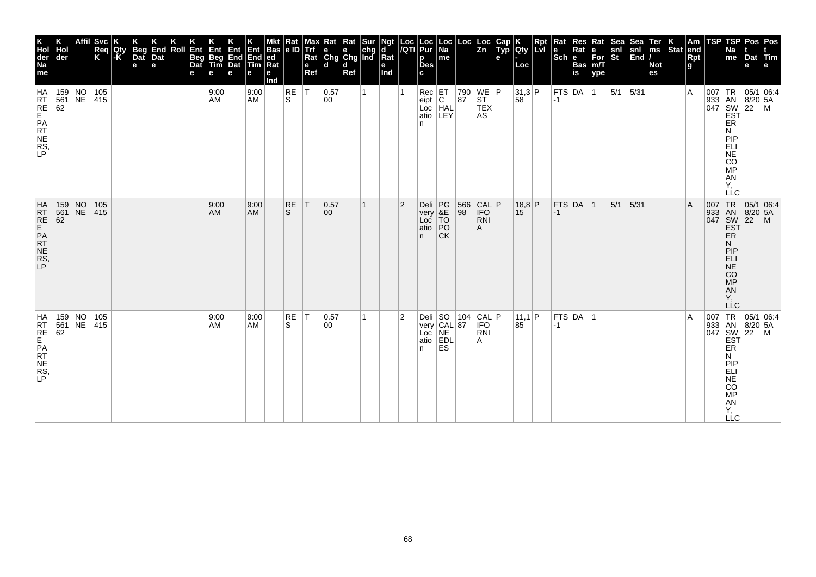| K<br>Hol<br>der<br>Na<br>me                   | der                                                                          | <b>Svc</b><br>Req<br>K | Qty<br>-K | <b>Beg</b><br>Dat<br>$\mathbf e$ | End<br>Dat<br>e | Roll | Ent<br>Beg<br>Dat<br>е | Ent<br>Beg<br>Tim<br>е | Ent<br>End<br>Dat<br>e | Ent<br>End<br>Tim<br>е | <b>Bas</b><br> ed<br> Rat<br>е<br>Ind | $\frac{Rat}{e}$ | мах<br><b>Trf</b><br>Rat<br>e<br>Ref | $\begin{array}{ l l }\n\hline\n\text{Rat} & \text{Rat} & \text{Sur} \\ \hline\n\text{e} & \text{e} & \text{chg} \\ \text{Chg} & \text{Chg} & \text{Ind}\n\end{array}$<br>ld. | d<br>Ref |   | Ngt<br>d<br>Rat<br>е<br>Ind | Loc<br>/QTI    | Loc<br>Pur<br>р<br><b>Des</b><br>C.            | Loc<br> Na<br>me                  | Loc                                                                                      | Loc<br>Zn                       | Cap<br>Typ<br>e | <b>IQty</b><br>Loc | Rpt<br>Lvl | Rat<br><b>TECH BASE</b> | Res<br>Rat  | Rat<br>$\bar{F}$ or<br>m/T<br>ype | Sea<br>snl<br>St | Sea<br>$\begin{vmatrix} \text{snl} \\ \text{End} \end{vmatrix}$ | Ter<br>ms<br><b>Not</b><br>es | Stat end | Am<br>Rpt<br>g | TSP | TSP<br>Na<br>me                                                                                                  | Pos   Pos<br>Dat Tim<br>e                                                  |                                                                                                                                           |
|-----------------------------------------------|------------------------------------------------------------------------------|------------------------|-----------|----------------------------------|-----------------|------|------------------------|------------------------|------------------------|------------------------|---------------------------------------|-----------------|--------------------------------------|------------------------------------------------------------------------------------------------------------------------------------------------------------------------------|----------|---|-----------------------------|----------------|------------------------------------------------|-----------------------------------|------------------------------------------------------------------------------------------|---------------------------------|-----------------|--------------------|------------|-------------------------|-------------|-----------------------------------|------------------|-----------------------------------------------------------------|-------------------------------|----------|----------------|-----|------------------------------------------------------------------------------------------------------------------|----------------------------------------------------------------------------|-------------------------------------------------------------------------------------------------------------------------------------------|
| <b>HA</b><br>RRE<br>RE<br>PR<br>NE<br>RS<br>P | $\begin{array}{ c c c }\n 159 & NO \\  \hline\n 561 & NE\n\end{array}$<br>62 | 105<br> 415            |           |                                  |                 |      |                        | 9:00<br>AM             |                        | 9:00<br><b>AM</b>      |                                       | RE<br>S.        | lT.                                  | 0.57<br>00                                                                                                                                                                   |          | 1 |                             |                | Rec<br>eipt<br>Loc<br>HAL<br>atio<br>LEY<br>n. |                                   | $\begin{array}{ c c c }\n 790 & \text{WE} & \text{P} \\  87 & \text{ST} & \n\end{array}$ | <b>TEX</b><br>AS                |                 | 31,3 P<br>58       |            | $ -1$                   | FTS DA 1    |                                   | $5/1$ 5/31       |                                                                 |                               |          | $\overline{A}$ |     | ER<br>N<br>PIP<br>ELI<br>NE<br>CO<br>MP<br>AN<br>Υ,<br>LLC                                                       |                                                                            | $\begin{array}{c}\n 1 \text{R} \\  33 \\  1 \text{AN} \\  8/20 \\  54 \\  1047 \\  1047 \\  1057 \\  1047 \\  1047 \\  1057\n\end{array}$ |
| HATRE<br>EPATE<br>NERS,<br>P                  | 159 NO 105<br>561 NE 415<br>62                                               |                        |           |                                  |                 |      |                        | 9:00<br>AM             |                        | 9:00<br><b>AM</b>      |                                       | <b>RE</b><br>S. | T                                    | 0.57<br>$ 00\rangle$                                                                                                                                                         |          | 1 |                             | $\overline{2}$ | Deli<br>very<br>Loc<br>atio<br>n.              | PG<br>&E<br>TO<br>PO<br><b>CK</b> | 566<br>98                                                                                | CAL P<br><b>IFO</b><br>RNI<br>Α |                 | 18,8 P<br>15       |            | $ -1 $                  | $FTS$ DA 1  |                                   | 5/1              | 5/31                                                            |                               |          | $\mathsf{A}$   |     | 007 TR<br>933 AN<br>047 SW<br>EST<br>ER.<br>N<br> P P<br>ELI<br>$N\bar{E}$<br><b>CO</b><br>MP<br>AN<br>Υ,<br>LLC | $\begin{array}{ c c }\n 05/1 & 06.4 \\  8/20 & 5A \\  22 & M\n\end{array}$ |                                                                                                                                           |
| HA<br>RRE<br>RE<br>PR<br>NE<br>RS<br>P        | 159 NO<br>561 NE 415<br>62                                                   | 105                    |           |                                  |                 |      |                        | 9:00<br>AM             |                        | 9:00<br><b>AM</b>      |                                       | RE<br>S         | T                                    | 0.57<br>00                                                                                                                                                                   |          | 1 |                             | $\overline{2}$ | n.                                             | <b>ES</b>                         | Deli SO 104 CAL P<br>very CAL 87 IFO<br>Loc NE RNI<br>atio EDL A                         |                                 |                 | 11,1 P<br>85       |            | $-1$                    | $FTS$ DA  1 |                                   |                  |                                                                 |                               |          | $\overline{A}$ | 007 | ER<br>N<br><b>PIP</b><br>ELI<br>NE<br>CO<br>MP<br>AN<br>Υ,<br><b>LLC</b>                                         | TR 05/1 06:4<br>933 AN 8/20 5A<br>047 SW 22 M<br>EST                       |                                                                                                                                           |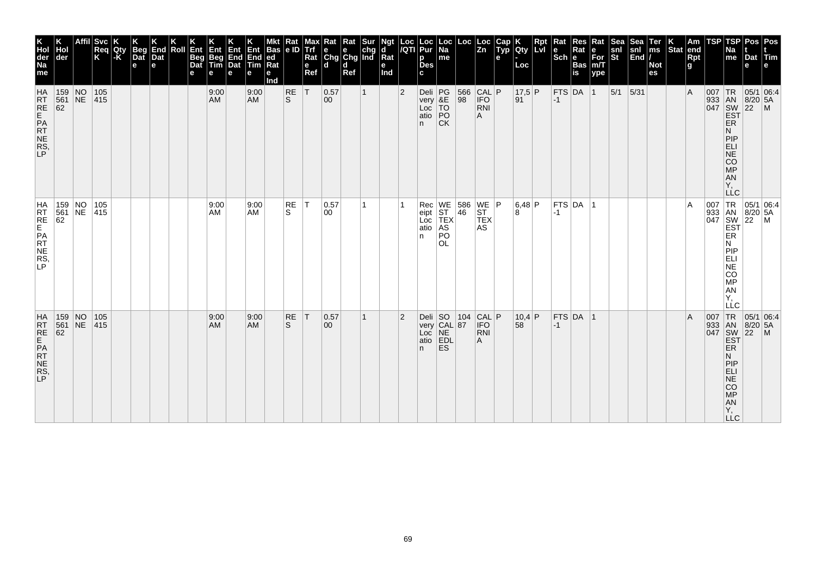| K<br>Hol<br>der<br>Na<br>me                  | der                                                                                                             | <b>Svc</b><br>Req<br>Κ | Qty<br>l-K | <b>Beg</b><br>Dat<br>e | End<br>Dat<br>e | Roll | Ent<br>Beg<br>Dat<br>е | Ent<br>Beg<br>Tim<br>е | Ent<br>End<br>Dat<br>е | Ent<br>End<br>Tim<br>е | <b>Bas</b><br> ed<br>Ra<br>е<br>Ind | Rat<br> e D    | Max<br><b>Trf</b><br>Rat<br>$\mathbf e$<br>Ref | $\begin{array}{ l l }\n\hline\n\text{Rat} & \text{Rat} & \text{Sur} \\ \hline\n\text{e} & \text{e} & \text{chg} \\ \text{Chg} & \text{Chg} & \text{Ind}\n\end{array}$<br>ld. | d<br>Ref |              | Ngt<br>d<br>Rat<br>е<br>Ind | Loc<br>/QTI    | Loc<br>Pur<br>p<br><b>Des</b><br>C.           | Loc<br>  Na<br>me                                      | Loc                                                                   | Loc<br>$\overline{z}$ <sub>n</sub>  | Cap<br>Typ<br>e | Qty<br>Loc     | Rpt<br>Lvi | Rat<br>le<br>$ \overline{\textsf{Sch}} $ e | Res<br>Rat<br><b>Bas</b><br>is | Rat<br>е<br>$\bar{F}$ or<br>m/T<br>ype | Sea<br>snl<br>St | $S_{\mathbb{F}}$<br>snl<br>$\vert$ End $\vert$ / | Ter<br>ms<br><b>Not</b><br>es | Stat end | Am<br>Rpt<br>g | TSP | TSP<br>Na<br>me                                                                                                         | Pos   Pos<br>Dat Tim<br>e                                               | ١e                                                                                                                                 |
|----------------------------------------------|-----------------------------------------------------------------------------------------------------------------|------------------------|------------|------------------------|-----------------|------|------------------------|------------------------|------------------------|------------------------|-------------------------------------|----------------|------------------------------------------------|------------------------------------------------------------------------------------------------------------------------------------------------------------------------------|----------|--------------|-----------------------------|----------------|-----------------------------------------------|--------------------------------------------------------|-----------------------------------------------------------------------|-------------------------------------|-----------------|----------------|------------|--------------------------------------------|--------------------------------|----------------------------------------|------------------|--------------------------------------------------|-------------------------------|----------|----------------|-----|-------------------------------------------------------------------------------------------------------------------------|-------------------------------------------------------------------------|------------------------------------------------------------------------------------------------------------------------------------|
| <b>HA</b><br>RT<br>RE<br>PR<br>NE<br>RS<br>P | 159 NO<br>561 NE<br>62                                                                                          | 105<br> 415            |            |                        |                 |      |                        | 9:00<br><b>AM</b>      |                        | 9:00<br><b>AM</b>      |                                     | RE<br>ls.      | T                                              | 0.57<br>$ 00\rangle$                                                                                                                                                         |          | $\mathbf{1}$ |                             | $\overline{2}$ | Deli PG<br>very &E<br>Loc TO<br>atio PO<br>n. | <b>CK</b>                                              | $\begin{array}{ c c c }\n 566 & CAL & P \\  98 & IFO & \n\end{array}$ | <b>RNI</b><br>A                     |                 | $17,5$ P<br>91 |            | $-1$                                       | $FTS$ DA $ 1$                  |                                        | $5/1$ 5/31       |                                                  |                               |          | $\overline{A}$ |     | <b>ER</b><br>N<br>PIP<br>ELI<br>NE<br>CO<br>MP<br>AN<br>Υ.<br><b>LLC</b>                                                |                                                                         | $\begin{array}{c c}\n & R & 05/1 & 0. \\  & AB & 8/20 & 5A \\ \hline\n047 & SW & 22 & M \\ \hline\nEF & F^{\text{P}}\n\end{array}$ |
| HRTE<br>FREPATTES,                           | 159 NO<br>561 NE 415<br>62                                                                                      | 105                    |            |                        |                 |      |                        | 9:00<br>AM             |                        | 9:00<br>AM             |                                     | RE<br>S        | IT.                                            | 0.57<br>00                                                                                                                                                                   |          | 1            |                             |                | Rec<br>eipt<br>Loc<br>atio<br>n.              | AS<br>PO<br><b>OL</b>                                  | WE 586 WE P<br>ST 46 ST<br>TEX TEX                                    | <b>AS</b>                           |                 | 6,48 P<br>8    |            | $ -1 $                                     | $FTS$ DA $ 1$                  |                                        |                  |                                                  |                               |          | $\overline{A}$ |     | ER<br>N<br>PIP<br>ELI<br>NE<br>CO<br>MP<br>AN<br>Υ,<br>LLC                                                              |                                                                         | 007 TR 05/1 06:4<br>933 AN 8/20 5A<br>047 SW 22 M<br>EST                                                                           |
| HATRE<br>RTE<br>PATRE<br>RS,                 | $\begin{array}{c c} 159 & \text{NO} \\ 561 & \text{NE} \end{array}$<br>$\begin{array}{r} 561 \\ 62 \end{array}$ | 105<br>415             |            |                        |                 |      |                        | 9:00<br>AM             |                        | 9:00<br><b>AM</b>      |                                     | <b>RE</b><br>S | T                                              | 0.57<br>00                                                                                                                                                                   |          | 1            |                             | $\overline{2}$ | n.                                            | Deli SO 104<br>very CAL 87<br>Loc NE<br>atio EDL<br>ES | 104                                                                   | $CAL$ $P$<br><b>IFO</b><br>RNI<br>Α |                 | $10,4$ P<br>58 |            | $-1$                                       | FTS DA 1                       |                                        |                  |                                                  |                               |          | $\overline{A}$ | 007 | TR<br>933 AN<br>047 SW<br>EST<br><b>ER</b><br>N<br>PIP<br><b>ELI</b><br><b>NE</b><br>CO<br><b>MP</b><br>AN<br>Υ,<br>LLC | 05/1 06:4<br>$\begin{array}{ c c }\n 8/20 & 5A \\  22 & M\n\end{array}$ |                                                                                                                                    |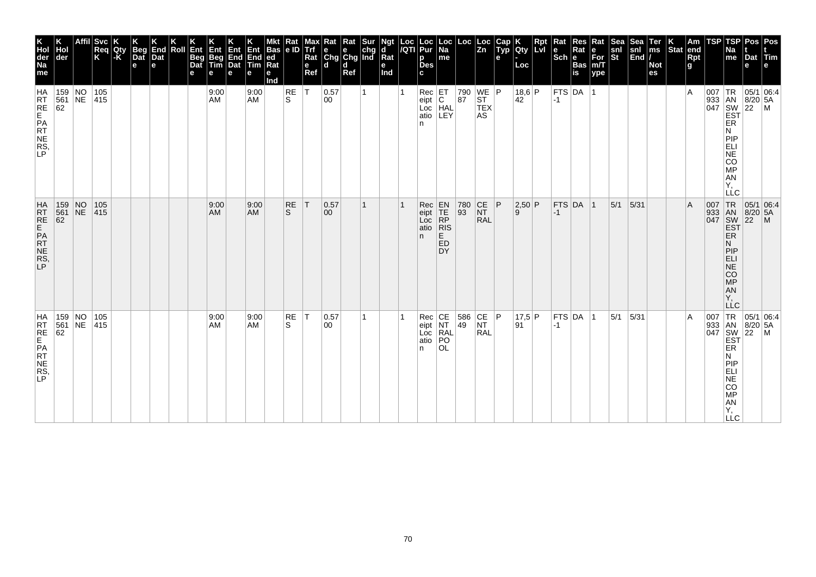| K<br>Hol<br>der<br>Na<br>me                   | Hol<br> der                                                                  | ∣Svc<br>Req<br>K | Qty<br>-K | <b>Beg</b><br>Dat<br>$\mathbf e$ | End<br>Dat<br>e | Roll | Ent<br>Beg<br>Dat<br>е | Ent<br>Beg<br>Tim<br>е | Ent<br>End<br>Dat<br>e | Ent<br>End<br>Tim<br>е | <b>Bas</b><br> ed<br> Rat<br>е<br>Ind | $\frac{Rat}{e}$ | Max <sup>1</sup><br>Trí<br>Rat<br>e<br>Ref | $\begin{array}{ l l }\n\hline\n\text{Rat} & \text{Rat} & \text{Sur} \\ \hline\n\text{e} & \text{e} & \text{chg} \\ \text{Chg} & \text{Chg} & \text{Ind}\n\end{array}$<br>ld. | d<br>Ref |   | Ngt<br>d<br>Rat<br>е<br>Ind | Loc<br>/QTI | Loc<br>Pur<br>p<br><b>Des</b><br>C.                                                                               | Loc<br>  Na<br>me                                                                                  | Loc                                                                                      | Loc<br> Zn                                | Cap<br>Typ<br>e | <b>IQty</b><br>Loc | <b>Rpt</b><br>LM | Rat<br><b>TECH BEE</b> | Res<br>Rat           | Rat<br>For<br>m/T<br>ype | Sea<br>snl<br>St | Sea<br>$\begin{vmatrix} \text{snl} \\ \text{End} \end{vmatrix}$ | Ter<br>ms<br><b>Not</b><br>es | Stat end | Am<br>Rpt<br>g | <b>TSP</b>                        | TSPI<br>Na<br>me                                                                         | Pos   Pos<br>Dat Tim<br>e                                                                                                                 |  |
|-----------------------------------------------|------------------------------------------------------------------------------|------------------|-----------|----------------------------------|-----------------|------|------------------------|------------------------|------------------------|------------------------|---------------------------------------|-----------------|--------------------------------------------|------------------------------------------------------------------------------------------------------------------------------------------------------------------------------|----------|---|-----------------------------|-------------|-------------------------------------------------------------------------------------------------------------------|----------------------------------------------------------------------------------------------------|------------------------------------------------------------------------------------------|-------------------------------------------|-----------------|--------------------|------------------|------------------------|----------------------|--------------------------|------------------|-----------------------------------------------------------------|-------------------------------|----------|----------------|-----------------------------------|------------------------------------------------------------------------------------------|-------------------------------------------------------------------------------------------------------------------------------------------|--|
| <b>HA</b><br>RRE<br>RE<br>PR<br>NE<br>RS<br>P | $\begin{array}{ c c c }\n 159 & NO \\  \hline\n 561 & NE\n\end{array}$<br>62 | 105<br> 415      |           |                                  |                 |      |                        | 9:00<br>AM             |                        | 9:00<br><b>AM</b>      |                                       | RE<br>S.        | lT.                                        | 0.57<br>00                                                                                                                                                                   |          | 1 |                             |             | $\begin{array}{ c c }\n\hline\n\text{Rec} & \text{ET} \\ \text{eipt} & \text{C}\n\end{array}$<br>Loc<br>atio<br>n | HAL<br>LEY                                                                                         | $\begin{array}{ c c c }\n 790 & \text{WE} & \text{P} \\  87 & \text{ST} & \n\end{array}$ | <b>TEX</b><br>AS                          |                 | 18,6 P<br>42       |                  | $ -1 $                 | $ $ FTS $ $ DA $ $ 1 |                          |                  |                                                                 |                               |          | $\overline{A}$ |                                   | ER<br>N<br>PIP<br>ELI<br>NE<br>CO<br><b>MP</b><br>AN<br>Υ,<br>LLC                        | $\begin{array}{c}\n 1 \text{R} \\  33 \\  1 \text{AN} \\  8/20 \\  54 \\  1047 \\  1047 \\  1057 \\  1047 \\  1047 \\  1057\n\end{array}$ |  |
| HATRE<br>RTE<br>PATRES,                       | 159 NO 105<br>561 NE 415<br>62                                               |                  |           |                                  |                 |      |                        | 9:00<br>AM             |                        | 9:00<br><b>AM</b>      |                                       | <b>RE</b><br>S. | T                                          | 0.57<br>$ 00\rangle$                                                                                                                                                         |          | 1 |                             |             | Rec<br>eipt<br>Loc<br>atio<br>n.                                                                                  | $\begin{array}{c} \mathsf{EN} \\ \mathsf{TE} \\ \mathsf{RP} \end{array}$<br> R S<br>E<br>ED<br>DY. | $\begin{array}{ c c }\n 780 \\  93\n\end{array}$                                         | $\overline{\text{C}}$<br>NT<br><b>RAL</b> | P               | 2,50 P<br><u>g</u> |                  | $-1$                   | FTS DA 1             |                          | 5/1              | 5/31                                                            |                               |          | $\mathsf{A}$   | 007 TR<br>933 AN<br>047 SW<br>EST | <b>ER</b><br>N<br> P P<br><b>ELI</b><br>$N\bar{E}$<br><b>CO</b><br>MP<br>AN<br>Υ,<br>LLC | $\begin{array}{ c c }\n 05/1 & 06.4 \\  8/20 & 5A \\  22 & M\n\end{array}$                                                                |  |
| HA<br>RRE<br>RE<br>PR<br>NE<br>RS<br>P        | 159 NO<br>561 NE 415<br>62                                                   | 105              |           |                                  |                 |      |                        | 9:00<br>AM             |                        | 9:00<br><b>AM</b>      |                                       | RE<br>S         | T                                          | 0.57<br>00                                                                                                                                                                   |          | 1 |                             |             | Rec<br>eipt<br>Loc<br>atio<br>n                                                                                   | CE<br>NT<br>RAL<br> PO<br><b>OL</b>                                                                | $\begin{array}{ c c c c }\n 586 & CE & P \\  49 & NT & \n\end{array}$                    | <b>RAL</b>                                |                 | 17,5 P<br>91       |                  | $-1$                   | $FTS$ DA 1           |                          | 5/1              | 5/31                                                            |                               |          | $\overline{A}$ | 007                               | ER<br>N<br>PIP<br>ELI<br><b>NE</b><br><b>CO</b><br>MP<br>AN<br>Υ,<br><b>LLC</b>          | TR 05/1 06:4<br>933 AN 8/20 5A<br>047 SW 22 M<br>EST                                                                                      |  |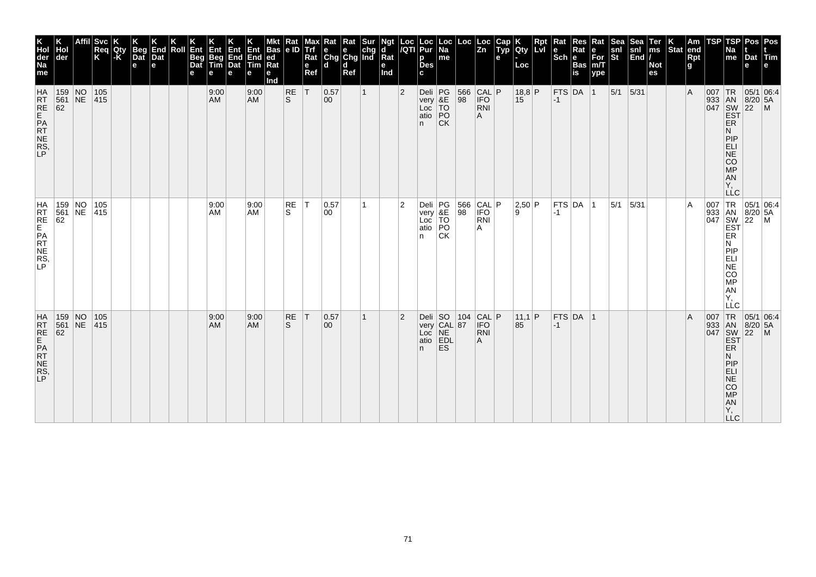| K<br>Hol<br>der<br>Na<br>me                                      | der                                                                | <b>Svc</b><br>Req<br>K   | Qty<br> -K | <b>Beg</b><br>Dat<br>$\mathbf e$ | End<br>Dat<br>e | Roll | Ent<br>Beg<br>Dat<br>е | Ent<br>Beg<br>Tim<br>е | Ent<br>End<br>Dat<br>e | Ent<br>End<br>Tim<br>е | <b>Bas</b><br> ed<br>Ra<br>е<br>Ind | Rat<br> e D | Max<br><b>Trf</b><br>Rat<br>e<br>Ref | $\begin{array}{ l l }\n\hline\n\text{Rat} & \text{Rat} & \text{Sur} \\ \hline\n\text{e} & \text{e} & \text{chg} \\ \text{Chg} & \text{Chg} & \text{Ind}\n\end{array}$<br>ld. | d<br>Ref |              | Ngt<br>d<br>Rat<br>е<br>Ind | Loc<br>/QTI    | Loc<br>Pur<br>p<br><b>Des</b><br>C.                    | Loc<br> Na<br>me | Loc                                                                   | Loc<br>Zn                              | Cap<br>Typ<br>e | <b>IQty</b><br>Loc | Rpt<br>Lvi | Kat<br>Scheens | Res<br>Rat | Rat<br>For<br>m/T<br>ype | Sea<br>snl<br>St | Sea<br>$\begin{vmatrix} \text{snl} \\ \text{End} \end{vmatrix}$ | Ter<br>ms<br><b>Not</b><br>es | Stat end | Am<br>Rpt<br>g | TSP | <b>TSP</b><br>Na<br>me                                                          | Pos   Pos<br>Dat Tim<br>e                                                                                                 |  |
|------------------------------------------------------------------|--------------------------------------------------------------------|--------------------------|------------|----------------------------------|-----------------|------|------------------------|------------------------|------------------------|------------------------|-------------------------------------|-------------|--------------------------------------|------------------------------------------------------------------------------------------------------------------------------------------------------------------------------|----------|--------------|-----------------------------|----------------|--------------------------------------------------------|------------------|-----------------------------------------------------------------------|----------------------------------------|-----------------|--------------------|------------|----------------|------------|--------------------------|------------------|-----------------------------------------------------------------|-------------------------------|----------|----------------|-----|---------------------------------------------------------------------------------|---------------------------------------------------------------------------------------------------------------------------|--|
| <b>HA</b><br>RT<br>RE<br>ATE<br>NE<br>RS<br>LP<br>NE<br>RS<br>LP | 159 NO<br>561 NE<br>$\overline{62}$                                | 105<br> 415              |            |                                  |                 |      |                        | 9:00<br><b>AM</b>      |                        | 9:00<br><b>AM</b>      |                                     | $R_S$       | T                                    | 0.57<br>$ 00\rangle$                                                                                                                                                         |          | $\mathbf{1}$ |                             | $\overline{2}$ | Deli PG<br>very &E<br>Loc TO<br>atio PO<br>n.          | <b>CK</b>        | $\begin{array}{ c c c }\n 566 & CAL & P \\  98 & IFO & \n\end{array}$ | RNI<br>A                               |                 | $18,8$ P<br>15     |            | $-1$           | FTS DA 1   |                          | $ 5/1 $ 5/31     |                                                                 |                               |          | $\overline{A}$ |     | ER<br>N<br>PIP<br>ELI<br>NE<br>CO<br>MP<br><b>AN</b><br>Υ,                      | 007 TR 05/1 06:4<br>933 AN 8/20 5A<br>047 SW 22 M<br>EST                                                                  |  |
| HRTE<br>FREPRT<br>NES,                                           | $\frac{1561}{62}$                                                  | 159 NO 105<br>561 NE 415 |            |                                  |                 |      |                        | 9:00<br>AM             |                        | 9:00<br>AM             |                                     | RE<br>S.    | İΤ                                   | 0.57<br>00                                                                                                                                                                   |          | 1            |                             | 2              | Deli<br>very<br>Loc<br>TO<br>atio<br>PO<br>n           | <b>CK</b>        | 566<br>98                                                             | CAL P<br><b>IFO</b><br><b>RNI</b><br>Α |                 | 2,50 P<br>۱.۹      |            | $-1$           | FTS DA 1   |                          | 5/1              | 5/31                                                            |                               |          | A              |     | ER<br>N<br>PIP<br>ELI<br>$N\bar{E}$<br>CO<br>MP<br>AN<br>Υ.<br>LLC              | $\begin{array}{c c}\n & -C & \n\hline\n007 & TR & 05/1 & 06.4, \\ 933 & AN & 8/20 & 5A \\ 047 & SW & 22 & M\n\end{array}$ |  |
| HATRE<br>REPATTERS,<br>RS,                                       | $\begin{array}{ c c c }\n159 & NO \\ 561 & NE \\ 62 & \end{array}$ | 105<br> 415              |            |                                  |                 |      |                        | 9:00<br><b>AM</b>      |                        | 9:00<br><b>AM</b>      |                                     | RE<br>S.    | T                                    | 0.57<br>$ 00\rangle$                                                                                                                                                         |          | $\mathbf{1}$ |                             | $\overline{2}$ | Deli SO 104<br>very CAL 87<br>Loc NE<br>atio EDL<br>n. | <b>ES</b>        | 104                                                                   | CAL P <br>RNI<br>A                     |                 | 11,1 P<br>85       |            | $-1$           | $FTS$ DA 1 |                          |                  |                                                                 |                               |          | $\overline{A}$ |     | ER<br>N<br>PIP<br><b>ELI</b><br><b>NE</b><br>CO<br>MP<br>AN<br>Y,<br><b>LLC</b> | 007 TR 05/1 06:4<br>933 AN 8/20 5A<br>047 SW 22 M<br>EST                                                                  |  |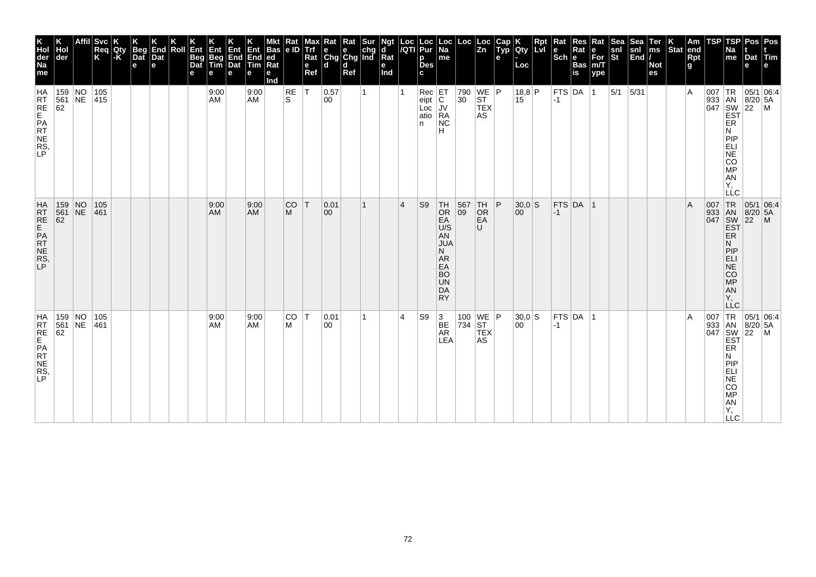| K<br>Hol<br>der<br>Na<br>me                   | der                          |    | Svc <br>Req<br>K | Qty<br>l-K | <b>Beg</b><br>Dat<br>e | End<br>Dat<br>e | Roll | Ent<br>Beg<br>Dat<br>е | Ent<br>Beg<br>Tim<br>е | Ent<br>End<br>Dat<br>e | Ent<br>End<br>Tim<br>е | Bas<br> ed<br>Ra<br>е<br>Ind | Rat<br> e D | Max<br><b>Trf</b><br>Rat<br>e<br>Ref | $\begin{array}{ l l }\n\hline\n\text{Rat} & \text{Rat} & \text{Sur} \\ \hline\n\text{e} & \text{e} & \text{chg} \\ \text{Chg} & \text{Chg} & \text{Ind}\n\end{array}$<br>ld. | d<br>Ref |    | Ngt<br>d<br>Rat<br>е<br>Ind | Loc<br>/QTI     | Loc<br>Pur<br>p<br><b>Des</b><br>C.                   | Loc<br> Na<br>me                                                                                            | Loc             | ∣ Loc<br>$\overline{z_n}$                  | Cap<br>Typ<br>e | Qty<br>Loc     | <b>Rpt</b><br>LM | Rat<br>le<br>$ \overline{\text{Sch}} $ e | Res<br>Rat<br><b>Bas</b><br>is | Rat<br>е<br>For<br>m/T<br>ype | <b>Sea</b><br>snl<br>St | Sea<br>snl<br>$\left \overline{\text{End}}\right $ | Ter<br>ms<br><b>Not</b><br>es | Stat end | Am<br>Rpt<br>g | TSP | <b>TSP</b><br>Na<br>me                                                          | Pos   Pos<br>Dat Tim<br>e                                                                                                                                                                                                                                                                                                                                                                                               |  |
|-----------------------------------------------|------------------------------|----|------------------|------------|------------------------|-----------------|------|------------------------|------------------------|------------------------|------------------------|------------------------------|-------------|--------------------------------------|------------------------------------------------------------------------------------------------------------------------------------------------------------------------------|----------|----|-----------------------------|-----------------|-------------------------------------------------------|-------------------------------------------------------------------------------------------------------------|-----------------|--------------------------------------------|-----------------|----------------|------------------|------------------------------------------|--------------------------------|-------------------------------|-------------------------|----------------------------------------------------|-------------------------------|----------|----------------|-----|---------------------------------------------------------------------------------|-------------------------------------------------------------------------------------------------------------------------------------------------------------------------------------------------------------------------------------------------------------------------------------------------------------------------------------------------------------------------------------------------------------------------|--|
| <b>HA</b><br>RRE<br>RE<br>PR<br>NE<br>RS<br>P | $159$ NO<br>561 NE 415<br>62 |    | 105              |            |                        |                 |      |                        | 9:00<br>AM             |                        | 9:00<br>AM             |                              | RE<br>S.    | lT.                                  | 0.57<br>00                                                                                                                                                                   |          | 1  |                             |                 | $Rec$ $ET$<br>$ $ eipt $ C $<br>Loc<br>$atio$ RA<br>n | JV<br><b>NC</b><br>H                                                                                        | 30 <sup>°</sup> | 790 WE P<br><b>ST</b><br><b>TEX</b><br>AS. |                 | 18,8 P<br>15   |                  | $ -1$                                    | FTS DA 1                       |                               | $5/1$ 5/31              |                                                    |                               |          | $\overline{A}$ |     | ER<br>N<br>PIP<br>ELI<br>NE<br>CO<br><b>MP</b><br>AN<br>Υ,<br><b>LLC</b>        | $\begin{array}{r} \n 1 \text{R} \\  333 \text{ AN} \\  047 \text{ SNW} \\  50 \text{ SY} \\  \text{EST} \\  \text{FP}\n \end{array}$                                                                                                                                                                                                                                                                                    |  |
| HRT<br>RE<br>PAT<br>NE<br>RS<br>P             | 159 NO<br>561<br>62          | NE | 105<br>461       |            |                        |                 |      |                        | 9:00<br>AM             |                        | 9:00<br><b>AM</b>      |                              | CO<br>M     | T                                    | 0.01<br>00                                                                                                                                                                   |          | 1  |                             | $\vert 4 \vert$ | S <sub>9</sub>                                        | $TH$<br>Or<br>EA<br>U/S<br>AN<br><b>JUA</b><br>N.<br>AR.<br>EA<br><b>BO</b><br><b>UN</b><br>DA<br><b>RY</b> | 567<br>09       | TH<br>OR<br>EA<br>$\cup$                   | P               | 30,0 S<br>00   |                  | $ -1 $                                   | $FTS$ DA $ 1$                  |                               |                         |                                                    |                               |          | $\overline{A}$ |     | ER<br>N.<br>PIP<br><b>ELI</b><br>NE<br><b>CO</b><br>MP<br>AN<br>Υ.<br>LLC       | 007 TR 05/1 06:4<br>933 AN 8/20 5A<br>047 SW 22 M<br>EST<br> 05/1 06:4                                                                                                                                                                                                                                                                                                                                                  |  |
| HA<br>RT<br>RE<br>PRT<br>NE<br>RS,<br>LP      | $159$ NO<br>561<br>62        | NE | 105<br>461       |            |                        |                 |      |                        | 9:00<br>AM             |                        | 9:00<br><b>AM</b>      |                              | CO<br>M     | İΤ                                   | 0.01<br>00                                                                                                                                                                   |          | 1. |                             | 4               | S9                                                    | 3<br>BE<br>AR<br>LEA                                                                                        | 734 ST          | 100   WE $ P $<br><b>TEX</b><br>AS         |                 | $30,0$ S<br>00 |                  | $-1$                                     | FTS DA 1                       |                               |                         |                                                    |                               |          | $\overline{A}$ |     | ER<br>N<br>PIP<br>ELI<br><b>NE</b><br>CO<br><b>MP</b><br>AN<br>Υ,<br><b>LLC</b> | $\begin{array}{r} \n 1 \text{ R} \\  33 \text{ and } \\  047 \text{ } \\  50 \text{ } \\  1047 \text{ } \\  1047 \text{ } \\  1047 \text{ } \\  1047 \text{ } \\  1047 \text{ } \\  1047 \text{ } \\  1047 \text{ } \\  1047 \text{ } \\  1047 \text{ } \\  1047 \text{ } \\  1047 \text{ } \\  1047 \text{ } \\  1047 \text{ } \\  1047 \text{ } \\  1047 \text{ } \\  1047 \text{ } \\  1047 \text{ } \\  1047 \text$ |  |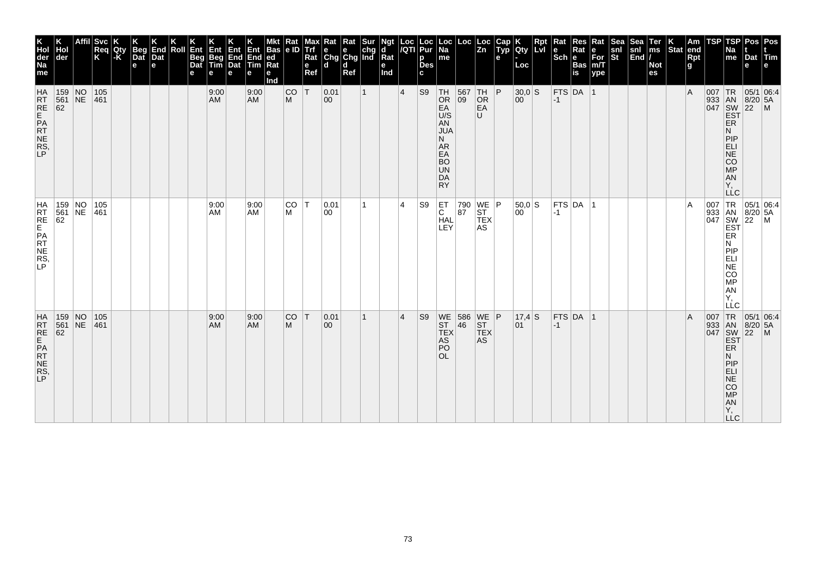| K<br>Hol<br>der<br>Na<br>me             | der                                                                |                 | <b>Svc</b><br>Req<br>K | Qty<br> -K | <b>Beg</b><br>$\overline{a}$<br>$\mathbf e$ | End<br>Dat<br>е | Roll | Ent<br><b>Beg</b><br>Dat<br>е | Ent<br>Beg<br>Tim<br>е | <b>Ent</b><br>End<br>Dat<br>e | Ent<br>End<br>Tim<br>е | <b>Bas</b><br>ed<br>Rat<br>е<br>Ind | Rat<br>le ID   | Max<br>Trf<br>Rat<br>e<br>Ref | Kat<br>$\begin{array}{ c c c }\n\hline\ne & e & chg \\ \hline\nChg & Chg & Ind\n\end{array}$<br>۱d | Rat<br>d<br>Ref | Sur          | Ngt<br>d<br>$\overline{\mathsf{R}}$ at<br>е<br>Ind | Loc<br>/QTI     | Loc<br>Pur<br>p<br><b>Des</b><br>C. | Loc  <br>Na<br>me                                                                                        | Loc                                                      | Loc<br> Zn                                | Cap<br>Typ<br>e | Qty<br>Loc   | Rpt<br>Lvl | Rat<br>Sch e Bas | Res<br>Rat    | Rat<br>For<br>m/T<br>ype | <b>Sea</b><br>snl<br>St | Sea<br>$\frac{\text{snl}}{\text{End}}$ | Ter<br>ms<br><b>Not</b><br>es | $ \text{Stat} $ | Am<br>end<br><b>Rpt</b><br>g | TSP | TSP<br>Na<br>me                                                                                                         | Pos   Pos<br>Dat Tim<br>e                                               |                                                                                                                                                                                                                                                                             |
|-----------------------------------------|--------------------------------------------------------------------|-----------------|------------------------|------------|---------------------------------------------|-----------------|------|-------------------------------|------------------------|-------------------------------|------------------------|-------------------------------------|----------------|-------------------------------|----------------------------------------------------------------------------------------------------|-----------------|--------------|----------------------------------------------------|-----------------|-------------------------------------|----------------------------------------------------------------------------------------------------------|----------------------------------------------------------|-------------------------------------------|-----------------|--------------|------------|------------------|---------------|--------------------------|-------------------------|----------------------------------------|-------------------------------|-----------------|------------------------------|-----|-------------------------------------------------------------------------------------------------------------------------|-------------------------------------------------------------------------|-----------------------------------------------------------------------------------------------------------------------------------------------------------------------------------------------------------------------------------------------------------------------------|
| HRT<br>RE<br>PRT<br>NE<br>RS<br>LP      | $\begin{array}{ c c c }\n159 & NO \\ 561 & NE \\ 62 & \end{array}$ |                 | 105<br>461             |            |                                             |                 |      |                               | 9:00<br>AM             |                               | 9:00<br><b>AM</b>      |                                     | <b>CO</b><br>M | İΤ                            | 0.01<br>00                                                                                         |                 | $\mathbf{1}$ |                                                    | $\vert 4 \vert$ | S <sub>9</sub>                      | TH<br>OR<br>EA<br>U/S<br>AN<br><b>JUA</b><br>N.<br>AR<br>EA<br><b>BO</b><br><b>UN</b><br>DA<br><b>RY</b> | $\begin{array}{ c c }\n567 & TH \\ 09 & OR\n\end{array}$ | EA<br>U                                   | P               | 30,0 S<br>00 |            | $-1$             | FTS DA 1      |                          |                         |                                        |                               |                 | $\overline{A}$               |     | ER<br>N<br>PIP<br>ELI<br>NE<br>CO<br><b>MP</b><br>AN<br>Υ.<br><b>LLC</b>                                                |                                                                         | $\begin{array}{r} \n 1R \n 05/1 \n 0.4 \n 0.4 \n 0.4 \n 0.4 \n 0.4 \n 0.4 \n 0.4 \n 0.4 \n 0.4 \n 0.4 \n 0.4 \n 0.4 \n 0.4 \n 0.4 \n 0.4 \n 0.4 \n 0.4 \n 0.4 \n 0.4 \n 0.4 \n 0.4 \n 0.4 \n 0.4 \n 0.4 \n 0.4 \n 0.4 \n 0.4 \n 0.4 \n 0.4 \n 0.4 \n 0.4 \n 0.4 \n 0.4 \n $ |
| HRT<br>RE<br>PRT<br>NE<br>NE<br>NE<br>P | 159 NO<br>561<br>62                                                | NE              | 105<br>461             |            |                                             |                 |      |                               | 9:00<br>AM             |                               | 9:00<br><b>AM</b>      |                                     | CO T<br>M      |                               | 0.01<br>00                                                                                         |                 | 1            |                                                    | 4               | S9                                  | $\overline{C}$<br><b>HAL</b><br>LEY                                                                      | 790<br>87                                                | $WE$ $P$<br><b>ST</b><br><b>TEX</b><br>AS |                 | 50,0 S<br>00 |            | $ -1 $           | FTS DA        | -1                       |                         |                                        |                               |                 | $\overline{A}$               |     | EST<br>ER<br>N.<br>PIP<br><b>ELI</b><br>NE<br>CO<br>MP<br>AN<br>Y,<br>LLC                                               | 007 TR 05/1 06:4<br>933 AN 8/20 5A<br>047 SW 22 M                       |                                                                                                                                                                                                                                                                             |
| HATRE<br>RTE<br>PATRE<br>RS,            | 159<br>$\begin{array}{r} 561 \\ 62 \end{array}$                    | $N_{\text{NE}}$ | 105<br>461             |            |                                             |                 |      |                               | 9:00<br>AM             |                               | 9:00<br><b>AM</b>      |                                     | <b>CO</b><br>M | İΤ                            | 0.01<br>$ 00\rangle$                                                                               |                 | 1            |                                                    | $\vert$ 4       | S <sub>9</sub>                      | WE<br>ST<br>TEX<br><b>AS</b><br>PO<br><b>OL</b>                                                          | $\begin{array}{ c c }\n 586 \\  46\n\end{array}$         | $WE$ $P$<br>ST<br>TEX<br>AS               |                 | 17,4 S<br>01 |            | $-1$             | $FTS$ DA $ 1$ |                          |                         |                                        |                               |                 | $\overline{A}$               | 007 | TR<br>933 AN<br>047 SW<br>EST<br>ER<br>N<br>PIP<br><b>ELI</b><br><b>NE</b><br>CO<br><b>MP</b><br><b>AN</b><br>Υ,<br>LLC | 05/1 06:4<br>$\begin{array}{ c c }\n 8/20 & 5A \\  22 & M\n\end{array}$ |                                                                                                                                                                                                                                                                             |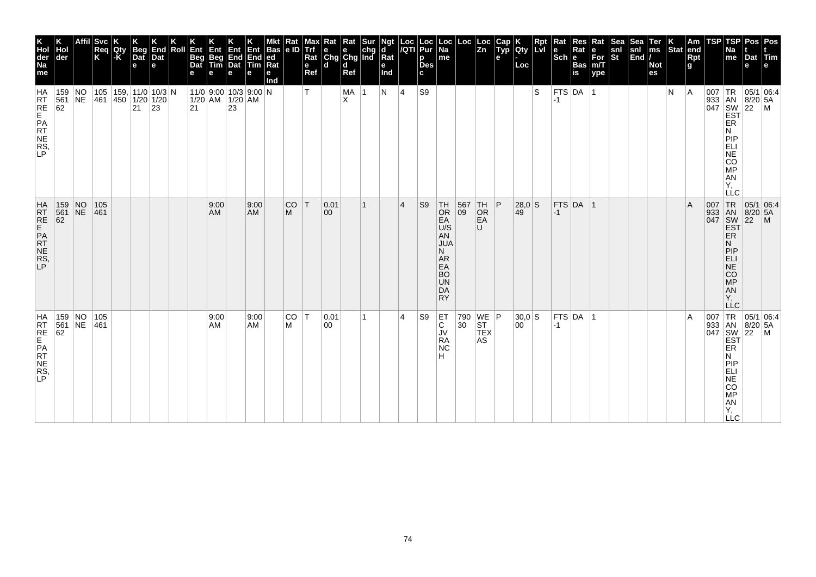| K<br>Hol<br>der<br>Na<br>me            | Hol<br>der                                                    | Affil Svc<br>Req<br>K | Qty<br>-K | <b>Beg</b><br>Dat<br>$\mathbf e$      | End<br>Dat<br>е | Roll | Ent<br><b>Beg</b><br>Dat<br>е | Ent<br>Beg<br>Tim | Ent<br>End<br>Dat<br>е                                                                              | Ent<br>End ed<br><b>Tim</b><br>е | <b>Bas</b><br>Rat<br>е<br>Ind | $\frac{Rat}{e}$ | Max<br>Trf<br>Rat<br>$\mathbf e$<br>Ref | $\begin{array}{c c}\n\textbf{R} & \textbf{R} \textbf{at} & \textbf{S} \textbf{ur} \\ \textbf{e} & \textbf{e} & \textbf{chg} \\ \textbf{Chg} & \textbf{Chg} & \textbf{Ind}\n\end{array}$<br>ld. | d<br>Ref  |   | Ngt<br>d<br>Rat<br>е<br>Ind |                | Loc  Loc<br><i> I</i> QTI  Pur<br>p<br><b>Des</b><br>c | Loc<br>  Na<br>me                                                                                          |                                                 | $\left  \begin{array}{c} \text{Loc} \\ \text{Zn} \end{array} \right $ | Cap<br>Typ<br>e | <b>Qty</b><br>Loc        | <b>Rpt</b><br><b>Lvi</b> | Rat<br>le.<br>$ \overline{\text{Sch}} e$ | <b>Res</b><br>Rat<br><b>Bas</b><br>$\overline{\mathbf{is}}$ | Rat<br>e<br>For<br>m/T<br>ype | Sea<br>snl<br>St | Sea<br>snl<br>End | Ter<br>ms<br><b>Not</b><br>es | $\left \begin{array}{c} K \\ \end{array}\right $ Stat end | <b>Rpt</b><br>g | TSP | TSP<br>Na<br>me                                                          | Dat<br>е | Pos Pos<br>Tim<br>e                                                                                                                                                                                      |
|----------------------------------------|---------------------------------------------------------------|-----------------------|-----------|---------------------------------------|-----------------|------|-------------------------------|-------------------|-----------------------------------------------------------------------------------------------------|----------------------------------|-------------------------------|-----------------|-----------------------------------------|------------------------------------------------------------------------------------------------------------------------------------------------------------------------------------------------|-----------|---|-----------------------------|----------------|--------------------------------------------------------|------------------------------------------------------------------------------------------------------------|-------------------------------------------------|-----------------------------------------------------------------------|-----------------|--------------------------|--------------------------|------------------------------------------|-------------------------------------------------------------|-------------------------------|------------------|-------------------|-------------------------------|-----------------------------------------------------------|-----------------|-----|--------------------------------------------------------------------------|----------|----------------------------------------------------------------------------------------------------------------------------------------------------------------------------------------------------------|
| HA<br>RRE<br>RE<br>PR<br>NE<br>RS<br>P | $159$ NO<br>561 NE<br>62                                      | 461 450 1/20 1/20     |           | 105   159,   11/0   10/3   N<br>21 23 |                 |      |                               |                   | $11/0$ 9:00 10/3 9:00 N<br>$\begin{array}{ c c c }\n1/20 & AM & 1/20 & AM \\ 21 & 23 & \end{array}$ |                                  |                               |                 | T.                                      |                                                                                                                                                                                                | MA 1<br>X |   | N                           | 4              | S9                                                     |                                                                                                            |                                                 |                                                                       |                 |                          | S                        | $-1$                                     | $FTS$ DA 1                                                  |                               |                  |                   |                               | N                                                         | A               |     | ER<br>N<br>PIP<br>ELI<br>NE<br>CO<br><b>MP</b><br>AN<br>Υ,<br><b>LLC</b> |          | $\begin{array}{c c}\n & R & 05/1 & 0.1 \\  & AB & 8/20 & 5A \\ \hline\n047 & 8W & 22 & M \\ \hline\nEBT & & & \n\end{array}$                                                                             |
| HRT<br>RE<br>PAT<br>NE<br>RS<br>LP     | 159 NO<br>561 NE<br>$\begin{vmatrix} 561 \\ 62 \end{vmatrix}$ | 105<br>461            |           |                                       |                 |      |                               | 9:00<br>AM        |                                                                                                     | 9:00<br><b>AM</b>                |                               | <b>CO</b><br>M  | T                                       | 0.01<br>$ 00\rangle$                                                                                                                                                                           |           | 1 |                             | $\overline{4}$ | S <sub>9</sub>                                         | $TH$<br>Or<br>EA<br>U/S<br>AN<br><b>JUA</b><br>N.<br>AR<br>EA<br><b>BO</b><br><b>UN</b><br>DA<br><b>RY</b> | $\begin{array}{ c} 567 \\[-4pt] 09 \end{array}$ | TH<br>OR<br>EA<br>U                                                   | P               | $28,0$ S<br>$ 49\rangle$ |                          | $ -1 $                                   | $FTS$ DA 1                                                  |                               |                  |                   |                               |                                                           | ΙA              |     | N<br>PIP<br><b>ELI</b><br>NE <sup></sup><br>CO<br>MP<br>AN<br>Y,         |          | $\begin{array}{c c}\n & \text{LC} \\  & \text{TR} & 05/1 \text{ Ub.} \\  & \text{J33} & \text{BN} & 8/20 \text{ 5A} \\  & \text{SW} & 22 \text{ 1M} \\  & \text{EST} & \text{ER}\n\end{array}$           |
| HA<br>RRE<br>RE<br>PR<br>NE<br>RS<br>P | 159 NO<br>561 NE<br>62                                        | 105<br> 461           |           |                                       |                 |      |                               | 9:00<br>AM        |                                                                                                     | 9:00<br>AM                       |                               | <b>CO</b><br>M  | T                                       | 0.01<br>$ 00\rangle$                                                                                                                                                                           |           | 1 |                             | $\overline{4}$ | S9                                                     | ET.<br>C<br>JV<br>RA<br><b>NC</b><br>н                                                                     | 30 <sup>7</sup>                                 | 790 WE P<br><b>ST</b><br><b>TEX</b><br>AS                             |                 | $30,0$ S<br>00           |                          | $-1$                                     | $FTS$ DA $ 1$                                               |                               |                  |                   |                               |                                                           | ΙA              |     | ER<br>Ν<br>PIP<br>ELI<br>NE<br>CO<br>MP<br>AN<br>Y,<br><b>LLC</b>        |          | $\begin{array}{c c}\n & C \\ \hline\n & \downarrow \text{TR} & 05/1 & 06:4 \\ \hline\n & 933 & \text{AN} & 8/20 & 5/106 \\  & 047 & \text{SW} & 22 & 5/106 \\  & \text{EST} & \text{ER} & & \end{array}$ |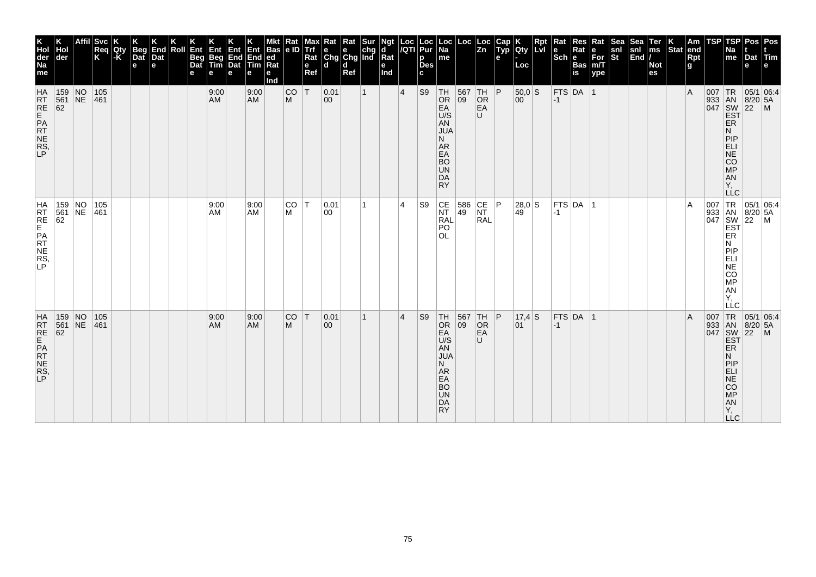| K<br>Hol<br>der<br>Na<br>me             | der                                                                |                 | <b>Svc</b><br>Req<br>K | Qty<br> -K | <b>Beg</b><br>$\overline{a}$<br>$\mathbf e$ | End<br>Dat<br>е | Roll | Ent<br><b>Beg</b><br>Dat<br>е | Ent<br>Beg<br>Tim<br>е | <b>Ent</b><br>End<br>Dat<br>e | Ent<br>End<br>Tim<br>е | <b>Bas</b><br>ed<br>Rat<br>е<br>Ind | Rat<br>le ID   | Max<br>Trf<br>Rat<br>e<br>Ref | Rat<br>e<br>Chg Chg Ind<br>۱d | Rat<br>d<br>Ref | Sur          | Ngt<br>d<br>$\overline{\mathsf{R}}$ at<br>е<br>Ind | Loc<br>/QTI     | Loc<br>Pur<br>p<br><b>Des</b><br>C. | Loc  <br>Na<br>me                                                                                                     | Loc                                                      | Loc<br> Zn                                                               | Cap<br>Typ<br>e | Qty<br>Loc             | Rpt<br>Lvl | Rat<br>Sch e Bas | Res<br>Rat    | Rat<br>For<br>m/T<br>ype | Sea<br>snl<br>St | <b>Sea</b><br>$\frac{\text{snl}}{\text{End}}$ | Ter<br>ms<br><b>Not</b><br>es | $ \text{Stat} $ | Am<br>end<br>Rpt<br>g | TSP | TSP<br>Na<br>me                                                                                                              | Pos   Pos<br>Dat Tim<br>e                                               |                                                                                                                                                                                                                                                                             |
|-----------------------------------------|--------------------------------------------------------------------|-----------------|------------------------|------------|---------------------------------------------|-----------------|------|-------------------------------|------------------------|-------------------------------|------------------------|-------------------------------------|----------------|-------------------------------|-------------------------------|-----------------|--------------|----------------------------------------------------|-----------------|-------------------------------------|-----------------------------------------------------------------------------------------------------------------------|----------------------------------------------------------|--------------------------------------------------------------------------|-----------------|------------------------|------------|------------------|---------------|--------------------------|------------------|-----------------------------------------------|-------------------------------|-----------------|-----------------------|-----|------------------------------------------------------------------------------------------------------------------------------|-------------------------------------------------------------------------|-----------------------------------------------------------------------------------------------------------------------------------------------------------------------------------------------------------------------------------------------------------------------------|
| HATRE<br>REPATE<br>RNERS,               | $\begin{array}{ c c c }\n159 & NO \\ 561 & NE \\ 62 & \end{array}$ |                 | 105<br> 461            |            |                                             |                 |      |                               | 9:00<br>AM             |                               | 9:00<br><b>AM</b>      |                                     | <b>CO</b><br>M | İΤ                            | 0.01<br>00                    |                 | $\mathbf{1}$ |                                                    | $\vert 4 \vert$ | S <sub>9</sub>                      | TH<br><b>OR</b><br>EA<br>U/S<br>AN<br><b>JUA</b><br>N.<br>AR<br>EA<br><b>BO</b><br><b>UN</b><br>DA<br><b>RY</b>       | $\begin{array}{ c c }\n567 & TH \\ 09 & OR\n\end{array}$ | EA<br>U                                                                  | P               | $50,0$ S<br>00         |            | $-1$             | FTS DA 1      |                          |                  |                                               |                               |                 | $\overline{A}$        |     | ER<br>Ν<br>PIP<br>ELI<br>NE<br><b>CO</b><br><b>MP</b><br>AN<br>Υ.<br><b>LLC</b>                                              |                                                                         | $\begin{array}{r} \n 1R \n 05/1 \n 0.4 \n 0.4 \n 0.4 \n 0.4 \n 0.4 \n 0.4 \n 0.4 \n 0.4 \n 0.4 \n 0.4 \n 0.4 \n 0.4 \n 0.4 \n 0.4 \n 0.4 \n 0.4 \n 0.4 \n 0.4 \n 0.4 \n 0.4 \n 0.4 \n 0.4 \n 0.4 \n 0.4 \n 0.4 \n 0.4 \n 0.4 \n 0.4 \n 0.4 \n 0.4 \n 0.4 \n 0.4 \n 0.4 \n $ |
| HRT<br>RE<br>PRT<br>NE<br>NE<br>NE<br>P | 159 NO<br>561<br>62                                                | NE              | 105<br>461             |            |                                             |                 |      |                               | 9:00<br>AM             |                               | 9:00<br><b>AM</b>      |                                     | CO T<br>M      |                               | 0.01<br>00                    |                 | 1            |                                                    | 4               | S9                                  | CE<br><b>NT</b><br>RAL<br>PO<br>OL.                                                                                   | 586<br>49                                                | $\begin{array}{c} \n\text{CE} \\ \text{NT}\n\end{array}$ P<br><b>RAL</b> |                 | 28,0 S<br>$ 49\rangle$ |            | $ -1 $           | FTS DA        | -1                       |                  |                                               |                               |                 | $\overline{A}$        |     | <b>EST</b><br>ER<br>N.<br>PIP<br>ELI<br>NGC<br>MP<br>AN<br>Y,<br>LLC                                                         | 007 TR 05/1 06:4<br>933 AN 8/20 5A<br>047 SW 22 M                       |                                                                                                                                                                                                                                                                             |
| HATRE<br>RTE<br>PATRE<br>RS,            | 159<br>$\begin{array}{r} 561 \\ 62 \end{array}$                    | $N_{\text{NE}}$ | 105<br> 461            |            |                                             |                 |      |                               | 9:00<br>AM             |                               | 9:00<br><b>AM</b>      |                                     | <b>CO</b><br>M | İΤ                            | 0.01<br>$ 00\rangle$          |                 | 1            |                                                    | $\vert$ 4       | S <sub>9</sub>                      | ∣TH<br>OR<br>EA <sup></sup><br>U/S<br>AN<br><b>JUA</b><br>N.<br>AR<br>EA<br><b>BO</b><br><b>UN</b><br>DA<br><b>RY</b> | 567<br>09                                                | TH<br>OR<br>EA<br>U                                                      | P               | 17,4 S<br>01           |            | $ -1 $           | $FTS$ DA $ 1$ |                          |                  |                                               |                               |                 | $\overline{A}$        | 007 | TR<br>933 AN<br>047 SW<br>EST<br>ER<br>N<br>PIP<br><b>ELI</b><br><b>NE</b><br>CO<br><b>MP</b><br>A <sub>N</sub><br>Υ,<br>LLC | 05/1 06:4<br>$\begin{array}{ c c }\n 8/20 & 5A \\  22 & M\n\end{array}$ |                                                                                                                                                                                                                                                                             |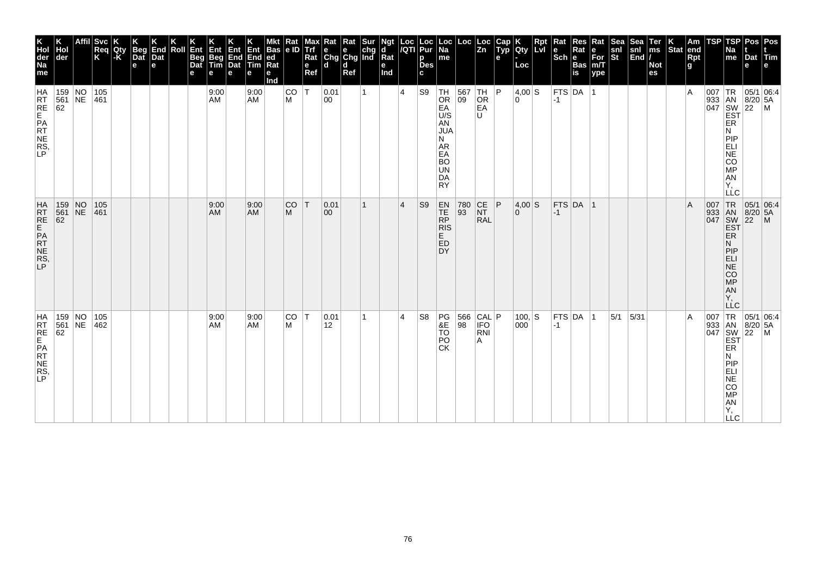| K<br>Hol<br>der<br>Na<br>me        | der                                                                 |                 | <b>Svc</b><br>Req<br>K | Qty<br>-K | Beg<br>Dat<br>$\mathbf e$ | End<br>Dat<br>e | Roll | Ent<br>Beg<br>Dat<br>е | Ent<br>Beg<br>Tim<br>е | Ent<br>End<br>Dat<br>e | Ent<br>End<br>Tim<br>е | <b>Bas</b><br>ed<br>Rat<br>е<br>Ind | Rat<br>le ID | Max<br>Trf<br>Rat<br>$\mathbf{e}$<br>Ref | Rat Rat Sur<br>e e chg<br>Chg Chg Ind<br>ld. | d<br>Ref |    | Ngt<br>d<br>$\bar{R}$ at<br>е<br>Ind | Loc<br>/QTI | Loc<br>Pur<br>p<br><b>Des</b><br>C. | Loc  <br>Na<br>me                                                                                        | Loc                 | Loc<br>Zn              | Cap<br>Typ<br>$\mathbf{e}$ | Qty<br>Loc      | <b>Rpt</b><br>Lvl | Rat<br>$\left \begin{smallmatrix} \mathbf{e} \ \mathbf{Sch} \ \mathbf{e} \end{smallmatrix}\right $ $\mathbf{e}$ | Res<br>Rat<br>Bas<br>is | Rat<br>е<br>For<br>m/T<br>ype | Sea<br>snl<br>St | Sea<br>$\frac{\text{snl}}{\text{End}}$ | Ter<br>ms<br><b>Not</b><br>es | $ \text{Stat} $ | Am<br>end<br>Rpt<br>g | TSP | TSP<br>Na<br>me                                                                                                              | Pos Pos<br>Dat<br>e                                                                        | <b>Altrim</b>                                                                                                                             |
|------------------------------------|---------------------------------------------------------------------|-----------------|------------------------|-----------|---------------------------|-----------------|------|------------------------|------------------------|------------------------|------------------------|-------------------------------------|--------------|------------------------------------------|----------------------------------------------|----------|----|--------------------------------------|-------------|-------------------------------------|----------------------------------------------------------------------------------------------------------|---------------------|------------------------|----------------------------|-----------------|-------------------|-----------------------------------------------------------------------------------------------------------------|-------------------------|-------------------------------|------------------|----------------------------------------|-------------------------------|-----------------|-----------------------|-----|------------------------------------------------------------------------------------------------------------------------------|--------------------------------------------------------------------------------------------|-------------------------------------------------------------------------------------------------------------------------------------------|
| HRT<br>RE<br>PRT<br>NE<br>RS<br>P  | $\begin{array}{ c c c }\n 159 & NO \\  561 & NE\n\end{array}$<br>62 |                 | 105<br>461             |           |                           |                 |      |                        | 9:00<br>AM             |                        | 9:00<br>AM             |                                     | CO<br>M      | ΙT                                       | 0.01<br>00                                   |          | 1  |                                      | 4           | S9                                  | $ TH $ OR<br>EA<br>U/S<br>AN<br><b>JUA</b><br>N<br>AR<br>EA<br><b>BO</b><br><b>UN</b><br>DA<br><b>RY</b> | 567 TH<br>09 OR     | OR<br>EA<br>U          | P                          | 4,00 S<br>0 I   |                   | <b>FTS DA</b><br>$-1$                                                                                           |                         |                               |                  |                                        |                               |                 | $\overline{A}$        |     | ER<br>N<br>PIP<br>ELI<br>NE<br>CO<br>MP<br>AN<br>Υ,<br>LLC                                                                   |                                                                                            | $\begin{array}{c c}\n 33 & 18 & 05/1 & 0. \\  33 & 18 & 8/20 & 5A \\  047 & 8W & 22 & M \\  \hline\n 55 & 1 & 0. \\  \hline\n\end{array}$ |
| HATRE<br>REPATE<br>REPATE<br>RS, P | 159<br>561<br>62                                                    | $N_{\text{NE}}$ | 105<br>461             |           |                           |                 |      |                        | 9:00<br>AM             |                        | 9:00<br><b>AM</b>      |                                     | CO<br>M      | T                                        | 0.01<br>$ 00\rangle$                         |          | 1  |                                      | 4           | S <sub>9</sub>                      | $EN$<br>TE<br>$R\bar{P}$<br><b>RIS</b><br>E.<br>ED<br>DY                                                 | 780<br>93           | CE<br>NT<br><b>RAL</b> | P                          | 4,00 S<br>0     |                   | $-1$                                                                                                            | $FTS$ DA $ 1$           |                               |                  |                                        |                               |                 | $\overline{A}$        |     | 007 TR<br>933 AN<br>047 SW<br>EST<br><b>ER</b><br>N<br>PIP<br><b>ELI</b><br>$N\bar{E}$<br>CO<br>MP<br>AN<br>Υ.<br><b>LLC</b> | $\begin{array}{ c c c }\n\hline\n95/1 & 06:4 \\ 8/20 & 5A\n\end{array}$<br>$\overline{22}$ | $\mathsf{M}$                                                                                                                              |
| HRTE<br>FREPATTES,                 | $\begin{array}{ c c c }\n 159 & NO \\  561 & NE\n\end{array}$<br>62 |                 | 105<br>462             |           |                           |                 |      |                        | 9:00<br>AM             |                        | 9:00<br><b>AM</b>      |                                     | CO<br>M      | İΤ                                       | 0.01<br>12                                   |          | 1. |                                      | 4           | S <sub>8</sub>                      | PG<br>&E<br>Τō<br>PO<br><b>CK</b>                                                                        | 566 CAL P<br>98 IFO | RNI<br>Α               |                            | $100,$ S<br>000 |                   | $ -1$                                                                                                           | FTS DA 1                |                               | 5/1              | 5/31                                   |                               |                 | $\overline{A}$        |     | ER<br>N<br>PIP<br>ELI<br><b>NE</b><br><b>CO</b><br>MP<br>AN<br>Y,<br><b>LLC</b>                                              |                                                                                            | 007 TR 05/1 06:4<br>933 AN 8/20 5A<br>047 SW 22 M<br>EST                                                                                  |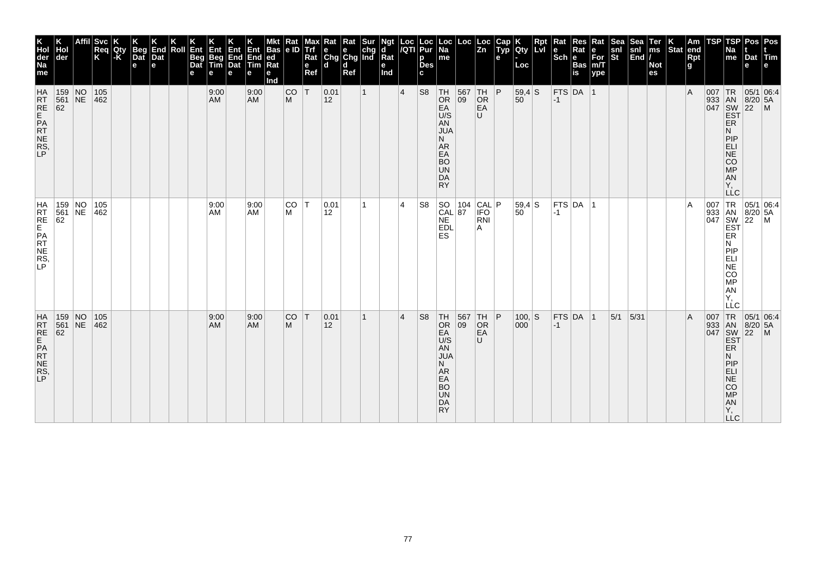| K<br>Hol<br>der<br>Na<br>me             | der                                                                |                 | <b>Svc</b><br>Req<br>K | Qty<br> -K | <b>Beg</b><br>$\overline{a}$<br>e | End<br>Dat<br>е | Roll | Ent<br><b>Beg</b><br>Dat<br>е | Ent<br>Beg<br>Tim<br>е | <b>Ent</b><br>End<br>Dat<br>e | Ent<br>End<br>Tim<br>е | <b>Bas</b><br>ed<br>Rat<br>е<br>Ind | Rat<br>le ID   | Max<br>Trf<br>Rat<br>e<br>Ref | Kat<br>e<br>Chg Chg Ind<br>۱d | Rat<br>d<br>Ref | Sur          | Ngt<br>d<br>$\overline{\mathsf{R}}$ at<br>е<br>Ind | Loc<br>/QTI     | Loc<br>Pur<br>p<br><b>Des</b><br>C. | Loc  <br>Na<br>me                                                                                                    | Loc                                                      | Loc<br> Zn                      | <b>Cap</b><br>Typ<br>e | Qty<br>Loc      | Rpt<br>Lvl | Rat<br>Scheens     | Res<br>Rat | Rat<br>For<br>m/T<br>ype | <b>Sea</b><br>snl<br>St | <b>Sea</b><br>$\left \frac{\mathsf{snl}}{\mathsf{End}}\right $ | Ter<br>ms<br><b>Not</b><br>es | $ \text{Stat} $ | Am<br>end<br><b>Rpt</b><br>g | TSP | TSP<br>Na<br>me                                                                                                                                                     | Pos Pos<br>Dat Tim<br>e                                                 |                                                                                                                                                                                                                                                                             |
|-----------------------------------------|--------------------------------------------------------------------|-----------------|------------------------|------------|-----------------------------------|-----------------|------|-------------------------------|------------------------|-------------------------------|------------------------|-------------------------------------|----------------|-------------------------------|-------------------------------|-----------------|--------------|----------------------------------------------------|-----------------|-------------------------------------|----------------------------------------------------------------------------------------------------------------------|----------------------------------------------------------|---------------------------------|------------------------|-----------------|------------|--------------------|------------|--------------------------|-------------------------|----------------------------------------------------------------|-------------------------------|-----------------|------------------------------|-----|---------------------------------------------------------------------------------------------------------------------------------------------------------------------|-------------------------------------------------------------------------|-----------------------------------------------------------------------------------------------------------------------------------------------------------------------------------------------------------------------------------------------------------------------------|
| HATRE<br>REPATE<br>RNERS,               | $\begin{array}{ c c c }\n159 & NO \\ 561 & NE \\ 62 & \end{array}$ |                 | $105$<br>462           |            |                                   |                 |      |                               | 9:00<br>AM             |                               | 9:00<br><b>AM</b>      |                                     | <b>CO</b><br>M | İΤ                            | 0.01<br>12                    |                 | $\mathbf{1}$ |                                                    | $\vert 4 \vert$ | S <sub>8</sub>                      | TH<br><b>OR</b><br>EA<br>U/S<br>AN<br><b>JUA</b><br>N.<br>AR<br>EA<br><b>BO</b><br><b>UN</b><br>DA<br><b>RY</b>      | $\begin{array}{ c c }\n567 & TH \\ 09 & OR\n\end{array}$ | EA<br>U                         | P                      | $59,4$ S<br>50  |            | $-1$               | FTS DA 1   |                          |                         |                                                                |                               |                 | $\overline{A}$               |     | ER<br>Ν<br>PIP<br>ELI<br>NE<br><b>CO</b><br><b>MP</b><br>AN<br>Υ.<br><b>LLC</b>                                                                                     |                                                                         | $\begin{array}{r} \n 1R \n 05/1 \n 0.4 \n 0.4 \n 0.4 \n 0.4 \n 0.4 \n 0.4 \n 0.4 \n 0.4 \n 0.4 \n 0.4 \n 0.4 \n 0.4 \n 0.4 \n 0.4 \n 0.4 \n 0.4 \n 0.4 \n 0.4 \n 0.4 \n 0.4 \n 0.4 \n 0.4 \n 0.4 \n 0.4 \n 0.4 \n 0.4 \n 0.4 \n 0.4 \n 0.4 \n 0.4 \n 0.4 \n 0.4 \n 0.4 \n $ |
| HRT<br>RE<br>PRT<br>NE<br>NE<br>NE<br>P | 159 NO<br>561 NE<br>62                                             |                 | 105<br>462             |            |                                   |                 |      |                               | 9:00<br>AM             |                               | 9:00<br><b>AM</b>      |                                     | CO T<br>M      |                               | 0.01<br>12                    |                 | 1            |                                                    | 4               | S <sub>8</sub>                      | SO 104<br>CAL 87<br><b>NE</b><br><b>EDL</b><br><b>ES</b>                                                             |                                                          | CAL P<br><b>IFO</b><br>RNI<br>A |                        | 59,4 S<br>50    |            | $ -1 $             | FTS DA     | -1                       |                         |                                                                |                               |                 | $\overline{A}$               |     | <b>EST</b><br>ER<br>N.<br>PIP<br>ELI<br>NGC<br>MP<br>AN<br>Y,<br>LLC                                                                                                | 007 TR 05/1 06:4<br>933 AN 8/20 5A<br>047 SW 22 M                       |                                                                                                                                                                                                                                                                             |
| HATRE<br>RTE<br>PATRE<br>RS,            | 159<br>$\begin{array}{r} 561 \\ 62 \end{array}$                    | $N_{\text{NE}}$ | 105<br>462             |            |                                   |                 |      |                               | 9:00<br><b>AM</b>      |                               | 9:00<br><b>AM</b>      |                                     | <b>CO</b><br>M | İΤ                            | 0.01<br>$ 12\rangle$          |                 | 1            |                                                    | 4               | S <sub>8</sub>                      | TH<br>OR<br>EA <sup></sup><br>U/S<br>AN<br><b>JUA</b><br>N.<br>AR<br>EA<br><b>BO</b><br><b>UN</b><br>DA<br><b>RY</b> | 567<br>09                                                | TH<br>OR<br>EA<br>U             | P                      | $100,$ S<br>000 |            | $FTS$ DA<br>$ -1 $ |            | $\vert$ 1                | 5/1                     | 5/31                                                           |                               |                 | $\overline{A}$               | 007 | TR<br>$\begin{array}{c c}\n 933 & AN \\  047 & SW \\  \hline\n \end{array}$<br>ER<br>N<br>PIP<br>ELI<br><b>NE</b><br>CO<br><b>MP</b><br>A <sub>N</sub><br>Υ,<br>LLC | 05/1 06:4<br>$\begin{array}{ c c }\n 8/20 & 5A \\  22 & M\n\end{array}$ |                                                                                                                                                                                                                                                                             |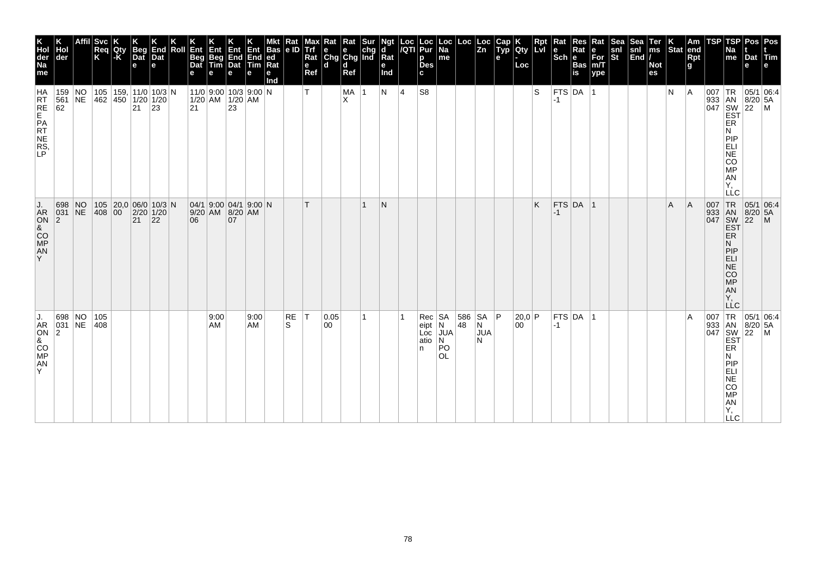| K<br>Hol<br>der<br>Na<br>me             | der                                 | Affil | Svc.<br>Req<br>K  | Qty<br>l-K | <b>Beg</b><br>Dat<br>e | End<br>Dat<br>e                                     | Roll | Ent<br>Beg<br>Dat<br>е | Ent<br>Beg<br>Tim                                                                                                   | 何<br>End End<br>Dat Tim<br>e | Ent<br>е   | Bas<br> ed<br>$\overline{\text{Rat}}$<br>е<br>Ind | Kat<br> e D    | viax<br>Trf<br>Rat<br>e<br>Ref | Rat<br>$\begin{array}{ c c c }\n\hline\ne & e & chg \\ \hline\nChg & Chg & Ind\n\end{array}$<br>$\mathbf d$ | Rat<br>ld.<br>Ref |              | Ngt<br>d<br>$\overline{\mathsf{R}}$ at<br>е<br>Ind |   | Loc  Loc<br><i> I</i> QTI  Pur<br>p<br>Des<br>c | Loc<br>Na<br>me                                | Loc            | Loc<br> Zn           | <b>AUD</b><br>е | K<br>Qty<br>Loc | <b>Rpt</b><br>LVI | Rat<br>$Sch$ e | $\sf Res$<br>Rat<br>Bas<br>İs | Rat<br>$\begin{array}{c} e \\ \text{For} \\ \text{m/T} \end{array}$<br>ype | snl<br>St | $\begin{vmatrix} \text{snl} \\ \text{End} \end{vmatrix}$ | Ter<br>ms<br><b>Not</b><br>es | $\vert_{\text{Stat}}^{\text{K}}$ | Am<br>end<br><b>Rpt</b><br>$\mathbf{g}$ | <b>TSP</b>                        | <b>TSP</b><br>Na<br>me                                                          | Pos<br>Dat Tim<br>e                                                                                                 | Pos<br>le.                                                                 |
|-----------------------------------------|-------------------------------------|-------|-------------------|------------|------------------------|-----------------------------------------------------|------|------------------------|---------------------------------------------------------------------------------------------------------------------|------------------------------|------------|---------------------------------------------------|----------------|--------------------------------|-------------------------------------------------------------------------------------------------------------|-------------------|--------------|----------------------------------------------------|---|-------------------------------------------------|------------------------------------------------|----------------|----------------------|-----------------|-----------------|-------------------|----------------|-------------------------------|----------------------------------------------------------------------------|-----------|----------------------------------------------------------|-------------------------------|----------------------------------|-----------------------------------------|-----------------------------------|---------------------------------------------------------------------------------|---------------------------------------------------------------------------------------------------------------------|----------------------------------------------------------------------------|
| HA<br>RT<br>RE<br>PRT<br>NE<br>RS<br>LP | $159$ NO<br>561 NE<br>62            |       | 462 450 1/20 1/20 |            | 21 23                  | 105   159,   11/0   10/3   N                        |      |                        | $11/0$ 9:00 10/3 9:00 N<br>$\begin{array}{ c c c }\n\hline\n1/20 & AM & 1/20 & AM \\ 21 & 23 & \hline\n\end{array}$ |                              |            |                                                   |                | т                              |                                                                                                             | MA 1<br>X         |              | N                                                  | 4 | S8                                              |                                                |                |                      |                 |                 | l S               | $-1$           | $FTS$ DA $ 1$                 |                                                                            |           |                                                          |                               | N                                | A                                       |                                   | ER<br>N<br>PIP<br><b>ELI</b><br>NE<br>CO<br>MP<br>ÄN<br>Ϋ,<br><b>LLC</b>        | 05/1 06:4<br>$\begin{array}{r l}\n 933 & \n 1 & 8/20 & 5, \\  1 & 8 & 8/20 & 5, \\  047 & 1 & 22 & 5\n \end{array}$ |                                                                            |
| AR<br>ON<br>&<br>CO<br>MP<br>AN<br>Y    | 698 NO<br>031 NE<br>$\overline{2}$  |       | 408 00            |            | 21                     | 105 20,0 06/0 10/3 N<br>$2/20$ 1/20<br>$ 22\rangle$ |      | 06                     | 04/1 9.00 04/1 9.00 N<br>9/20 AM 8/20 AM                                                                            | 07                           |            |                                                   |                | т                              |                                                                                                             |                   | $\mathbf{1}$ | N                                                  |   |                                                 |                                                |                |                      |                 |                 | Κ                 | -1             | $FTS$ DA 1                    |                                                                            |           |                                                          |                               | A                                | A                                       | 007 TR<br>933 AN<br>047 SW<br>EST | <b>ER</b><br>N<br>PIP<br><b>ELI</b><br>NE<br>CO<br>MP<br>AN<br>Y,<br><b>LLC</b> |                                                                                                                     | $\begin{array}{ c c }\n 05/1 & 06:4 \\  8/20 & 5A \\  22 & M\n\end{array}$ |
| AR<br>ON<br>&<br>CO<br>MP<br>AN<br>Y    | 698 NO<br>031 NE 408<br>$ 2\rangle$ |       | 105               |            |                        |                                                     |      |                        | 9:00<br>AM                                                                                                          |                              | 9:00<br>AM |                                                   | <b>RE</b><br>S | T                              | 0.05<br>00                                                                                                  |                   | $\mathbf{1}$ |                                                    |   | Rec SA<br>eipt<br>Loc<br>atio<br>n.             | N<br><b>JUA</b><br>N<br><b>PO</b><br><b>OL</b> | 586 SA P<br>48 | N<br><b>JUA</b><br>N |                 | 20.0 P<br>00    |                   | $-1$           | FTS DA 1                      |                                                                            |           |                                                          |                               |                                  | ΙA                                      | 007 TR<br>933 AN<br>047 SW<br>EST | ER<br>PIP<br>ELI<br><b>NE</b><br>CO<br><b>MP</b><br>AN<br>Y,<br>$\Box$ C        | $8/20$ 5A<br>$ 22 \degree$ M                                                                                        | 05/1 06:4                                                                  |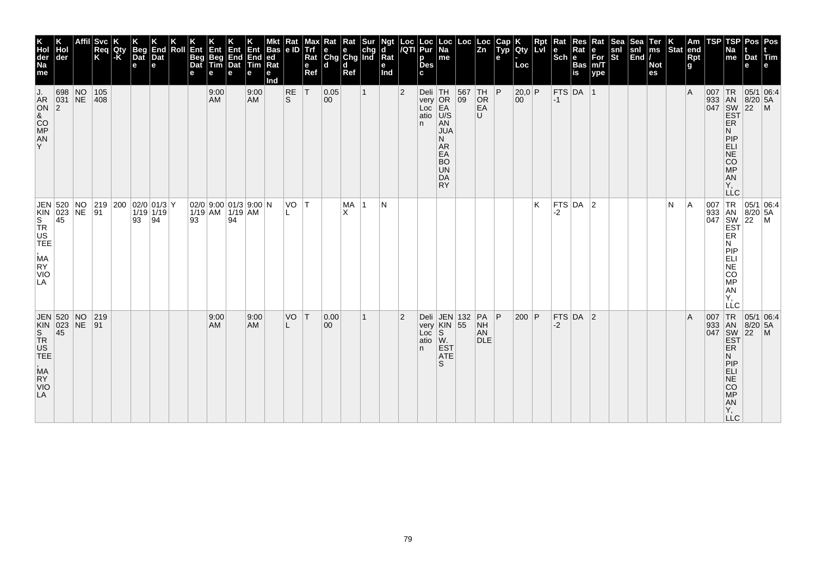| K<br>Hol<br>der<br>Na<br>me                                                                | Hol<br>der                 | <b>Svc</b><br>Req<br>K | Qty<br>$-K$ | Beg<br>Dat<br>e | End<br>Dat<br>e                           | Roll | Ent<br>Beg<br>Dat<br>е | Ent<br>Beg<br>Tim<br>e | Ent<br>End<br>Dat<br>е | Ent<br>End<br>Tim<br>е  | Bas<br> ed<br>Ra<br>е<br>Ind | Rat<br> e D | мах<br><b>Trf</b><br>Rat<br>e<br>Ref | Rat<br>$\begin{array}{ c c c }\n\hline\ne & e & chg \\ Chg & Chg & Ind\n\end{array}$<br>l d | Rat<br>d<br>Ref | <b>Sur</b>   | Ngt<br>d<br>Rat<br>е<br>Ind | Loc<br>/QTI    | Loc<br>Pur<br>p<br><b>Des</b><br>C.       | ∣ Loc<br>$\overline{Na}$<br>me                                                                                        | Loc | Loc<br>$\overline{z}$ <sub>n</sub>         | Cap<br>Typ<br>е | Qty<br>Loc             | Rpt<br><u> Lvi</u> | Rat<br>le<br>$ \mathsf{Sch} $ e | Res<br>Rat<br><b>Bas</b><br>is | Rat<br>e<br>For<br>m/T<br>ype | Sea<br>snl<br>St | Sea<br>snl<br>End | Ter<br>ms<br><b>Not</b><br>es | $\left \begin{array}{c} K \\ \text{Stat} \end{array}\right $ am | Rpt<br>g | TSP | TSP<br>Na<br>me                                                                                      | Dat<br>е                                                                                                  | Pos Pos<br>Tim                 |
|--------------------------------------------------------------------------------------------|----------------------------|------------------------|-------------|-----------------|-------------------------------------------|------|------------------------|------------------------|------------------------|-------------------------|------------------------------|-------------|--------------------------------------|---------------------------------------------------------------------------------------------|-----------------|--------------|-----------------------------|----------------|-------------------------------------------|-----------------------------------------------------------------------------------------------------------------------|-----|--------------------------------------------|-----------------|------------------------|--------------------|---------------------------------|--------------------------------|-------------------------------|------------------|-------------------|-------------------------------|-----------------------------------------------------------------|----------|-----|------------------------------------------------------------------------------------------------------|-----------------------------------------------------------------------------------------------------------|--------------------------------|
| J.<br>AR<br>ON<br>&<br>CO<br>AN<br>AN<br>Y                                                 | 698 NO<br>$ 031 $ NE<br> 2 | 105<br>$ 408\rangle$   |             |                 |                                           |      |                        | 9:00<br><b>AM</b>      |                        | 9:00<br><b>AM</b>       |                              | RE<br>ls.   | T                                    | 0.05<br>$ 00\rangle$                                                                        |                 | $\mathbf{1}$ |                             | $\overline{2}$ | Deli TH<br>$very$ OR<br>Loc<br>atio<br>n. | EA<br>U/S<br><b>AN</b><br><b>JUA</b><br>N.<br>AR<br>EA<br><b>BO</b><br><b>UN</b><br>DA<br><b>RY</b>                   | 09  | 567 TH P<br>OR<br>EA<br>U                  |                 | 20,0 P<br>$ 00\rangle$ |                    | $-1$                            | $FTS$ DA 1                     |                               |                  |                   |                               |                                                                 | l A      | 007 | 933 AN 8/20<br>047 SW 22<br>EST<br>ER<br>N<br>PIP<br>ELI<br>NE<br>CO<br>MP<br>AN<br>Υ.<br><b>LLC</b> | $8/20$ 5A                                                                                                 | $TR$ 05/1 06:4<br>$\mathsf{M}$ |
| JEN 520 NO 219<br>KIN 023 NE 91<br>S 45<br>TR<br>US<br>TEE<br>MA<br>RY<br><b>VIO</b><br>LA |                            |                        |             | 93              | 219 200 02/0 01/3 Y<br>$1/19$ 1/19<br> 94 |      | 93                     | $1/19$ AM $1/19$ AM    | 94                     | $02/0$ 9:00 01/3 9:00 N |                              | VO T        |                                      |                                                                                             | MA<br>X         | 1            | N                           |                |                                           |                                                                                                                       |     |                                            |                 |                        | K                  | $-2$                            | FTS DA 2                       |                               |                  |                   |                               | N                                                               | l A      | 007 | TR<br>933 AN 8/20<br>047 SW 22<br>EST ER<br>N<br>PIP<br>NE<br>CO<br>MP<br>AN<br>Ÿ,<br>LLC            | 05/1 06:4<br>$8/20$ 5A                                                                                    | M                              |
| <b>EN 023 NE<br/> S<br/> S<br/> TR<br/> US<br/> TEE</b><br>MA<br>RY<br><b>VIO</b><br>LA    | JEN 520 NO                 | $ 219\rangle$<br> 91   |             |                 |                                           |      |                        | 9:00<br>AM             |                        | 9:00<br><b>AM</b>       |                              | VO<br>L     | İΤ                                   | 0.00 <br>00                                                                                 |                 | 1            |                             | $\overline{2}$ | Deli<br>Loc<br>atio<br>n.                 | JEN 132<br>very KIN 55<br>$\vert \begin{smallmatrix} S\ W \end{smallmatrix} \rangle$<br><b>EST</b><br><b>ATE</b><br>S |     | $PA$ $ P$<br><b>NH</b><br>AN<br><b>DLE</b> |                 | 200 P                  |                    | -2                              | $FTS$ DA 2                     |                               |                  |                   |                               |                                                                 | ΙA       |     | ER<br>N<br>PIP<br>ELI<br>NE<br>CO<br><b>MP</b><br>AN<br>Υ,<br><b>LLC</b>                             | 05/1 06:4<br>$\begin{array}{r} 207 \\ 933 \\ 047 \\ 047 \\ 5W \\ 22 \\ 5T \\ 5R \end{array}$<br>$8/20$ 5A | $\blacksquare$                 |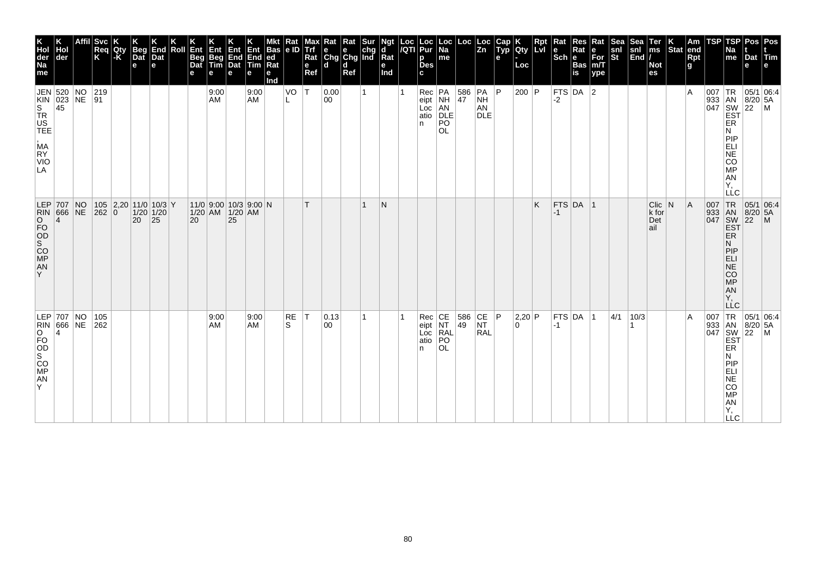| K<br>Hol<br>der<br>Na<br>me | der                                                                         | <b>Svc</b><br>Req<br>K | Qty<br>$ \text{-}\mathsf{K} $ | <b>Beg</b><br>Dat<br>$\mathbf e$ | End<br>Dat<br>е                              | Roll | Ent<br>Beg<br>Dat<br>e | Ent<br>Beg<br>Tim<br>е                         | Ent<br>End<br>Dat<br>е | Ent<br>End<br>Tim<br>e | Bas<br> ed<br>$Ra$ t<br>е<br>nd | κaτ<br>le ID   | Trf<br>Rat<br>$\mathbf e$<br>Ref | $\begin{array}{ c c c }\n\hline\n\mathsf{e} & \mathsf{e} & \mathsf{chg} \\ \hline\n\mathsf{Chg} & \mathsf{Chg} & \mathsf{Ind}\n\end{array}$<br>ld. | Kat<br>ď<br>Ref | ď<br>Rat<br>e<br>Ind | Loc  Loc<br><i> I</i> QTI  Pur<br>p<br><b>Des</b><br>c | Loc<br>Na<br>me                                            |                                          | $\frac{Loc}{Zn}$      | Cap<br>Typ<br>e | <b>lety</b><br>Loc | $\sf Rpt$<br>Lvr | Rat<br>$Sch e$ | Res<br>Rat<br>Bas<br>is | Rat<br>$ \epsilon$ For<br>m/T<br>ype | Sea<br>snl<br>St | Sea<br>$\begin{array}{c} \n\text{snl} \\ \n\text{End} \n\end{array}$ | Ter<br>ms<br><b>Not</b><br>es    | Stat | Am<br>end<br><b>Rpt</b><br>g. | TSP | TSP<br>Na<br>me                                                                                                          | Pos<br>Dat Tim<br>e                                                                                                                                                                                                                                                                                                                                                                                                                        | Pos<br>le.   |
|-----------------------------|-----------------------------------------------------------------------------|------------------------|-------------------------------|----------------------------------|----------------------------------------------|------|------------------------|------------------------------------------------|------------------------|------------------------|---------------------------------|----------------|----------------------------------|----------------------------------------------------------------------------------------------------------------------------------------------------|-----------------|----------------------|--------------------------------------------------------|------------------------------------------------------------|------------------------------------------|-----------------------|-----------------|--------------------|------------------|----------------|-------------------------|--------------------------------------|------------------|----------------------------------------------------------------------|----------------------------------|------|-------------------------------|-----|--------------------------------------------------------------------------------------------------------------------------|--------------------------------------------------------------------------------------------------------------------------------------------------------------------------------------------------------------------------------------------------------------------------------------------------------------------------------------------------------------------------------------------------------------------------------------------|--------------|
| MA<br>RY<br>VIO<br>LA       | JEN 520 NO<br>KIN 023 NE<br>S 45<br>TR<br>US<br>TEE                         | 219<br>∣91             |                               |                                  |                                              |      |                        | 9:00<br>AM                                     |                        | 9:00<br><b>AM</b>      |                                 | VO             | ١T                               | 0.00<br>00                                                                                                                                         |                 |                      | n                                                      | Rec PA<br>eipt NH<br>Loc AN<br>atio DLE<br>PO<br><b>OL</b> | $\begin{array}{c} 586 \\ 47 \end{array}$ | PA<br>NH<br>AN<br>DLE | P               | 200   P            |                  | $-2$           | FTS DA $ 2$             |                                      |                  |                                                                      |                                  |      | ١A                            |     | ER<br>Ν<br>PIP<br><b>ELI</b><br>NE<br>CO<br><b>MP</b><br><br>AN<br>Y,                                                    | 05/1 06:4<br>$\begin{array}{c} \begin{array}{c} \text{R} \\ 933 \\ 047 \\ \text{SW} \\ \text{EST} \end{array} \end{array} \begin{array}{c} \begin{array}{c} \text{R} \\ 8/20 \\ 22 \\ \text{M} \end{array} \end{array} \begin{array}{c} \text{S}_{7}\\ \text{S}_{8} \end{array} \begin{array}{c} \text{S}_{9} \end{array} \begin{array}{c} \text{S}_{1} \\ \text{S}_{1} \end{array} \begin{array}{c} \text{S}_{1} \\ \text{M} \end{array}$ |              |
| AN<br>Y                     | LEP 707 NO<br>RIN 666 NE<br>OD 4<br>MN<br>MR<br>MR                          | 262 0                  |                               | 20                               | $105$ 2,20 11/0 10/3 Y<br>$1/20$ 1/20<br> 25 |      | 20                     | $11/0$ 9:00 10/3 9:00 N<br>$1/20$ AM $1/20$ AM | 25                     |                        |                                 |                |                                  |                                                                                                                                                    |                 | N                    |                                                        |                                                            |                                          |                       |                 |                    | K                | -1             | $FTS$ DA 1              |                                      |                  |                                                                      | $Clic$ N<br>k for<br>Det<br>∣ail |      | ΙA                            | 007 | <b>LLC</b><br>TR<br>933 AN<br>047 SW<br><b>EST</b><br>ER<br>Ν<br>PIP<br>ELI<br>NË<br>CO <sub>MP</sub><br>AN<br>Y,<br>LĹC | 05/1 06:4<br>$\overline{22}$                                                                                                                                                                                                                                                                                                                                                                                                               | $\mathsf{M}$ |
| AN<br>Y.                    | $ LEP $ 707 NO<br>EPIN 666 NE 262<br>RIN 666 NE 262<br>FO<br>OD<br>SO<br>MP | 105                    |                               |                                  |                                              |      |                        | 9:00<br>AM                                     |                        | 9:00<br><b>AM</b>      |                                 | <b>RE</b><br>S | ١T                               | $ 0.13\rangle$<br>00                                                                                                                               |                 |                      | n.                                                     | Rec CE<br>eipt NT<br>Loc RAL<br>atio PO<br><b>OL</b>       | 586 CE<br>49                             | NT<br>RAL             | P               | 2,20 P<br>0        |                  | $-1$           | FTS DA                  | ∣1                                   | 4/1              | 10/3                                                                 |                                  |      | ΙA                            | 007 | TR<br>933 AN<br>047 SW<br>EST<br>ER<br>N<br>PIP<br>ELI<br><b>NE</b><br>CO<br><b>MP</b><br>ÄÑ<br>Y,<br>$\sqcup$ C         | 05/1 06:4<br>8/20 5A<br>$ 22 $ M                                                                                                                                                                                                                                                                                                                                                                                                           |              |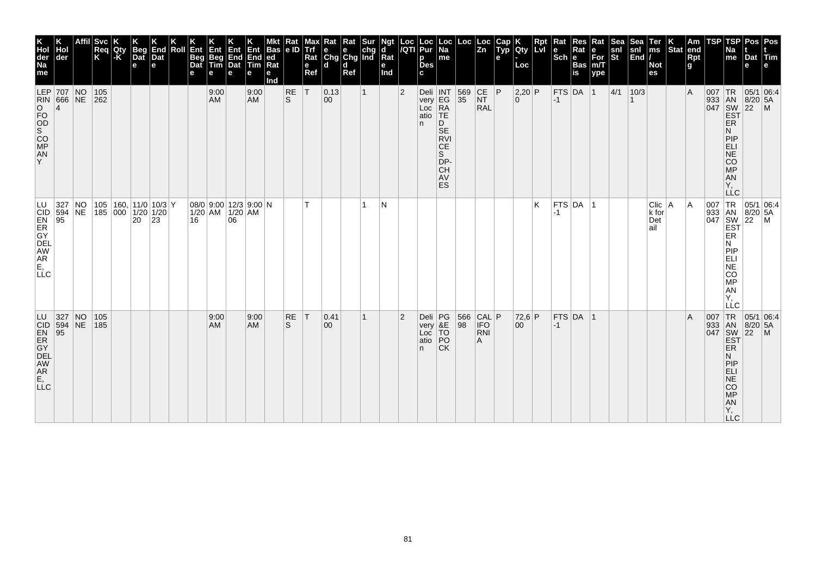| K<br>Hol<br>der<br>Na<br>me                                                      | der              |                 | <b>Svc</b><br>Req<br>K                    | Qty<br> -K | <b>Beg</b><br>$\overline{Dat}$<br>e | End<br>Dat<br>е | Roll | Ent<br>Beg<br>Dat<br>е | Ent<br>Beg<br>Tim<br>е | Ent<br>End<br>Dat<br>е                             | Ent<br>End<br>Tim<br>е | <b>Bas</b><br>led<br>Rat<br>е<br>Ind | Rat<br>e ID | max<br>Trf<br>Rat<br>$\mathbf e$<br><b>Ref</b> | Rat<br>$\left \begin{array}{c}\n\mathbf{e} \\ \mathbf{C} \mathbf{h} \mathbf{g}\n\end{array}\right $ $\mathbf{C} \mathbf{h} \mathbf{g}$ and<br>ld. | Rat<br>d<br>Ref |              | Ngt<br>d<br>Rat<br>е<br>Ind | Loc<br>/QTI    | <b>Loc</b><br>Pur<br>p<br><b>Des</b><br>C.    | Loc<br><b>Na</b><br>me                                                                                                       | Loc       | Loc<br> Zn                      | Cap<br>Typ<br>е | Qty<br>Loc           | Rpt<br><b>Lvi</b> | Rat<br>$\left \begin{array}{c}\mathbf{e}\\ \mathbf{Sch}\end{array}\right _{\mathbf{e}}^{\mathbf{R}i}$ | Res<br>Rat<br>Bas<br>is | Rat<br>e<br>For<br>m/T<br>ype | <b>Sea</b><br>$\frac{\mathsf{snl}}{\mathsf{St}}$ | Sea<br>$\frac{\mathsf{snl}}{\mathsf{End}}$ | Ter<br>ms<br><b>Not</b><br>es    | $\left \frac{\mathsf{K}}{\mathsf{Stat}}\right $ am | Rpt<br>g | TSP      | TSP<br>Na<br>me                                                                                                                            | Pos<br>Dat<br>е | Pos<br>Tim                  |
|----------------------------------------------------------------------------------|------------------|-----------------|-------------------------------------------|------------|-------------------------------------|-----------------|------|------------------------|------------------------|----------------------------------------------------|------------------------|--------------------------------------|-------------|------------------------------------------------|---------------------------------------------------------------------------------------------------------------------------------------------------|-----------------|--------------|-----------------------------|----------------|-----------------------------------------------|------------------------------------------------------------------------------------------------------------------------------|-----------|---------------------------------|-----------------|----------------------|-------------------|-------------------------------------------------------------------------------------------------------|-------------------------|-------------------------------|--------------------------------------------------|--------------------------------------------|----------------------------------|----------------------------------------------------|----------|----------|--------------------------------------------------------------------------------------------------------------------------------------------|-----------------|-----------------------------|
| LEP 707 NO<br>RIN 666 NE<br>O<br>FO<br>S<br>C<br>O<br>O<br>A<br>N<br>A<br>N<br>Y | 4                |                 | 105<br>262                                |            |                                     |                 |      |                        | 9:00<br>AM             |                                                    | 9:00<br>AM             |                                      | RE<br>ls.   | T                                              | 0.13 <br>$ 00\rangle$                                                                                                                             |                 | $\mathbf{1}$ |                             | $\overline{2}$ | atio<br>n                                     | Deli INT<br>very EG<br>Loc RA<br><b>TE</b><br>D<br><b>SE</b><br><b>RVI</b><br>CE<br>S<br>DP-<br><b>CH</b><br>AV<br><b>ES</b> | 569<br>35 | CE P<br><b>NT</b><br><b>RAL</b> |                 | $2,20$ P<br>$\Omega$ |                   | $-1$                                                                                                  | $FTS$ DA $ 1$           |                               | 4/1                                              | 10/3                                       |                                  |                                                    | ΙA       | $007$ TR | 933 AN 8/20<br>047 SW 22<br>EST<br>ER<br>N<br>PIP<br>ELI<br>NE<br>CO<br><b>MP</b><br>AN<br>Υ,<br><b>LLC</b>                                | $8/20$ 5A       | 05/1 06:4<br>$\overline{M}$ |
| LU<br>CID<br>EN<br>ER<br>OEL<br>AM<br>AR<br>E,<br>LLC                            | 327<br>594<br>95 | NO<br>NE        | 105 160 11/0 10/3 Y<br> 185 000 1/20 1/20 |            | $20 \mid 23$                        |                 |      | 16                     |                        | 08/0 9:00 12/3 9:00 N<br>$1/20$ AM $1/20$ AM<br>06 |                        |                                      |             | T.                                             |                                                                                                                                                   |                 | 1            | N                           |                |                                               |                                                                                                                              |           |                                 |                 |                      | K                 | -1                                                                                                    | FTS DA 1                |                               |                                                  |                                            | Clic   A<br>k for<br>Det<br>lail |                                                    | ΙA       |          | 007 TR 05/1 06:4<br>933 AN 8/20 5A<br>047 SW 22 M<br><b>EST</b><br>ER<br>Ν<br><b>MONEY</b><br>AN<br>Ÿ,<br>LLC                              |                 | 05/1 06:4                   |
| LU 327<br>CID 594<br>EN 95<br>ER GY<br>DER AM<br>AR<br>AR<br>E,<br>LLC           |                  | $N_{\text{NE}}$ | 105<br>185                                |            |                                     |                 |      |                        | 9:00<br><b>AM</b>      |                                                    | 9:00<br><b>AM</b>      |                                      | RE<br>S.    | T                                              | 0.41<br>$ 00\rangle$                                                                                                                              |                 | 1            |                             | $\overline{2}$ | Deli PG<br>very &E<br>Loc TO<br>atio PO<br>n. | <b>CK</b>                                                                                                                    | 566<br>98 | CAL P<br>IFO<br>RNI<br>A        |                 | 72,6 P<br>00         |                   | $-1$                                                                                                  | $FTS$ DA 1              |                               |                                                  |                                            |                                  |                                                    | ΙA       | 007      | TR<br>933 AN 8/20 5A<br>047 SW 22 M<br>EST<br>ER<br>N<br>PIP<br><b>ELI</b><br>$\overline{NE}$<br>CO<br><b>MP</b><br>AN<br>Υ,<br><b>LLC</b> | $8/20$ 5A       | 05/1 06.4                   |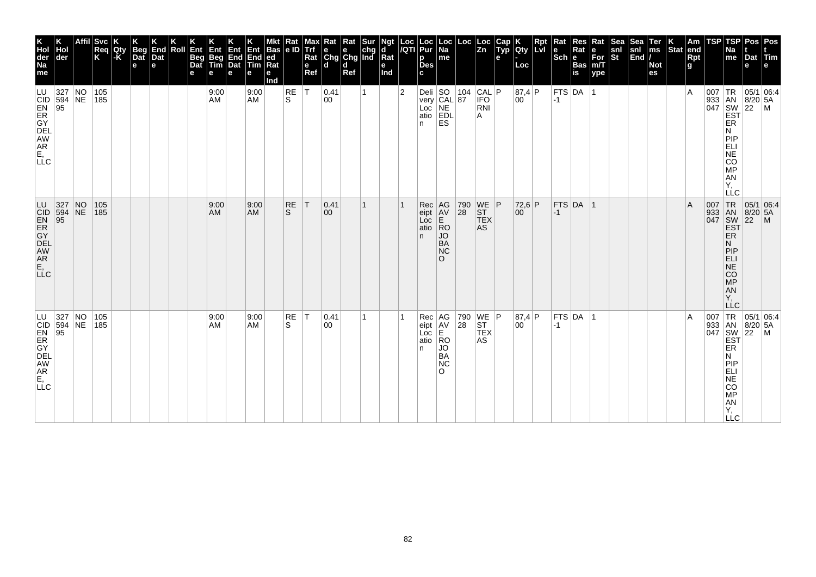| K<br>Hol<br>der<br>Na<br>me<br>LU                                         | der<br>$\begin{array}{ l l }\n 327 & \text{NO} \\  594 & \text{NE} \\  95 & \end{array}$ |                 | Affil Svc<br>Req<br>K<br>105<br> 185 | Qty<br>-K | <b>Beg</b><br>Dat<br>$\mathbf e$ | End<br>Dat<br>e | Roll | Ent<br>Beg<br>Dat<br>е | Ent<br>Beg<br>Tim<br>е<br>9:00<br>AM | Ent<br>End<br>Dat<br>e | Ent<br>End<br>Tim<br>е<br>9:00<br><b>AM</b> | <b>Bas</b><br> ed<br> Rat<br>е<br>Ind | $\frac{Rat}{e}$<br>RE<br>S. | мах<br><b>Trf</b><br>Rat<br>e<br>Ref<br>lT. | $\begin{array}{ l l }\n\hline\n\text{Rat} & \text{Rat} & \text{Sur} \\ \hline\n\text{e} & \text{e} & \text{chg} \\ \text{Chg} & \text{Chg} & \text{Ind}\n\end{array}$<br>۱d<br> 0.41<br>00 | d<br>Ref | $\mathbf{1}$ | Ngt<br>d<br>Rat<br>е<br>Ind | Loc<br>/QTI<br>$\overline{2}$ | Loc<br>Pur<br>p<br><b>Des</b><br>c  | Loc<br>  Na<br>me<br>Deli SO 104<br>very CAL 87<br>Loc NE<br>atio EDL   | Loc<br>$ 104 $ CAL $ P $                                                                 | Loc<br> Zn<br><b>IFO</b>                                                       | Cap<br>Typ<br>e | <b>IQty</b><br>Loc<br> 87,4 P<br>00 | Ret | Rat<br>$\left \begin{array}{c} e \\ \text{Sch} \end{array}\right  \begin{array}{c} R_i \\ \underline{e} \end{array}$<br>$ -1 $ | Res<br>Rat<br>Bas<br>is<br>$ \mathsf{FTS} \mathsf{DA} $ 1 | Rat<br>е<br>$\overline{\text{For}}$ <sub>m/T</sub><br>ype | Sea<br>snl<br>St | Sea<br>$\begin{vmatrix} \text{snl} \\ \text{End} \end{vmatrix}$ | Ter<br>ms<br><b>Not</b><br>es | Stat end | Am<br>Rpt<br>g<br>$\overline{A}$ | <b>TSP</b> | TSPI<br>Na<br>me                                                                                                               | Pos   Pos<br>Dat Tim<br>e                                                                  | $\begin{array}{c}\n 1 \text{R} \\  33 \\  1 \text{AN} \\  8/20 \\  54 \\  1047 \\  1047 \\  1047 \\  1047 \\  1047 \\  1047 \\  1047 \\  1047 \\  1047 \\  1047 \\  1047 \\  1047 \\  1047 \\  1047 \\  1047 \\  1047 \\  1047 \\  1047 \\  1047 \\  1047 \\  1047 \\  1047 \\  1047 \\  1047 \\  1047 \\  1047 \\  1047 \\  1047 \\  1047 \\  1047 \\  1$ |
|---------------------------------------------------------------------------|------------------------------------------------------------------------------------------|-----------------|--------------------------------------|-----------|----------------------------------|-----------------|------|------------------------|--------------------------------------|------------------------|---------------------------------------------|---------------------------------------|-----------------------------|---------------------------------------------|--------------------------------------------------------------------------------------------------------------------------------------------------------------------------------------------|----------|--------------|-----------------------------|-------------------------------|-------------------------------------|-------------------------------------------------------------------------|------------------------------------------------------------------------------------------|--------------------------------------------------------------------------------|-----------------|-------------------------------------|-----|--------------------------------------------------------------------------------------------------------------------------------|-----------------------------------------------------------|-----------------------------------------------------------|------------------|-----------------------------------------------------------------|-------------------------------|----------|----------------------------------|------------|--------------------------------------------------------------------------------------------------------------------------------|--------------------------------------------------------------------------------------------|------------------------------------------------------------------------------------------------------------------------------------------------------------------------------------------------------------------------------------------------------------------------------------------------------------------------------------------------------------|
| CID<br>ER<br>GY DE AW<br>AR<br>E,<br>LL<br>C                              |                                                                                          |                 |                                      |           |                                  |                 |      |                        |                                      |                        |                                             |                                       |                             |                                             |                                                                                                                                                                                            |          |              |                             |                               | n.                                  | <b>ES</b>                                                               |                                                                                          | RNI<br>A                                                                       |                 |                                     |     |                                                                                                                                |                                                           |                                                           |                  |                                                                 |                               |          |                                  |            | ER<br>N<br>PIP<br>ELI<br>NE<br>CO<br>MP<br><b>AN</b><br>Υ,<br>LLC                                                              |                                                                                            |                                                                                                                                                                                                                                                                                                                                                            |
| LU<br>CD<br>AR<br>AR<br>AR<br>E,<br>LLC                                   | 327<br>594<br>95                                                                         | $N_{\text{NE}}$ | 105<br>185                           |           |                                  |                 |      |                        | 9:00<br>AM                           |                        | 9:00<br><b>AM</b>                           |                                       | <b>RE</b><br>S.             | T                                           | 0.41 <br>$ 00\rangle$                                                                                                                                                                      |          | 1            |                             |                               | Rec<br>eipt<br>Loc<br>atio<br>n.    | AG<br>AV<br>E<br> RO<br><b>JO</b><br><b>BA</b><br><b>NC</b><br>$\Omega$ | 790<br>28                                                                                | $\begin{array}{c} \n\text{WE} \\ \text{ST}\n\end{array}$ P<br><b>TEX</b><br>AS |                 | $72,6$ P<br>00                      |     | $-1$                                                                                                                           | FTS DA 1                                                  |                                                           |                  |                                                                 |                               |          | $\mathsf{A}$                     |            | 007 TR<br>933 AN<br>047 SW<br>EST<br>ER.<br>N<br> P P<br><b>ELI</b><br>$N\bar{E}$<br><b>CO</b><br>MP<br>AN<br>Υ,<br><b>LLC</b> | $\begin{array}{ c c c }\n\hline\n95/1 & 06.4 \\ 8/20 & 5A\n\end{array}$<br>$\overline{22}$ | $\mathsf{M}$                                                                                                                                                                                                                                                                                                                                               |
| LU 327 NO<br>CID 594 NE<br>EN 95<br>ER GY<br>DELL<br>DELL<br>AR E,<br>LLC |                                                                                          |                 | 105<br> 185                          |           |                                  |                 |      |                        | 9:00<br>AM                           |                        | 9:00<br><b>AM</b>                           |                                       | RE<br>S                     | T                                           | $ 0.41\rangle$<br>00                                                                                                                                                                       |          | 1            |                             |                               | Rec<br>eipt<br>Loc<br>atio RO<br>n. | AG<br>AV<br>E<br>JO.<br>BA<br>NC<br>$\Omega$                            | $\begin{array}{ c c c }\n 790 & \text{WE} & \text{P} \\  28 & \text{ST} & \n\end{array}$ | <b>TEX</b><br>AS                                                               |                 | 87,4 P<br>00                        |     | $-1$                                                                                                                           | $FTS$ DA  1                                               |                                                           |                  |                                                                 |                               |          | $\overline{A}$                   | 007        | ER<br>N<br>PIP<br>ELI<br><b>NE</b><br>CO<br>MP<br>AN<br>Y,<br><b>LLC</b>                                                       | TR 05/1 06:4<br>933 AN 8/20 5A<br>047 SW 22 M<br>EST                                       |                                                                                                                                                                                                                                                                                                                                                            |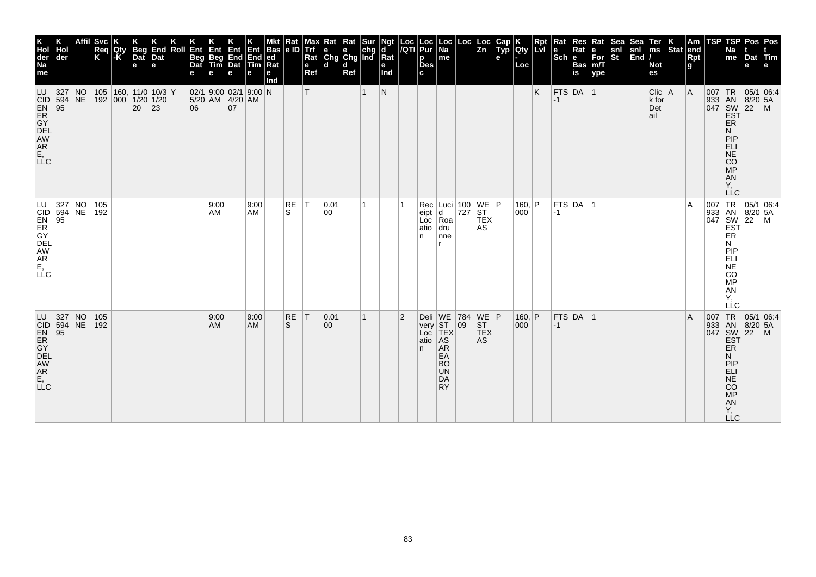| K<br>Hol<br>der<br>Na<br>me                                                  | der              |                      | <b>Svc</b><br>Req<br>K | Qty<br>l-K | <b>Beg</b><br>Dat<br>$\mathbf e$      | End<br>Dat<br>le. | Roll | Ent<br><b>Beg</b><br>Dat | Ent<br>Beg<br>Tim | Ent<br>End<br>Dat<br>e                               | End<br>Tim<br>е   | <b>Bas</b><br> ed <br>Ra<br>е<br>Ind | Rat<br> e D        | мах<br>Trf<br>Rat<br>e<br>Ref | Rat<br>$\begin{array}{ c c c }\n\hline\n\mathsf{e} & \mathsf{e} & \mathsf{chg} \\ \hline\n\mathsf{Chg} & \mathsf{Chg} & \mathsf{Ind}\n\end{array}$<br>ld. | Rat<br>d<br>Ref | Sur          | Ngt<br>ď<br>Rat<br>е<br>Ind | Loc<br>/QTI    | Loc<br>Pur<br>р<br><b>Des</b><br>C. | ∣Loc<br>$\overline{Na}$<br>me                                                    | Loc          | ∣Loc<br>$\overline{z_n}$      | Cap<br>Typ<br>е | Qty<br>Loc      | Rpt<br><b>Lvl</b> | l e<br>$ \mathsf{Sch} $ e | Res<br>Rat<br><b>Bas</b><br>is | Rat<br>е<br>$\overline{\text{For}}$ <sub>m/T</sub><br>ype | Sea<br>snl<br>St | Sea<br>snl<br>$\left \overline{\text{End}}\right $ | Ter<br>$\mathsf{ms}$<br><b>Not</b><br>es | Stat end | Am<br>Rpt<br>g | TSP | <b>TSP</b><br>Na<br>me                                                          | Dat Tim<br>e                                             | Pos   Pos                                                |
|------------------------------------------------------------------------------|------------------|----------------------|------------------------|------------|---------------------------------------|-------------------|------|--------------------------|-------------------|------------------------------------------------------|-------------------|--------------------------------------|--------------------|-------------------------------|-----------------------------------------------------------------------------------------------------------------------------------------------------------|-----------------|--------------|-----------------------------|----------------|-------------------------------------|----------------------------------------------------------------------------------|--------------|-------------------------------|-----------------|-----------------|-------------------|---------------------------|--------------------------------|-----------------------------------------------------------|------------------|----------------------------------------------------|------------------------------------------|----------|----------------|-----|---------------------------------------------------------------------------------|----------------------------------------------------------|----------------------------------------------------------|
| LU<br>CID<br>ER GY EL<br>AM<br>AR<br>E, LL<br>C                              | 327<br>594<br>95 | $\overline{N}$<br>NE | $192$ 000 1/20 1/20    |            | 105   160,   11/0   10/3   Y<br>20 23 |                   |      | 06                       |                   | $02/1$ 9:00 02/1 9:00 N<br>$5/20$ AM $4/20$ AM<br>07 |                   |                                      |                    | т                             |                                                                                                                                                           |                 | 1            | $\mathsf{N}$                |                |                                     |                                                                                  |              |                               |                 |                 | K                 | $FTS$ DA 1<br>$-1$        |                                |                                                           |                  |                                                    | $Clic$   A<br>k for<br>Det<br>ail        |          | A              |     | <b>ER</b><br>N<br>PIP<br>$ELI$<br>NE<br>CO<br>MP<br>AN<br>Υ,<br><b>LLC</b>      | 007 TR 05/1 06:4<br>933 AN 8/20 5A<br>047 SW 22 M<br>EST |                                                          |
| 327 NO 105<br>D 594 NE 192<br>R 3Y<br>DEL<br>AWR<br>AR<br>C<br>C<br>∣ī≟c     |                  |                      |                        |            |                                       |                   |      |                          | 9:00<br>AM        |                                                      | 9:00<br>AM        |                                      | RE<br>S.           | T                             | 0.01<br>00                                                                                                                                                |                 | 1            |                             |                | Loc<br>atio<br>n.                   | Rec Luci 100 WE P<br>eipt d 727 ST<br>$\overline{d}$<br>Roa<br>dru<br>nne        |              | <b>TEX</b><br>AS              |                 | 160,  P <br>000 |                   | $-1$                      | $FTS$ DA $ 1$                  |                                                           |                  |                                                    |                                          |          | A              |     | ER<br>N<br> P P<br>ELI<br>$N\bar{E}$<br>CO<br>MP<br>AN<br>Υ.<br>LLC             |                                                          | 007 TR 05/1 06:4<br>933 AN 8/20 5A<br>047 SW 22 M<br>EST |
| LU 327 NO<br>CID 594 NE<br>EN 95<br>ER GYEL<br>AW<br>AR<br>AR<br>E, C<br>LLC |                  |                      | 105<br> 192            |            |                                       |                   |      |                          | 9:00<br><b>AM</b> |                                                      | 9:00<br><b>AM</b> |                                      | RE<br><sub>S</sub> | T                             | 0.01<br>$ 00\rangle$                                                                                                                                      |                 | $\mathbf{1}$ |                             | $\overline{2}$ | very ST<br>Loc TEX<br>atio<br>n.    | Deli WE 784 WE P<br> AS<br>AR<br>EA<br><b>BO</b><br><b>UN</b><br>DA<br><b>RY</b> | $ 09\rangle$ | <b>ST</b><br><b>TEX</b><br>AS |                 | 160, P<br>000   |                   | $-1$                      | $FTS$ DA 1                     |                                                           |                  |                                                    |                                          |          | $\overline{A}$ | 007 | ER<br>N<br>PIP<br><b>ELI</b><br>NE<br><b>CO</b><br>MP<br>AN<br>Y,<br><b>LLC</b> | TR 05/1 06:4<br>933 AN 8/20 5A<br>047 SW 22 M<br>EST     |                                                          |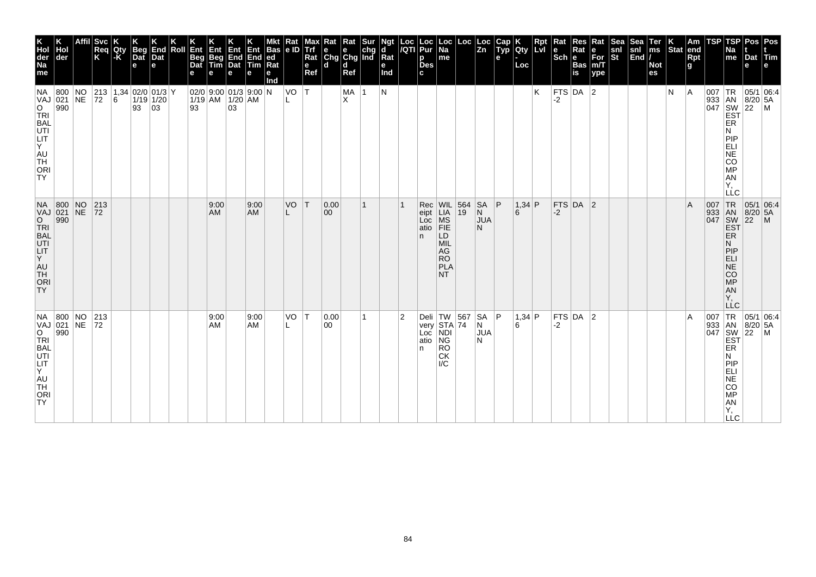| K<br>Hol<br>der<br>Na<br>me                                                                                                    | der                                                                            | Svc <br>Req<br>K                                                                                                           | Qty<br>l-K | <b>Beg</b><br>Dat<br>$\mathbf e$ | End<br>Dat<br>le. | Roll | Ent<br><b>Beg</b><br>Dat | Ent<br>Beg<br>Tim | Ent Ent<br>End End<br>Dat Tim<br>e                     | е                 | <b>Bas</b><br> ed <br>Ra<br>е<br>Ind | Rat<br> e D | Max<br><b>Trf</b><br>Rat<br>e<br>Ref | $\begin{array}{ l l }\n\hline\n\text{Rat} & \text{Rat} & \text{Sur} \\ \hline\n\text{e} & \text{e} & \text{chg} \\ \text{Chg} & \text{Chg} & \text{Ind}\n\end{array}$<br>ld. | d<br>Ref |           | Ngt<br>d<br>Rat<br>е<br>Ind | Loc<br>/QTI    | Loc<br>Pur<br>р<br><b>Des</b><br>C. | Loc<br>  Na<br>me                                                                           | Loc                            | Loc<br>$\overline{z_n}$           | Cap<br>Typ<br>е | <b>IQty</b><br>Loc | Rpt<br>Lvi | Rat<br>le<br>$ \overline{\text{Sch}} e $ | Res<br>Rat<br><b>Bas</b><br>is | Rat<br>e<br>$\overline{\text{For}}$ <sub>m/T</sub><br>ype | <b>Sea</b><br>snl<br>St | Sea<br>snl<br>$\left \overline{\text{End}}\right $ | Ter<br>ms<br><b>Not</b><br>es | Stat end | Am<br>Rpt<br>g | TSP | <b>TSP</b><br>Na<br>me                                                                  | Pos   Pos<br>Dat Tim<br>e                                                                                                                                                                                             |  |
|--------------------------------------------------------------------------------------------------------------------------------|--------------------------------------------------------------------------------|----------------------------------------------------------------------------------------------------------------------------|------------|----------------------------------|-------------------|------|--------------------------|-------------------|--------------------------------------------------------|-------------------|--------------------------------------|-------------|--------------------------------------|------------------------------------------------------------------------------------------------------------------------------------------------------------------------------|----------|-----------|-----------------------------|----------------|-------------------------------------|---------------------------------------------------------------------------------------------|--------------------------------|-----------------------------------|-----------------|--------------------|------------|------------------------------------------|--------------------------------|-----------------------------------------------------------|-------------------------|----------------------------------------------------|-------------------------------|----------|----------------|-----|-----------------------------------------------------------------------------------------|-----------------------------------------------------------------------------------------------------------------------------------------------------------------------------------------------------------------------|--|
| NA<br><b>VAJ</b><br>O<br>TRI<br><b>BAL</b><br>UTI<br>LIT.<br>$ \bar{Y} $<br>AU<br>TH<br><b>ORI</b><br><b>TY</b>                | 800 NO<br>021 NE<br>990                                                        | $\begin{array}{ c c c c c c }\n\hline\n213 & 1,34 & 02/0 & 01/3 & Y \\ \hline\n72 & 6 & 1/19 & 1/20 & \hline\n\end{array}$ |            | 93 03                            |                   |      | 93                       |                   | $02/0$ 9:00 01/3 9:00 N<br>$1/19$ AM   $1/20$ AM<br>03 |                   |                                      | $VO$ $T$    |                                      |                                                                                                                                                                              | MA<br>X  | $\vert$ 1 | N                           |                |                                     |                                                                                             |                                |                                   |                 |                    | K          | FTS DA 2<br>-2                           |                                |                                                           |                         |                                                    |                               | IN.      | A              |     | ER<br>N<br>PIP<br>ELI<br><b>NE</b><br><b>CO</b><br><b>MP</b><br>AN<br>Υ.<br>LLC         | 007   TR   05/1   06:4<br>933 AN 8/20 5A<br>047 SW 22 M<br>EST                                                                                                                                                        |  |
| <b>O</b><br>TRI<br>BAL<br>UTI<br>LIT<br>Y.<br>AU<br>TH<br><b>ORI</b><br><b>TY</b>                                              | NA 800 NO<br>VAJ 021 NE<br>990                                                 | 213<br> 72                                                                                                                 |            |                                  |                   |      |                          | 9:00<br>AM        |                                                        | 9:00<br><b>AM</b> |                                      | VO          | T                                    | 0.00 <br>$ 00\rangle$                                                                                                                                                        |          | 1         |                             |                | Rec<br>eipt<br>Loc<br>atio<br>n.    | LD<br><b>MIL</b><br>AG<br><b>RO</b><br>PLA<br>NT.                                           | WIL 564<br>LIA 19<br>MS<br>FIE | $SA$ $ P$<br>N<br><b>JUA</b><br>N |                 | $1,34$ P<br>6      |            | $-2$                                     | FTS DA 2                       |                                                           |                         |                                                    |                               |          | $\overline{A}$ |     | N.<br> P P<br>ELI<br>NE<br>CO<br>MP<br>AN<br>Υ.<br><b>LLC</b>                           | J7 TR 05/1 UC<br>J33 AN 8/20 5A<br>047 SW 22 M<br>EST<br>FB                                                                                                                                                           |  |
| VAJ<br>$\overline{O}$<br>$ \tilde{T}R $<br><b>BAL</b><br>UTI<br>LIT<br>$ \overline{Y} $<br>AU<br>TH<br><b>ORI</b><br><b>TY</b> | NA 800 NO 213<br>$\begin{array}{ c c }\n 021 & \n\hline\n 990 & \n\end{array}$ | $ 72\rangle$                                                                                                               |            |                                  |                   |      |                          | 9:00<br>AM        |                                                        | 9:00<br><b>AM</b> |                                      | $VO$ $T$    |                                      | 0.00<br>00                                                                                                                                                                   |          | 1         |                             | $\overline{2}$ | Loc<br>atio NG<br>n.                | Deli $TW$ 567<br>very $STA$ 74<br>$\overline{\mathsf{ND}}$<br><b>RO</b><br><b>CK</b><br>I/C |                                | SA  P<br>N<br><b>JUA</b><br>N     |                 | 1,34 P<br>6        |            | $-2$                                     | $FTS$ DA $ 2$                  |                                                           |                         |                                                    |                               |          | $\overline{A}$ |     | ER<br>N.<br>PIP<br>ELI<br><b>NE</b><br><b>CO</b><br><b>MP</b><br>AN<br>Υ,<br><b>LLC</b> | $\begin{array}{c c}\n \text{J33} & \text{I.R.} & \boxed{05/1} & \text{I.S.} \\  \text{J43} & \text{AN} & \text{B/20} & \text{5A} \\  \text{SW} & \text{22} & \text{M} \\  \text{EST} & & \text{I.S.} \\  \end{array}$ |  |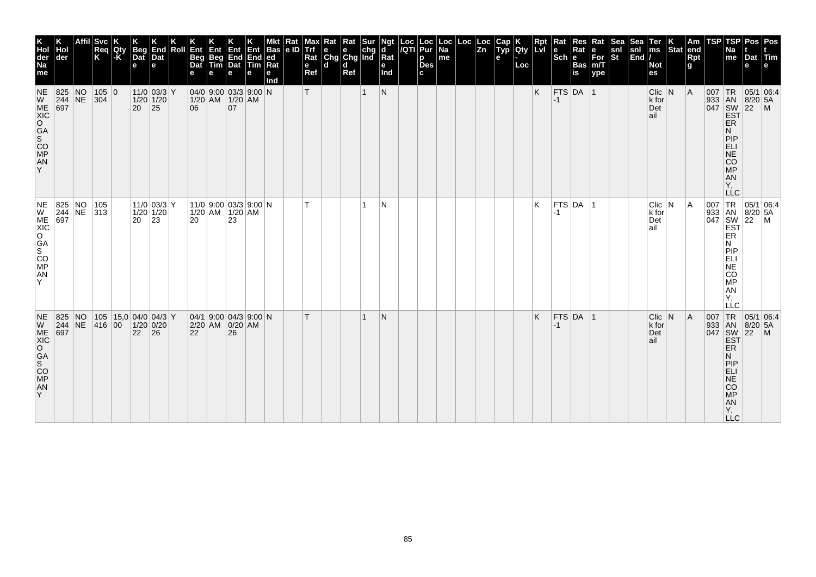| K<br>Hol<br>der<br>Na<br>me                                                                        | ∣der                                                                                       | Affil | Svc<br>Req<br>K | Qty<br> -K | <b>Beg</b><br>Dat<br>е | End<br>Dat<br>е                                                | Roll | Ent<br><b>Beg</b><br>Dat<br>е | Ent<br>Beg<br>Tim                              | 4πr<br>e | Ent<br>$ End End$<br>Dat Tim<br>е | Bas<br> ed <br>Ra<br>е<br>md | Kat<br> e D | мах<br>Trf<br>Rat<br>е<br>Ref | Rat<br>$\begin{array}{ c c c }\n\hline\ne & e & chg \\ \hline\nChg & Chg & Ind\n\end{array}$<br>d | Rat<br>l d<br>Ref |              | <b>Ngt</b><br><b>d</b><br>$\overline{\mathsf{R}}$ at<br>е<br>Ind | Loc Loc<br>/QTI Pur<br>p<br>Des<br>c | Loc<br>Na<br>me | Loc | Loc<br> Zn | <b>fuyp</b><br>е | <b>lety</b><br>Loc | <b>Rpt</b><br>LVI | Rat<br>$ \mathsf{Sch} $ e | Res<br>Rat<br><b>Bas</b><br>is | Rat<br>$\begin{vmatrix} e \\ For \\ for \\ m/T \end{vmatrix}$<br>ype | snl<br>St | Sea<br>snl<br>$\left  \tilde{\mathsf{End}} \right $ | Ter<br>ms<br><b>Not</b><br>es          | $\left \begin{array}{c} K \\ \end{array}\right $ Stat end | Rpt<br><b>g</b> | TSP                                                                        | ГSР<br>Na<br>me                                                                        | Pos<br>Dat Tim<br>e              | Pos<br>e                                                    |
|----------------------------------------------------------------------------------------------------|--------------------------------------------------------------------------------------------|-------|-----------------|------------|------------------------|----------------------------------------------------------------|------|-------------------------------|------------------------------------------------|----------|-----------------------------------|------------------------------|-------------|-------------------------------|---------------------------------------------------------------------------------------------------|-------------------|--------------|------------------------------------------------------------------|--------------------------------------|-----------------|-----|------------|------------------|--------------------|-------------------|---------------------------|--------------------------------|----------------------------------------------------------------------|-----------|-----------------------------------------------------|----------------------------------------|-----------------------------------------------------------|-----------------|----------------------------------------------------------------------------|----------------------------------------------------------------------------------------|----------------------------------|-------------------------------------------------------------|
| <b>NE</b><br>W<br>ME<br>XIC<br>O <sub>GA</sub><br>CO <sub>MP</sub><br>AN<br>Y                      | 825 NO<br>$244$ NE<br>697                                                                  |       | 105 0<br> 304   |            | 20 25                  | $11/0$ 03/3 Y<br>$1/20$ 1/20                                   |      | 06                            | $04/0$ 9:00 03/3 9:00 N<br>$1/20$ AM $1/20$ AM | 07       |                                   |                              |             |                               |                                                                                                   |                   | $\mathbf{1}$ | N                                                                |                                      |                 |     |            |                  |                    | K                 | $-1$                      | FTS DA 1                       |                                                                      |           |                                                     | $Clic$ N<br>k for<br>Det<br>∣ail       |                                                           | A               | 007 TR<br>933<br>$\begin{array}{ c c }\n\hline\n047 & SW\n\end{array}$ EST | AN<br>ER<br>N<br>PIP<br>ELI<br><b>NE</b><br>CO<br><b>MP</b><br>AN<br>Y,<br><b>LLC</b>  | 05/1 06:4<br>$8/20$ 5A<br>$22$ M |                                                             |
| NE<br><b>WANCONG</b><br><b>SOCA</b><br><b>SOCA</b><br><b>SOCA</b><br><b>SOCA</b><br><b>AN</b><br>Y | 825 NO<br>$\begin{array}{ c c c }\n\hline\n244 & \n\hline\n697 & \n\end{array}$   313      |       | 105             |            | 20                     | $11/0$ 03/3 Y<br>$1/20$ $1/20$<br> 23                          |      | 20                            | $11/0$ 9:00 03/3 9:00 N<br>$1/20$ AM $1/20$ AM | 23       |                                   |                              |             | T.                            |                                                                                                   |                   | $\mathbf{1}$ | N                                                                |                                      |                 |     |            |                  |                    | K                 | $-1$                      | $FTS$ DA $ 1$                  |                                                                      |           |                                                     | $Clic$ $N$<br>$ k $ for<br>Det<br>lail |                                                           | A               |                                                                            | Ν<br><b>PIP</b><br>ELI<br>NE<br>CO<br>MP<br>AN<br>Ÿ,<br>LLC                            |                                  | J7 TR 05/1   U.J.<br>933 AN 8/20 5A<br>047 SW 22 M<br>EST 2 |
| <b>NE</b><br>Y                                                                                     | 825 NO<br>$\begin{array}{ c c c }\n\hline\n244 & \text{NE} \\ \hline\n697 & & \end{array}$ |       | 416 00          |            | 22                     | 105   15,0   04/0   04/3   Y<br>$1/20$ 0/20<br>$\overline{26}$ |      | 22                            | 04/1 9.00 04/3 9.00 N<br>2/20 AM 0/20 AM       | 26       |                                   |                              |             |                               |                                                                                                   |                   | $\mathbf 1$  | N                                                                |                                      |                 |     |            |                  |                    | K                 | $-1$                      | $FTS$ DA  1                    |                                                                      |           |                                                     | $Clic$ $N$<br>k for<br>Det<br>ail      |                                                           | A               | 007 TR<br>933 AN<br>047 SW<br>EST                                          | <b>ER</b><br>N<br>PIP<br><b>ELI</b><br><b>NE</b><br>CO<br><b>MP</b><br>AN<br>Y,<br>LĹC | 05/1 06:4<br>$8/20$ 5A<br>$22$ M |                                                             |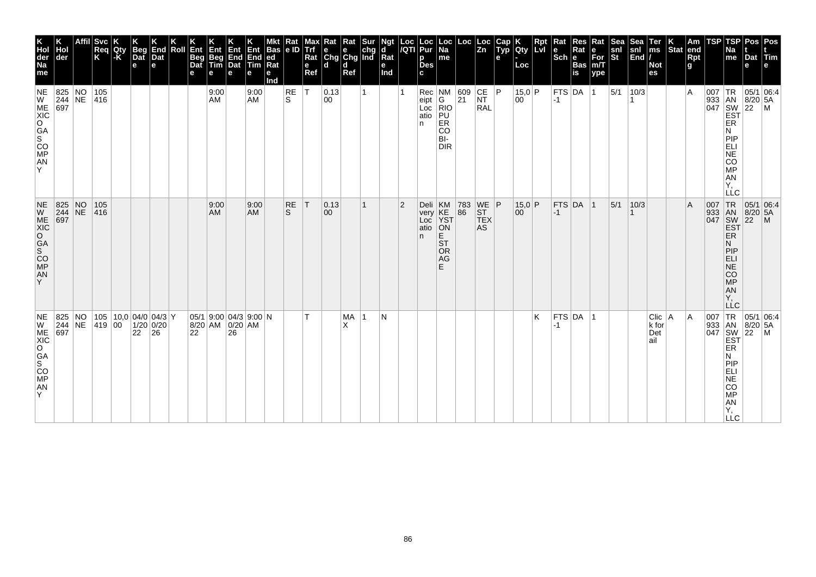| K<br>Hol<br>der<br>Na<br>me                                            | der                                                                                | <b>Svc</b><br>Req<br>K | Qty<br>-K | <b>Beg</b><br>Dat<br>$\mathbf e$     | End<br>Dat<br>e | Roll | Ent<br>Beg<br>Dat<br>е | Ent<br>Beg<br>Tim<br>е | Ent<br>End<br>Dat<br>e                           | End<br>Tim<br>e   | <b>Bas</b><br> ed <br>Rat<br>е<br>Ind | Rat<br> e D        | Max<br>Trf<br>Rat<br>e<br>Ref | Rat<br>e<br>Chg Chg Ind<br>ld. | Rat<br>d<br>Ref |             | Ngt<br>d<br>Rat<br>е<br>Ind | Loc<br>/QTI    | Loc<br>Pur<br>р<br><b>Des</b><br>C. | Loc<br> Na<br>me                                                 | Loc                                                        | Loc<br>$\overline{z_n}$                                                               | Cap<br>Typ<br>е | <b>IQty</b><br>Loc | Rpt<br>Lvi | Rat<br>le<br>$ \overline{\text{Sch}} e $ | Res<br>Rat<br><b>Bas</b><br>$\overline{\mathbf{is}}$ | Rat<br>е<br>$\bar{F}$ or<br>m/T<br>ype | Sea<br>snl<br>St | Sea<br>snl<br>$\left \overline{\text{End}}\right $ | Ter<br>ms<br><b>Not</b><br>es   | Stat | Am<br> end<br>Rpt<br>g | TSP | TSP<br>Na<br>me                                                                                                     | Pos Pos<br>Dat Tim<br>e                                                    |  |
|------------------------------------------------------------------------|------------------------------------------------------------------------------------|------------------------|-----------|--------------------------------------|-----------------|------|------------------------|------------------------|--------------------------------------------------|-------------------|---------------------------------------|--------------------|-------------------------------|--------------------------------|-----------------|-------------|-----------------------------|----------------|-------------------------------------|------------------------------------------------------------------|------------------------------------------------------------|---------------------------------------------------------------------------------------|-----------------|--------------------|------------|------------------------------------------|------------------------------------------------------|----------------------------------------|------------------|----------------------------------------------------|---------------------------------|------|------------------------|-----|---------------------------------------------------------------------------------------------------------------------|----------------------------------------------------------------------------|--|
| NE<br>W<br>ME<br>XIC<br>O<br>GA<br>S <sub>CO</sub><br>MP<br>AN<br>Y    | $\begin{array}{ l l }\n 825 & \text{NO} \\  244 & \text{NE} \\  697 & \end{array}$ | 105<br>416             |           |                                      |                 |      |                        | 9:00<br>AM             |                                                  | 9:00<br><b>AM</b> |                                       | RE<br><sub>S</sub> | İΤ                            | $ 0.13\rangle$<br>00           |                 | 1           |                             |                | Rec<br>eipt<br>Loc<br>atio<br>n     | $\sqrt{\frac{NM}{G}}$<br>RIO<br>PU<br>ER<br>CO<br>BI-<br>DIR     | $\begin{array}{ c c }\n 609 \\  \hline\n 21\n \end{array}$ | CE<br><b>NT</b><br><b>RAL</b>                                                         | P               | 15,0 P<br>00       |            | <b>FTS DA</b><br>$-1$                    |                                                      | $\vert$ 1                              | 5/1              | 10/3                                               |                                 |      | $\overline{A}$         |     | ER<br>N<br>PIP<br>ELI<br>NE<br>CO<br>MP<br>AN<br>Υ.<br>LLC                                                          |                                                                            |  |
| NE<br>W<br>ME<br>XIC<br>O<br>GA<br>S<br>CO<br>MP<br>AN<br>Y            | $\begin{array}{ l l }\n 825 & \text{NO} \\  244 & \text{NE} \\  697 & \end{array}$ | 105<br> 416            |           |                                      |                 |      |                        | 9:00<br>AM             |                                                  | 9:00<br><b>AM</b> |                                       | <b>RE</b><br>S.    | T                             | 0.13 <br>$ 00\rangle$          |                 | 1           |                             | $\overline{2}$ | Deli<br>very<br>Loc<br>atio<br>n.   | KM<br>KE<br>YST<br>ON<br>E<br><b>ST</b><br><b>OR</b><br>AG<br>F. | $\begin{array}{ c c }\n 783 \\  86\n\end{array}$           | $\begin{array}{c} \n\text{WE} \\ \text{ST}\n\end{array}$ P<br><b>TEX</b><br><b>AS</b> |                 | $15.0$ P<br>00     |            | $-1$                                     | $FTS$ DA $ 1$                                        |                                        | 5/1              | 10/3                                               |                                 |      | $\overline{A}$         |     | 007 TR<br>933 AN<br>047 SW<br>EST<br>ER<br>N<br>PIP<br>ELI<br>NE <sup>T</sup><br>CO<br>MP<br>AN<br>Υ.<br><b>LLC</b> | $\begin{array}{ c c }\n 05/1 & 06:4 \\  8/20 & 5A \\  22 & M\n\end{array}$ |  |
| NE<br>$\mathsf{W}$<br>ME<br>XIC<br>O<br>GA<br>S<br>CO<br>MP<br>AN<br>Y | 825 NO<br>244 NE 419 00                                                            |                        |           | 105 10,0 04/0 04/3 Y<br>$22 \mid 26$ | $1/20$ 0/20     |      | 22                     |                        | $05/1$ 9:00 04/3 9:00 N<br>8/20 AM 0/20 AM<br>26 |                   |                                       |                    | T.                            |                                | <b>MA</b><br>x  | $\mathbf 1$ | N                           |                |                                     |                                                                  |                                                            |                                                                                       |                 |                    | K          | $-1$                                     | FTS DA 1                                             |                                        |                  |                                                    | Clic   A<br>k for<br>Det<br>ail |      | ۱A                     | 007 | <b>EST</b><br>ER<br>N.<br>PIP<br>ELI<br>NE<br>CO<br><b>MP</b><br>AN<br>Υ,<br>$\Box$ C                               | $TR$ 05/1 06:4<br>933 AN 8/20 5A                                           |  |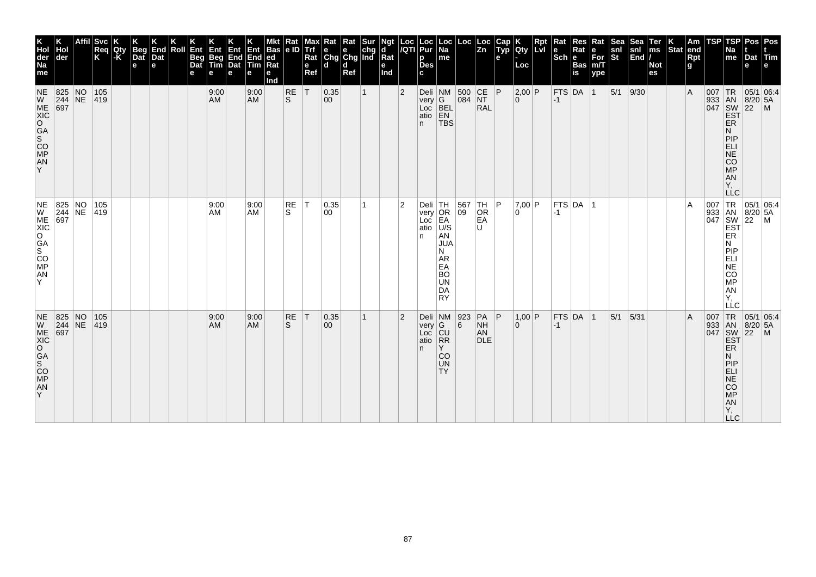| K<br>Hol<br>der<br>Na<br>me                                                                                                          | der                                                                      | <b>Svc</b><br>Req<br>K | Qty<br>l-K | <b>Beg</b><br>Dat<br>$\mathbf e$ | End<br>Dat<br>e | Roll | Ent<br>Beg<br>Dat<br>е | Ent<br>Beg<br>Tim<br>е | Ent<br>End<br>Dat<br>e | Ent<br>End<br>Tim<br>е | <b>Bas</b><br> ed<br>Ra<br>е<br>Ind | Rat<br> e D      | мах<br><b>Trf</b><br>Rat<br>e<br>Ref | $\begin{array}{ l l }\n\hline\n\text{Rat} & \text{Rat} & \text{Sur} \\ \hline\n\text{e} & \text{e} & \text{chg} \\ \text{Chg} & \text{Chg} & \text{Ind}\n\end{array}$<br>ld. | d<br>Ref |              | Ngt<br>d<br>Rat<br>е<br>Ind | Loc<br>/QTI    | Loc<br>Pur<br>p<br><b>Des</b><br>C. | Loc<br> Na<br>me                                                                                                      | Loc                                                        | Loc<br>$\overline{z_n}$                    | Cap<br>Typ<br>е | <b>IQty</b><br>Loc       | Rpt<br><b>Lvi</b> | Kat<br>$ \mathsf{Sch} $ e | Res<br>Rat<br><b>Bas</b><br>is | Rat<br>е<br>For<br>m/T<br>ype | <b>Sea</b><br>snl<br>St | Sea<br>snl<br>$\left \overline{\text{End}}\right $ | Ter<br>ms<br><b>Not</b><br>es | Stat end | Am<br>Rpt<br>g | TSP | TSP<br>Na<br>me                                                                  | Dat Tim<br>e                                             | Pos   Pos                                                                                                                 |
|--------------------------------------------------------------------------------------------------------------------------------------|--------------------------------------------------------------------------|------------------------|------------|----------------------------------|-----------------|------|------------------------|------------------------|------------------------|------------------------|-------------------------------------|------------------|--------------------------------------|------------------------------------------------------------------------------------------------------------------------------------------------------------------------------|----------|--------------|-----------------------------|----------------|-------------------------------------|-----------------------------------------------------------------------------------------------------------------------|------------------------------------------------------------|--------------------------------------------|-----------------|--------------------------|-------------------|---------------------------|--------------------------------|-------------------------------|-------------------------|----------------------------------------------------|-------------------------------|----------|----------------|-----|----------------------------------------------------------------------------------|----------------------------------------------------------|---------------------------------------------------------------------------------------------------------------------------|
| <b>NE</b><br>W<br>ME<br>XIC<br>$\circ$<br>$\overline{S}^{AA}$<br>CO <sub>MP</sub><br>AN<br>Y                                         | 825 NO<br>$\begin{array}{ c c }\n 244 & \text{NE} \\  697 & \end{array}$ | 105<br> 419            |            |                                  |                 |      |                        | 9:00<br><b>AM</b>      |                        | 9:00<br><b>AM</b>      |                                     | <b>RE</b><br>ls. | T                                    | 0.35 <br>$ 00\rangle$                                                                                                                                                        |          | $\mathbf{1}$ |                             | $\overline{2}$ | very   G<br>Loc<br>atio<br>n.       | Deli NM<br>BEL<br>EN<br><b>TBS</b>                                                                                    | 500 CE P<br>084 NT                                         | <b>RAL</b>                                 |                 | 2,00 P<br>$\overline{0}$ |                   | $ -1$                     | FTS DA 1                       |                               | $ 5/1 $ 9/30            |                                                    |                               |          | $\overline{A}$ |     | ER<br>N<br>PIP<br>ELI<br>NE<br><b>CO</b><br><b>MP</b><br>AN<br>Υ,                | 007 TR 05/1 06:4<br>933 AN 8/20 5A<br>047 SW 22 M<br>EST |                                                                                                                           |
| $\begin{vmatrix} \mathsf{NE} \ \mathsf{W} \end{vmatrix}$<br>ME<br>XIC<br>lo i<br>GA<br>$\overline{s}$<br>CO <sub>MP</sub><br>AN<br>Y | 825 NO 105<br>244 NE 419<br>697                                          |                        |            |                                  |                 |      |                        | 9:00<br>AM             |                        | 9:00<br>AM             |                                     | RE<br>S.         | IТ.                                  | 0.35 <br>00                                                                                                                                                                  |          | 1            |                             | 2              | atio<br>n                           | Deli TH<br>very OR<br>Loc EA<br>U/S<br>AN<br><b>JUA</b><br>N<br>AR<br>EA<br><b>BO</b><br><b>UN</b><br>DA<br><b>RY</b> | $\begin{array}{ c c }\n 567 \\  \hline\n 09\n \end{array}$ | TH.<br>OR<br>EA<br>U                       | P               | 7,00 P<br>l O            |                   | $-1$                      | FTS DA 1                       |                               |                         |                                                    |                               |          | A              |     | ER<br>N<br> P P<br><b>ELI</b><br>NE<br>CO<br>MP<br>AN<br>Υ.<br>LLC               |                                                          | $\begin{array}{c c}\n & -C & \n\hline\n007 & TR & 05/1 & 06.4, \\ 933 & AN & 8/20 & 5A \\ 047 & SW & 22 & M\n\end{array}$ |
| W<br>ME<br>XIC<br>O<br>GA<br>S<br>CO<br>MP<br>AN<br>Y.                                                                               | NE 825 NO<br>$244$ NE<br>$\overline{697}$                                | 105<br> 419            |            |                                  |                 |      |                        | 9:00<br><b>AM</b>      |                        | 9:00<br><b>AM</b>      |                                     | RE<br>S.         | T                                    | 0.35 <br>$ 00\rangle$                                                                                                                                                        |          | $\mathbf{1}$ |                             | $\overline{2}$ | very G<br>Loc CU<br>atio RR<br>n.   | Deli NM<br>Y<br>CO<br><b>UN</b><br>TY <sub></sub>                                                                     | 923<br>6                                                   | $PA$ $ P$<br><b>NH</b><br>AN<br><b>DLE</b> |                 | 1,00 P<br>$\overline{0}$ |                   | $-1$                      | FTS DA 1                       |                               | 5/1                     | 5/31                                               |                               |          | $\overline{A}$ |     | ER<br>N<br>PIP<br><b>ELI</b><br><b>NE</b><br><b>CO</b><br>MP<br>AN<br>Y,<br>LLC. |                                                          |                                                                                                                           |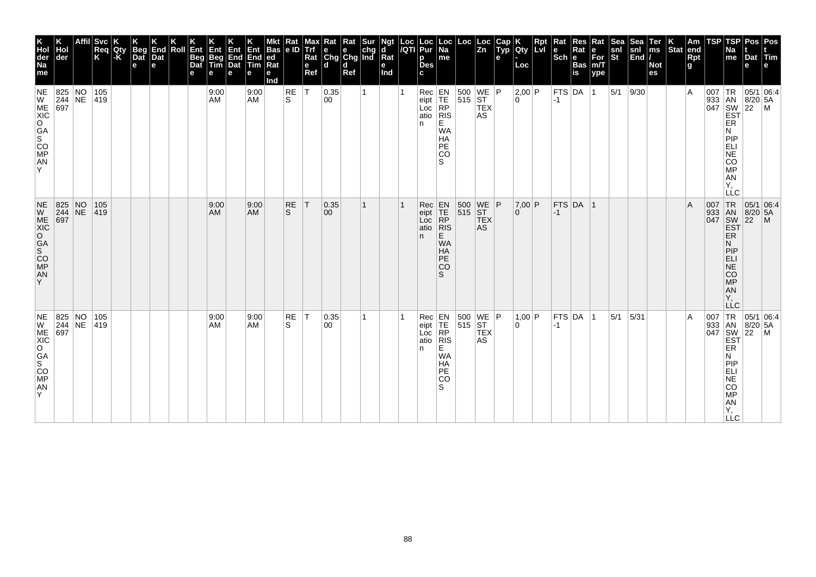| K<br>Hol<br>der<br>Na<br>me                                                                                  | der                                                                                | $ S$ vc<br>Req<br>K | Qty<br>-K | <b>Beg</b><br>Dat<br>$\mathbf e$ | End<br>Dat<br>e | Roll | Ent<br>Beg<br>Dat<br>е | Ent<br>Beg<br>Tim<br>е | Ent<br>End<br>Dat<br>e | Ent<br>End<br>Tim<br>е | <b>Bas</b><br> ed<br>Ra<br>е<br>Ind | Rat<br> e D | Max<br><b>Trf</b><br>Rat<br>e<br>Ref | $\begin{array}{ l l }\n\hline\n\text{Rat} & \text{Rat} & \text{Sur} \\ \hline\n\text{e} & \text{e} & \text{chg} \\ \text{Chg} & \text{Chg} & \text{Ind}\n\end{array}$<br>۱d | d<br>Ref |    | Ngt<br>d<br>Rat<br>е<br>Ind | Loc<br>/QTI | Loc<br>Pur<br>p<br><b>Des</b><br>C. | Loc<br> Na<br>me                                                                                                                    | Loc                                                                                  | Loc<br>$\overline{z_n}$ | Cap<br>Typ<br>e | <b>IQty</b><br>Loc   | Rpt<br>Lvi | Rat<br>le<br>$ \overline{\text{Sch}} e $ | Res<br>Rat<br><b>Bas</b><br>is | Rat<br>e<br>For<br>m/T<br>ype | Sea <sup>-</sup><br>snl<br>St | Sea<br>snl<br>$\left \overline{\text{End}}\right $ | Ter<br>ms<br><b>Not</b><br>es | $ \text{Stat} $ | Am<br>end<br>Rpt<br>g | TSP                               | <b>TSP</b><br>Na<br>me                                                            | Pos   Pos<br>Dat Tim<br>e                                                                  |                                                                                                                                                                                                                                                                                                                                                            |
|--------------------------------------------------------------------------------------------------------------|------------------------------------------------------------------------------------|---------------------|-----------|----------------------------------|-----------------|------|------------------------|------------------------|------------------------|------------------------|-------------------------------------|-------------|--------------------------------------|-----------------------------------------------------------------------------------------------------------------------------------------------------------------------------|----------|----|-----------------------------|-------------|-------------------------------------|-------------------------------------------------------------------------------------------------------------------------------------|--------------------------------------------------------------------------------------|-------------------------|-----------------|----------------------|------------|------------------------------------------|--------------------------------|-------------------------------|-------------------------------|----------------------------------------------------|-------------------------------|-----------------|-----------------------|-----------------------------------|-----------------------------------------------------------------------------------|--------------------------------------------------------------------------------------------|------------------------------------------------------------------------------------------------------------------------------------------------------------------------------------------------------------------------------------------------------------------------------------------------------------------------------------------------------------|
| <b>NE</b><br>W<br>ME<br>XIC<br>$\circ$<br>$\overline{S}^A$<br>CO <sub>MP</sub><br>AN<br>Y                    | 825 NO<br>$\begin{array}{ c c }\n 244 & \text{NE} \\  697 & \end{array}$           | 105<br>419          |           |                                  |                 |      |                        | 9:00<br>AM             |                        | 9:00<br><b>AM</b>      |                                     | RE<br>S.    | lT.                                  | 0.35<br>00                                                                                                                                                                  |          | 1  |                             |             | Rec<br>eipt<br>Loc<br>atio<br>n.    | $\begin{array}{c} \hline \text{EN} \\ \text{TE} \\ \text{RP} \end{array}$<br> RIS <br>E<br><b>WA</b><br>HA<br><b>PE</b><br>lco<br>S | $\begin{array}{ c c c }\n500 & \text{WE} & \text{P} \\ 515 & \text{ST}\n\end{array}$ | <b>TEX</b><br>AS        |                 | 2,00 P<br>0          |            | $ -1$                                    | FTS DA 1                       |                               | $5/1$ 9/30                    |                                                    |                               |                 | $\overline{A}$        |                                   | ER<br>N<br>PIP<br>ELI<br>NE<br><b>CO</b><br><b>MP</b><br>AN<br>Υ.<br>LLC          |                                                                                            | $\begin{array}{c}\n 1 \text{R} \\  33 \\  1 \text{AN} \\  8/20 \\  54 \\  1047 \\  1047 \\  1047 \\  1047 \\  1047 \\  1047 \\  1047 \\  1047 \\  1047 \\  1047 \\  1047 \\  1047 \\  1047 \\  1047 \\  1047 \\  1047 \\  1047 \\  1047 \\  1047 \\  1047 \\  1047 \\  1047 \\  1047 \\  1047 \\  1047 \\  1047 \\  1047 \\  1047 \\  1047 \\  1047 \\  1$ |
| $\frac{\text{NE}}{\text{W}}$<br>ME<br>XIC<br>O<br><b>GA</b><br>$\overline{s}$<br>CO <sub>MP</sub><br>AN<br>Y | $\begin{array}{ l l }\n 825 & \text{NO} \\  244 & \text{NE} \\  697 & \end{array}$ | 105<br> 419         |           |                                  |                 |      |                        | 9:00<br>AM             |                        | 9:00<br><b>AM</b>      |                                     | RE<br>S.    | T                                    | 0.35 <br>$ 00\rangle$                                                                                                                                                       |          | 1  |                             |             | Rec<br>eipt<br>Loc<br>atio<br>n.    | $\begin{array}{c} \mathsf{EN} \\ \mathsf{TE} \\ \mathsf{RP} \end{array}$<br> R<br>E<br><b>WA</b><br>HA<br><b>PE</b><br>lco<br>S     | 500 WE P                                                                             | <b>TEX</b><br>AS        |                 | $7,00$ P<br>$\Omega$ |            | $ -1 $                                   | FTS DA 1                       |                               |                               |                                                    |                               |                 | $\mathsf{A}$          | 007 TR<br>933 AN<br>047 SW<br>EST | ER<br>N<br> P P<br><b>ELI</b><br>$N\bar{E}$<br><b>CO</b><br>MP<br>AN<br>Υ.<br>LLC | $\begin{array}{ c c c }\n\hline\n95/1 & 06.4 \\ 8/20 & 5A\n\end{array}$<br>$\overline{22}$ | $\mathsf{M}$                                                                                                                                                                                                                                                                                                                                               |
| NE<br>W<br>ME<br>XIC<br>O<br>GA<br>S <sub>CO</sub><br>MP<br>AN<br>Y                                          | 825 NO<br>$\begin{array}{ c c c }\n 244 & \text{NE} \\  697 & \end{array}$         | 105<br> 419         |           |                                  |                 |      |                        | 9:00<br>AM             |                        | 9:00<br><b>AM</b>      |                                     | RE<br>S     | T                                    | 0.35 <br>$ 00\rangle$                                                                                                                                                       |          | 1. |                             |             | Rec<br>eipt<br>Loc<br>n.            | EN<br>$T_{RP}$<br>atio RIS<br>E.<br><b>WA</b><br>HA<br><b>PE</b><br> CO<br>S                                                        | $\begin{array}{ c c c }\n500 & \text{WE} & \text{P} \\ 515 & \text{ST}\n\end{array}$ | <b>TEX</b><br>AS        |                 | 1,00 P<br>0          |            | $-1$                                     | FTS DA 1                       |                               | 5/1                           | 5/31                                               |                               |                 | $\overline{A}$        |                                   | ER<br>N<br>PIP<br>ELI<br><b>NE</b><br><b>CO</b><br>MP<br>AN<br>Υ,<br><b>LLC</b>   |                                                                                            | $\begin{array}{c c}\n \text{J33} & \text{I.R.} & \boxed{05/1} & \text{I.S.} \\  \text{J43} & \text{AN} & \text{B/20} & \text{5A} \\  \text{SW} & \text{22} & \text{M} \\  \text{EST} & & \text{I.S.} \\  \end{array}$                                                                                                                                      |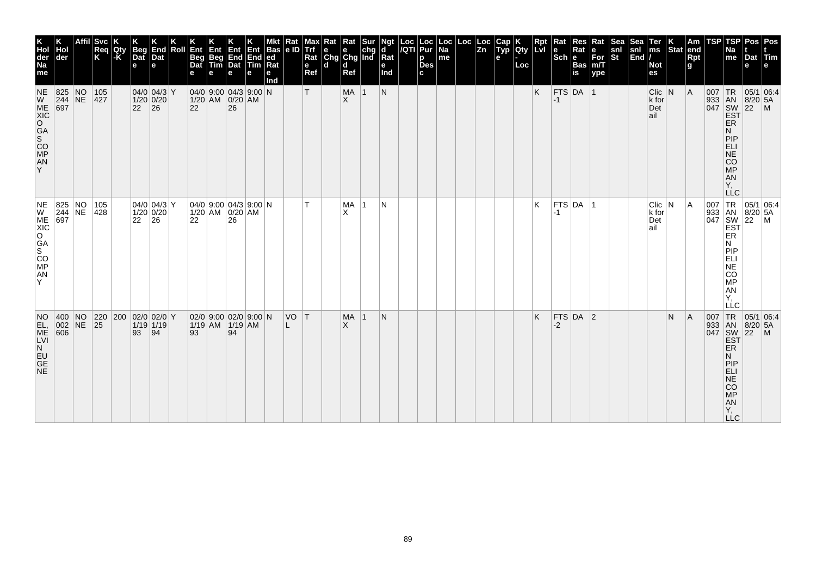| K<br>Hol<br>der<br>Na<br>me                          | ∣der                                                                     | Affil | Svc<br>Req<br>K | Qty<br>l-K` | <b>Beg</b><br>Dat<br>e | End<br>Dat<br>e                       | Roll | Ent<br>Beg<br>Dat<br>e | Ent<br>Beg<br>Tim                                   | 何心<br>End End<br>Dat Tim<br>e | <b>Ent</b><br>е | Bas<br> ed <br> Rat<br>е<br>md | Kat<br> e D | мах<br>Trf<br>Rat<br>e<br>Ref | Rat<br>$\begin{array}{ c c c }\n\hline\ne & e & chg \\ \hline\nChg & Chg & Ind\n\end{array}$<br>$\mathbf d$ | Rat<br>ld.<br>Ref |           | ď<br>$\overline{\mathsf{R}}$ at<br>е<br>Ind | Loc  Loc<br><i> I</i> QTI  Pur<br>p<br>Des<br>c | Loc<br>Na<br>$\sf m$ e | Loc | Loc<br> Zn | <b>dup</b><br>е | <b>lety</b><br>Loc | <b>Rpt</b><br>LVI | Rat<br>$Sch$ e | Res<br>Rat<br>$\left \frac{\text{Bas}}{\text{is}}\right $ | Rat<br>$\begin{array}{c} e \\ \text{For} \\ \text{m/T} \end{array}$<br>ype | snl<br>St | snl<br>$\left  \tilde{\mathsf{End}} \right $ | Ter<br>ms<br><b>Not</b><br>es      | $\vert_{\text{Stat}}^{\text{K}}$ | Am<br>end<br><b>Rpt</b><br>$\mathbf{g}$ | <b>TSP</b> | <b>TSP</b><br>Na<br>me                                                                                                  | Pos<br>Dat Tim<br>e                                    | Pos<br>le.                                                                             |
|------------------------------------------------------|--------------------------------------------------------------------------|-------|-----------------|-------------|------------------------|---------------------------------------|------|------------------------|-----------------------------------------------------|-------------------------------|-----------------|--------------------------------|-------------|-------------------------------|-------------------------------------------------------------------------------------------------------------|-------------------|-----------|---------------------------------------------|-------------------------------------------------|------------------------|-----|------------|-----------------|--------------------|-------------------|----------------|-----------------------------------------------------------|----------------------------------------------------------------------------|-----------|----------------------------------------------|------------------------------------|----------------------------------|-----------------------------------------|------------|-------------------------------------------------------------------------------------------------------------------------|--------------------------------------------------------|----------------------------------------------------------------------------------------|
| <b>NE</b><br>Y                                       | 825 NO<br>$\begin{array}{ c c }\n 244 & \text{NE} \\  697 & \end{array}$ |       | 105<br> 427     |             | $ 22 $ 26              | $04/0$ 04/3 Y<br>$1/20$ 0/20          |      | 22                     | $ 04/0 $ 9:00 $ 04/3 $ 9:00 N<br>1/20 AM 0/20 AM    | 26                            |                 |                                |             | т                             |                                                                                                             | MA 1<br>ΙX.       |           | N                                           |                                                 |                        |     |            |                 |                    | K                 | $-1$           | $FTS$ DA 1                                                |                                                                            |           |                                              | $Clic$ N<br>$k$ for<br>Det<br>∣ail |                                  | A                                       |            | <b>ER</b><br>N<br>PIP<br><b>ELI</b><br>NE<br>CO<br>MP<br>AN<br>Ÿ,<br><b>LLC</b>                                         | 05/1 06:4<br>933 AN 8/20 5.<br>047 SW 22 M<br>EST 22 M |                                                                                        |
| NE<br>ME<br>XIC<br>CO<br>S<br>CO<br>MP<br>AN<br>Y    | 825 NO 105<br>244 NE 428<br>697                                          |       |                 |             | 22                     | $ 04/0 04/3 $ Y<br>$1/20$ 0/20<br> 26 |      | 22                     | $ 04/0 $ 9:00 $ 04/3 $ 9:00 $ N$<br>1/20 AM 0/20 AM | 26                            |                 |                                |             |                               |                                                                                                             | MA<br>X           | $\vert$ 1 | N                                           |                                                 |                        |     |            |                 |                    | κ                 | -1             | $FTS$ DA $ 1$                                             |                                                                            |           |                                              | $Clic$ $N$<br>k for<br>Det<br>ail  |                                  | A                                       |            | 007 TR<br>933 AN<br>047 SW<br>EST<br>ER<br>N<br>PIP<br>ELI<br><b>NE</b><br>CO<br>МP<br><b>AN</b><br>Υ.<br>LLC           |                                                        | $\begin{array}{ l l } \hline 05/1 & 06:4 \\ 8/20 & 5A \\ 22 & M \\ \hline \end{array}$ |
| NO<br>EL,<br>ME<br>LVI<br>N<br>EU<br>GE<br><b>NE</b> | 400 NO 220 200 02/0 02/0 Y<br>$ 002 NE$ 25<br>606                        |       |                 |             | 93                     | $1/19$ 1/19<br> 94                    |      | 93                     | 02/0 9:00 02/0 9:00 N<br>1/19 AM 1/19 AM            | 94                            |                 |                                | VO T        |                               |                                                                                                             | MA<br>$\times$    | $\vert$ 1 | N                                           |                                                 |                        |     |            |                 |                    | K.                | $-2$           | $FTS$ DA 2                                                |                                                                            |           |                                              |                                    | N                                | A                                       | 007        | TR<br>933 AN<br>047 SW<br>EST<br><b>ER</b><br>N<br>PIP<br>ELI<br><b>NE</b><br>CO<br><b>MP</b><br>AN<br>Y,<br>$\sqcup$ C | 05/1 06:4<br>$8/20$ 5A<br>$22$ M                       |                                                                                        |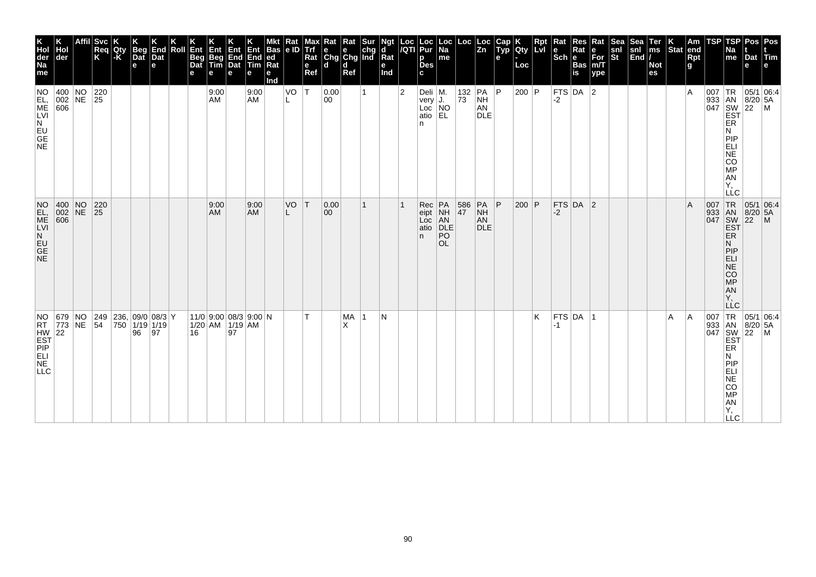| K<br>Hol<br>der<br>Na<br>me                               | der                                                                    | Svc<br>Req<br>K                                            | Qty<br>ŀK | <b>Beg</b><br>Dat<br>$\mathbf e$ | End<br>Dat<br>е | Roll | Ent<br>Beg<br>Dat<br>e | Ent<br>Beg<br>Tim<br>е                       | Ent<br>End<br>Dat<br>е | Ent<br>End<br>Tim<br>e | Bas<br> ed<br>$Ra$ t<br>е<br>nd | Kat<br>e ID | <b>Trf</b><br>Rat<br>$\mathbf e$<br>Ref | Rat<br>$\begin{array}{ c c c }\n\hline\ne & e & chg \\ \hline\nChg & Chg & Ind\n\end{array}$<br>ld. | Rat<br>$\mathbf d$<br>Ref | Sur | <b>Ngt</b><br>Rat<br>e<br>Ind |                | Loc  Loc<br><i> I</i> QTI  Pur<br>p<br><b>Des</b><br>c | Loc<br>Na<br>me                          |                 | $\begin{array}{ c c } \text{Loc} & \text{Loc} \\ \hline \text{Zn} & \end{array}$ | Cap<br>Typ<br>е | K<br> Qty<br>Loc | Rpt<br>Lvl | Rat<br>$Sch e$ | Res<br>Rat<br>Bas<br>is | Rat<br>e<br>For<br>m/T<br>$ $ ype | Sea<br>snl<br>St | Sea<br>$\begin{vmatrix} \text{snl} \\ \text{End} \end{vmatrix}$ | Ter<br>ms<br><b>Not</b><br>es | K<br>Stat | Am<br>end<br><b>Rpt</b><br>g. | <b>TSP</b> | TSP<br>Na<br>me                                                                                           | Pos<br>Dat Tim<br>e                               | Pos<br>le.                |
|-----------------------------------------------------------|------------------------------------------------------------------------|------------------------------------------------------------|-----------|----------------------------------|-----------------|------|------------------------|----------------------------------------------|------------------------|------------------------|---------------------------------|-------------|-----------------------------------------|-----------------------------------------------------------------------------------------------------|---------------------------|-----|-------------------------------|----------------|--------------------------------------------------------|------------------------------------------|-----------------|----------------------------------------------------------------------------------|-----------------|------------------|------------|----------------|-------------------------|-----------------------------------|------------------|-----------------------------------------------------------------|-------------------------------|-----------|-------------------------------|------------|-----------------------------------------------------------------------------------------------------------|---------------------------------------------------|---------------------------|
| NO<br>EL,<br>ME<br>LVI<br>LVI<br>NE<br>NECES              | $\begin{array}{ c c c }\n 400 & NO \\  002 & NE \\  606 & \end{array}$ | $\begin{array}{ c c }\n 220 \\  \hline\n 25\n \end{array}$ |           |                                  |                 |      |                        | 9:00<br>AM                                   |                        | 9:00<br><b>AM</b>      |                                 | VO          | ١T                                      | 0.00<br>00                                                                                          |                           |     |                               | $\overline{2}$ | Deli M.<br> very J.<br>n                               | Loc NO<br>atio EL                        | 132 PA<br>73 NH | AN<br><b>DLE</b>                                                                 | P               | 200   P          |            | $-2$           | FTS DA $ 2$             |                                   |                  |                                                                 |                               |           | ١A                            | $007$ TR   | ER<br>N<br>PIP<br>ELI<br>NE CO<br>MP<br>AN<br>Y,<br>LLC                                                   | 05/1 06:4<br>933 AN 8/20 5A<br>047 SW 22 M<br>EST |                           |
| NO<br>NGC VISITING                                        | 400 NO 220<br>002 NE 25<br>606                                         |                                                            |           |                                  |                 |      |                        | 9:00<br><b>AM</b>                            |                        | 9:00<br><b>AM</b>      |                                 | VO          | T                                       | 0.00<br>00                                                                                          |                           |     |                               |                | Rec<br>eipt<br>Loc<br>atio<br>n.                       | PA<br>NH<br>AN<br>DLE<br>PO<br><b>OL</b> | 586<br>47       | PA<br>NH<br>AN<br><b>DLE</b>                                                     | P               | $200$ P          |            | -2             | FTS DA 2                |                                   |                  |                                                                 |                               |           | A                             | 007        | TR<br>933 AN<br>047 SW<br>EST<br>ER<br>N<br><b>PIP</b><br><b>ELI</b><br>NE<br>CO<br>MP<br>AN<br>Y,<br>LĹC | $\left  \frac{5}{22} \right $                     | 05/1 06:4<br>$\mathsf{M}$ |
| NO.<br>HW<br>EST<br>PIP<br>RELI<br>NE<br>NE<br><b>LLC</b> | 679 NO<br>RT 773 NE 54                                                 | 249 236 09/0 08/3 Y                                        |           | 750 1/19 1/19<br>96              | 97              |      | 16                     | 11/0 9:00 08/3 9:00 N<br>$1/20$ AM $1/19$ AM | 97                     |                        |                                 |             |                                         |                                                                                                     | MA<br>X                   |     | N                             |                |                                                        |                                          |                 |                                                                                  |                 |                  | K          | $-1$           | FTS DA                  | ∣1                                |                  |                                                                 |                               | A         | A                             | 007        | TR<br>933 AN<br>047 SW<br>EST<br>ER<br>N<br>PIP<br>ELI<br>NE<br>CO<br>MP<br>AN<br>Y,<br>$\sqcup$ C        | 05/1 06:4<br>$8/20$ 5A<br>$ 22 $ M                |                           |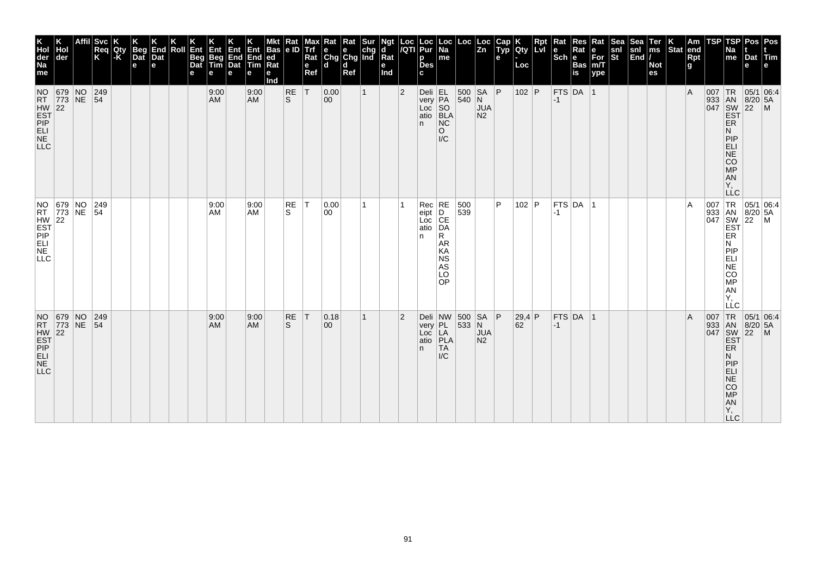| K<br>Hol<br>der<br>Na<br>me                                                                | der                                                                | Svc <br>Reg<br>Κ | Qty<br>l-K | <b>Beg</b><br>Dat<br>e | End<br>Dat<br>e | Roll | Ent<br><b>Beg</b><br>Dat<br>е | Ent<br>Beg<br>Tim<br>е | Ent<br>End<br>Dat<br>е | Ent<br>End<br>$\overline{\mathsf{Tim}}$<br>е | <b>Bas</b><br> ed<br>Ra<br>е<br>Ind | Rat<br> e D        | мах<br><b>Trf</b><br>Rat<br>$\mathbf e$<br>Ref | <b>x</b> Rat Rat Sur<br>e e chg<br>Chg Chg Ind<br>ld. | d<br>Ref |              | Ngt<br>d<br>Rat<br>е<br>Ind | $\frac{Loc}{/QTI}$ | Loc<br>Pur<br>p<br><b>Des</b><br>C.                      | Loc<br>$\overline{Na}$<br>me                                        | Loc               | Loc<br>$\overline{z}$ <sub>n</sub>       | Cap<br>Typ<br>e | Qty<br>Loc   | Rpt<br><b>Lvi</b> | Rat<br>le<br>$ \overline{\text{Sch}} e $ | Res<br>Rat<br><b>Bas</b><br>is | Rat<br>е<br>$\bar{F}$ or<br>m/T<br>ype | <b>Sea</b><br>snl<br>$ \tilde{\mathbf{s}}$ t | Sea<br>snl<br>$\left \overline{\text{End}}\right $ | Ter<br>ms<br><b>Not</b><br>es | Stat end | Am<br>Rpt<br>g | TSP | TSP<br>Na<br>me                                                                            | Pos   Pos<br>Dat Tim<br>e                                |                                                   |
|--------------------------------------------------------------------------------------------|--------------------------------------------------------------------|------------------|------------|------------------------|-----------------|------|-------------------------------|------------------------|------------------------|----------------------------------------------|-------------------------------------|--------------------|------------------------------------------------|-------------------------------------------------------|----------|--------------|-----------------------------|--------------------|----------------------------------------------------------|---------------------------------------------------------------------|-------------------|------------------------------------------|-----------------|--------------|-------------------|------------------------------------------|--------------------------------|----------------------------------------|----------------------------------------------|----------------------------------------------------|-------------------------------|----------|----------------|-----|--------------------------------------------------------------------------------------------|----------------------------------------------------------|---------------------------------------------------|
| <b>NO</b><br>HW<br>EST<br>PIP<br>ELI<br>NE<br>NE<br><b>LLC</b>                             | 679 NO<br>RT 773 NE 54                                             | 249              |            |                        |                 |      |                               | 9:00<br>AM             |                        | 9:00<br><b>AM</b>                            |                                     | RE<br>ls.          | T                                              | 0.00<br>$ 00\rangle$                                  |          | $\mathbf{1}$ |                             | $\overline{2}$     | $Deli$ EL<br>$very$ $\overline{PA}$<br>Loc<br>atio<br>n. | SO<br>BLA<br>N <sub>C</sub><br>$\circ$<br>$\mathsf{IC}$             | 500 SA P<br>540 N | <b>JUA</b><br>N <sub>2</sub>             |                 | 102 P        |                   | $-1$                                     | FTS DA 1                       |                                        |                                              |                                                    |                               |          | $\overline{A}$ |     | ER<br>N<br>PIP<br>ELI<br>NE<br>CO<br>MP<br>AN<br>Υ.<br><b>LLC</b>                          | 007 TR 05/1 06:4<br>933 AN 8/20 5A<br>047 SW 22 M<br>EST |                                                   |
| <b>LLC</b>                                                                                 | NO 679 NO 249<br>RT 773 NE 54<br>HW 22<br>EST<br>PIP PT<br>ELL LUE | 249              |            |                        |                 |      |                               | 9:00<br>AM             |                        | 9:00<br>AM                                   |                                     | RE<br>S.           | T                                              | 0.00<br>00                                            |          | 1.           |                             |                    | $Rec$ RE<br>eipt<br>Loc CE<br>atio DA<br>n.              | R<br><b>AR</b><br>KA<br><b>NS</b><br>AS<br>LO<br>OP                 | 500<br>539        |                                          | P               | 102   $P$    |                   | $ -1$                                    | $FTS$ DA $ 1$                  |                                        |                                              |                                                    |                               |          | $\overline{A}$ |     | <b>EST</b><br>ER<br>N<br>PIP<br>ELI<br>CO<br>MP<br>AN<br>Y,<br>LLC                         |                                                          | 007 TR 05/1 06:4<br>933 AN 8/20 5A<br>047 SW 22 M |
| NO 679 NO<br>RT 773 NE<br>HW 22<br>EST<br>PIP<br>PLL<br>LL<br>N <sub>E</sub><br><b>LLC</b> |                                                                    | 249<br> 54       |            |                        |                 |      |                               | 9:00<br>AM             |                        | 9:00<br>AM                                   |                                     | RE<br><sub>S</sub> | T                                              | 0.18<br>00                                            |          | 1            |                             | $\overline{2}$     | very<br>Loc<br>atio<br>n.                                | Deli $ NW $ 500<br>$PL$ <sub>LA</sub><br>PLA<br>TA<br>$\mathsf{IC}$ | 533 N             | $SA$ $P$<br><b>JUA</b><br>N <sub>2</sub> |                 | 29,4 P<br>62 |                   | $-1$                                     | FTS DA 1                       |                                        |                                              |                                                    |                               |          | $\overline{A}$ | 007 | TR<br>ER<br>N<br>PIP<br><b>ELI</b><br>NE <sup></sup><br>CO<br><b>MP</b><br>AN<br>Υ,<br>LLC | 05/1 06:4<br>933 AN 8/20 5A<br>047 SW 22 M<br>EST        |                                                   |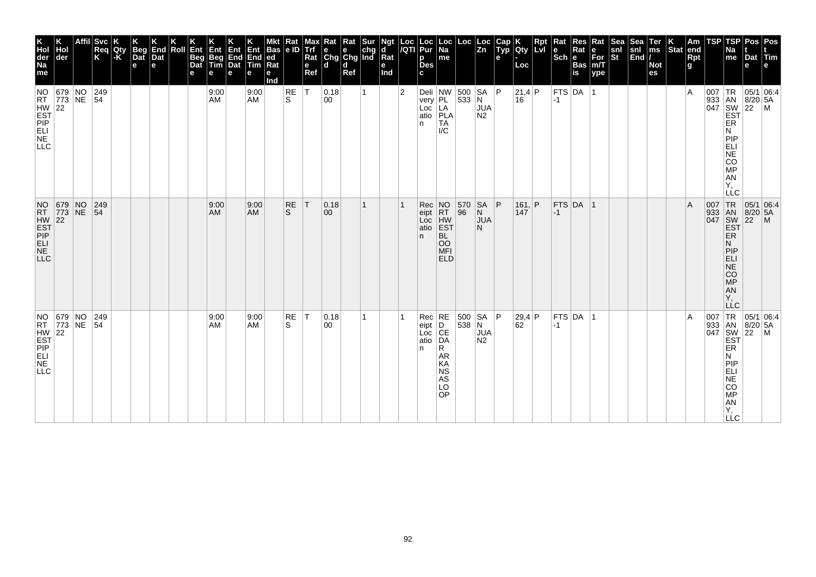| K<br>Hol<br>der<br>Na<br>me                      | Hol<br>der                                                            | <b>Svc</b><br>Req<br>K | Qty<br> -K | Beg<br>Dat<br>e | K<br>End<br>Dat<br>le. | Roll | Ent<br>Beg<br>Dat<br>е | Ent<br>Beg<br>Tim<br>e | Ent<br>End<br>Dat<br>е | Ent<br>End<br>Tim<br>е | <b>Bas</b><br> ed<br>Rat<br>е<br>Ind | Rat<br> e D     | <b>Max</b><br><b>Luti</b><br>Rat<br>$\mathbf e$<br>Ref | Rat Rat Sur<br> e e chg<br> Chg Chg Ind<br>l d | d<br>Ref |   | Ngt<br>d<br>Rat<br>е<br>Ind | $\frac{Loc}{/QTI}$ | Loc<br>Pur<br>p<br><b>Des</b><br>C. | Loc<br>  Na<br>me                                                                   | Loc            | Loc<br>$\overline{z}$ <sub>n</sub>     | Cap<br>Typ<br>e | Qty<br>Loc      | Rpt | Rat<br>$\left \begin{array}{c}\n\mathbf{e} \\ \mathbf{Sch}\n\end{array}\right $ R | <b>Res</b><br>Rat<br><b>Bas</b><br>is | Rat<br>e<br>For<br>m/T<br>ype | Sea<br>snl<br>St | Sea<br>snl<br>End | Ter<br>ms<br><b>Not</b><br>es | $\left \begin{array}{c} K \\ \text{Stat} \end{array}\right $ am | Rpt<br>g | TSP | TSP<br><b>Na</b><br>me                                                                                                  | Dat<br>е                                                                                                                                                    | Pos Pos<br><b>Tim</b> |
|--------------------------------------------------|-----------------------------------------------------------------------|------------------------|------------|-----------------|------------------------|------|------------------------|------------------------|------------------------|------------------------|--------------------------------------|-----------------|--------------------------------------------------------|------------------------------------------------|----------|---|-----------------------------|--------------------|-------------------------------------|-------------------------------------------------------------------------------------|----------------|----------------------------------------|-----------------|-----------------|-----|-----------------------------------------------------------------------------------|---------------------------------------|-------------------------------|------------------|-------------------|-------------------------------|-----------------------------------------------------------------|----------|-----|-------------------------------------------------------------------------------------------------------------------------|-------------------------------------------------------------------------------------------------------------------------------------------------------------|-----------------------|
| HW<br>EST<br>PIP<br>ELI<br>NE<br>NE<br>NE<br>LLC | 679 NO<br>NO 679 NO 249                                               | 249                    |            |                 |                        |      |                        | 9:00<br>AM             |                        | 9:00<br><b>AM</b>      |                                      | RE<br>ls.       | T                                                      | 0.18<br>00                                     |          | 1 |                             | $\overline{2}$     | n                                   | Deli $ NW $ 500 $ SA P$<br>very<br>Loc<br>atio<br>PLA<br>TA<br>$\mathsf{IC}$        | 533 N          | <b>JUA</b><br>N2                       |                 | 21,4 P<br>16    |     | $ -1 $                                                                            | FTS DA 1                              |                               |                  |                   |                               |                                                                 | ۱A       | 007 | TR<br>933 AN 8/20<br>047 SW 22<br>EST<br>ER<br>N<br> P P<br>ELI<br>NE<br>CO<br>MP<br>A <sub>N</sub><br>Υ.<br><b>LLC</b> | 8/20 5A                                                                                                                                                     | 05/1 06:4<br> M       |
| <b>LLC</b>                                       | NO 679 NO<br>RT 773 NE<br>HW 22<br>EST<br>PIP 22<br>ELL<br>NLC<br>NLC | $ 249\rangle$<br> 54   |            |                 |                        |      |                        | 9:00<br>AM             |                        | 9:00<br><b>AM</b>      |                                      | RE<br>S         | T                                                      | 0.18<br>00                                     |          | 1 |                             |                    | Rec<br>eipt<br>Loc<br>atio<br>n.    | NO<br>RT<br>HW<br>EST<br>EST<br><b>BL</b><br>OO<br>MFI<br><b>ELD</b>                | 570<br>96      | SA<br>N<br><b>JUA</b><br>N.            | P               | 161,  P <br>147 |     | $-1$                                                                              | FTS DA 1                              |                               |                  |                   |                               |                                                                 | ΙA       | 007 | TR <sub>1</sub><br>933 AN 8/20<br>047 SW 22<br>ER<br>N<br><b>MONES</b><br>AN<br>Y,<br>LLC                               | 05/1 06:4<br>$8/20$ 5A                                                                                                                                      | $\mathsf{M}$          |
| <b>LLC</b>                                       | NO 679 NO<br>RT 773 NE<br>HW 22<br>EST<br>PIP 22<br>ELL ELL<br>NLC    | 249<br>54              |            |                 |                        |      |                        | 9:00<br>AM             |                        | 9:00<br>AM             |                                      | <b>RE</b><br>S. | $\top$                                                 | 0.18<br>00                                     |          | 1 |                             |                    | Rec<br>eipt<br>Loc<br>atio<br>n     | RE<br> D <br>CE<br>DA<br>R<br><b>AR</b><br>KA<br><b>NS</b><br>AS<br>LO<br><b>OP</b> | 500<br>$538$ N | SA   P<br><b>JUA</b><br>N <sub>2</sub> |                 | 29,4 P<br>62    |     | $-1$                                                                              | FTS DA                                | ∣1                            |                  |                   |                               |                                                                 | ١A       |     | ER<br>N<br>PIP<br>ELI<br>NE<br>CO<br><b>MP</b><br>AN<br>Υ,<br><b>LLC</b>                                                | $\begin{bmatrix} .07 \\ 933 \\ 047 \\ 047 \\ 5W \\ 22 \\ 5T \\ 5R \end{bmatrix}$<br>$\begin{bmatrix} 7 \\ 8 \\ 2 \\ 22 \\ 2 \\ 5R \end{bmatrix}$<br>8/20 5A | 05/1 06:4<br> M       |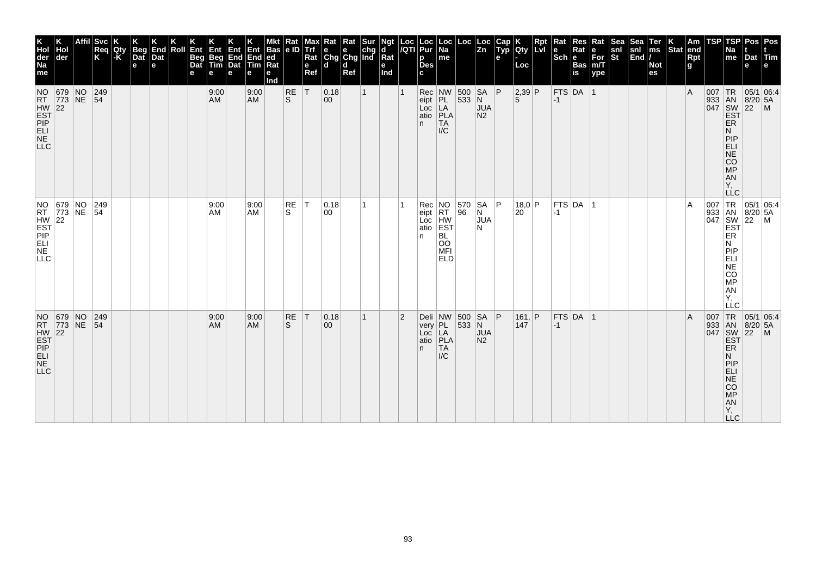| K<br>Hol<br>der<br>Na<br>me                         | der                                                                | Svc <br>Req<br>K | Qty<br>-K | <b>Beg</b><br>Dat<br>$\mathbf e$ | End<br>Dat<br>e | Roll | Ent<br>Beg<br>Dat<br>е | Ent<br>Beg<br>Tim<br>е | Ent<br>End<br>Dat<br>e | Ent<br>End<br>Tim<br>е | <b>Bas</b><br> ed<br>Rat<br>е<br>Ind | Rat<br> e D        | Max<br><b>Trf</b><br>Rat<br>e<br>Ref | <b>Rat</b> Rat Sur<br>e e chg<br>Chg Chg Ind<br>ld. | d<br>Ref |              | Ngt<br>d<br>Rat<br>е<br>Ind | $\frac{Loc}{/QTI}$ | Loc<br>Pur<br>p<br><b>Des</b><br>C. | $\vert$ Loc $\vert$ Na<br>me                                                                                                    | Loc                               | ∣ Loc<br>$\overline{z_n}$         | Cap<br>Typ<br>e | Qty<br>Loc             | Rpt<br>Lvi | Rat<br>le<br>$ \overline{\text{Sch}} e $ | Res<br>Rat<br><b>Bas</b><br>is | Rat<br>е<br>$\bar{F}$ or<br>m/T<br>ype | <b>Sea</b><br>snl<br>St | Sea<br>$\begin{vmatrix} \text{snl} \\ \text{End} \end{vmatrix}$ | Ter<br>ms<br><b>Not</b><br>es | Stat end | Am<br>Rpt<br>g | TSP | <b>TSP</b><br>Na<br>me                                                           | Pos   Pos<br>Dat Tim<br>e                                |  |
|-----------------------------------------------------|--------------------------------------------------------------------|------------------|-----------|----------------------------------|-----------------|------|------------------------|------------------------|------------------------|------------------------|--------------------------------------|--------------------|--------------------------------------|-----------------------------------------------------|----------|--------------|-----------------------------|--------------------|-------------------------------------|---------------------------------------------------------------------------------------------------------------------------------|-----------------------------------|-----------------------------------|-----------------|------------------------|------------|------------------------------------------|--------------------------------|----------------------------------------|-------------------------|-----------------------------------------------------------------|-------------------------------|----------|----------------|-----|----------------------------------------------------------------------------------|----------------------------------------------------------|--|
| HW 22<br>EST<br>PEL<br>ME<br><b>LLC</b>             | NO 679 NO 249<br>RT 773 NE 54                                      |                  |           |                                  |                 |      |                        | 9:00<br>AM             |                        | 9:00<br><b>AM</b>      |                                      | <b>RE</b><br>ls.   | T                                    | 0.18<br>$ 00\rangle$                                |          | $\mathbf{1}$ |                             |                    | eipt PL<br>n.                       | $\begin{array}{ c c c }\n\hline\n\text{Loc} & \text{LA} \\ \text{atio} & \text{PLA}\n\end{array}$<br><b>TA</b><br>$\mathsf{IC}$ | Rec NW 500 SA P<br>eipt PL 533 N  | <b>JUA</b><br>N <sub>2</sub>      |                 | 2,39 P<br>5            |            | $-1$                                     | FTS DA 1                       |                                        |                         |                                                                 |                               |          | $\overline{A}$ |     | ER<br>N<br>PIP<br>$ELI$<br>NE<br>CO<br>MP<br><b>AN</b><br>Υ,<br><b>LLC</b>       | 007 TR 05/1 06:4<br>933 AN 8/20 5A<br>047 SW 22 M<br>EST |  |
| $HW$ 22<br>$EST$ $PIP$<br>$ELI$<br>NE<br><b>LLC</b> | NO 679 NO 249                                                      | 249              |           |                                  |                 |      |                        | 9:00<br>AM             |                        | 9:00<br>AM             |                                      | RE<br>S.           | T                                    | 0.18<br>00                                          |          | 1            |                             |                    | Rec<br>eipt<br>Loc<br>atio<br>n     | NO<br>RT<br>HW<br>EST<br>BL<br>OO<br><b>MFI</b><br><b>ELD</b>                                                                   | 570<br>96                         | <b>SA</b><br>N<br><b>JUA</b><br>N | P               | 18.0 P<br>$20^{\circ}$ |            | $-1$                                     | FTS DA 1                       |                                        |                         |                                                                 |                               |          | A              |     | ER<br>N<br> P P<br>ELI<br>$N\bar{E}$<br>CO<br>MP<br>AN<br>Υ.<br>LLC              | 007 TR 05/1 06:4<br>933 AN 8/20 5A<br>047 SW 22 M<br>EST |  |
| <b>LLC</b>                                          | NO 679 NO<br>RT 773 NE<br>HW 22<br>EST<br>PIP 22<br>ELL ELL<br>NLC | 249<br> 54       |           |                                  |                 |      |                        | 9:00<br><b>AM</b>      |                        | 9:00<br><b>AM</b>      |                                      | RE<br><sub>S</sub> | T                                    | 0.18<br>$ 00\rangle$                                |          | $\mathbf{1}$ |                             | $\overline{2}$     | n.                                  | very PL<br>Loc LA<br>atio <b>PLA</b><br><b>TA</b><br>$\mathsf{IC}$                                                              | Deli $ NW $ 500 $ SA P$<br> 533 N | <b>JUA</b><br>N <sub>2</sub>      |                 | 161,  P <br>147        |            | $ -1 $                                   | $FTS$ DA 1                     |                                        |                         |                                                                 |                               |          | $\overline{A}$ | 007 | <b>ER</b><br>N<br>PIP<br>ELI<br>$N\bar{E}$<br>CO<br>MP<br>AN<br>Y,<br><b>LLC</b> | TR 05/1 06:4<br>933 AN 8/20 5A<br>047 SW 22 M<br>EST     |  |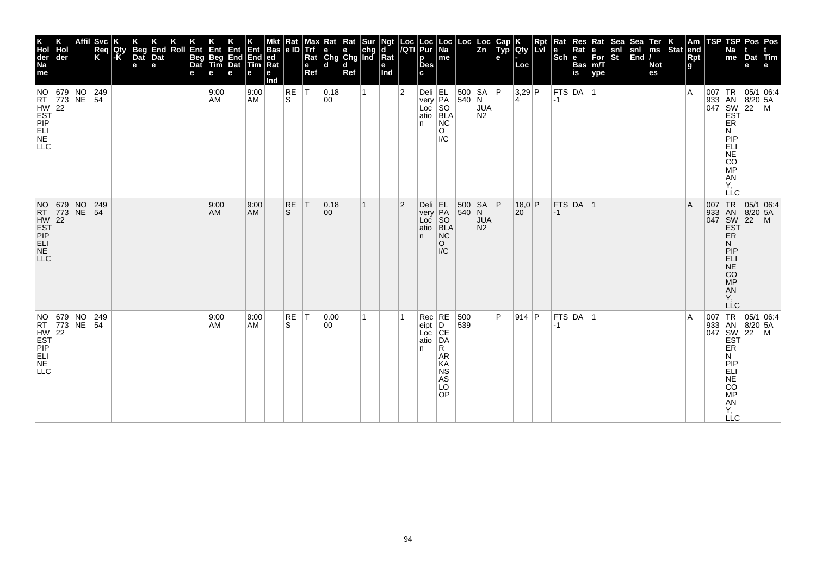| K<br>Hol<br>der<br>Na<br>me | Hol<br>der                                                         |             | <b>Svc</b><br>Req<br>K | Qty<br> -K | Beg<br>Dat<br>e | K<br>End<br>Dat<br>e | Roll | Ent<br>Beg<br>Dat<br>е | Ent<br>Beg<br>Tim<br>e | Ent<br><b>End</b><br>Dat<br>е | Ent<br>End<br>Tim<br>е | <b>Bas</b><br> ed<br>Rat<br>е<br>Ind | Rat<br>e ID    | Max <sup>y</sup><br>Litt<br>Rat<br>e<br>Ref | $\begin{array}{ l l }\n\hline\n\text{Rat} & \text{Rat} & \text{Sur} \\ \hline\n\text{e} & \text{e} & \text{chg} \\ \text{Chg} & \text{Chg} & \text{Ind}\n\end{array}$<br>l d | d<br>Ref |   | Ngt<br>d<br>$\overline{\mathsf{R}}$ at<br>e<br>Ind | Loc<br>/QTI    | Loc<br>Pur<br>р<br><b>Des</b><br>c             | $\vert$ Loc $\vert$ Na<br>me                  | Loc                                                        | Loc<br>Zn                                    | Cap<br>Typ<br>e | <b>Qty</b><br>Loc        | Rpt | $\vert$ Rat<br>$ \mathbf{e}$ <sub>e</sub> $ \mathbf{R}$ | <b>Res</b><br>Rat<br>Bas<br>is | Rat<br>∣е<br>For<br>m/T<br>ype | Sea<br>snl<br>St | Sea<br>snl<br>End | Ter<br>ms<br><b>Not</b><br>es | $\left \begin{array}{c} K \\ \end{array}\right $ Stat end | Rpt<br>g | TSP | TSP<br><b>Na</b><br>$\mathsf{m}\mathsf{e}$                                                       | Dat<br>е        | Pos   Pos<br>Tim<br>e                                                                                                                                                                          |
|-----------------------------|--------------------------------------------------------------------|-------------|------------------------|------------|-----------------|----------------------|------|------------------------|------------------------|-------------------------------|------------------------|--------------------------------------|----------------|---------------------------------------------|------------------------------------------------------------------------------------------------------------------------------------------------------------------------------|----------|---|----------------------------------------------------|----------------|------------------------------------------------|-----------------------------------------------|------------------------------------------------------------|----------------------------------------------|-----------------|--------------------------|-----|---------------------------------------------------------|--------------------------------|--------------------------------|------------------|-------------------|-------------------------------|-----------------------------------------------------------|----------|-----|--------------------------------------------------------------------------------------------------|-----------------|------------------------------------------------------------------------------------------------------------------------------------------------------------------------------------------------|
| <b>LLC</b>                  | NO 679 NO<br>RT 773 NE<br>HW 22<br>EST<br>PIPP<br>LLELLE           |             | 249<br>$\overline{54}$ |            |                 |                      |      |                        | 9:00<br>AM             |                               | 9:00<br><b>AM</b>      |                                      | RE<br>S        | $\top$                                      | 0.18<br>00                                                                                                                                                                   |          | 1 |                                                    | $\overline{2}$ | Deli<br>very<br>Loc SO<br>atio BLA<br>PLA<br>n | NC<br>O<br>$\overline{IC}$                    | $540$ N                                                    | 500   SA   P<br><b>JUA</b><br>N <sub>2</sub> |                 | $3,29$ P<br>4            |     | $-1$                                                    | FTS DA 1                       |                                |                  |                   |                               |                                                           | ΙA       |     | ER<br>N<br>PIP<br>EL<br>ANGO<br>Υ,<br><b>LLC</b>                                                 |                 | $\begin{array}{c c}\n & R & 05/1 & 0.1 \\  & AB & 8/20 & 5A \\ \hline\n047 & 8W & 22 & M \\ \hline\nEBT & & & \n\end{array}$                                                                   |
| <b>LLC</b>                  | NO 679<br>RT 773<br>HW 22<br>EST<br>PIP<br>ELL<br>NLC<br>NLC       | $N$ O<br>NE | $ 249\rangle$<br> 54   |            |                 |                      |      |                        | 9:00<br>AM             |                               | 9:00<br><b>AM</b>      |                                      | <b>RE</b><br>S | T                                           | 0.18 <br>$ 00\rangle$                                                                                                                                                        |          | 1 |                                                    | $\overline{2}$ | Deli<br>very<br>Loc SO<br>atio BLA<br><br>n.   | N <sub>C</sub><br>$\circ$<br>$\overline{IC}$  | $\begin{array}{ c c c }\n500 & Sf \\ 540 & N\n\end{array}$ | <b>SA</b><br><b>JUA</b><br>N <sub>2</sub>    | P               | 18.0 P<br>$20^{\degree}$ |     | $ -1$                                                   | FTS DA 1                       |                                |                  |                   |                               |                                                           | ΙA       |     | 007 TR<br>933 AN<br>047 SW<br>EST<br>ER<br>N<br>PIP<br>ELI<br>NE<br>CO <sub>MP</sub><br>AN<br>Y, | $\overline{22}$ | $\begin{array}{ c c c }\n\hline\n95/1 & 06:4 \\ 8/20 & 5A\n\end{array}$<br>$\mathsf{M}$                                                                                                        |
| <b>LLC</b>                  | NO 679 NO<br>RT 773 NE<br>HW 22<br>EST<br>PIP 22<br>ELL ELL<br>NLC |             | $ 249\rangle$<br> 54   |            |                 |                      |      |                        | 9:00<br>AM             |                               | 9:00<br><b>AM</b>      |                                      | RE<br>S        | T                                           | 0.00<br>$ 00\rangle$                                                                                                                                                         |          | 1 |                                                    |                | $Rec$ RE<br>eipt<br>Loc CE<br>atio DA<br>n     | R.<br>AR<br>KA<br><b>NS</b><br>AS<br>LO<br>OP | 500<br>539                                                 |                                              | P               | $914$ P                  |     | -1                                                      | $FTS$ DA  1                    |                                |                  |                   |                               |                                                           | ΙA       |     | ER<br>Ν<br><b>LLC</b>                                                                            |                 | $\begin{array}{c c}\n & C \\ \hline\n & \downarrow \text{TR} & 05/1 & 06:4 \\ \hline\n & 933 & \text{AN} & 8/20 & 5/104 \\  & 047 & \text{SW} & 22 \\  & \text{EST} & \text{ER} & \end{array}$ |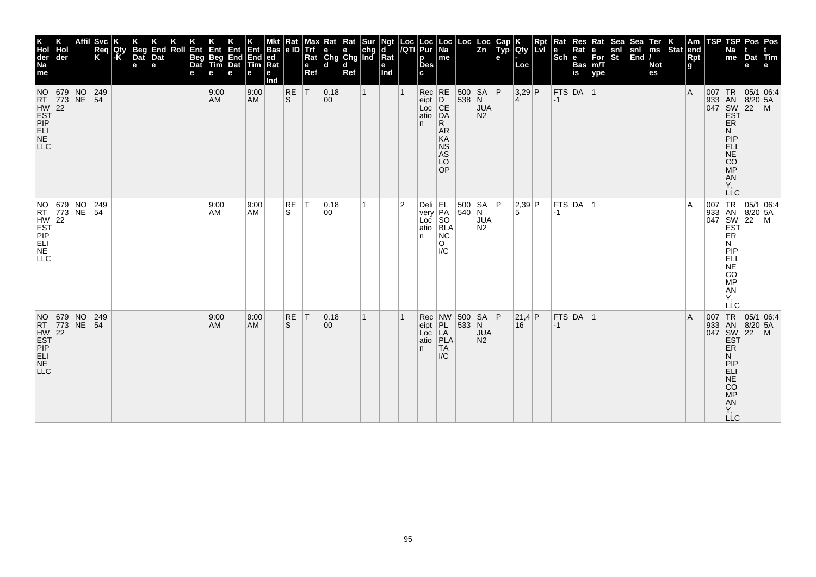| K<br>Hol<br>der<br>Na<br>me<br><b>NO</b>                                                   | der<br>679 NO                                                      | <b>Svc</b><br>Reg<br>Κ<br> 249 | Qty<br>l-K | <b>Beg</b><br>Dat<br>$\mathbf e$ | End<br>Dat<br>e | Roll | Ent<br>Beg<br>Dat<br>е | Ent<br>Beg<br>Tim<br>е<br>9:00 | Ent Ent<br>End End<br>Dat Tim<br>е | е<br>9:00         | <b>Bas</b><br> ed<br>Ra<br>е<br>Ind | $\frac{Rat}{e}$<br>RE | Max<br><b>Trf</b><br>Rat<br>$\mathbf e$<br>Ref<br> T | <b>x</b> Rat Rat Sur<br>e e chg<br>Chg Chg Ind<br>ld.<br> 0.18 | d<br>Ref | $\mathbf{1}$ | Ngt<br>d<br>Rat<br>е<br>Ind | $\frac{Loc}{/QTI}$ | Loc<br>Pur<br>p<br><b>Des</b><br>C.<br>$Rec$ RE | Loc<br>  Na<br>me                                                    | Loc<br>500 SA P                                                                  | Loc<br>$\overline{z}$ <sub>n</sub>       | Cap<br>Typ<br>e | Qty<br>Loc<br>$3,29$ P | Rpt<br>Lvi | Rat<br>le<br>$ \overline{\text{Sch}} e $ | Res<br>Rat<br><b>Bas</b><br>is<br>$FTS$ DA 1 | Rat<br>е<br>$\bar{F}$ or<br>m/T<br>ype | Sea<br>snl<br>St | Sea<br>snl<br>$\left \overline{\text{End}}\right $ | Ter<br>ms<br><b>Not</b><br>es | Stat end | Am<br>Rpt<br>g<br>$\overline{A}$ | TSP | TSP<br>Na<br>me                                                                                   | Pos   Pos<br>Dat Tim<br>e<br>007 TR 05/1 06:4     |  |
|--------------------------------------------------------------------------------------------|--------------------------------------------------------------------|--------------------------------|------------|----------------------------------|-----------------|------|------------------------|--------------------------------|------------------------------------|-------------------|-------------------------------------|-----------------------|------------------------------------------------------|----------------------------------------------------------------|----------|--------------|-----------------------------|--------------------|-------------------------------------------------|----------------------------------------------------------------------|----------------------------------------------------------------------------------|------------------------------------------|-----------------|------------------------|------------|------------------------------------------|----------------------------------------------|----------------------------------------|------------------|----------------------------------------------------|-------------------------------|----------|----------------------------------|-----|---------------------------------------------------------------------------------------------------|---------------------------------------------------|--|
| HW<br>EST<br>PIP<br>ELI<br>NE<br>NE<br><b>LLC</b>                                          | RT 773 NE 54                                                       |                                |            |                                  |                 |      |                        | AM                             |                                    | <b>AM</b>         |                                     | ls.                   |                                                      | $ 00\rangle$                                                   |          |              |                             |                    | eipt<br>Loc<br>atio<br>n.                       | D<br>CE<br>DA<br>R<br><b>AR</b><br>KA<br><b>NS</b><br>AS<br>LO<br>OP | 538 N                                                                            | <b>JUA</b><br>N <sub>2</sub>             |                 | $\vert$ 4              |            | $-1$                                     |                                              |                                        |                  |                                                    |                               |          |                                  |     | <b>ER</b><br>N<br>PIP<br>ELI<br>NE<br>CO <sub>MP</sub><br>AN<br>Υ.<br><b>LLC</b>                  | 933 AN 8/20 5A<br>047 SW 22 M<br>EST              |  |
| <b>LLC</b>                                                                                 | NO 679 NO 249<br>RT 773 NE 54<br>HW 22<br>EST<br>PIP PT<br>ELL LUE | 249                            |            |                                  |                 |      |                        | 9:00<br>AM                     |                                    | 9:00<br>AM        |                                     | RE<br>S               | T                                                    | 0.18<br>00                                                     |          | 1.           |                             | $\overline{2}$     | Deli EL<br>very PA<br>Loc SO<br>atio BLA<br>n.  | NC<br>$\circ$<br>$\mathsf{IC}$                                       | $\begin{array}{ c c c c c } \hline 500 & SA & P \\ \hline 540 & N & \end{array}$ | <b>JUA</b><br>N <sub>2</sub>             |                 | 2,39 P<br>5            |            | $ -1 $                                   | $FTS$ DA $ 1$                                |                                        |                  |                                                    |                               |          | $\overline{A}$                   |     | <b>EST</b><br>ER<br>N<br>PIP<br>ELI<br>CO<br>MP<br>AN<br>Y,<br>LLC                                | 007 TR 05/1 06:4<br>933 AN 8/20 5A<br>047 SW 22 M |  |
| NO 679 NO<br>RT 773 NE<br>HW 22<br>EST<br>PIP<br>PLL<br>LL<br>N <sub>E</sub><br><b>LLC</b> |                                                                    | 249<br> 54                     |            |                                  |                 |      |                        | 9:00<br>AM                     |                                    | 9:00<br><b>AM</b> |                                     | RE<br><sub>S</sub>    | T                                                    | 0.18<br>00                                                     |          | 1            |                             |                    | Rec<br>eipt<br>Loc<br>atio<br>n.                | NW 500<br>PL<br>LA<br>PLA<br>TA<br>$\mathsf{IC}$                     | 533 N                                                                            | $SA$ $P$<br><b>JUA</b><br>N <sub>2</sub> |                 | 21,4 P<br>16           |            | $-1$                                     | FTS DA 1                                     |                                        |                  |                                                    |                               |          | $\overline{A}$                   | 007 | TR<br><b>ER</b><br>N<br>PIP<br><b>ELI</b><br>NE <sup></sup><br>CO<br><b>MP</b><br>AN<br>Υ,<br>LLC | 05/1 06:4<br>933 AN 8/20 5A<br>047 SW 22 M<br>EST |  |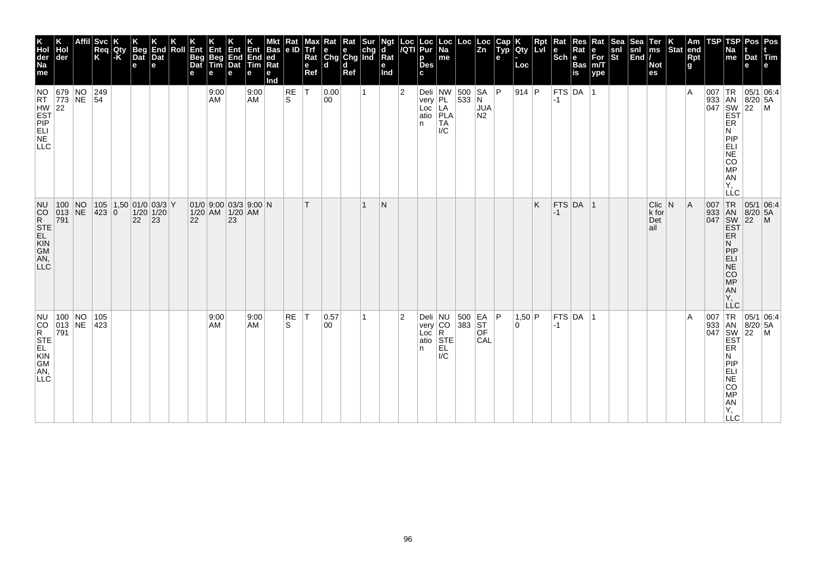| K<br>Hol<br>der<br>Na<br>me                              | Hol<br> der                   | <b>Svc</b><br>Req<br>K                  | Qty<br> -K | <b>Beg</b><br>Dat<br>$\mathbf e$ | End<br>Dat<br>е | Roll | Ent<br>Beg<br>Dat<br>е | Ent<br>Beg<br>Tim<br>е                   | Ent<br>End<br>Dat<br>е | Ent<br>End<br>Tim<br>e | Bas<br> ed<br>$\overline{\text{Rat}}$<br>е<br>nd | Kat<br> e D    | Trf<br>Rat<br>$\mathbf e$<br>Ref | <b>x</b> Rat Rat Sur<br>e e chg<br>Chg Chg Ind<br>ld. | l d<br>Ref | $\mathbf{d}$<br>Rat<br>е<br>Ind |                | Loc  Loc<br><i> I</i> QTI  Pur<br>p<br><b>Des</b><br>c | Loc<br>Na<br>$\sf me$                                                                  |                                                                                | $\begin{vmatrix} \text{Loc} & \text{Loc} \\ \text{Zn} & \end{vmatrix}$ | Typ<br>е | K<br>Qty<br>Loc | <b>Rpt</b><br>LVI | Rat<br>$ \mathsf{Sch} $ e | Res<br>Rat<br>Bas<br>is | Rat<br>$\left  \begin{matrix} \mathsf{e} \ \mathsf{For} \ \mathsf{m/T} \end{matrix} \right $<br>ype | $\frac{\mathsf{snl}}{\mathsf{St}}$ | Sea<br>snl<br>$\left  \tilde{\mathsf{End}} \right $ | Ter<br>ms<br><b>Not</b><br>es                | $\vert_{\text{Stat}}^{\text{K}}$ | $\vert$ Am<br>end<br>Rpt<br>g | <b>TSP</b>                        | <b>TSP</b><br>Na<br>me                                                                                        | Pos<br>Dat Tim<br>e                                                                                                                                            | Pos<br>le.     |
|----------------------------------------------------------|-------------------------------|-----------------------------------------|------------|----------------------------------|-----------------|------|------------------------|------------------------------------------|------------------------|------------------------|--------------------------------------------------|----------------|----------------------------------|-------------------------------------------------------|------------|---------------------------------|----------------|--------------------------------------------------------|----------------------------------------------------------------------------------------|--------------------------------------------------------------------------------|------------------------------------------------------------------------|----------|-----------------|-------------------|---------------------------|-------------------------|-----------------------------------------------------------------------------------------------------|------------------------------------|-----------------------------------------------------|----------------------------------------------|----------------------------------|-------------------------------|-----------------------------------|---------------------------------------------------------------------------------------------------------------|----------------------------------------------------------------------------------------------------------------------------------------------------------------|----------------|
| HW 22<br>EST<br>PIP<br>ELI<br>N.E.<br><b>LLC</b>         | NO 679 NO 249<br>RT 773 NE 54 |                                         |            |                                  |                 |      |                        | 9:00<br>AM                               |                        | 9:00<br><b>AM</b>      |                                                  | $\sf RE$<br>S. | $\mathsf{T}$                     | 0.00<br>00                                            |            |                                 | $\overline{2}$ | In.                                                    | Deli NW 500 SA P<br>very PL 533 N<br>Loc LA JUA<br>atio <b>PLA</b><br><b>TA</b><br>I/C |                                                                                | N <sub>2</sub>                                                         |          | $914$ P         |                   | $-1$                      | FTS DA                  |                                                                                                     |                                    |                                                     |                                              |                                  | ١A                            |                                   | ER<br>N<br>PIP<br>ELI<br>NE<br>CO<br>MP<br>AN<br>Ÿ,<br>LLC                                                    | 05/1 06:4<br>$\begin{array}{r} \n 165/1 \\  933 \\  047 \\  5W \\  22 \\  165\n\end{array}$<br>$\begin{array}{r} \n 165/1 \\  8/20 \\  5 \\  165\n\end{array}$ |                |
| NU.<br>CORSTE<br>SEL<br>SAN, CORSTE<br>AN, CORSTE<br>LLC | 100 NO<br>013 NE<br>791       | 105 1,50 01/0 03/3 Y<br>423 0 1/20 1/20 |            | 22                               | 23              |      | 22                     | 01/0 9.00 03/3 9.00 N<br>1/20 AM 1/20 AM | 23                     |                        |                                                  |                |                                  |                                                       |            | N                               |                |                                                        |                                                                                        |                                                                                |                                                                        |          |                 | K                 | $-1$                      | $FTS$ DA 1              |                                                                                                     |                                    |                                                     | $Clic$ N<br>$k$ for<br>$ \text{Det} $<br>ail |                                  | A                             | 007 TR<br>933 AN<br>047 SW<br>EST | <b>ER</b><br>Ν<br>PIP<br>ELI<br>$\overline{\text{NE}}$<br>$\overline{c}\overline{o}$<br>MP<br>AN<br>Y,<br>LLC | $\begin{array}{ c c c }\n\hline\n95/1 & 06.4 \\ 8/20 & 5A\n\end{array}$<br>$\overline{22}$                                                                     | $\overline{M}$ |
| NU.<br>CORSTE<br>STE<br>CORSTE<br>CORSTE<br>AN,<br>LLĊ.  | $100$ NO<br>$ 013 $ NE<br>791 | 105<br>423                              |            |                                  |                 |      |                        | 9:00<br>AM                               |                        | 9:00<br>AM             |                                                  | RE<br>S        | ∣٦                               | 0.57<br> 00                                           |            |                                 | $\overline{2}$ | n.                                                     | Deli<br>very<br>Loc<br>atio<br>STE<br>STE<br>EL<br>$\mathsf{IC}$                       | $\begin{array}{ c c c }\n500 & EA & P \\ 383 & ST & OF \\ \hline\n\end{array}$ | CAL                                                                    |          | 1,50 P<br>0     |                   | $-1$                      | FTS DA                  | ∣1                                                                                                  |                                    |                                                     |                                              |                                  | ΙA                            | 007 TR<br>933 AN<br>047 SW        | <b>EST</b><br>ER<br>N<br>PIP<br>ELI<br>NE<br>COMP<br>AN<br>Y,<br>$\sqcup$ C                                   | 05/1 06:4<br>$8/20$ 5A<br>$\left  \frac{5}{22} \right $                                                                                                        | $\overline{M}$ |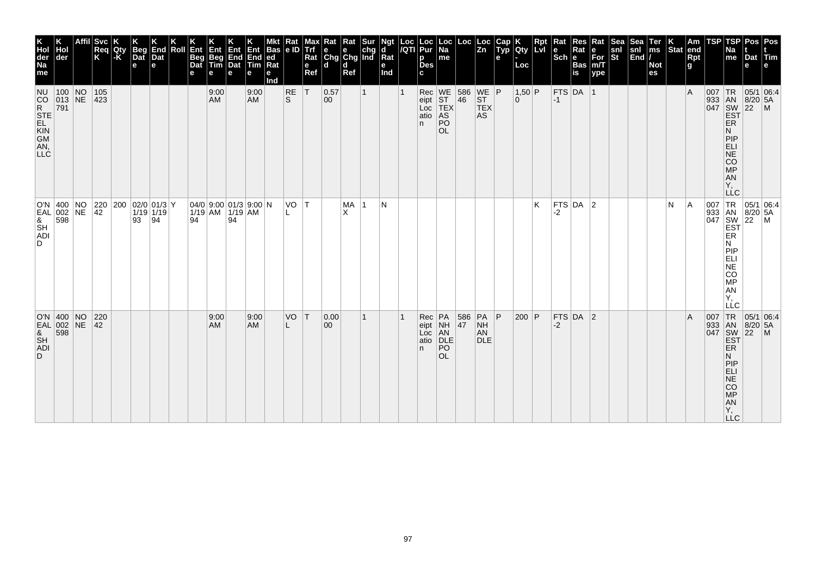| Affil<br><b>Svc</b><br>End<br>4Begr<br>Ent<br>Beg<br>Dat<br>Roll<br>Req<br>K<br>Ent<br><b>Qty</b><br>-K<br>Ent<br>End<br>Dat<br>Dat<br>Dat<br>Beg<br>Tim<br>e<br>е<br>е<br>e<br>е<br>$100$ NO<br>105<br>9:00<br>$ 013 $ NE<br>$ 423\rangle$<br><b>AM</b> |  |  |  |    |                                                                                                      |    | Ent<br>End<br>Tim<br>е<br>9:00<br><b>AM</b> | <b>Bas</b><br>$ ed$<br>Rat<br>е<br>Ind | $\frac{Rat}{e}$<br><b>RE</b><br><sub>S</sub> | мах<br>Trf<br>Rat<br>e<br>Ref<br>İΤ | Rat<br>$\begin{array}{ c c c }\n\hline\ne & e & chg \\ \hline\nChg & Chg & Ind\n\end{array}$<br>$\mathbf d$<br>0.57<br>00 | Rat<br><b>d</b><br>Ref | Sur<br>$\mathbf{1}$ | Ngt<br>d<br>$\overline{\mathsf{R}}$ at<br>е<br>Ind | Loc  Loc<br><i> I</i> QTI  Pur<br>p<br>Des<br>c<br>n | Loc<br>Na<br>me<br>Rec WE 586 WE P<br>eipt ST 46 ST<br>Loc TEX TEX<br>atio AS AS<br>PO<br><b>OL</b> | Loc           | Loc<br> Zn               | Cap<br>Typ<br>е | K<br>Qty<br>Loc<br>$1,50$ P<br>$\Omega$ | Ret | Rat<br>$ \mathsf{Sch} $ e<br>$-1$ | Res<br>Rat<br>Bas<br>is<br>$FTS$ DA 1 | Rat<br>$\begin{vmatrix} e \\ For \\ for \\ m/T \end{vmatrix}$<br>ype | snl<br>St | $\begin{array}{c} \n\text{Sea} \\ \text{snl} \\ \text{End}\n\end{array}$ | Ter<br>ms<br><b>Not</b><br>es | $\vert_{\text{Stat}}^{\text{K}}$ | $\vert$ Am<br>end<br>Rpt<br>$\mathbf{g}$<br>ΙA | <b>TSP</b>                                                                                                      | <b>TSP</b><br>Na<br>me<br><b>ER</b><br>N                                               | Pos<br>Dat Tim<br>e<br> 05/1 06:4<br>933 AN 8/20 5.<br>047 SW 22 M<br>EST 22 M | Pos<br>e                |
|----------------------------------------------------------------------------------------------------------------------------------------------------------------------------------------------------------------------------------------------------------|--|--|--|----|------------------------------------------------------------------------------------------------------|----|---------------------------------------------|----------------------------------------|----------------------------------------------|-------------------------------------|---------------------------------------------------------------------------------------------------------------------------|------------------------|---------------------|----------------------------------------------------|------------------------------------------------------|-----------------------------------------------------------------------------------------------------|---------------|--------------------------|-----------------|-----------------------------------------|-----|-----------------------------------|---------------------------------------|----------------------------------------------------------------------|-----------|--------------------------------------------------------------------------|-------------------------------|----------------------------------|------------------------------------------------|-----------------------------------------------------------------------------------------------------------------|----------------------------------------------------------------------------------------|--------------------------------------------------------------------------------|-------------------------|
| 0'N 400 NO<br>EAL 002 NE<br>& 598<br>SH<br>ADI<br>$\begin{array}{ c c c c c c }\n\hline\n 42 & 200 & 02/0 & 01/3 & 01/3 \\ \hline\n 42 & 1/19 & 1/19 & 0\n\end{array}$<br> 94<br>93                                                                      |  |  |  | 94 | $\left  \begin{array}{c c} 04/0 & 9.00 & 01/3 & 9.00 \\ 1/19 & AM & 1/19 & AM \end{array} \right $ N | 94 |                                             |                                        | VO T                                         |                                     |                                                                                                                           | MA<br>X                | $\vert$ 1           | N                                                  |                                                      |                                                                                                     |               |                          |                 |                                         | K   | -2                                | FTS DA 2                              |                                                                      |           |                                                                          |                               | N                                | ΙA                                             | 007 TR<br>933 AN<br>047 SW<br>EST<br>ER<br>ER<br>$\left \begin{smallmatrix} 007 \ 933 \end{smallmatrix}\right $ | PIP<br><b>ELI</b><br>NE<br>CO<br>MP<br>AN<br>AN<br>Ÿ,<br><b>LLC</b>                    | $ 22 \degree M$                                                                | $ 05/1 06.4$<br>8/20 5A |
| O'N 400 NO<br>EAL 002 NE<br>& 598<br>220<br>9:00<br>VO<br> T <br>9:00<br>$ 42\rangle$<br><b>AM</b><br>AM.<br>00                                                                                                                                          |  |  |  |    |                                                                                                      |    |                                             |                                        |                                              |                                     | 0.00                                                                                                                      |                        | $\mathbf{1}$        |                                                    |                                                      |                                                                                                     | 586 PA<br> 47 | $\overline{\mathsf{NH}}$ | P               | $200$ P                                 |     | $-2$                              | $FTS$ DA 2                            |                                                                      |           |                                                                          |                               |                                  | ΙA                                             | 007                                                                                                             | Ν<br>PIP<br>ELI<br>NE<br>CO<br>MP<br>AN<br>Y,<br>LLC<br> TR                            | 05/1 06:4<br>$8/20$ 5A                                                         |                         |
|                                                                                                                                                                                                                                                          |  |  |  |    |                                                                                                      |    |                                             |                                        |                                              |                                     |                                                                                                                           |                        |                     |                                                    | n                                                    | Rec PA<br>eipt NH<br>Loc AN<br>atio DLE<br>PO<br><b>OL</b>                                          |               | AN<br><b>DLE</b>         |                 |                                         |     |                                   |                                       |                                                                      |           |                                                                          |                               |                                  |                                                | 933 AN<br>047 SW<br>EST                                                                                         | <b>ER</b><br>N<br><b>PIP</b><br><b>ELI</b><br>NE<br>CO<br>MP<br>AN<br>Y,<br>$\sqcup$ C | $\left  \frac{5}{22} \right $                                                  | $\overline{M}$          |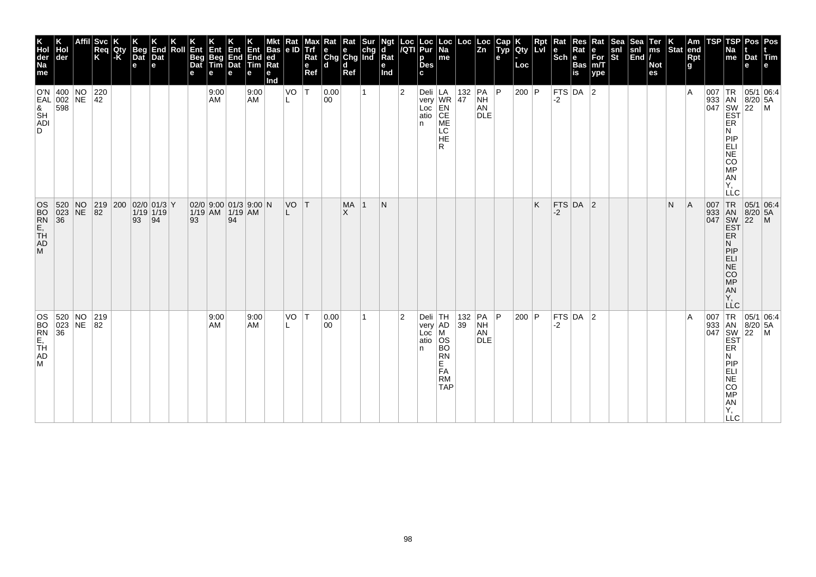| K<br>Hol<br>der<br>Na<br>me                  | der                                                              |                 | Svc<br>Req<br>K                          | Qty<br> -K | Beg<br>Dat<br>$\mathbf e$ | End<br>Dat<br>е | Roll | Ent<br>Beg<br>Dat<br>е | Ent<br>Beg<br>Tim<br>е                   | Ent<br>End<br>Dat<br>е | Ent<br>End<br>Tim<br>е | Bas<br> ed<br>$Ra$ t<br>е<br>nd | Kat<br>e ID | <b>Trf</b><br>Rat<br>$\mathbf e$<br>Ref | ₹at<br>$\begin{array}{ c c c }\n\hline\ne & e & chg \\ \hline\nChg & Chg & Ind\n\end{array}$<br>ld. | Rat<br>d<br>Ref | <b>Ngt</b><br>d<br>Rat<br>е<br>Ind |           | Loc Loc<br> /QTI Pur<br>p<br><b>Des</b><br>c | Loc<br>Na<br>me                                                                                  |                                                            | $\left\lfloor \begin{array}{c} \text{Loc} \\ \text{Zn} \end{array} \right\rfloor$              | Cap<br>Typ<br>e | K<br>Qty<br>Loc | Rpt<br>LvI | Rat<br>le<br>Sch <sub>e</sub> | Res<br>Rat<br>Bas<br>İs | Rat<br>e<br>For<br>m/T<br>$ $ ype | Sea<br>snl<br>St | Sea<br>$\begin{vmatrix} \text{snl} \\ \text{End} \end{vmatrix}$ | Ter<br>ms<br><b>Not</b><br>es | K.<br>Stat | Am<br>end<br><b>Rpt</b><br>$\mathbf{g}$ | <b>TSP</b>        | TSP<br>٩a<br>me                                                                                           | Pos<br>Dat Tim<br>e                                                                                                                                                                                                                                                                                                                                            | Pos<br>e                  |
|----------------------------------------------|------------------------------------------------------------------|-----------------|------------------------------------------|------------|---------------------------|-----------------|------|------------------------|------------------------------------------|------------------------|------------------------|---------------------------------|-------------|-----------------------------------------|-----------------------------------------------------------------------------------------------------|-----------------|------------------------------------|-----------|----------------------------------------------|--------------------------------------------------------------------------------------------------|------------------------------------------------------------|------------------------------------------------------------------------------------------------|-----------------|-----------------|------------|-------------------------------|-------------------------|-----------------------------------|------------------|-----------------------------------------------------------------|-------------------------------|------------|-----------------------------------------|-------------------|-----------------------------------------------------------------------------------------------------------|----------------------------------------------------------------------------------------------------------------------------------------------------------------------------------------------------------------------------------------------------------------------------------------------------------------------------------------------------------------|---------------------------|
|                                              | O'N $ 400 $ NO<br>EAL 002<br>EAL 002<br>8<br>SH<br>ADI<br>D<br>D |                 | $\begin{array}{c} 220 \\ 42 \end{array}$ |            |                           |                 |      |                        | 9:00<br>AM                               |                        | 9:00<br>AM             |                                 | VO          | $\mathsf{T}$                            | 0.00<br>00                                                                                          |                 |                                    | 2         | In.                                          | Deli LA<br>very WR<br>Loc EN<br>atio CE<br>ME<br>ME<br>LC<br><b>HE</b><br>R                      | $\begin{array}{ c c }\n 132 & PA \\  47 & NH\n\end{array}$ | NH<br>AN<br><b>DLE</b>                                                                         | P               | 200   $P$       |            | -2                            | FTS DA $ 2$             |                                   |                  |                                                                 |                               |            | ١A                                      |                   | ER<br>N<br>PIP<br><b>ELI</b><br>NE<br>CO<br>MP<br>AN<br>Y,<br><b>LLC</b>                                  | 05/1 06:4<br>$\begin{array}{c} \n 1.67 \\  1.67 \\  0.47 \\  0.47 \\  0.47 \\  0.47 \\  0.47 \\  0.47 \\  0.47 \\  0.47 \\  0.47 \\  0.47 \\  0.47 \\  0.47 \\  0.47 \\  0.47 \\  0.47 \\  0.47 \\  0.47 \\  0.47 \\  0.47 \\  0.47 \\  0.47 \\  0.47 \\  0.47 \\  0.47 \\  0.47 \\  0.47 \\  0.47 \\  0.47 \\  0.47 \\  0.47 \\  0.47 \\  0.47 \\  0.47 \\  $ |                           |
| OS<br>BO<br>E <sub>TH</sub><br>AD<br>AD<br>M | $\begin{array}{ c} 520 \\ 023 \\ 36 \end{array}$                 | $N_{\text{NE}}$ | 219 200 02/0 01/3 Y<br>82 1/19 1/19      |            | 93                        | $\sqrt{94}$     |      | 93                     | 02/0 9:00 01/3 9:00 N<br>1/19 AM 1/19 AM | 94                     |                        |                                 | VO T        |                                         |                                                                                                     | MA<br>ΙX        | N                                  |           |                                              |                                                                                                  |                                                            |                                                                                                |                 |                 | K          | $-2$                          | FTS DA 2                |                                   |                  |                                                                 |                               | N          | A                                       | 007<br>933<br>047 | TR<br>AN<br>SW<br>EST<br>ER<br>N<br>PIP<br>ËË<br>NE<br>CO<br>MP<br>AN<br>Ÿ,<br><b>LLC</b>                 | $\begin{array}{ c c c }\n 05/1 & 06.4 \\  8/20 & 5A\n\end{array}$<br>$\left  \frac{5}{22} \right $                                                                                                                                                                                                                                                             | $\frac{1}{2}$             |
| OS<br>BO<br>RI,<br>FH<br>AD.<br>М            | 520 NO 219<br>36                                                 |                 | 219                                      |            |                           |                 |      |                        | 9:00<br>AM                               |                        | 9:00<br>AM             |                                 | VO          | ١T                                      | 0.00<br>00                                                                                          |                 |                                    | $\vert$ 2 | very<br>$Loc \mid$<br>$ $ atio $ $<br>n.     | Deli TH<br>AD<br>M<br>OS<br><b>BO</b><br><b>RN</b><br>E.<br><b>FA</b><br><b>RM</b><br><b>TAP</b> |                                                            | $\begin{array}{ c c c c }\n\hline\n132 & PA & P \\ 39 & NH & \hline\n\end{array}$<br>AN<br>DLE |                 | 200 P           |            | -2                            | FTS $DA$ 2              |                                   |                  |                                                                 |                               |            | ١A                                      | 007               | TR<br>933 AN<br>047 SW<br>EST<br><b>ER</b><br>Ν<br>PIP<br>ELI<br>NE<br>CO<br>MP<br>AN<br>Y,<br><b>LLC</b> | $8/20$ 5A<br>$\left  \frac{5}{22} \right $                                                                                                                                                                                                                                                                                                                     | 05/1 06:4<br>$\mathsf{M}$ |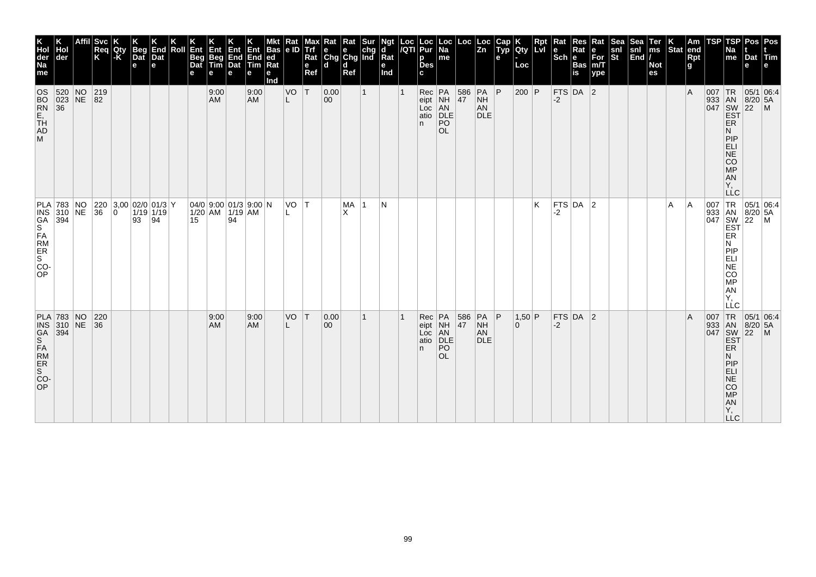| K<br>Hol<br>der<br>Na<br>me                                             | der                             | Affil  Svc<br>Req<br>K                                                                               | Qty<br>-K | Beg<br>Dat<br>$\mathbf e$ | End<br>Dat<br>е | Roll | Ent<br>Beg<br>Dat<br>е | Ent<br>Beg<br>Tim<br>е | Ent<br>End<br>Dat<br>е                                                                                                             | Ent<br>End<br>Tim<br>е | <b>Bas</b><br> ed <br>Rat<br>е<br>Ind | Kat<br>le ID | max<br>Trf<br>Rat<br>$\mathbf{e}$<br>Ref | Rat<br>$\left \begin{array}{c}\n\mathbf{e} \\ \mathbf{C} \mathbf{h} \mathbf{g}\n\end{array}\right $ $\mathbf{c} \mathbf{h} \mathbf{g}$ and<br>۱d | Rat<br>d<br>Ref | Sur          | Ngt<br>d<br>Rat<br>е<br>Ind | $\frac{\text{Loc}}{\sqrt{\text{QT}}}$ | Loc<br>Pur<br>p<br><b>Des</b><br>c | Loc<br><b>Na</b><br>$\sf m$ e                              | $Loc \mid$ | Loc<br>Zn                                 | Cap<br>Typ<br>e | Qty<br>Loc  | <b>Rpt</b><br><b>Lvi</b> | ∣Rat<br>$\left \begin{array}{c}\mathbf{e}\\ \mathbf{Sch}\end{array}\right _{\mathbf{e}}^{\mathbf{R}i}$ | Res<br>Rat<br>Bas<br>is | Rat<br>e<br>For<br>m/T<br>ype | <b>Sea</b><br>snl<br>St | Sea<br>snl<br>End | Ter<br>ms<br><b>Not</b><br>es | $\left \begin{array}{c} K \\ \text{Stat} \end{array}\right $ am | Rpt<br>g | TSP      | TSP<br>Na<br>me                                                                                                              | Pos<br>Dat<br>e | Pos<br>Tim<br>l e l                                                                                                                                                  |
|-------------------------------------------------------------------------|---------------------------------|------------------------------------------------------------------------------------------------------|-----------|---------------------------|-----------------|------|------------------------|------------------------|------------------------------------------------------------------------------------------------------------------------------------|------------------------|---------------------------------------|--------------|------------------------------------------|--------------------------------------------------------------------------------------------------------------------------------------------------|-----------------|--------------|-----------------------------|---------------------------------------|------------------------------------|------------------------------------------------------------|------------|-------------------------------------------|-----------------|-------------|--------------------------|--------------------------------------------------------------------------------------------------------|-------------------------|-------------------------------|-------------------------|-------------------|-------------------------------|-----------------------------------------------------------------|----------|----------|------------------------------------------------------------------------------------------------------------------------------|-----------------|----------------------------------------------------------------------------------------------------------------------------------------------------------------------|
| OS<br>BO<br>RL<br>TH<br>AD<br>AD<br>M                                   | 520 NO 219<br>023 NE 82<br>36   |                                                                                                      |           |                           |                 |      |                        | 9:00<br>AM             |                                                                                                                                    | 9:00<br>AM             |                                       | VO<br>L      | T                                        | 0.00<br>00                                                                                                                                       |                 | $\mathbf{1}$ |                             |                                       | n.                                 | Rec PA<br>eipt NH<br>Loc AN<br>atio DLE<br>PO<br><b>OL</b> | 586<br> 47 | $PA$ $P$<br><b>NH</b><br>AN<br><b>DLE</b> |                 | $200$ P     |                          | -2                                                                                                     | $FTS$ DA 2              |                               |                         |                   |                               |                                                                 | l A      | $007$ TR | 933 AN 8/20 5A<br>047 SW 22 M<br>EST<br><b>ER</b><br>N<br>PIP<br>ELI<br>NE<br>CO<br>MP<br>AN <sub></sub><br>Ÿ,<br><b>LLC</b> | $8/20$ 5A       | 05/1 06:4                                                                                                                                                            |
| INS<br>GA<br>S<br>FA<br>ER<br>S<br>S<br>CO-<br><b>OP</b>                | PLA 783 NO<br>INS 310 NE<br>394 | $\begin{array}{ c c c c c }\n 220 & 3,00 & 02/0 & 01/3 & Y \\  36 & 0 & 1/19 & 1/19 & \n\end{array}$ |           | 93                        | $\sqrt{94}$     |      | 15                     |                        | $\begin{array}{ c c c c c c c c } \hline 04/0 & 9:00 & 01/3 & 9:00 & N \\ \hline 1/20 & AM & 1/19 & AM & \hline \end{array}$<br>94 |                        |                                       | VO T         |                                          |                                                                                                                                                  | MA<br>X         | -1           | N                           |                                       |                                    |                                                            |            |                                           |                 |             | K                        | -2                                                                                                     | $FTS$ DA 2              |                               |                         |                   |                               | A                                                               | ١A       |          | N<br>PIP<br>ELI<br>NE<br>$\overline{c}\overline{o}$<br>MP<br>AN<br>Υ.                                                        |                 | 007 TR 05/1 06:4<br>933 AN 8/20 5A<br>047 SW 22 M<br>EST ER                                                                                                          |
| PLA 783 NO<br>INS 310 NE<br>GA 394<br>S<br>FAM<br>RIR<br>S<br>CO-<br>OP |                                 | 220<br> 36                                                                                           |           |                           |                 |      |                        | 9:00<br>AM             |                                                                                                                                    | 9:00<br>AM <sub></sub> |                                       | VO           | T                                        | 0.00 <br>00                                                                                                                                      |                 | 1            |                             |                                       | n.                                 | Rec PA<br>eipt NH<br>Loc AN<br>atio DLE<br>PO<br><b>OL</b> | 586<br> 47 | $PA$ $P$<br><b>NH</b><br>AN<br><b>DLE</b> |                 | 1,50 P<br>0 |                          | $-2$                                                                                                   | FTS DA 2                |                               |                         |                   |                               |                                                                 | ΙA       |          | ER<br>Ν<br><b>LLC</b>                                                                                                        |                 | $\begin{array}{c c}\n & C \\ \hline\n & \downarrow \text{TR} & 05/1 & 06:4 \\ \hline\n & 933 & \text{AN} & 8/20 & 5/106 \\  & 047 & \text{SW} & 22 & 7\n\end{array}$ |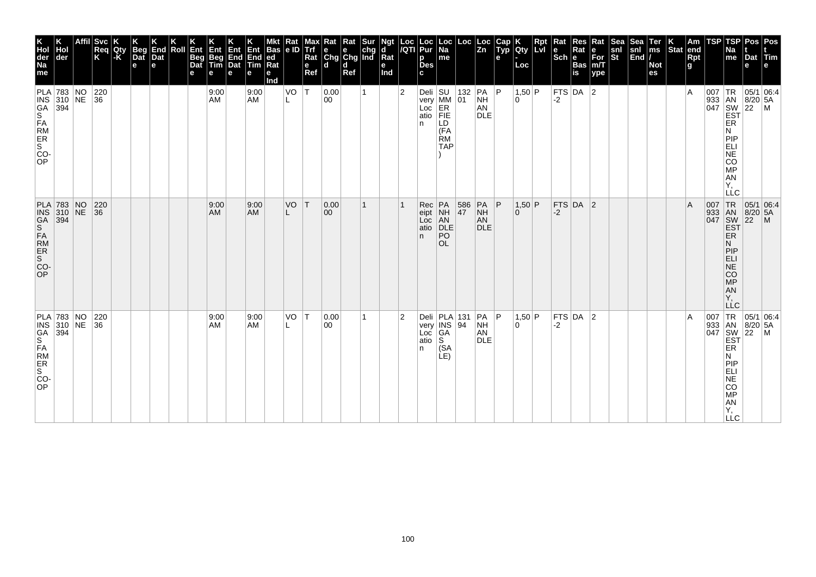| K<br>Hol<br>der<br>Na<br>me | Hol<br>der                                                               | <b>Svc</b><br>Req<br>K                     | Qty<br>-K | Beg<br>Dat<br>e | K<br>End<br>Dat<br>l el | Roll | $K$ Ent<br>Beg<br>Dat<br>е | Ent<br>Beg<br>Tim<br>e | <b>Ent</b><br><b>End</b><br>Dat<br>е | Ent<br>End<br><b>fully</b><br>е | <b>Bas</b><br>ed<br>Rat<br>е<br>Ind | Rat<br> e D | Max<br>Trf<br>Rat<br>e<br>Ref | Kat<br>e e chg<br>Chg Chg Ind<br>d d | Rat<br>Ref | Sur | Ngt<br>d<br>$\bar{R}$ at<br>е<br>Ind | Loc<br>/QTI    | Loc<br>Pur<br>p<br><b>Des</b><br>C. | ∣Loc<br>Na<br>me                                                                 | Loc       | Loc<br>Zn                                  | Cap<br>Typ<br>$\mathbf{e}$ | Qty<br>Loc         | Rpt<br><b>Lvi</b> | Rat<br>$\left \frac{e}{Sch}\right _e^{R}$ | Res<br>Rat<br>Bas<br>is | Rat<br>∣е<br>For<br>m/T<br>ype | <b>Sea</b><br>$\frac{\mathsf{snl}}{\mathsf{St}}$ | Sea<br>snl<br>End | Ter<br>ms<br><b>Not</b><br>es | $\left \begin{array}{c} K \\ \end{array}\right $ Stat end | Rpt<br>g | TSP | TSP<br>Na<br>$\vert$ me                                                                                 | Pos<br>Dat<br>e              | Pos<br>$ \mathsf{Tim} $<br>Ie                                                                                                   |
|-----------------------------|--------------------------------------------------------------------------|--------------------------------------------|-----------|-----------------|-------------------------|------|----------------------------|------------------------|--------------------------------------|---------------------------------|-------------------------------------|-------------|-------------------------------|--------------------------------------|------------|-----|--------------------------------------|----------------|-------------------------------------|----------------------------------------------------------------------------------|-----------|--------------------------------------------|----------------------------|--------------------|-------------------|-------------------------------------------|-------------------------|--------------------------------|--------------------------------------------------|-------------------|-------------------------------|-----------------------------------------------------------|----------|-----|---------------------------------------------------------------------------------------------------------|------------------------------|---------------------------------------------------------------------------------------------------------------------------------|
|                             | PLA 783 NO<br>INS 330 NE<br>GA 394<br>S<br>FAM<br>RIR<br>S<br>CO-<br>OP  | $\begin{array}{ c } 220 \\ 36 \end{array}$ |           |                 |                         |      |                            | 9:00<br>AM             |                                      | 9:00<br><b>AM</b>               |                                     | VO          | T                             | 0.00<br>00                           |            |     |                                      | $\overline{2}$ | n.                                  | Deli SU 132<br>very MM 01<br>Loc ER<br>atio FIE<br>LD<br>(FA<br>ŔΜ<br><b>TAP</b> | 132       | PA P<br><b>NH</b><br>AN<br><b>DLE</b>      |                            | 1,50 P<br>l O      |                   | $-2$                                      | $FTS$ DA 2              |                                |                                                  |                   |                               |                                                           | ١A       |     | ER<br>N<br>PIP<br>ELI<br>NE<br>CO<br>MP<br>AN <sub></sub><br>Y,<br>LLC                                  |                              | $\begin{array}{c c}\n & 1R & 05/1 & 0.28 \\  & 1 & 8/20 & 5A \\  & 8 & 8/20 & 5A \\  & 1 & 8 & 22 \\  & 1 & 1 & 1\n\end{array}$ |
| OP                          | PLA 783 NO<br>INS 310 NE<br>GA 394<br>S<br>FAM<br>ER<br>S<br>CO-<br>CO-  | 220<br>$\overline{36}$                     |           |                 |                         |      |                            | 9:00<br>AM             |                                      | 9:00<br><b>AM</b>               |                                     | VO          | IT.                           | 0.00 <br>$ 00\rangle$                |            | 1   |                                      |                | Rec<br>eipt<br>Loc<br>atio<br>n.    | PA<br>NH<br>AN<br>DLE<br>PO<br><b>OL</b>                                         | 586<br>47 | $PA$ $ P$<br><b>NH</b><br>AN<br><b>DLE</b> |                            | 1,50 P<br>$\Omega$ |                   | -2                                        | $FTS$ DA 2              |                                |                                                  |                   |                               |                                                           | ΙA       |     | 007 TR<br>933 AN<br>047 SW<br>EST<br>EŘ<br>N<br>PIP<br>ELI<br>NE<br>CO <sub>MP</sub><br>AN<br>Υ.<br>LLC | 22                           | 05/1 06:4<br>$\mathsf{M}$                                                                                                       |
| CO-<br>OP                   | PLA 783 NO<br>INS 310 NE<br>GA 394<br>S<br>FA<br>FR<br>ER<br>S<br>C<br>C | 220<br>36                                  |           |                 |                         |      |                            | 9:00<br>AM             |                                      | 9:00<br><b>AM</b>               |                                     | VO          | $\top$                        | 0.00 <br>00                          |            | 1   |                                      | $\overline{2}$ | atio<br>n                           | Deli PLA 131<br>very INS 94<br>Loc GA<br>ls.<br>(SA)<br>LE)                      |           | PA P<br><b>NH</b><br>AN<br>DLE             |                            | 1,50 P<br>۱O.      |                   | -2                                        | $FTS$ DA $ 2$           |                                |                                                  |                   |                               |                                                           | ١A       | 007 | 933 AN<br>047 SW<br>EST<br>ER<br>N<br>PIP<br>ELI<br>NE<br>CO<br><b>MP</b><br>ÄÑ<br>Y,<br><b>LLC</b>     | $8/20$ 5A<br>$\overline{22}$ | TR 05/1 06:4<br>l M                                                                                                             |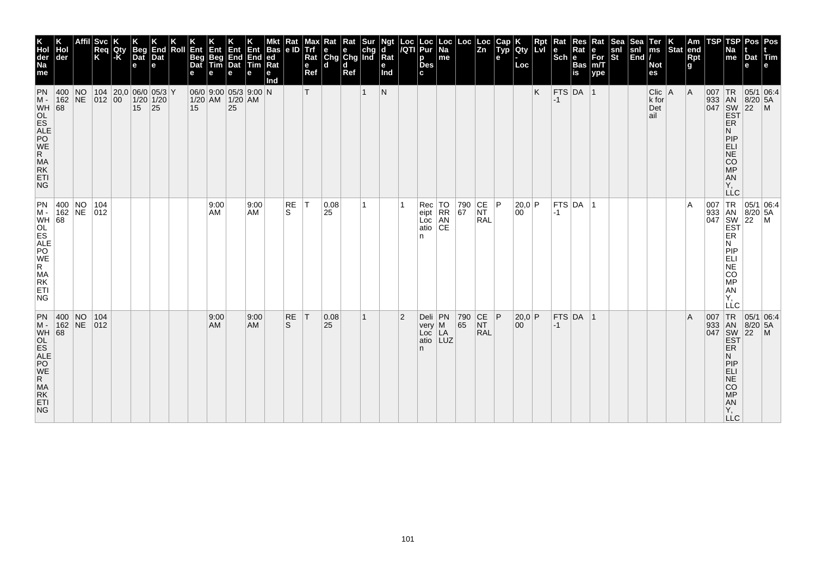| K<br>Hol<br>der<br>Na<br>me                                                                         | der                    | <b>Svc</b><br>Req<br>K | Qty<br>$ \text{-}\mathsf{K} $ | <b>Beg</b><br>Dat<br>$\mathbf e$                   | End<br>Dat<br>e | Roll | Ent<br><b>Beg</b><br>Dat | Ent<br>Beg | Ent<br><b>Beg</b> End End<br>Tim Dat Tim<br>e        | е                 | Bas<br> ed <br>Rat<br>е<br>Ind | Rat<br> e D        | мах<br>Trf<br>Rat<br>e<br>Ref | Rat<br>$\left \begin{array}{c}\n\mathbf{e} \\ \mathbf{C} \mathbf{h} \mathbf{g}\n\end{array}\right $ $\mathbf{C} \mathbf{h} \mathbf{g}$ and<br>ld. | Rat<br>d<br>Ref | Sur          | Ngt<br>ď<br>Rat<br>е<br>Ind | $\frac{Loc}{/QTl}$ | Loc<br>Pur<br>p<br><b>Des</b><br>c.               | ∣Loc<br>$\overline{Na}$<br>me | Loc                                      | ∣Loc<br>$\overline{z_n}$                                                | Cap<br>$\tilde{$ , Typ}<br>е | Qty<br>Loc             | Rpt<br><b>ILvI</b> | Rat<br>l e<br>$ \mathsf{Sch} $ e | Res<br>Rat<br><b>Bas</b><br>is | Rat<br>е<br>$For$ <sub>m</sub> $T$<br>ype | Sea<br>snl<br>St | .Sea<br>snl<br>$\left \overline{\text{End}}\right $ | Ter<br>$\mathsf{ms}$<br><b>Not</b><br>es | Stat end | Am<br>Rpt<br>g | TSP | TSP<br>Na<br>me                                                                               | Dat Tim<br>e                                             | Pos   Pos                                                |
|-----------------------------------------------------------------------------------------------------|------------------------|------------------------|-------------------------------|----------------------------------------------------|-----------------|------|--------------------------|------------|------------------------------------------------------|-------------------|--------------------------------|--------------------|-------------------------------|---------------------------------------------------------------------------------------------------------------------------------------------------|-----------------|--------------|-----------------------------|--------------------|---------------------------------------------------|-------------------------------|------------------------------------------|-------------------------------------------------------------------------|------------------------------|------------------------|--------------------|----------------------------------|--------------------------------|-------------------------------------------|------------------|-----------------------------------------------------|------------------------------------------|----------|----------------|-----|-----------------------------------------------------------------------------------------------|----------------------------------------------------------|----------------------------------------------------------|
| PN<br>$M -$<br>WH 68<br>MA<br>RK<br>ETI<br><b>NG</b>                                                | $ 400 $ NO<br>162 NE   | 012 00                 |                               | 104 20,0 06/0 05/3 Y<br>$1/20$ 1/20<br>$15 \,  25$ |                 |      | 15                       |            | $06/0$ 9:00 05/3 9:00 N<br>$1/20$ AM $1/20$ AM<br>25 |                   |                                |                    | T.                            |                                                                                                                                                   |                 | 1            | $\mathsf{N}$                |                    |                                                   |                               |                                          |                                                                         |                              |                        | K                  | $FTS$ DA 1<br>$-1$               |                                |                                           |                  |                                                     | $Clic$   A<br>k for<br>Det<br>ail        |          | A              |     | <b>ER</b><br>N<br>PIP<br>ELI<br>NE <sup>T</sup><br>CO<br>MP<br>AN<br>Υ,<br><b>LLC</b>         | 007 TR 05/1 06:4<br>933 AN 8/20 5A<br>047 SW 22 M<br>EST |                                                          |
| PN 400 NO 104<br>M - 162 NE 012<br>WH 68<br>OL<br>BALE<br>R.ME<br>R<br>MA<br>RK<br>ETI<br><b>NG</b> |                        |                        |                               |                                                    |                 |      |                          | 9:00<br>AM |                                                      | 9:00<br>AM        |                                | RE<br>S.           | T                             | 0.08<br>25                                                                                                                                        |                 | 1            |                             |                    | Rec<br>eipt<br>Loc<br>atio<br>n                   | TO<br>RR<br>AN<br>CE          | 790<br>67                                | $\begin{array}{ c c }\n\text{CE} & \text{P}\n\end{array}$<br><b>RAL</b> |                              | 20,0 P<br>$00^{\circ}$ |                    | $-1$                             | $FTS$ DA $ 1$                  |                                           |                  |                                                     |                                          |          | A              |     | ER<br>N<br> P P<br>ELI<br>NE<br>CO<br>MP<br>AN<br>Υ.<br>LLC                                   |                                                          | 007 TR 05/1 06:4<br>933 AN 8/20 5A<br>047 SW 22 M<br>EST |
| PN<br>$M -$<br>MA<br>RK<br>ETI<br><b>NG</b>                                                         | $ 400 $ NO<br>$162$ NE | 104<br>$ 012\rangle$   |                               |                                                    |                 |      |                          | 9:00<br>AM |                                                      | 9:00<br><b>AM</b> |                                | RE<br><sub>S</sub> | T                             | 0.08 <br>25                                                                                                                                       |                 | $\mathbf{1}$ |                             | $\overline{2}$     | Deli PN<br>$very \mid M$<br>Loc<br>atio LUZ<br>n. | LÄ                            | $\begin{array}{c} 790 \\ 65 \end{array}$ | CE P<br><b>NT</b><br><b>RAL</b>                                         |                              | 20,0 P<br>00           |                    | $-1$                             | $FTS$ DA 1                     |                                           |                  |                                                     |                                          |          | $\overline{A}$ | 007 | <b>ER</b><br>N<br>PIP<br><b>ELI</b><br><b>NE</b><br><b>CO</b><br>MP<br>AN<br>Y,<br><b>LLC</b> | TR 05/1 06:4<br>933 AN 8/20 5A<br>047 SW 22 M<br>EST     |                                                          |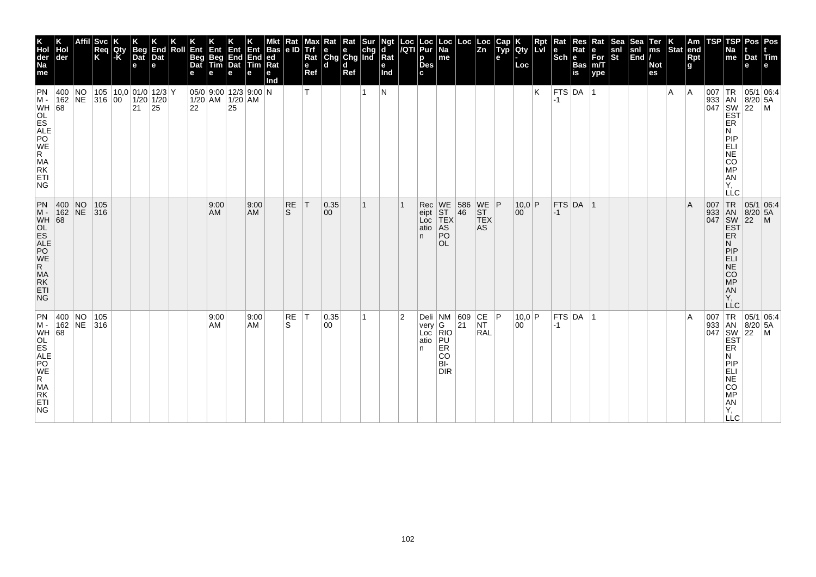| K<br>Hol<br>der<br>Na<br>me                                               | Hol<br>der       | <b>Svc</b><br>Req<br>K | Qty<br>$-K$ | <b>Beg</b><br>Dat<br>$\mathbf e$ | End<br>Dat<br>le.                                  | Roll | Ent<br>Beg<br>Dat | <b>Ent</b><br>Beg<br>Tim<br>е                                                                                       | Ent<br>End<br>Dat<br>е | Ent<br>End<br>Tim<br>е | Bas<br>ed<br>Rat<br>е<br>Ind | Rat<br> e D     | Max<br><b>Trf</b><br>Rat<br>e<br>Ref | Rat Rat Sur<br> e e chg<br> Chg Chg Ind<br>l d | d<br>Ref |   | Ngt<br>d<br>Rat<br>e<br>Ind | Loc<br>/QTI    | Loc<br>Pur<br>р<br><b>Des</b><br>C. | Loc<br> Na<br>me                                                                                                        | Loc                                        | Loc<br>$\overline{z_n}$                                                 | Cap<br>Typ<br>е | <b>Qty</b><br>Loc         | Rpt | Rat<br>$ \textbf{e} $ R <sub>i</sub><br>Sch $ \textbf{e} $ | Res<br>Rat<br><b>Bas</b><br>is | Rat<br>е<br>For<br>m/T<br>ype | Sea<br>snl<br>St | Sea<br>snl<br>End | Ter<br>ms<br><b>Not</b><br>es | $\left \begin{array}{c} K \\ \text{Stat} \end{array}\right $ am | Rpt<br>g     | TSP | TSP<br>Na<br>me                                                                                                                   | Dat<br>е                     | Pos Pos<br><b>Arm</b>       |
|---------------------------------------------------------------------------|------------------|------------------------|-------------|----------------------------------|----------------------------------------------------|------|-------------------|---------------------------------------------------------------------------------------------------------------------|------------------------|------------------------|------------------------------|-----------------|--------------------------------------|------------------------------------------------|----------|---|-----------------------------|----------------|-------------------------------------|-------------------------------------------------------------------------------------------------------------------------|--------------------------------------------|-------------------------------------------------------------------------|-----------------|---------------------------|-----|------------------------------------------------------------|--------------------------------|-------------------------------|------------------|-------------------|-------------------------------|-----------------------------------------------------------------|--------------|-----|-----------------------------------------------------------------------------------------------------------------------------------|------------------------------|-----------------------------|
| PN<br>M -<br>WH 68<br>OL<br>ES<br>AP<br>WR<br>MA<br>ET<br>ET<br>ET<br>NG. | 400 NO<br>162 NE | 316 00                 |             | 21                               | 105   10,0   01/0   12/3   Y<br>$1/20$ 1/20<br> 25 |      |                   | $05/0$ 9:00 12/3 9:00 N<br>$\begin{array}{ c c c }\n\hline\n1/20 & AM & 1/20 & AM \\ 22 & 25 & \hline\n\end{array}$ |                        |                        |                              |                 | T                                    |                                                |          |   | N                           |                |                                     |                                                                                                                         |                                            |                                                                         |                 |                           | K   | -1                                                         | $FTS$ DA 1                     |                               |                  |                   |                               | A                                                               | <sup>A</sup> | 007 | TR<br>933 AN 8/20<br>047 SW 22<br>EST<br>ER<br>N<br>PIP<br>ELI<br><b>NE</b><br>CO<br><b>MP</b><br>AN<br>Υ,<br>LLC                 | 8/20 5A                      | 05/1 06:4<br>$\mathsf{M}$   |
| $\frac{PN}{M}$<br>WH 68<br>MA<br>RK<br>ETI<br><b>NG</b>                   | 400 NO<br>162 NE | 105<br> 316            |             |                                  |                                                    |      |                   | 9:00<br>AM.                                                                                                         |                        | 9:00<br><b>AM</b>      |                              | <b>RE</b><br>S. | ΙT                                   | 0.35 <br>00                                    |          | 1 |                             |                | Rec<br>eipt<br>Loc<br>atio<br>n.    | WE<br>ST<br>TEX<br>$\mathsf{AS}$<br>PO<br>OL                                                                            | $\begin{array}{ c } 586 \\ 46 \end{array}$ | $\begin{array}{c} \n\text{WE} \\ \text{ST}\n\end{array}$ P<br>TEX<br>AS |                 | $10,0$ P<br>00            |     | $ -1$                                                      | $FTS$ DA 1                     |                               |                  |                   |                               |                                                                 | ΙA           |     | 007 TR 05/1<br>933 AN 8/20<br>047 SW 22<br><b>EST</b><br>ER<br>N<br>PIP<br>ELI<br><b>NE</b><br>CO<br><b>MP</b><br>AN<br>Υ.<br>LLC | $8/20$ 5A                    | 05/1 06:4<br>$\blacksquare$ |
| PN<br>MA<br>RK<br>ETI<br>NG.                                              | 400 NO<br>162 NE | 105<br>316             |             |                                  |                                                    |      |                   | 9:00<br>AM                                                                                                          |                        | 9:00<br><b>AM</b>      |                              | RE<br>S.        | $ \top$                              | 0.35 <br>00                                    |          | 1 |                             | $\overline{2}$ | Deli NM<br>very<br>Loc<br>atio<br>n | $\left  \begin{smallmatrix} \mathsf{G} \ \mathsf{RIO} \end{smallmatrix} \right $<br>PU<br>ER<br>CO<br>BI-<br><b>DIR</b> | 609<br>21                                  | CE P<br><b>NT</b><br>RAL                                                |                 | 10,0 P<br>00 <sup>1</sup> |     | $-1$                                                       | $FTS$ DA $ 1$                  |                               |                  |                   |                               |                                                                 | ١A           | 007 | 933 AN<br>047 SW<br>EST<br>ER<br>N<br>PIP<br>ELI<br>NE<br>CO<br><b>MP</b><br>AN<br>Υ,<br><b>LLC</b>                               | $8/20$ 5A<br>$\overline{22}$ | TR 05/1 06:4<br>l M         |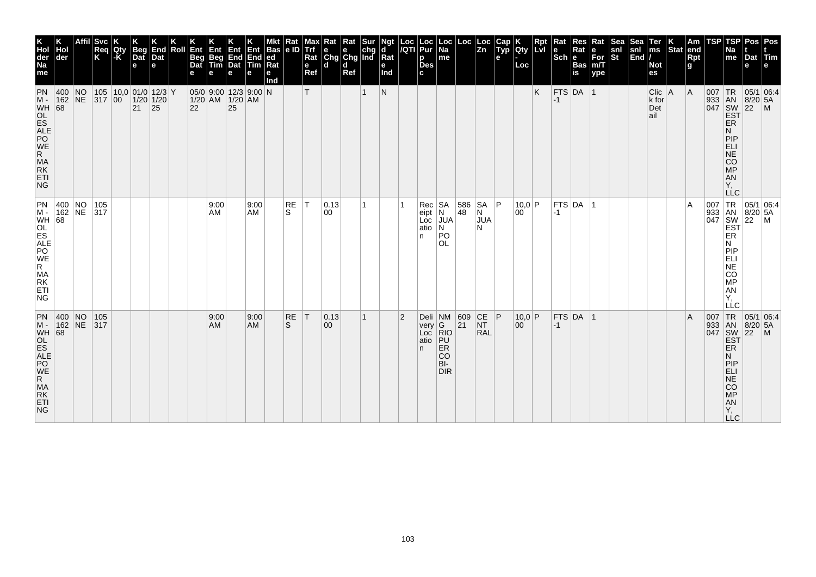| K<br>Hol<br>der<br>Na<br>me                                                                                  | Hol<br>der             | <b>Svc</b><br> Req<br> K                                                          | Qty<br>$-K$ | Beg<br>Dat<br>e | End<br>Dat<br>l el                   | Roll | Ent<br>Beg<br>Dat | Ent<br>Beg<br>Tim<br>е                         | Ent<br>End<br>Dat<br>е | End<br><b>Tim</b><br>е | Bas<br>ed<br>Rat<br>е<br>Ind | Rat<br>le ID | Max<br><b>Trf</b><br>Rat<br>$\mathbf{e}$<br>Ref | Rat<br>e<br>Chg Chg Ind<br>l d | Rat<br>d<br>Ref | Sur          | Ngt<br>ď<br>Rat<br>е<br>Ind | Loc<br>/QTI    | Loc<br>Pur<br>p<br><b>Des</b><br>C. | ∣Loc<br>$\overline{Na}$<br>me                                         | Loc          | Loc<br>$\overline{z_n}$         | Cap<br>Typ<br>е | <b>Qty</b><br>Loc      | Rpt<br>LvI | Rat<br>le.<br>$ \overline{\text{Sch}} e\rangle$ | Res<br>Rat<br><b>Bas</b><br>is | Rat<br>е<br>For<br>m/T<br>ype | <b>Sea</b><br>snl<br>St | Sea<br>snl<br>End | Ter<br>ms<br><b>Not</b><br>es        | Stat end | Am<br>Rpt<br>g | TSP | TSP<br>Na<br>me                                                                        | Dat<br>е                                                                                              | Pos Pos<br>$ $ Tim                                              |
|--------------------------------------------------------------------------------------------------------------|------------------------|-----------------------------------------------------------------------------------|-------------|-----------------|--------------------------------------|------|-------------------|------------------------------------------------|------------------------|------------------------|------------------------------|--------------|-------------------------------------------------|--------------------------------|-----------------|--------------|-----------------------------|----------------|-------------------------------------|-----------------------------------------------------------------------|--------------|---------------------------------|-----------------|------------------------|------------|-------------------------------------------------|--------------------------------|-------------------------------|-------------------------|-------------------|--------------------------------------|----------|----------------|-----|----------------------------------------------------------------------------------------|-------------------------------------------------------------------------------------------------------|-----------------------------------------------------------------|
| PN<br>$M -$<br>WH 68<br>OL<br>ES<br>AP<br>WR<br>MA<br>ET<br>ET<br>ET<br><b>NG</b>                            | 400 NO<br>162 NE       | 317 00                                                                            |             | $21 \mid 25$    | 105  10,0 01/0 12/3 Y<br>$1/20$ 1/20 |      | 22                | $05/0$ 9:00 12/3 9:00 N<br>$1/20$ AM $1/20$ AM | $\overline{25}$        |                        |                              |              | T                                               |                                |                 |              | $\mathsf{N}$                |                |                                     |                                                                       |              |                                 |                 |                        | K          | -1                                              | $FTS$ DA 1                     |                               |                         |                   | $Clic$   A<br>$k$ for<br>Det<br>lail |          | A              |     | <b>ER</b><br>N<br><b>PIP</b><br>ELI<br>NE<br>CO<br>MP<br><b>AN</b><br>Υ,<br><b>LLC</b> | 933 AN 8/20 5,<br>047 SW 22 M<br>EST 22 M                                                             | 05/1 06:4                                                       |
| $\begin{bmatrix} PN \\ M \end{bmatrix}$<br>WH 68<br>OL<br>SALE<br>RAPO<br>R.<br>MA<br>RK<br>ETI<br><b>NG</b> |                        | $\begin{array}{ c c c c }\n\hline\n400 & NO & 105 \\ 162 & NE & 317\n\end{array}$ |             |                 |                                      |      |                   | 9:00<br>AM                                     |                        | 9:00<br><b>AM</b>      |                              | RE<br>S.     | T                                               | 0.13 <br>00                    |                 |              |                             |                | Rec<br>eipt<br>Loc<br>atio<br>n.    | $\begin{array}{c} SA \\ N \end{array}$<br><b>JUA</b><br>N<br>PO<br>OL | 586<br>48    | SA P<br>N<br><b>JUA</b><br>N    |                 | 10,0 P<br>$ 00\rangle$ |            | $-1$                                            | FTS DA 1                       |                               |                         |                   |                                      |          | ١A             |     | N<br>PIP<br>ELI<br><b>NE</b><br>CO<br>MP<br>AN<br>Υ,<br>LĹC                            | $\begin{array}{c} 007 \\ 933 \\ 047 \\ 047 \\ 251 \\ 151 \\ 151 \\ 101 \\ 1 \end{array}$              | $\begin{array}{ c c }\n 05/1 & 06.4 \\  8/20 & 5A\n\end{array}$ |
| PN<br>NG.                                                                                                    | $ 400 $ NO<br>$162$ NE | 105<br> 317                                                                       |             |                 |                                      |      |                   | 9:00<br>AM                                     |                        | 9:00<br><b>AM</b>      |                              | RE<br>S.     | T                                               | 0.13<br>$ 00\rangle$           |                 | $\mathbf{1}$ |                             | $\overline{2}$ | very G<br>Loc RIO<br>atio<br>n.     | Deli $NM$ 609<br> PU <br><b>ER</b><br><b>CO</b><br>BI-<br><b>DIR</b>  | $ 21\rangle$ | CE P<br><b>NT</b><br><b>RAL</b> |                 | 10,0 P<br>00           |            | $-1$                                            | $FTS$ DA  1                    |                               |                         |                   |                                      |          | l A            | 007 | <b>ER</b><br>N<br>PIP<br>ELI<br>NE<br>CO<br>MP<br>AN<br>Ÿ,<br>LLC.                     | $\begin{array}{r} \n\sqrt{33} \\ 1647 \\ 1047 \\ 1047 \\ 158 \\ 108 \\ 104\n\end{array}$<br>$8/20$ 5A | TR 05/1 06:4<br>$\mathsf{M}$                                    |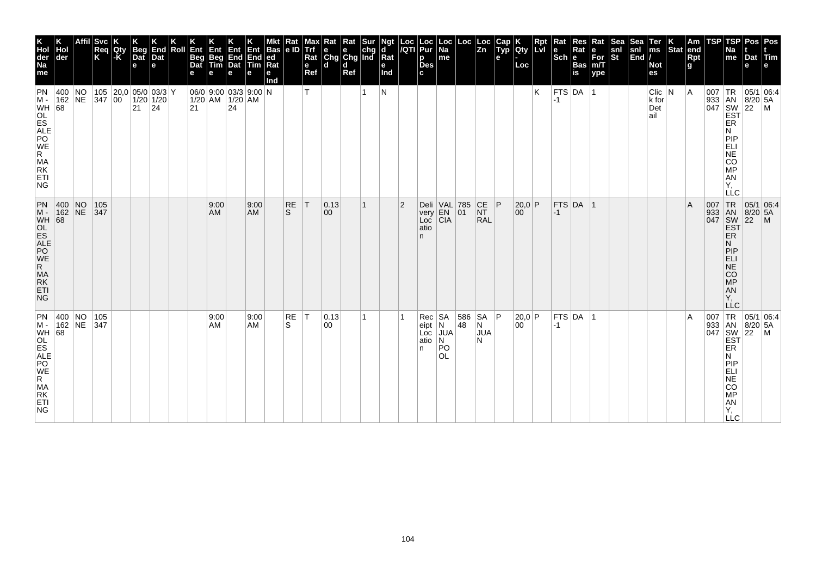| K<br>Hol<br>der<br>Na<br>me                                                         | der                      | <b>Svc</b><br>Req<br>K   | Qty<br>$ \text{-}\mathsf{K} $ | <b>Beg</b><br>Dat<br>$\mathbf e$              | End<br>Dat<br>le. | Roll | Ent<br><b>Beg</b><br>Dat |            | Ent Ent Ent<br>Beg End End<br>Tim Dat Tim<br>e     | е                 | <b>Bas</b><br> ed <br>Ra<br>е<br>Ind | Rat<br> e D        | мах<br>Trf<br>Rat<br>e<br>Ref | Rat<br>e<br>Chg Chg Ind<br>ld. | Rat<br>d<br>Ref | Sur | Ngt<br>ď<br>Rat<br>e<br>Ind | $\frac{Loc}{/QTl}$ | Loc<br> Pur<br>p<br><b>Des</b><br>c.  | ∣Loc<br> Na<br>me                                                                                    | Loc            | ∣Loc<br>$\overline{z_n}$                                               | Cap<br>$\tilde{$ , Typ}<br>e | Qty<br>Loc   | Rpt<br>Lvi | Rat<br>١e<br>$ \mathsf{Sch} $ e | Res<br>Rat<br><b>Bas</b><br>is | Rat<br>е<br>$\overline{\text{For}}$ <sub>m/T</sub><br>ype | <b>Sea</b><br>snl<br>$ \tilde{\mathbf{s}}$ t | Sea<br>snl<br>$\vert$ End $\vert$ / | Ter<br>$\mathsf{ms}$<br><b>Not</b><br>es | Stat end | Am<br>Rpt<br>g | TSP | TSP<br>Na<br>me                                                                                      | Dat Tim<br>e                                                   | Pos   Pos                                                                                                                                                                                                |
|-------------------------------------------------------------------------------------|--------------------------|--------------------------|-------------------------------|-----------------------------------------------|-------------------|------|--------------------------|------------|----------------------------------------------------|-------------------|--------------------------------------|--------------------|-------------------------------|--------------------------------|-----------------|-----|-----------------------------|--------------------|---------------------------------------|------------------------------------------------------------------------------------------------------|----------------|------------------------------------------------------------------------|------------------------------|--------------|------------|---------------------------------|--------------------------------|-----------------------------------------------------------|----------------------------------------------|-------------------------------------|------------------------------------------|----------|----------------|-----|------------------------------------------------------------------------------------------------------|----------------------------------------------------------------|----------------------------------------------------------------------------------------------------------------------------------------------------------------------------------------------------------|
| PN<br>$M -$<br>WH 68<br>OL<br>ES<br>ALE<br>NE<br>R.<br>MA<br>RK<br>ETI<br><b>NG</b> | 400 NO                   | 162 NE 347 00            |                               | 105  20,0 05/0 03/3 Y<br>$1/20$ 1/20<br>21 24 |                   |      | 21                       |            | 06/0 9:00 03/3 9:00 N<br>$1/20$ AM $1/20$ AM<br>24 |                   |                                      |                    | т                             |                                |                 | 1   | N                           |                    |                                       |                                                                                                      |                |                                                                        |                              |              | Κ          | -1                              | FTS DA 1                       |                                                           |                                              |                                     | $Clic$ $ N$<br>k for<br>Det<br>ail       |          | ΙA             |     | ER<br>N<br><b>PIP</b><br>ELI<br><b>NE</b><br><b>CO</b><br><b>MP</b><br>AN<br>Υ,<br><b>LLC</b>        | 007   TR   05/1   06:4<br>933 AN 8/20 5A<br>047 SW 22 M<br>EST |                                                                                                                                                                                                          |
| PN<br>$M -$<br>WH 68<br>OL<br>ES<br>ALE<br>POE<br>R<br>MA<br>RK<br>ETI<br><b>NG</b> |                          | 400 NO 105<br>162 NE 347 |                               |                                               |                   |      |                          | 9:00<br>AM |                                                    | 9:00<br><b>AM</b> |                                      | RE<br><sub>S</sub> | T                             | 0.13 <br>00                    |                 | 1   |                             | $\overline{2}$     | very<br>Loc<br>atio<br>n.             | Deli VAL 785<br>$\begin{array}{ c c c }\n\hline\n\text{EN} & 01 \\ \text{CIA} & \hline\n\end{array}$ |                | $\begin{array}{c} \n\text{CE} \\ \text{NT}\n\end{array}$<br><b>RAL</b> |                              | 20,0 P<br>00 |            | $-1$                            | $FTS$ DA $ 1$                  |                                                           |                                              |                                     |                                          |          | $\overline{A}$ |     | N.<br>PIP<br><b>ELI</b><br>NE<br><b>CO</b><br>MP<br>AN<br>Υ.<br><b>LLC</b>                           |                                                                | J7 TR 05/1 U<br>J33 AN 8/20 5A<br>047 SW 22 M<br>EST<br>FB                                                                                                                                               |
| PN<br>$M -$<br>WH<br>OL<br>ES<br>ALE<br>PO<br>WE<br>R.<br>MA<br>RK<br>ETI<br>NG.    | 400 NO 105<br>162 NE 347 |                          |                               |                                               |                   |      |                          | 9:00<br>AM |                                                    | 9:00<br><b>AM</b> |                                      | RE<br>S.           | T                             | $ 0.13\rangle$<br>00           |                 | 1   |                             |                    | $Rec$ SA<br>eipt<br>Loc<br>atio<br>n. | N<br><b>JUA</b><br>N<br>PO<br><b>OL</b>                                                              | 586 SA P<br>48 | N<br><b>JUA</b><br>N                                                   |                              | 20,0 P<br>00 |            | $-1$                            | FTS DA 1                       |                                                           |                                              |                                     |                                          |          | $\overline{A}$ |     | ER<br>N<br><b>PIP</b><br>ELI<br><b>NE</b><br><b>CO</b><br><b>MP</b><br><b>AN</b><br>Υ,<br><b>LLC</b> |                                                                | $\begin{array}{r} \n 1 \text{ R} \\  333 \text{ and } 8/20 \text{,} \\  047 \text{ } \frac{\text{SN}}{\text{EST}} \begin{bmatrix} 05/1 \\ 8/20 \\ 22 \text{ } \text{M} \end{bmatrix} \\  \n \end{array}$ |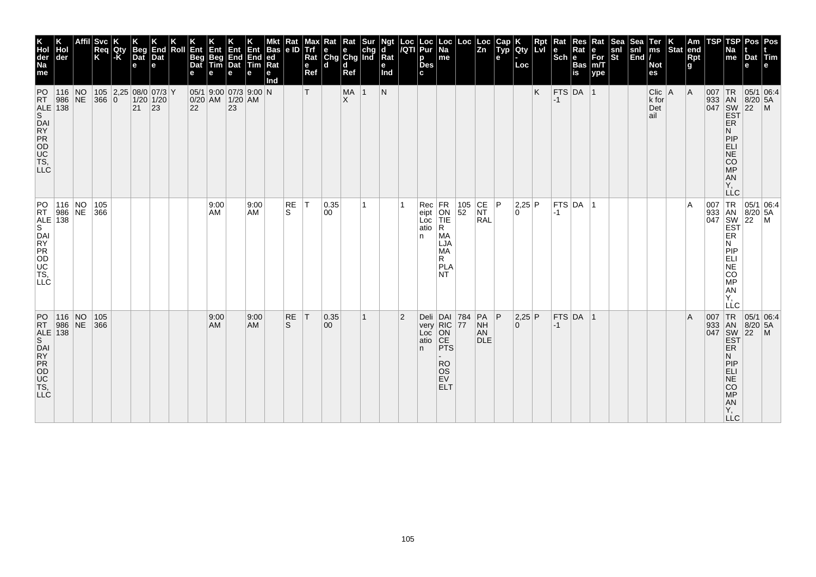| K<br>Hol<br>der<br>Na<br>me                                                                                               | der                               | <b>Svc</b><br>Req<br>K | Qty<br>l-K | <b>Beg</b><br>Dat<br>$\mathbf e$  | End<br>Dat<br>$\mathbf e$ | Roll | Ent<br><b>Beg</b><br>Dat | Ent<br>Beg<br>Tim | Ent<br>$\begin{array}{ c c }\n\hline\n\text{End} \\ \text{Data}\n\end{array}$<br>e | End<br><b>Tim</b><br>е | Bas<br> ed <br>Rat<br>е<br>Ind | Rat<br> e D        | мах<br>Trf<br>Rat<br>e<br>Ref | Rat<br>$\begin{array}{ c c c }\n\hline\n\text{e} & \text{e} & \text{chg} \\ \hline\n\text{Chg} & \text{Chg} & \text{Ind}\n\end{array}$<br>ld. | Rat<br>d<br>Ref  |              | Ngt<br>ď<br>Rat<br>е<br>Ind | Loc<br> /QTI   | Loc<br>Pur<br>p<br><b>Des</b><br>c. | ∣Loc<br>$\overline{Na}$<br>me                                                                                | Loc                                       | Loc<br>$\overline{z_n}$                                                  | Cap<br>$\tilde{$ , Typ}<br>е | Qty<br>Loc    | <b>LvI</b> | $ \mathsf{Sch} $ e | Rat<br><b>Bas</b><br>is | Rat<br>е<br>$\overline{\text{For}}$ <sub>m/T</sub><br>ype | अक्ट<br>snl<br>St | snl<br>$\left \overline{\text{End}}\right $ | Ter<br>$\mathsf{ms}$<br><b>Not</b><br>es | Stat end | Am<br>Rpt<br>g | TSP | TSP<br>Na<br>me                                                                               | Dat Tim<br>e                                             | Pos   Pos                                                |
|---------------------------------------------------------------------------------------------------------------------------|-----------------------------------|------------------------|------------|-----------------------------------|---------------------------|------|--------------------------|-------------------|------------------------------------------------------------------------------------|------------------------|--------------------------------|--------------------|-------------------------------|-----------------------------------------------------------------------------------------------------------------------------------------------|------------------|--------------|-----------------------------|----------------|-------------------------------------|--------------------------------------------------------------------------------------------------------------|-------------------------------------------|--------------------------------------------------------------------------|------------------------------|---------------|------------|--------------------|-------------------------|-----------------------------------------------------------|-------------------|---------------------------------------------|------------------------------------------|----------|----------------|-----|-----------------------------------------------------------------------------------------------|----------------------------------------------------------|----------------------------------------------------------|
| PO<br>RT.<br>$\begin{array}{c c}\n\overline{ALE} & 138 \\ \hline\n\end{array}$<br>DAI<br>NATO<br>TS,<br>LC<br>TS,         | $116$ NO<br>$986$ NE              | 366 0                  |            | 105 2,25 08/0 07/3 Y<br>$ 21 $ 23 | $1/20$ 1/20               |      | 22                       |                   | $05/1$ 9:00 07/3 9:00 N<br>$0/20$ AM $1/20$ AM<br> 23                              |                        |                                |                    | т                             |                                                                                                                                               | MA 1<br>$\times$ |              | N                           |                |                                     |                                                                                                              |                                           |                                                                          |                              |               | K          | $FTS$ DA 1<br>$-1$ |                         |                                                           |                   |                                             | $Clic$   A<br>k for<br>Det<br>ail        |          | A              |     | <b>ER</b><br>N<br>PIP<br>ELI<br><b>NE</b><br><b>CO</b><br><b>MP</b><br>AN<br>Υ,<br><b>LLC</b> | 007 TR 05/1 06:4<br>933 AN 8/20 5A<br>047 SW 22 M<br>EST |                                                          |
| PO<br>RT 986<br>ALE 138<br>DAI<br><b>FROBRY</b>                                                                           | 116   NO   105<br> 986   NE   366 |                        |            |                                   |                           |      |                          | 9:00<br>AM        |                                                                                    | 9:00<br>AM             |                                | RE<br>S.           | T                             | 0.35 <br>00                                                                                                                                   |                  | 1            |                             |                | Rec<br>eipt<br>Loc<br>atio<br>n     | FR<br>ON<br>TIE<br>R.<br>MA<br>LJA<br>MA<br>R.<br>PLA<br>NT.                                                 | $\begin{array}{ c} 105 \\ 52 \end{array}$ | $\begin{array}{c} \n\text{CE} \\ \text{NT}\n\end{array}$ P<br><b>RAL</b> |                              | 2,25 P<br>l O |            | $-1$               | FTS DA 1                |                                                           |                   |                                             |                                          |          | A              |     | ER<br>N<br> P P<br>ELI<br>NE<br><b>CO</b><br>MP<br>AN<br>Υ.<br>LLC                            |                                                          | 007 TR 05/1 06:4<br>933 AN 8/20 5A<br>047 SW 22 M<br>EST |
| PO<br><b>RT</b><br>$\begin{array}{c} \text{ALE} \\ \text{S} \end{array}$ 138<br>DAI<br>N<br>OD<br>OD<br>TS,<br><b>LLC</b> | $116$ NO<br>986 NE                | 105<br>366             |            |                                   |                           |      |                          | 9:00<br>AM        |                                                                                    | 9:00<br><b>AM</b>      |                                | RE<br><sub>S</sub> | T                             | 0.35 <br>$ 00\rangle$                                                                                                                         |                  | $\mathbf{1}$ |                             | $\overline{2}$ | n.                                  | Deli DAI 784<br>very RIC 77<br>Loc ON<br>atio CE<br><b>PTS</b><br><b>RO</b><br><b>OS</b><br>EV<br><b>ELT</b> |                                           | $PA$ $ P $<br><b>NH</b><br>AN<br><b>DLE</b>                              |                              | 2,25 P<br>0   |            | $-1$               | $FTS$ DA 1              |                                                           |                   |                                             |                                          |          | $\overline{A}$ | 007 | ER<br>N<br>PIP<br><b>ELI</b><br><b>NE</b><br><b>CO</b><br>MP<br>AN<br>Y,<br><b>LLC</b>        | TR 05/1 06:4<br>933 AN 8/20 5A<br>047 SW 22 M<br>EST     |                                                          |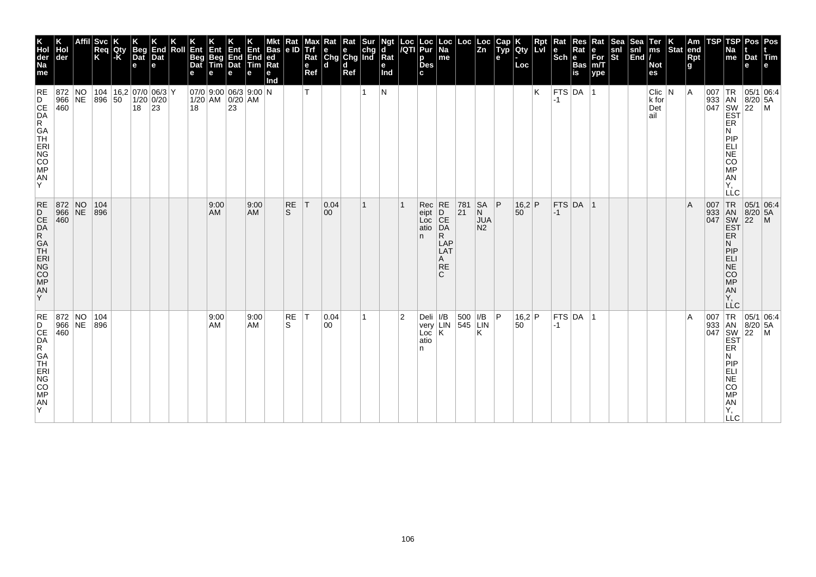| K<br>Hol<br>der<br>Na<br>me                                                       | Hol<br>der                  | Affil Svc<br>Req<br>K | Qty<br>$\mathsf{F}$ K | <b>Beg</b><br>Dat<br>e                  | End<br>Dat<br>$\mathbf e$ | Roll Ent<br><b>Beg</b><br>Dat | Ent                                              | Ent<br><b>Beg</b> End End<br>Tim Dat Tim<br>е | Ent<br>е          | Mkt Rat Mar<br>Bas e ID Trf<br>ed<br>Rat<br>е<br>Ind |                    | e<br>Ref | Max Rat Rat Sur<br>Trf e e chg<br>Rat Chg Chg Ind<br>ld. | d<br>Ref |    | Ngt<br>d<br>Rat<br>е<br>Ind |                | Loc  Loc<br><i> I</i> QTI  Pur<br>p<br><b>Des</b><br>C. | Loc <br>$\overline{Na}$<br>$\mathsf{Im}\mathsf{e}$             | Loc Loc                                                    | $\overline{z_n}$                               | е | $\begin{array}{ c c }\n\hline\n\text{Gap} & \text{K} \\ \text{Typ} & \text{Qty}\n\end{array}$<br>Loc | Rpt | Rat<br>le.<br>$ \overline{\text{Sch}} e$ | Res<br>Rat<br><b>Bas</b><br>is | Rat<br>е<br>$For$ <sub>m</sub> $T$<br>ype | ∣Sea<br>snl<br><b>St</b> | <b>Sea</b><br>snl<br>$\vert$ End $\vert$ / | Ter<br> ms<br>Not<br>es           | Stat end | Am<br>Rpt<br>g | <b>TSP</b> | Na<br>me                                                                               | TSP Pos Pos<br>Dat Tim<br>е                                                                                                                                                                                                                                                                                                                                                                                                          |  |
|-----------------------------------------------------------------------------------|-----------------------------|-----------------------|-----------------------|-----------------------------------------|---------------------------|-------------------------------|--------------------------------------------------|-----------------------------------------------|-------------------|------------------------------------------------------|--------------------|----------|----------------------------------------------------------|----------|----|-----------------------------|----------------|---------------------------------------------------------|----------------------------------------------------------------|------------------------------------------------------------|------------------------------------------------|---|------------------------------------------------------------------------------------------------------|-----|------------------------------------------|--------------------------------|-------------------------------------------|--------------------------|--------------------------------------------|-----------------------------------|----------|----------------|------------|----------------------------------------------------------------------------------------|--------------------------------------------------------------------------------------------------------------------------------------------------------------------------------------------------------------------------------------------------------------------------------------------------------------------------------------------------------------------------------------------------------------------------------------|--|
| RE<br>D<br>CE<br>DA<br>R<br>GA<br>T-<br>ERI<br>NG<br>CO<br>MP<br>${\sf AN}$<br>Y  | 872 NO<br>966 NE<br>460     | 896 50                |                       | 104   16,2   07/0   06/3   Y<br>$18$ 23 | $1/20$ 0/20               | 18                            | $07/0$ 9:00 06/3 9:00 N<br>$1/20$ AM $ 0/20 $ AM | 23                                            |                   |                                                      |                    | т        |                                                          |          |    | N                           |                |                                                         |                                                                |                                                            |                                                |   |                                                                                                      | K   | $-1$                                     | FTS DA 1                       |                                           |                          |                                            | $Clic$ $N$<br>k for<br>Det<br>ail |          | $\overline{A}$ | 007        | ER<br>N<br><b>PIP</b><br>ELI<br>NE<br>CO<br><b>MP</b><br>AN<br>Υ.<br><b>LLC</b>        | $TR$ 05/1 06:4<br>933 AN 8/20 5A<br>047 SW 22 M<br>EST                                                                                                                                                                                                                                                                                                                                                                               |  |
| $RE$<br>D<br>CE<br>DA<br>R<br>GA<br>TH<br>ERI<br><b>NG</b><br>CO<br>MP<br>AN<br>Y | 872 NO<br>966 NE 896<br>460 | 104                   |                       |                                         |                           |                               | 9:00<br>AM                                       |                                               | 9:00<br><b>AM</b> |                                                      | RE<br><sub>S</sub> | IТ.      | 0.04<br>$ 00\rangle$                                     |          | 1  |                             |                | Rec<br>eipt<br>Loc<br>atio<br>n.                        | RE<br>D<br>CE<br>DA<br>R.<br>LAP<br>LAT<br>A<br><b>RE</b><br>C | $\begin{array}{ c c }\n 781 \\  \hline\n 21\n \end{array}$ | <b>SA</b><br>N<br><b>JUA</b><br>N <sub>2</sub> | P | $16,2$ P<br>$50^{\degree}$                                                                           |     | $ -1 $                                   | $FTS$ DA $ 1$                  |                                           |                          |                                            |                                   |          | $\overline{A}$ |            | <b>EST</b><br>ER.<br>N.<br> P P<br><b>ELI</b><br>NE<br>CO<br>MP<br>AN<br>Υ.<br>LLC     | 007 TR 05/1 06:4<br>933 AN 8/20 5A<br>047 SW 22 M<br> 05/1 06:4                                                                                                                                                                                                                                                                                                                                                                      |  |
| RE<br>D<br>CE<br>DA<br>R<br>GA<br>TH<br>ERI<br>NG<br>CO<br>MP<br>AN<br>ΙY.        | 872 NO<br>966 NE<br>460     | 104<br>896            |                       |                                         |                           |                               | 9:00<br>AM                                       |                                               | 9:00<br><b>AM</b> |                                                      | RE<br>'S           | T        | 0.04<br>00                                               |          | 1. |                             | $\overline{2}$ | Deli $ I/B $<br>Loc<br>atio<br>n                        | K                                                              | 500   I/B   P<br>very LIN 545 LIN                          | Κ                                              |   | 16,2 P<br>50                                                                                         |     | $ -1$                                    | FTS DA 1                       |                                           |                          |                                            |                                   |          | $\overline{A}$ |            | ER<br>N<br>PIP<br>ELI<br><b>NE</b><br><b>CO</b><br><b>MP</b><br>AN<br>Υ,<br><b>LLC</b> | $\begin{array}{r} \n 1 \text{ R} \\  33 \text{ AN} \\  047 \text{ SNW} \\  50 \text{ SYR} \\  1047 \text{ SNW} \\  50 \text{ SYR} \\  50 \text{ SNW} \\  50 \text{ SNW} \\  50 \text{ SNW} \\  50 \text{ SNW} \\  50 \text{ SNW} \\  50 \text{ SNW} \\  50 \text{ SNW} \\  50 \text{ SNW} \\  50 \text{ SNW} \\  50 \text{ SNW} \\  50 \text{ SNW} \\  50 \text{ SNW} \\  50 \text{ SNW} \\  50 \text{ SNW} \\  50 \text{ SNW} \\  $ |  |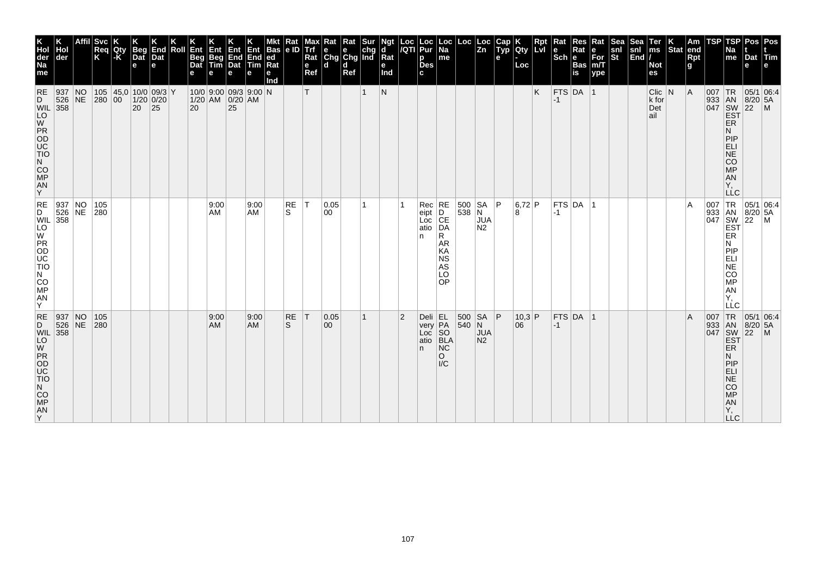| K<br>Hol<br>der<br>Na<br>me                                                                                                    | der                | <b>Svc</b><br>Req<br>K | Qty<br>$ \text{-}\mathsf{K} $ | <b>Beg</b><br>Dat<br>$\mathbf e$                | End<br>Dat<br>e | Roll | Ent<br><b>Beg</b><br>Dat | Ent<br>Beg<br><b>Tim</b> | Ent<br>$\begin{array}{ c c }\n\hline\n\text{End} \\ \text{Dat}\n\end{array}$<br>e | End<br>Tim<br>е   | Bas<br>led<br>Rat<br>е<br>Ind | Rat<br> e D        | мах<br>Trf<br>Rat<br>e<br>Ref | Rat<br>e<br>Chg Chg Ind<br>۱d | Rat<br>d<br>Ref |              | Ngt<br>d<br>Rat<br>е<br>Ind | Loc<br> /QTI   | Loc<br>Pur<br>р<br><b>Des</b><br>c.           | ∣ Loc<br>Na<br>me                                                                     | Loc                              | Loc<br>$\overline{z_n}$               | Cap<br>$\tilde{$ , Typ}<br>e | Qty<br>Loc   | Li | Sch ∣e           | Rat<br><b>Bas</b><br>is | Rat<br>е<br>$\overline{\text{For}}$ <sub>m/T</sub><br>ype | ंखर<br>snl<br>St | snl<br>$\left \overline{\text{End}}\right $ | Ter<br>$\mathsf{ms}$<br><b>Not</b><br>es | Stat end | Am<br>Rpt<br>g | TSP | TSP<br>Na<br>me                                                                                      | Dat Tim<br>е                                             | Pos   Pos |
|--------------------------------------------------------------------------------------------------------------------------------|--------------------|------------------------|-------------------------------|-------------------------------------------------|-----------------|------|--------------------------|--------------------------|-----------------------------------------------------------------------------------|-------------------|-------------------------------|--------------------|-------------------------------|-------------------------------|-----------------|--------------|-----------------------------|----------------|-----------------------------------------------|---------------------------------------------------------------------------------------|----------------------------------|---------------------------------------|------------------------------|--------------|----|------------------|-------------------------|-----------------------------------------------------------|------------------|---------------------------------------------|------------------------------------------|----------|----------------|-----|------------------------------------------------------------------------------------------------------|----------------------------------------------------------|-----------|
| <b>RE</b><br>D<br><b>WIL</b> 358<br>LO<br>W<br>PR<br>OD<br>UC<br>TIO<br>N<br>CO <sub>MP</sub><br>$\frac{AN}{Y}$                | 937 N0<br>$526$ NE | 280 00                 |                               | 105 $ 45,0 10/0 09/3 Y$<br>$1/20$ 0/20<br>20 25 |                 |      | 20                       |                          | 10/0 9:00 09/3 9:00 N<br>$1/20$ AM $0/20$ AM<br>25                                |                   |                               |                    | T                             |                               |                 | $\mathbf 1$  | $\mathsf{N}$                |                |                                               |                                                                                       |                                  |                                       |                              |              | K  | $FTS$ DA 1<br>-1 |                         |                                                           |                  |                                             | $C$ lic $ N $<br>k for<br>Det<br>ail     |          | A              |     | <b>EST</b><br>ER<br>N<br>PIP<br>ELI<br><b>NE</b><br><b>CO</b><br><b>MP</b><br>AN<br>Υ,<br><b>LLC</b> | 007   TR   05/1   06:4<br>933 AN 8/20 5A<br>047 SW 22 M  |           |
| RE 937 NO 105<br>D 526 NE 280<br>WIL 358<br>$\overline{10}$<br>PR<br>OD<br>UC<br>TIO<br>N<br><b>CO</b><br><b>MP</b><br>AN<br>Y |                    |                        |                               |                                                 |                 |      |                          | 9:00<br>AM               |                                                                                   | 9:00<br>AM        |                               | RE<br>S.           | T                             | 0.05 <br> 00                  |                 | 1.           |                             |                | Rec<br>eipt<br>Loc<br>atio<br>n.              | RE<br>$\overline{D}$ CE<br>DA<br>R.<br>AR<br>KA<br><b>NS</b><br><b>AS</b><br>LO<br>OP | $\begin{array}{ c c }\n500 & S/$ | SA  P<br><b>JUA</b><br>N <sub>2</sub> |                              | 6,72 P<br>8  |    | $-1$             | FTS DA 1                |                                                           |                  |                                             |                                          |          | $\overline{A}$ |     | ER<br>N<br>PIP<br>ELI<br>NE<br><b>CO</b><br><b>MP</b><br>AN<br>Υ.<br>LLC                             | 007 TR 05/1 06:4<br>933 AN 8/20 5A<br>047 SW 22 M<br>EST |           |
| RE<br>D<br><b>WIL</b> 358<br>$\overline{5}$<br>PR<br>OD<br>UC<br>TIO<br>N<br>$CO$ MP<br>AN<br>ΙY.                              | 937 N<br>$526$ NE  | 105<br>280             |                               |                                                 |                 |      |                          | 9:00<br><b>AM</b>        |                                                                                   | 9:00<br><b>AM</b> |                               | RE<br><sub>S</sub> | T                             | 0.05 <br>$ 00\rangle$         |                 | $\mathbf{1}$ |                             | $\overline{2}$ | $Deli$ EL<br>very PA<br>Loc<br>atio BLA<br>n. | so<br><b>NC</b><br>$\circ$<br>$\mathsf{IC}$                                           | 500 SA P<br>$ 540 $ N            | <b>JUA</b><br>N <sub>2</sub>          |                              | 10,3 P<br>06 |    | $-1$             | $FTS$ DA 1              |                                                           |                  |                                             |                                          |          | $\overline{A}$ | 007 | <b>EST</b><br>ER<br>N<br>PIP<br>ELI<br><b>NE</b><br><b>CO</b><br><b>MP</b><br>AN<br>Υ,<br>LLC        | TR 05/1 06:4<br>933 AN 8/20 5A<br>047 SW 22 M            |           |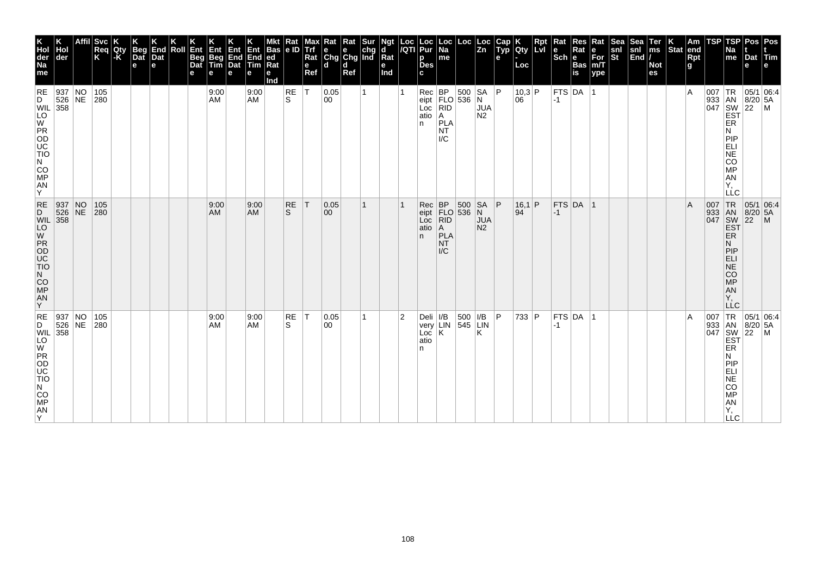| K<br>Hol<br>der<br>Na<br>me                                                                                | der                                                                                                                                                                                                                                                                                                                                                                                                                          | Svc<br>Req<br>K                                         | <b>IQty</b><br>l-Ki | <b>Beg</b><br>Dat<br>е | K<br>End<br>Dat<br>e | Roll | Ent<br>Beg<br>Dat<br>е | 410<br>Beg<br>Tim<br>е | Ent<br>End<br>Dat<br>е | Ent<br>End<br><b>Tim</b><br>е | <b>Bas</b><br>ed<br>Rat<br>е<br>Ind | Rat<br>e ID | мах<br><b>Trf</b><br>Rat<br>е<br>Ref | ĸat<br>$\begin{array}{ c c c }\n\hline\ne & e & chg \\ Chg & Chg & Ind\n\end{array}$<br>l d | Rat<br>d<br>Ref | Sur | ď<br>$\overline{\mathsf{R}}$ at<br>е<br>Ind | Loc<br>/QTI    | Loc<br>Pur<br>р<br><b>Des</b>                        | $ \mathsf{Loc} $<br>Na<br>me                          | Loc                        | $\vert$ Loc<br>$\vert$ Zn                 | Cap<br>$\tilde{$ , Typ}<br>е | Qty<br>Loc     | Rpt<br>心 | Rat<br>le<br>$ \mathsf{Sch} $ e | Res<br>Rat<br><b>Bas</b><br>is | Rat<br>е<br>For<br>m/T<br>ype | Sea<br>snl<br>St | <b>Sea</b><br>$\begin{vmatrix} \text{snl} \\ \text{End} \end{vmatrix}$ | Ter<br>$\overline{\mathsf{ms}}$<br><b>Not</b><br>es | $ \text{Stat} $ | Am<br> end<br><b>Rpt</b><br>g | TSP | TSP<br>Na<br>me                                                                    | Pos   Pos<br>Dat Tim<br>e                         |                                                                                                                                                                                                                                                                                                                                                                                                                          |
|------------------------------------------------------------------------------------------------------------|------------------------------------------------------------------------------------------------------------------------------------------------------------------------------------------------------------------------------------------------------------------------------------------------------------------------------------------------------------------------------------------------------------------------------|---------------------------------------------------------|---------------------|------------------------|----------------------|------|------------------------|------------------------|------------------------|-------------------------------|-------------------------------------|-------------|--------------------------------------|---------------------------------------------------------------------------------------------|-----------------|-----|---------------------------------------------|----------------|------------------------------------------------------|-------------------------------------------------------|----------------------------|-------------------------------------------|------------------------------|----------------|----------|---------------------------------|--------------------------------|-------------------------------|------------------|------------------------------------------------------------------------|-----------------------------------------------------|-----------------|-------------------------------|-----|------------------------------------------------------------------------------------|---------------------------------------------------|--------------------------------------------------------------------------------------------------------------------------------------------------------------------------------------------------------------------------------------------------------------------------------------------------------------------------------------------------------------------------------------------------------------------------|
| PROD<br>NOCO<br>CO<br>MP<br>AN<br>Y                                                                        |                                                                                                                                                                                                                                                                                                                                                                                                                              | $\begin{array}{ c c }\n\hline\n105 \\ 280\n\end{array}$ |                     |                        |                      |      |                        | 9:00<br>AM             |                        | 9:00<br><b>AM</b>             |                                     | RE<br>ls.   | ١T                                   | 0.05<br>00                                                                                  |                 |     |                                             |                | Rec BP 500 SA<br>eipt FLO 536 N<br>Loc<br>atio<br>n. | RID<br> A <br>PLA<br><b>NT</b><br>I/C                 |                            | <b>JUA</b><br>N <sub>2</sub>              | P                            | 10,3 P<br> 06  |          | <b>FTS DA</b><br>$ -1 $         |                                |                               |                  |                                                                        |                                                     |                 | $\overline{A}$                |     | ER<br>N<br>PIP<br>ELI<br>NE<br>CO<br><b>MP</b><br>AN<br>Υ,<br><b>LLC</b>           |                                                   | $\begin{array}{r} \n 1 \text{ R} \\  933 \text{ AN} \\  047 \text{ SW} \\  50 \text{ SY} \\  1047 \text{ SY} \\  1047 \text{ SY} \\  1047 \text{ SY} \\  1047 \text{ SY} \\  1047 \text{ SY} \\  1047 \text{ SY} \\  1047 \text{ SY} \\  1047 \text{ SY} \\  1047 \text{ SY} \\  1047 \text{ SY} \\  1047 \text{ SY} \\  1047 \text{ SY} \\  1047 \text{ SY} \\  1047 \text{ SY} \\  1047 \text{ SY} \\  1047 \text{ SY$ |
| $RE$<br>D<br><b>WIL</b> 358<br>$\overline{10}$<br>PR<br>OD<br>UC<br>TIO<br>N<br>CO<br><b>MP</b><br>AN<br>Y | $\begin{array}{ l l }\n937 & NO \\ 526 & NE\n\end{array}$                                                                                                                                                                                                                                                                                                                                                                    | 105<br>280                                              |                     |                        |                      |      |                        | 9:00<br>AM             |                        | 9:00<br><b>AM</b>             |                                     | RE<br>S     | T                                    | 0.05<br>$ 00\rangle$                                                                        |                 |     |                                             |                | Rec<br>eipt FLO 536 N<br>Loc RID JU<br>atio<br>n.    | <b>BP</b><br> A <br>PLA<br><b>NT</b><br>$\mathsf{IC}$ | 500                        | <b>SA</b><br><b>JUA</b><br>N <sub>2</sub> | ∣P                           | $16,1$ P<br>94 |          | $ -1 $                          | $FTS$ DA 1                     |                               |                  |                                                                        |                                                     |                 | $\overline{A}$                |     | <b>EST</b><br>ER.<br>N.<br> P P<br><b>ELI</b><br>NE<br>CO<br>MP<br>AN<br>Υ.<br>LLC | 007 TR 05/1 06:4<br>933 AN 8/20 5A<br>047 SW 22 M |                                                                                                                                                                                                                                                                                                                                                                                                                          |
| N.<br>CO<br>MP<br>AN<br>ΙY.                                                                                | $\begin{array}{c c} \hline \text{F} & 937 & \text{NC} \\ \text{526} & 526 & \text{NE} \\ \text{J} & 358 & \text{NE} \\ \text{O} & \text{D} & \text{NE} \\ \text{O} & \text{D} & \text{N} \\ \text{O} & \text{D} & \text{N} \\ \text{O} & \text{N} & \text{N} \\ \text{O} & \text{N} & \text{N} \\ \text{O} & \text{N} & \text{N} \\ \text{O} & \text{N} & \text{N} \\ \text{O} & \text{N} & \text{N} \\ \text{N} & \text{N}$ | 105<br>280                                              |                     |                        |                      |      |                        | 9:00<br><b>AM</b>      |                        | 9:00<br>AM                    |                                     | RE<br>S     | IT.                                  | 0.05<br>00                                                                                  |                 |     |                                             | $\overline{2}$ | Deli<br>very<br>Loc<br>atio<br>n                     | K                                                     | I/B 500 I/B<br>LIN 545 LIN | Κ                                         | ∣P                           | 733 P          |          | $-1$                            | FTS DA 1                       |                               |                  |                                                                        |                                                     |                 | $\overline{A}$                |     | ER<br>N<br>PIP<br>ELI<br>NE<br>CO<br><b>MP</b><br>AN<br>Υ.<br>LLC                  |                                                   | $\begin{array}{c} \n \stackrel{\text{1R}}{\text{333}} \begin{array}{c} \n 1R \\  \text{AN} \\  \text{180} \\  \text{180} \\  \text{181} \\  \text{1820} \\  \text{1831} \\  \text{1841} \\  \text{1851} \\  \text{1861} \\  \text{1871} \\  \text{1881} \\  \text{1891} \\  \text{1801} \\  \text{1811} \\  \text{1811} \\  \text{1811} \\  \text{1811} \\  \text{1811} \\  \text{1811} \\  \text{1811} \\  \text{1811}$ |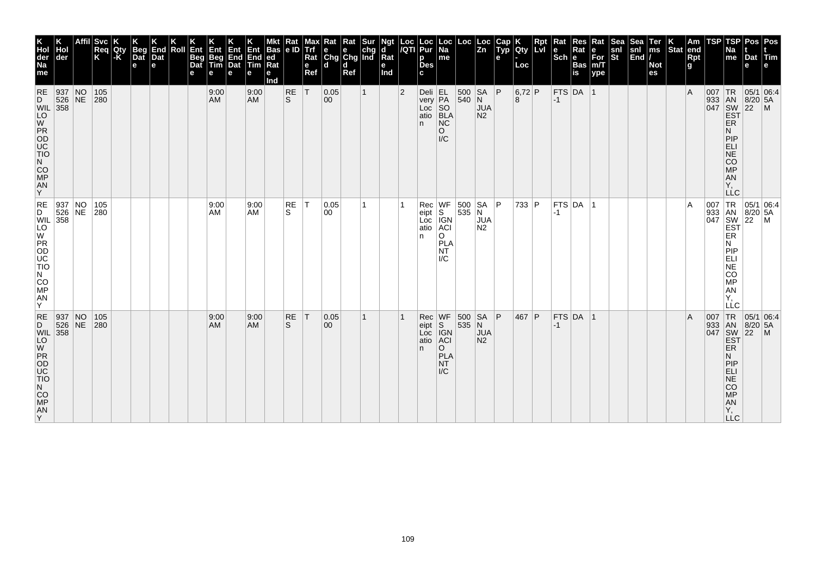| K<br>Hol<br>der<br>Na<br>me                                                                                                 | Hol<br>der       | <b>Svc</b><br> Req<br> K | Qty<br>$-K$ | Beg<br>Dat<br>e | End<br>Dat<br>$\mathbf e$ | Roll | Ent<br>Beg<br>Dat | ⁄∃nv<br>Beg<br>Tim<br>е | Ent<br>End<br>Dat<br>е | End<br><b>Tim</b><br>е | <b>Bas</b><br> ed<br>Rat<br>е<br>Ind | Rat<br>le ID | Max<br>e<br>Ref | Rat<br>Trf e e chg<br>Rat Chg Chg Ind<br>l d | Rat<br>d<br>Ref | Sur          | Ngt<br>d<br>Rat<br>е<br>Ind |   | Loc  Loc<br><i> I</i> QTI  Pur<br>р<br><b>Des</b> | $\vert$ Loc $\vert$<br>Na<br>me                                 | Loc                 | Loc<br>$\overline{z}$ <sub>n</sub>        | Cap<br>$\tilde{$ , T}<br>e | <b>Qty</b><br>Loc | Rpt<br><b>LvI</b> | Rat<br>$ \textsf{Sch} $ e | Res<br>Rat<br><b>Bas</b><br>is | Rat<br>е<br>$\bar{F}$ or<br>m/T<br>ype | Sea<br>snl<br>$ \tilde{\mathbf{s}}$ t | Sea<br>snl<br>$\left \overline{\text{End}}\right $ | Ter<br>ms<br><b>Not</b><br>es | Stat end | Am<br>Rpt<br>g | TSP | TSP<br>Na<br>me                                                                               | Pos   Pos<br>Dat Tim<br>e                                                                                                                                                                                                                                              |  |
|-----------------------------------------------------------------------------------------------------------------------------|------------------|--------------------------|-------------|-----------------|---------------------------|------|-------------------|-------------------------|------------------------|------------------------|--------------------------------------|--------------|-----------------|----------------------------------------------|-----------------|--------------|-----------------------------|---|---------------------------------------------------|-----------------------------------------------------------------|---------------------|-------------------------------------------|----------------------------|-------------------|-------------------|---------------------------|--------------------------------|----------------------------------------|---------------------------------------|----------------------------------------------------|-------------------------------|----------|----------------|-----|-----------------------------------------------------------------------------------------------|------------------------------------------------------------------------------------------------------------------------------------------------------------------------------------------------------------------------------------------------------------------------|--|
| RE 937 NO<br>D 526 NE<br>WIL 358<br>$\overline{10}$<br>2700<br>CO<br>MP<br>AN<br>Y                                          |                  | 105<br> 280              |             |                 |                           |      |                   | 9:00<br>AM              |                        | 9:00<br><b>AM</b>      |                                      | RE<br>ls.    | T               | 0.05<br>00                                   |                 | $\mathbf{1}$ |                             | 2 | Deli EL<br>very PA<br>Loc SO<br>atio BLA<br>n.    | NC<br>$\circ$<br>$\mathsf{IC}$                                  | 500 SA<br>$ 540 $ N | <b>JUA</b><br>N <sub>2</sub>              | P                          | $6,72$ P<br>8     |                   | $ -1$                     | FTS DA 1                       |                                        |                                       |                                                    |                               |          | $\overline{A}$ |     | ER<br>N<br>PIP<br>ELI<br>NE<br><b>CO</b><br><b>MP</b><br>AN<br>Υ,<br><b>LLC</b>               | 007 TR 05/1 06:4<br>933 AN 8/20 5A<br>047 SW 22 M<br>EST                                                                                                                                                                                                               |  |
| RE 937 NO<br>D 526 NE<br>WIL 358<br>$\sqrt{\frac{1}{10}}$<br>PR<br>OD<br>UC<br>TIO<br>N<br>CO<br>MP<br>AN<br>Y              |                  | 105<br>280               |             |                 |                           |      |                   | 9:00<br>AM              |                        | 9:00<br><b>AM</b>      |                                      | RE<br>S.     | IT.             | 0.05<br>00                                   |                 |              |                             |   | Rec<br>eipt<br>Loc<br>atio<br>n.                  | <b>IGN</b><br><b>ACI</b><br>O<br><b>PLA</b><br><b>NT</b><br>l/C | WF 500 SA           | <b>SA</b><br><b>JUA</b><br>N <sub>2</sub> | l P                        | 733 P             |                   | $-1$                      | $ $ FTS $ $ DA $ $ 1           |                                        |                                       |                                                    |                               |          | A              |     | ER<br>N<br> P P<br><b>ELI</b><br>NE<br><b>CO</b><br>MP<br>AN<br>Υ.<br>LLC                     | 007 TR 05/1 06:4<br>933 AN 8/20 5A<br>047 SW 22 M<br>EST<br> 05/1 06:4                                                                                                                                                                                                 |  |
| <b>RE</b><br>D<br>WIL $\begin{bmatrix} 358 \\ 10 \\ W \end{bmatrix}$<br>PR<br>OD<br>UC<br>TIO<br>N<br>CO<br>MP<br>AN<br>ΙYΞ | 937 NO<br>526 NE | 105<br>280               |             |                 |                           |      |                   | 9:00<br>AM.             |                        | 9:00<br><b>AM</b>      |                                      | RE<br>S      | $\top$          | 0.05<br>00                                   |                 |              |                             |   | Rec<br>eipt S<br>Loc IGN<br>atio ACI<br>n.        | WF<br>$\circ$<br><b>PLA</b><br><b>NT</b><br>$\mathsf{IC}$       | 500<br>535 N        | SA<br><b>JUA</b><br>N <sub>2</sub>        | P                          | 467 P             |                   | $ -1$                     | $FTS$ DA 1                     |                                        |                                       |                                                    |                               |          | $\overline{A}$ |     | ER<br>N<br>PIP<br>ELI<br><b>NE</b><br><b>CO</b><br><b>MP</b><br><b>AN</b><br>Υ,<br><b>LLC</b> | $\begin{array}{r} \n 1R \n 05/1 \n 0.54 \n 0.47 \n 0.47 \n 0.48 \n 0.47 \n 0.47 \n 0.48 \n 0.47 \n 0.47 \n 0.47 \n 0.47 \n 0.47 \n 0.47 \n 0.47 \n 0.47 \n 0.47 \n 0.47 \n 0.47 \n 0.47 \n 0.47 \n 0.47 \n 0.47 \n 0.47 \n 0.47 \n 0.47 \n 0.47 \n 0.47 \n 0.47 \n 0.$ |  |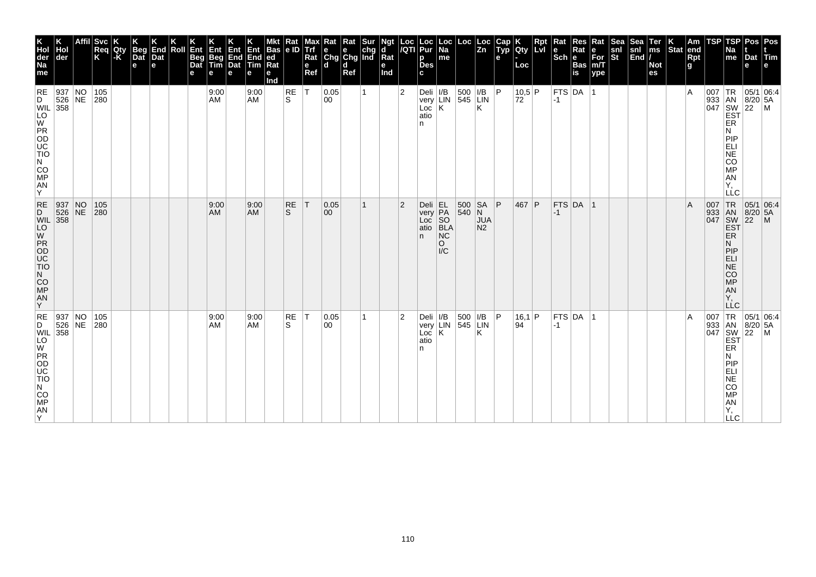| K<br>Hol<br>der<br>Na<br>me                                                                    | Hol<br>der                                                             | <b>Svc</b><br>Req<br>K | Qty<br>l-K | <b>Beg</b><br>Dat<br>е | End<br>Dat<br>e | Roll | Ent<br>Beg<br>Dat | Ent<br>Beg<br>Tim<br>е | Ent<br>End<br>Dat<br>е | Ent<br>End<br><b>Tim</b><br>е | <b>Bas</b><br> ed<br>Rat<br>е<br>Ind | Rat<br>le ID   | Max<br>e<br>Ref | Rat<br>Trf e e chg<br>Rat Chg Chg Ind<br>l d | Rat<br>d<br>Ref | <b>Sur</b> | Ngt<br>ď<br>Rat<br>е<br>Ind |                | Loc  Loc<br><i> I</i> QTI  Pur<br>р<br><b>Des</b>                                                                          | $\vert$ Loc $\vert$<br>Na<br>me              | Loc                                       | Loc<br>$\overline{z}$ <sub>n</sub> | Cap<br>$\tilde{y}$<br>е | Qty<br>Loc                 | Rpt<br>lLvl | Rat<br>$ \overline{\text{Sch}} e$ | Res<br>Rat<br><b>Bas</b><br>is | Rat<br>е<br>$\overline{\text{For}}$ <sub>m/T</sub><br>ype | Sea<br>snl<br>$ \tilde{\mathbf{s}}$ t | Sea<br>snl<br>$\left \overline{\text{End}}\right $ | Ter<br>$\mathsf{ms}$<br><b>Not</b><br>es | Stat end | Am<br>Rpt<br>g | TSP        | TSP<br>Na<br>me                                                                                                                                                                                        | Dat Tim<br>e                                                   | Pos   Pos    |
|------------------------------------------------------------------------------------------------|------------------------------------------------------------------------|------------------------|------------|------------------------|-----------------|------|-------------------|------------------------|------------------------|-------------------------------|--------------------------------------|----------------|-----------------|----------------------------------------------|-----------------|------------|-----------------------------|----------------|----------------------------------------------------------------------------------------------------------------------------|----------------------------------------------|-------------------------------------------|------------------------------------|-------------------------|----------------------------|-------------|-----------------------------------|--------------------------------|-----------------------------------------------------------|---------------------------------------|----------------------------------------------------|------------------------------------------|----------|----------------|------------|--------------------------------------------------------------------------------------------------------------------------------------------------------------------------------------------------------|----------------------------------------------------------------|--------------|
| <b>RE</b><br>$\overline{10}$<br>PRODUCTION<br>CO<br>MP<br>AN<br>Y                              | 937 NO<br>D<br>WIL 358 NE                                              | 105<br>280             |            |                        |                 |      |                   | 9:00<br>AM             |                        | 9:00<br><b>AM</b>             |                                      | RE<br>ls.      | IT.             | 0.05 <br>00                                  |                 |            |                             | $\overline{2}$ | Deli<br>very<br>$Loc$ $K$<br>atio<br>n                                                                                     | I/B                                          | 500<br>LIN 545 LIN                        | I/B <br>Κ                          | ∣P.                     | $10,5$ P<br>$72^{\degree}$ |             | $-1$                              | $ $ FTS $ $ DA $ $ 1           |                                                           |                                       |                                                    |                                          |          | $\overline{A}$ | 007<br>933 | AN<br>$\begin{bmatrix} 047 \\ 800 \\ 122 \end{bmatrix}$ $\begin{bmatrix} 0.067 \\ 201 \\ 1.07 \end{bmatrix}$<br><b>ER</b><br>N<br>PIP<br>ELI<br>NE<br><b>CO</b><br><b>MP</b><br>AN<br>Υ.<br><b>LLC</b> | TR 05/1 06:4<br>$8/20$ 5A                                      | $\mathsf{M}$ |
| $RE$ <sub>D</sub><br>$\overline{w}$<br>PR<br>OD<br>UC<br>TIO<br>$N$<br>$CO$<br>$MP$<br>AN<br>Y | 937 NO<br>D<br>WIL 358 NE                                              | 105<br>280             |            |                        |                 |      |                   | 9:00<br>AM             |                        | 9:00<br><b>AM</b>             |                                      | <b>RE</b><br>S | $\top$          | 0.05<br>00                                   |                 |            |                             | $\overline{2}$ | Deli<br>$\begin{array}{ c c }\n \hline \text{very} & \text{PA} \\  \text{Loc} & \text{SO}\n \end{array}$<br>atio BLA<br>n. | EL.<br><b>NC</b><br>$\circ$<br>$\mathsf{IC}$ | $\begin{array}{ c c }\n500 & S/$<br>540 N | SA<br><b>JUA</b><br>N <sub>2</sub> | ∣P                      | 467 P                      |             | $-1$                              | FTS DA 1                       |                                                           |                                       |                                                    |                                          |          | $\overline{A}$ |            | <b>EST</b><br>ER.<br>N.<br> P P<br>ELI<br>NE<br>CO<br>MP<br>AN<br>Υ.<br>LLC                                                                                                                            | 05/1 06:4<br>007 TR 05/1 06:4<br>933 AN 8/20 5A<br>047 SW 22 M |              |
| N<br>CO<br>MP<br>AN<br>ΙY.                                                                     | <b>RE</b> 937 NO<br>D 526 NE<br>WIL 358<br>LO<br>UC<br>OD C<br>TN<br>N | 105<br>280             |            |                        |                 |      |                   | 9:00<br>AM             |                        | 9:00<br>AM                    |                                      | RE<br>S        | $\top$          | 0.05<br>00                                   |                 |            |                             | 2              | Deli<br>very<br>$LoC$ $K$<br>atio<br>n                                                                                     |                                              | I/B 500   I/B<br>LIN 545 LIN              | ĸ                                  | l P                     | $16,1$ P<br>94             |             | $-1$                              | FTS DA 1                       |                                                           |                                       |                                                    |                                          |          | $\overline{A}$ | 007        | TR<br>ER<br>N<br>PIP<br>ELI<br>NE<br>CO<br><b>MP</b><br>AN<br>Υ.<br>LLC                                                                                                                                | 05/1 06:4<br>933 AN 8/20 5A<br>047 SW 22 M<br>EST              |              |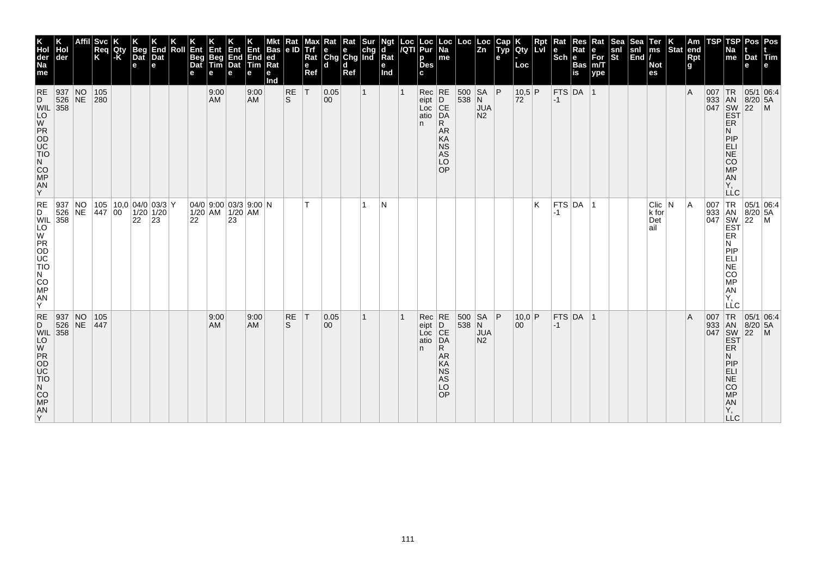| K<br>Hol<br>der<br>Na<br>me                                                                                                 | der                | <b>Svc</b><br>Req<br>K                                                                                                  | Qty<br>l-K | <b>Beg</b><br>Dat<br>$\mathbf e$ | End<br>Dat<br>e | Roll | Ent<br><b>Beg</b><br>Dat<br>е | Ent<br>Beg<br>Tim<br>е | Ent<br>End<br>Dat<br>e                             | End<br>Tim<br>е   | <b>Bas</b><br> ed <br>Rat<br>е<br>Ind | Rat<br> e D      | мах<br>Trf<br>Rat<br>$\mathbf{e}$<br>Ref | Rat<br>$\begin{array}{ c c c }\n\hline\n\mathsf{e} & \mathsf{e} & \mathsf{chg} \\ \hline\n\mathsf{Chg} & \mathsf{Chg} & \mathsf{Ind}\n\end{array}$<br>ld. | Rat<br>d<br>Ref | Sur          | Ngt<br>d<br>Rat<br>е<br>Ind | Loc<br>/QTI | Loc<br>Pur<br>р<br><b>Des</b><br>C.         | ∣Loc<br>$\overline{Na}$<br>me                                          | Loc                 | Loc<br>$\overline{z_n}$                  | Cap<br>Typ<br>e | <b>IQty</b><br>Loc | Rpt<br><b>Lvi</b> | Rat<br>l e<br>$ \mathsf{Sch} $ e | Res<br>Rat<br><b>Bas</b><br>is | Rat<br>е<br>$\overline{\text{For}}$ <sub>m/T</sub><br>ype | Sea<br>snl<br>St | Sea<br>snl<br>$\left \overline{\text{End}}\right $ | Ter<br>$\mathsf{ms}$<br><b>Not</b><br>es | Stat end | Am<br>Rpt<br>g | TSP | TSP<br>Na<br>me                                                                        | Pos   Pos<br>Dat Tim<br>e                                                                                                                                                                                                                                                                                                                                                                      |  |
|-----------------------------------------------------------------------------------------------------------------------------|--------------------|-------------------------------------------------------------------------------------------------------------------------|------------|----------------------------------|-----------------|------|-------------------------------|------------------------|----------------------------------------------------|-------------------|---------------------------------------|------------------|------------------------------------------|-----------------------------------------------------------------------------------------------------------------------------------------------------------|-----------------|--------------|-----------------------------|-------------|---------------------------------------------|------------------------------------------------------------------------|---------------------|------------------------------------------|-----------------|--------------------|-------------------|----------------------------------|--------------------------------|-----------------------------------------------------------|------------------|----------------------------------------------------|------------------------------------------|----------|----------------|-----|----------------------------------------------------------------------------------------|------------------------------------------------------------------------------------------------------------------------------------------------------------------------------------------------------------------------------------------------------------------------------------------------------------------------------------------------------------------------------------------------|--|
| <b>RE</b><br>D<br><b>WIL</b> 358<br>LO<br>W<br>PR<br>OD<br>UC<br>TIO<br>N<br>CO<br>MP<br>$\frac{AN}{Y}$                     | 937 N<br>$526$ NE  | 105<br>280                                                                                                              |            |                                  |                 |      |                               | 9:00<br><b>AM</b>      |                                                    | 9:00<br><b>AM</b> |                                       | <b>RE</b><br>ls. | T                                        | 0.05<br>$ 00\rangle$                                                                                                                                      |                 | $\mathbf{1}$ |                             |             | $Rec$ RE<br>eipt<br>Loc<br>atio<br>n.       | D<br> CE<br>DĀ<br>R.<br><b>AR</b><br>KA<br><b>NS</b><br>AS<br>LO<br>OP | 538 N               | 500 SA P<br><b>JUA</b><br>N <sub>2</sub> |                 | $10,5$ P<br>72     |                   | $-1$                             | FTS DA 1                       |                                                           |                  |                                                    |                                          |          | $\overline{A}$ |     | <b>ER</b><br>N<br>PIP<br>ELI<br><b>NE</b><br><b>CO</b><br><b>MP</b><br>AN<br>Υ,        | 007 TR 05/1 06:4<br>933 AN 8/20 5A<br>047 SW 22 M<br>EST                                                                                                                                                                                                                                                                                                                                       |  |
| $\overline{D}^{\text{RE}}$<br> WIL 358<br>$\sqrt{\frac{1}{10}}$<br>PR<br>OD<br>UC<br>TIO<br>N<br><b>CO</b><br>MP<br>AN<br>Y | 937 NO<br>526 NE   | $\begin{array}{ c c c c c c c c } \hline 105 & 10,0 & 04/0 & 03/3 \ \hline 447 & 00 & 1/20 & 1/20 \ \hline \end{array}$ |            | 22                               | 23              |      | 22                            |                        | 04/0 9:00 03/3 9:00 N<br>$1/20$ AM $1/20$ AM<br>23 |                   |                                       |                  | T.                                       |                                                                                                                                                           |                 | 1            | N                           |             |                                             |                                                                        |                     |                                          |                 |                    | Κ                 | -1                               | FTS DA 1                       |                                                           |                  |                                                    | $C$ lic $ N $<br>k for<br>Det<br>ail     |          | A              |     | ER<br>N<br>PIP<br>ELI<br>NE<br>CO<br>MP<br>AN<br>Υ.<br>LLC                             | $\begin{array}{c c}\n & \multicolumn{1}{c }{\bigcirc} \\  & \multicolumn{1}{c }{\bigcirc} \\  & 933 & \multicolumn{1}{c }{\text{IN}} & 05/1 & 06.5, \\  & 933 & \multicolumn{1}{c }{\text{IN}} & 8/20 & 5A \\  & 8W & 22 & \multicolumn{1}{c }{\text{IN}} \\  & 647 & \multicolumn{1}{c }{\text{EST}} \\  & \multicolumn{1}{c }{\text{EST}} \\  & \multicolumn{1}{c }{\text{EP}}\n\end{array}$ |  |
| RE<br>D<br>WIL 358<br>PR<br>OD<br>UC<br>TIO<br>N<br>CO<br>MP<br>AN<br>lY.                                                   | 937 NO<br>$526$ NE | 105<br>447                                                                                                              |            |                                  |                 |      |                               | 9:00<br><b>AM</b>      |                                                    | 9:00<br><b>AM</b> |                                       | RE<br>S.         | T                                        | 0.05<br>$ 00\rangle$                                                                                                                                      |                 | $\mathbf{1}$ |                             |             | $Rec$ RE<br>eipt<br>Loc CE<br>atio DA<br>n. | R.<br>AR<br>KA<br><b>NS</b><br>AS<br>LO<br>OP                          | 500 SA P<br>$538$ N | <b>JUA</b><br>N <sub>2</sub>             |                 | 10,0 P<br>00       |                   | $-1$                             | $FTS$ DA 1                     |                                                           |                  |                                                    |                                          |          | $\overline{A}$ |     | ER<br>N<br>PIP<br><b>ELI</b><br><b>NE</b><br><b>CO</b><br>MP<br>AN<br>Y,<br><b>LLC</b> | $\begin{array}{r} \n 1R \n 05/1 \n 100 \n 100 \n 100 \n 100 \n 100 \n 100 \n 100 \n 100 \n 100 \n 100 \n 100 \n 100 \n 100 \n 100 \n 100 \n 100 \n 100 \n 100 \n 100 \n 100 \n 100 \n 100 \n 100 \n 100 \n 100 \n 100 \n 100 \n 100 \n 100 \n 100 \n 100 \n 100 \n 100 \n $                                                                                                                    |  |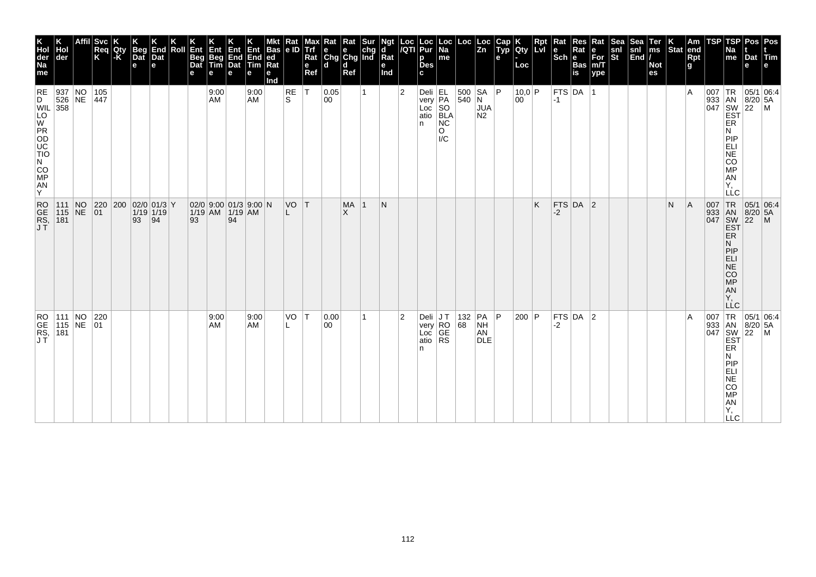| K<br>Hol<br>der<br>Na<br>me                                                                                                                                                                                                                                                                                                                                                                                        | ∣der                                                                                    | Affil | Svc<br>Req<br>K                                                                                                              | Qty | Beg<br>Dat<br>$\mathbf e$ | K<br>End<br>Dat<br>е | Roll | Ent<br>Beg<br>Dat<br>е | Ent<br>Beg<br>Tim<br>e                   | 400<br>End<br>Dat<br>e | Ent<br>End<br><b>Tim</b><br>е | <b>Bas</b><br>ed<br>Rat<br>е<br>Ind | Kat<br>e ID   | Trf<br>Rat<br>e<br>Ref | Rat<br>$\begin{array}{ c c c }\n\hline\n\mathbf{e} & \mathbf{e} & \mathsf{chg} \\ \hline\n\mathsf{Chg} & \mathsf{Chg} & \mathsf{Ind}\n\end{array}$<br>d | Rat<br>l d<br>Ref | Sur          | Ngt<br> d<br> Rat<br>е<br>Ind |                | Loc Loc<br><i> I</i> QTI Pur<br>$p_{\text{Des}}$<br>c | Loc<br>Na<br>me                                                               | Loc                                                                       | Loc<br>Zn                    | Cap<br>Typ<br>е | K<br>Qty<br>Loc | Rpt | Rat<br>l e<br>$Sch$ e | Res<br>Rat<br>Bas<br>is | Rat<br>e<br>For<br>m/T<br>$ $ ype | Sea<br>snl<br>St | Sea<br>$\begin{vmatrix} \text{sni} \\ \text{End} \end{vmatrix}$ | Ter<br>ms<br><b>Not</b><br>es | K.<br>Stat | Am<br>end<br><b>Rpt</b><br><b>g</b> | <b>TSP</b>                     | TSP<br>Na<br>me                                                                                | Pos<br>Dat Tim<br>e                                                                                                                                                                                                                                                                                               | Pos<br>e                                                                             |
|--------------------------------------------------------------------------------------------------------------------------------------------------------------------------------------------------------------------------------------------------------------------------------------------------------------------------------------------------------------------------------------------------------------------|-----------------------------------------------------------------------------------------|-------|------------------------------------------------------------------------------------------------------------------------------|-----|---------------------------|----------------------|------|------------------------|------------------------------------------|------------------------|-------------------------------|-------------------------------------|---------------|------------------------|---------------------------------------------------------------------------------------------------------------------------------------------------------|-------------------|--------------|-------------------------------|----------------|-------------------------------------------------------|-------------------------------------------------------------------------------|---------------------------------------------------------------------------|------------------------------|-----------------|-----------------|-----|-----------------------|-------------------------|-----------------------------------|------------------|-----------------------------------------------------------------|-------------------------------|------------|-------------------------------------|--------------------------------|------------------------------------------------------------------------------------------------|-------------------------------------------------------------------------------------------------------------------------------------------------------------------------------------------------------------------------------------------------------------------------------------------------------------------|--------------------------------------------------------------------------------------|
| $\begin{array}{c c}\n\text{E} & 937 & \text{NO} \\ \text{VIL} & 526 & \text{NE} \\ \text{VIL} & 358 & \text{NE} \\ \hline\n\text{VOP} & 358 & \text{NE} \\ \hline\n\text{O} & 358 & \text{NE} \\ \hline\n\text{VOP} & 358 & \text{NE} \\ \hline\n\text{VOP} & 358 & \text{NE} \\ \hline\n\text{VOP} & 358 & \text{NE} \\ \hline\n\text{VOP} & 358 & \text{NE} \\ \hline\n\text{VOP} & 358 & \text{NE} \\ \hline\n$ |                                                                                         |       | 105<br>447                                                                                                                   |     |                           |                      |      |                        | 9:00<br>AM                               |                        | 9:00<br>AM                    |                                     | $\sf RE$<br>S | ١T                     | 0.05<br>00                                                                                                                                              |                   | $\mathbf{1}$ |                               | 2              | In I                                                  | Deli<br>very<br>Loc SO<br>atio BLA<br>PLA<br>NC<br>$\circ$<br>$\overline{IC}$ | $\begin{array}{ l } 500 & SA \\ 540 & N \end{array}$                      | <b>JUA</b><br>N <sub>2</sub> | P               | $10,0$ P<br>00  |     | $-1$                  | FTS $DA$  1             |                                   |                  |                                                                 |                               |            | ΙA                                  |                                | ER<br>N<br>PIP<br><b>ELI</b><br>NE<br>CO<br>MP<br>AN<br>Y,<br><b>LLC</b>                       | 05/1 06:4<br>$\begin{array}{r l}\n 1.633 & 1.637 \\  1.633 & 1.637 \\  1.633 & 1.637 \\  1.633 & 1.637 \\  1.633 & 1.637 \\  1.633 & 1.637 \\  1.633 & 1.637 \\  1.633 & 1.637 \\  1.633 & 1.637 \\  1.633 & 1.637 \\  1.633 & 1.637 \\  1.633 & 1.637 \\  1.633 & 1.637 \\  1.633 & 1.637 \\  1.633 & 1.637 \\ $ |                                                                                      |
| RO<br>GE<br>RS,<br>JT                                                                                                                                                                                                                                                                                                                                                                                              | 111 NO<br>115 NE<br> 181                                                                |       | $\begin{array}{ c c c c c c }\n\hline\n220 & 200 & 02/0 & 01/3 & Y \\ \hline\n01 & 1/19 & 1/19 & \hline\n\end{array}$<br> 01 |     | 93                        | $\overline{94}$      |      | 93                     | 02/0 9:00 01/3 9:00 N<br>1/19 AM 1/19 AM | 94                     |                               |                                     | VO T          |                        |                                                                                                                                                         | <b>MA</b><br>X    | $\vert$ 1    | N                             |                |                                                       |                                                                               |                                                                           |                              |                 |                 | K   | $-2$                  | FTS DA 2                |                                   |                  |                                                                 |                               | N          | A                                   | 007<br>933<br>047              | TR<br>AN<br>SW<br>EST<br>ER<br>N<br>PIP<br>ELI<br>NE<br>CO<br>MP<br>AN<br>Y,<br>LLC            | $\left  \frac{5}{22} \right $                                                                                                                                                                                                                                                                                     | $\begin{array}{ c c c }\n 05/1 & 06.4 \\  8/20 & 5A\n\end{array}$<br>$\frac{6}{1}$ M |
| RO<br>GE<br>RS,<br>JT                                                                                                                                                                                                                                                                                                                                                                                              | $\begin{array}{ c c c c }\n\hline\n111 & NO & 220 \\ 115 & NE & 01\n\end{array}$<br>181 |       |                                                                                                                              |     |                           |                      |      |                        | 9:00<br>AM                               |                        | 9:00<br>AM                    |                                     | VO<br>L       | $\top$                 | 0.00<br>00                                                                                                                                              |                   | 1            |                               | $\overline{2}$ | ∣Deli ∣J T<br>n                                       | very RO<br>Loc GE<br>atio RS                                                  | $\begin{array}{ c c c c }\n\hline\n132 & PA & P \\ 68 & NH & \end{array}$ | AN<br><b>DLE</b>             |                 | $ 200 $ P       |     | -2                    | FTS DA 2                |                                   |                  |                                                                 |                               |            | ١A                                  | 007<br>933 AN<br>047 SW<br>EST | TR<br><b>ER</b><br>N<br>PIP<br>ELI<br>NE<br>OO<br>MP<br>AN<br>Y<br>MP<br>Y<br>OO<br><b>LLC</b> | $8/20$ 5A<br>$\left  \frac{5}{22} \right $                                                                                                                                                                                                                                                                        | 05/1 06:4<br>$\mathsf{M}$                                                            |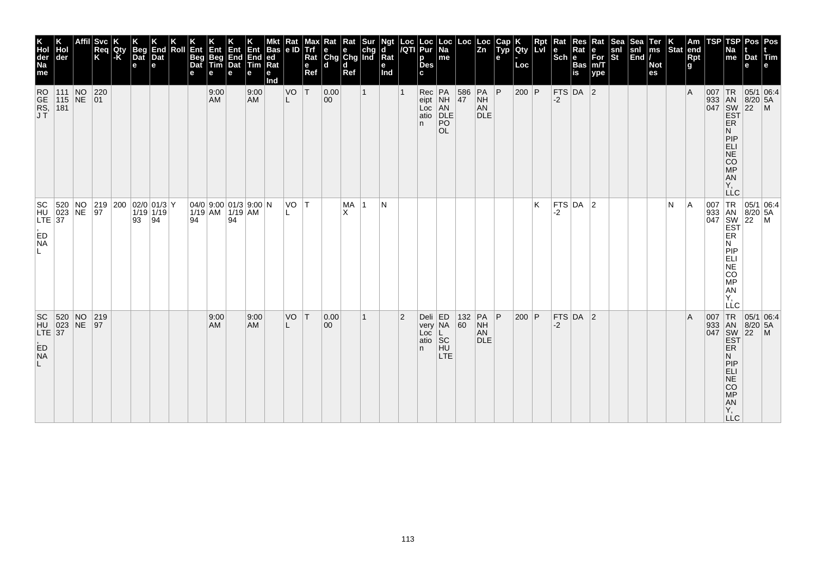| K<br>Hol<br>der<br>Na<br>me                         | der                                                                                       | Svc<br>Req<br>K                                                                                                       | Qty<br> -K | Beg<br>Dat<br>$\mathbf e$ | End<br>Dat<br>е | Roll | Ent<br>Beg<br>Dat<br>е | Ent<br>Beg<br>Tim                                                                              | Ent<br>End<br>Dat<br>е | Ent<br>End<br>Tim<br>е | Bas<br> ed<br>$Ra$ t<br>е<br>nd | Kat<br>e ID | Trf<br>Rat<br>$\mathbf e$<br>Ref | $\begin{array}{ c c c }\n\hline\n\mathsf{e} & \mathsf{e} & \mathsf{chg} \\ \hline\n\mathsf{Chg} & \mathsf{Chg} & \mathsf{Ind}\n\end{array}$<br>ld. | Kat<br>d<br>Ref | ď<br>Rat<br>е<br>Ind |           | Loc Loc<br> /QTI Pur<br>p<br><b>Des</b><br>c | Loc<br>Na<br>$\sf me$                                                                     |                  | $\begin{array}{ c c } \text{Loc} & \text{Loc} \\ \hline \text{Zn} & \end{array}$ | Cap<br>Typ<br>e | K<br> Qty<br>Loc | $\vert$ Rpt<br>LvI | Rat<br>$Sch e$ | Res<br>Rat<br>Bas<br>is | Rat<br>e<br>For<br>m/T<br>$ $ ype | Sea<br>snl<br>St | Sea<br>$\begin{bmatrix} \text{snl} \\ \text{End} \end{bmatrix}$ | Ter<br>ms<br><b>Not</b><br>es | K.<br>Stat | Am<br>end<br><b>Rpt</b><br>g i | <b>TSP</b>                                    | TSP<br>٩a<br>me                                                                | Pos<br>Dat Tim<br>e                                          | Pos<br>l e                                                                      |
|-----------------------------------------------------|-------------------------------------------------------------------------------------------|-----------------------------------------------------------------------------------------------------------------------|------------|---------------------------|-----------------|------|------------------------|------------------------------------------------------------------------------------------------|------------------------|------------------------|---------------------------------|-------------|----------------------------------|----------------------------------------------------------------------------------------------------------------------------------------------------|-----------------|----------------------|-----------|----------------------------------------------|-------------------------------------------------------------------------------------------|------------------|----------------------------------------------------------------------------------|-----------------|------------------|--------------------|----------------|-------------------------|-----------------------------------|------------------|-----------------------------------------------------------------|-------------------------------|------------|--------------------------------|-----------------------------------------------|--------------------------------------------------------------------------------|--------------------------------------------------------------|---------------------------------------------------------------------------------|
| RO<br>GE<br>RS,<br>JT                               | $\begin{array}{ c c c c c }\n\hline\n111 & NO & 220 \\ 115 & NE & 01\n\end{array}$<br>181 | 220                                                                                                                   |            |                           |                 |      |                        | 9:00<br>AM                                                                                     |                        | 9:00<br>AM             |                                 | VO<br>L     | ١T                               | 0.00<br>00                                                                                                                                         |                 |                      |           | n                                            | Rec PA<br>eipt NH<br>Loc AN<br>atio DLE<br>$\overline{P}\overline{O}$<br><b>OL</b>        | $\frac{586}{47}$ | PA<br>NH<br>AN<br><b>DLE</b>                                                     | P               | $200$ P          |                    | $-2$           | FTS DA 2                |                                   |                  |                                                                 |                               |            | ΙA                             | $007$ TR                                      | <b>ER</b><br>Ν<br>PIP<br>ELI<br>NE<br>CO<br>MP<br>AN<br>Y,<br><b>LLC</b>       | 05/1 06:4<br>933 AN 8/20 5A<br>047 SW 22 M<br>EST<br>8/20 5A |                                                                                 |
| SC 520 NO<br>HU 023 NE<br>LTE 37<br>ED<br><b>NA</b> |                                                                                           | $\begin{array}{ c c c c c }\n\hline\n 219 & 200 & 02/0 & 01/3 & Y \\ \hline\n 97 & 1/19 & 1/19 & \hline\n\end{array}$ |            | 93                        | $\sqrt{94}$     |      | 94                     | $\left  \begin{array}{c c} 04/0 & 9:00 & 01/3 & 9:00 \end{array} \right $ N<br>1/19 AM 1/19 AM | 94                     |                        |                                 | VO T        |                                  |                                                                                                                                                    | MA<br>X         | N                    |           |                                              |                                                                                           |                  |                                                                                  |                 |                  | K                  | $-2$           | FTS DA $ 2$             |                                   |                  |                                                                 |                               | N          | A                              | 007 TR<br>933 AN<br>047 SW<br>EST<br>ER<br>ER | N<br>PIP<br>ËÜ<br>NE<br>CO<br>MP<br>AN<br>Y,<br>LĹC                            |                                                              | $\begin{array}{ c c }\n\hline\n05/1 & 06:4 \\ 8/20 & 5A \\ 22 & M\n\end{array}$ |
| SC 520 NO<br>HU 023 NE<br>LTE 37<br>ED<br>NA<br>L.  |                                                                                           | 219<br> 97                                                                                                            |            |                           |                 |      |                        | 9:00<br>AM                                                                                     |                        | 9:00<br>AM             |                                 | VO          | ΙT                               | 0.00<br>00                                                                                                                                         |                 |                      | $\vert$ 2 | Loc<br>n                                     | Deli ED<br>very NA 60<br> L <br>$\vert \tilde{a} \tilde{b} \vert$ SC<br>$H\bar{U}$<br>LTE |                  | 132 PA<br>NH<br>AN<br><b>DLE</b>                                                 | P               | 200 P            |                    | $-2$           | FTS $DA$ 2              |                                   |                  |                                                                 |                               |            | A                              | 007<br>933 AN<br>047 SW<br>EST                | ER<br>N<br>PIP<br><b>ELI</b><br>NE<br>NA<br>NA<br>NA<br>NA<br>NA<br><b>LLC</b> | 8/20 5A<br>$ 22 \rangle$ M                                   | $TR$ 05/1 06:4                                                                  |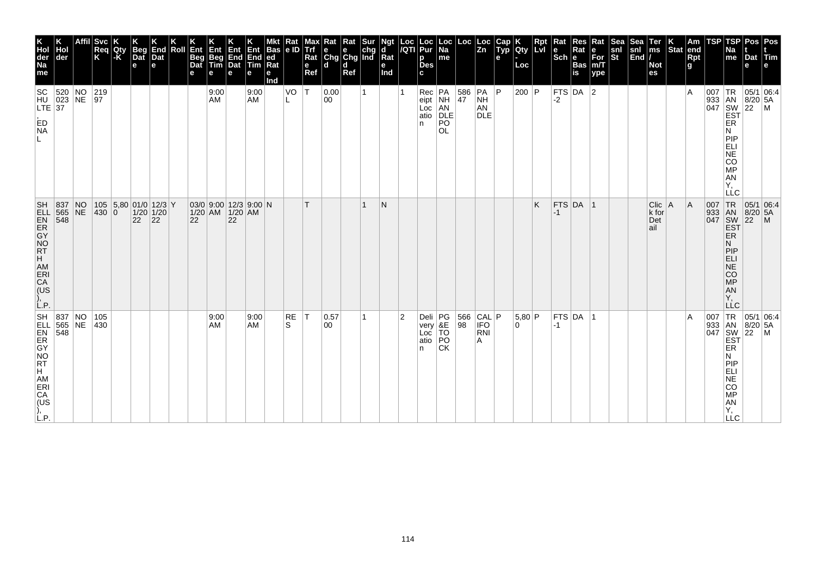| K<br>Hol<br>der<br>Na<br>me                                                             | der                                     | <b>Svc</b><br>Req<br>K | Qty<br>-K | Beg<br>Dat<br>e            | K<br>End<br>Dat<br>e        | Roll | Ent<br>Beg<br>Dat<br>e | Ent<br>Beg<br>Tim<br>е | Ent<br>End<br>Dat<br>e                           | Ent<br>End<br>Tim<br>е | <b>Bas</b><br>led<br>Ra<br>е<br>Ind | Rat<br>le ID | мах<br>Trf<br>Rat<br>e<br>Ref | Rat<br>$\begin{array}{ c c c }\n\hline\ne & e & chg \\ Chg & Chg & Ind\n\end{array}$<br>ld. | Rat<br>d<br>Ref | ∣Sur | Ngt<br>d<br>Rat<br>е<br>Ind |             | Loc Loc<br>/QTI Pur<br>p<br><b>Des</b><br>c | Loc<br>Na<br>me                                            |                                                  | $\frac{Loc}{Zn}$                     | Cap<br>Typ<br>е | Qty<br>Loc  | $\sf Rpt$<br>LvI | Rat<br>$ \mathsf{Sch} $ e | Res<br>Rat<br><b>Bas</b><br>is | Rat<br>$\frac{e}{\text{For}}$<br>m/T<br>ype | Sea<br>snl<br>St | Sea<br>$\begin{vmatrix} \text{snl} \\ \text{End} \end{vmatrix}$ | Ter<br>ms<br><b>Not</b><br>es      | Stat | Am<br>end<br><b>Rpt</b><br>g | <b>TSP</b>        | TSP<br>٩a<br>me                                                                                                 | Pos<br>Dat Tim<br>e                                                                                                                                                                                                                                                                                                                                            | Pos<br>e       |
|-----------------------------------------------------------------------------------------|-----------------------------------------|------------------------|-----------|----------------------------|-----------------------------|------|------------------------|------------------------|--------------------------------------------------|------------------------|-------------------------------------|--------------|-------------------------------|---------------------------------------------------------------------------------------------|-----------------|------|-----------------------------|-------------|---------------------------------------------|------------------------------------------------------------|--------------------------------------------------|--------------------------------------|-----------------|-------------|------------------|---------------------------|--------------------------------|---------------------------------------------|------------------|-----------------------------------------------------------------|------------------------------------|------|------------------------------|-------------------|-----------------------------------------------------------------------------------------------------------------|----------------------------------------------------------------------------------------------------------------------------------------------------------------------------------------------------------------------------------------------------------------------------------------------------------------------------------------------------------------|----------------|
| ED<br>NA                                                                                | SC 520 NO 219<br>HU 023 NE 97<br>LTE 37 |                        |           |                            |                             |      |                        | 9:00<br>AM             |                                                  | 9:00<br>AM             |                                     | VO<br>L      | $ \tau $                      | 0.00<br>00                                                                                  |                 |      |                             |             | n.                                          | Rec PA<br>eipt NH<br>Loc AN<br>atio DLE<br>PO<br><b>OL</b> | $\begin{array}{ c c }\n 586 \\  47\n\end{array}$ | PA<br>NH<br><b>AN</b><br><b>DLE</b>  | P               | 200 P       |                  | $-2$                      | FTS DA 2                       |                                             |                  |                                                                 |                                    |      | ١A                           |                   | ER<br>N<br>PIP<br>ELI<br>NE<br>CO<br>MP<br><b>AN</b><br>Y,<br><b>LLC</b>                                        | 05/1 06:4<br>$\begin{array}{r} \n 1633 \\  1647 \\  1647 \\  1647 \\  1647 \\  1647 \\  1647 \\  1647 \\  1647 \\  1647 \\  1647 \\  1647 \\  1647 \\  1647 \\  1647 \\  1647 \\  1647 \\  1647 \\  1647 \\  1647 \\  1647 \\  1647 \\  1647 \\  1647 \\  1647 \\  1647 \\  1647 \\  1647 \\  1647 \\  1647 \\  1647 \\  1647 \\  1647 \\  1647 \\  1647 \\  $ |                |
| <b>SH</b><br><b>ELL</b><br>EN<br>ER<br>GY<br>AM<br>AM<br>ERI<br>CA<br>(US<br>),<br>L.P. | 837 NO<br>548                           | 430 0                  |           | 105 5,80 01/0 12/3 Y<br>22 | $1/20$ 1/20<br>$ 22\rangle$ |      | 22                     |                        | $03/0$ 9:00 12/3 9:00 N<br>1/20 AM 1/20 AM<br>22 |                        |                                     |              | T.                            |                                                                                             |                 | 1    | N                           |             |                                             |                                                            |                                                  |                                      |                 |             | K                | $-1$                      | <b>FTS DA</b>                  | $\overline{11}$                             |                  |                                                                 | $Clic$   A<br>k for<br>Det<br>lail |      | A                            | 007<br>933<br>047 | TR<br>AN<br>SW<br>EST<br><b>ER</b><br>N<br>PIP<br><b>ELI</b><br><b>NE</b><br>CO<br>MP<br><b>AN</b><br>Y,<br>LLC | $\begin{array}{ c c }\n 05/1 & 06.4 \\  8/20 & 5A\n\end{array}$<br>$ 22\rangle$                                                                                                                                                                                                                                                                                | $\overline{M}$ |
| CA<br>(US<br>L.P.                                                                       | 837 NO<br>565 NE<br>548                 | 105<br>$ 430\rangle$   |           |                            |                             |      |                        | 9:00<br>AM             |                                                  | 9:00<br>AM             |                                     | RE<br>S.     | T                             | 0.57<br>00                                                                                  |                 | 1    |                             | $ 2\rangle$ | Deli<br>very<br>Loc<br>atio<br>n.           | PG<br>&E<br>TO<br>PO<br><b>CK</b>                          | 98                                               | $ 566 $ CAL $ P $<br>IFO<br>RNI<br>A |                 | 5,80 P<br>0 |                  | -1                        | FTS DA                         | ∣1                                          |                  |                                                                 |                                    |      | ΙA                           | 007               | TR<br>933 AN<br>047 SW<br>EST<br>ER.<br>N<br><b>PIP</b><br>ELI<br>NE<br>CO<br>MP<br>AN<br>Y,<br><b>LLC</b>      | 05/1 06:4<br>8/20 5A<br>22                                                                                                                                                                                                                                                                                                                                     | $\mathsf{M}$   |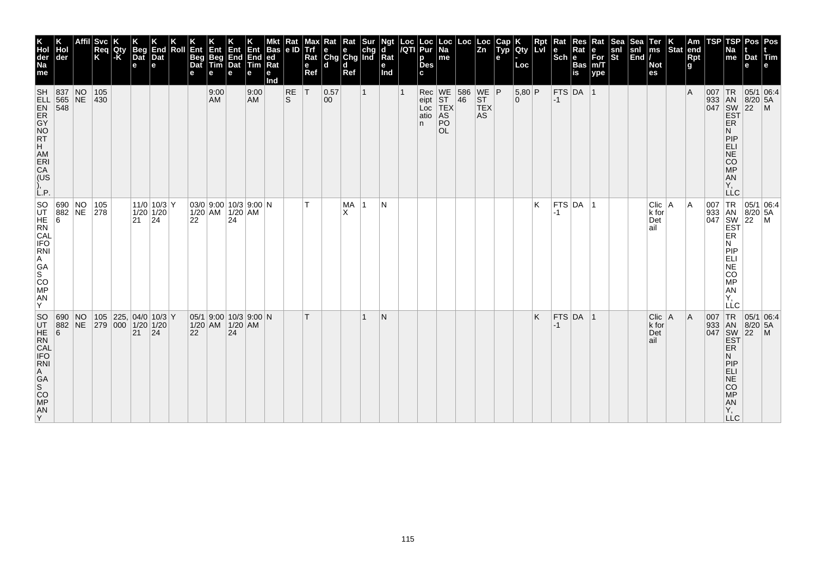| K<br>Hol<br>der<br>Na<br>me                                                                       | der                      |    | <b>Svc</b><br>Req<br>K | Qty<br> -K | <b>Beg</b><br>Dat<br>e | End<br>Dat<br>е                                                              | Roll | Ent<br><b>Beg</b><br>Dat<br>е | Ent<br>Beg<br>Tim | $\begin{array}{c}\n\mathbf{Ent} \\ \mathbf{End} \\ \mathbf{Dat}\n\end{array}$<br>е | End<br>$ T$ im<br>e | Bas<br> ed<br>$Ra$ t<br>е<br>nd | Kat<br>le ID     | Trf<br>Rat<br>e<br>Ref | $\begin{array}{ c c c }\n\hline\n\text{e} & \text{e} & \text{chg} \\ \hline\n\text{Chg} & \text{Chg} & \text{Ind}\n\end{array}$<br>ld. | Rat<br>l d<br>Ref | ď<br>Rat<br>е<br>Ind | Loc Loc<br> /QTI Pur<br>p<br><b>Des</b><br>c | Loc<br>$\overline{Na}$<br>me                                                     | $\begin{array}{ c c } \text{Loc} & \text{Loc} \\ \hline \text{Zn} & \end{array}$ | <b>Live</b><br>e | <b>Ciy</b><br>Loc  | <b>Rpt</b><br>Lvi | Rat<br>$ \mathsf{Sch} $ e | Res<br>Rat<br><b>Bas</b><br>is | Rat<br>$\left  \begin{matrix} \mathsf{e} \ \mathsf{For} \ \mathsf{m/T} \end{matrix} \right $<br> ype | snl<br>St | Sea<br>snl<br>$\left  \tilde{\mathsf{End}} \right $ | Ter<br>ms<br><b>Not</b><br>es    | Stat | Am<br>end<br><b>Rpt</b><br>g | TSP                               | <b>TSP</b><br>Na<br>me                                                                                         | <b>Pos</b><br>Dat Tim<br>e                                                                               | Pos<br>le.      |
|---------------------------------------------------------------------------------------------------|--------------------------|----|------------------------|------------|------------------------|------------------------------------------------------------------------------|------|-------------------------------|-------------------|------------------------------------------------------------------------------------|---------------------|---------------------------------|------------------|------------------------|----------------------------------------------------------------------------------------------------------------------------------------|-------------------|----------------------|----------------------------------------------|----------------------------------------------------------------------------------|----------------------------------------------------------------------------------|------------------|--------------------|-------------------|---------------------------|--------------------------------|------------------------------------------------------------------------------------------------------|-----------|-----------------------------------------------------|----------------------------------|------|------------------------------|-----------------------------------|----------------------------------------------------------------------------------------------------------------|----------------------------------------------------------------------------------------------------------|-----------------|
| ),<br>L.P.                                                                                        |                          |    | 105<br>$ 430\rangle$   |            |                        |                                                                              |      |                               | 9:00<br><b>AM</b> |                                                                                    | 9:00<br><b>AM</b>   |                                 | <b>RE</b><br>ls. | ΙT                     | 0.57<br>00                                                                                                                             |                   |                      | n.                                           | Rec WE 586 WE P<br>eipt ST 46 ST<br>Loc TEX TEX<br>atio AS AS<br>PO<br><b>OL</b> |                                                                                  |                  | 5,80 P<br>$\Omega$ |                   | $-1$                      | $FTS$ DA  1                    |                                                                                                      |           |                                                     |                                  |      | ΙA                           |                                   | <b>ER</b><br>Ν<br>PIP<br>ELI<br><b>NE</b><br>$\overline{c}\overline{o}$<br><b>MP</b><br>AN<br>Ϋ,<br><b>LLC</b> | 05/1 06:4<br>933 AN 8/20 5.<br>047 SW 22 M<br>EST P                                                      |                 |
| SO<br>UT<br>HE<br>RN<br>CAL<br>IFO<br>RN<br>RN<br>RN<br>CR<br>A<br>GA<br>S<br>CO<br>MP<br>AN<br>Y | 690 NO 105<br>882 NE 278 |    |                        |            | 21                     | $\left  \frac{11}{0} \right  \frac{10}{3} \left  Y \right $ 1/20 1/20<br> 24 |      | 22                            |                   | 03/0 9:00 10/3 9:00 N<br>1/20 AM 1/20 AM<br>24                                     |                     |                                 |                  |                        |                                                                                                                                        | MA<br>X           | N                    |                                              |                                                                                  |                                                                                  |                  |                    | K                 | $-1$                      | $FTS$ DA 1                     |                                                                                                      |           |                                                     | Clic   A<br>k for<br>Det<br>ail  |      | ΙA                           | 007 TR<br>933 AN<br>047 SW<br>EST | ER<br>N<br>PIP<br>ELI<br>NE<br>CO<br>МP<br>AN<br>Υ.<br>LLC                                                     | $\begin{array}{ c c c }\n\hline\n95/1 & 06.4 \\ 8/20 & 5A\n\end{array}$<br>$\left  \frac{5}{22} \right $ | $\frac{1}{2}$ M |
| SO <sub>1</sub><br><b>UTHERNAL</b><br><b>CAL</b><br><b>CAL</b><br><b>FORNI</b><br>lY.             | 690 NO<br>882            | NE | 279 000 1/20 1/20      |            | $21 \mid 24$           | $ 105 $ 225, $ 04/0 10/3 $ Y                                                 |      | 22                            |                   | 05/1 9:00 10/3 9:00 N<br>1/20 AM 1/20 AM<br>24                                     |                     |                                 |                  |                        |                                                                                                                                        |                   | N                    |                                              |                                                                                  |                                                                                  |                  |                    | K                 | $-1$                      | FTS DA 1                       |                                                                                                      |           |                                                     | Clic   A<br>k for<br>Det<br>∣ail |      | A                            | 007<br>933 AN<br>047 SW<br>EST    | TR<br><b>ER</b><br>N<br>PIP<br>ELI<br>NE<br>CO<br>MP<br>A<br>Y,<br>$\sqcup$ C                                  | 05/1 06:4<br>$8/20$ 5A<br>$\left  \frac{5}{22} \right $                                                  | $\blacksquare$  |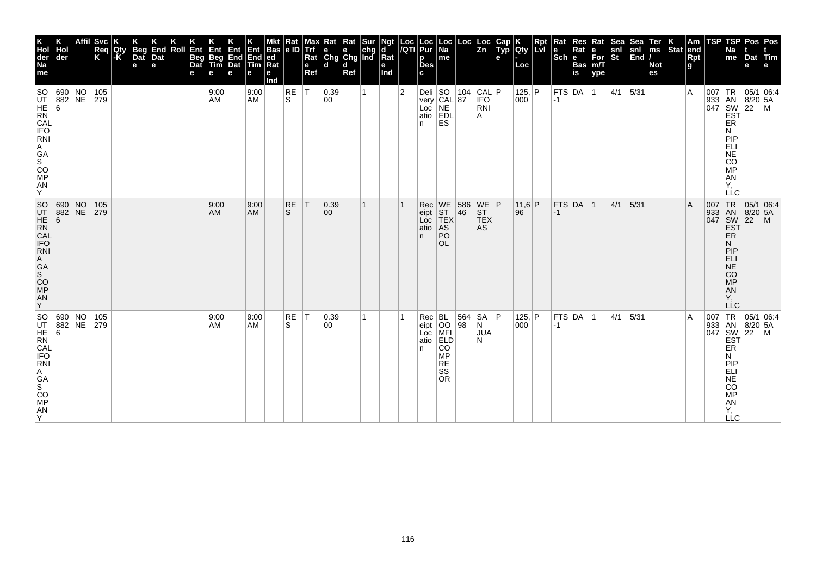| K<br>Hol<br>der<br>Na<br>me                                                                                             | Hol<br>der                                                                           | <b>Svc</b><br> Req<br> K | Qty<br>$\mathsf{K}$ | <b>Beg</b><br>Dat<br>е | End<br>Dat<br>e | Roll | Ent<br>Beg<br>Dat | Ent<br>Beg<br>Tim<br>е | Ent<br>End<br>Dat<br>е | Ent<br>End<br><b>Tim</b><br>е | Bas<br> ed<br>Rat<br>е<br>Ind | Rat<br>le ID   | Max<br>е<br>Ref | Rat<br>Trf e e chg<br>Rat Chg Chg Ind<br>l d | Rat<br>d<br>Ref | <b>Sur</b> | Ngt<br>ď<br>Rat<br>е<br>Ind |                | Loc  Loc<br><i> I</i> QTI  Pur<br>р<br>Des <sup>-</sup> | $\vert$ Loc $\vert$ Na<br>me                                                     | Loc       | ∣Loc<br>$\overline{z}$ <sub>n</sub>    | Cap<br>$\tilde{$ , Typ} | Qty<br>Loc             | Rpt<br>lLvl | Rat<br>$ \mathsf{Sch} $ e | Res<br>Rat<br><b>Bas</b><br>is | Rat<br>е<br>$For$ <sub>m/T</sub><br>ype | Sea<br>snl<br>$ \tilde{\mathbf{s}}$ t | Sea<br>snl<br>$\left \overline{\text{End}}\right $ | Ter<br>ms<br><b>Not</b><br>es | Stat end | Am<br><b>Rpt</b><br>g | TSP        | TSP<br>Na<br>me                                                                                                                                                                                         | Pos   Pos<br>Dat Tim<br>е                  |                                                                                                                                              |
|-------------------------------------------------------------------------------------------------------------------------|--------------------------------------------------------------------------------------|--------------------------|---------------------|------------------------|-----------------|------|-------------------|------------------------|------------------------|-------------------------------|-------------------------------|----------------|-----------------|----------------------------------------------|-----------------|------------|-----------------------------|----------------|---------------------------------------------------------|----------------------------------------------------------------------------------|-----------|----------------------------------------|-------------------------|------------------------|-------------|---------------------------|--------------------------------|-----------------------------------------|---------------------------------------|----------------------------------------------------|-------------------------------|----------|-----------------------|------------|---------------------------------------------------------------------------------------------------------------------------------------------------------------------------------------------------------|--------------------------------------------|----------------------------------------------------------------------------------------------------------------------------------------------|
| <b>SO</b><br>UT 88<br>CAL<br>IFO<br><b>RNI</b><br>A<br>GA <sub>S</sub><br>CO <sub>MP</sub><br>AN<br>Y                   | 690 NO<br>882 NE                                                                     | 105<br>279               |                     |                        |                 |      |                   | 9:00<br>AM             |                        | 9:00<br><b>AM</b>             |                               | RE<br>ls.      | İΤ              | 0.39<br>00                                   |                 |            |                             | $\overline{2}$ | Deli<br>n.                                              | SO<br>very CAL 87<br>Loc NE<br>atio EDL<br><b>ES</b>                             | 104       | CAL P<br><b>IFO</b><br><b>RNI</b><br>A |                         | 125, P<br>000          |             | $ -1 $                    | $ $ FTS $ $ DA $ $ 1           |                                         | $ 4/1 $ 5/31                          |                                                    |                               |          | $\overline{A}$        | 007<br>933 | TR  <br>AN<br>$\begin{bmatrix} 047 \\ 800 \\ 122 \end{bmatrix}$ $\begin{bmatrix} 0.067 \\ 201 \\ 1.07 \end{bmatrix}$<br><b>ER</b><br>N<br>PIP<br>ELI<br>NE<br>CO<br><b>MP</b><br>AN<br>Υ.<br><b>LLC</b> | 05/1 06:4<br>$8/20$ 5A                     | $\mathsf{M}$                                                                                                                                 |
| SO 68<br>UT HE 88<br>HE RN<br>CAL<br>IFO RN<br>A<br>GA<br>S<br>CO<br>CO<br><b>MP</b><br>AN<br>Y                         | 690 NO<br>882 NE                                                                     | 105<br> 279              |                     |                        |                 |      |                   | 9:00<br>AM             |                        | 9:00<br><b>AM</b>             |                               | <b>RE</b><br>S | IΤ              | 0.39<br>00                                   |                 |            |                             |                | Rec<br>eipt<br>Loc<br>atio<br>n.                        | WE 586<br>ST 46<br>TEX<br>AS<br>PO<br><b>OL</b>                                  |           | WE P<br>ST<br><b>TEX</b><br><b>AS</b>  |                         | 11,6 P<br>$ 96\rangle$ |             | $-1$                      | $FTS$ DA $ 1$                  |                                         | 4/1                                   | 5/31                                               |                               |          | $\overline{A}$        | 007        | TR<br><b>EST</b><br>ER.<br>N<br> P P<br><b>ELI</b><br>NE<br>CO<br><b>MP</b><br>AN<br>Υ.<br>LLC                                                                                                          | 05/1 06:4<br>933 AN 8/20 5A<br>047 SW 22 M |                                                                                                                                              |
| SO<br>UT HE<br>RN<br>CAL<br>FO<br>RN<br>RN<br>$\mathop{\mathsf{GA}}\limits_\mathsf{S}$<br>CO <sub>MP</sub><br>AN<br>ΙY. | $\begin{array}{ c c c c }\n 690 & \text{NO} \\  882 & \text{NE}\n \end{array}$<br> 6 | 105<br>279               |                     |                        |                 |      |                   | 9:00<br><b>AM</b>      |                        | 9:00<br>AM                    |                               | RE<br>S        | $\top$          | 0.39<br> 00                                  |                 |            |                             |                | Rec<br>eipt<br>Loc<br>atio<br>n.                        | BL<br>OO<br>MFI<br><b>ELD</b><br><b>CO</b><br>MP<br><b>RE</b><br>SS<br><b>OR</b> | 564<br>98 | SA<br>N<br><b>JUA</b><br>N             | l P                     | 125, P<br>000          |             | $-1$                      | FTS DA 1                       |                                         | 4/1                                   | 5/31                                               |                               |          | $\overline{A}$        |            | ER<br>N<br>PIP<br>ELI<br>NE<br>CO<br><b>MP</b><br>AN<br>Υ.<br><b>LLC</b>                                                                                                                                |                                            | $\begin{array}{c c}\n 33 & 18 & 05/1 & 0\n\end{array}$ $\begin{array}{c}\n 18 & 8/20 & 5A \\  047 & 80/22 & 5A \\  50 & 22 & 1\n\end{array}$ |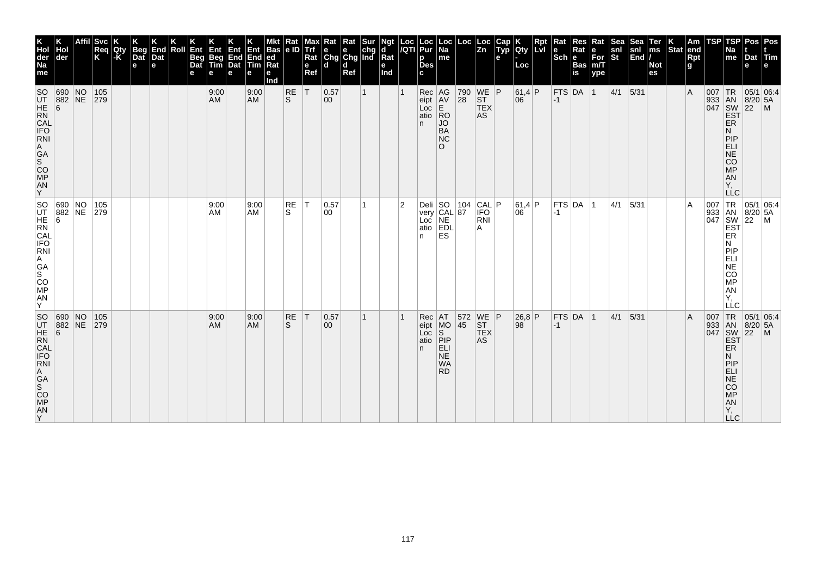| K<br>Hol<br>der<br>Na<br>me                                                                             | Hol<br>der               | <b>Svc</b><br> Req<br> K | Qty<br>l-K | <b>Beg</b><br>Dat<br>e | End<br>Dat<br>$\mathbf e$ | Roll | Ent<br>Beg<br>Dat | ⁄∃nv<br>Beg<br>Tim<br>е | Ent<br>End<br>Dat<br>е | End<br>Tim<br>е   | <b>Bas</b><br> ed<br>Rat<br>е<br>Ind | Rat<br>le ID | мах<br>e<br>Ref | Rat<br>Trf e e chg<br>Rat Chg Chg Ind<br>l d | Rat<br>d<br>Ref | Sur          | Ngt<br>d<br>Rat<br>е<br>Ind |                | Loc  Loc<br><i> I</i> QTI  Pur<br>р<br><b>Des</b>  | $\frac{\text{E}}{\text{N}}$<br>me                       | Loc                      | ∣Loc<br>$\overline{z}$ <sub>n</sub>         | Cap<br>$ $ Typ | <b>Qty</b><br>Loc | Rpt<br><b>LvI</b> | Rat<br>$ \mathsf{Sch} $ e | Res<br>Rat<br><b>Bas</b><br>is | Rat<br>е<br>$For$ <sub>m/T</sub><br>ype | ेख<br>snl<br>$ \tilde{\mathbf{s}}$ t | snl<br><b>End</b> <i>I</i> | <b>Ter</b><br>ms<br><b>Not</b><br>es | Stat end | Am<br>Rpt<br>g | TSP | TSP<br>Na<br>me                                                                               | Pos   Pos<br>Dat Tim<br>е                                                                                                                                                                                                                                              |  |
|---------------------------------------------------------------------------------------------------------|--------------------------|--------------------------|------------|------------------------|---------------------------|------|-------------------|-------------------------|------------------------|-------------------|--------------------------------------|--------------|-----------------|----------------------------------------------|-----------------|--------------|-----------------------------|----------------|----------------------------------------------------|---------------------------------------------------------|--------------------------|---------------------------------------------|----------------|-------------------|-------------------|---------------------------|--------------------------------|-----------------------------------------|--------------------------------------|----------------------------|--------------------------------------|----------|----------------|-----|-----------------------------------------------------------------------------------------------|------------------------------------------------------------------------------------------------------------------------------------------------------------------------------------------------------------------------------------------------------------------------|--|
| SO<br>UT 88<br>CAL<br>IFO<br>RNI<br>A<br>GA<br>SO<br>MP<br>AN<br>Y                                      | 690 NO<br>882 NE 279     | 105                      |            |                        |                           |      |                   | 9:00<br>AM              |                        | 9:00<br><b>AM</b> |                                      | RE<br>ls.    | İΤ              | 0.57<br>00                                   |                 | $\mathbf{1}$ |                             |                | Rec AG<br>eipt AV<br>Loc<br>atio RO<br>n.          | E.<br>JO<br><b>BA</b><br><b>NC</b><br>$\Omega$          | $ 28\rangle$             | 790 WE P<br> ST <br><b>TEX</b><br><b>AS</b> |                | 61,4 P<br>06      |                   | $ -1$                     | FTS DA 1                       |                                         | $ 4/1 $ 5/31                         |                            |                                      |          | $\overline{A}$ | 007 | TR <br>ER<br>N<br>PIP<br>ELI<br><b>NE</b><br><b>CO</b><br><b>MP</b><br>AN<br>Υ,<br><b>LLC</b> | 05/1 06:4<br>933 AN 8/20 5A<br>047 SW 22 M<br>EST                                                                                                                                                                                                                      |  |
| SO 69<br>UT 88<br>HE 6<br>CAL<br>CAL<br>IFO<br>RNI<br>A<br>GA<br>S<br>CO<br><b>MP</b><br><b>AN</b><br>Y | 690 NO 105<br>882 NE 279 |                          |            |                        |                           |      |                   | 9:00<br>AM              |                        | 9:00<br><b>AM</b> |                                      | RE<br>S.     | IT.             | 0.57<br>00                                   |                 |              |                             | $\overline{2}$ | Deli SO 104<br>very CAL 87<br>Loc NE<br>atio<br>n. | <b>EDL</b><br>ES                                        |                          | $CAL$ $P$<br><b>IFO</b><br><b>RNI</b><br>A  |                | 61,4 P<br>06      |                   | $-1$                      | $ $ FTS $ $ DA $ $ 1           |                                         | 4/1                                  | 5/31                       |                                      |          | A              |     | N<br> P P<br>ELI<br>NE<br><b>CO</b><br>MP<br>AN<br>Υ.<br>LLC                                  | J7 TR 05/1 UC<br>J33 AN 8/20 5A<br>047 SW 22 M<br>EST                                                                                                                                                                                                                  |  |
| SO 69<br>CAL<br>IFO<br>RNI<br>A<br>GA<br>S<br>CO<br>MP<br>AN<br>Y.                                      | 690 NO<br>882 NE         | 105<br> 279              |            |                        |                           |      |                   | 9:00<br>AM.             |                        | 9:00<br><b>AM</b> |                                      | RE<br>S      | $\top$          | 0.57<br>00                                   |                 |              |                             |                | Rec<br>eipt   MO<br>Loc<br>atio PIP<br>n.          | AT<br>ls.<br>ELI<br><b>NE</b><br><b>WA</b><br><b>RD</b> | 572 WE P<br>$ 45\rangle$ | ST <br><b>TEX</b><br>AS                     |                | 26,8 P<br>98      |                   | $-1$                      | $FTS$ DA $ 1$                  |                                         | 4/1                                  | 5/31                       |                                      |          | $\overline{A}$ |     | ER<br>N<br>PIP<br><b>ELI</b><br><b>NE</b><br><b>CO</b><br><b>MP</b><br>AN<br>Υ,<br><b>LLC</b> | $\begin{array}{r} \n 1R \n 05/1 \n 0.54 \n 0.47 \n 0.47 \n 0.48 \n 0.47 \n 0.47 \n 0.48 \n 0.47 \n 0.47 \n 0.47 \n 0.47 \n 0.47 \n 0.47 \n 0.47 \n 0.47 \n 0.47 \n 0.47 \n 0.47 \n 0.47 \n 0.47 \n 0.47 \n 0.47 \n 0.47 \n 0.47 \n 0.47 \n 0.47 \n 0.47 \n 0.47 \n 0.$ |  |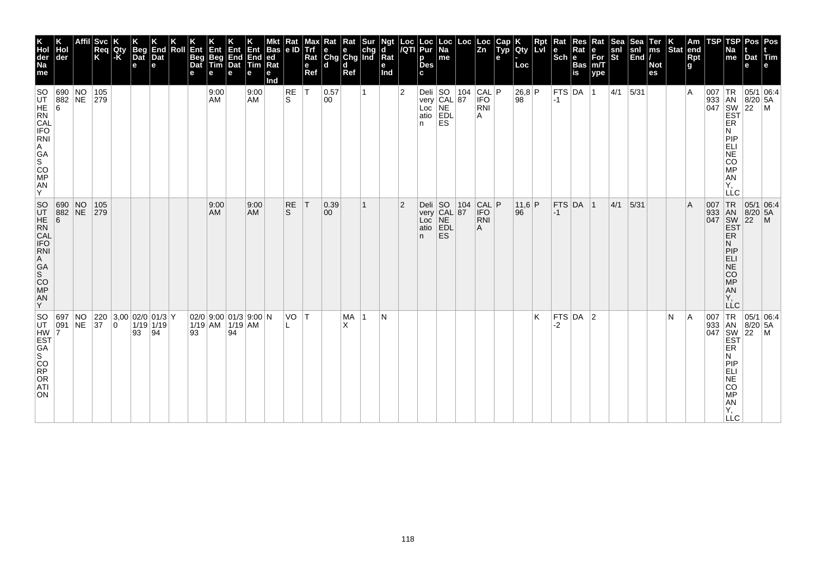| K<br>Hol<br>der<br>Na<br>me                                                             | Hol<br>der                                                                   |          | Svc<br>Req<br>K | Qty<br>$-K$ | <b>Beg</b><br>Dat<br>e | End<br>Dat<br>e                            | Roll | Ent<br>Beg<br>Dat<br>е | Ent<br>Beg<br>Tim<br>е | Ent<br>End<br>Dat<br>е | Ent<br>End<br>Tim<br>е  | Bas<br> ed<br>$\overline{\text{Rat}}$<br>е<br>Ind | Rat<br>le ID | мах<br><b>Trf</b><br>Rat<br>e<br>Ref | <b>K</b> Rat Rat Sur<br>e e chg<br>Chg Chg Ind<br>l d | d<br>Ref       |   | Ngt<br>d<br>Rat<br>е<br>Ind | Loc<br>/QTI    | Loc<br>Pur<br>p<br><b>Des</b><br>C.                           | Loc<br>$\overline{Na}$<br>me | Loc | Loc<br>$\overline{z}$ <sub>n</sub>          | Cap<br>Typ<br>е | <b>Qty</b><br>Loc | Rpt | Rat<br>le<br>$ \mathsf{Sch} $ e | Res<br>Rat<br><b>Bas</b><br>is | Rat<br>е<br>For<br>m/T<br>ype | Sea<br>snl<br>St | Sea<br>snl<br>End | Ter<br>ms<br><b>Not</b><br>es | Stat end | Am<br>Rpt<br>g | TSP | TSP<br>Na<br>me                                                                                             | Dat<br>е                                                                                                                                          | Pos Pos<br><b>Tim</b> |
|-----------------------------------------------------------------------------------------|------------------------------------------------------------------------------|----------|-----------------|-------------|------------------------|--------------------------------------------|------|------------------------|------------------------|------------------------|-------------------------|---------------------------------------------------|--------------|--------------------------------------|-------------------------------------------------------|----------------|---|-----------------------------|----------------|---------------------------------------------------------------|------------------------------|-----|---------------------------------------------|-----------------|-------------------|-----|---------------------------------|--------------------------------|-------------------------------|------------------|-------------------|-------------------------------|----------|----------------|-----|-------------------------------------------------------------------------------------------------------------|---------------------------------------------------------------------------------------------------------------------------------------------------|-----------------------|
| <b>SO</b><br>UT HE 88<br>RN<br>CAL<br>FO<br>RN<br>P.<br>A<br>GA<br>SOO<br>MP<br>AN<br>Y | 690 NO<br>882 NE                                                             |          | 105<br>279      |             |                        |                                            |      |                        | 9:00<br>AM             |                        | 9:00<br><b>AM</b>       |                                                   | RE<br>S.     | $\top$                               | 0.57<br>00                                            |                |   |                             | $\overline{2}$ | Deli SO 104<br>very CAL 87<br>Loc NE<br>atio EDL<br>n         | ES                           |     | $ 104 $ CAL $ P $<br><b>IFO</b><br>RNI<br>A |                 | 26,8 P<br>98      |     | $-1$                            | $FTS$ DA $ 1$                  |                               | $ 4/1 $ 5/31     |                   |                               |          | ۱A             | 007 | TR<br>933 AN 8/20<br>047 SW 22<br>EST<br>ER<br>N<br>PIP<br>ELI<br>NE<br>CO<br>MP<br>AN<br>Υ.<br><b>LLC</b>  | $8/20$ 5A                                                                                                                                         | 05/1 06:4<br> M       |
| SO 68<br>UT HE 88<br>HE RN<br>CAL<br>IFO RNI<br>A<br>GA<br>SCO<br>MP<br>AN<br>Y         | $\begin{array}{ l l } \hline 690 & \text{NO} \\ 882 & \text{NE} \end{array}$ |          | 105<br> 279     |             |                        |                                            |      |                        | 9:00<br>AM             |                        | 9:00<br><b>AM</b>       |                                                   | RE<br>S      | ΙT                                   | $ 0.39\rangle$<br>00                                  |                | 1 |                             | $\overline{2}$ | Deli SO 104<br>very CAL 87<br>Loc NE<br>atio EDL<br>POL<br>n. | <b>ES</b>                    |     | CAL P<br><b>IFO</b><br>RNI<br>A             |                 | $11.6$ P<br>96    |     | $ -1$                           | FTS DA 1                       |                               | 4/1              | 5/31              |                               |          | ΙA             | 007 | <b>TR</b><br>933 AN 8/20<br><b>EST</b><br><b>ER</b><br>N<br>PIP<br>NE<br>CO<br>MP<br><b>AN</b><br>Y,<br>LLC | 05/1 06.4<br>$8/20$ 5A                                                                                                                            | $\mathsf{M}$          |
| SO 69<br>EST<br>GA<br>SORP<br>OR<br>OR<br>ST<br>ATI<br>ON                               | 697<br> 091                                                                  | NO<br>NE | $ 37\rangle$    | $ 0\rangle$ | 93                     | 220 3,00 02/0 01/3 Y<br>$1/19$ 1/19<br> 94 |      | 93                     | $1/19$ AM $1/19$ AM    | 94                     | $02/0$ 9:00 01/3 9:00 N |                                                   | VO T<br>L    |                                      |                                                       | <b>MA</b><br>X | 1 | N                           |                |                                                               |                              |     |                                             |                 |                   | K   | -2                              | FTS DA                         | $ 2\rangle$                   |                  |                   |                               | N        | ۱A             |     | ER<br>N<br>PIP<br>$ELI$<br>NE<br>CO<br><b>MP</b><br>AN<br>Υ,<br><b>LLC</b>                                  | 05/1 06:4<br>$\begin{array}{c c}\n 207 \\ 933 \\ 94N \\ 947 \\ 964\n\end{array}\n\begin{array}{c}\n 8/2 \\  8/2 \\  22\n\end{array}$<br>$8/20$ 5A | M                     |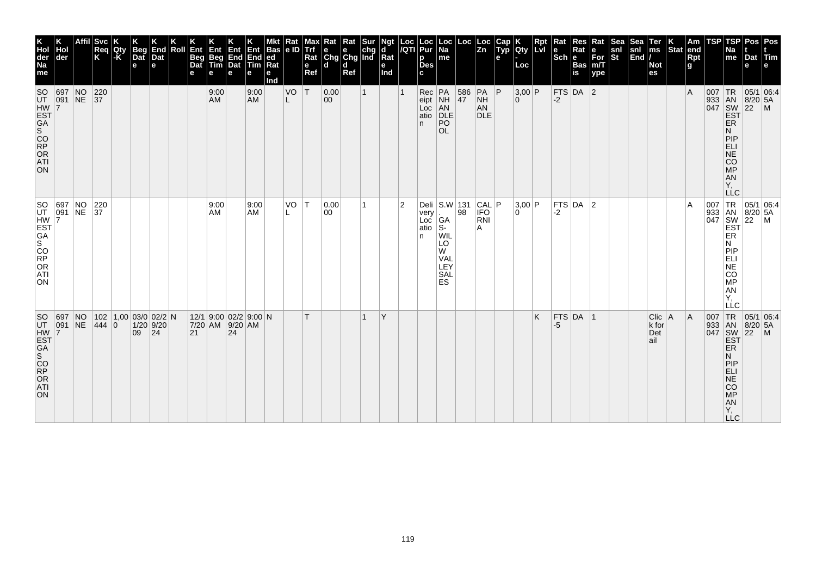| AN<br>Υ.<br><b>LLC</b><br>$\left \begin{array}{c c}\n\text{Deli} & \text{S.W} & 131 & \text{CAL} \\ \text{very} & 98 & \text{IFO}\n\end{array}\right $<br>$FTS$ DA 2<br><b>TR</b><br> 05/1 06:4<br> 3,00 P<br>ΙA<br>007<br>933 AN 8/20<br>047 SW 22<br>EST ER<br>$8/20$ 5A<br>$-2$<br>very<br>0<br>Loc $\begin{vmatrix} 1 & 1 \\ 1 & 1 \end{vmatrix}$ GA<br>RNI<br>A<br>WIL<br>LO<br>N<br>PIP<br>NE<br>CO<br>W<br><b>VAL</b><br>LEY<br><b>SAL</b><br>MP<br>ES<br><b>AN</b><br>Ÿ,<br>LLC<br>FTS DA 1<br>TR <sub></sub><br>Κ<br>$Clic$   A<br> A<br> 05/1 06:4<br>007<br>$8/20$ 5A<br>-5<br>k for | $\overline{2}$ | Y |  | 0.00<br>00 | T <br>T | VO | 9:00<br>AM | 9:00<br>AM | $12/1$ 9:00 02/2 9:00 N<br>7/20 AM 9/20 AM |                                                                             |  | $102$   1,00   03/0   02/2   N<br> 444 0 | SO 697 NO 220<br>UT 091 NE 37<br>HW EST<br>GA<br>SCORP<br>ORP<br>ORP<br>NO<br>NE |
|-------------------------------------------------------------------------------------------------------------------------------------------------------------------------------------------------------------------------------------------------------------------------------------------------------------------------------------------------------------------------------------------------------------------------------------------------------------------------------------------------------------------------------------------------------------------------------------------------|----------------|---|--|------------|---------|----|------------|------------|--------------------------------------------|-----------------------------------------------------------------------------|--|------------------------------------------|----------------------------------------------------------------------------------|
| 933 AN<br>047 SW<br>EST<br>22<br>Det<br>ail<br>ER<br>N<br>PIP<br>ELI<br>NE<br>CO                                                                                                                                                                                                                                                                                                                                                                                                                                                                                                                |                |   |  |            |         |    | 24         |            | 21                                         | $\begin{array}{ c c c }\n 1/20 & 9/20 \\  \hline\n 09 & 24 \\  \end{array}$ |  |                                          | SO 697<br>HW HW 7<br>EST GA<br>SO RP<br>ORP<br>ORP                               |
|                                                                                                                                                                                                                                                                                                                                                                                                                                                                                                                                                                                                 |                |   |  |            |         |    |            |            |                                            |                                                                             |  |                                          |                                                                                  |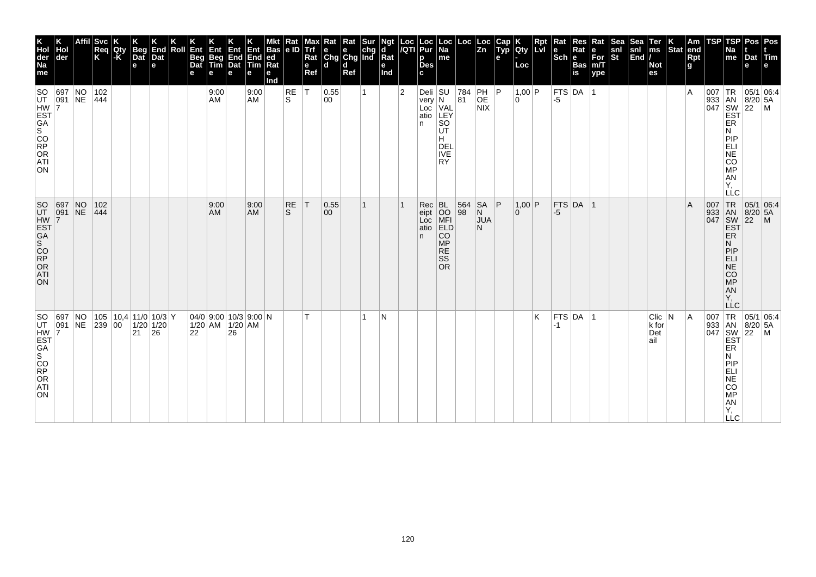| K<br>Hol<br>der<br>Na<br>me                                                             | Hol<br>der             |                      | Svc<br>Req<br>K  | Qty<br>-K | Beg<br>Dat<br>e | K<br>End<br>Dat<br>l el                              | Roll | Ent<br>Beg<br>Dat<br>е | Ent<br>Beg<br>Tim<br>e                         | <b>Ent</b><br>End<br>Dat<br>е | Ent<br>End<br><b>ftim</b><br>е | <b>Bas</b><br>ed<br>Rat<br>е<br>Ind | Rat<br> e D    | Max<br>Trf<br>Rat<br>e<br>Ref | Kat<br>e e chg<br>Chg Chg Ind<br>d d | Rat<br>Ref | Sur | Ngt<br>d<br>$\bar{R}$ at<br>е<br>Ind | Loc<br>/QTI    | Loc<br>Pur<br>p<br><b>Des</b><br>C.                  | Loc  <br>Na<br>me                                                                               | Loc                                                     | Loc<br>Zn                   | Cap<br>Typ<br>e | Qty<br>Loc           | Rpt<br><b>LvI</b> | Rat<br>$\left \begin{array}{c}\n\mathbf{e} \\ \text{Sch}\n\end{array}\right $ R | Res<br>Rat<br>Bas<br>is | Rat<br>∣е<br>For<br>m/T<br>ype | <b>Sea</b><br>$\frac{\mathsf{snl}}{\mathsf{St}}$ | Sea<br>snl<br>End | Ter<br>ms<br><b>Not</b><br>es   | $\left \begin{array}{c} K \\ \hline \end{array}\right $ am $\left \begin{array}{c} R \\ \hline \end{array}\right $ | <b>Rpt</b><br>g | <b>TSP</b> | TSP<br>Na<br>$\vert$ me                                                                                             | Pos<br>Dat<br>e                                            | Pos<br>Tim<br>l e l                                                                                                             |
|-----------------------------------------------------------------------------------------|------------------------|----------------------|------------------|-----------|-----------------|------------------------------------------------------|------|------------------------|------------------------------------------------|-------------------------------|--------------------------------|-------------------------------------|----------------|-------------------------------|--------------------------------------|------------|-----|--------------------------------------|----------------|------------------------------------------------------|-------------------------------------------------------------------------------------------------|---------------------------------------------------------|-----------------------------|-----------------|----------------------|-------------------|---------------------------------------------------------------------------------|-------------------------|--------------------------------|--------------------------------------------------|-------------------|---------------------------------|--------------------------------------------------------------------------------------------------------------------|-----------------|------------|---------------------------------------------------------------------------------------------------------------------|------------------------------------------------------------|---------------------------------------------------------------------------------------------------------------------------------|
| UHW FST<br>GA<br>SOORP<br>ORP<br>ORP<br>ATL<br>ATL<br>ON                                | SO 697 NO<br>UT 091 NE |                      | 102<br> 444      |           |                 |                                                      |      |                        | 9:00<br>AM                                     |                               | 9:00<br>AM                     |                                     | $\frac{RE}{S}$ | ١T                            | 0.55<br>00                           |            |     |                                      | $\overline{2}$ | Deli SU<br>very<br>Loc<br>atio<br>n                  | $\overline{\mathsf{N}}$<br>VAL<br>LEY<br>SO<br>UT<br>H<br><b>DEL</b><br><b>IVE</b><br><b>RY</b> | $\begin{array}{ c} \hline 784 \\ \hline 81 \end{array}$ | PH  P<br>OE<br><b>NIX</b>   |                 | 1,00 P<br>l O        |                   | -5                                                                              | $ $ FTS $ $ DA $ $      |                                |                                                  |                   |                                 |                                                                                                                    | ΙA              |            | ER<br>N<br>PIP<br>ELI<br>NE<br>cō<br>MP<br>AN<br>Υ,<br>LLC                                                          |                                                            | $\begin{array}{c c}\n & 1R & 05/1 & 0.28 \\  & 1 & 8/20 & 5A \\  & 8 & 8/20 & 5A \\  & 1 & 8 & 22 \\  & 1 & 1 & 1\n\end{array}$ |
| SO<br>UT<br>EST<br>SA<br>SO<br>OR<br>OR<br>OR<br>OR<br>S<br><b>ATI</b><br>ON            | 697 NO<br>091 NE       |                      | 102<br> 444      |           |                 |                                                      |      |                        | 9:00<br>AM                                     |                               | 9:00<br><b>AM</b>              |                                     | $R_S$          | ΙT                            | 0.55<br>$ 00\rangle$                 |            | 1   |                                      |                | Rec<br>eipt<br>$\overline{\text{Loc}}$<br>atio<br>n. | BL<br>OO<br>MFI<br>ELD<br><b>CO</b><br><b>MP</b><br><b>RE</b><br><b>SS</b><br><b>OR</b>         | 564<br>98                                               | SA<br>N<br><b>JUA</b><br>N. | P               | $1,00$ P<br>$\Omega$ |                   | -5                                                                              | FTS DA 1                |                                |                                                  |                   |                                 |                                                                                                                    | ΙA              |            | 007 TR<br>933 AN<br>047 SW<br>EST<br>EŘ<br>N<br>PIP<br>ELI<br>$\overline{\text{NE}}$<br>CO<br>MP<br>AN<br>Υ.<br>LĹC |                                                            | 05/1 06:4<br>8/20 5A<br>22 M                                                                                                    |
| lso<br>UT<br><b>HW EST<br/> GA<br/> SCORP<br/> ATL<br/> ATL<br/> ATL<br/> ATL</b><br>ON | 697<br> 091            | $\overline{N}$<br>NE | $ 239 00\rangle$ |           | 21              | $105$   10,4   11/0   10/3   Y<br>$1/20$ 1/20<br> 26 |      | 22                     | $04/0$ 9:00 10/3 9:00 N<br>$1/20$ AM $1/20$ AM | 26                            |                                |                                     |                | T.                            |                                      |            | 1   | N                                    |                |                                                      |                                                                                                 |                                                         |                             |                 |                      | Κ                 | -1                                                                              | FTS DA 1                |                                |                                                  |                   | Clic   N<br>k for<br>Det<br>ail |                                                                                                                    | A               | 007        | 933 AN<br>047 SW<br>EST<br>ER<br>N<br>PIP<br>NELI<br>CO<br>MP<br>AN<br>Υ,<br><b>LLC</b>                             | $\begin{array}{ c c }\n 8/20 & 5A \\  22 & M\n\end{array}$ | TR 05/1 06:4                                                                                                                    |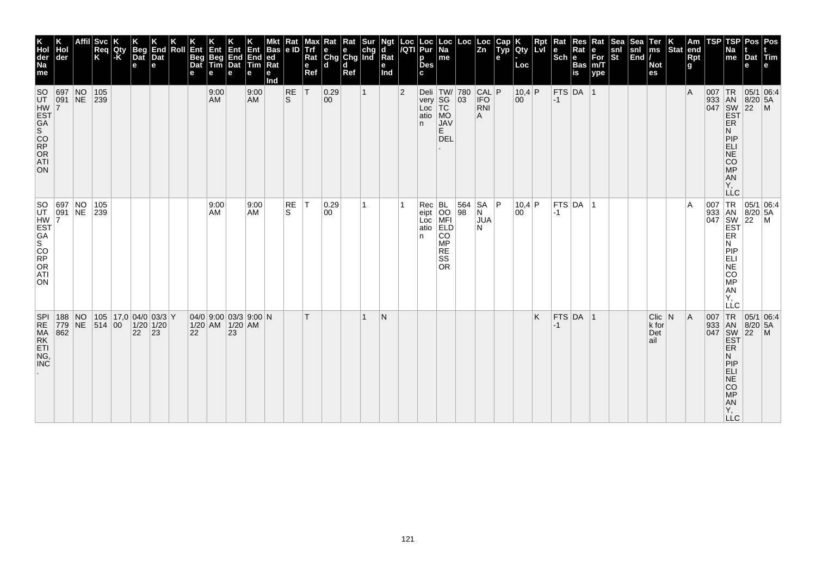| Cap<br>Typ<br>Sea<br>snl<br>End<br>Rpt<br>Ter<br>ms<br>$\left \begin{array}{c} K \\ \text{Stat} \end{array}\right $ am<br>$\overline{z}$ <sub>n</sub><br><b>Qty</b><br>le<br>Rat<br>snl<br>St<br>Na<br>e<br>For<br>m/T<br>$ \mathsf{Sch} $ e<br>me<br>Rpt<br>Dat<br>е<br><b>Bas</b><br><b>Not</b><br>g<br>Loc<br>е<br>is<br>ype<br>es<br>$10,4$ P<br>$FTS$ DA 1<br>l A<br>$TR$ 05/1 06:4<br>007<br>$\begin{array}{c} \n\sqrt{33} \\ \begin{array}{c}\n\sqrt{33} \\ \end{array} \\ \begin{array}{c}\n\end{array} \\ \begin{array}{c}\n\end{array} \\ \begin{array}{c}\n\end{array} \\ \begin{array}{c}\n\end{array} \\ \begin{array}{c}\n\end{array} \\ \begin{array}{c}\n\end{array} \\ \begin{array}{c}\n\end{array} \\ \begin{array}{c}\n\end{array} \\ \begin{array}{c}\n\end{array} \\ \begin{array}{c}\n\end{array} \\ \begin{array}{c}\n\end{array} \\ \begin{array}{c}\n\end{array} \\ \begin{array}{c}\n\end{array} \\ \$<br><b>IFO</b><br>$8/20$ 5A<br>$ 00\rangle$<br>$-1$<br>RNI<br>A<br>ER<br>N<br>PIP<br>ELI<br>NE<br>CO<br>MP<br>AN<br>Υ.<br><b>LLC</b><br>$\begin{array}{c}  SA \\ N \end{array}$ $P$<br>$10,4$ P<br> FTS DA 1<br>TR 05/1 06:4<br>ΙA<br>007<br>933 AN 8/20<br>047 SW 22<br>EST ER<br>$8/20$ 5A<br>00<br>$-1$<br><b>JUA</b><br>N<br>N<br><b>MONES</b><br><b>AN</b><br>Y,<br>LLC<br>TR<br>$FTS$ DA 1<br>Κ<br>Clic   N<br> A<br> 05/1 06:4<br>007<br>$-1$ |  | Deli   TW/   780   CAL   P<br>$ 03\rangle$<br>564<br>98 | $\overline{Na}$<br>$\sf me$<br>SG<br>TC<br>MO<br>JAV<br>E.<br><b>DEL</b><br>Rec BL<br>eipt OO<br>Loc MFI<br><b>ELD</b><br>CO<br><b>MP</b><br><b>RE</b><br><b>SS</b><br><b>OR</b> | $\frac{Loc}{/QTI}$<br>Loc<br>Pur<br>p<br><b>Des</b><br>C.<br>very<br>Loc<br>atio<br>n.<br>atio<br>n. | Ngt<br>d<br>Rat<br>е<br>Ind<br>$\overline{2}$ | $\mathbf{1}$ |   | d<br>Ref | Rat<br>l d<br>$\mathbf e$<br>Ref<br> 0.29<br>$ 00\rangle$<br>0.29<br>00<br>T. | T <br> T <br>S | Bas<br> e D<br>е<br>Ind<br>RE<br>ls.<br>RE | <b>Trf</b><br>Ent<br> ed<br>Rat<br>е<br>9:00<br><b>AM</b><br>9:00<br>AM | Ent<br>е | Ent<br>Beg<br>Tim<br>$\sqrt{\frac{End}{Det}}$ $\boxed{\frac{End}{I}}$<br>e<br>9:00<br>AM<br>9:00<br>  AM | Rat Rat Sur<br> e e chg<br> Chg Chg Ind<br>Rat<br>Max<br>Ent<br>Beg<br>Dat<br>е<br>$04/0$ 9:00 03/3 9:00 N | Roll | Dat<br>le. | Dat<br>e          | $-K$ | 105<br>$ 239\rangle$<br>105 17,0 04/0 03/3 Y | <b>Svc</b><br>End<br>Beg<br>Hol<br>Req<br>K<br>  Qty<br>der<br>SO 697 NO<br>HW 77<br>EST 7<br>GS 60<br>ORP<br>ORP<br>ATN<br>SO 697 NO 105<br>UT 091 NE 239<br>HW EST<br>GA<br>SCORP<br>ORP<br>ORP<br>188 NO |
|---------------------------------------------------------------------------------------------------------------------------------------------------------------------------------------------------------------------------------------------------------------------------------------------------------------------------------------------------------------------------------------------------------------------------------------------------------------------------------------------------------------------------------------------------------------------------------------------------------------------------------------------------------------------------------------------------------------------------------------------------------------------------------------------------------------------------------------------------------------------------------------------------------------------------------------------------------------------------------------------------------------------------------------------------------------------------------------------------------------------------------------------------------------------------------------------------------------------------------------------------------------------------------------------------------------------------------------------------------------------------------------|--|---------------------------------------------------------|----------------------------------------------------------------------------------------------------------------------------------------------------------------------------------|------------------------------------------------------------------------------------------------------|-----------------------------------------------|--------------|---|----------|-------------------------------------------------------------------------------|----------------|--------------------------------------------|-------------------------------------------------------------------------|----------|----------------------------------------------------------------------------------------------------------|------------------------------------------------------------------------------------------------------------|------|------------|-------------------|------|----------------------------------------------|-------------------------------------------------------------------------------------------------------------------------------------------------------------------------------------------------------------|
| 933 AN<br>047 SW<br>EST<br>$8/20$ 5A<br>k for<br>22<br>Det<br>$\blacksquare$<br>ail<br>ER<br>N<br>PIP<br>ELI<br>NE<br>CO<br><b>MP</b><br>AN<br>Υ,<br><b>LLC</b>                                                                                                                                                                                                                                                                                                                                                                                                                                                                                                                                                                                                                                                                                                                                                                                                                                                                                                                                                                                                                                                                                                                                                                                                                       |  |                                                         |                                                                                                                                                                                  |                                                                                                      |                                               |              | N |          |                                                                               |                |                                            |                                                                         | 23       |                                                                                                          | 1/20 AM 1/20 AM<br>22                                                                                      |      | 23         | $1/20$ 1/20<br>22 |      | 514 00                                       | 779 NE<br>862                                                                                                                                                                                               |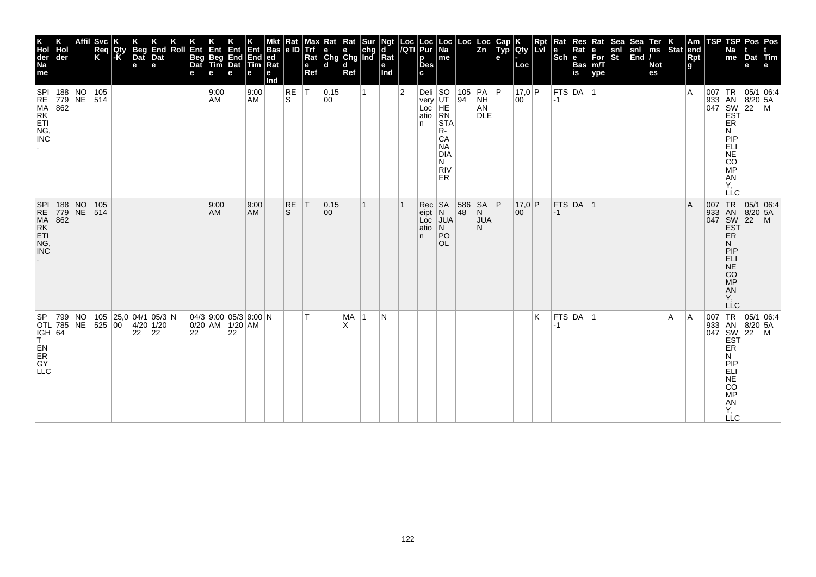| K<br>Hol<br>der<br>Na<br>me                                                                                                            | Hol<br>der                  | <b>Svc</b><br>Req<br>K | Qty<br> -K | Beg<br>Dat<br>e | End<br>Dat<br>le.                                      | Roll | Ent<br>Beg<br>Dat<br>е | Ent<br>Beg<br>Tim<br>e                     | Ent<br>е | Ent<br>$\sqrt{\frac{End}{Det}}$ $\begin{bmatrix} \overline{End} \\ \overline{Ind} \end{bmatrix}$<br>е | Bas $ e D$<br> ed<br>Rat<br>e<br>Ind | Rat       | Max<br>Trí<br>Rat<br>$\mathbf e$<br>Ref | $\begin{tabular}{ c c c c } \hline \bf Rat & \bf Rat & \bf Sur \\ \bf e & \bf e & \bf chg \\ \hline \bf Chg & \bf Chg & \bf Ind \\ \hline \end{tabular}$<br>l d | d<br>Ref       |   | Ngt<br>d<br>Rat<br>е<br>Ind |                | Loc  Loc<br><i> I</i> QTI  Pur<br>p<br><b>Des</b><br>C. | $\vert$ Loc $\vert$ Na<br>me                                        | Loc                                                                              | Loc<br>Zn                   | Cap<br>Typ<br>e | Qty<br>Loc   | <b>Rpt</b><br>LM | Rat<br>$ \text{Sch} \text{R}$ | Res<br>Rat<br><b>Bas</b><br>is | Rat<br>e<br>For<br>m/T<br>ype | Sea<br>snl<br>St | Sea<br>snl<br>End | Ter<br>ms<br><b>Not</b><br>es | $\left \begin{array}{c} K \\ \text{Stat} \end{array}\right $ am | Rpt<br>g | TSP | TSP<br><b>Na</b><br>$\mathsf{m}\mathsf{e}$                                             | Dat<br>е                                                                                                                                                     | Pos   Pos<br> Tim                                                                                                                                                                                                 |
|----------------------------------------------------------------------------------------------------------------------------------------|-----------------------------|------------------------|------------|-----------------|--------------------------------------------------------|------|------------------------|--------------------------------------------|----------|-------------------------------------------------------------------------------------------------------|--------------------------------------|-----------|-----------------------------------------|-----------------------------------------------------------------------------------------------------------------------------------------------------------------|----------------|---|-----------------------------|----------------|---------------------------------------------------------|---------------------------------------------------------------------|----------------------------------------------------------------------------------|-----------------------------|-----------------|--------------|------------------|-------------------------------|--------------------------------|-------------------------------|------------------|-------------------|-------------------------------|-----------------------------------------------------------------|----------|-----|----------------------------------------------------------------------------------------|--------------------------------------------------------------------------------------------------------------------------------------------------------------|-------------------------------------------------------------------------------------------------------------------------------------------------------------------------------------------------------------------|
| <b>SPI</b>                                                                                                                             | 188 NO<br>779 NE 514<br>862 | 105                    |            |                 |                                                        |      |                        | 9:00<br>AM                                 |          | 9:00<br><b>AM</b>                                                                                     |                                      | RE<br>ls. | T                                       | $ 0.15\rangle$<br>00                                                                                                                                            |                | 1 |                             | $\overline{2}$ | Deli<br>very<br>Loc<br>HE<br>atio<br>RN<br>n            | <b>STA</b><br>R-<br>CA<br><b>NA</b><br>DIA<br>N<br><b>RIV</b><br>ER | $\begin{array}{ c c c }\n\hline\n105 & PA & PA \\ 94 & NH & \hline\n\end{array}$ | AN<br><b>DLE</b>            |                 | 17,0 P<br>00 |                  | $ -1 $                        | FTS DA 1                       |                               |                  |                   |                               |                                                                 | ΙA       | 007 | 933 AN 8/20<br>047 SW 22<br>EST<br>ER<br>N<br>PIP<br>ELI<br>NE<br>CO<br>MP<br>AN<br>Υ. | $8/20$ 5A                                                                                                                                                    | TR 05/1 06:4<br>$\mathsf{M}$                                                                                                                                                                                      |
| SPI 188 NO 105<br>RE 779 NE 514<br>MA 862<br>RK 106,<br>NG,<br>NC                                                                      |                             |                        |            |                 |                                                        |      |                        | 9:00<br><b>AM</b>                          |          | 9:00<br><b>AM</b>                                                                                     |                                      | RE<br>S   | T                                       | 0.15<br>00                                                                                                                                                      |                | 1 |                             |                | Rec<br>eipt<br>Loc<br>atio<br>n.                        | SA<br>$N$<br>$JUA$<br>$\overline{N}$<br>PO<br>OL.                   | 586<br>48                                                                        | SA<br>N<br><b>JUA</b><br>N. | P               | 17,0 P<br>00 |                  | $-1$                          | FTS DA 1                       |                               |                  |                   |                               |                                                                 | ΙA       |     | N<br><b>MONES</b><br>AN<br>Y,<br>LLC                                                   |                                                                                                                                                              | $\begin{array}{c c}\n & \text{C} \\  \hline\n & \text{TR} & 05/1 & 06:4 \\  & \text{33} & \text{AN} & 8/20 & 54 \\  \hline\n & \text{SW} & 22 & \text{P} \\  & \text{EST} & & \\  & \text{ER} & & \\ \end{array}$ |
| $\left \begin{array}{c} \stackrel{\cdot \cdot }{\mathsf{ICH}} & 64 \\ \mathsf{T} & \end{array}\right $<br>EN<br>ER<br>GY<br><b>LLC</b> | SP 799 NO<br>OTL 785 NE     | 525 00                 |            | 22              | 105 $ 25,0 04/1 05/3 N$<br>$4/20$ 1/20<br>$ 22\rangle$ |      | 22                     | $04/3$ 9:00 05/3 9:00 N<br>0/20 AM 1/20 AM | 22       |                                                                                                       |                                      |           | T.                                      |                                                                                                                                                                 | <b>MA</b><br>X | 1 | N                           |                |                                                         |                                                                     |                                                                                  |                             |                 |              | K                | $-1$                          | $ $ FTS $ $ DA $ $             | ∣1                            |                  |                   |                               | A                                                               | ۱A       |     | ER<br>N<br>PIP<br>ELI<br>NE<br>CO<br><b>MP</b><br>AN<br>Υ,<br><b>LLC</b>               | $\begin{bmatrix} .07 \\ 933 \\ 047 \\ 047 \\ 5W \\ 22 \\ 5T \\ 5R \end{bmatrix}$<br>$\begin{bmatrix} 7 \\ 8 \\ 2 \\ 22 \\ 5W \\ 5R \end{bmatrix}$<br>8/20 5A | 05/1 06:4<br>$\mathsf{M}$                                                                                                                                                                                         |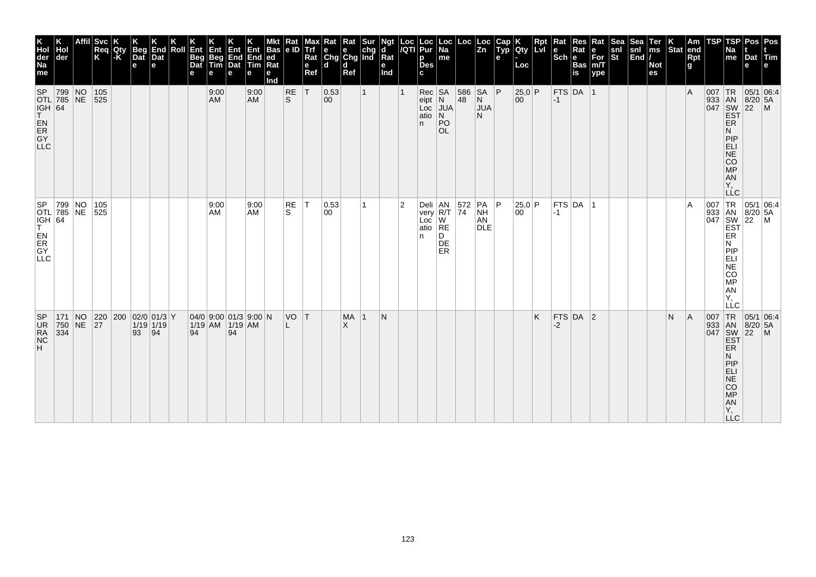| K<br>Hol<br>der<br>Na<br>me                          | der                         | Affil | <b>Svc</b><br>Req<br>K | Qty<br>-K | <b>Beg</b><br>Dat<br>e    | End<br>Dat<br>е    | Roll | Ent<br>Beg<br>Dat<br>е | Ent<br>Beg<br>Tim |    | Ent Ent Bas<br>End End ed<br>Dat Tim Rat<br>е | Bas<br>е<br>Ind | Rat<br> e ID  | $\mathbf e$<br>Ref | Max Rat Rat Sur<br>Trf e e chg<br>Rat Chg Chg Ind<br>ld. | l d<br>Ref      |   | <b>Ngt</b><br>$\mathsf{d}$<br>$\vert$ Rat<br>е<br>Ind |                | Loc Loc<br>/QTI Pur<br>р<br><b>Des</b><br>c | $\begin{array}{ c c }\n\hline\n\text{Loc} \\ \text{Na}\n\end{array}$<br>me |     | $\begin{array}{ c c } \text{Loc} & \text{Loc} \\ \hline \text{Zn} & \end{array}$ | Cap<br>Typ<br>е | Qty<br>Loc   | <b>Rpt</b><br><b>Lvi</b> | Rat<br>le. | Res<br>Rat<br>$ \overline{\text{Sch}} _{\text{Bas}}$<br>is | Rat<br>e<br>For<br>m/T<br>ype | Sea<br>snl<br>St | Sea<br>snl<br>End | Ter<br>ms<br><b>Not</b><br>es | $\left \begin{array}{c} K \\ \text{Stat} \end{array}\right $ am | Rpt<br>g | TSP | TSP<br>Na<br>me                                                                | Dat<br>е                                          | Pos Pos<br> Tim                                                                                                                                                                                                                                                         |
|------------------------------------------------------|-----------------------------|-------|------------------------|-----------|---------------------------|--------------------|------|------------------------|-------------------|----|-----------------------------------------------|-----------------|---------------|--------------------|----------------------------------------------------------|-----------------|---|-------------------------------------------------------|----------------|---------------------------------------------|----------------------------------------------------------------------------|-----|----------------------------------------------------------------------------------|-----------------|--------------|--------------------------|------------|------------------------------------------------------------|-------------------------------|------------------|-------------------|-------------------------------|-----------------------------------------------------------------|----------|-----|--------------------------------------------------------------------------------|---------------------------------------------------|-------------------------------------------------------------------------------------------------------------------------------------------------------------------------------------------------------------------------------------------------------------------------|
| SP<br> IGH  64<br>T.<br>EN<br>ER<br>GY<br><b>LLC</b> | 799 NO<br><b>OTL 785 NE</b> |       | 105<br>525             |           |                           |                    |      |                        | 9:00<br><b>AM</b> |    | 9:00<br><b>AM</b>                             |                 | RE<br>ls.     | ١T                 | $ 0.53\rangle$<br>00                                     |                 |   |                                                       |                | $Rec$ SA<br>$eipt$ N<br>atio $ N $<br>n.    | Loc JUA<br>PO<br>OL                                                        | 48  | 586 SA P<br>$\mathsf{N}$<br><b>JUA</b><br>N.                                     |                 | 25,0 P<br>00 |                          | $ -1 $     | $FTS$ DA 1                                                 |                               |                  |                   |                               |                                                                 | l A      | 007 | ER<br>N<br>PIP<br>ELI<br>NE<br>CO<br>MP<br>AN<br>ΙY.                           | 933 AN 8/20 5A<br>047 SW 22 M<br>EST              | $TR$ 05/1 06:4                                                                                                                                                                                                                                                          |
| IGH 64<br>EN<br>ER<br>GY<br><b>LLC</b>               | SP 799 NO<br>OTL 785 NE     |       | 105<br>525             |           |                           |                    |      |                        | 9:00<br>AM        |    | 9:00<br>AM                                    |                 | $\sf RE$<br>S | ΙT                 | 0.53 <br> 00                                             |                 |   |                                                       | $\overline{2}$ | atio RE<br>n.                               | Deli AN<br>very R/T 74<br>D<br>DE<br>ER                                    | 572 | PA P<br>NH<br>AN<br>DLE                                                          |                 | 25,0 P<br>00 |                          | $ -1 $     | $FTS$ DA 1                                                 |                               |                  |                   |                               |                                                                 | ΙA       |     | N<br>MONE <sub>3</sub><br>AN<br>Ÿ,<br>LLC                                      |                                                   | $\begin{array}{c c}\nC & \phantom{0}\text{1} & \text{1} & \text{1} & \text{1} \\ \hline\n047 & 8 & 1 & 1 & 1 \\ 047 & 8 & 1 & 1 & 1 \\ \hline\n047 & 1 & 1 & 1 & 1 \\ \hline\n1 & 1 & 1 & 1 & 1 \\ \hline\n1 & 1 & 1 & 1 & 1 \\ \hline\n1 & 1 & 1 & 1 & 1\n\end{array}$ |
| <b>SP</b><br>UR<br>RA<br>NC<br>H.                    | 171 NO<br>750 NE<br>334     |       | 27                     |           | 220 200 02/0 01/3 Y<br>93 | $1/19$ 1/19<br> 94 |      | 94                     | 1/19 AM 1/19 AM   | 94 | 04/0 9:00 01/3 9:00 N                         |                 | VO T<br>L.    |                    |                                                          | <b>MA</b><br>X. | 1 | N                                                     |                |                                             |                                                                            |     |                                                                                  |                 |              | K                        | $-2$       | $FTS$ DA 2                                                 |                               |                  |                   |                               | N                                                               | <b>A</b> | 007 | TR<br>ER<br>N<br>PIP<br>ELI<br>NE<br>CO<br><b>MP</b><br>AN<br>Υ,<br><b>LLC</b> | 933 AN 8/20 5A<br>047 SW 22 M<br>EST<br>$8/20$ 5A | 05/1 06:4                                                                                                                                                                                                                                                               |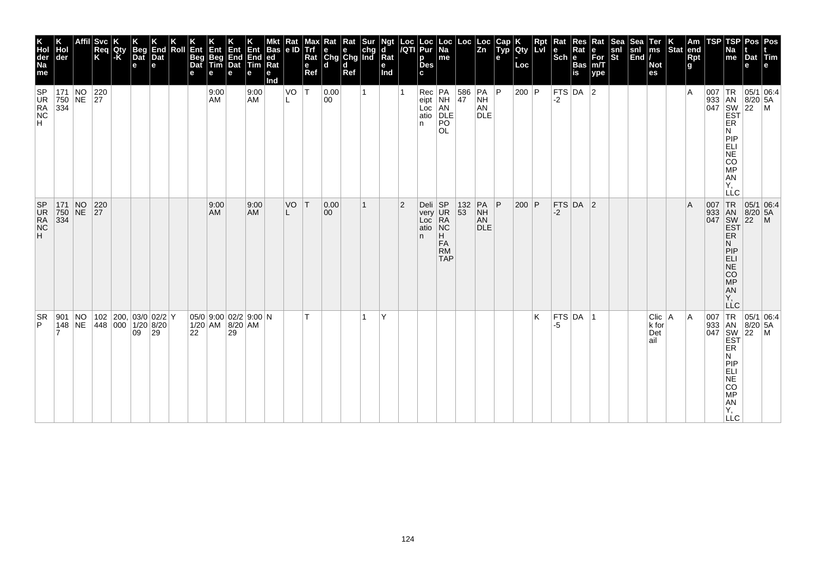| Pos Pos<br>Dat Tim<br>e<br>e                                                                           | 05/1 06:4<br>933 AN 8/20 5A<br>047 SW 22 M<br>EST<br>$8/20$ 5A                 | $\begin{array}{ c c c }\n\hline\n95/1 & 06.4 \\ 8/20 & 5A\n\end{array}$<br>$ 22\rangle$<br>$\overline{M}$ | $TR$ 05/1 06:4<br>933 AN 8/20 5A<br>047 SW 22 M<br>EST             |
|--------------------------------------------------------------------------------------------------------|--------------------------------------------------------------------------------|-----------------------------------------------------------------------------------------------------------|--------------------------------------------------------------------|
| TSP<br>Na<br>me                                                                                        | ER<br>Ν<br>PIP<br><b>ELI</b><br>NE<br>CO<br>MP<br>AN<br>AN<br>Υ,<br><b>LLC</b> | ER<br>N<br>PIP<br>ELI<br>NE<br>CO<br>MP<br>AN<br>Y,<br>LĹC                                                | <b>ER</b><br>Ν<br>PIP<br>ELI<br>NE<br>CO<br>MP<br>Y,<br><b>LLC</b> |
| <b>TSP</b>                                                                                             | 007  TR                                                                        | 007 TR<br>933 AN<br>047 SW<br>EST                                                                         | 007                                                                |
| $\vert$ Am<br>end<br>Rpt<br>g                                                                          | ١A                                                                             | A                                                                                                         | A                                                                  |
| $\vert_{\text{Stat}}^{\text{K}}$                                                                       |                                                                                |                                                                                                           |                                                                    |
| Ter<br> ms<br><b>Not</b><br>es                                                                         |                                                                                |                                                                                                           | Clic   A<br>$ k $ for<br>Det<br>∣ail                               |
| $\begin{array}{c} \n\text{Sea} \\ \text{snl} \\ \text{End}\n\end{array}$                               |                                                                                |                                                                                                           |                                                                    |
| Sea<br>snl<br>St                                                                                       |                                                                                |                                                                                                           |                                                                    |
| Rat<br>$\left  \begin{array}{l} \mathsf{e} \\ \mathsf{For} \\ \mathsf{m/T} \end{array} \right $<br>ype |                                                                                |                                                                                                           |                                                                    |
| Res<br>Rat<br>Bas<br>is                                                                                |                                                                                |                                                                                                           |                                                                    |
| Rat<br>l e<br>$ \mathsf{Sch} $ e                                                                       | FTS DA $ 2$<br>$-2$                                                            | FTS $DA$ 2<br>-2                                                                                          | $FTS$ DA $ 1$<br>-5                                                |
| <b>Rpt</b><br>LVI                                                                                      |                                                                                |                                                                                                           | K                                                                  |
| K<br>Qty<br>Loc                                                                                        | 200 P                                                                          | $ 200 $ P                                                                                                 |                                                                    |
| Cap<br>Typ<br>е                                                                                        |                                                                                | P                                                                                                         |                                                                    |
|                                                                                                        | AN<br>DLE                                                                      | PA<br>NH<br>AN<br><b>DLE</b>                                                                              |                                                                    |
| $\begin{vmatrix} \text{Loc} \\ \text{Zn} \end{vmatrix}$                                                | $\begin{array}{ c c c }\n 586 & PA & P \\  47 & NH & \end{array}$              | $\frac{132}{53}$                                                                                          |                                                                    |
| Loc<br>Na<br>me                                                                                        | Rec PA<br>eipt NH<br>Loc AN<br>atio DLE<br>PO<br><b>OL</b>                     | Н.<br><b>FA</b><br><b>RM</b><br><b>TAP</b>                                                                |                                                                    |
| Loc  Loc<br><i> I</i> QTI  Pur<br>p<br><b>Des</b><br>c                                                 | In.                                                                            | Deli SP<br>very UR<br>Loc RA<br>atio NC<br>n.                                                             |                                                                    |
|                                                                                                        |                                                                                | $\vert 2 \vert$                                                                                           |                                                                    |
| Ngt<br>$\mathbf{d}$<br>Rat<br>е<br>Ind                                                                 |                                                                                |                                                                                                           | Y                                                                  |
| <b>Rat</b> Rat Sur<br>e e chg<br>Chg Chg Ind                                                           |                                                                                |                                                                                                           |                                                                    |
| l d<br>Ref                                                                                             |                                                                                |                                                                                                           |                                                                    |
| ld.                                                                                                    | 0.00<br>00                                                                     | 0.00<br>00                                                                                                |                                                                    |
| Max<br>Trf<br>Rat<br>$\mathbf e$<br>Ref                                                                | lΤ                                                                             | ΙT                                                                                                        |                                                                    |
| $\frac{Rat}{e}$                                                                                        | VO<br>L                                                                        | VO                                                                                                        |                                                                    |
| Bas<br>е<br>Ind                                                                                        |                                                                                |                                                                                                           |                                                                    |
| е                                                                                                      | 9:00<br><b>AM</b>                                                              | 9:00<br><b>AM</b>                                                                                         |                                                                    |
| Ent Ent Ent Bas<br>Beg End End ed<br>Tim Dat Tim Rat<br>е                                              |                                                                                |                                                                                                           | $05/0$ 9:00 02/2 9:00 N<br>1/20 AM 8/20 AM<br>29                   |
| е                                                                                                      | 9:00<br>AM                                                                     | 9:00<br>AM                                                                                                |                                                                    |
| Ent<br>Beg<br>Dat<br>е                                                                                 |                                                                                |                                                                                                           | 22                                                                 |
| Roll                                                                                                   |                                                                                |                                                                                                           |                                                                    |
| End<br>Dat<br>е                                                                                        |                                                                                |                                                                                                           | $ 29\rangle$                                                       |
| Beg<br>$\overline{$<br>$\mathbf e$                                                                     |                                                                                |                                                                                                           | $102$ 200, 03/0 02/2 Y<br> 448 000 1/20 8/20<br>09                 |
| <b>Qty</b><br>-K                                                                                       |                                                                                |                                                                                                           |                                                                    |
| Affil Svc<br>Req<br>K                                                                                  |                                                                                | 220                                                                                                       |                                                                    |
|                                                                                                        | 171 NO 220<br>750 NE 27                                                        | 171 NO 220<br>750 NE 27<br>334                                                                            |                                                                    |
| Ho<br>der                                                                                              | 334                                                                            |                                                                                                           | 901 NO<br>$148$ NE                                                 |
| K<br>Hol<br>der<br>Na<br>me                                                                            | SP<br>UR<br>RA<br>NC<br>H                                                      | SP<br>UR<br>RA<br>NC<br>H                                                                                 | SR.<br>P                                                           |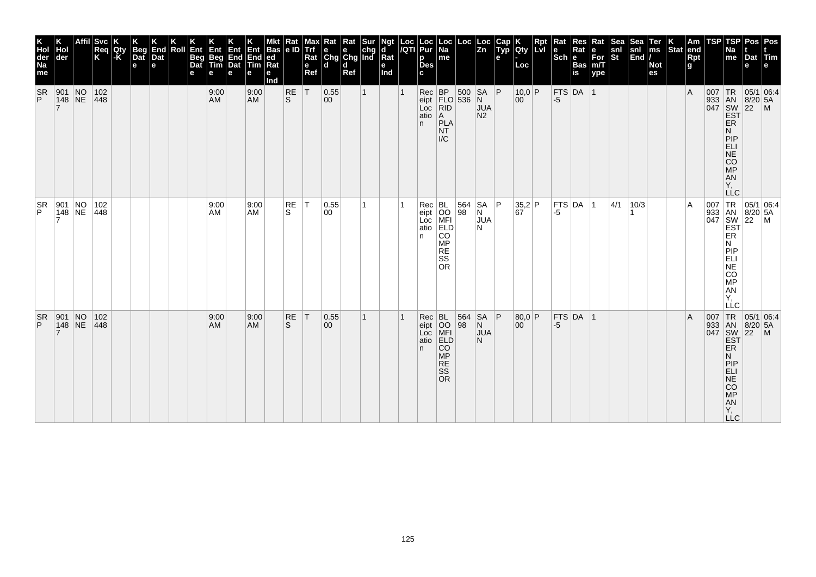| K<br>Hol<br>der<br>Na<br>me | Hol<br>der                                                | <b>Svc</b><br>Req<br>K | Qty<br> -K | <b>Beg</b><br>Dat<br>e | End<br>Dat<br>$\mathbf e$ | Roll | Ent<br>Beg<br>Dat<br>е | Ent<br>Beg<br>Tim<br>е | Ent<br>End<br>Dat<br>е | End<br><b>Tim</b><br>е | Bas $ e D$<br> ed<br>Rat<br>е<br>Ind | Rat       | e<br>Ref | Max Rat Rat Sur<br>Trf e e chg<br>Rat Chg Chg Ind<br>l d | d<br>Ref |              | Ngt<br>d<br>Rat<br>e<br>Ind | Loc  Loc<br><i> I</i> QTI  Pur<br>р<br><b>Des</b> | $\vert$ Loc $\vert$ Na $\vert$<br>me                   | Loc                                              | $\sqrt{\frac{Loc}{Zn}}$    | $\begin{array}{c} \n\text{Cap} \\ \n\text{Typ}\n\end{array}$<br>e | Qty<br>Loc                                   | Rpt<br>Lvi | Rat<br>$ \overline{\text{Sch}} e $ | Res<br>Rat<br>Bas<br>is | Rat<br>е<br>$\bar{F}$ or<br>m/T<br>ype | Sea <sup>-</sup><br>snl<br>St | Sea<br>$\begin{bmatrix} \text{snl} \\ \text{End} \end{bmatrix}$ | Ter<br>$\mathsf{ms}$<br><b>Not</b><br>es | $ \textsf{Stat} $ end | Am<br>Rpt<br>g | <b>TSP</b> | <b>TSP</b><br>Na<br>me                                                          | Pos   Pos<br>Dat Tim<br>e                                |                                                          |
|-----------------------------|-----------------------------------------------------------|------------------------|------------|------------------------|---------------------------|------|------------------------|------------------------|------------------------|------------------------|--------------------------------------|-----------|----------|----------------------------------------------------------|----------|--------------|-----------------------------|---------------------------------------------------|--------------------------------------------------------|--------------------------------------------------|----------------------------|-------------------------------------------------------------------|----------------------------------------------|------------|------------------------------------|-------------------------|----------------------------------------|-------------------------------|-----------------------------------------------------------------|------------------------------------------|-----------------------|----------------|------------|---------------------------------------------------------------------------------|----------------------------------------------------------|----------------------------------------------------------|
| <b>SR</b><br>P              | 901 NO<br> 148 NE                                         | 102<br> 448            |            |                        |                           |      |                        | 9:00<br>AM             |                        | 9:00<br><b>AM</b>      |                                      | RE<br>ls. | T        | 0.55 <br>$ 00\rangle$                                    |          | $\mathbf{1}$ |                             | $Rec$ BP<br>LOC   RID<br>atio $A$<br>n            | PLA<br><b>NT</b><br>$\mathsf{IC}$                      | $500$ SA<br>eipt $ FLO $ 536 N                   | <b>JUA</b><br>N2           | P                                                                 | $10,0$ P<br>00                               |            | $-5$                               | FTS DA 1                |                                        |                               |                                                                 |                                          |                       | $\overline{A}$ |            | ER<br>N<br>PIP<br>ELI<br>NE<br>CO<br>MP<br>A <sub>N</sub><br>Υ,<br><b>LLC</b>   | 007 TR 05/1 06:4<br>933 AN 8/20 5A<br>047 SW 22 M<br>EST |                                                          |
| $\frac{SR}{P}$              | $\begin{array}{ l l }\n901 & NO \\ 148 & NE\n\end{array}$ | 102<br>448             |            |                        |                           |      |                        | 9:00<br>AM             |                        | 9:00<br><b>AM</b>      |                                      | RE<br>S.  | IT.      | 0.55<br>00                                               |          |              |                             | Rec<br>eipt<br>Loc<br>atio<br>ELD<br>ELD<br>n.    | CO<br>MP<br><b>RE</b><br>SS<br><b>OR</b>               | $\begin{array}{ c c }\n 564 \\  98\n\end{array}$ | SA<br>N<br><b>JUA</b><br>N | l P                                                               | $\begin{vmatrix} 35,2 \\ 67 \end{vmatrix}$ P |            | -5                                 | $FTS$ DA $ 1$           |                                        | 4/1                           | 10/3                                                            |                                          |                       | A              |            | ER<br>N<br> P P<br>ELI<br>NE<br>CO<br>MP<br>AN<br>Υ,<br>LLC                     |                                                          | 007 TR 05/1 06:4<br>933 AN 8/20 5A<br>047 SW 22 M<br>EST |
| <b>SR</b><br>P              | $\begin{array}{ l l }\n901 & NO \\ 148 & NE\n\end{array}$ | 102<br> 448            |            |                        |                           |      |                        | 9:00<br><b>AM</b>      |                        | 9:00<br><b>AM</b>      |                                      | RE<br>S   | T        | 0.55<br>$ 00\rangle$                                     |          | 1            |                             | Rec BL<br>eipt OO<br>Loc MFI<br>atio ELD<br>n.    | <b>CO</b><br><b>MP</b><br><b>RE</b><br>SS<br><b>OR</b> | 564<br>98                                        | SA<br>N<br><b>JUA</b><br>N | ∣P.                                                               | 80,0 P<br>00                                 |            | $-5$                               | $FTS$ DA 1              |                                        |                               |                                                                 |                                          |                       | $\overline{A}$ |            | ER.<br>N<br>PIP<br>ELI<br>$ \bar{\mathsf{NE}} $<br>CO<br>MP<br>AN<br>Y,<br>LLC. |                                                          | 007 TR 05/1 06:4<br>933 AN 8/20 5A<br>047 SW 22 M<br>EST |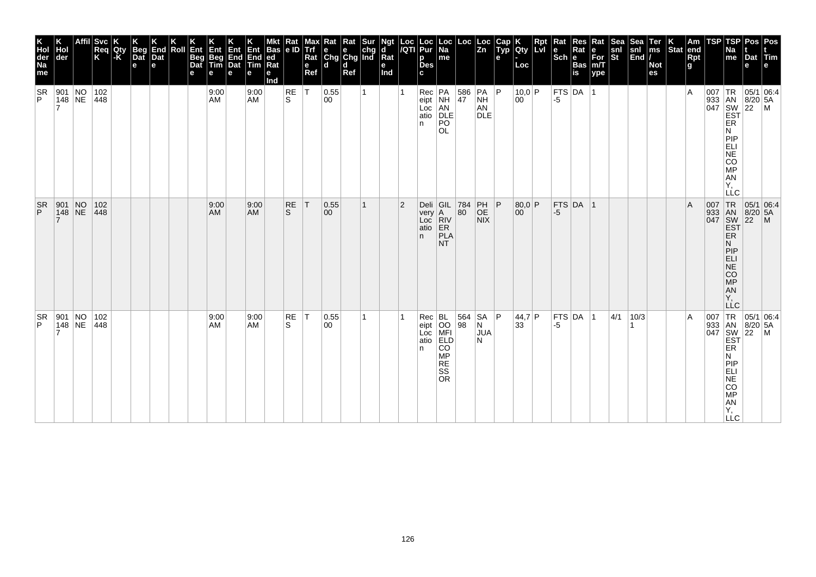| K<br>Hol<br>der<br>Na<br>me | Hol<br>der                                                  | <b>Svc</b><br>Req<br>K | Qty<br> -K | Beg<br>Dat<br>e | K<br>End<br>Dat<br>l el | Roll | Ent<br>Beg<br>Dat<br>е | Ent<br>Beg<br>Tim<br>е | Ent<br>End<br>Dat<br>е | $\frac{Ent}{End}$<br><b>Tim</b><br>е | Mkt Rat<br>Bas e ID<br> ed<br>Rat<br>е<br>Ind |           | e<br>Ref     | Max Rat Rat Sur<br>Trf e e chg<br>Rat Chg Chg Ind<br>l d | d<br>Ref |   | Ngt<br>d<br>Rat<br>e<br>Ind |                | Loc  Loc<br><i> I</i> QTI  Pur<br>р<br><b>Des</b> | $\vert$ Loc $\vert$ Na $\vert$<br>me                                                 | Loc                                              | $\sqrt{\frac{L}{2n}}$                                                                    | $\begin{array}{ c } \hline \text{Cap} \end{array}$<br>e | Qty<br>Loc             | <b>Rpt</b><br>LM | Rat<br><b>Sch Bas</b> | Res<br>Rat           | Rat<br>$\bar{F}$ or<br>m/T<br>ype | Sea<br>snl<br>St | Sea $\begin{array}{c}$<br>snl $\begin{array}{c}$ n<br>End $\end{array}$ | Ter<br>$\mathsf{ms}$<br><b>Not</b><br>es | $\left \frac{\mathsf{K}}{\mathsf{Stat}}\right $ end | Rpt<br>g       | <b>TSP</b> | TSPI<br>Na<br>me                                                         | Pos   Pos<br>Dat Tim<br>e                                      |  |
|-----------------------------|-------------------------------------------------------------|------------------------|------------|-----------------|-------------------------|------|------------------------|------------------------|------------------------|--------------------------------------|-----------------------------------------------|-----------|--------------|----------------------------------------------------------|----------|---|-----------------------------|----------------|---------------------------------------------------|--------------------------------------------------------------------------------------|--------------------------------------------------|------------------------------------------------------------------------------------------|---------------------------------------------------------|------------------------|------------------|-----------------------|----------------------|-----------------------------------|------------------|-------------------------------------------------------------------------|------------------------------------------|-----------------------------------------------------|----------------|------------|--------------------------------------------------------------------------|----------------------------------------------------------------|--|
| <b>SR</b><br>P              | 901 NO<br>148 NE                                            | 102<br>448             |            |                 |                         |      |                        | 9:00<br>AM             |                        | 9:00<br><b>AM</b>                    |                                               | RE<br>ls. | $\top$       | 0.55 <br>00                                              |          |   |                             |                | n.                                                | Rec PA 586<br>eipt NH 47<br>Loc AN<br>atio DLE<br>PO<br><b>OL</b>                    |                                                  | $ PA $ $ P $<br><b>NH</b><br>AN<br><b>DLE</b>                                            |                                                         | 10,0 P<br>00           |                  | -5                    | $ $ FTS $ $ DA $ $ 1 |                                   |                  |                                                                         |                                          |                                                     | $\overline{A}$ |            | ER<br>N<br>PIP<br>ELI<br>NE<br>CO<br>MP<br><b>AN</b><br>Υ,<br><b>LLC</b> | 007   TR   05/1   06:4<br>933 AN 8/20 5A<br>047 SW 22 M<br>EST |  |
| <b>SR</b><br>P.             | $\begin{array}{ l c c }\n901 & NO \\ 148 & NE\n\end{array}$ | 102 <br> 448           |            |                 |                         |      |                        | 9:00<br>AM             |                        | 9:00<br><b>AM</b>                    |                                               | RE<br>S.  | $\mathsf{T}$ | 0.55<br>00                                               |          | 1 |                             | $\overline{2}$ | n.                                                | Deli GIL<br>very A<br>Loc RIV<br>atio ER<br>PLA<br><b>NT</b>                         | $\begin{array}{ c c }\n 784 \\  80\n\end{array}$ | $\left  \begin{array}{c} \mathsf{PH} \\ \mathsf{OE} \end{array} \right $ P<br><b>NIX</b> |                                                         | 80,0 P<br>$ 00\rangle$ |                  | $-5$                  | FTS DA 1             |                                   |                  |                                                                         |                                          |                                                     | $\mathsf{A}$   |            | ER.<br>N<br> P P<br>ELI<br>$N\bar{E}$<br>CO<br>MP<br>AN<br>Υ,<br>LLC     | 007 TR 05/1 06:4<br>933 AN 8/20 5A<br>047 SW 22 M<br>EST       |  |
| <b>SR</b><br>P              | 901 NO<br>148 NE                                            | 102<br>448             |            |                 |                         |      |                        | 9:00<br><b>AM</b>      |                        | 9:00<br><b>AM</b>                    |                                               | RE<br>S   | $\top$       | 0.55 <br>00                                              |          | 1 |                             |                | n.                                                | Rec BL<br>eipt OO<br>Loc MFI<br>atio ELD<br>CO<br>MP<br><b>RE</b><br>SS<br><b>OR</b> | 564<br>98                                        | SA<br>N<br><b>JUA</b><br>N                                                               | P                                                       | 44,7 P<br>33           |                  | -5                    | FTS DA 1             |                                   | 4/1              | 10/3                                                                    |                                          |                                                     | $\overline{A}$ | 007        | ER<br>N<br><b>PIP</b><br>ELI<br>NE<br>CO<br>MP<br>AN<br>Y,<br><b>LLC</b> | TR 05/1 06:4<br>933 AN 8/20 5A<br>047 SW 22 M<br>EST           |  |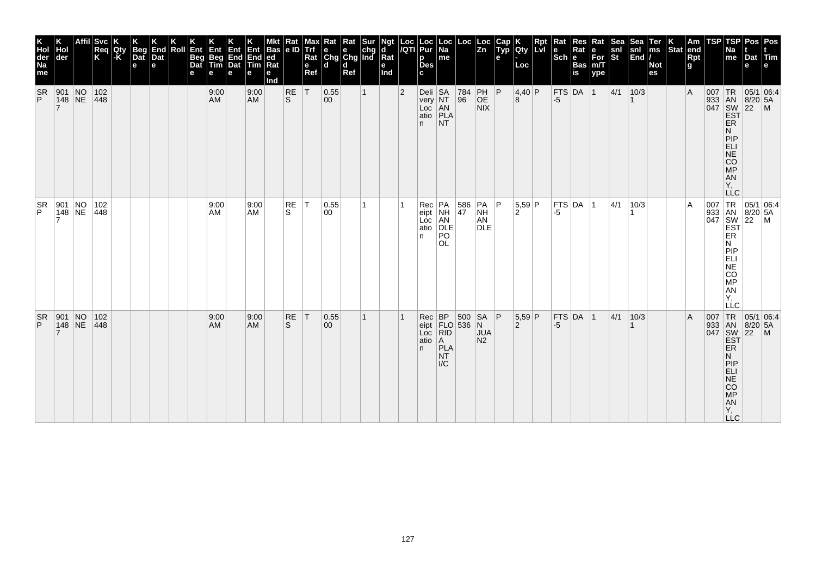| K<br>Hol<br>der<br>Na<br>me | Hol<br>der                                                | <b>Svc</b><br>Req<br>K | Qty<br> -K | Beg<br>Dat<br>e | End<br>Dat<br>$\mathbf e$ | Roll | Ent<br>Beg<br>Dat<br>е | Ent<br>Beg<br>Tim<br>е | Ent<br>End<br>Dat<br>е | End<br><b>Tim</b><br>е | Bas $ e D$<br> ed<br>Rat<br>е<br>Ind | Rat       | e<br>Ref | Max Rat Rat Sur<br>Trf e e chg<br>Rat Chg Chg Ind<br>l d | d<br>Ref |              | Ngt<br>d<br>Rat<br>e<br>Ind | Loc  Loc<br><i> I</i> QTI  Pur | р<br><b>Des</b>                                 | $\vert$ Loc $\vert$ Na<br>me                                            | Loc                                                                                                                                                      | $\vert$ Loc<br>$\vert$ Zn           | $\begin{array}{c} \n\text{Cap} \\ \n\text{Typ}\n\end{array}$<br>e | Qty<br>Loc               | Rpt<br>lLvl | Rat<br>$ \overline{\text{Sch}} e $ | Res<br>Rat<br><b>Bas</b><br>is | Rat<br>е<br>$\bar{F}$ or<br>m/T<br>ype | Sea <sup>-</sup><br>snl<br>St | Sea<br>$\begin{vmatrix} \text{snl} \\ \text{End} \end{vmatrix}$ | Ter<br>$\mathsf{ms}$<br><b>Not</b><br>es | Stat end | Am<br>Rpt<br>g | <b>TSP</b> | <b>TSP</b><br>Na<br>me                                                        | Pos   Pos<br>Dat Tim<br>e                                |                                                          |
|-----------------------------|-----------------------------------------------------------|------------------------|------------|-----------------|---------------------------|------|------------------------|------------------------|------------------------|------------------------|--------------------------------------|-----------|----------|----------------------------------------------------------|----------|--------------|-----------------------------|--------------------------------|-------------------------------------------------|-------------------------------------------------------------------------|----------------------------------------------------------------------------------------------------------------------------------------------------------|-------------------------------------|-------------------------------------------------------------------|--------------------------|-------------|------------------------------------|--------------------------------|----------------------------------------|-------------------------------|-----------------------------------------------------------------|------------------------------------------|----------|----------------|------------|-------------------------------------------------------------------------------|----------------------------------------------------------|----------------------------------------------------------|
| <b>SR</b><br>P              | 901 NO<br> 148 NE                                         | 102<br> 448            |            |                 |                           |      |                        | 9:00<br><b>AM</b>      |                        | 9:00<br><b>AM</b>      |                                      | RE<br>ls. | T        | 0.55 <br>$ 00\rangle$                                    |          | $\mathbf{1}$ |                             | $\overline{2}$                 | Deli $SA$<br>very NT<br>Loc AN<br>atio PLA<br>n | NT.                                                                     | $\begin{array}{ c c }\n 784 \\  96\n\end{array}$                                                                                                         | PH   P<br>OE<br>NIX                 |                                                                   | 4,40 P<br>8              |             | $-5$                               | FTS DA 1                       |                                        | 4/1                           | 10/3                                                            |                                          |          | $\overline{A}$ |            | ER<br>N<br>PIP<br>ELI<br>NE<br>CO<br>MP<br>A <sub>N</sub><br>Υ,<br><b>LLC</b> | 007 TR 05/1 06:4<br>933 AN 8/20 5A<br>047 SW 22 M<br>EST |                                                          |
| $\frac{SR}{P}$              | $\begin{array}{ l l }\n901 & NO \\ 148 & NE\n\end{array}$ | 102<br>448             |            |                 |                           |      |                        | 9:00<br>AM             |                        | 9:00<br><b>AM</b>      |                                      | RE<br>S.  | $\top$   | 0.55<br>00                                               |          |              |                             |                                | Rec<br>eipt<br>Loc<br>atio<br>n.                | PA 586<br>NH 47<br>AN<br>DLE<br>$\overline{P}\overline{O}$<br><b>OL</b> |                                                                                                                                                          | PA<br><b>NH</b><br>AN<br><b>DLE</b> | ∣P                                                                | 5,59 P<br>$\overline{2}$ |             | -5                                 | $FTS$ DA $ 1$                  |                                        | 4/1                           | 10/3                                                            |                                          |          | A              |            | ER<br>N<br> P P<br>ELI<br>NE<br>CO<br>MP<br>AN<br>Υ,<br>LLC                   |                                                          | 007 TR 05/1 06:4<br>933 AN 8/20 5A<br>047 SW 22 M<br>EST |
| <b>SR</b><br>P              | $\begin{array}{ l l }\n901 & NO \\ 148 & NE\n\end{array}$ | 102 <br> 448           |            |                 |                           |      |                        | 9:00<br><b>AM</b>      |                        | 9:00<br><b>AM</b>      |                                      | RE<br>S   | T        | 0.55<br>$ 00\rangle$                                     |          | 1            |                             |                                | atio   A<br>n.                                  | PLA<br><b>NT</b><br>$\mathsf{IC}$                                       | $\begin{array}{c c}\n\text{vec} & \text{BP} & 500 & \text{SA} \\ \text{eipt} & \text{FLO} & 536 & \text{N} \\ \text{Loc} & \text{RID} & & \n\end{array}$ |                                     | P                                                                 | 5,59 P<br>2              |             | $-5$                               | $FTS$ DA $ 1$                  |                                        | 4/1                           | 10/3                                                            |                                          |          | $\overline{A}$ |            | ER<br>N<br>PIP<br>ELI<br>$N\bar{E}$<br>CO<br>MP<br>AN<br>Y,<br>LLC.           |                                                          | 007 TR 05/1 06:4<br>933 AN 8/20 5A<br>047 SW 22 M<br>EST |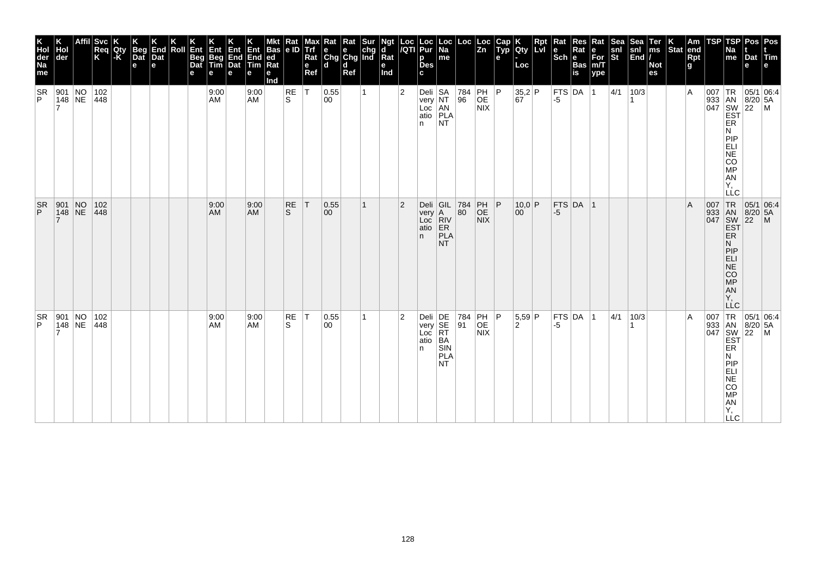| K<br>Hol<br>der<br>Na<br>me | Hol<br>der                                                                       | <b>Svc</b><br>Req<br>K | Qty<br> -K | Beg<br>Dat<br>e | K<br>End<br>Dat<br>l el | Roll | Ent<br>Beg<br>Dat<br>е | Ent<br>Beg<br>Tim<br>е | Ent<br>End<br>Dat<br>е | $\frac{Ent}{End}$<br>Tim<br>е | Mkt Rat<br>Bas e ID<br> ed<br>Rat<br>е<br>Ind |           | e<br>Ref     | Max Rat Rat Sur<br>Trf e e chg<br>Rat Chg Chg Ind<br>l d | d<br>Ref |   | Ngt<br>d<br>$\overline{\mathsf{R}}$ at<br>e<br>Ind |                | Loc  Loc<br><i> I</i> QTI  Pur<br>р<br><b>Des</b><br>c  | $\vert$ Loc $\vert$ Na $\vert$<br>me | Loc       | $\sqrt{\frac{L}{2n}}$                                                                    | $\begin{array}{ c } \hline \text{Cap} \end{array}$<br>e | Qty<br>Loc                                                    | Rpt<br>Lvi | Rat<br>Sch Bas | Res<br>Rat | Rat<br>$\bar{F}$ or<br>m/T<br>ype | Sea<br>snl<br>St | Sea<br>$\begin{bmatrix} \text{snl} \\ \text{End} \end{bmatrix}$ | Ter<br>$\mathsf{ms}$<br><b>Not</b><br>es | $\left \frac{\mathsf{K}}{\mathsf{Stat}}\right $ end | Rpt<br>g       | <b>TSP</b> | TSPI<br>Na<br>me                                                                | Pos   Pos<br>Dat Tim<br>e                                      |  |
|-----------------------------|----------------------------------------------------------------------------------|------------------------|------------|-----------------|-------------------------|------|------------------------|------------------------|------------------------|-------------------------------|-----------------------------------------------|-----------|--------------|----------------------------------------------------------|----------|---|----------------------------------------------------|----------------|---------------------------------------------------------|--------------------------------------|-----------|------------------------------------------------------------------------------------------|---------------------------------------------------------|---------------------------------------------------------------|------------|----------------|------------|-----------------------------------|------------------|-----------------------------------------------------------------|------------------------------------------|-----------------------------------------------------|----------------|------------|---------------------------------------------------------------------------------|----------------------------------------------------------------|--|
| <b>SR</b><br>P              | 901 NO<br>148 NE                                                                 | 102<br>448             |            |                 |                         |      |                        | 9:00<br>AM             |                        | 9:00<br><b>AM</b>             |                                               | RE<br>ls. | $\top$       | 0.55 <br>00                                              |          |   |                                                    | $\overline{2}$ | Deli $ SA$<br>very NT<br>Loc AN<br>atio PLA<br>n.       | <b>NT</b>                            | 784<br>96 | PH   P<br>OE<br><b>NIX</b>                                                               |                                                         | $\begin{array}{ c c }\n 35,2 P \\  \hline\n 67\n \end{array}$ |            | -5             | FTS DA 1   |                                   | 4/1              | 10/3                                                            |                                          |                                                     | $\overline{A}$ |            | ER<br>N<br>PIP<br>ELI<br>NE<br>CO<br>MP<br><b>AN</b><br>Υ,<br><b>LLC</b>        | 007   TR   05/1   06:4<br>933 AN 8/20 5A<br>047 SW 22 M<br>EST |  |
| <b>SR</b><br>P.             | $\left \begin{array}{c c} 901 & \text{NO} \\ 148 & \text{NE} \end{array}\right $ | 102 <br> 448           |            |                 |                         |      |                        | 9:00<br>AM             |                        | 9:00<br><b>AM</b>             |                                               | RE<br>S.  | $\mathsf{T}$ | 0.55<br>00                                               |          | 1 |                                                    | $\overline{2}$ | Deli GIL 784<br>very A 80<br>Loc RIV<br>atio ER<br>n.   | PLA<br><b>NT</b>                     |           | $\left  \begin{array}{c} \mathsf{PH} \\ \mathsf{OE} \end{array} \right $ P<br><b>NIX</b> |                                                         | 10,0 P<br>$ 00\rangle$                                        |            | -5             | FTS DA 1   |                                   |                  |                                                                 |                                          |                                                     | $\mathsf{A}$   |            | ER.<br>N<br> P P<br>ELI<br>$ \bar{\mathsf{NE}} $<br>CO<br>MP<br>AN<br>Υ,<br>LLC | 007 TR 05/1 06:4<br>933 AN 8/20 5A<br>047 SW 22 M<br>EST       |  |
| <b>SR</b><br>P              | 901 NO<br>$148$ NE                                                               | 102<br>448             |            |                 |                         |      |                        | 9:00<br>AM             |                        | 9:00<br><b>AM</b>             |                                               | RE<br>S   | $\top$       | 0.55 <br>00                                              |          | 1 |                                                    | $\vert$ 2      | Deli DE 784<br>very SE 91<br>Loc RT<br>atio $ BA$<br>n. | SIN<br><b>PLA</b><br>NT              |           | PH P<br><b>OE</b><br><b>NIX</b>                                                          |                                                         | $5,59$ P<br>2                                                 |            | -5             | FTS DA 1   |                                   | 4/1              | 10/3                                                            |                                          |                                                     | $\overline{A}$ | 007        | ER<br>N<br><b>PIP</b><br>$ELI$<br>NE<br>CO<br>MP<br>AN<br>Y,<br><b>LLC</b>      | TR 05/1 06:4<br>933 AN 8/20 5A<br>047 SW 22 M<br>EST           |  |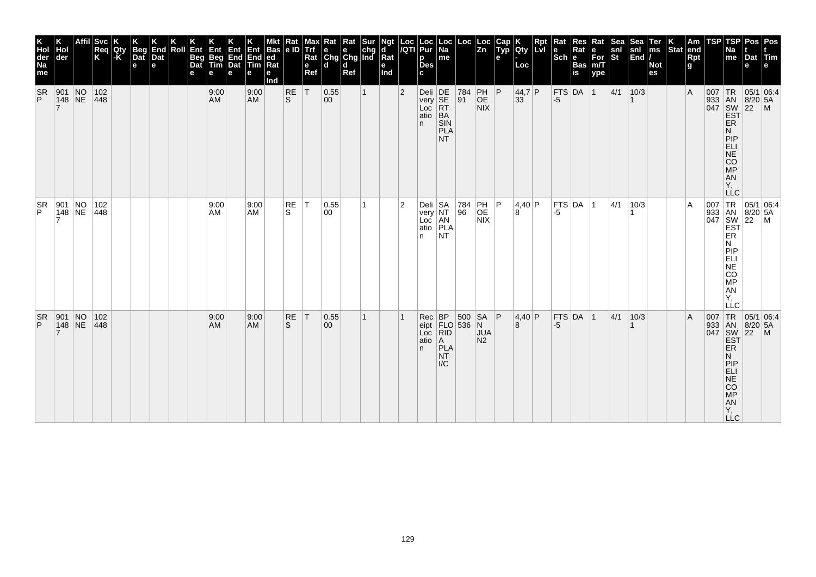| K<br>Hol<br>der<br>Na<br>me | Hol<br>der                                                          | <b>Svc</b><br>Req<br>K | Qty<br> -K | Beg<br>Dat<br>e | End<br>Dat<br>l el | Roll | Ent<br>Beg<br>Dat<br>е | Ent<br>Beg<br>Tim<br>е | Ent<br>End<br>Dat<br>е | End<br>Tim<br>е   | Bas $ e D$<br> ed<br>Rat<br>е<br>Ind | Rat       | e<br>Ref | Max Rat Rat Sur<br>Trf e e chg<br>Rat Chg Chg Ind<br>l d | d<br>Ref |              | Ngt<br>d<br>Rat<br>e<br>Ind |                | Loc  Loc<br><i> I</i> QTI  Pur<br>р<br><b>Des</b> | $\vert$ Loc $\vert$<br>Na<br>me   | Loc                                                                                                                                                    | $\vert$ Loc<br>$\vert$ Zn  | $\begin{array}{c} \n\text{Cap} \\ \n\text{Typ}\n\end{array}$<br>e | Qty<br>Loc   | Rpt<br>lLvl | Rat<br>Scheens | Res<br>Rat    | Rat<br>$\bar{F}$ or<br>m/T<br>ype | Sea <sup>-</sup><br>snl<br>St | <b>Sea</b><br>$\begin{vmatrix} \text{snl} \\ \text{End} \end{vmatrix}$ | Ter<br>$\mathsf{ms}$<br><b>Not</b><br>es | Stat end | Am<br>Rpt<br>g | <b>TSP</b> | <b>TSP</b><br>Na<br>me                                                        | Pos   Pos<br>Dat Tim<br>e                                |  |
|-----------------------------|---------------------------------------------------------------------|------------------------|------------|-----------------|--------------------|------|------------------------|------------------------|------------------------|-------------------|--------------------------------------|-----------|----------|----------------------------------------------------------|----------|--------------|-----------------------------|----------------|---------------------------------------------------|-----------------------------------|--------------------------------------------------------------------------------------------------------------------------------------------------------|----------------------------|-------------------------------------------------------------------|--------------|-------------|----------------|---------------|-----------------------------------|-------------------------------|------------------------------------------------------------------------|------------------------------------------|----------|----------------|------------|-------------------------------------------------------------------------------|----------------------------------------------------------|--|
| <b>SR</b><br>P              | 901 NO<br> 148 NE                                                   | 102<br> 448            |            |                 |                    |      |                        | 9:00<br><b>AM</b>      |                        | 9:00<br><b>AM</b> |                                      | RE<br>ls. | T        | 0.55 <br>$ 00\rangle$                                    |          | $\mathbf{1}$ |                             | $\overline{2}$ | Deli DE<br>very SE<br>Loc RT<br>atio BA<br>n.     | SIN<br><b>PLA</b><br>NT.          | 784<br>$\overline{91}$                                                                                                                                 | PH   P<br>OE<br><b>NIX</b> |                                                                   | 44,7 P<br>33 |             | $-5$           | FTS DA 1      |                                   | 4/1                           | 10/3                                                                   |                                          |          | $\overline{A}$ |            | ER<br>N<br>PIP<br>ELI<br>NE<br>CO<br>MP<br>A <sub>N</sub><br>Υ,<br><b>LLC</b> | 007 TR 05/1 06:4<br>933 AN 8/20 5A<br>047 SW 22 M<br>EST |  |
| $\frac{SR}{P}$              | $\begin{array}{ c c c }\n901 & NO \\ 148 & NE\n\end{array}$         | 102<br>448             |            |                 |                    |      |                        | 9:00<br>AM             |                        | 9:00<br><b>AM</b> |                                      | RE<br>S.  | IT.      | 0.55<br>00                                               |          |              |                             | $\overline{2}$ | Deli<br>very<br>Loc<br>atio<br>PLA<br>RITA<br>n.  | N <sub>T</sub>                    | 784<br>96                                                                                                                                              | PH<br>OE<br><b>NIX</b>     | P                                                                 | 4,40 P<br>8  |             | -5             | $FTS$ DA $ 1$ |                                   | 4/1                           | 10/3                                                                   |                                          |          | A              |            | ER<br>N<br> P P<br>ELI<br>NE<br>CO<br>MP<br>AN<br>Υ,<br>LLC                   | 007 TR 05/1 06:4<br>933 AN 8/20 5A<br>047 SW 22 M<br>EST |  |
| <b>SR</b><br>P              | $\begin{array}{ l c c }\n\hline\n901 & NO \\ 148 & NE\n\end{array}$ | 102 <br> 448           |            |                 |                    |      |                        | 9:00<br><b>AM</b>      |                        | 9:00<br><b>AM</b> |                                      | RE<br>S   | T        | 0.55<br>$ 00\rangle$                                     |          | 1            |                             |                | atio   A<br>n.                                    | PLA<br><b>NT</b><br>$\mathsf{IC}$ | $\begin{array}{c c}\n\text{vec} & \text{BP} & 500 & \text{SA} \\ \text{eipt} & \text{FLO} & 536 & \text{N} \\ \text{Loc} & \text{RID} & \n\end{array}$ |                            | P                                                                 | 4,40 P<br>8  |             | $-5$           | FTS DA 1      |                                   | 4/1                           | 10/3                                                                   |                                          |          | $\overline{A}$ |            | ER.<br>N<br>PIP<br>ELI<br>$N\bar{E}$<br>CO<br>MP<br>AN<br>Y,<br>LLC.          | 007 TR 05/1 06:4<br>933 AN 8/20 5A<br>047 SW 22 M<br>EST |  |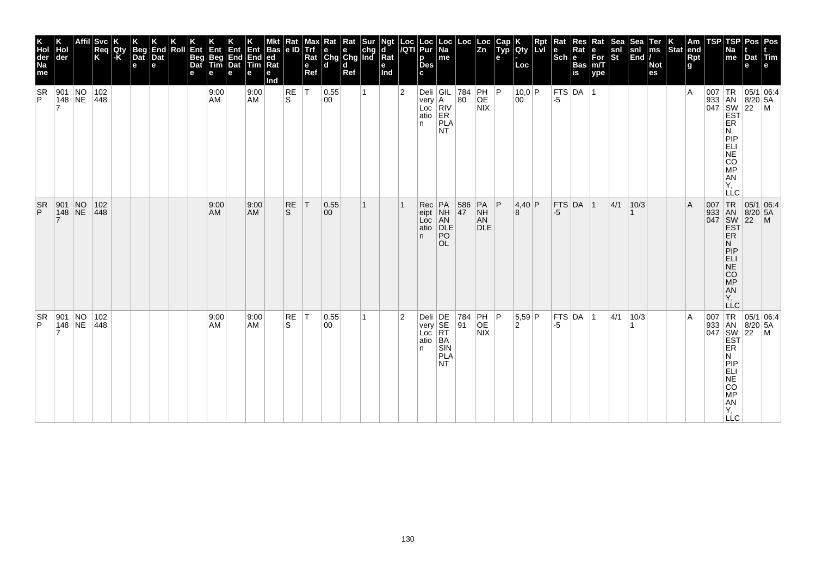| K<br>Hol<br>der<br>Na<br>me | Hol<br>der                                                                       | <b>Svc</b><br>Req<br>K | Qty<br> -K | K<br>Beg<br>Dat<br>e | K<br>End<br>Dat<br>l el | Roll | Ent<br>Beg<br>Dat<br>е | Ent<br>Beg<br>Tim<br>e | Ent<br>End<br>Dat<br>е | Ent<br>End<br>Tim<br>е | Mkt Rat<br>Bas e ID<br> ed<br>Rat<br>е<br>Ind |                | <b>Alaxy</b><br>Align<br>Rat<br>e<br>Ref | $\begin{array}{ l l }\n\hline\n\text{Rat} & \text{Rat} & \text{Sur} \\ \hline\n\text{e} & \text{e} & \text{chg} \\ \text{Chg} & \text{Chg} & \text{Ind}\n\end{array}$<br>l d | d<br>Ref |   | Ngt<br>d<br>$\overline{\mathsf{R}}$ at<br>e<br>Ind | Loc<br>/QTI    | Loc<br>Pur<br>р<br><b>Des</b><br>c            | Loc<br> Na<br>me                                     | Loc                                       | Loc<br>Zn                                 | Cap<br>Typ<br>$\mathbf{e}$ | Qty<br>Loc             | Rpt |      | <b>The Ration of School Sase.</b> | Rat<br>∣е<br>For<br>m/T<br>ype | Sea<br>snl<br>St | Sea<br>snl<br>End | Ter<br>ms<br><b>Not</b><br>es | $\left \begin{array}{c} K \\ \end{array}\right $ Stat end | Rpt<br>g | TSP | TSP<br>Na<br>$\mathsf{m}\mathsf{e}$                                                                     | Dat<br>е | Pos   Pos<br>Tim<br>e                                    |
|-----------------------------|----------------------------------------------------------------------------------|------------------------|------------|----------------------|-------------------------|------|------------------------|------------------------|------------------------|------------------------|-----------------------------------------------|----------------|------------------------------------------|------------------------------------------------------------------------------------------------------------------------------------------------------------------------------|----------|---|----------------------------------------------------|----------------|-----------------------------------------------|------------------------------------------------------|-------------------------------------------|-------------------------------------------|----------------------------|------------------------|-----|------|-----------------------------------|--------------------------------|------------------|-------------------|-------------------------------|-----------------------------------------------------------|----------|-----|---------------------------------------------------------------------------------------------------------|----------|----------------------------------------------------------|
| <b>SR</b><br>P              | 901 NO<br>$ 148 $ NE                                                             | 102<br>448             |            |                      |                         |      |                        | 9:00<br>AM             |                        | 9:00<br><b>AM</b>      |                                               | $\frac{RE}{S}$ | $\top$                                   | 0.55<br>00                                                                                                                                                                   |          | 1 |                                                    | $\overline{2}$ | very A<br>Loc<br>atio<br>n                    | Deli $ GIL $ 784<br>RIV<br>ER<br>PLA<br><b>NT</b>    | $ 80\rangle$                              | PH P<br>OE<br>NIX                         |                            | 10,0 P<br>$ 00\rangle$ |     | -5   | FTS DA 1                          |                                |                  |                   |                               |                                                           | ΙA       |     | ER<br>N<br>PIP<br>EL<br>ANGO<br>Υ,<br><b>LLC</b>                                                        |          | 007 TR 05/1 06:4<br>933 AN 8/20 5A<br>047 SW 22 M<br>EST |
| $\frac{SR}{P}$              | $\left \begin{array}{c c} 901 & \text{NO} \\ 148 & \text{NE} \end{array}\right $ | 102<br> 448            |            |                      |                         |      |                        | 9:00<br>AM             |                        | 9:00<br><b>AM</b>      |                                               | $R_S$          | T                                        | 0.55 <br>$ 00\rangle$                                                                                                                                                        |          | 1 |                                                    |                | Rec<br>eipt<br>Loc<br>atio<br>n.              | PA<br>NH<br>AN<br>DLE<br>P <sub>O</sub><br><b>OL</b> | 586<br>47                                 | $PA$ $P$<br><b>NH</b><br>AN<br><b>DLE</b> |                            | 4,40 P<br>8            |     | $-5$ | $FTS$ DA $ 1$                     |                                | 4/1              | 10/3              |                               |                                                           | A        |     | 007 TR<br>933 AN<br>047 SW<br>EST<br>EŘ<br>N<br>PIP<br>ELI<br>NE<br>CO <sub>MP</sub><br>AN<br>Y,<br>LĹC |          | 05/1 06:4<br>8/20 5A<br>22 M                             |
| <b>SR</b><br>P              | $\begin{array}{ l l }\n901 & NO \\ 148 & NE\n\end{array}$                        | 102<br>448             |            |                      |                         |      |                        | 9:00<br>AM             |                        | 9:00<br><b>AM</b>      |                                               | RE<br>S        | $\top$                                   | 0.55<br>00                                                                                                                                                                   |          | 1 |                                                    | $\overline{2}$ | Deli DE<br>very SE<br>Loc RT<br>atio BA<br>n. | SIN<br>PLA<br>NT.                                    | $\begin{vmatrix} 784 \\ 91 \end{vmatrix}$ | PH P<br>OE<br><b>NIX</b>                  |                            | $5,59$ P<br>2          |     | -5   | $ $ FTS $ $ DA $ $ 1              |                                | 4/1              | 10/3              |                               |                                                           | ΙA       |     | ER<br>Ν<br>PIP<br>APSORT-<br><b>LLC</b>                                                                 |          | 007 TR 05/1 06:4<br>933 AN 8/20 5A<br>047 SW 22 M<br>EST |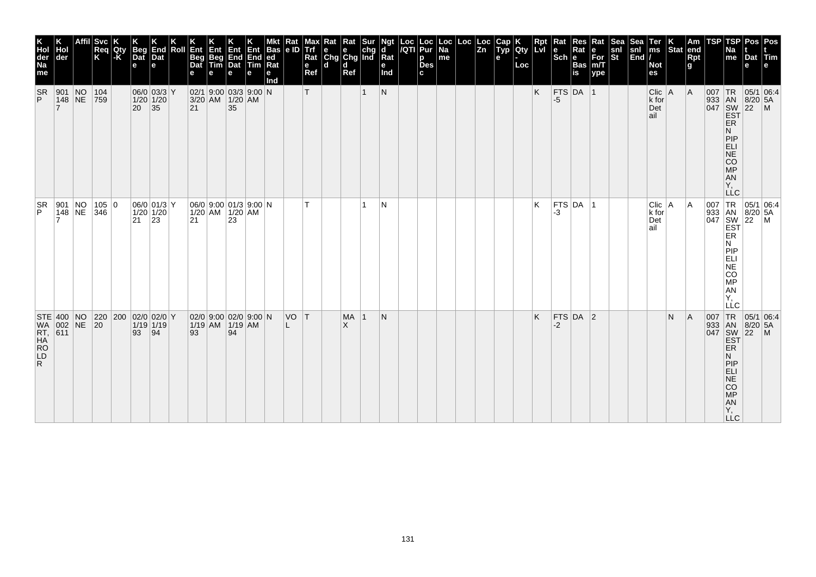| <b>Svc</b><br>End<br>Dat<br>Beg<br>Dat<br>Ent<br>Hol<br>Req<br>K<br>Qty<br> -K<br>Roll<br>Ent Ent Ent Bas<br>Beg End End ed<br>Tim Dat Tim Rat<br>der<br>Beg<br>Dat<br>$\mathbf{e}$<br>l e l<br>e<br>e<br>e<br>е<br>$06/0$ 03/3 Y<br>$02/1$ 9:00 03/3 9:00 N<br>901 NO<br>104<br> 148 NE<br>$1/20$ 1/20<br>759<br>3/20 AM 1/20 AM<br>$ 20 $ 35 |  |  |    |                                                |  |    |                                                      | <b>Bas</b><br>е<br>Ind | Rat<br> e D | $\mathbf e$<br>Ref<br>T | Max Rat Rat Sur<br>Trf e e chg<br>Rat Chg Chg Ind<br>ld. | $\mathbf d$<br>Ref    | $\mathbf{1}$ | Ngt<br>ď<br>Rat<br>е<br>Ind<br> N | Loc Loc<br>/QTI Pur<br>р<br><b>Des</b><br>C. | Loc<br>Na<br>me | $\left \frac{\text{Loc}}{\text{Zn}}\right $ | Cap<br>Typ<br>е | <b>Civ</b><br>Loc | <b>Rpt</b><br>LVI<br>K | Rat<br>$ \mathsf{Sch} $ e<br>FTS DA 1<br>-5 | Res<br>Rate<br>e For<br>Bas<br>n/T<br>is ype | Rat<br>ype | snl<br>St | $\begin{array}{c} \n\text{Sea} \\ \text{snl} \\ \text{End}\n\end{array}$ | Ter<br>ms<br><b>Not</b><br>es<br>$Clic$ A<br>k for<br>Det<br>lail | $\overline{\text{Stat}}$ | Am<br>end<br>Rpt<br>g<br> A | <b>TSP</b><br> 007  TR | TSP<br>Na<br>me<br><b>ER</b><br>N<br>PIP<br>ELI<br>NE<br>CO<br>MP                                                                                                | Pos Pos<br>Dat Tim<br>e<br> 05/1 06:4<br>933 AN 8/20 5A<br>047 SW 22 M<br>EST<br>$8/20$ 5A | l e |
|------------------------------------------------------------------------------------------------------------------------------------------------------------------------------------------------------------------------------------------------------------------------------------------------------------------------------------------------|--|--|----|------------------------------------------------|--|----|------------------------------------------------------|------------------------|-------------|-------------------------|----------------------------------------------------------|-----------------------|--------------|-----------------------------------|----------------------------------------------|-----------------|---------------------------------------------|-----------------|-------------------|------------------------|---------------------------------------------|----------------------------------------------|------------|-----------|--------------------------------------------------------------------------|-------------------------------------------------------------------|--------------------------|-----------------------------|------------------------|------------------------------------------------------------------------------------------------------------------------------------------------------------------|--------------------------------------------------------------------------------------------|-----|
| 901 NO 105<br>148 NE 346<br>105 0                                                                                                                                                                                                                                                                                                              |  |  | 21 | $06/0$ 01/3 Y<br>$1/20$ $1/20$<br>$ 23\rangle$ |  | 21 | $06/0$ 9:00 01/3 9:00 N<br>$1/20$ AM $1/20$ AM<br>23 |                        |             | T                       |                                                          |                       | 1            | N                                 |                                              |                 |                                             |                 |                   | Κ                      | FTS DA 1<br>-3                              |                                              |            |           |                                                                          | Clic   A<br>k for<br>Det<br>lail                                  |                          | A                           |                        | AN<br>Ÿ,<br><b>LLC</b><br>007 TR<br>933 AN<br>047 SW<br>EST<br>ER<br>ER<br>Ν<br>PIP<br>ELI<br>$\overline{\text{NE}}$<br>CO<br>$\overline{MP}$<br>AN<br>Y,<br>LLC | $\begin{array}{ c c c }\n 05/1 & 06:4 \\  8/20 & 5A \\  22 & M\n\end{array}$               |     |
| $STE$ 400 NO<br> 220 200 02/0 02/0 Y<br>WA 002 NE 20<br><b>RT, 611<br/>HA<br/>RO<br/>LD</b>                                                                                                                                                                                                                                                    |  |  | 93 | $1/19$ 1/19<br> 94                             |  | 93 | $02/0$ 9:00 02/0 9:00 N<br>$1/19$ AM $1/19$ AM<br>94 |                        | VO T        |                         |                                                          | <b>MA</b><br>$\times$ | -1           | N                                 |                                              |                 |                                             |                 |                   | K                      | FTS DA 2<br>-2                              |                                              |            |           |                                                                          |                                                                   | N                        | A                           | 007                    | 933 AN<br>047 SW<br>EST<br><b>ER</b><br>N<br>PIP<br>ELI<br><b>NE</b><br>CO<br><b>MP</b><br>AN<br>Y,<br>$\sqcup$ C                                                | $TR$ 05/1 06:4<br>$8/20$ 5A<br>$ 22 $ M                                                    |     |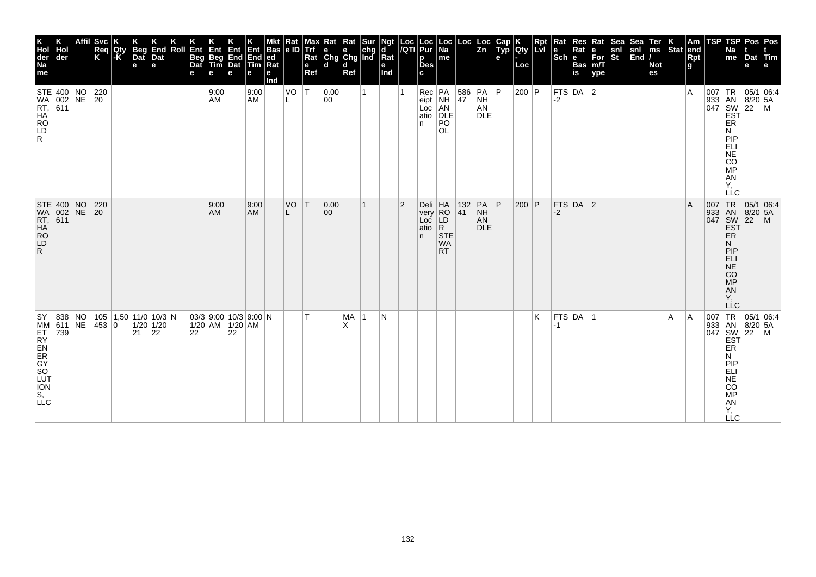| K<br>Hol<br>der<br>Na<br>me      | Hol<br>der                                                 | Svc<br>Req<br>K     | Qty<br>$-K$ | <b>Beg</b><br>$\overline{$<br>e | End<br>Dat<br>e             | Roll | Ent<br>Beg<br>Dat<br>е | Ent<br>Beg<br>Tim<br>е | Ent<br>End<br>Dat<br>e                               | $End$ ed<br>Tim<br>е | Bas<br>Rat<br>е<br>Ind | Rat<br> e D | мах I<br>  Trf<br>$Ra$ t<br>$\mathbf e$<br>Ref | <b>x</b> Rat Rat Sur<br>e e chg<br>Chg Chg Ind<br>ld. | $\mathbf d$<br>Ref |    | <b>Ngt</b><br>$\mathbf d$<br>$Ra$ t<br>е<br>Ind |   | Loc Loc<br>/QTI Pur<br>р<br><b>Des</b><br>c | Loc<br>  Na<br>me                                                                                                                 |           | $\left \begin{array}{c} \text{Loc} \\ \text{Zn} \end{array}\right $                               | Cap<br>Typ<br>е | K<br>Qty<br>Loc | Rpt<br>Lvi | Rat<br>$ \mathsf{Sch} $ e | Res<br>Rat<br>Bas<br>is | Rat<br>$\left  \begin{array}{l} \mathsf{e} \\ \mathsf{For} \\ \mathsf{m/T} \end{array} \right $<br>ype | $\frac{\mathsf{snl}}{\mathsf{St}}$ | Sea<br>snl<br>End | Ter<br> ms<br><b>Not</b><br>es | Stat | $\vert$ Am<br>end<br>Rpt<br>g | <b>TSP</b>                        | TSP<br>Na<br>me                                                                | Dat Tim<br>e                                                                                                                                                   | Pos   Pos<br>e |
|----------------------------------|------------------------------------------------------------|---------------------|-------------|---------------------------------|-----------------------------|------|------------------------|------------------------|------------------------------------------------------|----------------------|------------------------|-------------|------------------------------------------------|-------------------------------------------------------|--------------------|----|-------------------------------------------------|---|---------------------------------------------|-----------------------------------------------------------------------------------------------------------------------------------|-----------|---------------------------------------------------------------------------------------------------|-----------------|-----------------|------------|---------------------------|-------------------------|--------------------------------------------------------------------------------------------------------|------------------------------------|-------------------|--------------------------------|------|-------------------------------|-----------------------------------|--------------------------------------------------------------------------------|----------------------------------------------------------------------------------------------------------------------------------------------------------------|----------------|
| $\mathsf{R}$                     | STE 400 NO<br>WA 002 NE<br>RT, 611<br>HA<br>RO<br>LD<br>LD | 220<br>$ 20\rangle$ |             |                                 |                             |      |                        | 9:00<br>AM             |                                                      | 9:00<br>AM           |                        | VO<br>L     | $ \mathsf{T} $                                 | 0.00<br>00                                            |                    | 1  |                                                 |   | Loc<br>atio<br>n.                           | $\left \begin{array}{c c}\n\text{Rec} & \text{PA} \\ \text{eipt} & \text{NH}\n\end{array}\right $<br>AN<br>DLE<br>PO<br><b>OL</b> |           | $\begin{vmatrix} 586 \\ 47 \end{vmatrix}$ PA $\begin{vmatrix} P \\ NH \end{vmatrix}$<br>AN<br>DLE |                 | $200$ P         |            | $-2$                      | FTS $DA$ 2              |                                                                                                        |                                    |                   |                                |      | ١A                            |                                   | ER<br>Ν<br>PIP<br><b>ELI</b><br>NE<br>CO<br>MP<br>AN<br>AN<br>Y,<br><b>LLC</b> | 05/1 06:4<br>$\begin{array}{r} \n 165/1 \\  933 \\  047 \\  5W \\  22 \\  165\n\end{array}$<br>$\begin{array}{r} \n 165/1 \\  8/20 \\  5 \\  165\n\end{array}$ |                |
| $\mathsf{R}$                     | STE 400 NO<br>WA 002 NE<br>RT, 611<br>HA<br>RO<br>LD       | 220<br>$ 20\rangle$ |             |                                 |                             |      |                        | 9:00<br>AM             |                                                      | 9:00<br><b>AM</b>    |                        | VO          | T                                              | 0.00 <br>$ 00\rangle$                                 |                    | 1  |                                                 | 2 | Deli HA<br>very RO<br>Loc LD<br>atio<br>n.  | $\overline{R}$<br>STE<br><b>WA</b><br><b>RT</b>                                                                                   | 132<br>41 | PA<br>NH<br>AN<br><b>DLE</b>                                                                      | P               | 200 P           |            | $-2$                      | $FTS$ DA 2              |                                                                                                        |                                    |                   |                                |      | A                             | 007 TR<br>933 AN<br>047 SW<br>EST | ER<br>N<br>PIP<br>ELI<br>NE<br>CO<br>MP<br>AN<br>Ÿ,<br>LĹC                     | $\begin{array}{ c c c }\n 05/1 & 06.4 \\  8/20 & 5A\n\end{array}$<br>$ 22\rangle$                                                                              | $\blacksquare$ |
| <b>SY</b><br>MM<br>FS, DESORBEXH | 838 NO<br>611 NE<br>739                                    | 453 0               |             | 105 1,50 11/0 10/3 N<br>21      | $1/20$ 1/20<br>$ 22\rangle$ |      | 22                     |                        | $03/3$ 9:00 10/3 9:00 N<br>$1/20$ AM $1/20$ AM<br>22 |                      |                        |             | IТ.                                            |                                                       | MA<br>X            | -1 | N                                               |   |                                             |                                                                                                                                   |           |                                                                                                   |                 |                 | K          | -1                        | FTS DA                  | ∣1                                                                                                     |                                    |                   |                                | A    | A                             | 007<br>933 AN<br>047 SW<br>EST    | TR<br><b>ER</b><br>Ν<br>PIP<br>ELI<br>NE<br>CO<br>MP<br>AN<br>Y,<br><b>LLC</b> | 05/1 06:4<br>$8/20$ 5A<br>$\overline{22}$                                                                                                                      | $\mathsf{M}$   |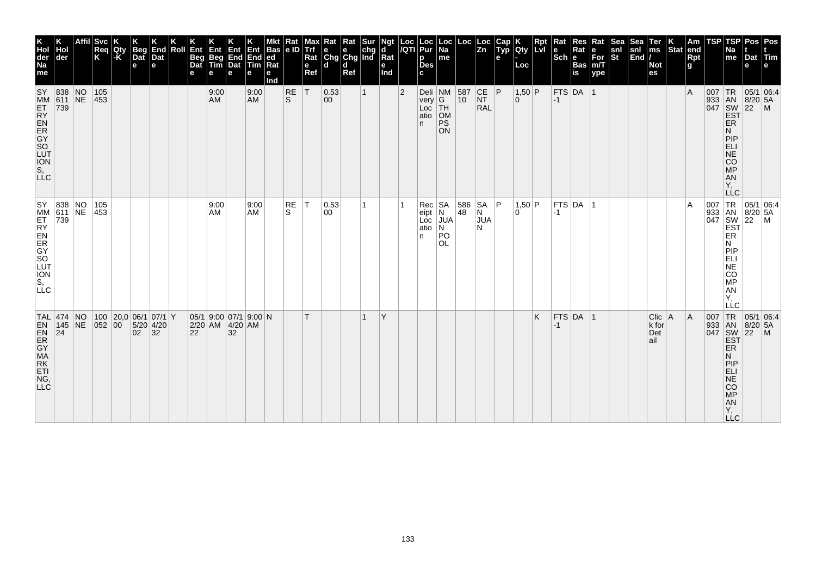| K<br>Hol<br>der<br>Na<br>me                                                | ∣der                     | Affil | Svc<br>Req<br>K      | Qty | <b>Beg</b><br>Dat<br>e             | End<br>Dat<br>e               | Roll | Ent<br>Beg<br>Dat<br>e | Ent<br>Beg<br>Tim | 4∃m<br>End<br>Dat<br>е | Ent<br><b>End</b><br>Tim<br>е | Bas<br>led<br>Rat<br>е<br>nd | Kat<br>e ID      | Trf<br>Rat<br>e<br>Ref | ≺at<br>$\begin{array}{ c c c }\n\hline\n\text{e} & \text{e} & \text{chg} \\ \hline\n\text{Chg} & \text{Chg} & \text{Ind}\n\end{array}$<br>ld. | Rat<br>l d<br>Ref | Ngt<br>d<br>Rat<br>е<br>Ind | /QTI | Loc   Loc<br>/QTI   Pur<br>p<br><b>Des</b><br>c | Loc<br><b>Na</b><br>me                                                                                              |                                                | $\begin{array}{c c}\n\text{Loc} & \text{Loc} \\ \hline\n\text{Zn}\n\end{array}$ | Cap<br>Typ<br>e | Qty<br>Loc           | Rpt<br><b>LvI</b> | Rat<br>l e<br>$ \mathsf{Sch} $ e | Res<br>Rat<br>Bas<br>is | Rat<br>e<br>For<br>m/T<br>ype | Sea<br>$\frac{\mathsf{snl}}{\mathsf{St}}$ | Sea<br>$\frac{\mathsf{snl}}{\mathsf{End}}$ | Ter<br>ms<br><b>Not</b><br>es   | Stat end | Am<br>Rpt<br>g | TSP      | <b>TSP</b><br>Na<br>me                                                                                      | Pos<br>Dat<br>е                                   | Pos<br><b>Tim</b>                                                                                                                           |
|----------------------------------------------------------------------------|--------------------------|-------|----------------------|-----|------------------------------------|-------------------------------|------|------------------------|-------------------|------------------------|-------------------------------|------------------------------|------------------|------------------------|-----------------------------------------------------------------------------------------------------------------------------------------------|-------------------|-----------------------------|------|-------------------------------------------------|---------------------------------------------------------------------------------------------------------------------|------------------------------------------------|---------------------------------------------------------------------------------|-----------------|----------------------|-------------------|----------------------------------|-------------------------|-------------------------------|-------------------------------------------|--------------------------------------------|---------------------------------|----------|----------------|----------|-------------------------------------------------------------------------------------------------------------|---------------------------------------------------|---------------------------------------------------------------------------------------------------------------------------------------------|
| SY 838 NO<br>MM 611 NE<br>공도영오지도 주<br>SLC                                  | 739                      |       | 105<br>$ 453\rangle$ |     |                                    |                               |      |                        | 9:00<br>AM        |                        | 9:00<br><b>AM</b>             |                              | <b>RE</b><br>ls. | ΙT                     | 0.53<br>00                                                                                                                                    |                   |                             | 2    | Loc<br>atio<br>n                                | Deli $\left  \begin{array}{c} 1 \text{NM} \\ \text{very} \end{array} \right $<br>TH<br>OM<br><b>PS</b><br><b>ON</b> | $\begin{array}{ c c }\n587 \\ 10\n\end{array}$ | $CE$ $ P $<br>NT<br>RAL                                                         |                 | $1,50$ P<br>$\Omega$ |                   | $-1$                             | $FTS$ DA 1              |                               |                                           |                                            |                                 |          | ΙA             | $007$ TR | 933 AN 8/20<br>047 SW 22<br>EST<br>ER<br>N<br>PIP<br>ELI<br>NE<br>CO<br><b>MP</b><br>AN<br>Y,<br><b>LLC</b> | $8/20$ 5A                                         | 05/1 06:4<br>$\mathsf{M}$                                                                                                                   |
| SY 838 NO<br>MM 611 NE<br>ET<br>RY ER<br>SO<br>UUT<br>ON<br>S,<br>LLC<br>S | 739                      |       | 105<br>453           |     |                                    |                               |      |                        | 9:00<br>AM        |                        | 9:00<br><b>AM</b>             |                              | RE<br>S          | ١T                     | 0.53 <br>00                                                                                                                                   |                   |                             |      | Rec SA<br>atio N<br>n.                          | eipt N<br>Loc JUA<br>PO<br><b>OL</b>                                                                                | 48                                             | 586 SA P<br>N<br>JUA<br>N                                                       |                 | 1,50 P<br>n.         |                   | $-1$                             | FTS DA 1                |                               |                                           |                                            |                                 |          | $\overline{A}$ |          | Ν<br><b>MONEY</b><br>AN<br>Y,<br>LLC                                                                        |                                                   | $\begin{array}{c c}\n & \angle C & \angle C \\ \hline\n933 & AN & 8/20 & 5A \\ 047 & SW & 22 & M \\ \hline\nEF & & \downarrow\n\end{array}$ |
| $TAL$ 474 NO<br><b>ENDING</b><br>RK<br>ETI<br>NG,<br>LLC <sup>1</sup>      | $145$ NE<br>$ 24\rangle$ |       | 052 00               |     | 100   20,0   06/1   07/1   Y<br>02 | $5/20$ 4/20<br>$\frac{1}{32}$ |      | 22                     | 2/20 AM 4/20 AM   | 32                     | 05/1 9:00 07/1 9:00 N         |                              |                  |                        |                                                                                                                                               |                   | Y                           |      |                                                 |                                                                                                                     |                                                |                                                                                 |                 |                      | Κ                 | $-1$                             | $FTS$ DA 1              |                               |                                           |                                            | Clic   A<br>k for<br>Det<br>ail |          | A              | 007      | TR<br>ER<br>N<br>PIP<br>ELI<br>NE<br>CO<br><b>MP</b><br>AN<br>Υ,<br><b>LLC</b>                              | 933 AN 8/20 5A<br>047 SW 22 M<br>EST<br>$8/20$ 5A | 05/1 06.4                                                                                                                                   |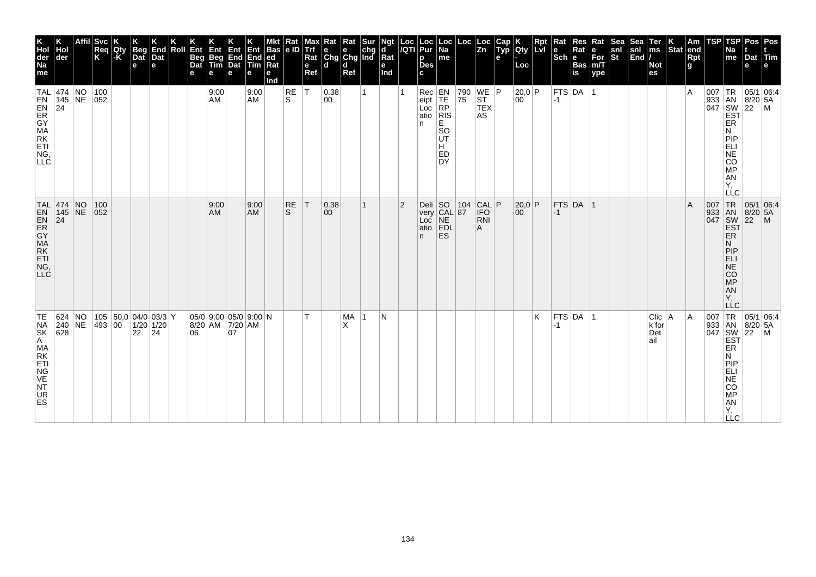| K<br>Hol<br>der<br>Na<br>me                     | Hol<br>der                                                         | <b>Svc</b><br>Req<br>K | Qty<br> -K | <b>Beg</b><br>Dat<br>e | K<br>End<br>Dat<br>l el                     | Roll | Ent<br>Beg<br>Dat<br>е | Ent<br>Beg<br>Tim<br>е | <b>Ent</b><br>End<br>Dat<br>е | Ent<br>End<br><b>Tim</b><br>е | <b>Bas</b><br>ed<br>Rat<br>е<br>Ind | Rat<br>e ID | Max<br>Trf<br>Rat<br>e<br>Ref | ĸat<br>e e chg<br>Chg Chg Ind<br>d d | Rat<br>Ref | Sur | ď<br>$\bar{R}$ at<br>е<br>Ind | Loc<br>/QTI    | Loc<br>Pur<br>р<br><b>Des</b>                        | $ \mathsf{Loc} $<br>Na<br>me                                           | $\left \frac{\text{Loc}}{\text{Zn}}\right $ |                                           | Cap<br>$\tilde{$ ,<br>е | Qty<br>Loc             | <b>Rpt</b><br>Lyl | Rat<br>$\left \begin{smallmatrix} \mathbf{e} \ \mathbf{Sch} \ \mathbf{e} \end{smallmatrix}\right $ $\mathbf{e}$ | Res<br>Rat<br><b>Bas</b><br>is | Rat<br>е<br>For<br>m/T<br>ype | Sea<br>snl<br>St | Sear<br>$\begin{vmatrix} \text{snl} \\ \text{End} \end{vmatrix}$ | Ter<br>ms<br><b>Not</b><br>es     | $ \text{Stat} $ | Am<br>end<br><b>Rpt</b><br>g | TSP                               | TSP<br>Na<br>me                                                           | Pos Pos<br>Dat Tim<br>e                                                                    |                                                                                                                                                                                                                                                                                                                                                                  |
|-------------------------------------------------|--------------------------------------------------------------------|------------------------|------------|------------------------|---------------------------------------------|------|------------------------|------------------------|-------------------------------|-------------------------------|-------------------------------------|-------------|-------------------------------|--------------------------------------|------------|-----|-------------------------------|----------------|------------------------------------------------------|------------------------------------------------------------------------|---------------------------------------------|-------------------------------------------|-------------------------|------------------------|-------------------|-----------------------------------------------------------------------------------------------------------------|--------------------------------|-------------------------------|------------------|------------------------------------------------------------------|-----------------------------------|-----------------|------------------------------|-----------------------------------|---------------------------------------------------------------------------|--------------------------------------------------------------------------------------------|------------------------------------------------------------------------------------------------------------------------------------------------------------------------------------------------------------------------------------------------------------------------------------------------------------------------------------------------------------------|
| <b>LNSHAWAY</b><br>COLLE                        | TAL 474 NO<br>$145$ NE<br> 24                                      | 100<br>$ 052\rangle$   |            |                        |                                             |      |                        | 9:00<br>AM             |                               | 9:00<br>AM                    |                                     | RE<br>ls.   | $\mathsf{T}$                  | 0.38<br>00                           |            |     |                               |                | n                                                    | Rec<br>eipt<br>Loc<br>atio<br>RIS<br>E.<br>SO<br>UT<br>Н.<br>ED<br>DY. | 790<br>75                                   | $WE$ $P$<br><b>ST</b><br><b>TEX</b><br>AS |                         | 20,0 P<br>00           |                   | $ -1 $                                                                                                          | $ $ FTS $ $ DA                 |                               |                  |                                                                  |                                   |                 | $\overline{A}$               |                                   | ER<br>N<br>PIP<br>ELI<br>SORE:<br>AN<br>Υ,<br>LLC                         |                                                                                            | $\begin{array}{r} \n 18 \\  \n 33 \\  \n 047 \\  \n 180 \\  \n 180 \\  \n 1820 \\  \n 164 \\  \n 164 \\  \n 164 \\  \n 164 \\  \n 164 \\  \n 164 \\  \n 164 \\  \n 164 \\  \n 164 \\  \n 164 \\  \n 164 \\  \n 164 \\  \n 164 \\  \n 164 \\  \n 164 \\  \n 164 \\  \n 164 \\  \n 164 \\  \n 164 \\  \n 164 \\  \n 164 \\  \n 164 \\  \n 164 \\  \n 164 \\  \n 1$ |
| <b>LLC</b>                                      | TAL 474 NO<br>TAL 474<br>EN 145 NE<br>ER 74<br>GYA<br>MRK<br>ETIGO | 100<br> 052            |            |                        |                                             |      |                        | 9:00<br>AM             |                               | 9:00<br><b>AM</b>             |                                     | RE<br>S.    | $\top$                        | 0.38<br>$ 00\rangle$                 |            |     |                               | $\overline{2}$ | Deli SO 10<br>very CAL 87<br>oc NE BDL<br>o EDL<br>A |                                                                        |                                             | CAL P<br><b>IFO</b><br><b>RNI</b>         |                         | 20,0 P<br>$00^{\circ}$ |                   | $-1$                                                                                                            | $FTS$ DA 1                     |                               |                  |                                                                  |                                   |                 | $\overline{A}$               | 007 TR<br>933 AN<br>047 SW<br>EST | ER<br>N<br>PIP<br>ELI<br>$N\bar{E}$<br>CO<br>MP<br>AN<br>Υ.<br><b>LLC</b> | $\begin{array}{ c c c }\n\hline\n95/1 & 06.4 \\ 8/20 & 5A\n\end{array}$<br>$\overline{22}$ | $\mathsf{M}$                                                                                                                                                                                                                                                                                                                                                     |
| TE<br>NSK<br>AMAKTIGE<br>NVK<br>NVK<br>UR<br>ES | 624 NO<br>240 NE<br>$\overline{628}$                               | 493 00                 |            | 22   24                | $ 105 $ $ 50,0 04/0 03/3 $ Y<br>$1/20$ 1/20 |      | 06                     | 8/20 AM 7/20 AM        | 07                            | $05/0$ 9:00 05/0 9:00 N       |                                     |             | т                             |                                      | MA<br>X    | -1  | N                             |                |                                                      |                                                                        |                                             |                                           |                         |                        | K                 | $-1$                                                                                                            | $FTS$ DA 1                     |                               |                  |                                                                  | $Clic$   A<br>k for<br>Det<br>ail |                 | ۱A                           |                                   | ER<br>N<br>PIP<br>ELICOREL<br><b>LLC</b>                                  |                                                                                            | $\begin{array}{c c}\n \text{J33} & \text{I.R.} & \text{05/1} & \text{U} \\  \text{J47} & \text{M} & \text{8/20} & \text{5A} \\  \text{SW} & \text{22} & \text{M} \\  \text{EST} & & \text{I} \\  \end{array}$                                                                                                                                                    |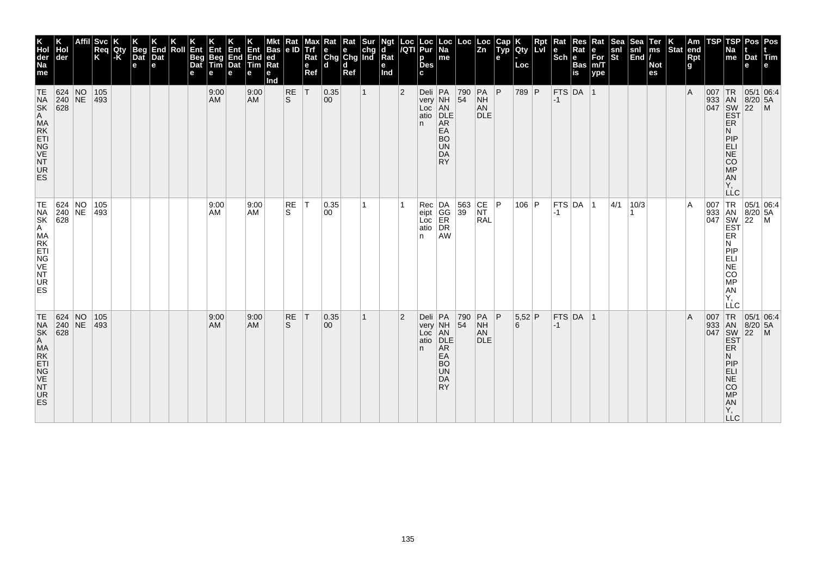| K<br>Hol<br>der<br>Na<br>me                                        | Hol<br>der                                                                 | <b>Svc</b><br>Req<br>K | Qty<br>-K | Beg<br>Dat<br>e | End<br>Dat<br>e | Roll | Ent<br>Beg<br>Dat<br>е | Ent<br>Beg<br>Tim<br>e | Ent<br>End<br>Dat<br>е | Ent<br>End<br><b>Tim</b><br>е | <b>Bas</b><br>ed<br>Rat<br>е<br>Ind | Rat<br> e D | Max<br>Trf<br>Rat<br>e<br>Ref | $\begin{array}{ l l }\n\hline\n\text{Rat} & \text{Rat} & \text{Sur} \\ \hline\n\text{e} & \text{e} & \text{chg} \\ \text{Chg} & \text{Chg} & \text{Ind}\n\end{array}$<br>l d | d<br>Ref |              | Ngt<br>d<br>Rat<br>е<br>Ind | Loc<br>/QTI    | Loc<br>Pur<br>p<br><b>Des</b><br>c         | Loc<br> Na<br>me                                                         | Loc                                        | Loc<br>Zn                                                               | Cap<br>Typ<br>е | Qty<br>Loc  | <b>Red</b> | $\vert$ Rat<br>$\left \frac{e}{Sch}\right $ R | Res<br>Rat<br><b>Bas</b><br>is | Rat<br>e<br>For<br>m/T<br>ype | Sea<br>snl<br>St | Sea<br>snl<br>End | Ter<br>ms<br><b>Not</b><br>es | $\left \begin{array}{c} K \\ \end{array}\right $ Stat end | Rpt<br>g | TSP | TSP<br>Na<br>me                                                                              | Dat<br>е                     | Pos Pos<br><b>ITim</b>                                                                                                                                                                                                                                                                                                                                                                                                                                                                                                                                                                                                                                                                                                 |
|--------------------------------------------------------------------|----------------------------------------------------------------------------|------------------------|-----------|-----------------|-----------------|------|------------------------|------------------------|------------------------|-------------------------------|-------------------------------------|-------------|-------------------------------|------------------------------------------------------------------------------------------------------------------------------------------------------------------------------|----------|--------------|-----------------------------|----------------|--------------------------------------------|--------------------------------------------------------------------------|--------------------------------------------|-------------------------------------------------------------------------|-----------------|-------------|------------|-----------------------------------------------|--------------------------------|-------------------------------|------------------|-------------------|-------------------------------|-----------------------------------------------------------|----------|-----|----------------------------------------------------------------------------------------------|------------------------------|------------------------------------------------------------------------------------------------------------------------------------------------------------------------------------------------------------------------------------------------------------------------------------------------------------------------------------------------------------------------------------------------------------------------------------------------------------------------------------------------------------------------------------------------------------------------------------------------------------------------------------------------------------------------------------------------------------------------|
| TE<br>NSK<br>A MAKTIGE<br>NURS<br>NURS                             | 624 NO<br>$\begin{array}{ c c }\n 240 & \text{NE} \\  628 & \end{array}$   | 105<br>$ 493\rangle$   |           |                 |                 |      |                        | 9:00<br><b>AM</b>      |                        | 9:00<br><b>AM</b>             |                                     | RE<br>ls.   | İΤ                            | 0.35 <br>$ 00\rangle$                                                                                                                                                        |          | $\mathbf{1}$ |                             | $\overline{2}$ | Deli PA<br>very<br>Loc<br>atio<br>n.       | NH<br>AN<br>DLE<br>AR<br>EA<br><b>BO</b><br><b>UN</b><br>DA<br><b>RY</b> | 790<br>54                                  | $PA$ $P$<br><b>NH</b><br>AN<br><b>DLE</b>                               |                 | 789 P       |            | $-1$                                          | $FTS$ DA 1                     |                               |                  |                   |                               |                                                           | l A      | 007 | TR<br>933 AN 8/20<br>047 SW 22<br>EST<br>ER<br>И<br>PIP<br>ELI<br>NE<br>CO<br>MP<br>AN<br>Υ, | $8/20$ 5A                    | 05/1 06:4<br>$\blacksquare$                                                                                                                                                                                                                                                                                                                                                                                                                                                                                                                                                                                                                                                                                            |
| TE<br>NA<br>SK<br>A MA<br>ET<br>NG<br>VE<br>NT<br>UR<br><b>ES</b>  | $\begin{array}{ c c }\n 624 & NO \\  240 & NE \\  628 & \end{array}$       | 105<br>$ 493\rangle$   |           |                 |                 |      |                        | 9:00<br>AM             |                        | 9:00<br>AM                    |                                     | RE<br>S.    | $\top$                        | 0.35 <br>00                                                                                                                                                                  |          |              |                             |                | Rec<br>eipt<br>Loc<br>atio<br>n            | DA<br>GG<br>ER<br>DR<br>AW                                               | $\begin{array}{ c } 563 \\ 39 \end{array}$ | $\begin{array}{ c c }\n\text{CE} & \text{P}\n\end{array}$<br><b>RAL</b> |                 | $106$ P     |            | $-1$                                          | FTS DA 1                       |                               | 4/1              | 10/3              |                               |                                                           | ١A       |     | И<br>PIP<br>ELI<br>NE<br>CO <sub>MP</sub><br>AN<br>Υ,<br>LĹC                                 |                              | $\begin{array}{c c}\n & \multicolumn{1}{c }{\text{C}} \\  & \downarrow & \downarrow & \downarrow \\  & \downarrow & \downarrow & \downarrow \\  & \downarrow & \downarrow & \downarrow \\  & \downarrow & \downarrow & \downarrow \\  & \downarrow & \downarrow & \downarrow \\  & \downarrow & \downarrow & \downarrow \\  & \downarrow & \downarrow & \downarrow \\  & \downarrow & \downarrow & \downarrow \\  & \downarrow & \downarrow & \downarrow \\  & \downarrow & \downarrow & \downarrow \\  & \downarrow & \downarrow & \downarrow \\  & \downarrow & \downarrow & \downarrow \\  & \downarrow & \downarrow & \downarrow \\  & \downarrow & \downarrow & \downarrow \\  & \downarrow & \downarrow & \down$ |
| TE<br>NA<br>SK<br>A MA<br>KETI<br>VE<br>NT<br>VE<br>NT<br>UR<br>ES | 624 NO<br>$\begin{array}{ c c c }\n 240 & \text{NE} \\  628 & \end{array}$ | 105<br>493             |           |                 |                 |      |                        | 9:00<br><b>AM</b>      |                        | 9:00<br><b>AM</b>             |                                     | RE<br>S     | T                             | 0.35 <br>$ 00\rangle$                                                                                                                                                        |          | $\mathbf{1}$ |                             | $\overline{2}$ | Deli PA<br>very NH<br>Loc AN<br>atio<br>n. | DLE<br>AR<br>EA<br><b>BO</b><br><b>UN</b><br>DA<br><b>RY</b>             | 790<br>54                                  | $PA$ $ P $<br><b>NH</b><br>AN<br><b>DLE</b>                             |                 | 5,52 P<br>6 |            | $-1$                                          | $FTS$ DA  1                    |                               |                  |                   |                               |                                                           | l A      | 007 | 933 AN<br>047 SW<br>EST<br><b>ER</b><br>N<br>PIP<br>ELI<br>COMPO<br>Y,<br><b>LLC</b>         | $8/20$ 5A<br>$\overline{22}$ | TR 05/1 06:4<br>$\mathsf{M}$                                                                                                                                                                                                                                                                                                                                                                                                                                                                                                                                                                                                                                                                                           |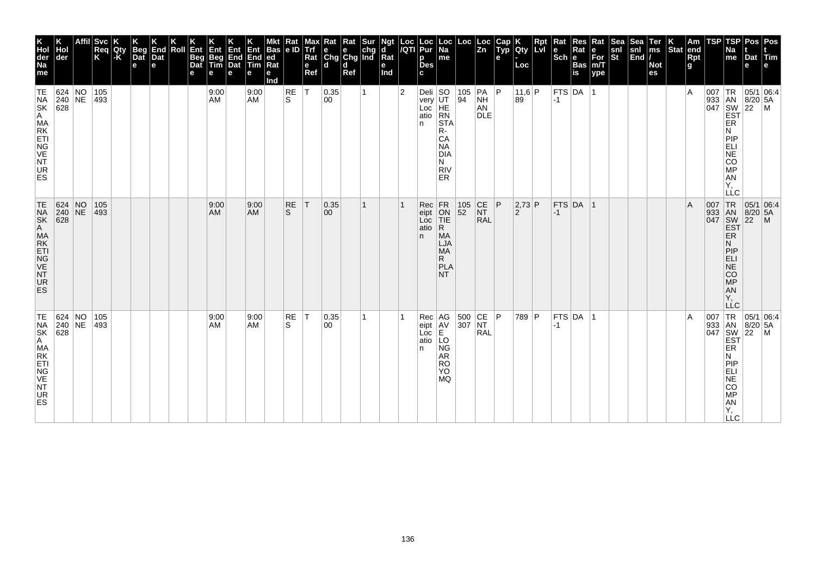| K<br>Hol<br>der<br>Na<br>me<br>TE                                     | Hol<br>der<br>624 NO<br>$240$ NE<br>$\overline{628}$                              | <b>Svc</b><br>Req<br>K<br>105<br>493 | Qty<br>-K | Beg<br>Dat<br>$\mathbf e$ | K<br>End<br>Dat<br>e | Roll | Ent<br>Beg<br>Dat<br>е | Ent<br>Beg<br>Tim<br>e<br>9:00<br>AM | Ent<br>End<br>Dat<br>е | Ent<br>End<br><b>Tim</b><br>е<br>9:00<br><b>AM</b> | <b>Bas</b><br> ed<br>Rat<br>е<br>Ind | Rat<br> e D<br>RE<br>S. | <b>Alaxy</b><br>Align<br>Rat<br>e<br>Ref<br>$\top$ | $\begin{array}{ l l }\n\hline\n\text{Rat} & \text{Rat} & \text{Sur} \\ \hline\n\text{e} & \text{e} & \text{chg} \\ \text{Chg} & \text{Chg} & \text{Ind}\n\end{array}$<br>l d<br>0.35<br>00 | d<br>Ref | 1 | Ngt<br>d<br>Rat<br>e<br>Ind | Loc<br>/QTI<br>$\overline{2}$ | Loc<br>Pur<br>p<br><b>Des</b><br>C.<br>Deli $ SO$<br>very<br>Loc<br>atio<br>n | $\vert$ Loc $\vert$ Na<br>me<br>UT<br>HE<br>RN<br><b>STA</b>                         | Loc<br> 105   PA   P<br>94                | Loc<br>Zn<br><b>NH</b><br>AN<br><b>DLE</b> | Cap<br>Typ<br>e | <b>Qty</b><br>Loc<br>11,6 P<br>89 | Rpt | $\vert$ Rat<br>$\left \frac{e}{Sch}\right $ R<br>$-1$ | Res<br>Rat<br><b>Bas</b><br>is<br> FTS DA 1 | Rat<br>e<br>For<br>m/T<br>ype | Sea<br>snl<br>St | Sea<br>snl<br>End | Ter<br>ms<br><b>Not</b><br>es | $\left \begin{array}{c} K \\ \text{Stat} \end{array}\right $ am | Rpt<br>g<br>۱A | TSP<br>007 | TSP<br>Na<br>me<br>TR<br>933 AN 8/20<br>047 SW 22<br>EST<br>ER                                                                                                              | Dat<br>е<br> 8/20 5A                      | Pos Pos<br>Tim<br> 05/1 06:4<br>l M |
|-----------------------------------------------------------------------|-----------------------------------------------------------------------------------|--------------------------------------|-----------|---------------------------|----------------------|------|------------------------|--------------------------------------|------------------------|----------------------------------------------------|--------------------------------------|-------------------------|----------------------------------------------------|--------------------------------------------------------------------------------------------------------------------------------------------------------------------------------------------|----------|---|-----------------------------|-------------------------------|-------------------------------------------------------------------------------|--------------------------------------------------------------------------------------|-------------------------------------------|--------------------------------------------|-----------------|-----------------------------------|-----|-------------------------------------------------------|---------------------------------------------|-------------------------------|------------------|-------------------|-------------------------------|-----------------------------------------------------------------|----------------|------------|-----------------------------------------------------------------------------------------------------------------------------------------------------------------------------|-------------------------------------------|-------------------------------------|
| NA<br>SK<br>A MA<br>KETI<br>NG<br>VE<br>NT<br>UR<br><b>ES</b>         |                                                                                   |                                      |           |                           |                      |      |                        |                                      |                        |                                                    |                                      |                         |                                                    |                                                                                                                                                                                            |          |   |                             |                               |                                                                               | R-<br>CA<br><b>NA</b><br><b>DIA</b><br>N<br><b>RIV</b><br>ER                         |                                           |                                            |                 |                                   |     |                                                       |                                             |                               |                  |                   |                               |                                                                 |                |            | N<br>PIP<br>ELI<br>NE<br>CO<br>MP<br>AN<br>Y,<br>LLC                                                                                                                        |                                           |                                     |
| TE<br>NA<br>SK<br>A MA<br>E TIG<br>VE<br><b>NT</b><br><b>UR</b><br>ES | $\begin{array}{ c c c }\n 624 & NO \\  240 & NE\n\end{array}$<br>$\overline{628}$ | 105<br>$ 493\rangle$                 |           |                           |                      |      |                        | 9:00<br><b>AM</b>                    |                        | 9:00<br><b>AM</b>                                  |                                      | <b>RE</b><br>S.         | İΤ                                                 | 0.35 <br>00                                                                                                                                                                                |          | 1 |                             |                               | Rec<br>eipt<br>Loc<br>atio<br>n.                                              | FR<br>ON<br>TIE<br>$\mathsf{R}$<br><b>MA</b><br>LJA<br><b>MA</b><br>R.<br>PLA<br>NT. | $\begin{array}{ c} 105 \\ 52 \end{array}$ | $\overline{\text{C}}$<br>NT<br><b>RAL</b>  | P               | 2,73 P<br>$\overline{2}$          |     | $-1$                                                  | FTS DA 1                                    |                               |                  |                   |                               |                                                                 | ΙA             |            | 007 TR<br>933 AN<br>047 SW<br><b>EST</b><br>ER<br>N<br>PIP<br>ELI<br>NE<br>CO <sub>MP</sub><br>AN<br>Υ.<br>LĹC                                                              | 05/1 06:4<br>$8/20$ 5A<br>$\overline{22}$ | $\mathsf{M}$                        |
| TE<br>NSK<br>SA MAKTI<br>NG VET<br>UR<br><b>ES</b>                    | 624 NO<br>240 NE<br>$\overline{628}$                                              | 105<br>493                           |           |                           |                      |      |                        | 9:00<br>AM                           |                        | 9:00<br><b>AM</b>                                  |                                      | RE<br>S.                | $\top$                                             | 0.35 <br>00                                                                                                                                                                                |          | 1 |                             |                               | Rec<br>eipt<br>Loc<br>atio<br>n                                               | AG<br>AV<br>E<br>LO<br><b>NG</b><br>AR<br><b>RO</b><br><b>YO</b><br>MQ.              | 500 CE P<br>307 NT                        | RAL                                        |                 | 789 P                             |     | -1                                                    | $FTS$ DA 1                                  |                               |                  |                   |                               |                                                                 | ١A             | 007        | $\begin{array}{ c c }\n 933 & AN\\  047 & SW\\  \hline\n EST\n \end{array}$<br>ER<br>Ν<br>PIP<br>ELI<br>$\overline{NE}$<br>CO<br><b>MP</b><br><b>AN</b><br>Υ,<br><b>LLC</b> | 8/20 5A<br>$\overline{22}$                | TR 05/1 06:4<br>l M                 |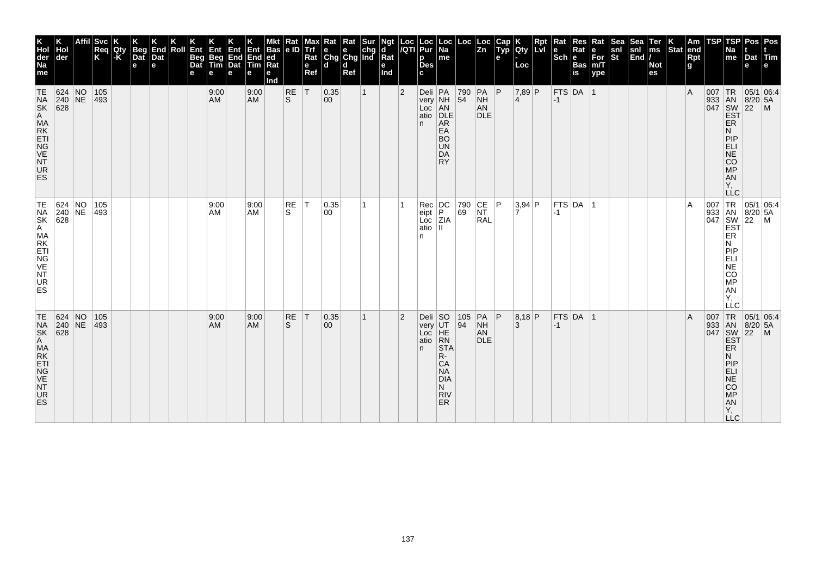| K<br>Hol<br>der<br>Na<br>me                                       | Hol<br>der                                                                 | <b>Svc</b><br>Req<br>K | Qty<br>-K | <b>Beg</b><br>Dat<br>e | End<br>Dat<br>e | Roll | Ent<br>Beg<br>Dat<br>е | Ent<br>Beg<br>Tim<br>e | Ent<br>End<br>Dat<br>е | Ent<br>End<br>Tim<br>е | Bas<br>ed<br>Rat<br>е<br>Ind | Rat<br> e D    | Max<br>Trí<br>Rat<br>e<br>Ref | $\begin{array}{ l l }\n\hline\n\text{Rat} & \text{Rat} & \text{Sur} \\ \hline\n\text{e} & \text{e} & \text{chg} \\ \text{Chg} & \text{Chg} & \text{Ind}\n\end{array}$<br>l d | d<br>Ref |              | Ngt<br>d<br>Rat<br>e<br>Ind | Loc<br>/QTI    | Loc<br>Pur<br>р<br><b>Des</b><br>c   | Loc<br> Na<br>me                                                                              | Loc                                       | Loc<br>Zn                                                        | Cap<br>Typ<br>e | <b>Qty</b><br>Loc                 | <b>Red</b> | $\vert$ Rat<br>$\left \frac{e}{Sch}\right $ R | Res<br>Rat<br><b>Bas</b><br>$\overline{\mathsf{is}}$ | Rat<br>e<br>For<br>m/T<br>ype | <b>Sea</b><br>snl<br>St | Sea<br>snl<br>End | Ter<br>ms<br><b>Not</b><br>es | $\left \begin{array}{c} K \\ \end{array}\right $ Stat end | Rpt<br>g | TSP | TSP<br>Na<br>me                                                                      | Dat<br>е                               | Pos Pos<br>Tim                                                                                                                                                                                                                                                                                                                                                                                                                                                                                                                                                                                                                                                                                                         |
|-------------------------------------------------------------------|----------------------------------------------------------------------------|------------------------|-----------|------------------------|-----------------|------|------------------------|------------------------|------------------------|------------------------|------------------------------|----------------|-------------------------------|------------------------------------------------------------------------------------------------------------------------------------------------------------------------------|----------|--------------|-----------------------------|----------------|--------------------------------------|-----------------------------------------------------------------------------------------------|-------------------------------------------|------------------------------------------------------------------|-----------------|-----------------------------------|------------|-----------------------------------------------|------------------------------------------------------|-------------------------------|-------------------------|-------------------|-------------------------------|-----------------------------------------------------------|----------|-----|--------------------------------------------------------------------------------------|----------------------------------------|------------------------------------------------------------------------------------------------------------------------------------------------------------------------------------------------------------------------------------------------------------------------------------------------------------------------------------------------------------------------------------------------------------------------------------------------------------------------------------------------------------------------------------------------------------------------------------------------------------------------------------------------------------------------------------------------------------------------|
| TE<br>NSK<br>A MAKTIGE<br>NURS<br>NURS                            | 624 NO<br>$\begin{array}{ c c }\n 240 & \text{NE} \\  628 & \end{array}$   | 105<br>$ 493\rangle$   |           |                        |                 |      |                        | 9:00<br><b>AM</b>      |                        | 9:00<br><b>AM</b>      |                              | $\frac{RE}{S}$ | İΤ                            | 0.35 <br>$ 00\rangle$                                                                                                                                                        |          | $\mathbf{1}$ |                             | $\overline{2}$ | Deli PA<br>very<br>Loc<br>atio<br>n. | NH<br>AN<br>DLE<br>AR<br>EA<br><b>BO</b><br><b>UN</b><br>DA<br><b>RY</b>                      | 790<br>$\overline{54}$                    | $PA$ $P$<br><b>NH</b><br>AN<br><b>DLE</b>                        |                 | $7,89$ P<br>$\boldsymbol{\Delta}$ |            | $-1$                                          | FTS DA 1                                             |                               |                         |                   |                               |                                                           | l A      |     | ER<br>И<br>PIP<br>ELI<br>NE<br>CO<br>MP<br>AN<br>Υ,                                  | 933 AN 8/20 5.<br>047 SW 22 M<br>EST P | 05/1 06:4                                                                                                                                                                                                                                                                                                                                                                                                                                                                                                                                                                                                                                                                                                              |
| TE<br>NA<br>SK<br>A MA<br>ET<br>NG<br>VE<br>NT<br>UR<br><b>ES</b> | $\begin{array}{ c c }\n 624 & NO \\  240 & NE \\  628 & \end{array}$       | 105<br>$ 493\rangle$   |           |                        |                 |      |                        | 9:00<br>AM             |                        | 9:00<br>AM             |                              | RE<br>S.       | $\top$                        | 0.35 <br>00                                                                                                                                                                  |          |              |                             |                | Rec<br>eipt<br>Loc<br>atio<br>n      | $\left  \begin{smallmatrix} \text{DC} \ \text{P} \end{smallmatrix} \right $<br>ZIA            | 790<br>69                                 | $\begin{array}{ c c }\n\text{CE} & \text{P}\n\end{array}$<br>RAL |                 | $3.94$ P                          |            | $-1$                                          | FTS DA 1                                             |                               |                         |                   |                               |                                                           | ١A       |     | И<br>PIP<br>ELI<br>NE<br>$\overline{c}\overline{o}$<br>MP<br>AN<br>Υ,<br>LĹC         |                                        | $\begin{array}{c c}\n & \multicolumn{1}{c }{\text{C}} \\  & \downarrow & \downarrow & \downarrow \\  & \downarrow & \downarrow & \downarrow \\  & \downarrow & \downarrow & \downarrow \\  & \downarrow & \downarrow & \downarrow \\  & \downarrow & \downarrow & \downarrow \\  & \downarrow & \downarrow & \downarrow \\  & \downarrow & \downarrow & \downarrow \\  & \downarrow & \downarrow & \downarrow \\  & \downarrow & \downarrow & \downarrow \\  & \downarrow & \downarrow & \downarrow \\  & \downarrow & \downarrow & \downarrow \\  & \downarrow & \downarrow & \downarrow \\  & \downarrow & \downarrow & \downarrow \\  & \downarrow & \downarrow & \downarrow \\  & \downarrow & \downarrow & \down$ |
| TE<br>NSK<br>AMAKTIGE<br>NVK<br>NVK<br>UR<br>ES                   | 624 NO<br>$\begin{array}{ c c c }\n 240 & \text{NE} \\  628 & \end{array}$ | 105<br>493             |           |                        |                 |      |                        | 9:00<br><b>AM</b>      |                        | 9:00<br><b>AM</b>      |                              | RE<br>S        | T                             | 0.35 <br>$ 00\rangle$                                                                                                                                                        |          | $\mathbf{1}$ |                             | $\overline{2}$ | Deli SO<br>very<br>Loc<br>atio<br>n. | UT<br>HE<br>RN<br><b>STA</b><br>R-<br>CA<br><b>NA</b><br><b>DIA</b><br>N.<br><b>RIV</b><br>ER | $\begin{array}{ c} 105 \\ 94 \end{array}$ | $\overline{PA}$ $\overline{P}$<br><b>NH</b><br>AN<br><b>DLE</b>  |                 | 8,18 P<br>3                       |            | $-1$                                          | $FTS$ DA  1                                          |                               |                         |                   |                               |                                                           | l A      | 007 | 933 AN<br>047 SW<br>EST<br><b>ER</b><br>N<br>PIP<br>ELI<br>COMPO<br>Y,<br><b>LLC</b> | $8/20$ 5A<br>$\overline{22}$           | TR 05/1 06:4<br>$\mathsf{M}$                                                                                                                                                                                                                                                                                                                                                                                                                                                                                                                                                                                                                                                                                           |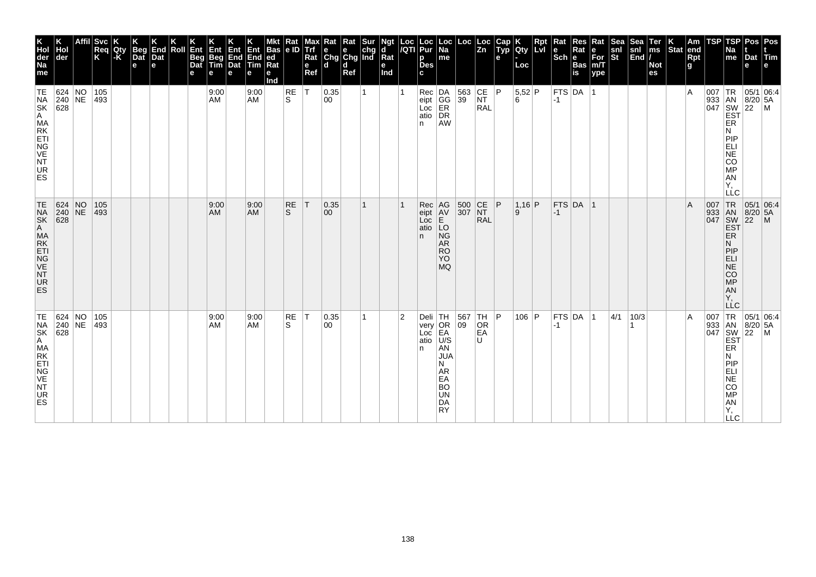| K<br>Hol<br>der<br>Na<br>me                                  | Hol<br>der                                                                 | <b>Svc</b><br>Req<br>K | Qty<br>-K | <b>Beg</b><br>Dat<br>e | End<br>Dat<br>$\mathbf e$ | Roll | Ent<br>Beg<br>Dat<br>е | Ent<br>Beg<br>Tim<br>е | Ent<br>End<br>Dat<br>е | Ent<br>End<br><b>Tim</b><br>е | Bas<br> ed<br>Rat<br>е<br>Ind | Rat<br> e D | Max<br>Trf<br>Rat<br>e<br>Ref | Rat Rat Sur<br>e e chg<br>Chg Chg Ind<br>l d | d<br>Ref | Ngt<br>d<br>Rat<br>e<br>Ind |                | Loc  Loc<br><i> I</i> QTI  Pur<br>р<br><b>Des</b> | $\vert$ Loc $\vert$ Na<br>me                                                          | Loc                                                      | $\vert$ Loc<br>$\vert$ Zn | Cap<br>Typ<br>e | Qty<br>Loc    | Rpt<br>Lvi | Rat<br>$ \overline{\text{Sch}} e$ | Res<br>Rat<br><b>Bas</b><br>is | Rat<br>е<br>$\bar{F}$ or<br>m/T<br>ype | Sea <sup>-</sup><br>snl<br>St | Sea<br>snl<br>$\left \overline{\text{End}}\right $ | Ter<br>ms<br><b>Not</b><br>es | <b>Stat</b> | Am<br>end<br>Rpt<br>g | TSP | <b>TSP</b><br>Na<br>me                                                                                           | Dat Tim<br>e                              | Pos   Pos                                                                                                                                                                                                                                                                                                                                                                                                                |
|--------------------------------------------------------------|----------------------------------------------------------------------------|------------------------|-----------|------------------------|---------------------------|------|------------------------|------------------------|------------------------|-------------------------------|-------------------------------|-------------|-------------------------------|----------------------------------------------|----------|-----------------------------|----------------|---------------------------------------------------|---------------------------------------------------------------------------------------|----------------------------------------------------------|---------------------------|-----------------|---------------|------------|-----------------------------------|--------------------------------|----------------------------------------|-------------------------------|----------------------------------------------------|-------------------------------|-------------|-----------------------|-----|------------------------------------------------------------------------------------------------------------------|-------------------------------------------|--------------------------------------------------------------------------------------------------------------------------------------------------------------------------------------------------------------------------------------------------------------------------------------------------------------------------------------------------------------------------------------------------------------------------|
| TE<br>NSK<br>AMAKTIGE<br>NVK<br>NVK<br>UR<br>ES              | 624 NO<br>$\begin{array}{ c c }\n 240 & \text{NE} \\  628 & \end{array}$   | 105<br>493             |           |                        |                           |      |                        | 9:00<br>AM             |                        | 9:00<br><b>AM</b>             |                               | RE<br>ls.   | İΤ                            | 0.35<br>00                                   |          |                             |                | n.                                                | Rec<br>eipt<br>Loc<br>ER<br>atio<br>DR<br><b>AW</b>                                   | $\begin{array}{ c c }\n 563 \\  39\n\end{array}$         | CE<br>NT<br><b>RAL</b>    | P               | $5,52$ P<br>6 |            | $ -1 $                            | $ $ FTS $ $ DA $ $ 1           |                                        |                               |                                                    |                               |             | $\overline{A}$        |     | ER<br>N<br>PIP<br>ELI<br>NE<br>CO<br><b>MP</b><br><b>AN</b><br>Υ.<br>LLC                                         |                                           | $\begin{array}{r} \n 1 \text{ R} \\  933 \text{ AN} \\  047 \text{ SW} \\  50 \text{ SY} \\  1047 \text{ SY} \\  1047 \text{ SY} \\  1047 \text{ SY} \\  1047 \text{ SY} \\  1047 \text{ SY} \\  1047 \text{ SY} \\  1047 \text{ SY} \\  1047 \text{ SY} \\  1047 \text{ SY} \\  1047 \text{ SY} \\  1047 \text{ SY} \\  1047 \text{ SY} \\  1047 \text{ SY} \\  1047 \text{ SY} \\  1047 \text{ SY} \\  1047 \text{ SY$ |
| TE NSK<br>A MAKTI<br>E NG VE<br>NT<br><b>UR</b><br>ES        | $\begin{array}{ c c c }\n 624 & NO \\  240 & NE \\  628 & \end{array}$     | 105<br>$ 493\rangle$   |           |                        |                           |      |                        | 9:00<br>AM             |                        | 9:00<br><b>AM</b>             |                               | RE<br>S.    | $\top$                        | 0.35<br>00                                   |          |                             |                | Rec<br>eipt<br>Loc<br>atio<br>n.                  | AG<br>AV<br>E<br>LO<br><b>NG</b><br>AR<br><b>RO</b><br>YO<br><b>MQ</b>                | 500 CE P<br>307 NT                                       | <b>RAL</b>                |                 | $1,16$ P<br>9 |            | $-1$                              | FTS DA 1                       |                                        |                               |                                                    |                               |             | $\mathsf{A}$          |     | 007 TR<br>933 AN<br>047 SW<br>EST<br>ER.<br>N<br> P P<br><b>ELI</b><br>$N\bar{E}$<br>CO<br>MP<br>AN<br>Υ.<br>LLC | 05/1 06:4<br>$8/20$ 5A<br>$\overline{22}$ | $\mathsf{M}$                                                                                                                                                                                                                                                                                                                                                                                                             |
| TE<br>NA<br>SK<br>A MA<br>KETI<br>NG<br>VE<br>NT<br>UR<br>ES | 624 NO<br>$\begin{array}{ c c c }\n 240 & \text{NE} \\  628 & \end{array}$ | 105<br>493             |           |                        |                           |      |                        | 9:00<br>AM             |                        | 9:00<br><b>AM</b>             |                               | RE<br>S     | $\top$                        | 0.35<br>00                                   |          |                             | $\overline{2}$ | Deli TH<br>very OR<br>Loc EA<br>atio<br>n.        | U/S<br>AN<br><b>JUA</b><br>N<br><b>AR</b><br>EA<br><b>BO</b><br>UN<br>DA<br><b>RY</b> | $\begin{array}{ c c }\n567 & TH \\ 09 & OR\n\end{array}$ | EA<br>U                   | P               | 106 P         |            | $ -1$                             | $FTS$ DA $ 1$                  |                                        | 4/1                           | 10/3                                               |                               |             | $\overline{A}$        |     | ER<br>N<br>PIP<br>ELI<br><b>NE</b><br><b>CO</b><br>MP<br>AN<br>Υ,<br><b>LLC</b>                                  |                                           |                                                                                                                                                                                                                                                                                                                                                                                                                          |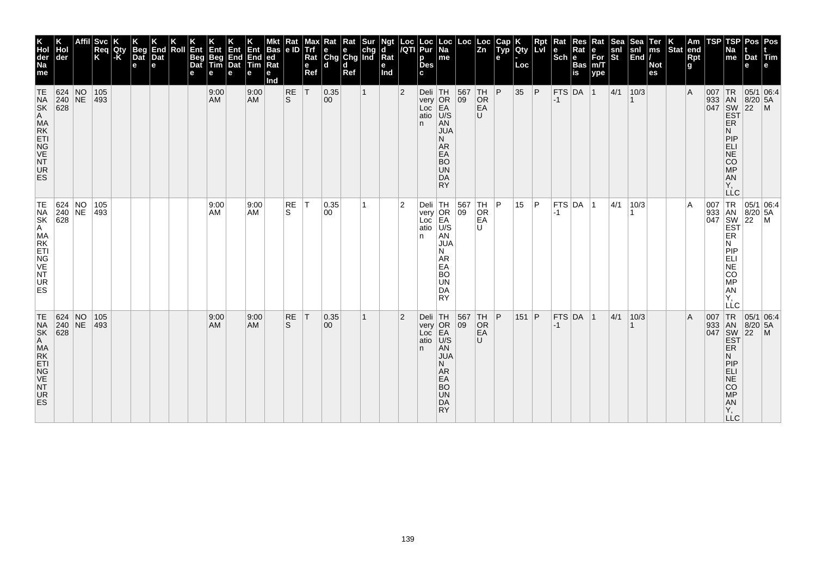| K<br>Hol<br>der<br>Na<br>me<br>TE                                                                    | Hol<br>der<br>624 NO                                                     | <b>Svc</b><br> Req<br> K<br>105 | Qty<br>$\mathsf{K}$ | Beg<br>Dat<br>e | End<br>Dat<br>$\mathbf e$ | Roll | Ent<br>Beg<br>Dat | <b>目10</b><br>Beg<br>Tim<br>е<br>9:00 | Ent<br>End<br>Dat<br>е | End<br><b>Tim</b><br>е<br>9:00 | Bas<br> ed<br>Rat<br>е<br>Ind | Rat<br> e D<br>RE | Max<br>e<br>Ref<br> T | Rat<br>Trf e e chg<br>Rat Chg Chg Ind<br>l d<br> 0.35 | Rat<br>d<br>Ref | <b>Sur</b><br>$\mathbf{1}$ | Ngt<br>ď<br>Rat<br>e<br>Ind | Loc<br><b>IQTI</b><br>$\overline{2}$ | Loc<br>Pur<br>р<br><b>Des</b><br>Deli TH | $\vert$ Loc $\vert$<br>Na<br>me                                                                                       | Loc<br>567<br>$ 09\rangle$               | Loc<br>$\overline{z}$ <sub>n</sub><br>TH | Cap<br>$\tilde{$ , Typ}<br>e<br> P | Qty<br>Loc<br>35 | Rpt<br>lLvl<br> P | Rat<br>$ \mathsf{Sch} $ e<br>FTS DA 1 | <b>Res</b><br>Rat<br><b>Bas</b><br>is | Rat<br>е<br>$For$ <sub>m/T</sub><br>ype | Sea<br>snl<br>$ \tilde{\mathbf{s}}$ t<br> 4/1 | Sea<br>snl<br>$\left \overline{\text{End}}\right $<br>10/3 | Ter<br>ms<br><b>Not</b><br>es | Stat end | Am<br>Rpt<br>g<br>$\overline{A}$ | TSP | TSP<br>Na<br>me                                                                       | Dat Tim<br>e<br> 05/1 06:4                                                                                                                                                                                                                                        | Pos   Pos |
|------------------------------------------------------------------------------------------------------|--------------------------------------------------------------------------|---------------------------------|---------------------|-----------------|---------------------------|------|-------------------|---------------------------------------|------------------------|--------------------------------|-------------------------------|-------------------|-----------------------|-------------------------------------------------------|-----------------|----------------------------|-----------------------------|--------------------------------------|------------------------------------------|-----------------------------------------------------------------------------------------------------------------------|------------------------------------------|------------------------------------------|------------------------------------|------------------|-------------------|---------------------------------------|---------------------------------------|-----------------------------------------|-----------------------------------------------|------------------------------------------------------------|-------------------------------|----------|----------------------------------|-----|---------------------------------------------------------------------------------------|-------------------------------------------------------------------------------------------------------------------------------------------------------------------------------------------------------------------------------------------------------------------|-----------|
| NA<br>SK<br>A MA<br>KETI<br>VE<br>NT<br>VE<br>NT<br>UR<br>ES                                         | $ 240 $ NE<br>$\overline{628}$                                           | $ 493\rangle$                   |                     |                 |                           |      |                   | <b>AM</b>                             |                        | <b>AM</b>                      |                               | ls.               |                       | $ 00\rangle$                                          |                 |                            |                             |                                      | atio<br>n.                               | very OR<br>Loc EA<br>U/S<br>AN<br><b>JUA</b><br>N<br>AR<br>EA<br><b>BO</b><br><b>UN</b><br>DA<br><b>RY</b>            |                                          | <b>OR</b><br>EA<br>$\cup$                |                                    |                  |                   | $ -1$                                 |                                       |                                         |                                               |                                                            |                               |          |                                  |     | <b>ER</b><br>N<br>PIP<br><b>ELI</b><br><b>NE</b><br>CO<br>$\overline{MP}$<br>AN<br>Υ, | 933 AN 8/20 5.<br>047 SW 22 M<br>EST P                                                                                                                                                                                                                            |           |
| TE<br>NA<br>SK<br>A<br>MA<br>RK<br>TT<br>ETI <sub></sub><br>NG<br>VE<br><b>NT</b><br>UR<br><b>ES</b> | $\begin{array}{ c c }\n 624 & NO \\  240 & NE \\  628 & \end{array}$     | 105<br>493                      |                     |                 |                           |      |                   | 9:00<br>AM                            |                        | 9:00<br><b>AM</b>              |                               | <b>RE</b><br>S.   | IT.                   | 0.35<br>00                                            |                 |                            |                             | 2                                    | atio<br>n.                               | Deli TH<br>very OR<br>Loc EA<br>U/S<br>AN<br><b>JUA</b><br>N<br>AR<br>EA<br><b>BO</b><br><b>UN</b><br>DA<br><b>RY</b> | $\begin{array}{c} 567 \\ 09 \end{array}$ | TH<br>OR<br>EA<br>U                      | ⊧P.                                | 15               | P                 | $ -1$                                 | FTS DA 1                              |                                         | 4/1                                           | 10/3                                                       |                               |          | A                                |     | ER<br>N<br>PIP<br><b>ELI</b><br>NE<br>CO<br>MP<br>AN<br>Υ.<br>LLC                     | $\begin{array}{c c}\n & \multicolumn{1}{c }{\bigcirc} \\  & \multicolumn{1}{c }{\bigcirc} \\  & 933 & \multicolumn{1}{c }{\text{IN}} & 05/1 & 06\n\end{array}$                                                                                                    |           |
| TE<br>NSK<br>AMAKTIGE<br>NVK<br>NVK<br>UR<br>ES                                                      | 624 NO<br>$\begin{array}{ c c }\n 240 & \text{NE} \\  628 & \end{array}$ | 105<br>493                      |                     |                 |                           |      |                   | 9:00<br><b>AM</b>                     |                        | 9:00<br><b>AM</b>              |                               | RE<br>S           | $\top$                | 0.35<br>$ 00\rangle$                                  |                 |                            |                             | 2                                    | Deli TH<br>atio<br>n.                    | very OR<br>Loc EA<br> U/S<br>AN<br><b>JUA</b><br>N<br><b>AR</b><br>EA<br><b>BO</b><br><b>UN</b><br>DA<br><b>RY</b>    | 567<br>$ 09\rangle$                      | TH<br>OR<br>EA<br>$\cup$                 | P                                  | 151 P            |                   | $-1$                                  | FTS DA 1                              |                                         | 4/1                                           | 10/3                                                       |                               |          | $\overline{A}$                   |     | ER<br>N<br>PIP<br>ELI<br><b>NE</b><br><b>CO</b><br>MP<br>AN<br>Y,<br><b>LLC</b>       | $\begin{array}{r} \n 1R \n 05/1 \n 16 \n 047 \n 80/20 \n 5A \n 16/122 \n 16/121 \n 16/121 \n 17/121 \n 18/122 \n 17/121 \n 18/122 \n 19/122 \n 19/123 \n 10/124 \n 10/125 \n 10/126 \n 10/127 \n 10/128 \n 10/128 \n 10/129 \n 10/129 \n 10/120 \n 10/120 \n 10/$ |           |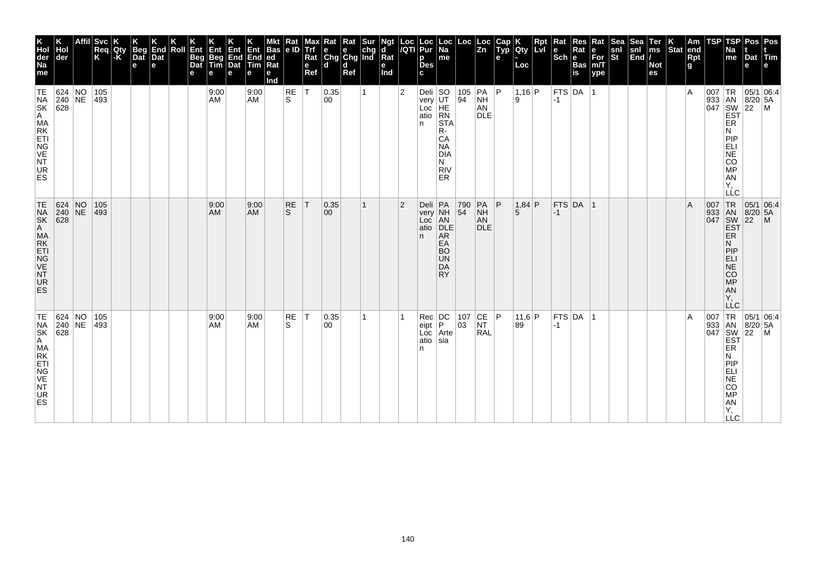| K<br>Hol<br>der<br>Na<br>me<br>TE                                     | Hol<br>der<br>624 NO<br>$240$ NE                                                  | <b>Svc</b><br>Req<br>K<br>105<br>493 | Qty<br> -K | Beg<br>Dat<br>$\mathbf e$ | K<br>End<br>Dat<br>e | Roll | Ent<br>Beg<br>Dat<br>е | Ent<br>Beg<br>Tim<br>e<br>9:00<br>AM | Ent<br>End<br>Dat<br>е | Ent<br>End<br><b>Tim</b><br>е<br>9:00<br><b>AM</b> | <b>Bas</b><br> ed<br>Rat<br>е<br>Ind | Rat<br> e D<br>RE<br>S. | <b>Alaxy</b><br>Alige<br>Rat<br>e<br>Ref<br>İΤ | $\begin{array}{ l l }\n\hline\n\text{Rat} & \text{Rat} & \text{Sur} \\ \hline\n\text{e} & \text{e} & \text{chg} \\ \text{Chg} & \text{Chg} & \text{Ind}\n\end{array}$<br>l d<br>0.35<br>00 | d<br>Ref | 1 | Ngt<br>d<br>Rat<br>e<br>Ind | Loc<br>/QTI<br>$\overline{2}$ | Loc<br>Pur<br>p<br><b>Des</b><br>c<br>Deli $ SO$<br>very | $\vert$ Loc $\vert$ Na<br>me                                                                 | Loc<br>94              | Loc<br>Zn<br> 105   PA   P<br><b>NH</b>    | Cap<br>Typ<br>e | <b>Qty</b><br>Loc<br>$1,16$ P<br>۱.۹ | Rpt | $\vert$ Rat<br>$\left \frac{e}{Sch}\right $ R<br>$-1$ | Res<br>Rat<br><b>Bas</b><br>$\overline{\mathsf{is}}$<br> FTS DA 1 | Rat<br>e<br>For<br>m/T<br>ype | Sea<br>snl<br>St | Sea<br>snl<br>End | Ter<br>ms<br><b>Not</b><br>es | $\left \begin{array}{c} K \\ \end{array}\right $ Stat end | Rpt<br>g<br>۱A | TSP<br>007 | TSP<br>Na<br>me<br>TR                                                                                                                                                       | Dat<br>е<br> 05/1 06:4<br> 8/20 5A          | Pos Pos<br>Tim |
|-----------------------------------------------------------------------|-----------------------------------------------------------------------------------|--------------------------------------|------------|---------------------------|----------------------|------|------------------------|--------------------------------------|------------------------|----------------------------------------------------|--------------------------------------|-------------------------|------------------------------------------------|--------------------------------------------------------------------------------------------------------------------------------------------------------------------------------------------|----------|---|-----------------------------|-------------------------------|----------------------------------------------------------|----------------------------------------------------------------------------------------------|------------------------|--------------------------------------------|-----------------|--------------------------------------|-----|-------------------------------------------------------|-------------------------------------------------------------------|-------------------------------|------------------|-------------------|-------------------------------|-----------------------------------------------------------|----------------|------------|-----------------------------------------------------------------------------------------------------------------------------------------------------------------------------|---------------------------------------------|----------------|
| NA<br>SK<br>A MA<br>KETI<br>NG<br>VE<br>NT<br>UR<br>ES                | $\overline{628}$                                                                  |                                      |            |                           |                      |      |                        |                                      |                        |                                                    |                                      |                         |                                                |                                                                                                                                                                                            |          |   |                             |                               | Loc<br>atio<br>n                                         | UT<br>HE<br>RN<br><b>STA</b><br>R-<br>CA<br><b>NA</b><br><b>DIA</b><br>N<br><b>RIV</b><br>ER |                        | AN<br><b>DLE</b>                           |                 |                                      |     |                                                       |                                                                   |                               |                  |                   |                               |                                                           |                |            | 933 AN 8/20<br>047 SW 22<br>EST<br>ER<br>N<br>PIP<br>ELI<br>NE<br>CO<br>MP<br><b>AN</b><br>Y,<br>LLC                                                                        |                                             | l M            |
| TE<br>NA<br>SK<br>A MA<br>E TIG<br>VE<br><b>NT</b><br><b>UR</b><br>ES | $\begin{array}{ c c c }\n 624 & NO \\  240 & NE\n\end{array}$<br>$\overline{628}$ | 105<br>$ 493\rangle$                 |            |                           |                      |      |                        | 9:00<br><b>AM</b>                    |                        | 9:00<br><b>AM</b>                                  |                                      | <b>RE</b><br>S.         | İΤ                                             | 0.35 <br>00                                                                                                                                                                                |          | 1 |                             | $\overline{2}$                | atio<br>n.                                               | Deli PA<br>very NH<br>Loc AN<br>DLE<br>AR<br>EA<br><b>BO</b><br><b>UN</b><br>DA<br><b>RY</b> | 790<br>$\overline{54}$ | $PA$ $ P$<br><b>NH</b><br>AN<br><b>DLE</b> |                 | $1,84$ P<br>5                        |     | $-1$                                                  | FTS DA 1                                                          |                               |                  |                   |                               |                                                           | ΙA             |            | 007 TR<br>933 AN<br>047 SW<br><b>EST</b><br>ER<br>N<br>PIP<br>ELI<br>NE<br>CO<br>MP<br>AN<br>Υ.<br>LĹC                                                                      | 05/1 06:4<br>$8/20$ 5A<br>$\overline{22}$   | $\mathsf{M}$   |
| TE NAK<br>SK A MAK<br>ET NG VE NT<br>UR<br><b>ES</b>                  | 624 NO<br>240 NE<br>$\overline{628}$                                              | 105<br>493                           |            |                           |                      |      |                        | 9:00<br>AM                           |                        | 9:00<br><b>AM</b>                                  |                                      | RE<br>S.                | $\top$                                         | 0.35 <br>00                                                                                                                                                                                |          | 1 |                             |                               | Rec<br>eipt<br>Loc<br>atio<br>n                          | DC<br>P<br>Arte<br>sia                                                                       | 107<br>03              | CE P<br><b>NT</b><br>RAL                   |                 | 11,6 P<br>89                         |     | $-1$                                                  | $FTS$ DA 1                                                        |                               |                  |                   |                               |                                                           | ١A             | 007        | $\begin{array}{ c c }\n 933 & AN\\  047 & SW\\  \hline\n EST\n \end{array}$<br>ER<br>N<br>PIP<br>ELI<br>$\overline{NE}$<br>CO<br><b>MP</b><br><b>AN</b><br>Υ,<br><b>LLC</b> | TR 05/1 06:4<br> 8/20 5A<br>$\overline{22}$ | l M            |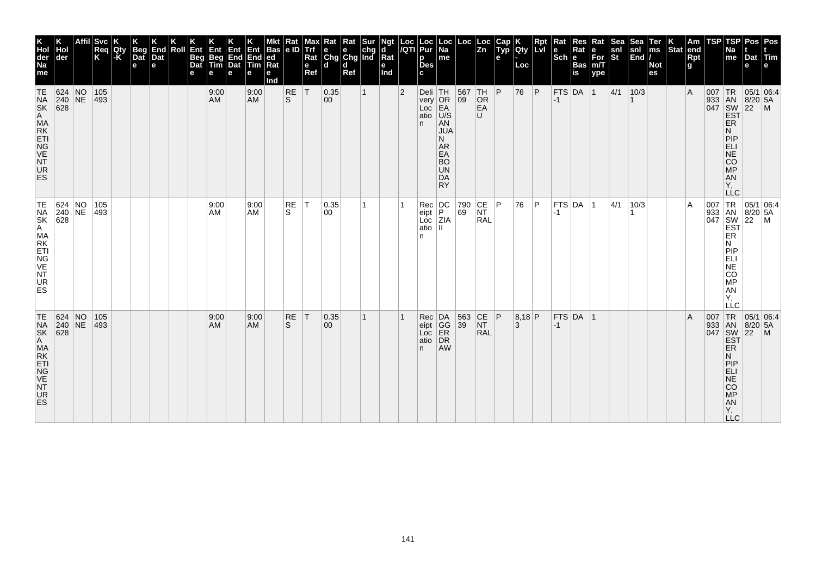| K<br>Hol<br>der<br>Na<br>me                                                                                                                                                                                                                            | der                                                                        | <b>Svc</b><br>Req<br>K | Qty<br>$\mathsf{K}$ | Beg<br>Dat<br>e | K<br>End<br>Dat<br>e | Roll | $K$ Ent<br>Beg<br>Dat<br>е | Ent<br>Beg<br>Tim<br>e | <b>Ent</b><br><b>End</b><br>Dat<br>е | Ent<br>End<br><b>ftim</b><br>е | <b>Bas</b><br>ed<br>Rat<br>е<br>Ind | Rat<br> e D         | Max<br>Trf<br>Rat<br>$\mathbf e$<br>Ref | Rat<br>e e chg<br>Chg Chg Ind<br>d d | Rat<br>Ref | Sur          | Ngt<br>d<br>$\bar{R}$ at<br>е<br>Ind | Loc<br>/QTI    | Loc<br>Pur<br>p<br><b>Des</b><br>C.            | Loc  <br>Na<br>me                                                                      | Loc               | Loc<br>Zn                                                        | Cap<br>Typ<br>e | Qty<br>Loc  | Rpt<br><b>LvI</b> | Rat<br>$\left \begin{array}{c}\n\mathbf{e} \\ \text{Sch}\n\end{array}\right $ R | Res<br>Rat<br>Bas<br>is | Rat<br>e<br>For<br>m/T<br>ype | <b>Sea</b><br>$\frac{\mathsf{snl}}{\mathsf{St}}$ | Sea<br>snl<br>End | Ter<br>ms<br><b>Not</b><br>es | $\left \begin{array}{c} K \\ \hline \end{array}\right $ am $\left \begin{array}{c} R \\ \hline \end{array}\right $ | Rpt<br>g | TSP | TSP<br>Na<br>$\vert$ me                                            | Pos<br>Dat<br>e              | Pos<br>$ \mathsf{Tim} $<br>l e l                                                                                                                                                                                                                                            |
|--------------------------------------------------------------------------------------------------------------------------------------------------------------------------------------------------------------------------------------------------------|----------------------------------------------------------------------------|------------------------|---------------------|-----------------|----------------------|------|----------------------------|------------------------|--------------------------------------|--------------------------------|-------------------------------------|---------------------|-----------------------------------------|--------------------------------------|------------|--------------|--------------------------------------|----------------|------------------------------------------------|----------------------------------------------------------------------------------------|-------------------|------------------------------------------------------------------|-----------------|-------------|-------------------|---------------------------------------------------------------------------------|-------------------------|-------------------------------|--------------------------------------------------|-------------------|-------------------------------|--------------------------------------------------------------------------------------------------------------------|----------|-----|--------------------------------------------------------------------|------------------------------|-----------------------------------------------------------------------------------------------------------------------------------------------------------------------------------------------------------------------------------------------------------------------------|
| TE<br><b>THE PASA PROCESS AN AMERICAN PROCESS AN AMERICAN PROCESS AND REPORT PROCESS AND REPORT PROCESS AND REPORT PROCESS AND REPORT PROCESS AND REPORT PROCESS AND REPORT PROCESS AND REPORT PROCESS AND REPORT PROCESS AND REPORT P</b><br>UR<br>ES | 624 NO                                                                     | 105<br>$ 493\rangle$   |                     |                 |                      |      |                            | 9:00<br>AM             |                                      | 9:00<br>AM                     |                                     | $_{\rm S}^{\rm RE}$ | İΤ                                      | 0.35 <br>00                          |            | $\mathbf{1}$ |                                      | $\overline{2}$ | Deli TH<br>very OR<br>Loc EA<br>atio U/S<br>n. | AN<br><b>JUA</b><br>N<br>AR<br>EA<br><b>BO</b><br>UN<br>DA<br><b>RY</b>                | 567<br>09         | TH <br>OR<br>EA<br>U                                             | P               | 76          | P                 | $-1$                                                                            | $FTS$ DA $ 1$           |                               | 4/1                                              | 10/3              |                               |                                                                                                                    | l A      |     | ER<br>N<br>PIP<br>ELI<br>AN<br>AN<br>AN<br>Ÿ,<br><b>LLC</b>        |                              | $\begin{array}{r} \n 1R \n 05/1 \n 0.4 \n 0.4 \n 0.4 \n 0.4 \n 0.4 \n 0.4 \n 0.4 \n 0.4 \n 0.4 \n 0.4 \n 0.4 \n 0.4 \n 0.4 \n 0.4 \n 0.4 \n 0.4 \n 0.4 \n 0.4 \n 0.4 \n 0.4 \n 0.4 \n 0.4 \n 0.4 \n 0.4 \n 0.4 \n 0.4 \n 0.4 \n 0.4 \n 0.4 \n 0.4 \n 0.4 \n 0.4 \n 0.4 \n $ |
| TE<br>NA<br>SK<br>A MA<br>K ET<br>NG<br>VE<br>NT<br><b>UR</b><br>ES                                                                                                                                                                                    | $\begin{array}{ c c }\n 624 & NO \\  240 & NE \\  628 & \end{array}$       | 105<br>$ 493\rangle$   |                     |                 |                      |      |                            | 9:00<br>AM.            |                                      | 9:00<br>AM                     |                                     | RE<br>S.            | ΙT                                      | 0.35<br>00                           |            |              |                                      |                | Rec<br>eipt<br>Loc<br>atio<br>n                | $\left  \begin{smallmatrix} \textrm{DC} \ \textrm{P} \end{smallmatrix} \right $<br>ZIA | 790<br>69         | $\begin{array}{ c c }\n\text{CE} & \text{P}\n\end{array}$<br>RAL |                 | 76          | ∣P.               | -1                                                                              | FTS DA 1                |                               | 4/1                                              | 10/3              |                               |                                                                                                                    | ΙA       |     | N<br>PIP<br>ELI<br>NE<br>CO <sub>MP</sub><br>AN<br>Υ.<br>LĹC       |                              | 007 TR 05/1 06:4<br>933 AN 8/20 5A<br>047 SW 22 M<br>EST ER                                                                                                                                                                                                                 |
| TE<br>NSK<br>AMAKTIGE<br>NVK<br>NVK<br>UR<br>ES                                                                                                                                                                                                        | 624 NO<br>$\begin{array}{ c c c }\n 240 & \text{NE} \\  628 & \end{array}$ | 105<br>493             |                     |                 |                      |      |                            | 9:00<br>AM             |                                      | 9:00<br><b>AM</b>              |                                     | RE<br>S             | T                                       | 0.35 <br>$ 00\rangle$                |            | 1            |                                      |                | Rec<br>eipt<br>Loc<br>atio<br>n.               | DA<br>GG<br>ER<br>DR<br>DR<br><b>AW</b>                                                | 563 CE P<br>39 NT | <b>RAL</b>                                                       |                 | 8,18 P<br>3 |                   | $-1$                                                                            | $FTS$ DA  1             |                               |                                                  |                   |                               |                                                                                                                    | A        | 007 | 933 AN<br>047 SW<br>EST<br>ER<br>N<br>PIEL<br>APSORT<br><b>LLC</b> | $8/20$ 5A<br>$\overline{22}$ | TR 05/1 06:4<br>$\mathsf{M}$                                                                                                                                                                                                                                                |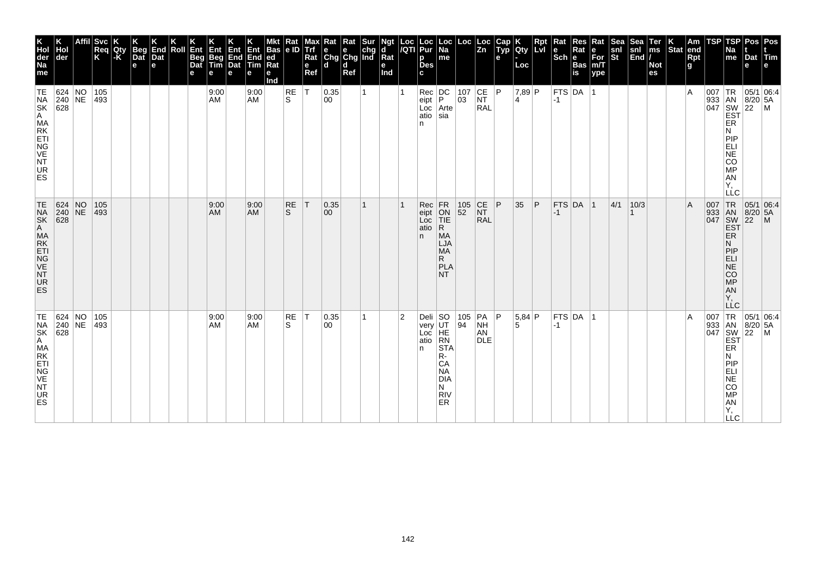| K<br>Hol<br>der<br>Na<br>me<br>TE                            | Hol<br>der<br>624 NO<br>$\begin{array}{ c c }\n 240 & \text{NE} \\  628 & \end{array}$ | <b>Svc</b><br>Req<br>K<br>105<br>493 | Qty<br>-K | Beg<br>Dat<br>$\mathbf e$ | K<br>End<br>Dat<br>e | Roll | Ent<br>Beg<br>Dat<br>е | Ent<br>Beg<br>Tim<br>e<br>9:00<br>AM | Ent<br>End<br>Dat<br>е | Ent<br>End<br>Tim<br>е<br>9:00<br><b>AM</b> | <b>Bas</b><br> ed<br>Rat<br>е<br>Ind | Rat<br> e D<br>RE<br>S. | <b>Alaxy</b><br>Alige<br>Rat<br>e<br>Ref<br>İΤ | $\begin{array}{ l l }\n\hline\n\text{Rat} & \text{Rat} & \text{Sur} \\ \hline\n\text{e} & \text{e} & \text{chg} \\ \text{Chg} & \text{Chg} & \text{Ind}\n\end{array}$<br>l d<br>0.35<br>00 | d<br>Ref | 1 | Ngt<br>d<br>Rat<br>e<br>Ind | Loc<br>/QTI    | Loc<br>Pur<br>р<br><b>Des</b><br>C.<br>$\begin{array}{ c c }\n\hline\n\text{Rec} & \text{DC} \\ \text{eipt} & \text{P}\n\end{array}$ | $\vert$ Loc $\vert$ Na<br>me                                                          | Loc<br>$\begin{array}{ c} 107 \\ 03 \end{array}$ | Loc<br>Zn<br> CE P<br><b>NT</b>           | Cap<br>Typ<br>e | <b>Qty</b><br>Loc<br>$7,89$ P<br>4 | Rpt          | $\vert$ Rat<br>$\left \frac{e}{Sch}\right $ R<br>$-1$ | Res<br>Rat<br><b>Bas</b><br>$\overline{\mathsf{is}}$<br> FTS DA 1 | Rat<br>e<br>For<br>m/T<br>ype | Sea<br>snl<br>St | Sea<br>snl<br>End | Ter<br>ms<br><b>Not</b><br>es | $\left \begin{array}{c} K \\ \end{array}\right $ Stat end | Rpt<br>g<br>۱A | TSP<br>007        | TSP<br>Na<br>$\mathsf{m}\mathsf{e}$<br>TR                                                                             | Dat<br>е<br> 05/1 06:4<br>$8/20$ 5A     | Pos Pos<br>Tim   |
|--------------------------------------------------------------|----------------------------------------------------------------------------------------|--------------------------------------|-----------|---------------------------|----------------------|------|------------------------|--------------------------------------|------------------------|---------------------------------------------|--------------------------------------|-------------------------|------------------------------------------------|--------------------------------------------------------------------------------------------------------------------------------------------------------------------------------------------|----------|---|-----------------------------|----------------|--------------------------------------------------------------------------------------------------------------------------------------|---------------------------------------------------------------------------------------|--------------------------------------------------|-------------------------------------------|-----------------|------------------------------------|--------------|-------------------------------------------------------|-------------------------------------------------------------------|-------------------------------|------------------|-------------------|-------------------------------|-----------------------------------------------------------|----------------|-------------------|-----------------------------------------------------------------------------------------------------------------------|-----------------------------------------|------------------|
| NA<br>SK<br>A MA<br>KETI<br>NG<br>VE<br>NT<br>UR<br>ES       |                                                                                        |                                      |           |                           |                      |      |                        |                                      |                        |                                             |                                      |                         |                                                |                                                                                                                                                                                            |          |   |                             |                | Loc<br>atio<br>n                                                                                                                     | Arte<br>$ \ddot{\text{s}} $                                                           |                                                  | <b>RAL</b>                                |                 |                                    |              |                                                       |                                                                   |                               |                  |                   |                               |                                                           |                |                   | 933 AN 8/20<br>047 SW 22<br>EST<br>ER<br>N<br>PIP<br>ELI<br>NE<br>CO<br>MP<br>AN<br>Y,<br>LLC                         |                                         | l M              |
| TE NSK<br>A MAKTI<br>E NG VE<br><b>NT</b><br><b>UR</b><br>ES | $\begin{array}{ c c c }\n 624 & NO \\  240 & NE\n\end{array}$<br>$\overline{628}$      | 105<br>$ 493\rangle$                 |           |                           |                      |      |                        | 9:00<br><b>AM</b>                    |                        | 9:00<br><b>AM</b>                           |                                      | <b>RE</b><br>S.         | İΤ                                             | 0.35 <br>$ 00\rangle$                                                                                                                                                                      |          | 1 |                             |                | Rec<br>eipt<br>Loc<br>atio<br>n.                                                                                                     | FR<br>ON<br>TIE<br>R.<br><b>MA</b><br>LJA<br><b>MA</b><br>R.<br>PLA<br>NT.            | $\begin{array}{ c} 105 \\ 52 \end{array}$        | $\overline{\text{C}}$<br>NT<br><b>RAL</b> | P               | 35                                 | $\mathsf{P}$ | $-1$                                                  | FTS DA 1                                                          |                               | 4/1              | 10/3              |                               |                                                           | ΙA             |                   | 007 TR<br>933 AN<br>047 SW<br>EST<br>ER<br>N<br>PIP<br>ELI<br>NE<br>CO <sub>MP</sub><br>AN<br>Υ.<br>LĹC               | 05/1 06:4<br>8/20 5A<br>$\overline{22}$ | $\mathsf{M}$     |
| TE NAK<br>SK A MAK<br>ET NG VE NT<br>UR<br><b>ES</b>         | 624 NO<br>$\begin{array}{ c c c }\n 240 & \text{NE} \\  628 & \end{array}$             | 105<br>493                           |           |                           |                      |      |                        | 9:00<br>AM                           |                        | 9:00<br><b>AM</b>                           |                                      | RE<br>S.                | $\top$                                         | 0.35 <br>00                                                                                                                                                                                |          | 1 |                             | $\overline{2}$ | Deli SO<br>very<br>Loc<br>atio<br>n                                                                                                  | UT<br>HE<br>RN<br>STA<br>R-<br>CA<br><b>NA</b><br><b>DIA</b><br>N<br><b>RIV</b><br>ER | 105<br>94                                        | PA P<br><b>NH</b><br>AN<br>DLE            |                 | 5,84 P<br>5                        |              | $-1$                                                  | $FTS$ DA  1                                                       |                               |                  |                   |                               |                                                           | ١A             | 007<br>933<br>047 | <b>TR</b><br>AN<br>SW<br>EST<br>ER<br>Ν<br>PIP<br>ELI<br>NE <sup>T</sup><br>CO<br><b>MP</b><br>ÄÑ<br>Υ,<br><b>LLC</b> | $8/20$ 5A<br>$\overline{22}$            | 05/1 06:4<br>l M |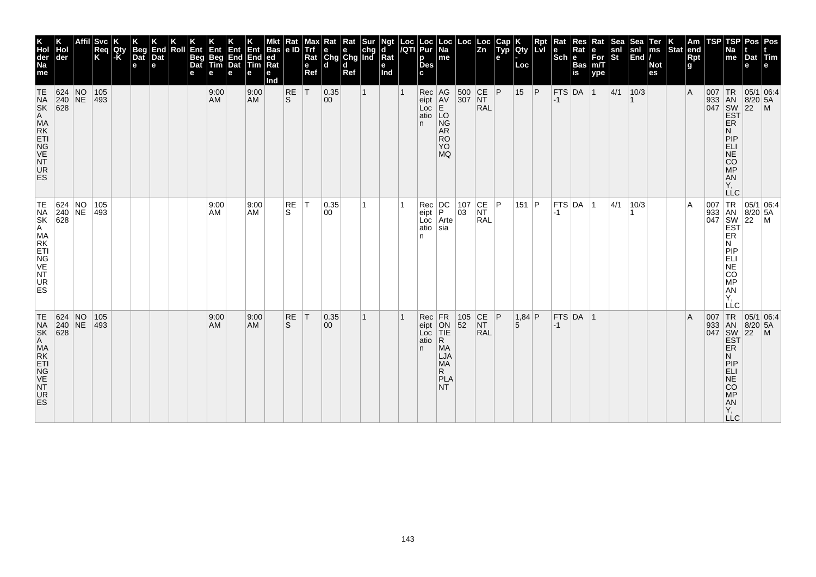| K<br>Hol<br>der<br>Na<br>me                                                                                                                                                                                                                            | der                                                                      | <b>Svc</b><br>Req<br>K | <b>IQI</b> <sub>y</sub> | <b>Beg</b><br>Dat<br>e | K<br>End<br>Dat<br>$\mathbf e$ | Roll | Ent<br>Beg<br>Dat | Ent<br>Beg<br>Tim<br>е | <b>Ent</b><br>End<br>Dat<br>е | Ent<br>End<br><b>Tim</b><br>е | <b>Bas</b><br>ed<br>Rat<br>е<br>Ind | Rat<br>e ID    | мах<br><b>Trf</b><br>Rat<br>e<br>Ref | ĸat<br>$\begin{array}{ c c c }\n\hline\ne & e & chg \\ Chg & Chg & Ind\n\end{array}$<br>l d | Rat<br>d<br>Ref | Sur | ď<br>$\bar{R}$ at<br>е<br>Ind | Loc<br>/QTI | Loc<br>Pur<br>р<br><b>Des</b>                 | $ \mathsf{Loc} $<br>Na<br>me                                                               | Loc                                       | $\vert$ Loc<br>$\vert$ Zn                                              | Cap<br>$\widetilde{$ Typ<br>е | Qty<br>Loc    | Rpt<br>l LvI | Rat<br>$ \mathsf{Sch} $ e | Res<br>Rat<br><b>Bas</b><br>is | Rat<br>е<br>For<br>m/T<br>ype | Sea<br>snl<br>St | <b>Sea</b><br>$\left \frac{\text{snl}}{\text{End}}\right $ | Ter<br>ms<br><b>Not</b><br>es | $ \text{Stat} $ | Am<br>end<br><b>Rpt</b><br>g | TSP      | TSP<br>Na<br>me                                                           | <b>Pos</b><br>Dat<br>e                            | l Pos<br>$ T$ im                                                                                                                                                                                                                                                     |
|--------------------------------------------------------------------------------------------------------------------------------------------------------------------------------------------------------------------------------------------------------|--------------------------------------------------------------------------|------------------------|-------------------------|------------------------|--------------------------------|------|-------------------|------------------------|-------------------------------|-------------------------------|-------------------------------------|----------------|--------------------------------------|---------------------------------------------------------------------------------------------|-----------------|-----|-------------------------------|-------------|-----------------------------------------------|--------------------------------------------------------------------------------------------|-------------------------------------------|------------------------------------------------------------------------|-------------------------------|---------------|--------------|---------------------------|--------------------------------|-------------------------------|------------------|------------------------------------------------------------|-------------------------------|-----------------|------------------------------|----------|---------------------------------------------------------------------------|---------------------------------------------------|----------------------------------------------------------------------------------------------------------------------------------------------------------------------------------------------------------------------------------------------------------------------|
| TE<br><b>THE PASA PROCESS AN AMERICAN PROCESS AN AMERICAN PROCESS AND REPORT PROCESS AND REPORT PROCESS AND REPORT PROCESS AND REPORT PROCESS AND REPORT PROCESS AND REPORT PROCESS AND REPORT PROCESS AND REPORT PROCESS AND REPORT P</b><br>UR<br>ES | 624 NO                                                                   | 105<br>$ 493\rangle$   |                         |                        |                                |      |                   | 9:00<br>AM             |                               | 9:00<br>AM                    |                                     | $\frac{RE}{S}$ | İΤ                                   | 0.35<br>00                                                                                  |                 |     |                               |             | $Rec$ AG<br>$eipt$ AV<br>Loc<br>atio LO<br>n. | E<br><b>NG</b><br><b>AR</b><br><b>RO</b><br>YO.<br><b>MQ</b>                               | 500 CE<br>307 NT                          | CE <br><b>RAL</b>                                                      | P                             | 15            | P            | $FTS$ DA 1<br>$ -1$       |                                |                               | 4/1              | 10/3                                                       |                               |                 | $\overline{A}$               | $007$ TR | ER<br>N<br>PIP<br>ELI<br>NE<br>CO <sub>MP</sub><br>AN<br>Y,<br><b>LLC</b> | 05/1 06:4<br>933 AN 8/20 5A<br>047 SW 22 M<br>EST |                                                                                                                                                                                                                                                                      |
| TE<br>NA<br>SK<br>A MA<br>ET<br>NG<br>NT<br>NT<br>UR<br>ES                                                                                                                                                                                             | $\begin{array}{ c c c }\n 624 & NO \\  240 & NE \\  628 & \end{array}$   | 105<br>$ 493\rangle$   |                         |                        |                                |      |                   | 9:00<br>AM             |                               | 9:00<br>AM                    |                                     | RE<br>S        | $\top$                               | 0.35 <br>00                                                                                 |                 |     |                               |             | Rec<br>eipt<br>Loc<br>atio<br>n               | $\left  \begin{smallmatrix} \text{DC} \ \text{P} \end{smallmatrix} \right $<br>Arte<br>sia | $\begin{array}{ c} 107 \\ 03 \end{array}$ | $\overline{\text{C}}\text{F}$<br>NT<br><b>RAL</b>                      | P                             | 151   $P$     |              | -1                        | $ $ FTS $ $ DA $ $ 1           |                               | 4/1              | 10/3                                                       |                               |                 | $\overline{A}$               |          | <b>ER</b><br>N<br>PIP<br>ELI<br>NE<br>CO<br>MP<br>AN<br>Υ.<br>LLC         |                                                   | 007 TR 05/1 06:4<br>933 AN 8/20 5A<br>047 SW 22 M<br>EST                                                                                                                                                                                                             |
| TE<br>NSK<br>AMAKTIGE<br>NVK<br>NVK<br>UR<br>ES                                                                                                                                                                                                        | 624 NO<br>$\begin{array}{ c c }\n 240 & \text{NE} \\  628 & \end{array}$ | 105<br>$ 493\rangle$   |                         |                        |                                |      |                   | 9:00<br>AM             |                               | 9:00<br><b>AM</b>             |                                     | RE<br>S        | $\top$                               | 0.35<br>00                                                                                  |                 |     |                               |             | $Rec$ $FR$<br>eipt<br>Loc<br>atio<br>n.       | ON<br>TIE<br>R<br><b>MA</b><br>LJA<br><b>MA</b><br>R.<br>PLA<br>NT.                        | $\begin{array}{ c} 105 \\ 52 \end{array}$ | $\begin{array}{c} \n\text{CE} \\ \text{NT}\n\end{array}$<br><b>RAL</b> |                               | $1,84$ P<br>5 |              | $-1$                      | $FTS$ DA 1                     |                               |                  |                                                            |                               |                 | $\overline{A}$               |          | ER<br>Ν<br>PIP<br>ELI<br>$N\bar{E}$<br>CO<br>MP<br>AN<br>Y,<br><b>LLC</b> |                                                   | $\begin{array}{r} \n 1R \n 05/1 \n 16. \n 18/20 \n 5A \n 18/20 \n 5A \n 22 \n 14. \n 16/21 \n 16/22 \n 16/21 \n 17/21 \n 18/22 \n 19/21 \n 10/22 \n 10/21 \n 10/22 \n 10/21 \n 11/21 \n 12/22 \n 13/21 \n 14/22 \n 15/21 \n 16/22 \n 17/23 \n 18/21 \n 17/23 \n 18/$ |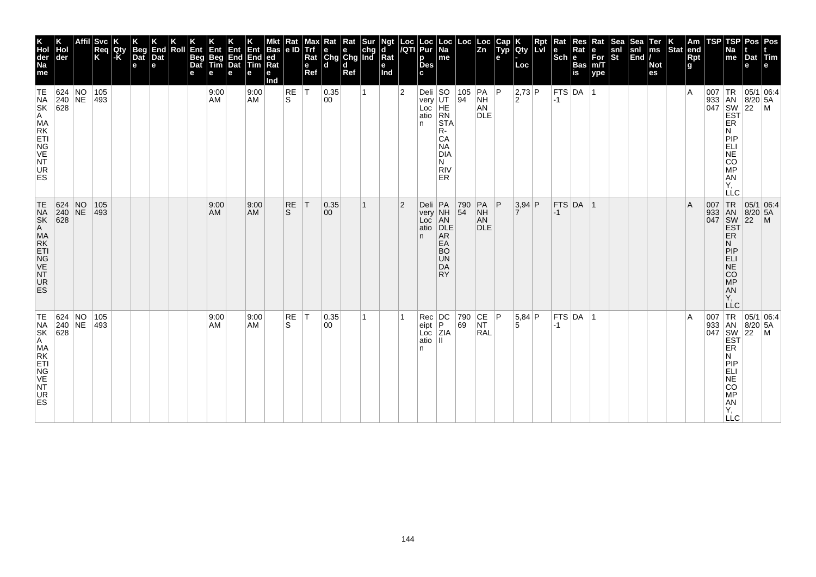| K<br>Hol<br>der<br>Na<br>me<br>TE                                     | Hol<br>der<br>624 NO<br>$240$ NE<br>$\overline{628}$                              | <b>Svc</b><br>Req<br>K<br>105<br>493 | Qty<br> -K | Beg<br>Dat<br>$\mathbf e$ | K<br>End<br>Dat<br>e | Roll | Ent<br>Beg<br>Dat<br>е | Ent<br>Beg<br>Tim<br>e<br>9:00<br>AM | Ent<br>End<br>Dat<br>е | Ent<br>End<br><b>Tim</b><br>е<br>9:00<br><b>AM</b> | <b>Bas</b><br> ed<br>Rat<br>е<br>Ind | Rat<br> e D<br>RE<br>S. | <b>Alaxy</b><br>Alige<br>Rat<br>e<br>Ref<br>İΤ | $\begin{array}{ l l }\n\hline\n\text{Rat} & \text{Rat} & \text{Sur} \\ \hline\n\text{e} & \text{e} & \text{chg} \\ \text{Chg} & \text{Chg} & \text{Ind}\n\end{array}$<br>l d<br>0.35<br>00 | d<br>Ref | 1 | Ngt<br>d<br>Rat<br>e<br>Ind | Loc<br>/QTI<br>$\overline{2}$ | Loc<br>Pur<br>p<br><b>Des</b><br>c<br>Deli $ SO$<br>very<br>Loc | $\vert$ Loc $\vert$ Na<br>me<br>UT<br>HE<br>RN                             | Loc                    | Loc<br>Zn<br>$\begin{array}{ c c c }\n\hline\n105 & PA & PA \\ 94 & NH & \hline\n\end{array}$<br>AN | Cap<br>Typ<br>e | <b>Qty</b><br>Loc<br> 2,73 P<br>2 | Rpt | $\vert$ Rat<br>$\left \frac{e}{Sch}\right $ R<br>$-1$ | Res<br>Rat<br><b>Bas</b><br>is<br> FTS DA 1 | Rat<br>e<br>For<br>m/T<br>ype | Sea<br>snl<br>St | Sea<br>snl<br>End | Ter<br>ms<br><b>Not</b><br>es | $\left \begin{array}{c} K \\ \end{array}\right $ Stat end | Rpt<br>g<br>۱A | TSP<br>007 | TSP<br>Na<br>me<br>$ {\sf TR} $<br>933 AN 8/20<br>047 SW 22<br>EST                                               | Dat<br>е<br> 05/1 06:4<br> 8/20 5A          | Pos Pos<br>Tim<br>е<br>l M |
|-----------------------------------------------------------------------|-----------------------------------------------------------------------------------|--------------------------------------|------------|---------------------------|----------------------|------|------------------------|--------------------------------------|------------------------|----------------------------------------------------|--------------------------------------|-------------------------|------------------------------------------------|--------------------------------------------------------------------------------------------------------------------------------------------------------------------------------------------|----------|---|-----------------------------|-------------------------------|-----------------------------------------------------------------|----------------------------------------------------------------------------|------------------------|-----------------------------------------------------------------------------------------------------|-----------------|-----------------------------------|-----|-------------------------------------------------------|---------------------------------------------|-------------------------------|------------------|-------------------|-------------------------------|-----------------------------------------------------------|----------------|------------|------------------------------------------------------------------------------------------------------------------|---------------------------------------------|----------------------------|
| NA<br>SK<br>A MA<br>KETI<br>NG<br>VE<br>NT<br>UR<br><b>ES</b>         |                                                                                   |                                      |            |                           |                      |      |                        |                                      |                        |                                                    |                                      |                         |                                                |                                                                                                                                                                                            |          |   |                             |                               | atio<br>n                                                       | <b>STA</b><br>R-<br>CA<br><b>NA</b><br><b>DIA</b><br>N<br><b>RIV</b><br>ER |                        | <b>DLE</b>                                                                                          |                 |                                   |     |                                                       |                                             |                               |                  |                   |                               |                                                           |                |            | ER<br>N<br>PIP<br>ELI<br>NE<br>CO<br>MP<br><b>AN</b><br>Y,<br>LLC                                                |                                             |                            |
| TE<br>NA<br>SK<br>A MA<br>E TIG<br>VE<br><b>NT</b><br><b>UR</b><br>ES | $\begin{array}{ c c c }\n 624 & NO \\  240 & NE\n\end{array}$<br>$\overline{628}$ | 105<br>$ 493\rangle$                 |            |                           |                      |      |                        | 9:00<br><b>AM</b>                    |                        | 9:00<br><b>AM</b>                                  |                                      | <b>RE</b><br>S.         | İΤ                                             | 0.35 <br>$ 00\rangle$                                                                                                                                                                      |          | 1 |                             | $\overline{2}$                | Deli PA<br>very NH<br>Loc AN<br>atio<br>n.                      | DLE<br>AR<br>EA<br><b>BO</b><br><b>UN</b><br>DA<br><b>RY</b>               | 790<br>$\overline{54}$ | PA<br><b>NH</b><br>AN<br><b>DLE</b>                                                                 | P               | $3,94$ P                          |     | $-1$                                                  | FTS DA 1                                    |                               |                  |                   |                               |                                                           | ΙA             |            | 007 TR<br>933 AN<br>047 SW<br><b>EST</b><br>ER<br>N<br>PIP<br>ELI<br>NE<br>CO<br>MP<br>AN<br>Υ.<br>LĹC           | 05/1 06:4<br>$8/20$ 5A<br>$\overline{22}$   | $\mathsf{M}$               |
| TE<br>NSK<br>SA MAKTI<br>NG VET<br>UR<br>ES                           | 624 NO<br>240 NE<br>$\overline{628}$                                              | 105<br>493                           |            |                           |                      |      |                        | 9:00<br>AM                           |                        | 9:00<br><b>AM</b>                                  |                                      | RE<br>S.                | $\top$                                         | 0.35 <br>00                                                                                                                                                                                |          | 1 |                             |                               | Rec<br>eipt<br>Loc<br>atio<br>n                                 | DC<br>P<br>ZIA                                                             | 790<br>69              | CE P<br><b>NT</b><br>RAL                                                                            |                 | 5,84 P<br>5                       |     | $-1$                                                  | FTS DA 1                                    |                               |                  |                   |                               |                                                           | ١A             | 007        | 933 AN<br>047 SW<br>EST<br>ER<br>Ν<br>PIP<br>ELI<br>$\overline{NE}$<br>CO<br><b>MP</b><br>ÄÑ<br>Υ,<br><b>LLC</b> | TR 05/1 06:4<br> 8/20 5A<br>$\overline{22}$ | l M                        |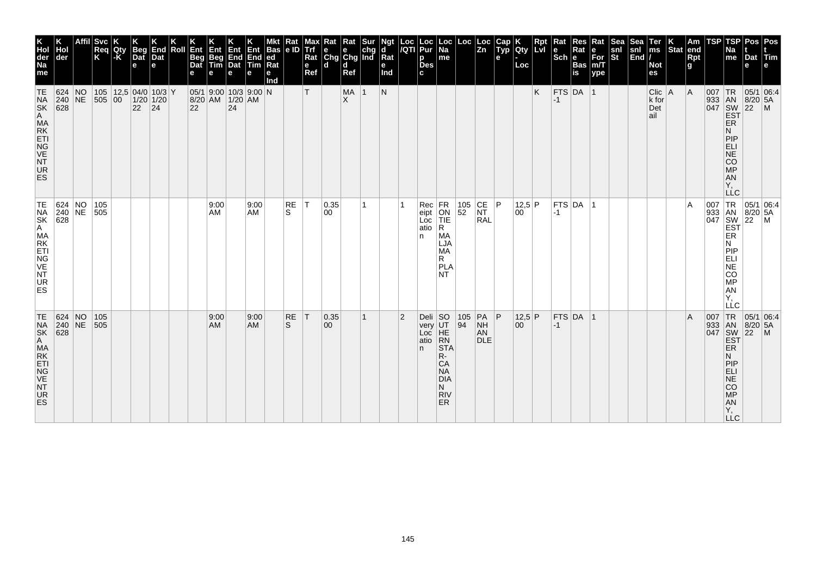| K<br>Hol<br>der<br>Na<br>me                                                        | der                                          | <b>Svc</b><br>Req<br>K          | Qty<br> -K | <b>Beg</b><br>Dat<br>$\mathbf e$                 | End<br>Dat<br>e | Roll | Ent<br><b>Beg</b><br>Dat | Ent<br>Beg<br>Tim | Ent<br>$\begin{array}{ c c }\n\hline\n\text{End} \\ \text{Data}\n\end{array}$<br>e | End<br><b>Tim</b><br>е | <b>Bas</b><br> ed <br>Ra<br>е<br>Ind | Rat<br> e D        | мах<br>Trf<br>Rat<br>e<br>Ref | Rat<br>$\begin{array}{ c c c }\n\hline\ne & e & chg \\ Chg & Chg & Ind\n\end{array}$<br>ld. | Rat<br>d<br>Ref  | Sur          | Ngt<br>ď<br>Rat<br>е<br>Ind | Loc<br>/QTI    | Loc<br>Pur<br>р<br><b>Des</b><br>C.     | ∣Loc<br>$\overline{Na}$<br>me                                                                        | Loc                                       | Loc<br>$\overline{z_n}$                                          | Cap<br>$\tilde{$ , Typ}<br>е | <b>IQty</b><br>Loc     | Rpt<br><b>ILvI</b> | Rat<br>l e<br>$ \mathsf{Sch} $ e | Res<br>Rat<br><b>Bas</b><br>is | Rat<br>е<br>$\overline{\text{For}}$ <sub>m/T</sub><br>ype | Sea<br>snl<br>St | Sea<br>snl<br>$\left \overline{\text{End}}\right $ | Ter<br>$\mathsf{ms}$<br><b>Not</b><br>es | Stat end | Am<br>Rpt<br>g | TSP | TSP<br>Na<br>me                                                                        | Dat Tim<br>е                                                   | Pos   Pos                                                                                                                                                                                                                                                                                                                                                                                      |
|------------------------------------------------------------------------------------|----------------------------------------------|---------------------------------|------------|--------------------------------------------------|-----------------|------|--------------------------|-------------------|------------------------------------------------------------------------------------|------------------------|--------------------------------------|--------------------|-------------------------------|---------------------------------------------------------------------------------------------|------------------|--------------|-----------------------------|----------------|-----------------------------------------|------------------------------------------------------------------------------------------------------|-------------------------------------------|------------------------------------------------------------------|------------------------------|------------------------|--------------------|----------------------------------|--------------------------------|-----------------------------------------------------------|------------------|----------------------------------------------------|------------------------------------------|----------|----------------|-----|----------------------------------------------------------------------------------------|----------------------------------------------------------------|------------------------------------------------------------------------------------------------------------------------------------------------------------------------------------------------------------------------------------------------------------------------------------------------------------------------------------------------------------------------------------------------|
| TE<br><b>NA</b><br><b>SK</b><br>A<br>MA<br>RK<br>ETI<br>NG<br>VE<br>NT<br>UR<br>ES | 624 NO<br>$ 240 $ NE<br>628                  | 505 00                          |            | $105$   12,5 04/0 10/3 Y<br>$1/20$ 1/20<br>22 24 |                 |      | 22                       |                   | $05/1$ 9:00 10/3 9:00 N<br>8/20 AM 1/20 AM<br>24                                   |                        |                                      |                    | т                             |                                                                                             | MA 1<br>$\times$ |              | N                           |                |                                         |                                                                                                      |                                           |                                                                  |                              |                        | K                  | $FTS$ DA 1<br>$-1$               |                                |                                                           |                  |                                                    | $Clic$   A<br>k for<br>Det<br>ail        |          | $\overline{A}$ |     | <b>ER</b><br>N<br>PIP<br>ELI<br><b>NE</b><br><b>CO</b><br><b>MP</b><br>AN<br>Υ,        | 007   TR   05/1   06:4<br>933 AN 8/20 5A<br>047 SW 22 M<br>EST |                                                                                                                                                                                                                                                                                                                                                                                                |
| TE<br>NA<br>SK<br>A<br>MA<br>RK<br>ETI<br>NG<br>VE<br>NT<br>UR<br><b>ES</b>        |                                              | 624 NO 105<br>240 NE 505<br>628 |            |                                                  |                 |      |                          | 9:00<br>AM        |                                                                                    | 9:00<br>AM             |                                      | RE<br>S.           | IТ.                           | 0.35 <br>00                                                                                 |                  | 1            |                             |                | Rec<br>eipt<br>Loc<br>atio<br>n         | FR<br>ON<br>TIE<br>R.<br>MA<br>LJA<br>MA<br>R.<br>PLA<br>NT.                                         | $\begin{array}{ c} 105 \\ 52 \end{array}$ | $\begin{array}{ c c }\n\text{CE} & \text{P}\n\end{array}$<br>RAL |                              | 12.5 P<br>$00^{\circ}$ |                    | $-1$                             | FTS DA 1                       |                                                           |                  |                                                    |                                          |          | A              |     | ER<br>N<br>PIP<br>ELI<br>NE<br><b>CO</b><br>MP<br>AN<br>Υ.<br>LLC                      |                                                                | $\begin{array}{c c}\n & \multicolumn{1}{c }{\bigcirc} \\  & \multicolumn{1}{c }{\bigcirc} \\  & 933 & \multicolumn{1}{c }{\text{IN}} & 05/1 & 06.5, \\  & 933 & \multicolumn{1}{c }{\text{IN}} & 8/20 & 5A \\  & 8W & 22 & \multicolumn{1}{c }{\text{IN}} \\  & 647 & \multicolumn{1}{c }{\text{EST}} \\  & \multicolumn{1}{c }{\text{EST}} \\  & \multicolumn{1}{c }{\text{EP}}\n\end{array}$ |
| TE<br>NA<br>SK<br>A MA<br>KETI<br>NG<br>VE<br>NT<br>UR<br><b>ES</b>                | $ 624 $ NO<br>$ 240 $ NE<br>$\overline{628}$ | 105<br>505                      |            |                                                  |                 |      |                          | 9:00<br><b>AM</b> |                                                                                    | 9:00<br><b>AM</b>      |                                      | RE<br><sub>S</sub> | T                             | 0.35 <br>$ 00\rangle$                                                                       |                  | $\mathbf{1}$ |                             | $\overline{2}$ | Deli $ SO$<br>very<br>Loc<br>atio<br>n. | UT<br>HE<br>RN<br><b>STA</b><br>R-<br>CA<br><b>NA</b><br><b>DIA</b><br>N.<br><b>RIV</b><br><b>ER</b> | 105 <br>94                                | PA P<br><b>NH</b><br>AN<br><b>DLE</b>                            |                              | 12,5 P<br>00           |                    | $-1$                             | $FTS$ DA 1                     |                                                           |                  |                                                    |                                          |          | $\overline{A}$ |     | ER<br>N<br>PIP<br><b>ELI</b><br><b>NE</b><br><b>CO</b><br>MP<br>AN<br>Y,<br><b>LLC</b> |                                                                | $\begin{array}{r} \n 1R \n 05/1 \n 100 \n 100 \n 100 \n 100 \n 100 \n 100 \n 100 \n 100 \n 100 \n 100 \n 100 \n 100 \n 100 \n 100 \n 100 \n 100 \n 100 \n 100 \n 100 \n 100 \n 100 \n 100 \n 100 \n 100 \n 100 \n 100 \n 100 \n 100 \n 100 \n 100 \n 100 \n 100 \n 100 \n $                                                                                                                    |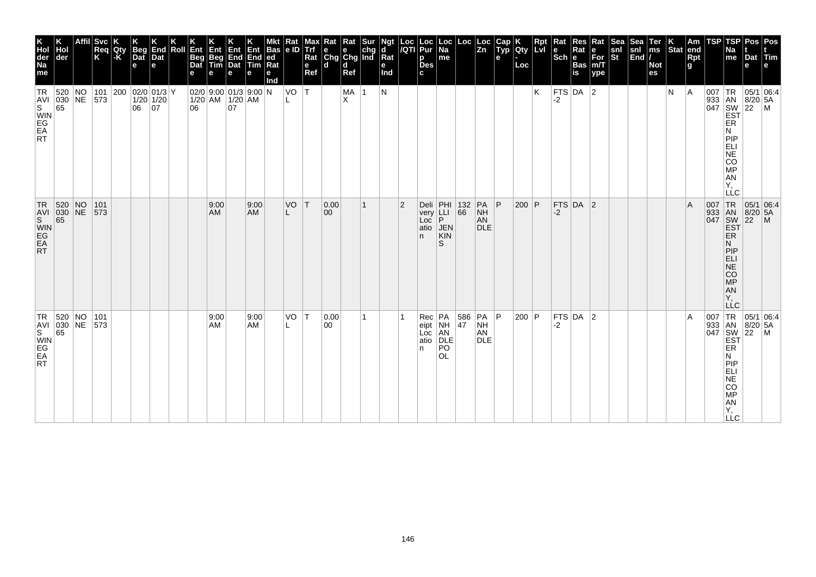| K<br>Hol<br>der<br>Na<br>me                             | Κ<br>Hol<br>der                                            |                          | Affil Svc<br>Req<br>K | 1K<br>Qty<br>$-K$ | <b>Beg</b><br>Dat<br>$\mathbf e$ | End<br>Dat<br>le. | Roll Ent<br><b>Beg</b><br>Dat |            | Ent Ent Ent Bas<br>Beg End End ed<br>Tim Dat Tim Rat<br>e | е          | Mkt Rat Mar<br>Bas e ID Trf<br>Rat<br>е<br>Ind | $VO$ $T$ | e<br>Ref | Max Rat Rat Sur<br>Trf e e chg<br>Rat Chg Chg Ind<br>ld. | d<br>Ref         | $\mathbf{1}$ | Ngt<br>d<br>Rat<br>е<br>Ind<br>N |                | Loc Loc Loc<br> /QTI Pur <u>Na</u><br>p<br><b>Des</b><br>c | Loc <br>$\mathsf{Im}\mathsf{e}$                             | $\begin{vmatrix} \text{Loc} \\ \text{Zn} \end{vmatrix}$ |                                            | $\left \frac{\text{Cap}}{\text{Typ}}\right $ Qty<br>e | Loc     | Rpt<br>K | $\vert$ Rat<br>le<br>$ \mathsf{Sch} $ e<br>$FTS$ DA 2 | Res<br>Rat<br><b>Bas</b><br>is | Rat<br>e<br>$For$ <sub>m/T</sub><br>ype | <b>Sea</b><br>snl<br>$\overline{\mathbf{s}}$ t | Sea <sup>®</sup><br>sinl<br>$\vert$ End $\vert$ / | $\sqrt{\frac{7}{2}}$<br><b>Not</b><br>es | ΙK.<br>Stat end<br>N | Am<br>Rpt<br>g<br> A | <b>TSP</b> | Na<br>me                                                                                   | TSP Pos Pos<br>Dat Tim<br>e                                    | l e l |
|---------------------------------------------------------|------------------------------------------------------------|--------------------------|-----------------------|-------------------|----------------------------------|-------------------|-------------------------------|------------|-----------------------------------------------------------|------------|------------------------------------------------|----------|----------|----------------------------------------------------------|------------------|--------------|----------------------------------|----------------|------------------------------------------------------------|-------------------------------------------------------------|---------------------------------------------------------|--------------------------------------------|-------------------------------------------------------|---------|----------|-------------------------------------------------------|--------------------------------|-----------------------------------------|------------------------------------------------|---------------------------------------------------|------------------------------------------|----------------------|----------------------|------------|--------------------------------------------------------------------------------------------|----------------------------------------------------------------|-------|
| <b>TR</b><br>S<br>WIN<br>EA<br>RT                       | 520<br>AVI 030 NE 573<br>65                                | $\overline{\mathsf{NO}}$ |                       |                   | 101 200 02/0 01/3 Y<br>06 07     | $1/20$ 1/20       | 06                            |            | $02/0$ 9:00 01/3 9:00 N<br>$1/20$ AM $1/20$ AM<br>07      |            |                                                |          |          |                                                          | MA  <br>$\times$ |              |                                  |                |                                                            |                                                             |                                                         |                                            |                                                       |         |          | -2                                                    |                                |                                         |                                                |                                                   |                                          |                      |                      |            | ER<br>N<br>PIP<br>ELI<br>NE<br>CO<br><b>MP</b><br>AN<br>Υ,<br><b>LLC</b>                   | 007   TR   05/1   06:4<br>933 AN 8/20 5A<br>047 SW 22 M<br>EST |       |
| $\overline{\mathbf{s}}$<br>WIN<br>EG<br>EA<br><b>RT</b> | TR 520 NO<br>AVI 030 NE<br>65                              |                          | 101<br>573            |                   |                                  |                   |                               | 9:00<br>AM |                                                           | 9:00<br>AM |                                                | VO       | IТ.      | 0.00 <br> 00                                             |                  | 1            |                                  | $\overline{2}$ | Loc<br>atio<br>n.                                          | Deli PHI 132<br>very LLI 66<br>P.<br><b>JEN</b><br>KIN<br>S |                                                         | $PA$ $ P$<br><b>NH</b><br>AN<br><b>DLE</b> |                                                       | $200$ P |          | -2                                                    | FTS DA 2                       |                                         |                                                |                                                   |                                          |                      | $\overline{A}$       |            | <b>EST</b><br>ER.<br>N.<br> P P<br>ELI<br>$N\bar{E}$<br>CO<br>MP<br>AN<br>Υ.<br><b>LLC</b> | 007 TR 05/1 06:4<br>933 AN 8/20 5A<br>047 SW 22 M              |       |
| $ {\sf TR} $<br><b>RT</b>                               | $ 520 $ NO $ 101 $<br>TAVI 030 NE 573<br>S WIN<br>EG<br>EA |                          |                       |                   |                                  |                   |                               | 9:00<br>AM |                                                           | 9:00<br>AM |                                                | $VO$ $T$ |          | 0.00<br>00                                               |                  | 1            |                                  |                | $Rec$ $PA$<br>eipt NH<br>Loc AN<br>atio<br>n               | DLE<br>PO<br><b>OL</b>                                      | 586   PA   P<br>$ 47\rangle$                            | <b>NH</b><br>AN<br><b>DLE</b>              |                                                       | 200 P   |          | -2                                                    | $FTS$ DA $ 2$                  |                                         |                                                |                                                   |                                          |                      | $\overline{A}$       | 007        | ER<br>N<br>PIP<br>ELI<br>NE<br>CO<br>$\overline{MP}$<br>AN<br>Ÿ,<br><b>LLC</b>             | TR 05/1 06:4<br>933 AN 8/20 5A<br>047 SW 22 M<br>EST           |       |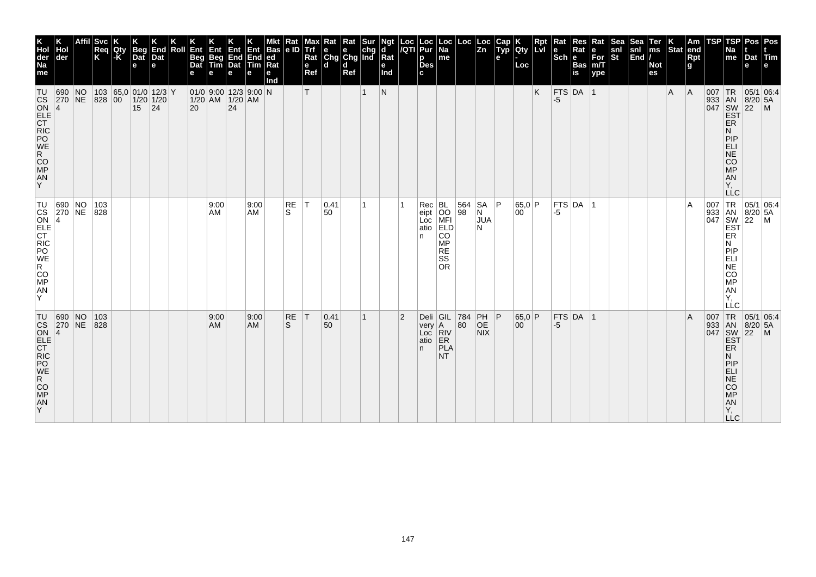| K<br>Hol<br>der<br>Na<br>me                                                                                                                                  | der              | <b>Svc</b><br>Req<br>K | Qty<br>$ \text{-}\mathsf{K} $ | <b>Beg</b><br>Dat<br>$\mathbf e$                   | End<br>Dat<br>e | Roll | Ent<br><b>Beg</b><br>Dat | Ent<br>Beg<br>Tim | Ent<br>$\begin{array}{ c c }\n\hline\n\text{End} \\ \text{Dat}\n\end{array}$<br>e | End<br><b>Tim</b><br>е | Bas<br> ed <br>Ra<br>е<br>Ind | Rat<br> e D        | мах<br>Trf<br>Rat<br>e<br>Ref | Rat<br>$\begin{array}{ c c c }\n\hline\n\text{e} & \text{e} & \text{chg} \\ \hline\n\text{Chg} & \text{Chg} & \text{Ind}\n\end{array}$<br>ld. | Rat<br>d<br>Ref | Sur          | Ngt<br>ď<br>Rat<br>е<br>Ind | $\frac{Loc}{/QTI}$ | Loc<br>Pur<br>р<br><b>Des</b><br>c.           | ∣Loc<br>$\overline{Na}$<br>me                   | Loc                | ∣Loc<br>$\overline{z_n}$          | Cap<br>$\tilde{$ , Typ}<br>е | Qty<br>Loc             | Rpt<br><b>ILvI</b> | Rat<br>l e<br>$ \mathsf{Sch} $ e | Res<br>Rat<br><b>Bas</b><br>is | Rat<br>е<br>$\overline{\text{For}}$ <sub>m/T</sub><br>ype | <b>Sea</b><br>snl<br>St | Sea<br>snl<br>$\left \overline{\text{End}}\right $ | Ter<br>$\mathsf{ms}$<br><b>Not</b><br>es | Stat end | Am<br>Rpt<br>g | TSP | TSP<br>Na<br>me                                                                                      | Dat Tim<br>e                                             | Pos   Pos                                                                                                                                                                                                                                                                   |
|--------------------------------------------------------------------------------------------------------------------------------------------------------------|------------------|------------------------|-------------------------------|----------------------------------------------------|-----------------|------|--------------------------|-------------------|-----------------------------------------------------------------------------------|------------------------|-------------------------------|--------------------|-------------------------------|-----------------------------------------------------------------------------------------------------------------------------------------------|-----------------|--------------|-----------------------------|--------------------|-----------------------------------------------|-------------------------------------------------|--------------------|-----------------------------------|------------------------------|------------------------|--------------------|----------------------------------|--------------------------------|-----------------------------------------------------------|-------------------------|----------------------------------------------------|------------------------------------------|----------|----------------|-----|------------------------------------------------------------------------------------------------------|----------------------------------------------------------|-----------------------------------------------------------------------------------------------------------------------------------------------------------------------------------------------------------------------------------------------------------------------------|
| <b>TU</b><br><b>CS</b><br>$ON$ 4<br><b>ELE</b><br>$\overline{CT}$<br>RIC<br>PO<br>WE<br>R<br>CO<br>MP<br>AN<br>Y                                             | 690 NO<br>270 NE | 828 00                 |                               | 103 65,0 01/0 12/3 Y<br>$1/20$ 1/20<br>$15 \,  24$ |                 |      | 20                       |                   | $01/0$ 9:00 12/3 9:00 N<br>$1/20$ AM $1/20$ AM<br>24                              |                        |                               |                    | T.                            |                                                                                                                                               |                 | 1            | $\mathsf{N}$                |                    |                                               |                                                 |                    |                                   |                              |                        | K                  | -5                               | $FTS$ DA 1                     |                                                           |                         |                                                    |                                          | A        | A              |     | <b>ER</b><br>Ν<br>PIP<br><b>ELI</b><br><b>NE</b><br><b>CO</b><br><b>MP</b><br>AN<br>Υ,<br><b>LLC</b> | 007 TR 05/1 06:4<br>933 AN 8/20 5A<br>047 SW 22 M<br>EST |                                                                                                                                                                                                                                                                             |
| TU<br>$\begin{array}{c} \n\cos 2i \\ \cos 4 \\ \text{ELE} \\ \text{CT} \\ \text{C}.\n\end{array}$<br>RIC<br>PO<br>WE<br>$\overline{R}$<br>$CO$ MP<br>AN<br>Y | 690 NO<br>270 NE | 103<br>828             |                               |                                                    |                 |      |                          | 9:00<br>AM        |                                                                                   | 9:00<br>AM             |                               | RE<br>S.           | T                             | $ 0.41\rangle$<br>50                                                                                                                          |                 | 1            |                             |                    | Rec BL<br>eipt OO<br>Loc MFI<br>atio ELD<br>n | CO<br><b>MP</b><br><b>RE</b><br>SS<br><b>OR</b> | 564<br>98          | <b>SA</b><br>N<br><b>JUA</b><br>N | ∣P                           | 65.0 P<br>$00^{\circ}$ |                    | -5                               | FTS DA 1                       |                                                           |                         |                                                    |                                          |          | A              |     | ER<br>N<br>PIP<br>ELI<br>NE<br>CO<br>MP<br>AN<br>Υ.<br><b>LLC</b>                                    |                                                          | 007 TR 05/1 06:4<br>933 AN 8/20 5A<br>047 SW 22 M<br>EST                                                                                                                                                                                                                    |
| TU<br>CO<br>MP<br>AN<br>ΙY.                                                                                                                                  | 690 NO<br>270 NE | 103<br>828             |                               |                                                    |                 |      |                          | 9:00<br><b>AM</b> |                                                                                   | 9:00<br><b>AM</b>      |                               | RE<br><sub>S</sub> | T                             | 0.41<br>50                                                                                                                                    |                 | $\mathbf{1}$ |                             | $\overline{2}$     | very   A<br>$LoC$ $\vert$ RIV<br>atio<br>n.   | ER<br>PLA<br>NT.                                | Deli GIL 784<br>80 | PH   P<br><b>OE</b><br><b>NIX</b> |                              | 65,0 P<br>00           |                    | $-5$                             | $FTS$ DA 1                     |                                                           |                         |                                                    |                                          |          | $\overline{A}$ |     | ER<br>N.<br>PIP<br>ELI<br><b>NE</b><br><b>CO</b><br><b>MP</b><br>AN<br>Ÿ,<br><b>LLC</b>              |                                                          | $\begin{array}{r} \n 1R \n 05/1 \n 100 \n 100 \n 100 \n 100 \n 100 \n 100 \n 100 \n 100 \n 100 \n 100 \n 100 \n 100 \n 100 \n 100 \n 100 \n 100 \n 100 \n 100 \n 100 \n 100 \n 100 \n 100 \n 100 \n 100 \n 100 \n 100 \n 100 \n 100 \n 100 \n 100 \n 100 \n 100 \n 100 \n $ |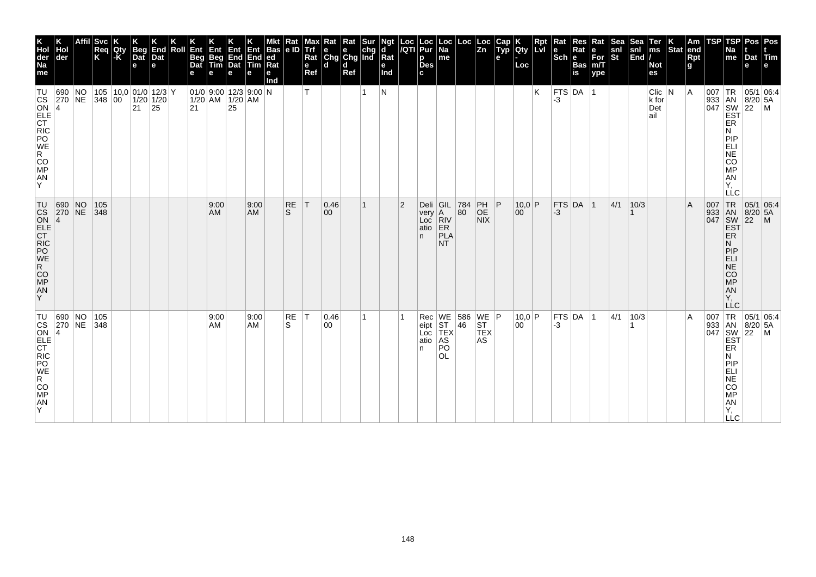| K<br>Hol<br>der<br>Na<br>me                                                                                                                                                      | Hol<br>der        |    | Affil Svc<br>Req<br>K | Qty<br>$-K$ | <b>Beg</b><br>Dat<br>e     | End<br>Dat<br>e    | Roll Ent<br><b>Beg</b><br>Dat | Ent               | <b>Ent</b><br> Beg End End ed<br> Tim Dat Tim Rat<br>е | Ent<br>е   | Bas e ID Trf<br>$Ra$ t<br>е<br>Ind | Rat                | Max Rat<br>e<br>Ref | l e-<br>Rat Chg Chg Ind Rat<br>ld. | $\vert$ Rat<br>e.<br>d<br>Ref | $\left  \begin{smallmatrix} \texttt{Sur} \\ \texttt{chg} \end{smallmatrix} \right $ | Ngt<br>d<br>е<br>Ind |                | Loc  Loc  Loc  Loc  Loc<br> /QTI  Pur  Na  <br>p<br><b>Des</b><br>c | $\sf m$ e                                       |           |                                                | Cap<br>Typ<br>е | Qty<br>Loc   | <b>Rpt</b><br>Lvi | $\vert$ Rat<br>l e l<br>$ \textsf{Sch} $ e | Res<br>Rat<br><b>Bas</b><br>is | Rat<br>e<br>$\bar{F}$ or<br>m/T<br>ype | <b>Sea</b><br>snl<br>$ \mathsf{St} $ | Sea<br>snl<br> End | Ter<br>ms<br><b>Not</b><br>es     | $\left  \begin{array}{c} K \\ Stat \end{array} \right $ am | Rpt<br>g     | TSP | TSP<br>Na<br>me                                                                                                                 | Dat Tim<br>е                 | Pos   Pos               |
|----------------------------------------------------------------------------------------------------------------------------------------------------------------------------------|-------------------|----|-----------------------|-------------|----------------------------|--------------------|-------------------------------|-------------------|--------------------------------------------------------|------------|------------------------------------|--------------------|---------------------|------------------------------------|-------------------------------|-------------------------------------------------------------------------------------|----------------------|----------------|---------------------------------------------------------------------|-------------------------------------------------|-----------|------------------------------------------------|-----------------|--------------|-------------------|--------------------------------------------|--------------------------------|----------------------------------------|--------------------------------------|--------------------|-----------------------------------|------------------------------------------------------------|--------------|-----|---------------------------------------------------------------------------------------------------------------------------------|------------------------------|-------------------------|
| TU<br><b>CS</b><br>ON<br>ELE<br>CT<br>RIC<br>PO<br>WE<br>$\mathsf{R}^-$<br>CO <sub>MP</sub><br>AN<br>Y                                                                           | 690<br>$\vert$ 4  | NO | $ 270 NE$ 348 00      |             | 105 10,0 01/0 12/3 Y<br>21 | $1/20$ 1/20<br> 25 | 21                            |                   | 01/0 9:00 12/3 9:00 N<br>$1/20$ AM $1/20$ AM<br>25     |            |                                    |                    | T                   |                                    |                               | 1                                                                                   | IN.                  |                |                                                                     |                                                 |           |                                                |                 |              | K                 | -3                                         | $FTS$ DA 1                     |                                        |                                      |                    | Clic   N<br>$k$ for<br>Det<br>ail |                                                            | <sup>A</sup> | 007 | ∣TR<br>933 AN<br>047 SW<br>EST<br>ER<br>Ν<br><b>PIP</b><br>ELI<br>NE <sup>T</sup><br>CO<br><b>MP</b><br>AN<br>Υ.<br>LLC         | $8/20$ 5A<br>22              | 05/1 06:4<br>l M        |
| $\begin{array}{c c}\n\text{TU} & 69 \\ \text{CS} & 27 \\ \text{ON} & 4\n\end{array}$<br>ELE<br>CT<br>RIC<br>PO<br>WE<br>R<br>$CO$ MP<br>AN<br>Y                                  | 690 NO<br>270 NE  |    | 105<br> 348           |             |                            |                    |                               | 9:00<br><b>AM</b> |                                                        | 9:00<br>AM |                                    | RE<br><sub>S</sub> | T                   | 0.46 <br>$ 00\rangle$              |                               | 1                                                                                   |                      | $\overline{2}$ | Deli GIL<br>$very$ A<br>Loc<br>atio<br>n.                           | RIV <br>ER<br>PLA<br>NT.                        | 784<br>80 | PH   P<br>OE<br><b>NIX</b>                     |                 | 10,0 P<br>00 |                   | $-3$                                       | FTS DA 1                       |                                        | 4/1                                  | 10/3               |                                   |                                                            | ΙA           | 007 | TR<br>933 AN 8/20<br>047 SW 22<br><b>EST</b><br>ER<br>N<br>PIP<br><b>ELI</b><br><b>NE</b><br>CO<br><b>MP</b><br>AN<br>Υ.<br>LLC | 05/1 06:4<br>$8/20$ 5A       | $\overline{\mathsf{M}}$ |
| $ {\mathsf T}{\mathsf U} $<br>$\begin{bmatrix} \cos 2 \\ \cos 4 \\ \text{ELE} \\ \text{CT} \end{bmatrix}$<br>RIC<br>PO<br>WE<br>$\ddot{R}$<br><b>CO</b><br><b>MP</b><br>AN<br>Y. | 690 NO<br> 270 NE |    | 105<br> 348           |             |                            |                    |                               | 9:00<br>AM        |                                                        | 9:00<br>AM |                                    | RE<br>S            | $ \top$             | 0.46 <br> 00                       |                               | 1                                                                                   |                      |                | Rec<br>eipt<br>Loc<br>atio<br>n                                     | WE<br><b>ST</b><br>TEX<br>AS<br>PO<br><b>OL</b> | 46        | 586   WE   P<br><b>ST</b><br><b>TEX</b><br>AS. |                 | 10,0 P<br>00 |                   | $-3$                                       | FTS DA 1                       |                                        | 4/1                                  | 10/3               |                                   |                                                            | ۱A           | 007 | 933 AN<br>047 SW<br>EST<br>ER<br>N<br>PIP<br><b>ELI</b><br><b>NE</b><br>CO<br><b>MP</b><br>AN<br>Υ,<br><b>LLC</b>               | $8/20$ 5A<br>$\overline{22}$ | TR 05/1 06:4<br>IM.     |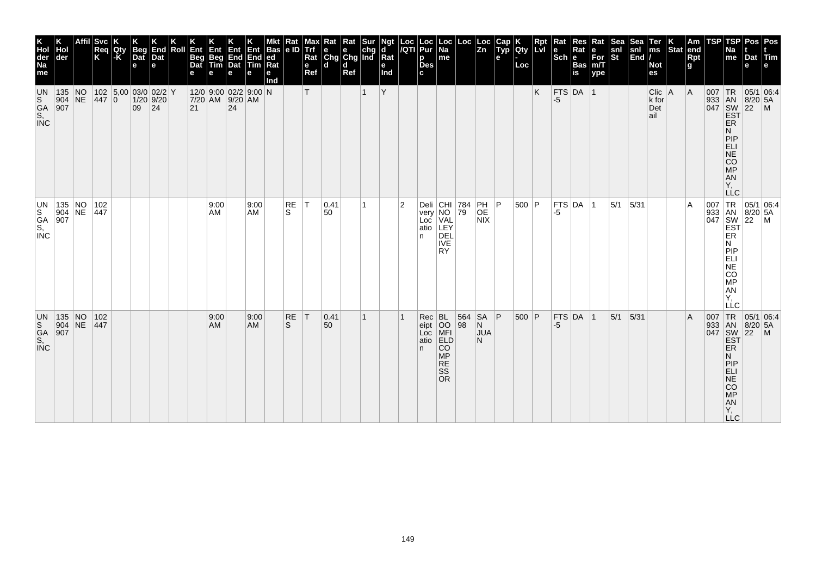| Hol<br>der<br>135 NO<br>$904$ NE |     |                                                                                    | <b>Svc</b><br>Reg<br>Κ<br> 447 0 | Qty<br>l-K | <b>Beg</b><br>Dat<br>e<br>102 5,00 03/0 02/2 Y<br>$1/20$ 9/20 | e  | End<br>Dat | Roll | Ent<br><b>Beg</b><br>Dat<br>е | Ent<br>Beg<br>Tim | Ent<br>End End<br>Dat Tim<br>e<br>12/0 9:00 02/2 9:00 N<br>7/20 AM 9/20 AM | е                 | Bas<br> ed<br>Rat<br>е<br>Ind | Rat<br> e D               | Max<br><b>Trf</b><br>Rat<br>$\mathbf e$<br>Ref<br>T. | Rat<br>l e l<br>Chg<br>ld. | d<br>Ref | Rat Sur<br>e chg<br>Chg Ind<br>1 | Ngt<br>d<br>Rat<br>е<br>Ind<br>Y | Loc<br>/QTI    | Loc<br>Pur<br>p<br><b>Des</b><br>c.                     | Loc<br>  Na<br>me                                  | Loc                    | Loc<br>$\overline{z}$ <sub>n</sub>                                                          | Cap<br>Typ<br>e | <b>IQty</b><br>Loc | Rpt<br>Lvi<br>K | Rat<br>le<br>$ \overline{\text{Sch}} e $<br> FTS DA 1<br>-5 | Res<br>Rat<br><b>Bas</b><br>is | Rat<br>e<br>$For$ <sub>m</sub> $T$<br>ype | <b>Sea</b><br>snl<br>St | Sea<br>snl<br>$\left \overline{\text{End}}\right $ | Ter<br>ms<br><b>Not</b><br>es<br>$Clic$   A<br>k for | Stat end | Am<br><b>Rpt</b><br>g<br>A | TSP | TSP<br>Na<br>me                                                                       | Pos   Pos<br>Dat Tim<br>e<br>007 TR 05/1 06:4                                                                                                                            | l e l |
|----------------------------------|-----|------------------------------------------------------------------------------------|----------------------------------|------------|---------------------------------------------------------------|----|------------|------|-------------------------------|-------------------|----------------------------------------------------------------------------|-------------------|-------------------------------|---------------------------|------------------------------------------------------|----------------------------|----------|----------------------------------|----------------------------------|----------------|---------------------------------------------------------|----------------------------------------------------|------------------------|---------------------------------------------------------------------------------------------|-----------------|--------------------|-----------------|-------------------------------------------------------------|--------------------------------|-------------------------------------------|-------------------------|----------------------------------------------------|------------------------------------------------------|----------|----------------------------|-----|---------------------------------------------------------------------------------------|--------------------------------------------------------------------------------------------------------------------------------------------------------------------------|-------|
|                                  | 907 |                                                                                    |                                  |            | 09                                                            | 24 |            |      | 21                            |                   | 24                                                                         |                   |                               |                           |                                                      |                            |          |                                  |                                  |                |                                                         |                                                    |                        |                                                                                             |                 |                    |                 |                                                             |                                |                                           |                         |                                                    | Det<br>ail                                           |          |                            |     | ER<br>N<br>PIP<br>ELI<br>NE<br>CO<br><b>MP</b><br>AN<br>Υ.                            | 933 AN 8/20 5A<br>047 SW 22 M<br>EST                                                                                                                                     |       |
|                                  | 907 |                                                                                    | 135 NO 102<br>904 NE 447         |            |                                                               |    |            |      |                               | 9:00<br>AM        |                                                                            | 9:00<br>AM        |                               | RE<br>S.                  | IT.                                                  | 0.41<br>50                 |          | 1                                |                                  | $\overline{2}$ | Deli CHI 784<br>very NO 79<br>very<br>Loc<br>atio<br>n. | NO<br>VAL<br>LEY<br>DEL<br><b>IVE</b><br><b>RY</b> |                        | $\begin{array}{ c c } \hline \text{PH} & \text{P} \\ \text{OE} & \end{array}$<br><b>NIX</b> |                 | $500$ P            |                 | -5                                                          | FTS DA 1                       |                                           | 5/1                     | 5/31                                               |                                                      |          | $\overline{A}$             |     | N<br><b>PIP</b><br>ELI<br>NE<br>CO<br>MP<br>AN<br>Υ,<br>LLC                           | $\begin{array}{c c}\n & C \\ \hline\n & TR & 05/1 & 06:4 \\  & 933 & AN & 8/20 & 5\rho \\  & 047 & SW & 22 & * \\  & EST & & & \\  & ERT & & & & \\ \hline\n\end{array}$ |       |
|                                  |     | $\begin{array}{ c c }\n 135 & \text{NO} \\  904 & \text{NE} \\  907 & \end{array}$ | 102<br>447                       |            |                                                               |    |            |      |                               | 9:00<br>AM        |                                                                            | 9:00<br><b>AM</b> |                               | <b>RE</b><br><sub>S</sub> | T                                                    | 0.41<br>50                 |          | 1                                |                                  |                | Rec BL<br>eipt OO<br>Loc MFI<br>atio ELD<br>n.          | CO<br><b>MP</b><br><b>RE</b><br>SS<br><b>OR</b>    | 564<br>$\overline{98}$ | <b>SA</b><br>N<br><b>JUA</b><br>N.                                                          | $\overline{P}$  | 500 P              |                 | -5                                                          | $FTS$ DA 1                     |                                           | 5/1                     | 5/31                                               |                                                      |          | $\overline{A}$             | 007 | TR<br>ER<br>N<br>PIP<br>ELI<br><b>NE</b><br><b>CO</b><br><b>MP</b><br>AN<br>Υ,<br>LLC | 05/1 06:4<br>933 AN 8/20 5A<br>047 SW 22 M<br>EST                                                                                                                        |       |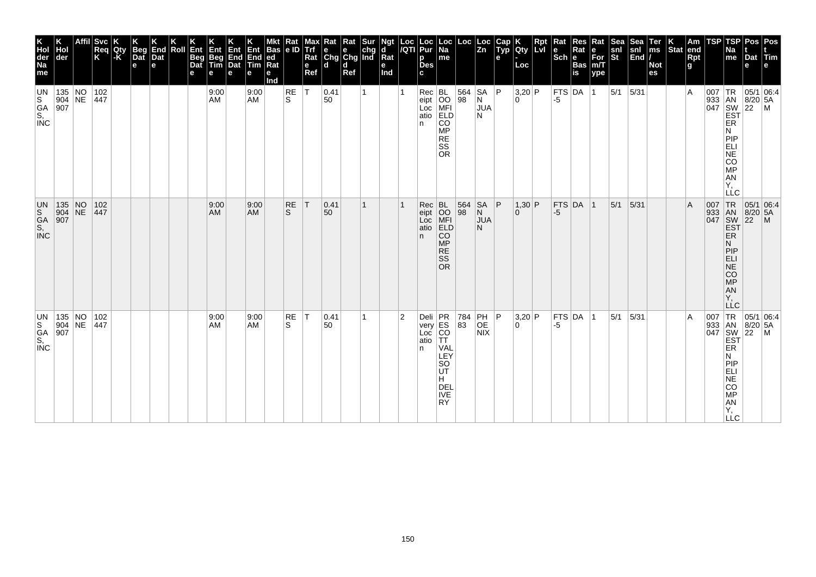| K<br>Hol<br>der<br>Na<br>me<br>UN                                       | Hol<br>der                                                                                  | Svc<br>Req<br>K                                                                                           | Qty<br> -K | Beg<br>Dat<br>e | K<br>End<br>Dat<br>$\mathbf e$ | Ent<br>Beg<br>Dat<br>Roll<br>е | Ent<br>Beg<br>Tim<br>е | е | Ent<br>Ent<br>End<br>End<br>Dat<br><b>Tim</b><br>е | ed<br>Ra<br>е<br>Ind | │Mkt │Rat │<br>│Bas │e ID │ | $\mathbf e$<br>Ref | Max Rat Rat Sur<br>Trf e e chg<br>Rat Chg Chg Ind<br><b>d</b> | d<br>Ref | Ngt<br>d<br>$\overline{\mathsf{R}}$ at<br>е<br>Ind | Loc  Loc<br><i> I</i> QTI  Pur | р<br><b>Des</b><br>c                           | $\vert$ Loc $\vert$ Na<br>me                                                                | Loc                                              | $\vert$ Loc<br>$\vert$ Zn   | Cap<br>Typ<br>e | <b>loty</b><br>Loc       | Rpt<br>Lvi | Rat<br>$ \overline{\text{Sch}} $ e | Res<br>Rat<br><b>Bas</b><br>is | Rat<br>е<br>$\bar{F}$ or<br>m/T<br>ype | Sea <sup>-</sup><br>snl<br>St | Sea<br>$\begin{bmatrix} \sin \theta \\ \sin \theta \end{bmatrix}$ | Ter<br>$\mathsf{ms}$<br><b>Not</b><br>es | Stat end | Am<br>Rpt<br>g | TSP | TSP<br>Na<br>me                                                                  | Pos   Pos<br>Dat Tim<br>e                                                                                                                                                                                                                                                                                                                                                                                                                                                    | l e l |
|-------------------------------------------------------------------------|---------------------------------------------------------------------------------------------|-----------------------------------------------------------------------------------------------------------|------------|-----------------|--------------------------------|--------------------------------|------------------------|---|----------------------------------------------------|----------------------|-----------------------------|--------------------|---------------------------------------------------------------|----------|----------------------------------------------------|--------------------------------|------------------------------------------------|---------------------------------------------------------------------------------------------|--------------------------------------------------|-----------------------------|-----------------|--------------------------|------------|------------------------------------|--------------------------------|----------------------------------------|-------------------------------|-------------------------------------------------------------------|------------------------------------------|----------|----------------|-----|----------------------------------------------------------------------------------|------------------------------------------------------------------------------------------------------------------------------------------------------------------------------------------------------------------------------------------------------------------------------------------------------------------------------------------------------------------------------------------------------------------------------------------------------------------------------|-------|
|                                                                         | 135 NO                                                                                      | 102<br>$\begin{array}{ c c c c }\n\hline\n904 & \text{NE} & 447 \\ \hline\n907 & & \\\hline\n\end{array}$ |            |                 |                                |                                | 9:00<br>AM             |   | 9:00<br><b>AM</b>                                  |                      | RE<br>ls.                   | $\top$             | 0.41<br>50                                                    |          |                                                    |                                | n.                                             | Rec BL<br>eipt OO<br>Loc MFI<br>atio ELD<br>CO<br><b>MP</b><br><b>RE</b><br>SS<br><b>OR</b> | 564<br>98                                        | SA<br>Ν<br><b>JUA</b><br>N  | P               | $3,20$ P<br>$\Omega$     |            | -5                                 | $FTS$ DA $ 1$                  |                                        | $5/1$ 5/31                    |                                                                   |                                          |          | $\overline{A}$ |     | ER<br>N<br>PIP<br>ELI<br>COMP<br>AN<br>Υ.<br><b>LLC</b>                          | $\begin{array}{c}\n 1 \text{ R} \\  33 \\  1 \text{ AN} \\  8/2 \\  9/47 \\  1 \text{ SN} \\  1 \text{ SN} \\  1 \text{ SN} \\  1 \text{ SN} \\  1 \text{ SN} \\  1 \text{ SN} \\  1 \text{ SN} \\  1 \text{ SN} \\  1 \text{ SN} \\  1 \text{ SN} \\  1 \text{ SN} \\  1 \text{ SN} \\  1 \text{ SN} \\  1 \text{ SN} \\  1 \text{ SN} \\  1 \text{ SN} \\  1 \text{ SN} \\  1 \text{ SN} \\  1 \text{ SN} \\  1 \text{ SN} \\  1 \text{ SN} \\  1 \text{ SN} \\  1 \text{$ |       |
| UN<br>S<br>G<br>S,<br>INC                                               | $\begin{array}{ c c }\n 135 & \text{NO} \\  904 & \text{NE} \\  907 & \end{array}$          | 102 <br> 447                                                                                              |            |                 |                                |                                | 9:00<br>AM             |   | 9:00<br><b>AM</b>                                  |                      | <b>RE</b><br>S              | ΙT                 | 0.41<br>50                                                    |          |                                                    |                                | Rec BL<br>eipt OO<br>Loc MFI<br>atio ELD<br>n. | <b>CO</b><br><b>MP</b><br><b>RE</b><br><b>SS</b><br><b>OR</b>                               | 564<br>98                                        | SA<br>N<br><b>JUA</b><br>N. | l P             | 1,30 P<br>$\Omega$       |            | -5                                 | $FTS$ DA $ 1$                  |                                        | 5/1                           | 5/31                                                              |                                          |          | $\overline{A}$ |     | ER<br>N<br>PIP<br>ELI<br>CO<br>MP<br>AN<br>Ÿ,<br><b>LLC</b>                      | 007 TR 05/1 06:4<br>933 AN 8/20 5A<br>047 SW 22 M<br>EST<br> 05/1 06:4                                                                                                                                                                                                                                                                                                                                                                                                       |       |
| UN<br>$\overline{\begin{matrix} S\\ S\\ S, \end{matrix}}$<br><b>INC</b> | $\begin{array}{ l l }\n 135 & \text{NO} \\  904 & \text{NE} \\  \hline\n 907 & \end{array}$ | 102<br>447                                                                                                |            |                 |                                |                                | 9:00<br>AM             |   | 9:00<br>AM                                         |                      | RE<br>S                     | $\top$             | 0.41<br>50                                                    |          |                                                    | $\overline{2}$                 | Deli PR<br>very ES<br>Loc CO<br>atio TT<br>n.  | VAL<br>LEY<br>SO<br><b>UT</b><br>H.<br><b>DEL</b><br><b>IVE</b><br><b>RY</b>                | $\begin{array}{ c c }\n 784 \\  83\n\end{array}$ | PH<br>OE<br><b>NIX</b>      | ∣P              | 3,20 P<br>$\overline{0}$ |            | FTS DA<br>-5                       |                                | $\vert$ 1                              | 5/1                           | 5/31                                                              |                                          |          | $\overline{A}$ | 007 | TR<br>ER<br>N<br>PIP<br>ELI<br>$NE$<br>CO<br><b>MP</b><br>AN<br>Υ,<br><b>LLC</b> | 05/1 06:4<br>933 AN 8/20 5A<br>047 SW 22 M<br>EST                                                                                                                                                                                                                                                                                                                                                                                                                            |       |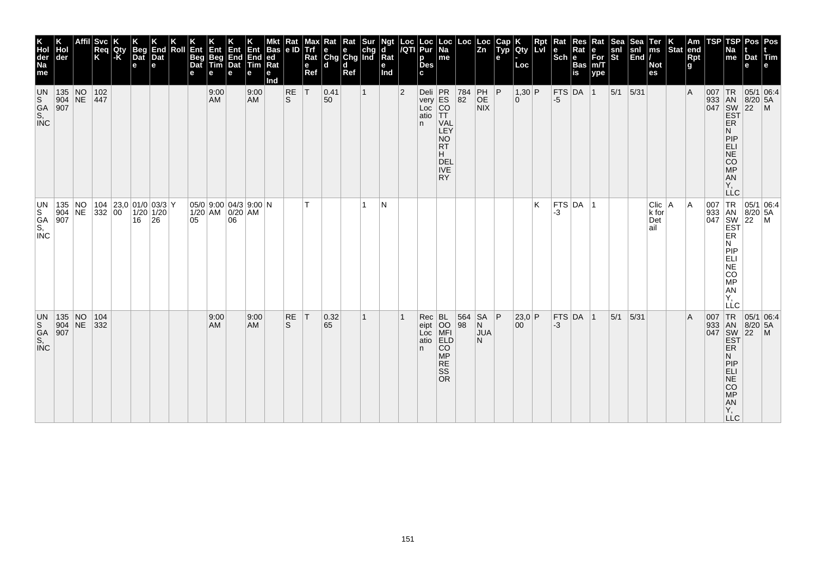| K<br>Hol<br>der<br>Na<br>me                                                   | der                                                                                | Affil Svc<br>Req<br>K                 | Qty<br> -K | Beg<br>Dat<br>$\mathbf e$ | End<br>Dat<br>е | Roll | Ent<br>Beg<br>Dat<br>е | Ent<br>Beg<br>Tim<br>е | Ent<br>End<br>Dat<br>е                           | Ent<br>End<br>Tim<br>е | <b>Bas</b><br> ed <br>Rat<br>е<br>Ind | Rat<br>e ID               | max<br>Trf<br>Rat<br>$\mathbf e$<br>Ref | Rat Rat Sur<br>e e chg<br>Chg Chg Ind<br>ld. | d<br>Ref |              | Ngt<br>d<br>Rat<br>е<br>Ind | $\frac{\text{Loc}}{\text{/QTI}}$ | <b>Loc</b><br>Pur<br>p<br><b>Des</b><br>C. | Loc<br>Na<br>$\sf m$ e                                                                                                         | Loc                                                     | Loc<br>Zn                          | Cap<br>Typ<br>e | Qty<br>Loc           | <b>Rpt</b><br>LvI | Rat  | Res<br>Sch Bas | Rat<br>e<br>For<br>m/T<br>ype | <b>Sea</b><br>snl<br>St | Sea<br>snl<br>End | Ter<br>ms<br><b>Not</b><br>es    | $\left \begin{array}{c} K \\ \text{Stat} \end{array}\right $ am | Rpt<br>g | TSP | <b>TSP</b><br>Na<br>me                                                                                                                      | Pos<br>Dat<br>е | Pos<br><b>Frim</b><br>e                                                                                                                            |
|-------------------------------------------------------------------------------|------------------------------------------------------------------------------------|---------------------------------------|------------|---------------------------|-----------------|------|------------------------|------------------------|--------------------------------------------------|------------------------|---------------------------------------|---------------------------|-----------------------------------------|----------------------------------------------|----------|--------------|-----------------------------|----------------------------------|--------------------------------------------|--------------------------------------------------------------------------------------------------------------------------------|---------------------------------------------------------|------------------------------------|-----------------|----------------------|-------------------|------|----------------|-------------------------------|-------------------------|-------------------|----------------------------------|-----------------------------------------------------------------|----------|-----|---------------------------------------------------------------------------------------------------------------------------------------------|-----------------|----------------------------------------------------------------------------------------------------------------------------------------------------|
| <b>UN</b><br>S<br>GA<br>S,<br>INC                                             | 135 NO 102<br>904 NE 447<br>907                                                    |                                       |            |                           |                 |      |                        | 9:00<br>AM             |                                                  | 9:00<br>AM             |                                       | RE<br>ls.                 | İΤ                                      | 0.41<br>50                                   |          | $\mathbf{1}$ |                             | $ 2\rangle$                      | n.                                         | Deli PR<br>very ES<br>Loc CO<br>atio TT<br><b>VAL</b><br>LEY<br><b>NO</b><br><b>RT</b><br>H.<br>DEL<br><b>IVE</b><br><b>RY</b> | $\begin{array}{ c} \hline 784 \\ 82 \hline \end{array}$ | PH   P<br>OE<br>NIX                |                 | $1,30$ P<br>$\Omega$ |                   | -5   | $FTS$ DA $ 1$  |                               | $5/1$ 5/31              |                   |                                  |                                                                 | ΙA       |     | 007 TR 05/1<br>933 AN 8/20<br>047 SW 22<br>EST<br>ER<br>N<br>PIP<br>ELI<br>NE<br>CO<br><b>MP</b><br>AN<br>Y,<br><b>LLC</b>                  | $8/20$ 5A       | 05/1 06:4<br>$\overline{M}$                                                                                                                        |
| un<br>$\overline{\begin{matrix} S \\ G \\ S \\ S \end{matrix}}$<br><b>INC</b> | 135 NO<br>907                                                                      | 104 23,0 01/0 03/3 Y<br>904 NE 332 00 |            | $16 \quad 26$             | $1/20$ 1/20     |      | 05                     |                        | $05/0$ 9:00 04/3 9:00 N<br>1/20 AM 0/20 AM<br>06 |                        |                                       |                           | T.                                      |                                              |          | 1            | N                           |                                  |                                            |                                                                                                                                |                                                         |                                    |                 |                      | K                 | -3   | $FTS$ DA $ 1$  |                               |                         |                   | Clic   A<br>k for<br>Det<br>lail |                                                                 | ΙA       |     | N<br><b>MONEY</b><br>AN<br>Y,<br>LLC                                                                                                        |                 | $\begin{array}{c c}\n & -C & -C \\  & \sqrt{TR} & 05/1 & 06. \\  & 933 & AN & 8/20 & 5A \\  & 647 & SM & 22 & N' \\  & 567 & SM & 22\n\end{array}$ |
| UN<br>S.<br>GA<br>S,<br><b>INC</b>                                            | $\begin{array}{ c c }\n 135 & \text{NO} \\  904 & \text{NE} \\  907 & \end{array}$ | 104<br>332                            |            |                           |                 |      |                        | 9:00<br><b>AM</b>      |                                                  | 9:00<br><b>AM</b>      |                                       | <b>RE</b><br><sub>S</sub> | T                                       | 0.32 <br>65                                  |          | 1            |                             |                                  | Rec<br>eipt<br>Loc<br>atio<br>n.           | BL<br>OO<br>MFI<br>ELD<br><b>CO</b><br><b>MP</b><br><b>RE</b><br><b>SS</b><br><b>OR</b>                                        | 564<br>98                                               | $SA$ $ P$<br>N<br><b>JUA</b><br>N. |                 | 23,0 P<br>00         |                   | $-3$ | $FTS$ DA $ 1$  |                               | 5/1                     | 5/31              |                                  |                                                                 | ΙA       |     | 007 TR 05/1 06:4<br>933 AN 8/20 5A<br>047 SW 22 M<br>EST<br>ER<br>N<br>PIP<br>ELI<br>NE<br>CO<br><b>MP</b><br><b>AN</b><br>Υ,<br><b>LLC</b> |                 | 05/1 06.4                                                                                                                                          |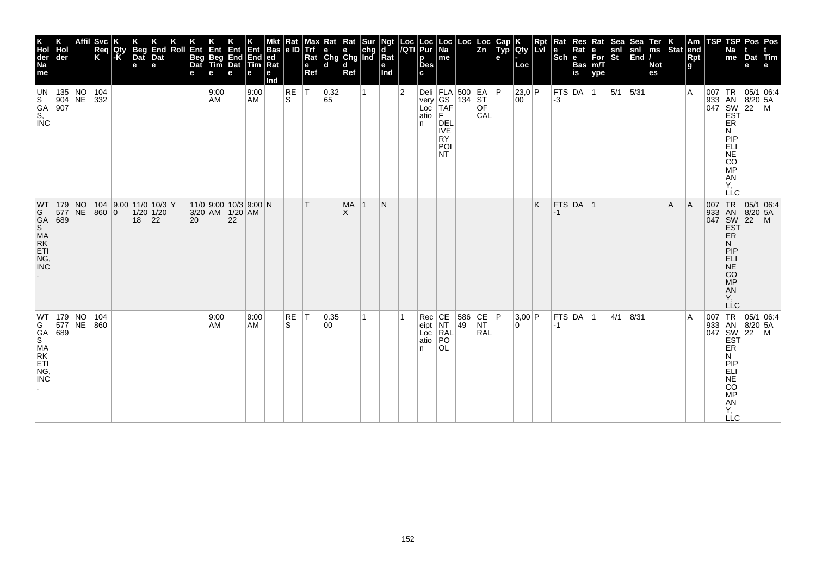| K<br>Hol<br>der<br>Na<br>me                          | Hol<br>der                                                           | <b>Svc</b><br>Req<br>K | Qty<br> -K | Beg<br>Dat<br>e | End<br>Dat<br>le.                            | Roll | Ent<br>Beg<br>Dat<br>е | Ent<br>Beg<br>Tim<br>e | Ent<br>е | Ent<br>$\begin{array}{ c c }\n\hline\nEnd & End \\ \hline\nDet & Tim\n\end{array}$<br>е | <b>Bas</b><br> ed<br>Rat<br>е<br>Ind | Rat<br> e D     | Max<br>Trf<br>Rat<br>$\mathbf e$<br>Ref | $\begin{array}{ c c c }\n\hline\n\text{Rat} & \text{Rat} & \text{Sur} \\ \hline\n\text{e} & \text{e} & \text{chg} \\ \text{Chg} & \text{Chg} & \text{Ind}\n\end{array}$<br>l d | d<br>Ref       |   | Ngt<br>d<br>Rat<br>е<br>Ind | $\frac{Loc}{/QTI}$ | Loc<br>Pur<br>p<br><b>Des</b><br>C. | Loc<br>  Na<br>me                                                                                                                                                                                                             | Loc       | Loc<br>$\overline{z}$ <sub>n</sub>                                      | Cap<br>Typ<br>е | Qty<br>Loc   | Rpt | Rat<br>$\left \begin{array}{c}\n\mathbf{e} \\ \mathbf{Sch}\n\end{array}\right $ R | Res<br>Rat<br><b>Bas</b><br>is | Rat<br>e<br>For<br>m/T<br>ype | Sea<br>snl<br>St | Sea<br>snl<br>End | Ter<br>ms<br><b>Not</b><br>es | $\left \begin{array}{c} K \\ \text{Stat} \end{array}\right $ am | Rpt<br>g | TSP | TSP<br><b>Na</b><br>me                                                                                                     | Dat<br>е | Pos Pos<br>Tim                                                                                            |
|------------------------------------------------------|----------------------------------------------------------------------|------------------------|------------|-----------------|----------------------------------------------|------|------------------------|------------------------|----------|-----------------------------------------------------------------------------------------|--------------------------------------|-----------------|-----------------------------------------|--------------------------------------------------------------------------------------------------------------------------------------------------------------------------------|----------------|---|-----------------------------|--------------------|-------------------------------------|-------------------------------------------------------------------------------------------------------------------------------------------------------------------------------------------------------------------------------|-----------|-------------------------------------------------------------------------|-----------------|--------------|-----|-----------------------------------------------------------------------------------|--------------------------------|-------------------------------|------------------|-------------------|-------------------------------|-----------------------------------------------------------------|----------|-----|----------------------------------------------------------------------------------------------------------------------------|----------|-----------------------------------------------------------------------------------------------------------|
| UN<br>S<br>GA<br>S,<br>INC                           | 135 NO<br>904 NE 332<br>907                                          | 104                    |            |                 |                                              |      |                        | 9:00<br>AM             |          | 9:00<br><b>AM</b>                                                                       |                                      | RE<br>ls.       | $\top$                                  | 0.32<br>65                                                                                                                                                                     |                | 1 |                             | $\overline{2}$     | n                                   | Deli $ FLA $ 500 $ EA P$<br>$\begin{bmatrix} \text{very} \\ \text{Loc} \\ \text{atio} \end{bmatrix} \begin{bmatrix} \text{GS} \\ \text{IAF} \\ \text{F} \end{bmatrix}$<br><b>DEL</b><br><b>IVE</b><br><b>RY</b><br>POI<br>NT. | 134       | ST<br><b>OF</b><br>CAL                                                  |                 | 23,0 P<br>00 |     | -3                                                                                | $FTS$ DA 1                     |                               | $5/1$ 5/31       |                   |                               |                                                                 | ΙA       | 007 | TR<br>933 AN 8/20<br>047 SW 22<br>EST<br>ER<br>N<br>PIP<br>ELI<br>NE<br>CO<br>MP<br>AN<br>Υ.<br><b>LLC</b>                 | 8/20 5A  | 05/1 06:4<br>$\mathsf{M}$                                                                                 |
| WT                                                   | $ 179 $ NO<br>577 NE<br>689                                          | 860 0                  |            | 18              | $104$ 9,00 11/0 10/3 Y<br>$1/20$ 1/20<br> 22 |      | 20                     | 3/20 AM 1/20 AM        | 22       | $11/0$ 9:00 10/3 9:00 N                                                                 |                                      |                 | T.                                      |                                                                                                                                                                                | <b>MA</b><br>X | 1 | N                           |                    |                                     |                                                                                                                                                                                                                               |           |                                                                         |                 |              | K.  | $-1$                                                                              | FTS DA 1                       |                               |                  |                   |                               | l A                                                             | A        |     | <b>ER</b><br>N<br>PIP<br>ELI<br>NE<br>$\overline{c}\overline{o}$<br>MP<br>AN<br>Y,<br>LLC                                  |          | $\begin{array}{r} \n 1R \n 05/1 U_L \\  333 \n 1AN \n 8/20 \n 5A \\  047 \n 15N \n 22 \n  M\n\end{array}$ |
| WT<br>G<br>GA<br>S<br>MA<br>ETI<br>NG,<br><b>INC</b> | $\begin{array}{ c c c }\n 179 & NO \\  577 & NE\n\end{array}$<br>689 | 104<br>860             |            |                 |                                              |      |                        | 9:00<br>AM             |          | 9:00<br>AM                                                                              |                                      | <b>RE</b><br>S. | $\top$                                  | 0.35 <br>00                                                                                                                                                                    |                | 1 |                             |                    | Rec<br>eipt<br>Loc<br>atio<br>n     | CE<br>NT<br>RAL<br>PO<br><b>OL</b>                                                                                                                                                                                            | 586<br>49 | $\begin{array}{ c c }\n\text{CE} & \text{P}\n\end{array}$<br><b>RAL</b> |                 | 3,00 P<br>0  |     | $-1$                                                                              | FTS DA 1                       |                               | 4/1              | 8/31              |                               |                                                                 | ١A       |     | 007 TR 05/1<br>933 AN 8/20<br>047 SW 22<br>EST<br>ER<br>N<br>PIP<br>ELI<br>NE<br>CO<br><b>MP</b><br>AN<br>Υ,<br><b>LLC</b> | 8/20 5A  | 05/1 06:4<br>$\mathsf{M}$                                                                                 |